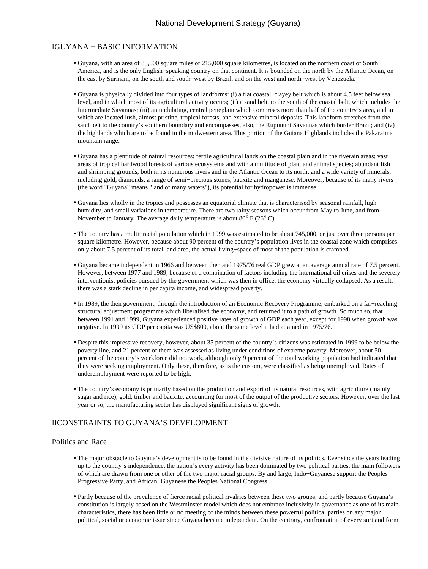#### I GUYANA − BASIC INFORMATION

- Guyana, with an area of 83,000 square miles or 215,000 square kilometres, is located on the northern coast of South America, and is the only English−speaking country on that continent. It is bounded on the north by the Atlantic Ocean, on the east by Surinam, on the south and south−west by Brazil, and on the west and north−west by Venezuela.
- Guyana is physically divided into four types of landforms: (i) a flat coastal, clayey belt which is about 4.5 feet below sea level, and in which most of its agricultural activity occurs; (ii) a sand belt, to the south of the coastal belt, which includes the Intermediate Savannas; (iii) an undulating, central peneplain which comprises more than half of the country's area, and in which are located lush, almost pristine, tropical forests, and extensive mineral deposits. This landform stretches from the sand belt to the country's southern boundary and encompasses, also, the Rupununi Savannas which border Brazil; and (iv) the highlands which are to be found in the midwestern area. This portion of the Guiana Highlands includes the Pakaraima mountain range.
- Guyana has a plentitude of natural resources: fertile agricultural lands on the coastal plain and in the riverain areas; vast areas of tropical hardwood forests of various ecosystems and with a multitude of plant and animal species; abundant fish and shrimping grounds, both in its numerous rivers and in the Atlantic Ocean to its north; and a wide variety of minerals, including gold, diamonds, a range of semi−precious stones, bauxite and manganese. Moreover, because of its many rivers (the word "Guyana" means "land of many waters"), its potential for hydropower is immense.
- Guyana lies wholly in the tropics and possesses an equatorial climate that is characterised by seasonal rainfall, high humidity, and small variations in temperature. There are two rainy seasons which occur from May to June, and from November to January. The average daily temperature is about 80° F (26° C).
- The country has a multi−racial population which in 1999 was estimated to be about 745,000, or just over three persons per square kilometre. However, because about 90 percent of the country's population lives in the coastal zone which comprises only about 7.5 percent of its total land area, the actual living−space of most of the population is cramped.
- Guyana became independent in 1966 and between then and 1975/76 real GDP grew at an average annual rate of 7.5 percent. However, between 1977 and 1989, because of a combination of factors including the international oil crises and the severely interventionist policies pursued by the government which was then in office, the economy virtually collapsed. As a result, there was a stark decline in per capita income, and widespread poverty.
- In 1989, the then government, through the introduction of an Economic Recovery Programme, embarked on a far−reaching structural adjustment programme which liberalised the economy, and returned it to a path of growth. So much so, that between 1991 and 1999, Guyana experienced positive rates of growth of GDP each year, except for 1998 when growth was negative. In 1999 its GDP per capita was US\$800, about the same level it had attained in 1975/76.
- Despite this impressive recovery, however, about 35 percent of the country's citizens was estimated in 1999 to be below the poverty line, and 21 percent of them was assessed as living under conditions of extreme poverty. Moreover, about 50 percent of the country's workforce did not work, although only 9 percent of the total working population had indicated that they were seeking employment. Only these, therefore, as is the custom, were classified as being unemployed. Rates of underemployment were reported to be high.
- The country's economy is primarily based on the production and export of its natural resources, with agriculture (mainly sugar and rice), gold, timber and bauxite, accounting for most of the output of the productive sectors. However, over the last year or so, the manufacturing sector has displayed significant signs of growth.

#### II CONSTRAINTS TO GUYANA'S DEVELOPMENT

#### Politics and Race

- The major obstacle to Guyana's development is to be found in the divisive nature of its politics. Ever since the years leading up to the country's independence, the nation's every activity has been dominated by two political parties, the main followers of which are drawn from one or other of the two major racial groups. By and large, Indo−Guyanese support the Peoples Progressive Party, and African−Guyanese the Peoples National Congress.
- Partly because of the prevalence of fierce racial political rivalries between these two groups, and partly because Guyana's constitution is largely based on the Westminster model which does not embrace inclusivity in governance as one of its main characteristics, there has been little or no meeting of the minds between these powerful political parties on any major political, social or economic issue since Guyana became independent. On the contrary, confrontation of every sort and form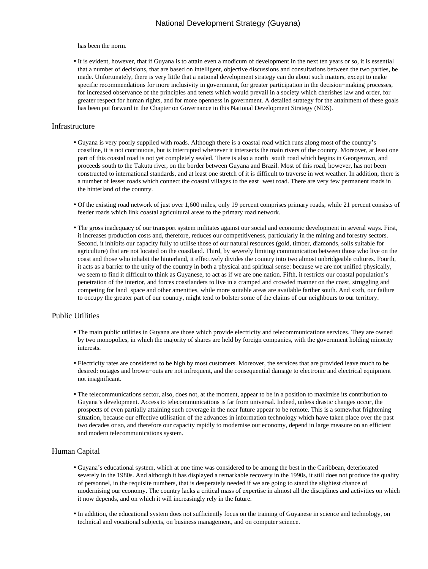has been the norm.

• It is evident, however, that if Guyana is to attain even a modicum of development in the next ten years or so, it is essential that a number of decisions, that are based on intelligent, objective discussions and consultations between the two parties, be made. Unfortunately, there is very little that a national development strategy can do about such matters, except to make specific recommendations for more inclusivity in government, for greater participation in the decision−making processes, for increased observance of the principles and tenets which would prevail in a society which cherishes law and order, for greater respect for human rights, and for more openness in government. A detailed strategy for the attainment of these goals has been put forward in the Chapter on Governance in this National Development Strategy (NDS).

#### Infrastructure

- Guyana is very poorly supplied with roads. Although there is a coastal road which runs along most of the country's coastline, it is not continuous, but is interrupted whenever it intersects the main rivers of the country. Moreover, at least one part of this coastal road is not yet completely sealed. There is also a north−south road which begins in Georgetown, and proceeds south to the Takutu river, on the border between Guyana and Brazil. Most of this road, however, has not been constructed to international standards, and at least one stretch of it is difficult to traverse in wet weather. In addition, there is a number of lesser roads which connect the coastal villages to the east−west road. There are very few permanent roads in the hinterland of the country.
- Of the existing road network of just over 1,600 miles, only 19 percent comprises primary roads, while 21 percent consists of feeder roads which link coastal agricultural areas to the primary road network.
- The gross inadequacy of our transport system militates against our social and economic development in several ways. First, it increases production costs and, therefore, reduces our competitiveness, particularly in the mining and forestry sectors. Second, it inhibits our capacity fully to utilise those of our natural resources (gold, timber, diamonds, soils suitable for agriculture) that are not located on the coastland. Third, by severely limiting communication between those who live on the coast and those who inhabit the hinterland, it effectively divides the country into two almost unbridgeable cultures. Fourth, it acts as a barrier to the unity of the country in both a physical and spiritual sense: because we are not unified physically, we seem to find it difficult to think as Guyanese, to act as if we are one nation. Fifth, it restricts our coastal population's penetration of the interior, and forces coastlanders to live in a cramped and crowded manner on the coast, struggling and competing for land−space and other amenities, while more suitable areas are available farther south. And sixth, our failure to occupy the greater part of our country, might tend to bolster some of the claims of our neighbours to our territory.

#### Public Utilities

- The main public utilities in Guyana are those which provide electricity and telecommunications services. They are owned by two monopolies, in which the majority of shares are held by foreign companies, with the government holding minority interests.
- Electricity rates are considered to be high by most customers. Moreover, the services that are provided leave much to be desired: outages and brown−outs are not infrequent, and the consequential damage to electronic and electrical equipment not insignificant.
- The telecommunications sector, also, does not, at the moment, appear to be in a position to maximise its contribution to Guyana's development. Access to telecommunications is far from universal. Indeed, unless drastic changes occur, the prospects of even partially attaining such coverage in the near future appear to be remote. This is a somewhat frightening situation, because our effective utilisation of the advances in information technology which have taken place over the past two decades or so, and therefore our capacity rapidly to modernise our economy, depend in large measure on an efficient and modern telecommunications system.

#### Human Capital

- Guyana's educational system, which at one time was considered to be among the best in the Caribbean, deteriorated severely in the 1980s. And although it has displayed a remarkable recovery in the 1990s, it still does not produce the quality of personnel, in the requisite numbers, that is desperately needed if we are going to stand the slightest chance of modernising our economy. The country lacks a critical mass of expertise in almost all the disciplines and activities on which it now depends, and on which it will increasingly rely in the future.
- In addition, the educational system does not sufficiently focus on the training of Guyanese in science and technology, on technical and vocational subjects, on business management, and on computer science.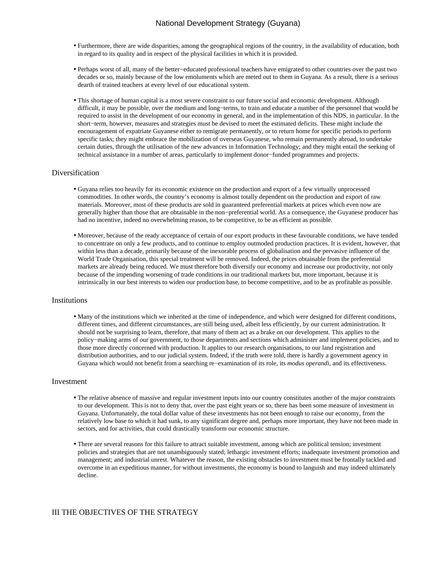- Furthermore, there are wide disparities, among the geographical regions of the country, in the availability of education, both in regard to its quality and in respect of the physical facilities in which it is provided.
- Perhaps worst of all, many of the better−educated professional teachers have emigrated to other countries over the past two decades or so, mainly because of the low emoluments which are meted out to them in Guyana. As a result, there is a serious dearth of trained teachers at every level of our educational system.
- This shortage of human capital is a most severe constraint to our future social and economic development. Although difficult, it may be possible, over the medium and long−terms, to train and educate a number of the personnel that would be required to assist in the development of our economy in general, and in the implementation of this NDS, in particular. In the short−term, however, measures and strategies must be devised to meet the estimated deficits. These might include the encouragement of expatriate Guyanese either to remigrate permanently, or to return home for specific periods to perform specific tasks; they might embrace the mobilization of overseas Guyanese, who remain permanently abroad, to undertake certain duties, through the utilisation of the new advances in Information Technology; and they might entail the seeking of technical assistance in a number of areas, particularly to implement donor−funded programmes and projects.

#### Diversification

- Guyana relies too heavily for its economic existence on the production and export of a few virtually unprocessed commodities. In other words, the country's economy is almost totally dependent on the production and export of raw materials. Moreover, most of these products are sold in guaranteed preferential markets at prices which even now are generally higher than those that are obtainable in the non−preferential world. As a consequence, the Guyanese producer has had no incentive, indeed no overwhelming reason, to be competitive, to be as efficient as possible.
- Moreover, because of the ready acceptance of certain of our export products in these favourable conditions, we have tended to concentrate on only a few products, and to continue to employ outmoded production practices. It is evident, however, that within less than a decade, primarily because of the inexorable process of globalisation and the pervasive influence of the World Trade Organisation, this special treatment will be removed. Indeed, the prices obtainable from the preferential markets are already being reduced. We must therefore both diversify our economy and increase our productivity, not only because of the impending worsening of trade conditions in our traditional markets but, more important, because it is intrinsically in our best interests to widen our production base, to become competitive, and to be as profitable as possible.

#### Institutions

• Many of the institutions which we inherited at the time of independence, and which were designed for different conditions, different times, and different circumstances, are still being used, albeit less efficiently, by our current administration. It should not be surprising to learn, therefore, that many of them act as a brake on our development. This applies to the policy−making arms of our government, to those departments and sections which administer and implement policies, and to those more directly concerned with production. It applies to our research organisations, to our land registration and distribution authorities, and to our judicial system. Indeed, if the truth were told, there is hardly a government agency in Guyana which would not benefit from a searching re−examination of its role, its *modus operandi*, and its effectiveness.

#### Investment

- The relative absence of massive and regular investment inputs into our country constitutes another of the major constraints to our development. This is not to deny that, over the past eight years or so, there has been some measure of investment in Guyana. Unfortunately, the total dollar value of these investments has not been enough to raise our economy, from the relatively low base to which it had sunk, to any significant degree and, perhaps more important, they have not been made in sectors, and for activities, that could drastically transform our economic structure.
- There are several reasons for this failure to attract suitable investment, among which are political tension; investment policies and strategies that are not unambiguously stated; lethargic investment efforts; inadequate investment promotion and management; and industrial unrest. Whatever the reason, the existing obstacles to investment must be frontally tackled and overcome in an expeditious manner, for without investments, the economy is bound to languish and may indeed ultimately decline.

#### III THE OBJECTIVES OF THE STRATEGY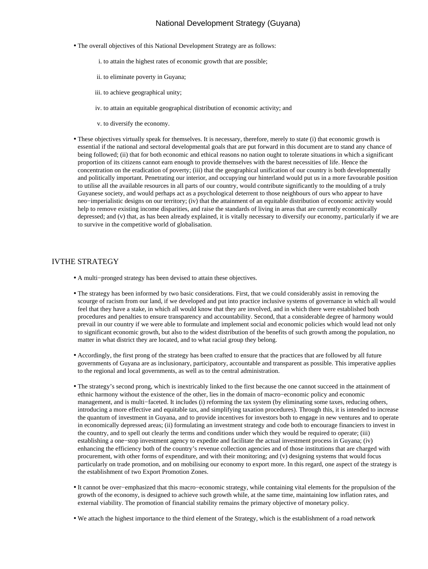- The overall objectives of this National Development Strategy are as follows:
	- i. to attain the highest rates of economic growth that are possible;
	- ii. to eliminate poverty in Guyana;
	- iii. to achieve geographical unity;
	- iv. to attain an equitable geographical distribution of economic activity; and
	- v. to diversify the economy.
- These objectives virtually speak for themselves. It is necessary, therefore, merely to state (i) that economic growth is essential if the national and sectoral developmental goals that are put forward in this document are to stand any chance of being followed; (ii) that for both economic and ethical reasons no nation ought to tolerate situations in which a significant proportion of its citizens cannot earn enough to provide themselves with the barest necessities of life. Hence the concentration on the eradication of poverty; (iii) that the geographical unification of our country is both developmentally and politically important. Penetrating our interior, and occupying our hinterland would put us in a more favourable position to utilise all the available resources in all parts of our country, would contribute significantly to the moulding of a truly Guyanese society, and would perhaps act as a psychological deterrent to those neighbours of ours who appear to have neo−imperialistic designs on our territory; (iv) that the attainment of an equitable distribution of economic activity would help to remove existing income disparities, and raise the standards of living in areas that are currently economically depressed; and (v) that, as has been already explained, it is vitally necessary to diversify our economy, particularly if we are to survive in the competitive world of globalisation.

#### IV THE STRATEGY

- A multi−pronged strategy has been devised to attain these objectives.
- The strategy has been informed by two basic considerations. First, that we could considerably assist in removing the scourge of racism from our land, if we developed and put into practice inclusive systems of governance in which all would feel that they have a stake, in which all would know that they are involved, and in which there were established both procedures and penalties to ensure transparency and accountability. Second, that a considerable degree of harmony would prevail in our country if we were able to formulate and implement social and economic policies which would lead not only to significant economic growth, but also to the widest distribution of the benefits of such growth among the population, no matter in what district they are located, and to what racial group they belong.
- Accordingly, the first prong of the strategy has been crafted to ensure that the practices that are followed by all future governments of Guyana are as inclusionary, participatory, accountable and transparent as possible. This imperative applies to the regional and local governments, as well as to the central administration.
- The strategy's second prong, which is inextricably linked to the first because the one cannot succeed in the attainment of ethnic harmony without the existence of the other, lies in the domain of macro−economic policy and economic management, and is multi−faceted. It includes (i) reforming the tax system (by eliminating some taxes, reducing others, introducing a more effective and equitable tax, and simplifying taxation procedures). Through this, it is intended to increase the quantum of investment in Guyana, and to provide incentives for investors both to engage in new ventures and to operate in economically depressed areas; (ii) formulating an investment strategy and code both to encourage financiers to invest in the country, and to spell out clearly the terms and conditions under which they would be required to operate; (iii) establishing a one−stop investment agency to expedite and facilitate the actual investment process in Guyana; (iv) enhancing the efficiency both of the country's revenue collection agencies and of those institutions that are charged with procurement, with other forms of expenditure, and with their monitoring; and (v) designing systems that would focus particularly on trade promotion, and on mobilising our economy to export more. In this regard, one aspect of the strategy is the establishment of two Export Promotion Zones.
- It cannot be over−emphasized that this macro−economic strategy, while containing vital elements for the propulsion of the growth of the economy, is designed to achieve such growth while, at the same time, maintaining low inflation rates, and external viability. The promotion of financial stability remains the primary objective of monetary policy.
- We attach the highest importance to the third element of the Strategy, which is the establishment of a road network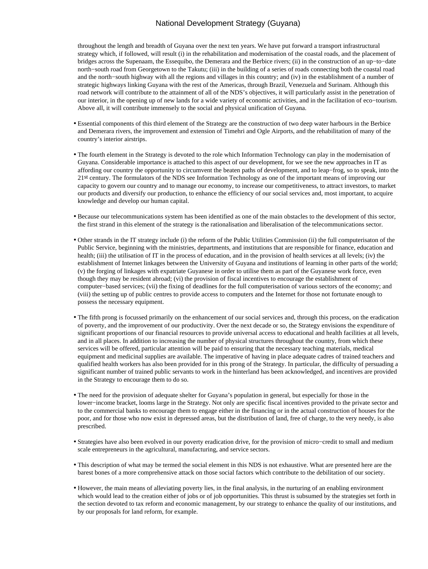throughout the length and breadth of Guyana over the next ten years. We have put forward a transport infrastructural strategy which, if followed, will result (i) in the rehabilitation and modernisation of the coastal roads, and the placement of bridges across the Supenaam, the Essequibo, the Demerara and the Berbice rivers; (ii) in the construction of an up−to−date north−south road from Georgetown to the Takutu; (iii) in the building of a series of roads connecting both the coastal road and the north−south highway with all the regions and villages in this country; and (iv) in the establishment of a number of strategic highways linking Guyana with the rest of the Americas, through Brazil, Venezuela and Surinam. Although this road network will contribute to the attainment of all of the NDS's objectives, it will particularly assist in the penetration of our interior, in the opening up of new lands for a wide variety of economic activities, and in the facilitation of eco−tourism. Above all, it will contribute immensely to the social and physical unification of Guyana.

- Essential components of this third element of the Strategy are the construction of two deep water harbours in the Berbice and Demerara rivers, the improvement and extension of Timehri and Ogle Airports, and the rehabilitation of many of the country's interior airstrips.
- The fourth element in the Strategy is devoted to the role which Information Technology can play in the modernisation of Guyana. Considerable importance is attached to this aspect of our development, for we see the new approaches in IT as affording our country the opportunity to circumvent the beaten paths of development, and to leap−frog, so to speak, into the 21st century. The formulators of the NDS see Information Technology as one of the important means of improving our capacity to govern our country and to manage our economy, to increase our competitiveness, to attract investors, to market our products and diversify our production, to enhance the efficiency of our social services and, most important, to acquire knowledge and develop our human capital.
- Because our telecommunications system has been identified as one of the main obstacles to the development of this sector, the first strand in this element of the strategy is the rationalisation and liberalisation of the telecommunications sector.
- Other strands in the IT strategy include (i) the reform of the Public Utilities Commission (ii) the full computerisaton of the Public Service, beginning with the ministries, departments, and institutions that are responsible for finance, education and health; (iii) the utilisation of IT in the process of education, and in the provision of health services at all levels; (iv) the establishment of Internet linkages between the University of Guyana and institutions of learning in other parts of the world; (v) the forging of linkages with expatriate Guyanese in order to utilise them as part of the Guyanese work force, even though they may be resident abroad; (vi) the provision of fiscal incentives to encourage the establishment of computer−based services; (vii) the fixing of deadlines for the full computerisation of various sectors of the economy; and (viii) the setting up of public centres to provide access to computers and the Internet for those not fortunate enough to possess the necessary equipment.
- The fifth prong is focussed primarily on the enhancement of our social services and, through this process, on the eradication of poverty, and the improvement of our productivity. Over the next decade or so, the Strategy envisions the expenditure of significant proportions of our financial resources to provide universal access to educational and health facilities at all levels, and in all places. In addition to increasing the number of physical structures throughout the country, from which these services will be offered, particular attention will be paid to ensuring that the necessary teaching materials, medical equipment and medicinal supplies are available. The imperative of having in place adequate cadres of trained teachers and qualified health workers has also been provided for in this prong of the Strategy. In particular, the difficulty of persuading a significant number of trained public servants to work in the hinterland has been acknowledged, and incentives are provided in the Strategy to encourage them to do so.
- The need for the provision of adequate shelter for Guyana's population in general, but especially for those in the lower−income bracket, looms large in the Strategy. Not only are specific fiscal incentives provided to the private sector and to the commercial banks to encourage them to engage either in the financing or in the actual construction of houses for the poor, and for those who now exist in depressed areas, but the distribution of land, free of charge, to the very needy, is also prescribed.
- Strategies have also been evolved in our poverty eradication drive, for the provision of micro−credit to small and medium scale entrepreneurs in the agricultural, manufacturing, and service sectors.
- This description of what may be termed the social element in this NDS is not exhaustive. What are presented here are the barest bones of a more comprehensive attack on those social factors which contribute to the debilitation of our society.
- However, the main means of alleviating poverty lies, in the final analysis, in the nurturing of an enabling environment which would lead to the creation either of jobs or of job opportunities. This thrust is subsumed by the strategies set forth in the section devoted to tax reform and economic management, by our strategy to enhance the quality of our institutions, and by our proposals for land reform, for example.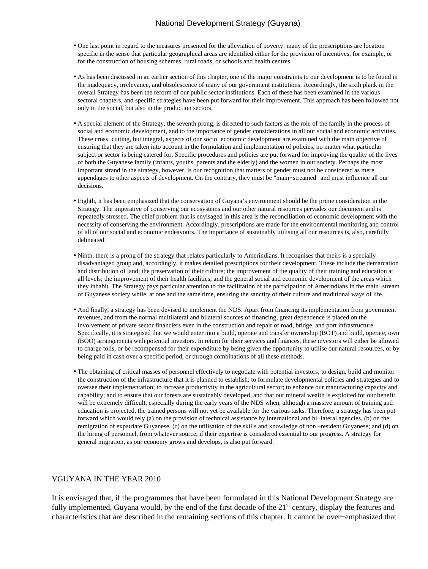- One last point in regard to the measures presented for the alleviation of poverty: many of the prescriptions are location specific in the sense that particular geographical areas are identified either for the provision of incentives, for example, or for the construction of housing schemes, rural roads, or schools and health centres.
- As has been discussed in an earlier section of this chapter, one of the major constraints to our development is to be found in the inadequacy, irrelevance, and obsolescence of many of our government institutions. Accordingly, the sixth plank in the overall Strategy has been the reform of our public sector institutions. Each of these has been examined in the various sectoral chapters, and specific strategies have been put forward for their improvement. This approach has been followed not only in the social, but also in the production sectors.
- A special element of the Strategy, the seventh prong, is directed to such factors as the role of the family in the process of social and economic development, and to the importance of gender considerations in all our social and economic activities. These cross−cutting, but integral, aspects of our socio−economic development are examined with the main objective of ensuring that they are taken into account in the formulation and implementation of policies, no matter what particular subject or sector is being catered for. Specific procedures and policies are put forward for improving the quality of the lives of both the Guyanese family (infants, youths, parents and the elderly) and the women in our society. Perhaps the most important strand in the strategy, however, is our recognition that matters of gender must not be considered as mere appendages to other aspects of development. On the contrary, they must be "main−streamed" and must influence all our decisions.
- Eighth, it has been emphasized that the conservation of Guyana's environment should be the prime consideration in the Strategy. The imperative of conserving our ecosystems and our other natural resources pervades our document and is repeatedly stressed. The chief problem that is envisaged in this area is the reconciliation of economic development with the necessity of conserving the environment. Accordingly, prescriptions are made for the environmental monitoring and control of all of our social and economic endeavours. The importance of sustainably utilising all our resources is, also, carefully delineated.
- Ninth, there is a prong of the strategy that relates particularly to Amerindians. It recognises that theirs is a specially disadvantaged group and, accordingly, it makes detailed prescriptions for their development. These include the demarcation and distribution of land; the preservation of their culture; the improvement of the quality of their training and education at all levels; the improvement of their health facilities; and the general social and economic development of the areas which they inhabit. The Strategy pays particular attention to the facilitation of the participation of Amerindians in the main−stream of Guyanese society while, at one and the same time, ensuring the sanctity of their culture and traditional ways of life.
- And finally, a strategy has been devised to implement the NDS. Apart from financing its implementation from government revenues, and from the normal multilateral and bilateral sources of financing, great dependence is placed on the involvement of private sector financiers even in the construction and repair of road, bridge, and port infrastructure. Specifically, it is strategised that we would enter into a build, operate and transfer ownership (BOT) and build, operate, own (BOO) arrangements with potential investors. In return for their services and finances, these investors will either be allowed to charge tolls, or be recompensed for their expenditure by being given the opportunity to utilise our natural resources, or by being paid in cash over a specific period, or through combinations of all these methods.
- The obtaining of critical masses of personnel effectively to negotiate with potential investors; to design, build and monitor the construction of the infrastructure that it is planned to establish; to formulate developmental policies and strategies and to oversee their implementation; to increase productivity in the agricultural sector; to enhance our manufacturing capacity and capability; and to ensure that our forests are sustainably developed, and that our mineral wealth is exploited for our benefit will be extremely difficult, especially during the early years of the NDS when, although a massive amount of training and education is projected, the trained persons will not yet be available for the various tasks. Therefore, a strategy has been put forward which would rely (a) on the provision of technical assistance by international and bi−lateral agencies, (b) on the remigration of expatriate Guyanese, (c) on the utilisation of the skills and knowledge of non –resident Guyanese; and (d) on the hiring of personnel, from whatever source, if their expertise is considered essential to our progress. A strategy for general migration, as our economy grows and develops, is also put forward.

#### V GUYANA IN THE YEAR 2010

It is envisaged that, if the programmes that have been formulated in this National Development Strategy are fully implemented, Guyana would, by the end of the first decade of the 21<sup>st</sup> century, display the features and characteristics that are described in the remaining sections of this chapter. It cannot be over−emphasized that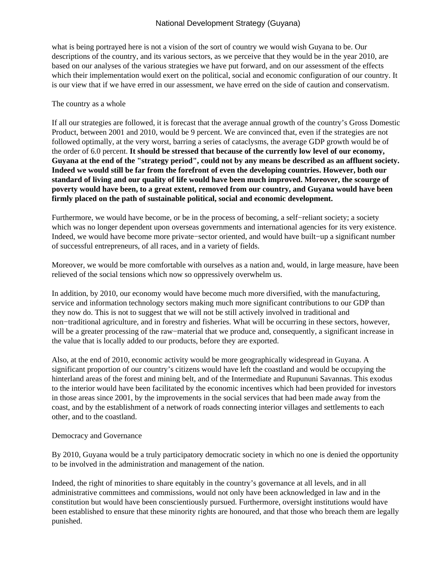what is being portrayed here is not a vision of the sort of country we would wish Guyana to be. Our descriptions of the country, and its various sectors, as we perceive that they would be in the year 2010, are based on our analyses of the various strategies we have put forward, and on our assessment of the effects which their implementation would exert on the political, social and economic configuration of our country. It is our view that if we have erred in our assessment, we have erred on the side of caution and conservatism.

### The country as a whole

If all our strategies are followed, it is forecast that the average annual growth of the country's Gross Domestic Product, between 2001 and 2010, would be 9 percent. We are convinced that, even if the strategies are not followed optimally, at the very worst, barring a series of cataclysms, the average GDP growth would be of the order of 6.0 percent. **It should be stressed that because of the currently low level of our economy, Guyana at the end of the "strategy period", could not by any means be described as an affluent society. Indeed we would still be far from the forefront of even the developing countries. However, both our standard of living and our quality of life would have been much improved. Moreover, the scourge of poverty would have been, to a great extent, removed from our country, and Guyana would have been firmly placed on the path of sustainable political, social and economic development.**

Furthermore, we would have become, or be in the process of becoming, a self−reliant society; a society which was no longer dependent upon overseas governments and international agencies for its very existence. Indeed, we would have become more private−sector oriented, and would have built−up a significant number of successful entrepreneurs, of all races, and in a variety of fields.

Moreover, we would be more comfortable with ourselves as a nation and, would, in large measure, have been relieved of the social tensions which now so oppressively overwhelm us.

In addition, by 2010, our economy would have become much more diversified, with the manufacturing, service and information technology sectors making much more significant contributions to our GDP than they now do. This is not to suggest that we will not be still actively involved in traditional and non−traditional agriculture, and in forestry and fisheries. What will be occurring in these sectors, however, will be a greater processing of the raw−material that we produce and, consequently, a significant increase in the value that is locally added to our products, before they are exported.

Also, at the end of 2010, economic activity would be more geographically widespread in Guyana. A significant proportion of our country's citizens would have left the coastland and would be occupying the hinterland areas of the forest and mining belt, and of the Intermediate and Rupununi Savannas. This exodus to the interior would have been facilitated by the economic incentives which had been provided for investors in those areas since 2001, by the improvements in the social services that had been made away from the coast, and by the establishment of a network of roads connecting interior villages and settlements to each other, and to the coastland.

## Democracy and Governance

By 2010, Guyana would be a truly participatory democratic society in which no one is denied the opportunity to be involved in the administration and management of the nation.

Indeed, the right of minorities to share equitably in the country's governance at all levels, and in all administrative committees and commissions, would not only have been acknowledged in law and in the constitution but would have been conscientiously pursued. Furthermore, oversight institutions would have been established to ensure that these minority rights are honoured, and that those who breach them are legally punished.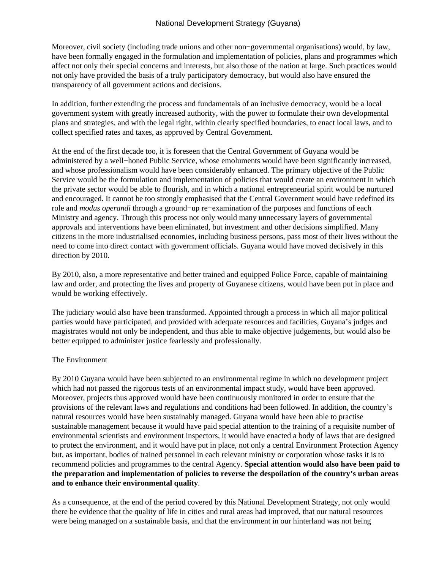Moreover, civil society (including trade unions and other non−governmental organisations) would, by law, have been formally engaged in the formulation and implementation of policies, plans and programmes which affect not only their special concerns and interests, but also those of the nation at large. Such practices would not only have provided the basis of a truly participatory democracy, but would also have ensured the transparency of all government actions and decisions.

In addition, further extending the process and fundamentals of an inclusive democracy, would be a local government system with greatly increased authority, with the power to formulate their own developmental plans and strategies, and with the legal right, within clearly specified boundaries, to enact local laws, and to collect specified rates and taxes, as approved by Central Government.

At the end of the first decade too, it is foreseen that the Central Government of Guyana would be administered by a well−honed Public Service, whose emoluments would have been significantly increased, and whose professionalism would have been considerably enhanced. The primary objective of the Public Service would be the formulation and implementation of policies that would create an environment in which the private sector would be able to flourish, and in which a national entrepreneurial spirit would be nurtured and encouraged. It cannot be too strongly emphasised that the Central Government would have redefined its role and *modus operandi* through a ground−up re−examination of the purposes and functions of each Ministry and agency. Through this process not only would many unnecessary layers of governmental approvals and interventions have been eliminated, but investment and other decisions simplified. Many citizens in the more industrialised economies, including business persons, pass most of their lives without the need to come into direct contact with government officials. Guyana would have moved decisively in this direction by 2010.

By 2010, also, a more representative and better trained and equipped Police Force, capable of maintaining law and order, and protecting the lives and property of Guyanese citizens, would have been put in place and would be working effectively.

The judiciary would also have been transformed. Appointed through a process in which all major political parties would have participated, and provided with adequate resources and facilities, Guyana's judges and magistrates would not only be independent, and thus able to make objective judgements, but would also be better equipped to administer justice fearlessly and professionally.

#### The Environment

By 2010 Guyana would have been subjected to an environmental regime in which no development project which had not passed the rigorous tests of an environmental impact study, would have been approved. Moreover, projects thus approved would have been continuously monitored in order to ensure that the provisions of the relevant laws and regulations and conditions had been followed. In addition, the country's natural resources would have been sustainably managed. Guyana would have been able to practise sustainable management because it would have paid special attention to the training of a requisite number of environmental scientists and environment inspectors, it would have enacted a body of laws that are designed to protect the environment, and it would have put in place, not only a central Environment Protection Agency but, as important, bodies of trained personnel in each relevant ministry or corporation whose tasks it is to recommend policies and programmes to the central Agency. **Special attention would also have been paid to the preparation and implementation of policies to reverse the despoilation of the country's urban areas and to enhance their environmental quality**.

As a consequence, at the end of the period covered by this National Development Strategy, not only would there be evidence that the quality of life in cities and rural areas had improved, that our natural resources were being managed on a sustainable basis, and that the environment in our hinterland was not being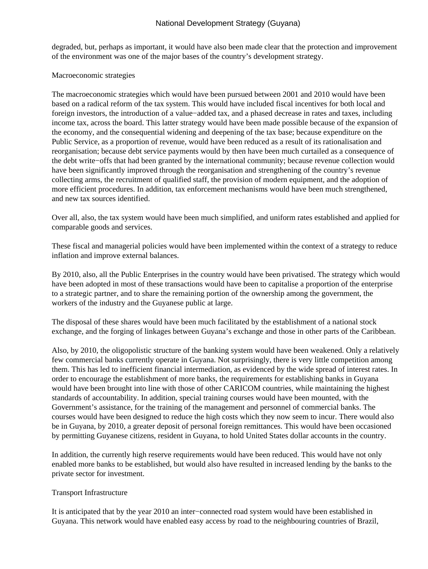degraded, but, perhaps as important, it would have also been made clear that the protection and improvement of the environment was one of the major bases of the country's development strategy.

### Macroeconomic strategies

The macroeconomic strategies which would have been pursued between 2001 and 2010 would have been based on a radical reform of the tax system. This would have included fiscal incentives for both local and foreign investors, the introduction of a value−added tax, and a phased decrease in rates and taxes, including income tax, across the board. This latter strategy would have been made possible because of the expansion of the economy, and the consequential widening and deepening of the tax base; because expenditure on the Public Service, as a proportion of revenue, would have been reduced as a result of its rationalisation and reorganisation; because debt service payments would by then have been much curtailed as a consequence of the debt write−offs that had been granted by the international community; because revenue collection would have been significantly improved through the reorganisation and strengthening of the country's revenue collecting arms, the recruitment of qualified staff, the provision of modern equipment, and the adoption of more efficient procedures. In addition, tax enforcement mechanisms would have been much strengthened, and new tax sources identified.

Over all, also, the tax system would have been much simplified, and uniform rates established and applied for comparable goods and services.

These fiscal and managerial policies would have been implemented within the context of a strategy to reduce inflation and improve external balances.

By 2010, also, all the Public Enterprises in the country would have been privatised. The strategy which would have been adopted in most of these transactions would have been to capitalise a proportion of the enterprise to a strategic partner, and to share the remaining portion of the ownership among the government, the workers of the industry and the Guyanese public at large.

The disposal of these shares would have been much facilitated by the establishment of a national stock exchange, and the forging of linkages between Guyana's exchange and those in other parts of the Caribbean.

Also, by 2010, the oligopolistic structure of the banking system would have been weakened. Only a relatively few commercial banks currently operate in Guyana. Not surprisingly, there is very little competition among them. This has led to inefficient financial intermediation, as evidenced by the wide spread of interest rates. In order to encourage the establishment of more banks, the requirements for establishing banks in Guyana would have been brought into line with those of other CARICOM countries, while maintaining the highest standards of accountability. In addition, special training courses would have been mounted, with the Government's assistance, for the training of the management and personnel of commercial banks. The courses would have been designed to reduce the high costs which they now seem to incur. There would also be in Guyana, by 2010, a greater deposit of personal foreign remittances. This would have been occasioned by permitting Guyanese citizens, resident in Guyana, to hold United States dollar accounts in the country.

In addition, the currently high reserve requirements would have been reduced. This would have not only enabled more banks to be established, but would also have resulted in increased lending by the banks to the private sector for investment.

#### Transport Infrastructure

It is anticipated that by the year 2010 an inter−connected road system would have been established in Guyana. This network would have enabled easy access by road to the neighbouring countries of Brazil,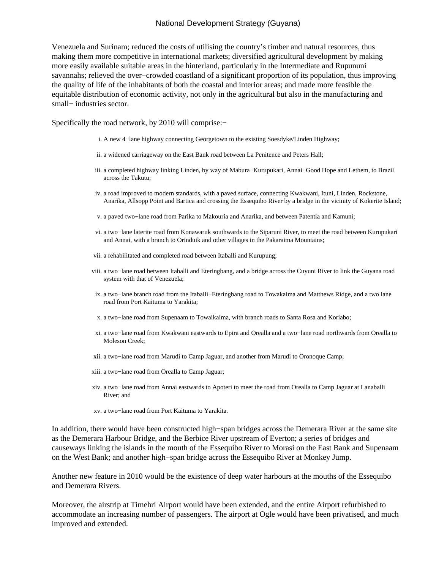Venezuela and Surinam; reduced the costs of utilising the country's timber and natural resources, thus making them more competitive in international markets; diversified agricultural development by making more easily available suitable areas in the hinterland, particularly in the Intermediate and Rupununi savannahs; relieved the over−crowded coastland of a significant proportion of its population, thus improving the quality of life of the inhabitants of both the coastal and interior areas; and made more feasible the equitable distribution of economic activity, not only in the agricultural but also in the manufacturing and small– industries sector.

Specifically the road network, by 2010 will comprise:−

- i. A new 4−lane highway connecting Georgetown to the existing Soesdyke/Linden Highway;
- ii. a widened carriageway on the East Bank road between La Penitence and Peters Hall;
- a completed highway linking Linden, by way of Mabura−Kurupukari, Annai−Good Hope and Lethem, to Brazil iii. across the Takutu;
- iv. a road improved to modern standards, with a paved surface, connecting Kwakwani, Ituni, Linden, Rockstone, Anarika, Allsopp Point and Bartica and crossing the Essequibo River by a bridge in the vicinity of Kokerite Island;
- v. a paved two−lane road from Parika to Makouria and Anarika, and between Patentia and Kamuni;
- a two−lane laterite road from Konawaruk southwards to the Siparuni River, to meet the road between Kurupukari vi. and Annai, with a branch to Orinduik and other villages in the Pakaraima Mountains;
- vii. a rehabilitated and completed road between Itaballi and Kurupung;
- viii. a two–lane road between Itaballi and Eteringbang, and a bridge across the Cuyuni River to link the Guyana road system with that of Venezuela;
- ix. a two–lane branch road from the Itaballi–Eteringbang road to Towakaima and Matthews Ridge, and a two lane road from Port Kaituma to Yarakita;
- x. a two−lane road from Supenaam to Towaikaima, with branch roads to Santa Rosa and Koriabo;
- a two−lane road from Kwakwani eastwards to Epira and Orealla and a two−lane road northwards from Orealla to xi. Moleson Creek;
- xii. a two−lane road from Marudi to Camp Jaguar, and another from Marudi to Oronoque Camp;
- xiii. a two−lane road from Orealla to Camp Jaguar;
- xiv. a two−lane road from Annai eastwards to Apoteri to meet the road from Orealla to Camp Jaguar at Lanaballi River; and
- xv. a two−lane road from Port Kaituma to Yarakita.

In addition, there would have been constructed high−span bridges across the Demerara River at the same site as the Demerara Harbour Bridge, and the Berbice River upstream of Everton; a series of bridges and causeways linking the islands in the mouth of the Essequibo River to Morasi on the East Bank and Supenaam on the West Bank; and another high−span bridge across the Essequibo River at Monkey Jump.

Another new feature in 2010 would be the existence of deep water harbours at the mouths of the Essequibo and Demerara Rivers.

Moreover, the airstrip at Timehri Airport would have been extended, and the entire Airport refurbished to accommodate an increasing number of passengers. The airport at Ogle would have been privatised, and much improved and extended.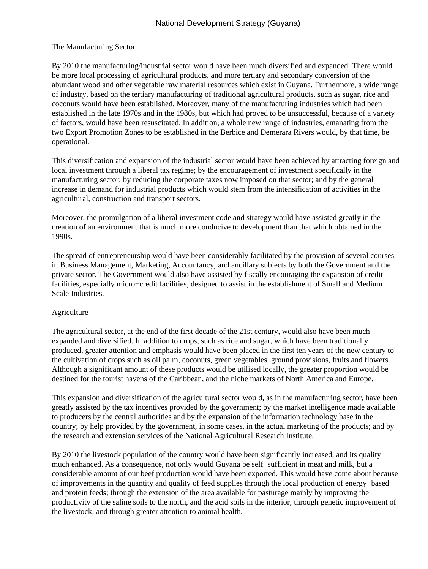## The Manufacturing Sector

By 2010 the manufacturing/industrial sector would have been much diversified and expanded. There would be more local processing of agricultural products, and more tertiary and secondary conversion of the abundant wood and other vegetable raw material resources which exist in Guyana. Furthermore, a wide range of industry, based on the tertiary manufacturing of traditional agricultural products, such as sugar, rice and coconuts would have been established. Moreover, many of the manufacturing industries which had been established in the late 1970s and in the 1980s, but which had proved to be unsuccessful, because of a variety of factors, would have been resuscitated. In addition, a whole new range of industries, emanating from the two Export Promotion Zones to be established in the Berbice and Demerara Rivers would, by that time, be operational.

This diversification and expansion of the industrial sector would have been achieved by attracting foreign and local investment through a liberal tax regime; by the encouragement of investment specifically in the manufacturing sector; by reducing the corporate taxes now imposed on that sector; and by the general increase in demand for industrial products which would stem from the intensification of activities in the agricultural, construction and transport sectors.

Moreover, the promulgation of a liberal investment code and strategy would have assisted greatly in the creation of an environment that is much more conducive to development than that which obtained in the 1990s.

The spread of entrepreneurship would have been considerably facilitated by the provision of several courses in Business Management, Marketing, Accountancy, and ancillary subjects by both the Government and the private sector. The Government would also have assisted by fiscally encouraging the expansion of credit facilities, especially micro−credit facilities, designed to assist in the establishment of Small and Medium Scale Industries.

## Agriculture

The agricultural sector, at the end of the first decade of the 21st century, would also have been much expanded and diversified. In addition to crops, such as rice and sugar, which have been traditionally produced, greater attention and emphasis would have been placed in the first ten years of the new century to the cultivation of crops such as oil palm, coconuts, green vegetables, ground provisions, fruits and flowers. Although a significant amount of these products would be utilised locally, the greater proportion would be destined for the tourist havens of the Caribbean, and the niche markets of North America and Europe.

This expansion and diversification of the agricultural sector would, as in the manufacturing sector, have been greatly assisted by the tax incentives provided by the government; by the market intelligence made available to producers by the central authorities and by the expansion of the information technology base in the country; by help provided by the government, in some cases, in the actual marketing of the products; and by the research and extension services of the National Agricultural Research Institute.

By 2010 the livestock population of the country would have been significantly increased, and its quality much enhanced. As a consequence, not only would Guyana be self−sufficient in meat and milk, but a considerable amount of our beef production would have been exported. This would have come about because of improvements in the quantity and quality of feed supplies through the local production of energy−based and protein feeds; through the extension of the area available for pasturage mainly by improving the productivity of the saline soils to the north, and the acid soils in the interior; through genetic improvement of the livestock; and through greater attention to animal health.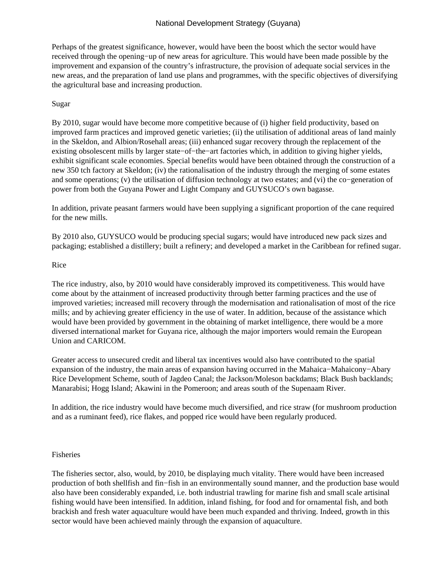Perhaps of the greatest significance, however, would have been the boost which the sector would have received through the opening−up of new areas for agriculture. This would have been made possible by the improvement and expansion of the country's infrastructure, the provision of adequate social services in the new areas, and the preparation of land use plans and programmes, with the specific objectives of diversifying the agricultural base and increasing production.

### Sugar

By 2010, sugar would have become more competitive because of (i) higher field productivity, based on improved farm practices and improved genetic varieties; (ii) the utilisation of additional areas of land mainly in the Skeldon, and Albion/Rosehall areas; (iii) enhanced sugar recovery through the replacement of the existing obsolescent mills by larger state−of−the−art factories which, in addition to giving higher yields, exhibit significant scale economies. Special benefits would have been obtained through the construction of a new 350 tch factory at Skeldon; (iv) the rationalisation of the industry through the merging of some estates and some operations; (v) the utilisation of diffusion technology at two estates; and (vi) the co−generation of power from both the Guyana Power and Light Company and GUYSUCO's own bagasse.

In addition, private peasant farmers would have been supplying a significant proportion of the cane required for the new mills.

By 2010 also, GUYSUCO would be producing special sugars; would have introduced new pack sizes and packaging; established a distillery; built a refinery; and developed a market in the Caribbean for refined sugar.

### Rice

The rice industry, also, by 2010 would have considerably improved its competitiveness. This would have come about by the attainment of increased productivity through better farming practices and the use of improved varieties; increased mill recovery through the modernisation and rationalisation of most of the rice mills; and by achieving greater efficiency in the use of water. In addition, because of the assistance which would have been provided by government in the obtaining of market intelligence, there would be a more diversed international market for Guyana rice, although the major importers would remain the European Union and CARICOM.

Greater access to unsecured credit and liberal tax incentives would also have contributed to the spatial expansion of the industry, the main areas of expansion having occurred in the Mahaica−Mahaicony−Abary Rice Development Scheme, south of Jagdeo Canal; the Jackson/Moleson backdams; Black Bush backlands; Manarabisi; Hogg Island; Akawini in the Pomeroon; and areas south of the Supenaam River.

In addition, the rice industry would have become much diversified, and rice straw (for mushroom production and as a ruminant feed), rice flakes, and popped rice would have been regularly produced.

#### Fisheries

The fisheries sector, also, would, by 2010, be displaying much vitality. There would have been increased production of both shellfish and fin−fish in an environmentally sound manner, and the production base would also have been considerably expanded, i.e. both industrial trawling for marine fish and small scale artisinal fishing would have been intensified. In addition, inland fishing, for food and for ornamental fish, and both brackish and fresh water aquaculture would have been much expanded and thriving. Indeed, growth in this sector would have been achieved mainly through the expansion of aquaculture.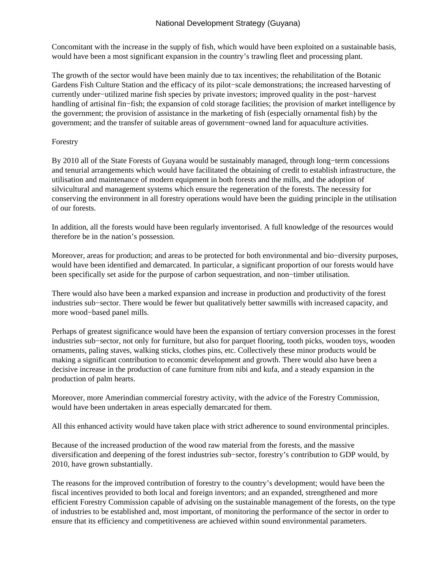Concomitant with the increase in the supply of fish, which would have been exploited on a sustainable basis, would have been a most significant expansion in the country's trawling fleet and processing plant.

The growth of the sector would have been mainly due to tax incentives; the rehabilitation of the Botanic Gardens Fish Culture Station and the efficacy of its pilot−scale demonstrations; the increased harvesting of currently under−utilized marine fish species by private investors; improved quality in the post−harvest handling of artisinal fin−fish; the expansion of cold storage facilities; the provision of market intelligence by the government; the provision of assistance in the marketing of fish (especially ornamental fish) by the government; and the transfer of suitable areas of government−owned land for aquaculture activities.

# Forestry

By 2010 all of the State Forests of Guyana would be sustainably managed, through long−term concessions and tenurial arrangements which would have facilitated the obtaining of credit to establish infrastructure, the utilisation and maintenance of modern equipment in both forests and the mills, and the adoption of silvicultural and management systems which ensure the regeneration of the forests. The necessity for conserving the environment in all forestry operations would have been the guiding principle in the utilisation of our forests.

In addition, all the forests would have been regularly inventorised. A full knowledge of the resources would therefore be in the nation's possession.

Moreover, areas for production; and areas to be protected for both environmental and bio−diversity purposes, would have been identified and demarcated. In particular, a significant proportion of our forests would have been specifically set aside for the purpose of carbon sequestration, and non−timber utilisation.

There would also have been a marked expansion and increase in production and productivity of the forest industries sub−sector. There would be fewer but qualitatively better sawmills with increased capacity, and more wood−based panel mills.

Perhaps of greatest significance would have been the expansion of tertiary conversion processes in the forest industries sub−sector, not only for furniture, but also for parquet flooring, tooth picks, wooden toys, wooden ornaments, paling staves, walking sticks, clothes pins, etc. Collectively these minor products would be making a significant contribution to economic development and growth. There would also have been a decisive increase in the production of cane furniture from nibi and kufa, and a steady expansion in the production of palm hearts.

Moreover, more Amerindian commercial forestry activity, with the advice of the Forestry Commission, would have been undertaken in areas especially demarcated for them.

All this enhanced activity would have taken place with strict adherence to sound environmental principles.

Because of the increased production of the wood raw material from the forests, and the massive diversification and deepening of the forest industries sub−sector, forestry's contribution to GDP would, by 2010, have grown substantially.

The reasons for the improved contribution of forestry to the country's development; would have been the fiscal incentives provided to both local and foreign inventors; and an expanded, strengthened and more efficient Forestry Commission capable of advising on the sustainable management of the forests, on the type of industries to be established and, most important, of monitoring the performance of the sector in order to ensure that its efficiency and competitiveness are achieved within sound environmental parameters.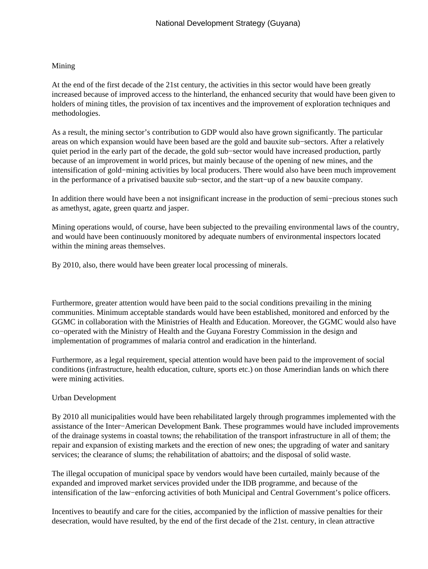## Mining

At the end of the first decade of the 21st century, the activities in this sector would have been greatly increased because of improved access to the hinterland, the enhanced security that would have been given to holders of mining titles, the provision of tax incentives and the improvement of exploration techniques and methodologies.

As a result, the mining sector's contribution to GDP would also have grown significantly. The particular areas on which expansion would have been based are the gold and bauxite sub−sectors. After a relatively quiet period in the early part of the decade, the gold sub−sector would have increased production, partly because of an improvement in world prices, but mainly because of the opening of new mines, and the intensification of gold−mining activities by local producers. There would also have been much improvement in the performance of a privatised bauxite sub−sector, and the start−up of a new bauxite company.

In addition there would have been a not insignificant increase in the production of semi−precious stones such as amethyst, agate, green quartz and jasper.

Mining operations would, of course, have been subjected to the prevailing environmental laws of the country, and would have been continuously monitored by adequate numbers of environmental inspectors located within the mining areas themselves.

By 2010, also, there would have been greater local processing of minerals.

Furthermore, greater attention would have been paid to the social conditions prevailing in the mining communities. Minimum acceptable standards would have been established, monitored and enforced by the GGMC in collaboration with the Ministries of Health and Education. Moreover, the GGMC would also have co−operated with the Ministry of Health and the Guyana Forestry Commission in the design and implementation of programmes of malaria control and eradication in the hinterland.

Furthermore, as a legal requirement, special attention would have been paid to the improvement of social conditions (infrastructure, health education, culture, sports etc.) on those Amerindian lands on which there were mining activities.

#### Urban Development

By 2010 all municipalities would have been rehabilitated largely through programmes implemented with the assistance of the Inter−American Development Bank. These programmes would have included improvements of the drainage systems in coastal towns; the rehabilitation of the transport infrastructure in all of them; the repair and expansion of existing markets and the erection of new ones; the upgrading of water and sanitary services; the clearance of slums; the rehabilitation of abattoirs; and the disposal of solid waste.

The illegal occupation of municipal space by vendors would have been curtailed, mainly because of the expanded and improved market services provided under the IDB programme, and because of the intensification of the law−enforcing activities of both Municipal and Central Government's police officers.

Incentives to beautify and care for the cities, accompanied by the infliction of massive penalties for their desecration, would have resulted, by the end of the first decade of the 21st. century, in clean attractive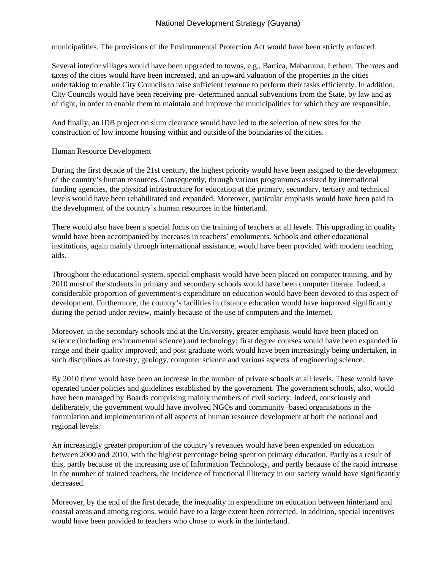municipalities. The provisions of the Environmental Protection Act would have been strictly enforced.

Several interior villages would have been upgraded to towns, e.g., Bartica, Mabaruma, Lethem. The rates and taxes of the cities would have been increased, and an upward valuation of the properties in the cities undertaking to enable City Councils to raise sufficient revenue to perform their tasks efficiently. In addition, City Councils would have been receiving pre−determined annual subventions from the State, by law and as of right, in order to enable them to maintain and improve the municipalities for which they are responsible.

And finally, an IDB project on slum clearance would have led to the selection of new sites for the construction of low income housing within and outside of the boundaries of the cities.

## Human Resource Development

During the first decade of the 21st century, the highest priority would have been assigned to the development of the country's human resources. Consequently, through various programmes assisted by international funding agencies, the physical infrastructure for education at the primary, secondary, tertiary and technical levels would have been rehabilitated and expanded. Moreover, particular emphasis would have been paid to the development of the country's human resources in the hinterland.

There would also have been a special focus on the training of teachers at all levels. This upgrading in quality would have been accompanied by increases in teachers' emoluments. Schools and other educational institutions, again mainly through international assistance, would have been provided with modern teaching aids.

Throughout the educational system, special emphasis would have been placed on computer training, and by 2010 most of the students in primary and secondary schools would have been computer literate. Indeed, a considerable proportion of government's expenditure on education would have been devoted to this aspect of development. Furthermore, the country's facilities in distance education would have improved significantly during the period under review, mainly because of the use of computers and the Internet.

Moreover, in the secondary schools and at the University, greater emphasis would have been placed on science (including environmental science) and technology; first degree courses would have been expanded in range and their quality improved; and post graduate work would have been increasingly being undertaken, in such disciplines as forestry, geology, computer science and various aspects of engineering science.

By 2010 there would have been an increase in the number of private schools at all levels. These would have operated under policies and guidelines established by the government. The government schools, also, would have been managed by Boards comprising mainly members of civil society. Indeed, consciously and deliberately, the government would have involved NGOs and community−based organisations in the formulation and implementation of all aspects of human resource development at both the national and regional levels.

An increasingly greater proportion of the country's revenues would have been expended on education between 2000 and 2010, with the highest percentage being spent on primary education. Partly as a result of this, partly because of the increasing use of Information Technology, and partly because of the rapid increase in the number of trained teachers, the incidence of functional illiteracy in our society would have significantly decreased.

Moreover, by the end of the first decade, the inequality in expenditure on education between hinterland and coastal areas and among regions, would have to a large extent been corrected. In addition, special incentives would have been provided to teachers who chose to work in the hinterland.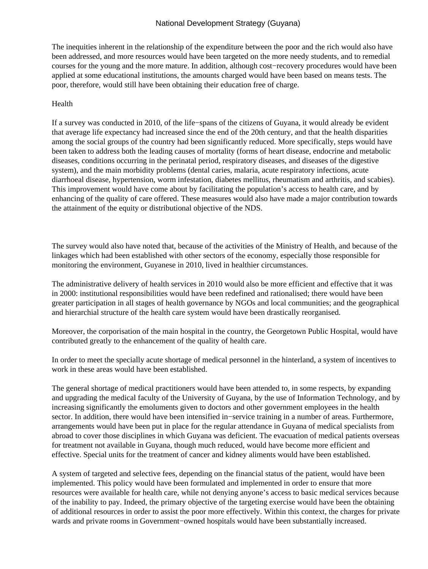The inequities inherent in the relationship of the expenditure between the poor and the rich would also have been addressed, and more resources would have been targeted on the more needy students, and to remedial courses for the young and the more mature. In addition, although cost−recovery procedures would have been applied at some educational institutions, the amounts charged would have been based on means tests. The poor, therefore, would still have been obtaining their education free of charge.

#### Health

If a survey was conducted in 2010, of the life−spans of the citizens of Guyana, it would already be evident that average life expectancy had increased since the end of the 20th century, and that the health disparities among the social groups of the country had been significantly reduced. More specifically, steps would have been taken to address both the leading causes of mortality (forms of heart disease, endocrine and metabolic diseases, conditions occurring in the perinatal period, respiratory diseases, and diseases of the digestive system), and the main morbidity problems (dental caries, malaria, acute respiratory infections, acute diarrhoeal disease, hypertension, worm infestation, diabetes mellitus, rheumatism and arthritis, and scabies). This improvement would have come about by facilitating the population's access to health care, and by enhancing of the quality of care offered. These measures would also have made a major contribution towards the attainment of the equity or distributional objective of the NDS.

The survey would also have noted that, because of the activities of the Ministry of Health, and because of the linkages which had been established with other sectors of the economy, especially those responsible for monitoring the environment, Guyanese in 2010, lived in healthier circumstances.

The administrative delivery of health services in 2010 would also be more efficient and effective that it was in 2000: institutional responsibilities would have been redefined and rationalised; there would have been greater participation in all stages of health governance by NGOs and local communities; and the geographical and hierarchial structure of the health care system would have been drastically reorganised.

Moreover, the corporisation of the main hospital in the country, the Georgetown Public Hospital, would have contributed greatly to the enhancement of the quality of health care.

In order to meet the specially acute shortage of medical personnel in the hinterland, a system of incentives to work in these areas would have been established.

The general shortage of medical practitioners would have been attended to, in some respects, by expanding and upgrading the medical faculty of the University of Guyana, by the use of Information Technology, and by increasing significantly the emoluments given to doctors and other government employees in the health sector. In addition, there would have been intensified in−service training in a number of areas. Furthermore, arrangements would have been put in place for the regular attendance in Guyana of medical specialists from abroad to cover those disciplines in which Guyana was deficient. The evacuation of medical patients overseas for treatment not available in Guyana, though much reduced, would have become more efficient and effective. Special units for the treatment of cancer and kidney aliments would have been established.

A system of targeted and selective fees, depending on the financial status of the patient, would have been implemented. This policy would have been formulated and implemented in order to ensure that more resources were available for health care, while not denying anyone's access to basic medical services because of the inability to pay. Indeed, the primary objective of the targeting exercise would have been the obtaining of additional resources in order to assist the poor more effectively. Within this context, the charges for private wards and private rooms in Government−owned hospitals would have been substantially increased.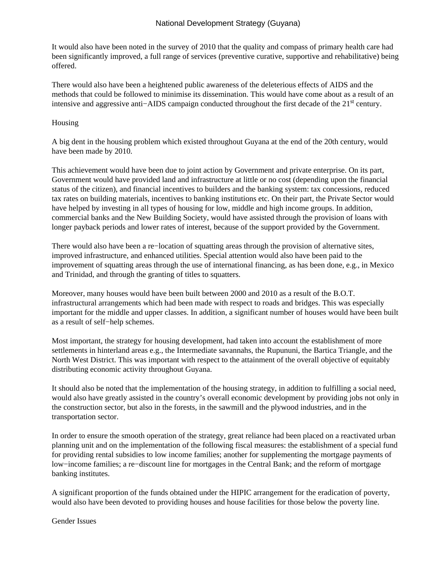It would also have been noted in the survey of 2010 that the quality and compass of primary health care had been significantly improved, a full range of services (preventive curative, supportive and rehabilitative) being offered.

There would also have been a heightened public awareness of the deleterious effects of AIDS and the methods that could be followed to minimise its dissemination. This would have come about as a result of an intensive and aggressive anti−AIDS campaign conducted throughout the first decade of the 21st century.

### Housing

A big dent in the housing problem which existed throughout Guyana at the end of the 20th century, would have been made by 2010.

This achievement would have been due to joint action by Government and private enterprise. On its part, Government would have provided land and infrastructure at little or no cost (depending upon the financial status of the citizen), and financial incentives to builders and the banking system: tax concessions, reduced tax rates on building materials, incentives to banking institutions etc. On their part, the Private Sector would have helped by investing in all types of housing for low, middle and high income groups. In addition, commercial banks and the New Building Society, would have assisted through the provision of loans with longer payback periods and lower rates of interest, because of the support provided by the Government.

There would also have been a re−location of squatting areas through the provision of alternative sites, improved infrastructure, and enhanced utilities. Special attention would also have been paid to the improvement of squatting areas through the use of international financing, as has been done, e.g., in Mexico and Trinidad, and through the granting of titles to squatters.

Moreover, many houses would have been built between 2000 and 2010 as a result of the B.O.T. infrastructural arrangements which had been made with respect to roads and bridges. This was especially important for the middle and upper classes. In addition, a significant number of houses would have been built as a result of self−help schemes.

Most important, the strategy for housing development, had taken into account the establishment of more settlements in hinterland areas e.g., the Intermediate savannahs, the Rupununi, the Bartica Triangle, and the North West District. This was important with respect to the attainment of the overall objective of equitably distributing economic activity throughout Guyana.

It should also be noted that the implementation of the housing strategy, in addition to fulfilling a social need, would also have greatly assisted in the country's overall economic development by providing jobs not only in the construction sector, but also in the forests, in the sawmill and the plywood industries, and in the transportation sector.

In order to ensure the smooth operation of the strategy, great reliance had been placed on a reactivated urban planning unit and on the implementation of the following fiscal measures: the establishment of a special fund for providing rental subsidies to low income families; another for supplementing the mortgage payments of low−income families; a re−discount line for mortgages in the Central Bank; and the reform of mortgage banking institutes.

A significant proportion of the funds obtained under the HIPIC arrangement for the eradication of poverty, would also have been devoted to providing houses and house facilities for those below the poverty line.

Gender Issues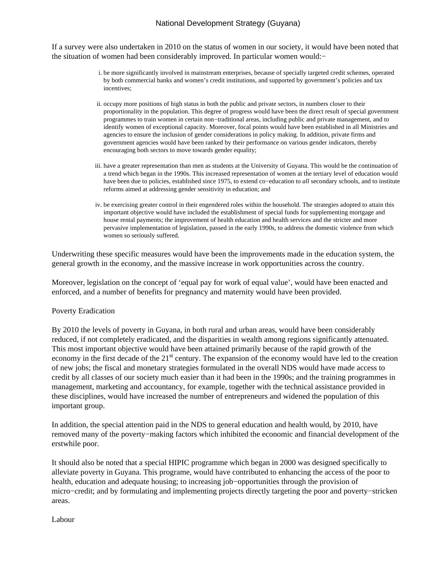If a survey were also undertaken in 2010 on the status of women in our society, it would have been noted that the situation of women had been considerably improved. In particular women would:−

- i. be more significantly involved in mainstream enterprises, because of specially targeted credit schemes, operated by both commercial banks and women's credit institutions, and supported by government's policies and tax incentives;
- ii. occupy more positions of high status in both the public and private sectors, in numbers closer to their proportionality in the population. This degree of progress would have been the direct result of special government programmes to train women in certain non−traditional areas, including public and private management, and to identify women of exceptional capacity. Moreover, focal points would have been established in all Ministries and agencies to ensure the inclusion of gender considerations in policy making. In addition, private firms and government agencies would have been ranked by their performance on various gender indicators, thereby encouraging both sectors to move towards gender equality;
- iii. have a greater representation than men as students at the University of Guyana. This would be the continuation of a trend which began in the 1990s. This increased representation of women at the tertiary level of education would have been due to policies, established since 1975, to extend co−education to *all* secondary schools, and to institute reforms aimed at addressing gender sensitivity in education; and
- iv. be exercising greater control in their engendered roles within the household. The strategies adopted to attain this important objective would have included the establishment of special funds for supplementing mortgage and house rental payments; the improvement of health education and health services and the stricter and more pervasive implementation of legislation, passed in the early 1990s, to address the domestic violence from which women so seriously suffered.

Underwriting these specific measures would have been the improvements made in the education system, the general growth in the economy, and the massive increase in work opportunities across the country.

Moreover, legislation on the concept of 'equal pay for work of equal value', would have been enacted and enforced, and a number of benefits for pregnancy and maternity would have been provided.

#### Poverty Eradication

By 2010 the levels of poverty in Guyana, in both rural and urban areas, would have been considerably reduced, if not completely eradicated, and the disparities in wealth among regions significantly attenuated. This most important objective would have been attained primarily because of the rapid growth of the economy in the first decade of the 21<sup>st</sup> century. The expansion of the economy would have led to the creation of new jobs; the fiscal and monetary strategies formulated in the overall NDS would have made access to credit by all classes of our society much easier than it had been in the 1990s; and the training programmes in management, marketing and accountancy, for example, together with the technical assistance provided in these disciplines, would have increased the number of entrepreneurs and widened the population of this important group.

In addition, the special attention paid in the NDS to general education and health would, by 2010, have removed many of the poverty−making factors which inhibited the economic and financial development of the erstwhile poor.

It should also be noted that a special HIPIC programme which began in 2000 was designed specifically to alleviate poverty in Guyana. This programe, would have contributed to enhancing the access of the poor to health, education and adequate housing; to increasing job−opportunities through the provision of micro−credit; and by formulating and implementing projects directly targeting the poor and poverty−stricken areas.

Labour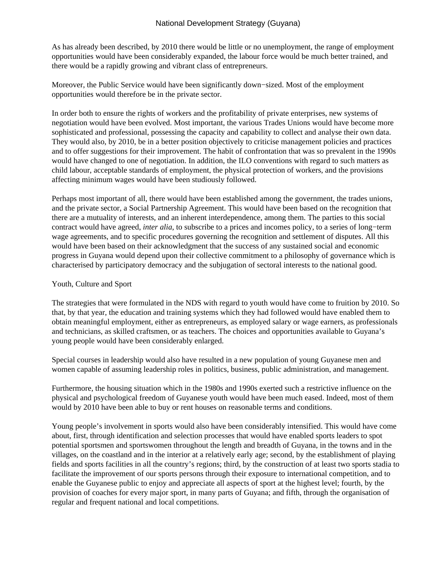As has already been described, by 2010 there would be little or no unemployment, the range of employment opportunities would have been considerably expanded, the labour force would be much better trained, and there would be a rapidly growing and vibrant class of entrepreneurs.

Moreover, the Public Service would have been significantly down−sized. Most of the employment opportunities would therefore be in the private sector.

In order both to ensure the rights of workers and the profitability of private enterprises, new systems of negotiation would have been evolved. Most important, the various Trades Unions would have become more sophisticated and professional, possessing the capacity and capability to collect and analyse their own data. They would also, by 2010, be in a better position objectively to criticise management policies and practices and to offer suggestions for their improvement. The habit of confrontation that was so prevalent in the 1990s would have changed to one of negotiation. In addition, the ILO conventions with regard to such matters as child labour, acceptable standards of employment, the physical protection of workers, and the provisions affecting minimum wages would have been studiously followed.

Perhaps most important of all, there would have been established among the government, the trades unions, and the private sector, a Social Partnership Agreement. This would have been based on the recognition that there are a mutuality of interests, and an inherent interdependence, among them. The parties to this social contract would have agreed, *inter alia*, to subscribe to a prices and incomes policy, to a series of long−term wage agreements, and to specific procedures governing the recognition and settlement of disputes. All this would have been based on their acknowledgment that the success of any sustained social and economic progress in Guyana would depend upon their collective commitment to a philosophy of governance which is characterised by participatory democracy and the subjugation of sectoral interests to the national good.

## Youth, Culture and Sport

The strategies that were formulated in the NDS with regard to youth would have come to fruition by 2010. So that, by that year, the education and training systems which they had followed would have enabled them to obtain meaningful employment, either as entrepreneurs, as employed salary or wage earners, as professionals and technicians, as skilled craftsmen, or as teachers. The choices and opportunities available to Guyana's young people would have been considerably enlarged.

Special courses in leadership would also have resulted in a new population of young Guyanese men and women capable of assuming leadership roles in politics, business, public administration, and management.

Furthermore, the housing situation which in the 1980s and 1990s exerted such a restrictive influence on the physical and psychological freedom of Guyanese youth would have been much eased. Indeed, most of them would by 2010 have been able to buy or rent houses on reasonable terms and conditions.

Young people's involvement in sports would also have been considerably intensified. This would have come about, first, through identification and selection processes that would have enabled sports leaders to spot potential sportsmen and sportswomen throughout the length and breadth of Guyana, in the towns and in the villages, on the coastland and in the interior at a relatively early age; second, by the establishment of playing fields and sports facilities in all the country's regions; third, by the construction of at least two sports stadia to facilitate the improvement of our sports persons through their exposure to international competition, and to enable the Guyanese public to enjoy and appreciate all aspects of sport at the highest level; fourth, by the provision of coaches for every major sport, in many parts of Guyana; and fifth, through the organisation of regular and frequent national and local competitions.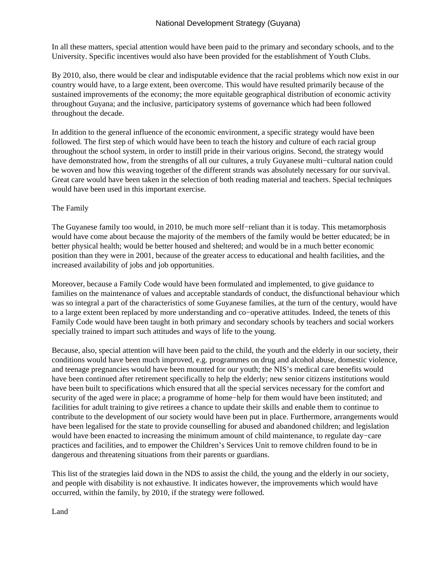In all these matters, special attention would have been paid to the primary and secondary schools, and to the University. Specific incentives would also have been provided for the establishment of Youth Clubs.

By 2010, also, there would be clear and indisputable evidence that the racial problems which now exist in our country would have, to a large extent, been overcome. This would have resulted primarily because of the sustained improvements of the economy; the more equitable geographical distribution of economic activity throughout Guyana; and the inclusive, participatory systems of governance which had been followed throughout the decade.

In addition to the general influence of the economic environment, a specific strategy would have been followed. The first step of which would have been to teach the history and culture of each racial group throughout the school system, in order to instill pride in their various origins. Second, the strategy would have demonstrated how, from the strengths of all our cultures, a truly Guyanese multi−cultural nation could be woven and how this weaving together of the different strands was absolutely necessary for our survival. Great care would have been taken in the selection of both reading material and teachers. Special techniques would have been used in this important exercise.

### The Family

The Guyanese family too would, in 2010, be much more self−reliant than it is today. This metamorphosis would have come about because the majority of the members of the family would be better educated; be in better physical health; would be better housed and sheltered; and would be in a much better economic position than they were in 2001, because of the greater access to educational and health facilities, and the increased availability of jobs and job opportunities.

Moreover, because a Family Code would have been formulated and implemented, to give guidance to families on the maintenance of values and acceptable standards of conduct, the disfunctional behaviour which was so integral a part of the characteristics of some Guyanese families, at the turn of the century, would have to a large extent been replaced by more understanding and co−operative attitudes. Indeed, the tenets of this Family Code would have been taught in both primary and secondary schools by teachers and social workers specially trained to impart such attitudes and ways of life to the young.

Because, also, special attention will have been paid to the child, the youth and the elderly in our society, their conditions would have been much improved, e.g. programmes on drug and alcohol abuse, domestic violence, and teenage pregnancies would have been mounted for our youth; the NIS's medical care benefits would have been continued after retirement specifically to help the elderly; new senior citizens institutions would have been built to specifications which ensured that all the special services necessary for the comfort and security of the aged were in place; a programme of home−help for them would have been instituted; and facilities for adult training to give retirees a chance to update their skills and enable them to continue to contribute to the development of our society would have been put in place. Furthermore, arrangements would have been legalised for the state to provide counselling for abused and abandoned children; and legislation would have been enacted to increasing the minimum amount of child maintenance, to regulate day−care practices and facilities, and to empower the Children's Services Unit to remove children found to be in dangerous and threatening situations from their parents or guardians.

This list of the strategies laid down in the NDS to assist the child, the young and the elderly in our society, and people with disability is not exhaustive. It indicates however, the improvements which would have occurred, within the family, by 2010, if the strategy were followed.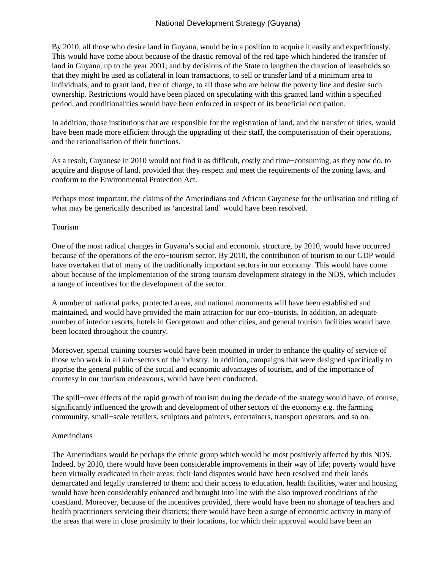By 2010, all those who desire land in Guyana, would be in a position to acquire it easily and expeditiously. This would have come about because of the drastic removal of the red tape which hindered the transfer of land in Guyana, up to the year 2001; and by decisions of the State to lengthen the duration of leaseholds so that they might be used as collateral in loan transactions, to sell or transfer land of a minimum area to individuals; and to grant land, free of charge, to all those who are below the poverty line and desire such ownership. Restrictions would have been placed on speculating with this granted land within a specified period, and conditionalities would have been enforced in respect of its beneficial occupation.

In addition, those institutions that are responsible for the registration of land, and the transfer of titles, would have been made more efficient through the upgrading of their staff, the computerisation of their operations, and the rationalisation of their functions.

As a result, Guyanese in 2010 would not find it as difficult, costly and time−consuming, as they now do, to acquire and dispose of land, provided that they respect and meet the requirements of the zoning laws, and conform to the Environmental Protection Act.

Perhaps most important, the claims of the Amerindians and African Guyanese for the utilisation and titling of what may be generically described as 'ancestral land' would have been resolved.

#### Tourism

One of the most radical changes in Guyana's social and economic structure, by 2010, would have occurred because of the operations of the eco−tourism sector. By 2010, the contribution of tourism to our GDP would have overtaken that of many of the traditionally important sectors in our economy. This would have come about because of the implementation of the strong tourism development strategy in the NDS, which includes a range of incentives for the development of the sector.

A number of national parks, protected areas, and national monuments will have been established and maintained, and would have provided the main attraction for our eco−tourists. In addition, an adequate number of interior resorts, hotels in Georgetown and other cities, and general tourism facilities would have been located throughout the country.

Moreover, special training courses would have been mounted in order to enhance the quality of service of those who work in all sub−sectors of the industry. In addition, campaigns that were designed specifically to apprise the general public of the social and economic advantages of tourism, and of the importance of courtesy in our tourism endeavours, would have been conducted.

The spill−over effects of the rapid growth of tourism during the decade of the strategy would have, of course, significantly influenced the growth and development of other sectors of the economy e.g. the farming community, small−scale retailers, sculptors and painters, entertainers, transport operators, and so on.

#### Amerindians

The Amerindians would be perhaps the ethnic group which would be most positively affected by this NDS. Indeed, by 2010, there would have been considerable improvements in their way of life; poverty would have been virtually eradicated in their areas; their land disputes would have been resolved and their lands demarcated and legally transferred to them; and their access to education, health facilities, water and housing would have been considerably enhanced and brought into line with the also improved conditions of the coastland. Moreover, because of the incentives provided, there would have been no shortage of teachers and health practitioners servicing their districts; there would have been a surge of economic activity in many of the areas that were in close proximity to their locations, for which their approval would have been an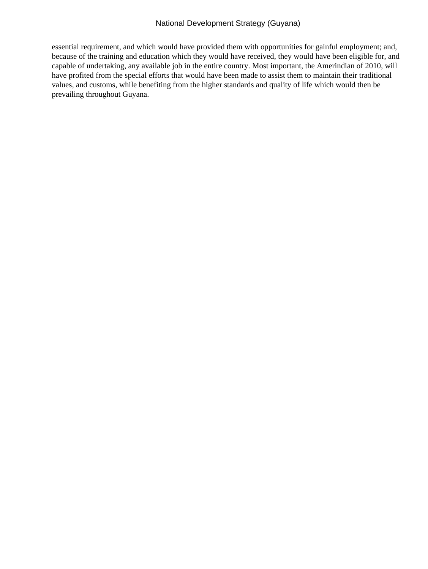essential requirement, and which would have provided them with opportunities for gainful employment; and, because of the training and education which they would have received, they would have been eligible for, and capable of undertaking, any available job in the entire country. Most important, the Amerindian of 2010, will have profited from the special efforts that would have been made to assist them to maintain their traditional values, and customs, while benefiting from the higher standards and quality of life which would then be prevailing throughout Guyana.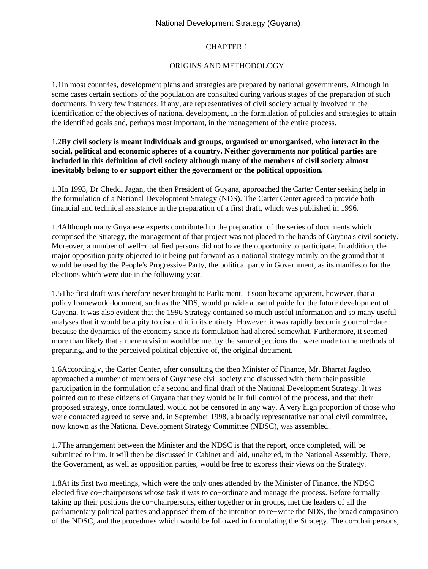### CHAPTER 1

### ORIGINS AND METHODOLOGY

1.1 In most countries, development plans and strategies are prepared by national governments. Although in some cases certain sections of the population are consulted during various stages of the preparation of such documents, in very few instances, if any, are representatives of civil society actually involved in the identification of the objectives of national development, in the formulation of policies and strategies to attain the identified goals and, perhaps most important, in the management of the entire process.

## 1.2 **By civil society is meant individuals and groups, organised or unorganised, who interact in the social, political and economic spheres of a country. Neither governments nor political parties are included in this definition of civil society although many of the members of civil society almost inevitably belong to or support either the government or the political opposition.**

1.3 In 1993, Dr Cheddi Jagan, the then President of Guyana, approached the Carter Center seeking help in the formulation of a National Development Strategy (NDS). The Carter Center agreed to provide both financial and technical assistance in the preparation of a first draft, which was published in 1996.

1.4 Although many Guyanese experts contributed to the preparation of the series of documents which comprised the Strategy, the management of that project was not placed in the hands of Guyana's civil society. Moreover, a number of well−qualified persons did not have the opportunity to participate. In addition, the major opposition party objected to it being put forward as a national strategy mainly on the ground that it would be used by the People's Progressive Party, the political party in Government, as its manifesto for the elections which were due in the following year.

1.5 The first draft was therefore never brought to Parliament. It soon became apparent, however, that a policy framework document, such as the NDS, would provide a useful guide for the future development of Guyana. It was also evident that the 1996 Strategy contained so much useful information and so many useful analyses that it would be a pity to discard it in its entirety. However, it was rapidly becoming out−of−date because the dynamics of the economy since its formulation had altered somewhat. Furthermore, it seemed more than likely that a mere revision would be met by the same objections that were made to the methods of preparing, and to the perceived political objective of, the original document.

1.6 Accordingly, the Carter Center, after consulting the then Minister of Finance, Mr. Bharrat Jagdeo, approached a number of members of Guyanese civil society and discussed with them their possible participation in the formulation of a second and final draft of the National Development Strategy. It was pointed out to these citizens of Guyana that they would be in full control of the process, and that their proposed strategy, once formulated, would not be censored in any way. A very high proportion of those who were contacted agreed to serve and, in September 1998, a broadly representative national civil committee, now known as the National Development Strategy Committee (NDSC), was assembled.

1.7 The arrangement between the Minister and the NDSC is that the report, once completed, will be submitted to him. It will then be discussed in Cabinet and laid, unaltered, in the National Assembly. There, the Government, as well as opposition parties, would be free to express their views on the Strategy.

1.8 At its first two meetings, which were the only ones attended by the Minister of Finance, the NDSC elected five co−chairpersons whose task it was to co−ordinate and manage the process. Before formally taking up their positions the co−chairpersons, either together or in groups, met the leaders of all the parliamentary political parties and apprised them of the intention to re−write the NDS, the broad composition of the NDSC, and the procedures which would be followed in formulating the Strategy. The co−chairpersons,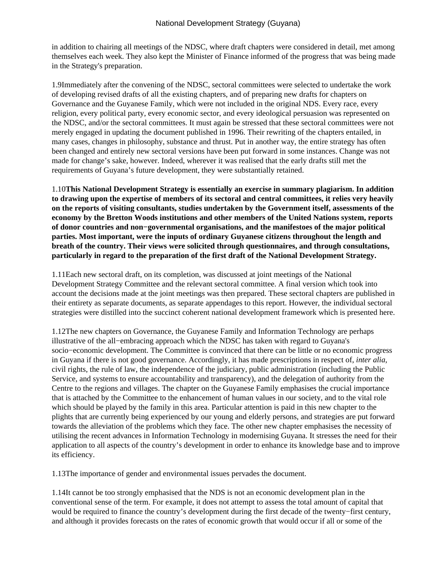in addition to chairing all meetings of the NDSC, where draft chapters were considered in detail, met among themselves each week. They also kept the Minister of Finance informed of the progress that was being made in the Strategy's preparation.

1.9 Immediately after the convening of the NDSC, sectoral committees were selected to undertake the work of developing revised drafts of all the existing chapters, and of preparing new drafts for chapters on Governance and the Guyanese Family, which were not included in the original NDS. Every race, every religion, every political party, every economic sector, and every ideological persuasion was represented on the NDSC, and/or the sectoral committees. It must again be stressed that these sectoral committees were not merely engaged in updating the document published in 1996. Their rewriting of the chapters entailed, in many cases, changes in philosophy, substance and thrust. Put in another way, the entire strategy has often been changed and entirely new sectoral versions have been put forward in some instances. Change was not made for change's sake, however. Indeed, wherever it was realised that the early drafts still met the requirements of Guyana's future development, they were substantially retained.

1.10 **This National Development Strategy is essentially an exercise in summary plagiarism. In addition to drawing upon the expertise of members of its sectoral and central committees, it relies very heavily on the reports of visiting consultants, studies undertaken by the Government itself, assessments of the economy by the Bretton Woods institutions and other members of the United Nations system, reports of donor countries and non−governmental organisations, and the manifestoes of the major political parties. Most important, were the inputs of ordinary Guyanese citizens throughout the length and breath of the country. Their views were solicited through questionnaires, and through consultations, particularly in regard to the preparation of the first draft of the National Development Strategy.**

1.11 Each new sectoral draft, on its completion, was discussed at joint meetings of the National Development Strategy Committee and the relevant sectoral committee. A final version which took into account the decisions made at the joint meetings was then prepared. These sectoral chapters are published in their entirety as separate documents, as separate appendages to this report. However, the individual sectoral strategies were distilled into the succinct coherent national development framework which is presented here.

1.12 The new chapters on Governance, the Guyanese Family and Information Technology are perhaps illustrative of the all−embracing approach which the NDSC has taken with regard to Guyana's socio−economic development. The Committee is convinced that there can be little or no economic progress in Guyana if there is not good governance. Accordingly, it has made prescriptions in respect of, *inter alia*, civil rights, the rule of law, the independence of the judiciary, public administration (including the Public Service, and systems to ensure accountability and transparency), and the delegation of authority from the Centre to the regions and villages. The chapter on the Guyanese Family emphasises the crucial importance that is attached by the Committee to the enhancement of human values in our society, and to the vital role which should be played by the family in this area. Particular attention is paid in this new chapter to the plights that are currently being experienced by our young and elderly persons, and strategies are put forward towards the alleviation of the problems which they face. The other new chapter emphasises the necessity of utilising the recent advances in Information Technology in modernising Guyana. It stresses the need for their application to all aspects of the country's development in order to enhance its knowledge base and to improve its efficiency.

1.13 The importance of gender and environmental issues pervades the document.

1.14 It cannot be too strongly emphasised that the NDS is not an economic development plan in the conventional sense of the term. For example, it does not attempt to assess the total amount of capital that would be required to finance the country's development during the first decade of the twenty−first century, and although it provides forecasts on the rates of economic growth that would occur if all or some of the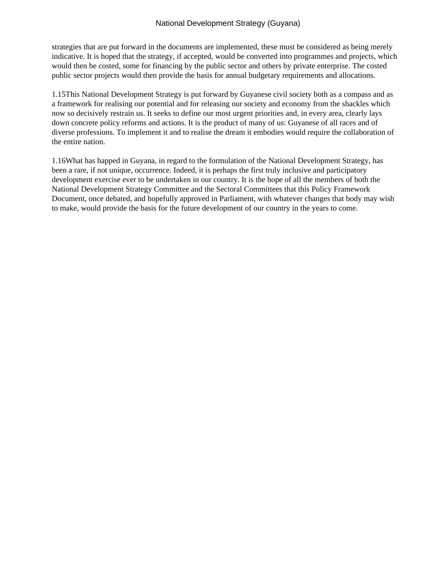strategies that are put forward in the documents are implemented, these must be considered as being merely indicative. It is hoped that the strategy, if accepted, would be converted into programmes and projects, which would then be costed, some for financing by the public sector and others by private enterprise. The costed public sector projects would then provide the basis for annual budgetary requirements and allocations.

1.15 This National Development Strategy is put forward by Guyanese civil society both as a compass and as a framework for realising our potential and for releasing our society and economy from the shackles which now so decisively restrain us. It seeks to define our most urgent priorities and, in every area, clearly lays down concrete policy reforms and actions. It is the product of many of us: Guyanese of all races and of diverse professions. To implement it and to realise the dream it embodies would require the collaboration of the entire nation.

1.16 What has happed in Guyana, in regard to the formulation of the National Development Strategy, has been a rare, if not unique, occurrence. Indeed, it is perhaps the first truly inclusive and participatory development exercise ever to be undertaken in our country. It is the hope of all the members of both the National Development Strategy Committee and the Sectoral Committees that this Policy Framework Document, once debated, and hopefully approved in Parliament, with whatever changes that body may wish to make, would provide the basis for the future development of our country in the years to come.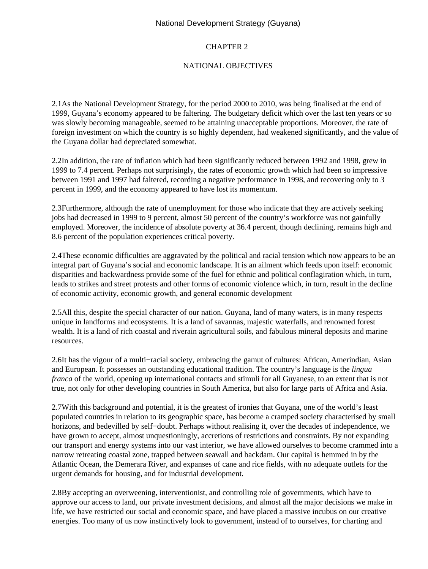# CHAPTER 2

## NATIONAL OBJECTIVES

2.1 As the National Development Strategy, for the period 2000 to 2010, was being finalised at the end of 1999, Guyana's economy appeared to be faltering. The budgetary deficit which over the last ten years or so was slowly becoming manageable, seemed to be attaining unacceptable proportions. Moreover, the rate of foreign investment on which the country is so highly dependent, had weakened significantly, and the value of the Guyana dollar had depreciated somewhat.

2.2 In addition, the rate of inflation which had been significantly reduced between 1992 and 1998, grew in 1999 to 7.4 percent. Perhaps not surprisingly, the rates of economic growth which had been so impressive between 1991 and 1997 had faltered, recording a negative performance in 1998, and recovering only to 3 percent in 1999, and the economy appeared to have lost its momentum.

2.3 Furthermore, although the rate of unemployment for those who indicate that they are actively seeking jobs had decreased in 1999 to 9 percent, almost 50 percent of the country's workforce was not gainfully employed. Moreover, the incidence of absolute poverty at 36.4 percent, though declining, remains high and 8.6 percent of the population experiences critical poverty.

2.4 These economic difficulties are aggravated by the political and racial tension which now appears to be an integral part of Guyana's social and economic landscape. It is an ailment which feeds upon itself: economic disparities and backwardness provide some of the fuel for ethnic and political conflagiration which, in turn, leads to strikes and street protests and other forms of economic violence which, in turn, result in the decline of economic activity, economic growth, and general economic development

2.5 All this, despite the special character of our nation. Guyana, land of many waters, is in many respects unique in landforms and ecosystems. It is a land of savannas, majestic waterfalls, and renowned forest wealth. It is a land of rich coastal and riverain agricultural soils, and fabulous mineral deposits and marine resources.

2.6 It has the vigour of a multi−racial society, embracing the gamut of cultures: African, Amerindian, Asian and European. It possesses an outstanding educational tradition. The country's language is the *lingua franca* of the world, opening up international contacts and stimuli for all Guyanese, to an extent that is not true, not only for other developing countries in South America, but also for large parts of Africa and Asia.

2.7 With this background and potential, it is the greatest of ironies that Guyana, one of the world's least populated countries in relation to its geographic space, has become a cramped society characterised by small horizons, and bedevilled by self−doubt. Perhaps without realising it, over the decades of independence, we have grown to accept, almost unquestioningly, accretions of restrictions and constraints. By not expanding our transport and energy systems into our vast interior, we have allowed ourselves to become crammed into a narrow retreating coastal zone, trapped between seawall and backdam. Our capital is hemmed in by the Atlantic Ocean, the Demerara River, and expanses of cane and rice fields, with no adequate outlets for the urgent demands for housing, and for industrial development.

2.8 By accepting an overweening, interventionist, and controlling role of governments, which have to approve our access to land, our private investment decisions, and almost all the major decisions we make in life, we have restricted our social and economic space, and have placed a massive incubus on our creative energies. Too many of us now instinctively look to government, instead of to ourselves, for charting and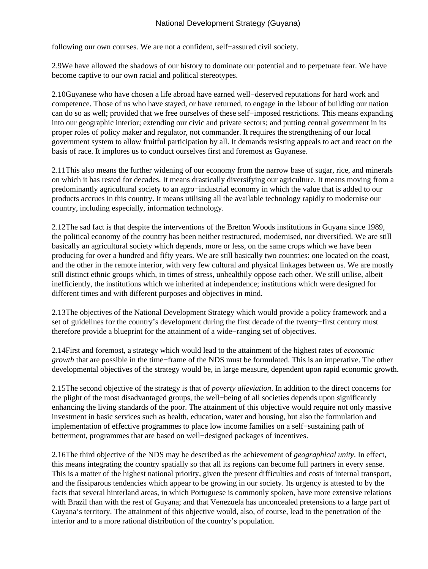following our own courses. We are not a confident, self−assured civil society.

2.9 We have allowed the shadows of our history to dominate our potential and to perpetuate fear. We have become captive to our own racial and political stereotypes.

2.10 Guyanese who have chosen a life abroad have earned well−deserved reputations for hard work and competence. Those of us who have stayed, or have returned, to engage in the labour of building our nation can do so as well; provided that we free ourselves of these self−imposed restrictions. This means expanding into our geographic interior; extending our civic and private sectors; and putting central government in its proper roles of policy maker and regulator, not commander. It requires the strengthening of our local government system to allow fruitful participation by all. It demands resisting appeals to act and react on the basis of race. It implores us to conduct ourselves first and foremost as Guyanese.

2.11 This also means the further widening of our economy from the narrow base of sugar, rice, and minerals on which it has rested for decades. It means drastically diversifying our agriculture. It means moving from a predominantly agricultural society to an agro−industrial economy in which the value that is added to our products accrues in this country. It means utilising all the available technology rapidly to modernise our country, including especially, information technology.

2.12 The sad fact is that despite the interventions of the Bretton Woods institutions in Guyana since 1989, the political economy of the country has been neither restructured, modernised, nor diversified. We are still basically an agricultural society which depends, more or less, on the same crops which we have been producing for over a hundred and fifty years. We are still basically two countries: one located on the coast, and the other in the remote interior, with very few cultural and physical linkages between us. We are mostly still distinct ethnic groups which, in times of stress, unhealthily oppose each other. We still utilise, albeit inefficiently, the institutions which we inherited at independence; institutions which were designed for different times and with different purposes and objectives in mind.

2.13 The objectives of the National Development Strategy which would provide a policy framework and a set of guidelines for the country's development during the first decade of the twenty−first century must therefore provide a blueprint for the attainment of a wide−ranging set of objectives.

2.14 First and foremost, a strategy which would lead to the attainment of the highest rates of *economic growth* that are possible in the time–frame of the NDS must be formulated. This is an imperative. The other developmental objectives of the strategy would be, in large measure, dependent upon rapid economic growth.

2.15 The second objective of the strategy is that of *poverty alleviation*. In addition to the direct concerns for the plight of the most disadvantaged groups, the well−being of all societies depends upon significantly enhancing the living standards of the poor. The attainment of this objective would require not only massive investment in basic services such as health, education, water and housing, but also the formulation and implementation of effective programmes to place low income families on a self−sustaining path of betterment, programmes that are based on well−designed packages of incentives.

2.16 The third objective of the NDS may be described as the achievement of *geographical unity*. In effect, this means integrating the country spatially so that all its regions can become full partners in every sense. This is a matter of the highest national priority, given the present difficulties and costs of internal transport, and the fissiparous tendencies which appear to be growing in our society. Its urgency is attested to by the facts that several hinterland areas, in which Portuguese is commonly spoken, have more extensive relations with Brazil than with the rest of Guyana; and that Venezuela has unconcealed pretensions to a large part of Guyana's territory. The attainment of this objective would, also, of course, lead to the penetration of the interior and to a more rational distribution of the country's population.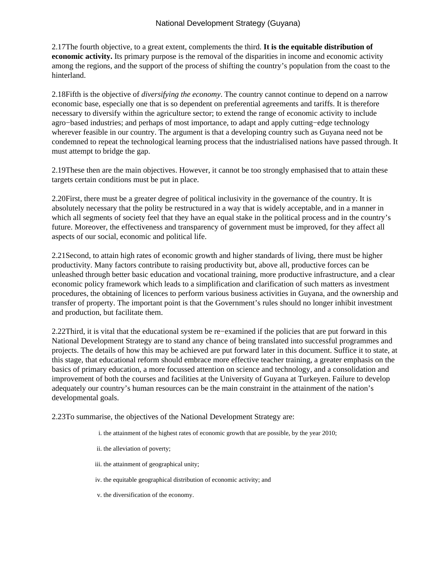2.17 The fourth objective, to a great extent, complements the third. **It is the equitable distribution of economic activity.** Its primary purpose is the removal of the disparities in income and economic activity among the regions, and the support of the process of shifting the country's population from the coast to the hinterland.

2.18 Fifth is the objective of *diversifying the economy*. The country cannot continue to depend on a narrow economic base, especially one that is so dependent on preferential agreements and tariffs. It is therefore necessary to diversify within the agriculture sector; to extend the range of economic activity to include agro−based industries; and perhaps of most importance, to adapt and apply cutting−edge technology wherever feasible in our country. The argument is that a developing country such as Guyana need not be condemned to repeat the technological learning process that the industrialised nations have passed through. It must attempt to bridge the gap.

2.19 These then are the main objectives. However, it cannot be too strongly emphasised that to attain these targets certain conditions must be put in place.

2.20 First, there must be a greater degree of political inclusivity in the governance of the country. It is absolutely necessary that the polity be restructured in a way that is widely acceptable, and in a manner in which all segments of society feel that they have an equal stake in the political process and in the country's future. Moreover, the effectiveness and transparency of government must be improved, for they affect all aspects of our social, economic and political life.

2.21 Second, to attain high rates of economic growth and higher standards of living, there must be higher productivity. Many factors contribute to raising productivity but, above all, productive forces can be unleashed through better basic education and vocational training, more productive infrastructure, and a clear economic policy framework which leads to a simplification and clarification of such matters as investment procedures, the obtaining of licences to perform various business activities in Guyana, and the ownership and transfer of property. The important point is that the Government's rules should no longer inhibit investment and production, but facilitate them.

2.22 Third, it is vital that the educational system be re–examined if the policies that are put forward in this National Development Strategy are to stand any chance of being translated into successful programmes and projects. The details of how this may be achieved are put forward later in this document. Suffice it to state, at this stage, that educational reform should embrace more effective teacher training, a greater emphasis on the basics of primary education, a more focussed attention on science and technology, and a consolidation and improvement of both the courses and facilities at the University of Guyana at Turkeyen. Failure to develop adequately our country's human resources can be the main constraint in the attainment of the nation's developmental goals.

2.23 To summarise, the objectives of the National Development Strategy are:

- i. the attainment of the highest rates of economic growth that are possible, by the year 2010;
- ii. the alleviation of poverty;
- iii. the attainment of geographical unity;
- iv. the equitable geographical distribution of economic activity; and
- v. the diversification of the economy.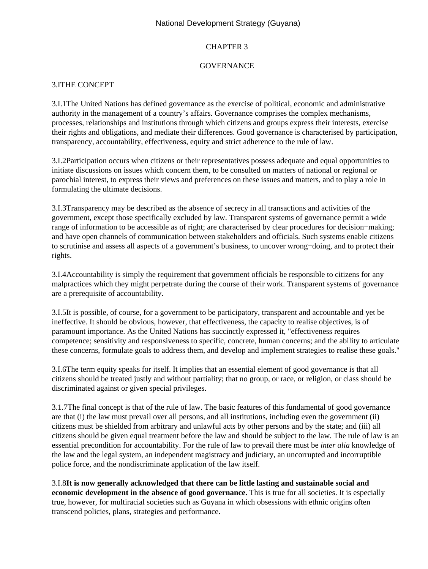## CHAPTER 3

### **GOVERNANCE**

## 3.I THE CONCEPT

3.I.1 The United Nations has defined governance as the exercise of political, economic and administrative authority in the management of a country's affairs. Governance comprises the complex mechanisms, processes, relationships and institutions through which citizens and groups express their interests, exercise their rights and obligations, and mediate their differences. Good governance is characterised by participation, transparency, accountability, effectiveness, equity and strict adherence to the rule of law.

3.I.2 Participation occurs when citizens or their representatives possess adequate and equal opportunities to initiate discussions on issues which concern them, to be consulted on matters of national or regional or parochial interest, to express their views and preferences on these issues and matters, and to play a role in formulating the ultimate decisions.

3.I.3 Transparency may be described as the absence of secrecy in all transactions and activities of the government, except those specifically excluded by law. Transparent systems of governance permit a wide range of information to be accessible as of right; are characterised by clear procedures for decision−making; and have open channels of communication between stakeholders and officials. Such systems enable citizens to scrutinise and assess all aspects of a government's business, to uncover wrong−doing, and to protect their rights.

3.I.4 Accountability is simply the requirement that government officials be responsible to citizens for any malpractices which they might perpetrate during the course of their work. Transparent systems of governance are a prerequisite of accountability.

3.I.5 It is possible, of course, for a government to be participatory, transparent and accountable and yet be ineffective. It should be obvious, however, that effectiveness, the capacity to realise objectives, is of paramount importance. As the United Nations has succinctly expressed it, "effectiveness requires competence; sensitivity and responsiveness to specific, concrete, human concerns; and the ability to articulate these concerns, formulate goals to address them, and develop and implement strategies to realise these goals."

3.I.6 The term equity speaks for itself. It implies that an essential element of good governance is that all citizens should be treated justly and without partiality; that no group, or race, or religion, or class should be discriminated against or given special privileges.

3.1.7 The final concept is that of the rule of law. The basic features of this fundamental of good governance are that (i) the law must prevail over all persons, and all institutions, including even the government (ii) citizens must be shielded from arbitrary and unlawful acts by other persons and by the state; and (iii) all citizens should be given equal treatment before the law and should be subject to the law. The rule of law is an essential precondition for accountability. For the rule of law to prevail there must be *inter alia* knowledge of the law and the legal system, an independent magistracy and judiciary, an uncorrupted and incorruptible police force, and the nondiscriminate application of the law itself.

3.I.8 **It is now generally acknowledged that there can be little lasting and sustainable social and economic development in the absence of good governance.** This is true for all societies. It is especially true, however, for multiracial societies such as Guyana in which obsessions with ethnic origins often transcend policies, plans, strategies and performance.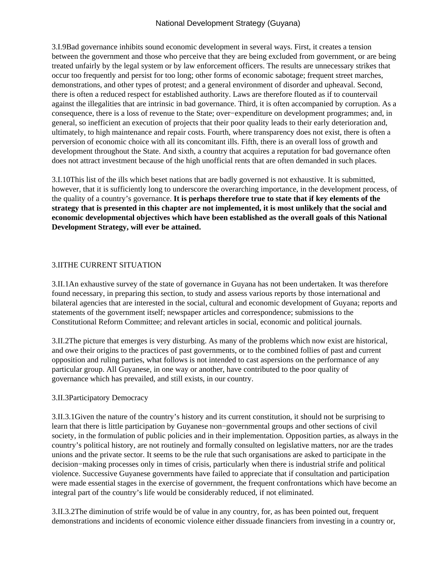3.I.9 Bad governance inhibits sound economic development in several ways. First, it creates a tension between the government and those who perceive that they are being excluded from government, or are being treated unfairly by the legal system or by law enforcement officers. The results are unnecessary strikes that occur too frequently and persist for too long; other forms of economic sabotage; frequent street marches, demonstrations, and other types of protest; and a general environment of disorder and upheaval. Second, there is often a reduced respect for established authority. Laws are therefore flouted as if to countervail against the illegalities that are intrinsic in bad governance. Third, it is often accompanied by corruption. As a consequence, there is a loss of revenue to the State; over−expenditure on development programmes; and, in general, so inefficient an execution of projects that their poor quality leads to their early deterioration and, ultimately, to high maintenance and repair costs. Fourth, where transparency does not exist, there is often a perversion of economic choice with all its concomitant ills. Fifth, there is an overall loss of growth and development throughout the State. And sixth, a country that acquires a reputation for bad governance often does not attract investment because of the high unofficial rents that are often demanded in such places.

3.I.10 This list of the ills which beset nations that are badly governed is not exhaustive. It is submitted, however, that it is sufficiently long to underscore the overarching importance, in the development process, of the quality of a country's governance. **It is perhaps therefore true to state that if key elements of the strategy that is presented in this chapter are not implemented, it is most unlikely that the social and economic developmental objectives which have been established as the overall goals of this National Development Strategy, will ever be attained.**

# **3.II THE CURRENT SITUATION**

3.II.1 An exhaustive survey of the state of governance in Guyana has not been undertaken. It was therefore found necessary, in preparing this section, to study and assess various reports by those international and bilateral agencies that are interested in the social, cultural and economic development of Guyana; reports and statements of the government itself; newspaper articles and correspondence; submissions to the Constitutional Reform Committee; and relevant articles in social, economic and political journals.

3.II.2 The picture that emerges is very disturbing. As many of the problems which now exist are historical, and owe their origins to the practices of past governments, or to the combined follies of past and current opposition and ruling parties, what follows is not intended to cast aspersions on the performance of any particular group. All Guyanese, in one way or another, have contributed to the poor quality of governance which has prevailed, and still exists, in our country.

## 3.II.3 Participatory Democracy

3.II.3.1 Given the nature of the country's history and its current constitution, it should not be surprising to learn that there is little participation by Guyanese non−governmental groups and other sections of civil society, in the formulation of public policies and in their implementation. Opposition parties, as always in the country's political history, are not routinely and formally consulted on legislative matters, nor are the trades unions and the private sector. It seems to be the rule that such organisations are asked to participate in the decision−making processes only in times of crisis, particularly when there is industrial strife and political violence. Successive Guyanese governments have failed to appreciate that if consultation and participation were made essential stages in the exercise of government, the frequent confrontations which have become an integral part of the country's life would be considerably reduced, if not eliminated.

3.II.3.2 The diminution of strife would be of value in any country, for, as has been pointed out, frequent demonstrations and incidents of economic violence either dissuade financiers from investing in a country or,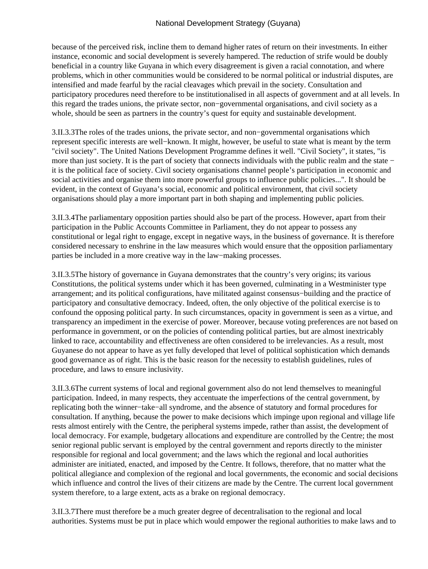because of the perceived risk, incline them to demand higher rates of return on their investments. In either instance, economic and social development is severely hampered. The reduction of strife would be doubly beneficial in a country like Guyana in which every disagreement is given a racial connotation, and where problems, which in other communities would be considered to be normal political or industrial disputes, are intensified and made fearful by the racial cleavages which prevail in the society. Consultation and participatory procedures need therefore to be institutionalised in all aspects of government and at all levels. In this regard the trades unions, the private sector, non−governmental organisations, and civil society as a whole, should be seen as partners in the country's quest for equity and sustainable development.

3.II.3.3 The roles of the trades unions, the private sector, and non−governmental organisations which represent specific interests are well−known. It might, however, be useful to state what is meant by the term "civil society". The United Nations Development Programme defines it well. "Civil Society", it states, "is more than just society. It is the part of society that connects individuals with the public realm and the state − it is the political face of society. Civil society organisations channel people's participation in economic and social activities and organise them into more powerful groups to influence public policies...". It should be evident, in the context of Guyana's social, economic and political environment, that civil society organisations should play a more important part in both shaping and implementing public policies.

3.II.3.4 The parliamentary opposition parties should also be part of the process. However, apart from their participation in the Public Accounts Committee in Parliament, they do not appear to possess any constitutional or legal right to engage, except in negative ways, in the business of governance. It is therefore considered necessary to enshrine in the law measures which would ensure that the opposition parliamentary parties be included in a more creative way in the law−making processes.

3.II.3.5 The history of governance in Guyana demonstrates that the country's very origins; its various Constitutions, the political systems under which it has been governed, culminating in a Westminister type arrangement; and its political configurations, have militated against consensus−building and the practice of participatory and consultative democracy. Indeed, often, the only objective of the political exercise is to confound the opposing political party. In such circumstances, opacity in government is seen as a virtue, and transparency an impediment in the exercise of power. Moreover, because voting preferences are not based on performance in government, or on the policies of contending political parties, but are almost inextricably linked to race, accountability and effectiveness are often considered to be irrelevancies. As a result, most Guyanese do not appear to have as yet fully developed that level of political sophistication which demands good governance as of right. This is the basic reason for the necessity to establish guidelines, rules of procedure, and laws to ensure inclusivity.

3.II.3.6 The current systems of local and regional government also do not lend themselves to meaningful participation. Indeed, in many respects, they accentuate the imperfections of the central government, by replicating both the winner−take−all syndrome, and the absence of statutory and formal procedures for consultation. If anything, because the power to make decisions which impinge upon regional and village life rests almost entirely with the Centre, the peripheral systems impede, rather than assist, the development of local democracy. For example, budgetary allocations and expenditure are controlled by the Centre; the most senior regional public servant is employed by the central government and reports directly to the minister responsible for regional and local government; and the laws which the regional and local authorities administer are initiated, enacted, and imposed by the Centre. It follows, therefore, that no matter what the political allegiance and complexion of the regional and local governments, the economic and social decisions which influence and control the lives of their citizens are made by the Centre. The current local government system therefore, to a large extent, acts as a brake on regional democracy.

3.II.3.7 There must therefore be a much greater degree of decentralisation to the regional and local authorities. Systems must be put in place which would empower the regional authorities to make laws and to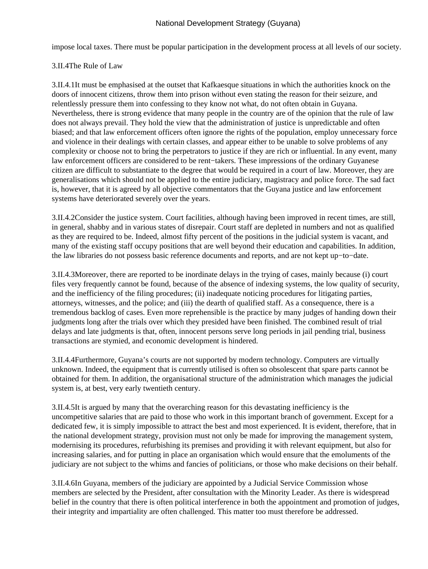impose local taxes. There must be popular participation in the development process at all levels of our society.

# 3.II.4 The Rule of Law

3.II.4.1 It must be emphasised at the outset that Kafkaesque situations in which the authorities knock on the doors of innocent citizens, throw them into prison without even stating the reason for their seizure, and relentlessly pressure them into confessing to they know not what, do not often obtain in Guyana. Nevertheless, there is strong evidence that many people in the country are of the opinion that the rule of law does not always prevail. They hold the view that the administration of justice is unpredictable and often biased; and that law enforcement officers often ignore the rights of the population, employ unnecessary force and violence in their dealings with certain classes, and appear either to be unable to solve problems of any complexity or choose not to bring the perpetrators to justice if they are rich or influential. In any event, many law enforcement officers are considered to be rent−takers. These impressions of the ordinary Guyanese citizen are difficult to substantiate to the degree that would be required in a court of law. Moreover, they are generalisations which should not be applied to the entire judiciary, magistracy and police force. The sad fact is, however, that it is agreed by all objective commentators that the Guyana justice and law enforcement systems have deteriorated severely over the years.

3.II.4.2 Consider the justice system. Court facilities, although having been improved in recent times, are still, in general, shabby and in various states of disrepair. Court staff are depleted in numbers and not as qualified as they are required to be. Indeed, almost fifty percent of the positions in the judicial system is vacant, and many of the existing staff occupy positions that are well beyond their education and capabilities. In addition, the law libraries do not possess basic reference documents and reports, and are not kept up−to−date.

3.II.4.3 Moreover, there are reported to be inordinate delays in the trying of cases, mainly because (i) court files very frequently cannot be found, because of the absence of indexing systems, the low quality of security, and the inefficiency of the filing procedures; (ii) inadequate noticing procedures for litigating parties, attorneys, witnesses, and the police; and (iii) the dearth of qualified staff. As a consequence, there is a tremendous backlog of cases. Even more reprehensible is the practice by many judges of handing down their judgments long after the trials over which they presided have been finished. The combined result of trial delays and late judgments is that, often, innocent persons serve long periods in jail pending trial, business transactions are stymied, and economic development is hindered.

3.II.4.4 Furthermore, Guyana's courts are not supported by modern technology. Computers are virtually unknown. Indeed, the equipment that is currently utilised is often so obsolescent that spare parts cannot be obtained for them. In addition, the organisational structure of the administration which manages the judicial system is, at best, very early twentieth century.

3.II.4.5 It is argued by many that the overarching reason for this devastating inefficiency is the uncompetitive salaries that are paid to those who work in this important branch of government. Except for a dedicated few, it is simply impossible to attract the best and most experienced. It is evident, therefore, that in the national development strategy, provision must not only be made for improving the management system, modernising its procedures, refurbishing its premises and providing it with relevant equipment, but also for increasing salaries, and for putting in place an organisation which would ensure that the emoluments of the judiciary are not subject to the whims and fancies of politicians, or those who make decisions on their behalf.

3.II.4.6 In Guyana, members of the judiciary are appointed by a Judicial Service Commission whose members are selected by the President, after consultation with the Minority Leader. As there is widespread belief in the country that there is often political interference in both the appointment and promotion of judges, their integrity and impartiality are often challenged. This matter too must therefore be addressed.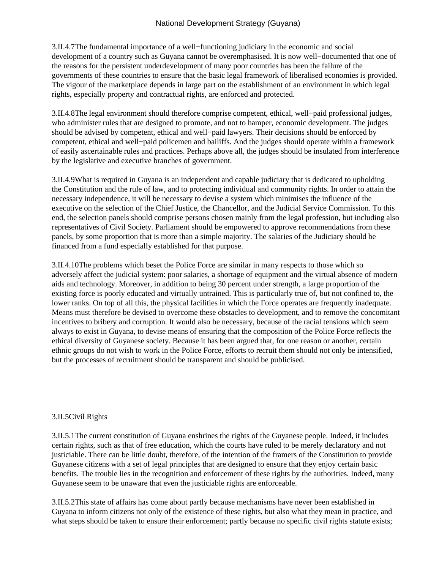3.II.4.7 The fundamental importance of a well–functioning judiciary in the economic and social development of a country such as Guyana cannot be overemphasised. It is now well−documented that one of the reasons for the persistent underdevelopment of many poor countries has been the failure of the governments of these countries to ensure that the basic legal framework of liberalised economies is provided. The vigour of the marketplace depends in large part on the establishment of an environment in which legal rights, especially property and contractual rights, are enforced and protected.

3.II.4.8 The legal environment should therefore comprise competent, ethical, well−paid professional judges, who administer rules that are designed to promote, and not to hamper, economic development. The judges should be advised by competent, ethical and well−paid lawyers. Their decisions should be enforced by competent, ethical and well−paid policemen and bailiffs. And the judges should operate within a framework of easily ascertainable rules and practices. Perhaps above all, the judges should be insulated from interference by the legislative and executive branches of government.

3.II.4.9 What is required in Guyana is an independent and capable judiciary that is dedicated to upholding the Constitution and the rule of law, and to protecting individual and community rights. In order to attain the necessary independence, it will be necessary to devise a system which minimises the influence of the executive on the selection of the Chief Justice, the Chancellor, and the Judicial Service Commission. To this end, the selection panels should comprise persons chosen mainly from the legal profession, but including also representatives of Civil Society. Parliament should be empowered to approve recommendations from these panels, by some proportion that is more than a simple majority. The salaries of the Judiciary should be financed from a fund especially established for that purpose.

3.II.4.10 The problems which beset the Police Force are similar in many respects to those which so adversely affect the judicial system: poor salaries, a shortage of equipment and the virtual absence of modern aids and technology. Moreover, in addition to being 30 percent under strength, a large proportion of the existing force is poorly educated and virtually untrained. This is particularly true of, but not confined to, the lower ranks. On top of all this, the physical facilities in which the Force operates are frequently inadequate. Means must therefore be devised to overcome these obstacles to development, and to remove the concomitant incentives to bribery and corruption. It would also be necessary, because of the racial tensions which seem always to exist in Guyana, to devise means of ensuring that the composition of the Police Force reflects the ethical diversity of Guyanese society. Because it has been argued that, for one reason or another, certain ethnic groups do not wish to work in the Police Force, efforts to recruit them should not only be intensified, but the processes of recruitment should be transparent and should be publicised.

## 3.II.5 Civil Rights

3.II.5.1 The current constitution of Guyana enshrines the rights of the Guyanese people. Indeed, it includes certain rights, such as that of free education, which the courts have ruled to be merely declaratory and not justiciable. There can be little doubt, therefore, of the intention of the framers of the Constitution to provide Guyanese citizens with a set of legal principles that are designed to ensure that they enjoy certain basic benefits. The trouble lies in the recognition and enforcement of these rights by the authorities. Indeed, many Guyanese seem to be unaware that even the justiciable rights are enforceable.

3.II.5.2 This state of affairs has come about partly because mechanisms have never been established in Guyana to inform citizens not only of the existence of these rights, but also what they mean in practice, and what steps should be taken to ensure their enforcement; partly because no specific civil rights statute exists;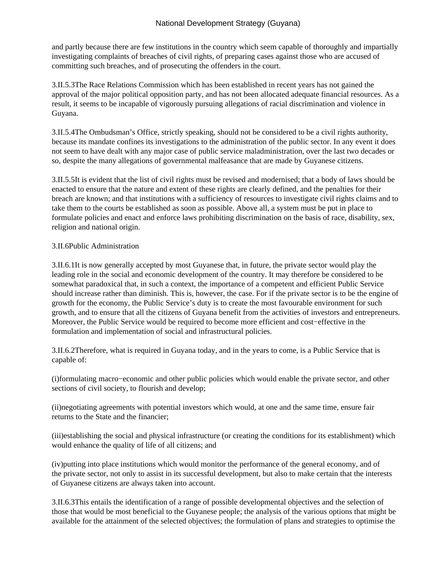and partly because there are few institutions in the country which seem capable of thoroughly and impartially investigating complaints of breaches of civil rights, of preparing cases against those who are accused of committing such breaches, and of prosecuting the offenders in the court.

3.II.5.3 The Race Relations Commission which has been established in recent years has not gained the approval of the major political opposition party, and has not been allocated adequate financial resources. As a result, it seems to be incapable of vigorously pursuing allegations of racial discrimination and violence in Guyana.

3.II.5.4 The Ombudsman's Office, strictly speaking, should not be considered to be a civil rights authority, because its mandate confines its investigations to the administration of the public sector. In any event it does not seem to have dealt with any major case of public service maladministration, over the last two decades or so, despite the many allegations of governmental malfeasance that are made by Guyanese citizens.

3.II.5.5 It is evident that the list of civil rights must be revised and modernised; that a body of laws should be enacted to ensure that the nature and extent of these rights are clearly defined, and the penalties for their breach are known; and that institutions with a sufficiency of resources to investigate civil rights claims and to take them to the courts be established as soon as possible. Above all, a system must be put in place to formulate policies and enact and enforce laws prohibiting discrimination on the basis of race, disability, sex, religion and national origin.

### 3.II.6 Public Administration

3.II.6.1 It is now generally accepted by most Guyanese that, in future, the private sector would play the leading role in the social and economic development of the country. It may therefore be considered to be somewhat paradoxical that, in such a context, the importance of a competent and efficient Public Service should increase rather than diminish. This is, however, the case. For if the private sector is to be the engine of growth for the economy, the Public Service's duty is to create the most favourable environment for such growth, and to ensure that all the citizens of Guyana benefit from the activities of investors and entrepreneurs. Moreover, the Public Service would be required to become more efficient and cost−effective in the formulation and implementation of social and infrastructural policies.

3.II.6.2 Therefore, what is required in Guyana today, and in the years to come, is a Public Service that is capable of:

 (i) formulating macro−economic and other public policies which would enable the private sector, and other sections of civil society, to flourish and develop;

(ii) negotiating agreements with potential investors which would, at one and the same time, ensure fair returns to the State and the financier;

(iii) establishing the social and physical infrastructure (or creating the conditions for its establishment) which would enhance the quality of life of all citizens; and

(iv) putting into place institutions which would monitor the performance of the general economy, and of the private sector, not only to assist in its successful development, but also to make certain that the interests of Guyanese citizens are always taken into account.

3.II.6.3 This entails the identification of a range of possible developmental objectives and the selection of those that would be most beneficial to the Guyanese people; the analysis of the various options that might be available for the attainment of the selected objectives; the formulation of plans and strategies to optimise the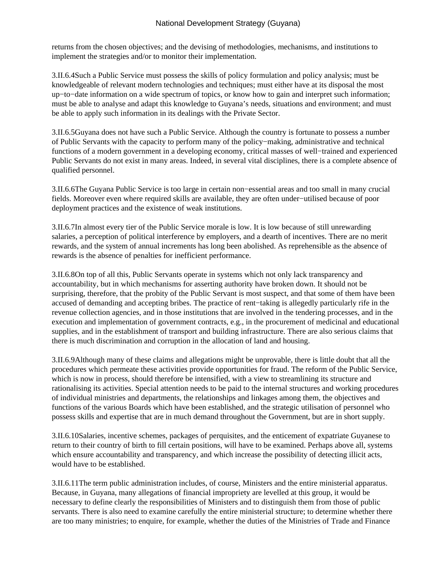returns from the chosen objectives; and the devising of methodologies, mechanisms, and institutions to implement the strategies and/or to monitor their implementation.

3.II.6.4 Such a Public Service must possess the skills of policy formulation and policy analysis; must be knowledgeable of relevant modern technologies and techniques; must either have at its disposal the most up−to−date information on a wide spectrum of topics, or know how to gain and interpret such information; must be able to analyse and adapt this knowledge to Guyana's needs, situations and environment; and must be able to apply such information in its dealings with the Private Sector.

3.II.6.5 Guyana does not have such a Public Service. Although the country is fortunate to possess a number of Public Servants with the capacity to perform many of the policy−making, administrative and technical functions of a modern government in a developing economy, critical masses of well−trained and experienced Public Servants do not exist in many areas. Indeed, in several vital disciplines, there is a complete absence of qualified personnel.

3.II.6.6 The Guyana Public Service is too large in certain non−essential areas and too small in many crucial fields. Moreover even where required skills are available, they are often under−utilised because of poor deployment practices and the existence of weak institutions.

3.II.6.7 In almost every tier of the Public Service morale is low. It is low because of still unrewarding salaries, a perception of political interference by employers, and a dearth of incentives. There are no merit rewards, and the system of annual increments has long been abolished. As reprehensible as the absence of rewards is the absence of penalties for inefficient performance.

3.II.6.8 On top of all this, Public Servants operate in systems which not only lack transparency and accountability, but in which mechanisms for asserting authority have broken down. It should not be surprising, therefore, that the probity of the Public Servant is most suspect, and that some of them have been accused of demanding and accepting bribes. The practice of rent−taking is allegedly particularly rife in the revenue collection agencies, and in those institutions that are involved in the tendering processes, and in the execution and implementation of government contracts, e.g., in the procurement of medicinal and educational supplies, and in the establishment of transport and building infrastructure. There are also serious claims that there is much discrimination and corruption in the allocation of land and housing.

3.II.6.9 Although many of these claims and allegations might be unprovable, there is little doubt that all the procedures which permeate these activities provide opportunities for fraud. The reform of the Public Service, which is now in process, should therefore be intensified, with a view to streamlining its structure and rationalising its activities. Special attention needs to be paid to the internal structures and working procedures of individual ministries and departments, the relationships and linkages among them, the objectives and functions of the various Boards which have been established, and the strategic utilisation of personnel who possess skills and expertise that are in much demand throughout the Government, but are in short supply.

3.II.6.10 Salaries, incentive schemes, packages of perquisites, and the enticement of expatriate Guyanese to return to their country of birth to fill certain positions, will have to be examined. Perhaps above all, systems which ensure accountability and transparency, and which increase the possibility of detecting illicit acts, would have to be established.

3.II.6.11 The term public administration includes, of course, Ministers and the entire ministerial apparatus. Because, in Guyana, many allegations of financial impropriety are levelled at this group, it would be necessary to define clearly the responsibilities of Ministers and to distinguish them from those of public servants. There is also need to examine carefully the entire ministerial structure; to determine whether there are too many ministries; to enquire, for example, whether the duties of the Ministries of Trade and Finance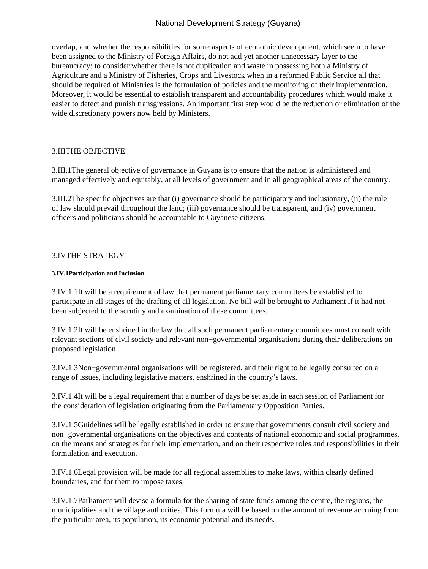overlap, and whether the responsibilities for some aspects of economic development, which seem to have been assigned to the Ministry of Foreign Affairs, do not add yet another unnecessary layer to the bureaucracy; to consider whether there is not duplication and waste in possessing both a Ministry of Agriculture and a Ministry of Fisheries, Crops and Livestock when in a reformed Public Service all that should be required of Ministries is the formulation of policies and the monitoring of their implementation. Moreover, it would be essential to establish transparent and accountability procedures which would make it easier to detect and punish transgressions. An important first step would be the reduction or elimination of the wide discretionary powers now held by Ministers.

### 3.III THE OBJECTIVE

3.III.1 The general objective of governance in Guyana is to ensure that the nation is administered and managed effectively and equitably, at all levels of government and in all geographical areas of the country.

3.III.2 The specific objectives are that (i) governance should be participatory and inclusionary, (ii) the rule of law should prevail throughout the land; (iii) governance should be transparent, and (iv) government officers and politicians should be accountable to Guyanese citizens.

## 3.IV THE STRATEGY

#### **3.IV.1 Participation and Inclusion**

3.IV.1.1 It will be a requirement of law that permanent parliamentary committees be established to participate in all stages of the drafting of all legislation. No bill will be brought to Parliament if it had not been subjected to the scrutiny and examination of these committees.

3.IV.1.2 It will be enshrined in the law that all such permanent parliamentary committees must consult with relevant sections of civil society and relevant non−governmental organisations during their deliberations on proposed legislation.

3.IV.1.3 Non−governmental organisations will be registered, and their right to be legally consulted on a range of issues, including legislative matters, enshrined in the country's laws.

3.IV.1.4 It will be a legal requirement that a number of days be set aside in each session of Parliament for the consideration of legislation originating from the Parliamentary Opposition Parties.

3.IV.1.5 Guidelines will be legally established in order to ensure that governments consult civil society and non−governmental organisations on the objectives and contents of national economic and social programmes, on the means and strategies for their implementation, and on their respective roles and responsibilities in their formulation and execution.

3.IV.1.6 Legal provision will be made for all regional assemblies to make laws, within clearly defined boundaries, and for them to impose taxes.

3.IV.1.7 Parliament will devise a formula for the sharing of state funds among the centre, the regions, the municipalities and the village authorities. This formula will be based on the amount of revenue accruing from the particular area, its population, its economic potential and its needs.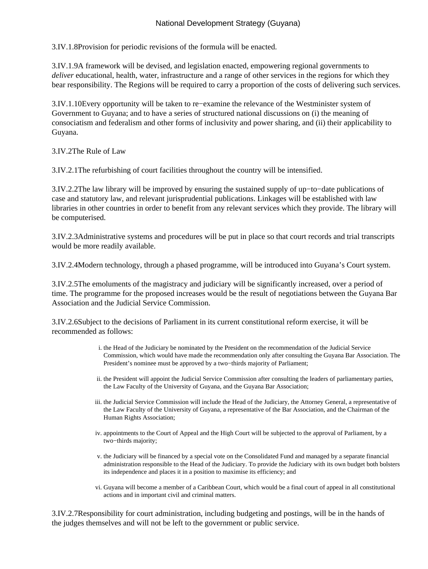3.IV.1.8 Provision for periodic revisions of the formula will be enacted.

3.IV.1.9 A framework will be devised, and legislation enacted, empowering regional governments to *deliver* educational, health, water, infrastructure and a range of other services in the regions for which they bear responsibility. The Regions will be required to carry a proportion of the costs of delivering such services.

3.IV.1.10 Every opportunity will be taken to re−examine the relevance of the Westminister system of Government to Guyana; and to have a series of structured national discussions on (i) the meaning of consociatism and federalism and other forms of inclusivity and power sharing, and (ii) their applicability to Guyana.

3.IV.2 The Rule of Law

3.IV.2.1 The refurbishing of court facilities throughout the country will be intensified.

3.IV.2.2 The law library will be improved by ensuring the sustained supply of up−to−date publications of case and statutory law, and relevant jurisprudential publications. Linkages will be established with law libraries in other countries in order to benefit from any relevant services which they provide. The library will be computerised.

3.IV.2.3 Administrative systems and procedures will be put in place so that court records and trial transcripts would be more readily available.

3.IV.2.4 Modern technology, through a phased programme, will be introduced into Guyana's Court system.

3.IV.2.5 The emoluments of the magistracy and judiciary will be significantly increased, over a period of time. The programme for the proposed increases would be the result of negotiations between the Guyana Bar Association and the Judicial Service Commission.

3.IV.2.6 Subject to the decisions of Parliament in its current constitutional reform exercise, it will be recommended as follows:

- i. the Head of the Judiciary be nominated by the President on the recommendation of the Judicial Service Commission, which would have made the recommendation only after consulting the Guyana Bar Association. The President's nominee must be approved by a two−thirds majority of Parliament;
- ii. the President will appoint the Judicial Service Commission after consulting the leaders of parliamentary parties, the Law Faculty of the University of Guyana, and the Guyana Bar Association;
- iii. the Judicial Service Commission will include the Head of the Judiciary, the Attorney General, a representative of the Law Faculty of the University of Guyana, a representative of the Bar Association, and the Chairman of the Human Rights Association;
- iv. appointments to the Court of Appeal and the High Court will be subjected to the approval of Parliament, by a two−thirds majority;
- v. the Judiciary will be financed by a special vote on the Consolidated Fund and managed by a separate financial administration responsible to the Head of the Judiciary. To provide the Judiciary with its own budget both bolsters its independence and places it in a position to maximise its efficiency; and
- vi. Guyana will become a member of a Caribbean Court, which would be a final court of appeal in all constitutional actions and in important civil and criminal matters.

3.IV.2.7 Responsibility for court administration, including budgeting and postings, will be in the hands of the judges themselves and will not be left to the government or public service.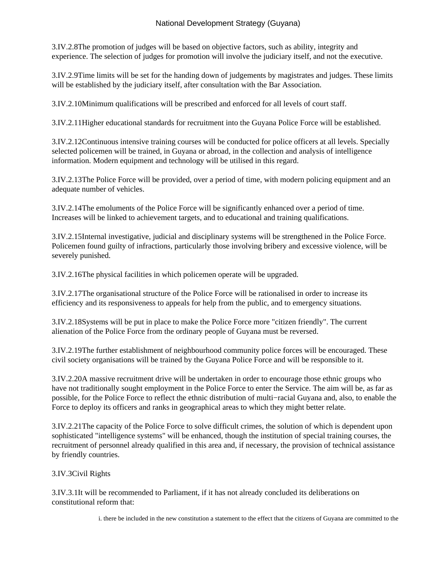3.IV.2.8 The promotion of judges will be based on objective factors, such as ability, integrity and experience. The selection of judges for promotion will involve the judiciary itself, and not the executive.

3.IV.2.9 Time limits will be set for the handing down of judgements by magistrates and judges. These limits will be established by the judiciary itself, after consultation with the Bar Association.

3.IV.2.10 Minimum qualifications will be prescribed and enforced for all levels of court staff.

3.IV.2.11 Higher educational standards for recruitment into the Guyana Police Force will be established.

3.IV.2.12 Continuous intensive training courses will be conducted for police officers at all levels. Specially selected policemen will be trained, in Guyana or abroad, in the collection and analysis of intelligence information. Modern equipment and technology will be utilised in this regard.

3.IV.2.13 The Police Force will be provided, over a period of time, with modern policing equipment and an adequate number of vehicles.

3.IV.2.14 The emoluments of the Police Force will be significantly enhanced over a period of time. Increases will be linked to achievement targets, and to educational and training qualifications.

3.IV.2.15 Internal investigative, judicial and disciplinary systems will be strengthened in the Police Force. Policemen found guilty of infractions, particularly those involving bribery and excessive violence, will be severely punished.

3.IV.2.16 The physical facilities in which policemen operate will be upgraded.

3.IV.2.17 The organisational structure of the Police Force will be rationalised in order to increase its efficiency and its responsiveness to appeals for help from the public, and to emergency situations.

3.IV.2.18 Systems will be put in place to make the Police Force more "citizen friendly". The current alienation of the Police Force from the ordinary people of Guyana must be reversed.

3.IV.2.19 The further establishment of neighbourhood community police forces will be encouraged. These civil society organisations will be trained by the Guyana Police Force and will be responsible to it.

3.IV.2.20 A massive recruitment drive will be undertaken in order to encourage those ethnic groups who have not traditionally sought employment in the Police Force to enter the Service. The aim will be, as far as possible, for the Police Force to reflect the ethnic distribution of multi−racial Guyana and, also, to enable the Force to deploy its officers and ranks in geographical areas to which they might better relate.

3.IV.2.21 The capacity of the Police Force to solve difficult crimes, the solution of which is dependent upon sophisticated "intelligence systems" will be enhanced, though the institution of special training courses, the recruitment of personnel already qualified in this area and, if necessary, the provision of technical assistance by friendly countries.

# 3.IV.3 Civil Rights

3.IV.3.1 It will be recommended to Parliament, if it has not already concluded its deliberations on constitutional reform that:

i. there be included in the new constitution a statement to the effect that the citizens of Guyana are committed to the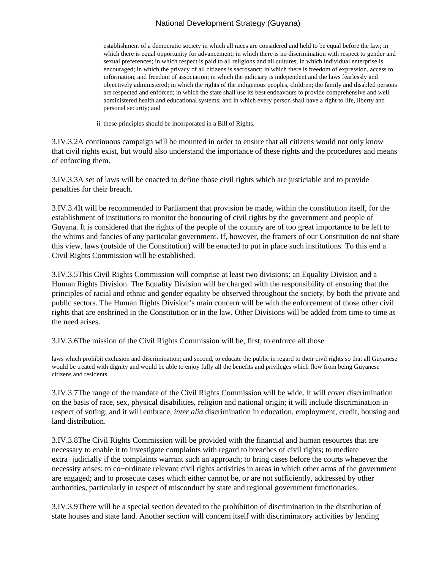establishment of a democratic society in which all races are considered and held to be equal before the law; in which there is equal opportunity for advancement; in which there is no discrimination with respect to gender and sexual preferences; in which respect is paid to all religions and all cultures; in which individual enterprise is encouraged; in which the privacy of all citizens is sacrosanct; in which there is freedom of expression, access to information, and freedom of association; in which the judiciary is independent and the laws fearlessly and objectively administered; in which the rights of the indigenous peoples, children; the family and disabled persons are respected and enforced; in which the state shall use its best endeavours to provide comprehensive and well administered health and educational systems; and in which every person shall have a right to life, liberty and personal security; and

ii. these principles should be incorporated in a Bill of Rights.

3.IV.3.2 A continuous campaign will be mounted in order to ensure that all citizens would not only know that civil rights exist, but would also understand the importance of these rights and the procedures and means of enforcing them.

3.IV.3.3 A set of laws will be enacted to define those civil rights which are justiciable and to provide penalties for their breach.

3.IV.3.4 It will be recommended to Parliament that provision be made, within the constitution itself, for the establishment of institutions to monitor the honouring of civil rights by the government and people of Guyana. It is considered that the rights of the people of the country are of too great importance to be left to the whims and fancies of any particular government. If, however, the framers of our Constitution do not share this view, laws (outside of the Constitution) will be enacted to put in place such institutions. To this end a Civil Rights Commission will be established.

3.IV.3.5 This Civil Rights Commission will comprise at least two divisions: an Equality Division and a Human Rights Division. The Equality Division will be charged with the responsibility of ensuring that the principles of racial and ethnic and gender equality be observed throughout the society, by both the private and public sectors. The Human Rights Division's main concern will be with the enforcement of those other civil rights that are enshrined in the Constitution or in the law. Other Divisions will be added from time to time as the need arises.

3.IV.3.6 The mission of the Civil Rights Commission will be, first, to enforce all those

laws which prohibit exclusion and discrimination; and second, to educate the public in regard to their civil rights so that all Guyanese would be treated with dignity and would be able to enjoy fully all the benefits and privileges which flow from being Guyanese citizens and residents.

3.IV.3.7 The range of the mandate of the Civil Rights Commission will be wide. It will cover discrimination on the basis of race, sex, physical disabilities, religion and national origin; it will include discrimination in respect of voting; and it will embrace, *inter alia* discrimination in education, employment, credit, housing and land distribution.

3.IV.3.8 The Civil Rights Commission will be provided with the financial and human resources that are necessary to enable it to investigate complaints with regard to breaches of civil rights; to mediate extra−judicially if the complaints warrant such an approach; to bring cases before the courts whenever the necessity arises; to co−ordinate relevant civil rights activities in areas in which other arms of the government are engaged; and to prosecute cases which either cannot be, or are not sufficiently, addressed by other authorities, particularly in respect of misconduct by state and regional government functionaries.

3.IV.3.9 There will be a special section devoted to the prohibition of discrimination in the distribution of state houses and state land. Another section will concern itself with discriminatory activities by lending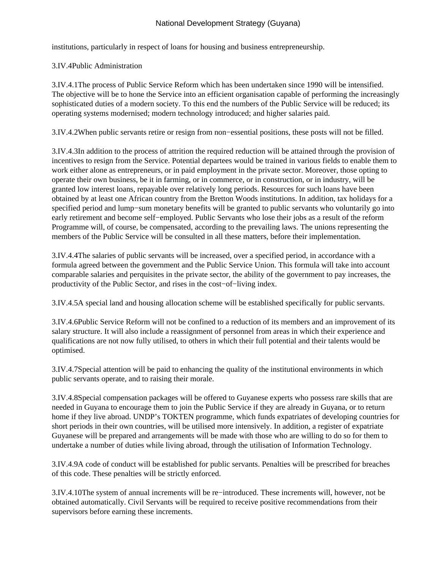institutions, particularly in respect of loans for housing and business entrepreneurship.

# 3.IV.4 Public Administration

3.IV.4.1 The process of Public Service Reform which has been undertaken since 1990 will be intensified. The objective will be to hone the Service into an efficient organisation capable of performing the increasingly sophisticated duties of a modern society. To this end the numbers of the Public Service will be reduced; its operating systems modernised; modern technology introduced; and higher salaries paid.

3.IV.4.2 When public servants retire or resign from non−essential positions, these posts will not be filled.

3.IV.4.3 In addition to the process of attrition the required reduction will be attained through the provision of incentives to resign from the Service. Potential departees would be trained in various fields to enable them to work either alone as entrepreneurs, or in paid employment in the private sector. Moreover, those opting to operate their own business, be it in farming, or in commerce, or in construction, or in industry, will be granted low interest loans, repayable over relatively long periods. Resources for such loans have been obtained by at least one African country from the Bretton Woods institutions. In addition, tax holidays for a specified period and lump–sum monetary benefits will be granted to public servants who voluntarily go into early retirement and become self−employed. Public Servants who lose their jobs as a result of the reform Programme will, of course, be compensated, according to the prevailing laws. The unions representing the members of the Public Service will be consulted in all these matters, before their implementation.

3.IV.4.4 The salaries of public servants will be increased, over a specified period, in accordance with a formula agreed between the government and the Public Service Union. This formula will take into account comparable salaries and perquisites in the private sector, the ability of the government to pay increases, the productivity of the Public Sector, and rises in the cost−of−living index.

3.IV.4.5 A special land and housing allocation scheme will be established specifically for public servants.

3.IV.4.6 Public Service Reform will not be confined to a reduction of its members and an improvement of its salary structure. It will also include a reassignment of personnel from areas in which their experience and qualifications are not now fully utilised, to others in which their full potential and their talents would be optimised.

3.IV.4.7 Special attention will be paid to enhancing the quality of the institutional environments in which public servants operate, and to raising their morale.

3.IV.4.8 Special compensation packages will be offered to Guyanese experts who possess rare skills that are needed in Guyana to encourage them to join the Public Service if they are already in Guyana, or to return home if they live abroad. UNDP's TOKTEN programme, which funds expatriates of developing countries for short periods in their own countries, will be utilised more intensively. In addition, a register of expatriate Guyanese will be prepared and arrangements will be made with those who are willing to do so for them to undertake a number of duties while living abroad, through the utilisation of Information Technology.

3.IV.4.9 A code of conduct will be established for public servants. Penalties will be prescribed for breaches of this code. These penalties will be strictly enforced.

3.IV.4.10 The system of annual increments will be re−introduced. These increments will, however, not be obtained automatically. Civil Servants will be required to receive positive recommendations from their supervisors before earning these increments.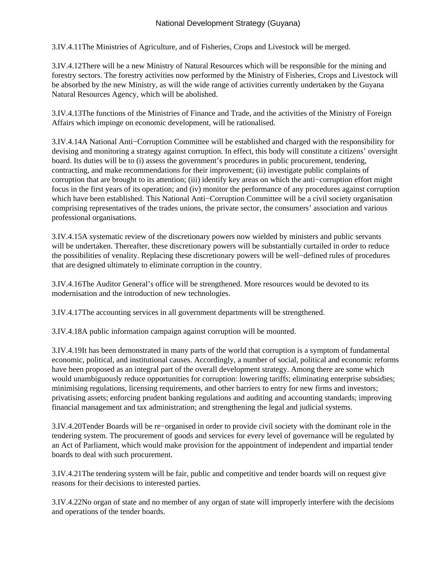3.IV.4.11 The Ministries of Agriculture, and of Fisheries, Crops and Livestock will be merged.

3.IV.4.12 There will be a new Ministry of Natural Resources which will be responsible for the mining and forestry sectors. The forestry activities now performed by the Ministry of Fisheries, Crops and Livestock will be absorbed by the new Ministry, as will the wide range of activities currently undertaken by the Guyana Natural Resources Agency, which will be abolished.

3.IV.4.13 The functions of the Ministries of Finance and Trade, and the activities of the Ministry of Foreign Affairs which impinge on economic development, will be rationalised.

3.IV.4.14 A National Anti−Corruption Committee will be established and charged with the responsibility for devising and monitoring a strategy against corruption. In effect, this body will constitute a citizens' oversight board. Its duties will be to (i) assess the government's procedures in public procurement, tendering, contracting, and make recommendations for their improvement; (ii) investigate public complaints of corruption that are brought to its attention; (iii) identify key areas on which the anti−corruption effort might focus in the first years of its operation; and (iv) monitor the performance of any procedures against corruption which have been established. This National Anti−Corruption Committee will be a civil society organisation comprising representatives of the trades unions, the private sector, the consumers' association and various professional organisations.

3.IV.4.15 A systematic review of the discretionary powers now wielded by ministers and public servants will be undertaken. Thereafter, these discretionary powers will be substantially curtailed in order to reduce the possibilities of venality. Replacing these discretionary powers will be well−defined rules of procedures that are designed ultimately to eliminate corruption in the country.

3.IV.4.16 The Auditor General's office will be strengthened. More resources would be devoted to its modernisation and the introduction of new technologies.

3.IV.4.17 The accounting services in all government departments will be strengthened.

3.IV.4.18 A public information campaign against corruption will be mounted.

3.IV.4.19 It has been demonstrated in many parts of the world that corruption is a symptom of fundamental economic, political, and institutional causes. Accordingly, a number of social, political and economic reforms have been proposed as an integral part of the overall development strategy. Among there are some which would unambiguously reduce opportunities for corruption: lowering tariffs; eliminating enterprise subsidies; minimising regulations, licensing requirements, and other barriers to entry for new firms and investors; privatising assets; enforcing prudent banking regulations and auditing and accounting standards; improving financial management and tax administration; and strengthening the legal and judicial systems.

3.IV.4.20 Tender Boards will be re−organised in order to provide civil society with the dominant role in the tendering system. The procurement of goods and services for every level of governance will be regulated by an Act of Parliament, which would make provision for the appointment of independent and impartial tender boards to deal with such procurement.

3.IV.4.21 The tendering system will be fair, public and competitive and tender boards will on request give reasons for their decisions to interested parties.

3.IV.4.22 No organ of state and no member of any organ of state will improperly interfere with the decisions and operations of the tender boards.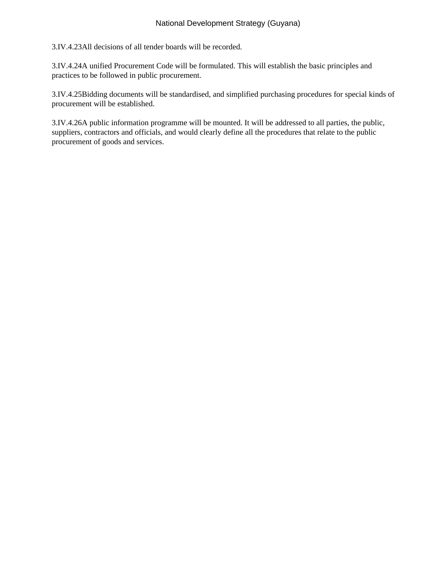3.IV.4.23 All decisions of all tender boards will be recorded.

3.IV.4.24 A unified Procurement Code will be formulated. This will establish the basic principles and practices to be followed in public procurement.

3.IV.4.25 Bidding documents will be standardised, and simplified purchasing procedures for special kinds of procurement will be established.

3.IV.4.26 A public information programme will be mounted. It will be addressed to all parties, the public, suppliers, contractors and officials, and would clearly define all the procedures that relate to the public procurement of goods and services.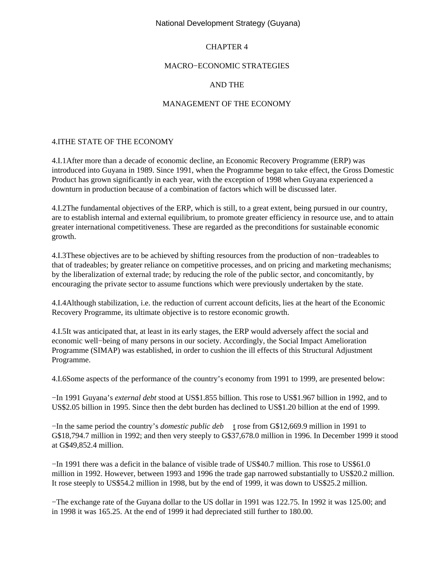## CHAPTER 4

### MACRO−ECONOMIC STRATEGIES

## AND THE

## MANAGEMENT OF THE ECONOMY

## 4.I THE STATE OF THE ECONOMY

4.I.1 After more than a decade of economic decline, an Economic Recovery Programme (ERP) was introduced into Guyana in 1989. Since 1991, when the Programme began to take effect, the Gross Domestic Product has grown significantly in each year, with the exception of 1998 when Guyana experienced a downturn in production because of a combination of factors which will be discussed later.

4.I.2 The fundamental objectives of the ERP, which is still, to a great extent, being pursued in our country, are to establish internal and external equilibrium, to promote greater efficiency in resource use, and to attain greater international competitiveness. These are regarded as the preconditions for sustainable economic growth.

4.I.3 These objectives are to be achieved by shifting resources from the production of non−tradeables to that of tradeables; by greater reliance on competitive processes, and on pricing and marketing mechanisms; by the liberalization of external trade; by reducing the role of the public sector, and concomitantly, by encouraging the private sector to assume functions which were previously undertaken by the state.

4.I.4 Although stabilization, i.e. the reduction of current account deficits, lies at the heart of the Economic Recovery Programme, its ultimate objective is to restore economic growth.

4.I.5 It was anticipated that, at least in its early stages, the ERP would adversely affect the social and economic well−being of many persons in our society. Accordingly, the Social Impact Amelioration Programme (SIMAP) was established, in order to cushion the ill effects of this Structural Adjustment Programme.

4.I.6 Some aspects of the performance of the country's economy from 1991 to 1999, are presented below:

 − In 1991 Guyana's *external debt* stood at US\$1.855 billion. This rose to US\$1.967 billion in 1992, and to US\$2.05 billion in 1995. Since then the debt burden has declined to US\$1.20 billion at the end of 1999.

− In the same period the country's *domestic public deb* t rose from G\$12,669.9 million in 1991 to G\$18,794.7 million in 1992; and then very steeply to G\$37,678.0 million in 1996. In December 1999 it stood at G\$49,852.4 million.

− In 1991 there was a deficit in the balance of visible trade of US\$40.7 million. This rose to US\$61.0 million in 1992. However, between 1993 and 1996 the trade gap narrowed substantially to US\$20.2 million. It rose steeply to US\$54.2 million in 1998, but by the end of 1999, it was down to US\$25.2 million.

− The exchange rate of the Guyana dollar to the US dollar in 1991 was 122.75. In 1992 it was 125.00; and in 1998 it was 165.25. At the end of 1999 it had depreciated still further to 180.00.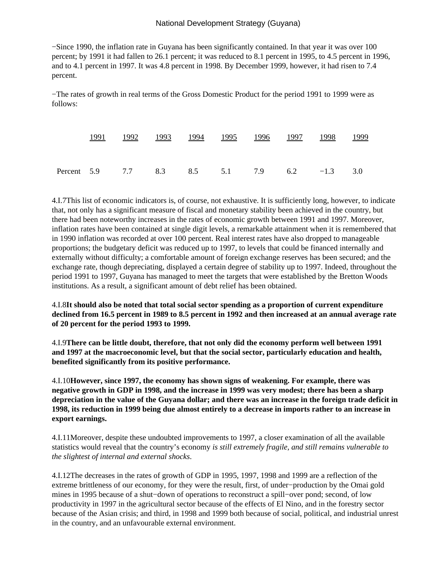− Since 1990, the inflation rate in Guyana has been significantly contained. In that year it was over 100 percent; by 1991 it had fallen to 26.1 percent; it was reduced to 8.1 percent in 1995, to 4.5 percent in 1996, and to 4.1 percent in 1997. It was 4.8 percent in 1998. By December 1999, however, it had risen to 7.4 percent.

− The rates of growth in real terms of the Gross Domestic Product for the period 1991 to 1999 were as follows:

|  |  |  |  | <u>1991 1992 1993 1994 1995 1996 1997 1998 1999</u> |  |
|--|--|--|--|-----------------------------------------------------|--|
|  |  |  |  |                                                     |  |
|  |  |  |  | Percent 5.9 7.7 8.3 8.5 5.1 7.9 6.2 -1.3 3.0        |  |

4.I.7 This list of economic indicators is, of course, not exhaustive. It is sufficiently long, however, to indicate that, not only has a significant measure of fiscal and monetary stability been achieved in the country, but there had been noteworthy increases in the rates of economic growth between 1991 and 1997. Moreover, inflation rates have been contained at single digit levels, a remarkable attainment when it is remembered that in 1990 inflation was recorded at over 100 percent. Real interest rates have also dropped to manageable proportions; the budgetary deficit was reduced up to 1997, to levels that could be financed internally and externally without difficulty; a comfortable amount of foreign exchange reserves has been secured; and the exchange rate, though depreciating, displayed a certain degree of stability up to 1997. Indeed, throughout the period 1991 to 1997, Guyana has managed to meet the targets that were established by the Bretton Woods institutions. As a result, a significant amount of debt relief has been obtained.

4.I.8 **It should also be noted that total social sector spending as a proportion of current expenditure declined from 16.5 percent in 1989 to 8.5 percent in 1992 and then increased at an annual average rate of 20 percent for the period 1993 to 1999.**

4.I.9 **There can be little doubt, therefore, that not only did the economy perform well between 1991 and 1997 at the macroeconomic level, but that the social sector, particularly education and health, benefited significantly from its positive performance.**

4.I.10 **However, since 1997, the economy has shown signs of weakening. For example, there was negative growth in GDP in 1998, and the increase in 1999 was very modest; there has been a sharp depreciation in the value of the Guyana dollar; and there was an increase in the foreign trade deficit in 1998, its reduction in 1999 being due almost entirely to a decrease in imports rather to an increase in export earnings.**

4.I.11 Moreover, despite these undoubted improvements to 1997, a closer examination of all the available statistics would reveal that the country's economy *is still extremely fragile, and still remains vulnerable to the slightest of internal and external shocks*.

4.I.12 The decreases in the rates of growth of GDP in 1995, 1997, 1998 and 1999 are a reflection of the extreme brittleness of our economy, for they were the result, first, of under−production by the Omai gold mines in 1995 because of a shut−down of operations to reconstruct a spill−over pond; second, of low productivity in 1997 in the agricultural sector because of the effects of El Nino, and in the forestry sector because of the Asian crisis; and third, in 1998 and 1999 both because of social, political, and industrial unrest in the country, and an unfavourable external environment.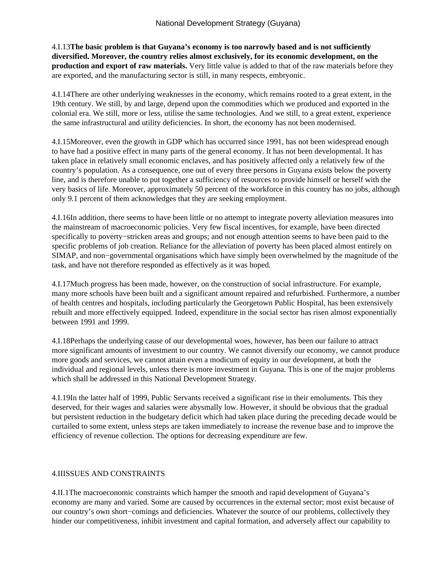4.I.13 **The basic problem is that Guyana's economy is too narrowly based and is not sufficiently diversified. Moreover, the country relies almost exclusively, for its economic development, on the production and export of raw materials.** Very little value is added to that of the raw materials before they are exported, and the manufacturing sector is still, in many respects, embryonic.

4.I.14 There are other underlying weaknesses in the economy, which remains rooted to a great extent, in the 19th century. We still, by and large, depend upon the commodities which we produced and exported in the colonial era. We still, more or less, utilise the same technologies. And we still, to a great extent, experience the same infrastructural and utility deficiencies. In short, the economy has not been modernised.

4.I.15 Moreover, even the growth in GDP which has occurred since 1991, has not been widespread enough to have had a positive effect in many parts of the general economy. It has not been developmental. It has taken place in relatively small economic enclaves, and has positively affected only a relatively few of the country's population. As a consequence, one out of every three persons in Guyana exists below the poverty line, and is therefore unable to put together a sufficiency of resources to provide himself or herself with the very basics of life. Moreover, approximately 50 percent of the workforce in this country has no jobs, although only 9.1 percent of them acknowledges that they are seeking employment.

4.I.16 In addition, there seems to have been little or no attempt to integrate poverty alleviation measures into the mainstream of macroeconomic policies. Very few fiscal incentives, for example, have been directed specifically to poverty−stricken areas and groups; and not enough attention seems to have been paid to the specific problems of job creation. Reliance for the alleviation of poverty has been placed almost entirely on SIMAP, and non−governmental organisations which have simply been overwhelmed by the magnitude of the task, and have not therefore responded as effectively as it was hoped.

4.I.17 Much progress has been made, however, on the construction of social infrastructure. For example, many more schools have been built and a significant amount repaired and refurbished. Furthermore, a number of health centres and hospitals, including particularly the Georgetown Public Hospital, has been extensively rebuilt and more effectively equipped. Indeed, expenditure in the social sector has risen almost exponentially between 1991 and 1999.

4.I.18 Perhaps the underlying cause of our developmental woes, however, has been our failure to attract more significant amounts of investment to our country. We cannot diversify our economy, we cannot produce more goods and services, we cannot attain even a modicum of equity in our development, at both the individual and regional levels, unless there is more investment in Guyana. This is one of the major problems which shall be addressed in this National Development Strategy.

4.I.19 In the latter half of 1999, Public Servants received a significant rise in their emoluments. This they deserved, for their wages and salaries were abysmally low. However, it should be obvious that the gradual but persistent reduction in the budgetary deficit which had taken place during the preceding decade would be curtailed to some extent, unless steps are taken immediately to increase the revenue base and to improve the efficiency of revenue collection. The options for decreasing expenditure are few.

## **4.II ISSUES AND CONSTRAINTS**

4.II.1 The macroeconomic constraints which hamper the smooth and rapid development of Guyana's economy are many and varied. Some are caused by occurrences in the external sector; most exist because of our country's own short−comings and deficiencies. Whatever the source of our problems, collectively they hinder our competitiveness, inhibit investment and capital formation, and adversely affect our capability to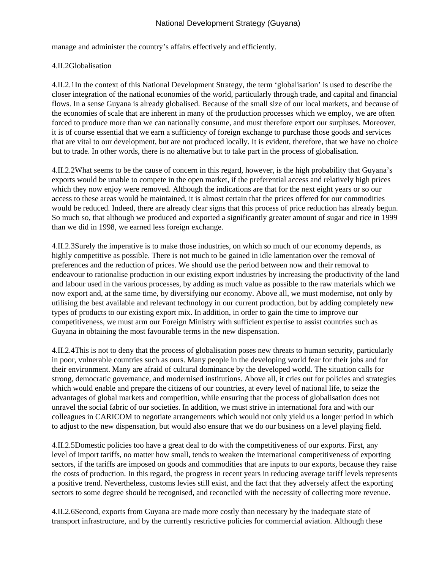manage and administer the country's affairs effectively and efficiently.

## 4.II.2 Globalisation

4.II.2.1 In the context of this National Development Strategy, the term 'globalisation' is used to describe the closer integration of the national economies of the world, particularly through trade, and capital and financial flows. In a sense Guyana is already globalised. Because of the small size of our local markets, and because of the economies of scale that are inherent in many of the production processes which we employ, we are often forced to produce more than we can nationally consume, and must therefore export our surpluses. Moreover, it is of course essential that we earn a sufficiency of foreign exchange to purchase those goods and services that are vital to our development, but are not produced locally. It is evident, therefore, that we have no choice but to trade. In other words, there is no alternative but to take part in the process of globalisation.

4.II.2.2 What seems to be the cause of concern in this regard, however, is the high probability that Guyana's exports would be unable to compete in the open market, if the preferential access and relatively high prices which they now enjoy were removed. Although the indications are that for the next eight years or so our access to these areas would be maintained, it is almost certain that the prices offered for our commodities would be reduced. Indeed, there are already clear signs that this process of price reduction has already begun. So much so, that although we produced and exported a significantly greater amount of sugar and rice in 1999 than we did in 1998, we earned less foreign exchange.

4.II.2.3 Surely the imperative is to make those industries, on which so much of our economy depends, as highly competitive as possible. There is not much to be gained in idle lamentation over the removal of preferences and the reduction of prices. We should use the period between now and their removal to endeavour to rationalise production in our existing export industries by increasing the productivity of the land and labour used in the various processes, by adding as much value as possible to the raw materials which we now export and, at the same time, by diversifying our economy. Above all, we must modernise, not only by utilising the best available and relevant technology in our current production, but by adding completely new types of products to our existing export mix. In addition, in order to gain the time to improve our competitiveness, we must arm our Foreign Ministry with sufficient expertise to assist countries such as Guyana in obtaining the most favourable terms in the new dispensation.

4.II.2.4 This is not to deny that the process of globalisation poses new threats to human security, particularly in poor, vulnerable countries such as ours. Many people in the developing world fear for their jobs and for their environment. Many are afraid of cultural dominance by the developed world. The situation calls for strong, democratic governance, and modernised institutions. Above all, it cries out for policies and strategies which would enable and prepare the citizens of our countries, at every level of national life, to seize the advantages of global markets and competition, while ensuring that the process of globalisation does not unravel the social fabric of our societies. In addition, we must strive in international fora and with our colleagues in CARICOM to negotiate arrangements which would not only yield us a longer period in which to adjust to the new dispensation, but would also ensure that we do our business on a level playing field.

4.II.2.5 Domestic policies too have a great deal to do with the competitiveness of our exports. First, any level of import tariffs, no matter how small, tends to weaken the international competitiveness of exporting sectors, if the tariffs are imposed on goods and commodities that are inputs to our exports, because they raise the costs of production. In this regard, the progress in recent years in reducing average tariff levels represents a positive trend. Nevertheless, customs levies still exist, and the fact that they adversely affect the exporting sectors to some degree should be recognised, and reconciled with the necessity of collecting more revenue.

4.II.2.6 Second, exports from Guyana are made more costly than necessary by the inadequate state of transport infrastructure, and by the currently restrictive policies for commercial aviation. Although these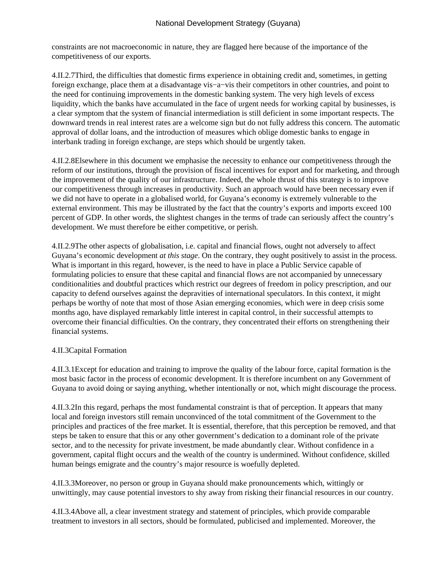constraints are not macroeconomic in nature, they are flagged here because of the importance of the competitiveness of our exports.

4.II.2.7 Third, the difficulties that domestic firms experience in obtaining credit and, sometimes, in getting foreign exchange, place them at a disadvantage vis−a−vis their competitors in other countries, and point to the need for continuing improvements in the domestic banking system. The very high levels of excess liquidity, which the banks have accumulated in the face of urgent needs for working capital by businesses, is a clear symptom that the system of financial intermediation is still deficient in some important respects. The downward trends in real interest rates are a welcome sign but do not fully address this concern. The automatic approval of dollar loans, and the introduction of measures which oblige domestic banks to engage in interbank trading in foreign exchange, are steps which should be urgently taken.

4.II.2.8 Elsewhere in this document we emphasise the necessity to enhance our competitiveness through the reform of our institutions, through the provision of fiscal incentives for export and for marketing, and through the improvement of the quality of our infrastructure. Indeed, the whole thrust of this strategy is to improve our competitiveness through increases in productivity. Such an approach would have been necessary even if we did not have to operate in a globalised world, for Guyana's economy is extremely vulnerable to the external environment. This may be illustrated by the fact that the country's exports and imports exceed 100 percent of GDP. In other words, the slightest changes in the terms of trade can seriously affect the country's development. We must therefore be either competitive, or perish.

4.II.2.9 The other aspects of globalisation, i.e. capital and financial flows, ought not adversely to affect Guyana's economic development *at this stage*. On the contrary, they ought positively to assist in the process. What is important in this regard, however, is the need to have in place a Public Service capable of formulating policies to ensure that these capital and financial flows are not accompanied by unnecessary conditionalities and doubtful practices which restrict our degrees of freedom in policy prescription, and our capacity to defend ourselves against the depravities of international speculators. In this context, it might perhaps be worthy of note that most of those Asian emerging economies, which were in deep crisis some months ago, have displayed remarkably little interest in capital control, in their successful attempts to overcome their financial difficulties. On the contrary, they concentrated their efforts on strengthening their financial systems.

# 4.II.3 Capital Formation

4.II.3.1 Except for education and training to improve the quality of the labour force, capital formation is the most basic factor in the process of economic development. It is therefore incumbent on any Government of Guyana to avoid doing or saying anything, whether intentionally or not, which might discourage the process.

4.II.3.2 In this regard, perhaps the most fundamental constraint is that of perception. It appears that many local and foreign investors still remain unconvinced of the total commitment of the Government to the principles and practices of the free market. It is essential, therefore, that this perception be removed, and that steps be taken to ensure that this or any other government's dedication to a dominant role of the private sector, and to the necessity for private investment, be made abundantly clear. Without confidence in a government, capital flight occurs and the wealth of the country is undermined. Without confidence, skilled human beings emigrate and the country's major resource is woefully depleted.

4.II.3.3 Moreover, no person or group in Guyana should make pronouncements which, wittingly or unwittingly, may cause potential investors to shy away from risking their financial resources in our country.

4.II.3.4 Above all, a clear investment strategy and statement of principles, which provide comparable treatment to investors in all sectors, should be formulated, publicised and implemented. Moreover, the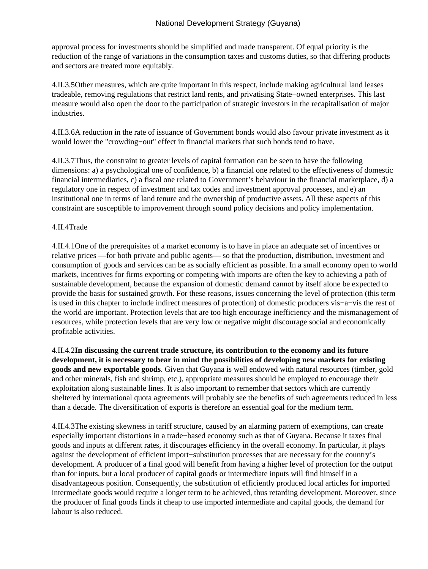approval process for investments should be simplified and made transparent. Of equal priority is the reduction of the range of variations in the consumption taxes and customs duties, so that differing products and sectors are treated more equitably.

4.II.3.5 Other measures, which are quite important in this respect, include making agricultural land leases tradeable, removing regulations that restrict land rents, and privatising State−owned enterprises. This last measure would also open the door to the participation of strategic investors in the recapitalisation of major industries.

4.II.3.6 A reduction in the rate of issuance of Government bonds would also favour private investment as it would lower the "crowding−out" effect in financial markets that such bonds tend to have.

4.II.3.7 Thus, the constraint to greater levels of capital formation can be seen to have the following dimensions: a) a psychological one of confidence, b) a financial one related to the effectiveness of domestic financial intermediaries, c) a fiscal one related to Government's behaviour in the financial marketplace, d) a regulatory one in respect of investment and tax codes and investment approval processes, and e) an institutional one in terms of land tenure and the ownership of productive assets. All these aspects of this constraint are susceptible to improvement through sound policy decisions and policy implementation.

# 4.II.4 Trade

4.II.4.1 One of the prerequisites of a market economy is to have in place an adequate set of incentives or relative prices —for both private and public agents— so that the production, distribution, investment and consumption of goods and services can be as socially efficient as possible. In a small economy open to world markets, incentives for firms exporting or competing with imports are often the key to achieving a path of sustainable development, because the expansion of domestic demand cannot by itself alone be expected to provide the basis for sustained growth. For these reasons, issues concerning the level of protection (this term is used in this chapter to include indirect measures of protection) of domestic producers vis−a−vis the rest of the world are important. Protection levels that are too high encourage inefficiency and the mismanagement of resources, while protection levels that are very low or negative might discourage social and economically profitable activities.

4.II.4.2 **In discussing the current trade structure, its contribution to the economy and its future development, it is necessary to bear in mind the possibilities of developing new markets for existing goods and new exportable goods**. Given that Guyana is well endowed with natural resources (timber, gold and other minerals, fish and shrimp, etc.), appropriate measures should be employed to encourage their exploitation along sustainable lines. It is also important to remember that sectors which are currently sheltered by international quota agreements will probably see the benefits of such agreements reduced in less than a decade. The diversification of exports is therefore an essential goal for the medium term.

4.II.4.3 The existing skewness in tariff structure, caused by an alarming pattern of exemptions, can create especially important distortions in a trade−based economy such as that of Guyana. Because it taxes final goods and inputs at different rates, it discourages efficiency in the overall economy. In particular, it plays against the development of efficient import−substitution processes that are necessary for the country's development. A producer of a final good will benefit from having a higher level of protection for the output than for inputs, but a local producer of capital goods or intermediate inputs will find himself in a disadvantageous position. Consequently, the substitution of efficiently produced local articles for imported intermediate goods would require a longer term to be achieved, thus retarding development. Moreover, since the producer of final goods finds it cheap to use imported intermediate and capital goods, the demand for labour is also reduced.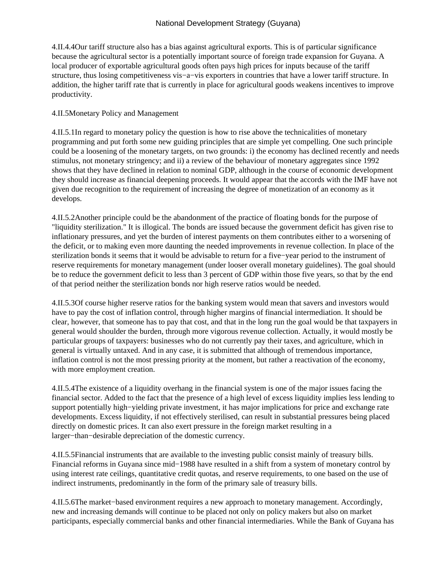4.II.4.4 Our tariff structure also has a bias against agricultural exports. This is of particular significance because the agricultural sector is a potentially important source of foreign trade expansion for Guyana. A local producer of exportable agricultural goods often pays high prices for inputs because of the tariff structure, thus losing competitiveness vis−a−vis exporters in countries that have a lower tariff structure. In addition, the higher tariff rate that is currently in place for agricultural goods weakens incentives to improve productivity.

## 4.II.5 Monetary Policy and Management

4.II.5.1 In regard to monetary policy the question is how to rise above the technicalities of monetary programming and put forth some new guiding principles that are simple yet compelling. One such principle could be a loosening of the monetary targets, on two grounds: i) the economy has declined recently and needs stimulus, not monetary stringency; and ii) a review of the behaviour of monetary aggregates since 1992 shows that they have declined in relation to nominal GDP, although in the course of economic development they should increase as financial deepening proceeds. It would appear that the accords with the IMF have not given due recognition to the requirement of increasing the degree of monetization of an economy as it develops.

4.II.5.2 Another principle could be the abandonment of the practice of floating bonds for the purpose of "liquidity sterilization." It is illogical. The bonds are issued because the government deficit has given rise to inflationary pressures, and yet the burden of interest payments on them contributes either to a worsening of the deficit, or to making even more daunting the needed improvements in revenue collection. In place of the sterilization bonds it seems that it would be advisable to return for a five−year period to the instrument of reserve requirements for monetary management (under looser overall monetary guidelines). The goal should be to reduce the government deficit to less than 3 percent of GDP within those five years, so that by the end of that period neither the sterilization bonds nor high reserve ratios would be needed.

4.II.5.3 Of course higher reserve ratios for the banking system would mean that savers and investors would have to pay the cost of inflation control, through higher margins of financial intermediation. It should be clear, however, that someone has to pay that cost, and that in the long run the goal would be that taxpayers in general would shoulder the burden, through more vigorous revenue collection. Actually, it would mostly be particular groups of taxpayers: businesses who do not currently pay their taxes, and agriculture, which in general is virtually untaxed. And in any case, it is submitted that although of tremendous importance, inflation control is not the most pressing priority at the moment, but rather a reactivation of the economy, with more employment creation.

4.II.5.4 The existence of a liquidity overhang in the financial system is one of the major issues facing the financial sector. Added to the fact that the presence of a high level of excess liquidity implies less lending to support potentially high−yielding private investment, it has major implications for price and exchange rate developments. Excess liquidity, if not effectively sterilised, can result in substantial pressures being placed directly on domestic prices. It can also exert pressure in the foreign market resulting in a larger−than−desirable depreciation of the domestic currency.

4.II.5.5 Financial instruments that are available to the investing public consist mainly of treasury bills. Financial reforms in Guyana since mid−1988 have resulted in a shift from a system of monetary control by using interest rate ceilings, quantitative credit quotas, and reserve requirements, to one based on the use of indirect instruments, predominantly in the form of the primary sale of treasury bills.

4.II.5.6 The market−based environment requires a new approach to monetary management. Accordingly, new and increasing demands will continue to be placed not only on policy makers but also on market participants, especially commercial banks and other financial intermediaries. While the Bank of Guyana has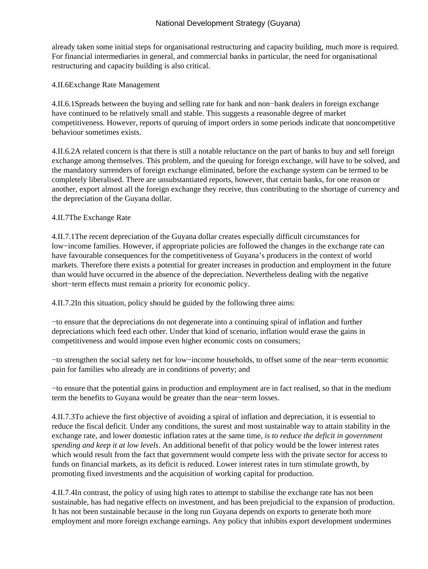already taken some initial steps for organisational restructuring and capacity building, much more is required. For financial intermediaries in general, and commercial banks in particular, the need for organisational restructuring and capacity building is also critical.

4.II.6 Exchange Rate Management

4.II.6.1 Spreads between the buying and selling rate for bank and non−bank dealers in foreign exchange have continued to be relatively small and stable. This suggests a reasonable degree of market competitiveness. However, reports of queuing of import orders in some periods indicate that noncompetitive behaviour sometimes exists.

4.II.6.2 A related concern is that there is still a notable reluctance on the part of banks to buy and sell foreign exchange among themselves. This problem, and the queuing for foreign exchange, will have to be solved, and the mandatory surrenders of foreign exchange eliminated, before the exchange system can be termed to be completely liberalised. There are unsubstantiated reports, however, that certain banks, for one reason or another, export almost all the foreign exchange they receive, thus contributing to the shortage of currency and the depreciation of the Guyana dollar.

## 4.II.7 The Exchange Rate

4.II.7.1 The recent depreciation of the Guyana dollar creates especially difficult circumstances for low−income families. However, if appropriate policies are followed the changes in the exchange rate can have favourable consequences for the competitiveness of Guyana's producers in the context of world markets. Therefore there exists a potential for greater increases in production and employment in the future than would have occurred in the absence of the depreciation. Nevertheless dealing with the negative short−term effects must remain a priority for economic policy.

4.II.7.2 In this situation, policy should be guided by the following three aims:

− to ensure that the depreciations do not degenerate into a continuing spiral of inflation and further depreciations which feed each other. Under that kind of scenario, inflation would erase the gains in competitiveness and would impose even higher economic costs on consumers;

− to strengthen the social safety net for low−income households, to offset some of the near-term economic pain for families who already are in conditions of poverty; and

− to ensure that the potential gains in production and employment are in fact realised, so that in the medium term the benefits to Guyana would be greater than the near−term losses.

4.II.7.3 To achieve the first objective of avoiding a spiral of inflation and depreciation, it is essential to reduce the fiscal deficit. Under any conditions, the surest and most sustainable way to attain stability in the exchange rate, and lower domestic inflation rates at the same time, *is to reduce the deficit in government spending and keep it at low levels*. An additional benefit of that policy would be the lower interest rates which would result from the fact that government would compete less with the private sector for access to funds on financial markets, as its deficit is reduced. Lower interest rates in turn stimulate growth, by promoting fixed investments and the acquisition of working capital for production.

4.II.7.4 In contrast, the policy of using high rates to attempt to stabilise the exchange rate has not been sustainable, has had negative effects on investment, and has been prejudicial to the expansion of production. It has not been sustainable because in the long run Guyana depends on exports to generate both more employment and more foreign exchange earnings. Any policy that inhibits export development undermines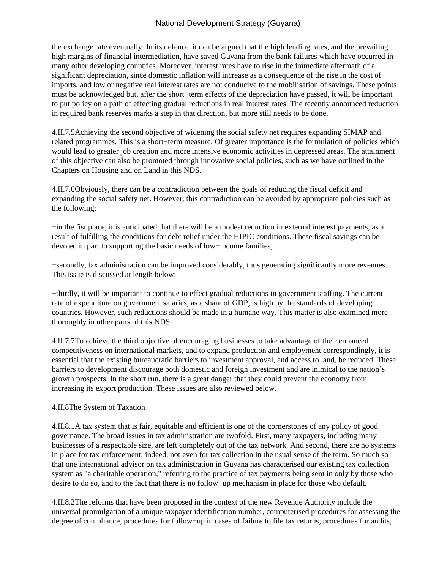the exchange rate eventually. In its defence, it can be argued that the high lending rates, and the prevailing high margins of financial intermediation, have saved Guyana from the bank failures which have occurred in many other developing countries. Moreover, interest rates have to rise in the immediate aftermath of a significant depreciation, since domestic inflation will increase as a consequence of the rise in the cost of imports, and low or negative real interest rates are not conducive to the mobilisation of savings. These points must be acknowledged but, after the short−term effects of the depreciation have passed, it will be important to put policy on a path of effecting gradual reductions in real interest rates. The recently announced reduction in required bank reserves marks a step in that direction, but more still needs to be done.

4.II.7.5 Achieving the second objective of widening the social safety net requires expanding SIMAP and related programmes. This is a short−term measure. Of greater importance is the formulation of policies which would lead to greater job creation and more intensive economic activities in depressed areas. The attainment of this objective can also be promoted through innovative social policies, such as we have outlined in the Chapters on Housing and on Land in this NDS.

4.II.7.6 Obviously, there can be a contradiction between the goals of reducing the fiscal deficit and expanding the social safety net. However, this contradiction can be avoided by appropriate policies such as the following:

− in the fist place, it is anticipated that there will be a modest reduction in external interest payments, as a result of fulfilling the conditions for debt relief under the HIPIC conditions. These fiscal savings can be devoted in part to supporting the basic needs of low−income families;

− secondly, tax administration can be improved considerably, thus generating significantly more revenues. This issue is discussed at length below;

− thirdly, it will be important to continue to effect gradual reductions in government staffing. The current rate of expenditure on government salaries, as a share of GDP, is high by the standards of developing countries. However, such reductions should be made in a humane way. This matter is also examined more thoroughly in other parts of this NDS.

4.II.7.7 To achieve the third objective of encouraging businesses to take advantage of their enhanced competitiveness on international markets, and to expand production and employment correspondingly, it is essential that the existing bureaucratic barriers to investment approval, and access to land, be reduced. These barriers to development discourage both domestic and foreign investment and are inimical to the nation's growth prospects. In the short run, there is a great danger that they could prevent the economy from increasing its export production. These issues are also reviewed below.

### 4.II.8 The System of Taxation

4.II.8.1 A tax system that is fair, equitable and efficient is one of the cornerstones of any policy of good governance. The broad issues in tax administration are twofold. First, many taxpayers, including many businesses of a respectable size, are left completely out of the tax network. And second, there are no systems in place for tax enforcement; indeed, not even for tax collection in the usual sense of the term. So much so that one international advisor on tax administration in Guyana has characterised our existing tax collection system as "a charitable operation," referring to the practice of tax payments being sent in only by those who desire to do so, and to the fact that there is no follow−up mechanism in place for those who default.

4.II.8.2 The reforms that have been proposed in the context of the new Revenue Authority include the universal promulgation of a unique taxpayer identification number, computerised procedures for assessing the degree of compliance, procedures for follow−up in cases of failure to file tax returns, procedures for audits,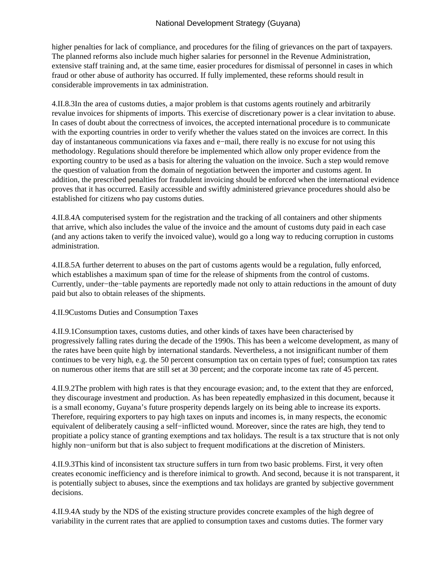higher penalties for lack of compliance, and procedures for the filing of grievances on the part of taxpayers. The planned reforms also include much higher salaries for personnel in the Revenue Administration, extensive staff training and, at the same time, easier procedures for dismissal of personnel in cases in which fraud or other abuse of authority has occurred. If fully implemented, these reforms should result in considerable improvements in tax administration.

4.II.8.3 In the area of customs duties, a major problem is that customs agents routinely and arbitrarily revalue invoices for shipments of imports. This exercise of discretionary power is a clear invitation to abuse. In cases of doubt about the correctness of invoices, the accepted international procedure is to communicate with the exporting countries in order to verify whether the values stated on the invoices are correct. In this day of instantaneous communications via faxes and e−mail, there really is no excuse for not using this methodology. Regulations should therefore be implemented which allow only proper evidence from the exporting country to be used as a basis for altering the valuation on the invoice. Such a step would remove the question of valuation from the domain of negotiation between the importer and customs agent. In addition, the prescribed penalties for fraudulent invoicing should be enforced when the international evidence proves that it has occurred. Easily accessible and swiftly administered grievance procedures should also be established for citizens who pay customs duties.

4.II.8.4 A computerised system for the registration and the tracking of all containers and other shipments that arrive, which also includes the value of the invoice and the amount of customs duty paid in each case (and any actions taken to verify the invoiced value), would go a long way to reducing corruption in customs administration.

4.II.8.5 A further deterrent to abuses on the part of customs agents would be a regulation, fully enforced, which establishes a maximum span of time for the release of shipments from the control of customs. Currently, under−the−table payments are reportedly made not only to attain reductions in the amount of duty paid but also to obtain releases of the shipments.

4.II.9 Customs Duties and Consumption Taxes

4.II.9.1 Consumption taxes, customs duties, and other kinds of taxes have been characterised by progressively falling rates during the decade of the 1990s. This has been a welcome development, as many of the rates have been quite high by international standards. Nevertheless, a not insignificant number of them continues to be very high, e.g. the 50 percent consumption tax on certain types of fuel; consumption tax rates on numerous other items that are still set at 30 percent; and the corporate income tax rate of 45 percent.

4.II.9.2 The problem with high rates is that they encourage evasion; and, to the extent that they are enforced, they discourage investment and production. As has been repeatedly emphasized in this document, because it is a small economy, Guyana's future prosperity depends largely on its being able to increase its exports. Therefore, requiring exporters to pay high taxes on inputs and incomes is, in many respects, the economic equivalent of deliberately causing a self-inflicted wound. Moreover, since the rates are high, they tend to propitiate a policy stance of granting exemptions and tax holidays. The result is a tax structure that is not only highly non−uniform but that is also subject to frequent modifications at the discretion of Ministers.

4.II.9.3 This kind of inconsistent tax structure suffers in turn from two basic problems. First, it very often creates economic inefficiency and is therefore inimical to growth. And second, because it is not transparent, it is potentially subject to abuses, since the exemptions and tax holidays are granted by subjective government decisions.

4.II.9.4 A study by the NDS of the existing structure provides concrete examples of the high degree of variability in the current rates that are applied to consumption taxes and customs duties. The former vary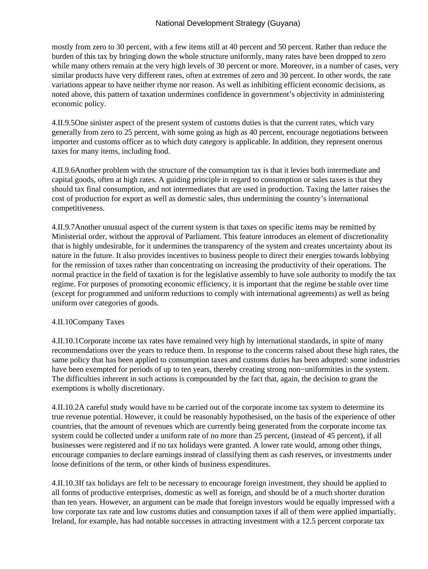mostly from zero to 30 percent, with a few items still at 40 percent and 50 percent. Rather than reduce the burden of this tax by bringing down the whole structure uniformly, many rates have been dropped to zero while many others remain at the very high levels of 30 percent or more. Moreover, in a number of cases, very similar products have very different rates, often at extremes of zero and 30 percent. In other words, the rate variations appear to have neither rhyme nor reason. As well as inhibiting efficient economic decisions, as noted above, this pattern of taxation undermines confidence in government's objectivity in administering economic policy.

4.II.9.5 One sinister aspect of the present system of customs duties is that the current rates, which vary generally from zero to 25 percent, with some going as high as 40 percent, encourage negotiations between importer and customs officer as to which duty category is applicable. In addition, they represent onerous taxes for many items, including food.

4.II.9.6 Another problem with the structure of the consumption tax is that it levies both intermediate and capital goods, often at high rates. A guiding principle in regard to consumption or sales taxes is that they should tax final consumption, and not intermediates that are used in production. Taxing the latter raises the cost of production for export as well as domestic sales, thus undermining the country's international competitiveness.

4.II.9.7 Another unusual aspect of the current system is that taxes on specific items may be remitted by Ministerial order, without the approval of Parliament. This feature introduces an element of discretionality that is highly undesirable, for it undermines the transparency of the system and creates uncertainty about its nature in the future. It also provides incentives to business people to direct their energies towards lobbying for the remission of taxes rather than concentrating on increasing the productivity of their operations. The normal practice in the field of taxation is for the legislative assembly to have sole authority to modify the tax regime. For purposes of promoting economic efficiency, it is important that the regime be stable over time (except for programmed and uniform reductions to comply with international agreements) as well as being uniform over categories of goods.

# 4.II.10 Company Taxes

4.II.10.1 Corporate income tax rates have remained very high by international standards, in spite of many recommendations over the years to reduce them. In response to the concerns raised about these high rates, the same policy that has been applied to consumption taxes and customs duties has been adopted: some industries have been exempted for periods of up to ten years, thereby creating strong non−uniformities in the system. The difficulties inherent in such actions is compounded by the fact that, again, the decision to grant the exemptions is wholly discretionary.

4.II.10.2 A careful study would have to be carried out of the corporate income tax system to determine its true revenue potential. However, it could be reasonably hypothesised, on the basis of the experience of other countries, that the amount of revenues which are currently being generated from the corporate income tax system could be collected under a uniform rate of no more than 25 percent, (instead of 45 percent), if all businesses were registered and if no tax holidays were granted. A lower rate would, among other things, encourage companies to declare earnings instead of classifying them as cash reserves, or investments under loose definitions of the term, or other kinds of business expenditures.

4.II.10.3 If tax holidays are felt to be necessary to encourage foreign investment, they should be applied to all forms of productive enterprises, domestic as well as foreign, and should be of a much shorter duration than ten years. However, an argument can be made that foreign investors would be equally impressed with a low corporate tax rate and low customs duties and consumption taxes if all of them were applied impartially. Ireland, for example, has had notable successes in attracting investment with a 12.5 percent corporate tax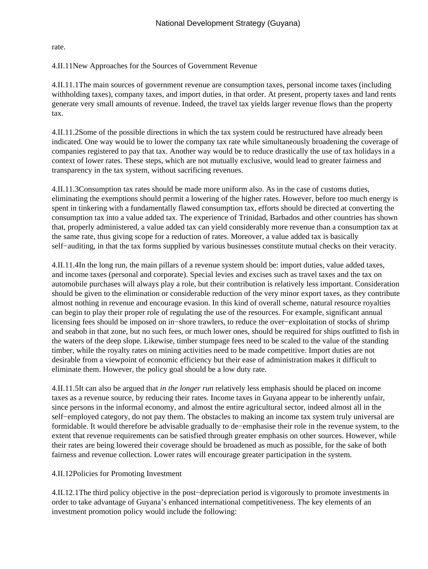rate.

4.II.11 New Approaches for the Sources of Government Revenue

4.II.11.1 The main sources of government revenue are consumption taxes, personal income taxes (including withholding taxes), company taxes, and import duties, in that order. At present, property taxes and land rents generate very small amounts of revenue. Indeed, the travel tax yields larger revenue flows than the property tax.

4.II.11.2 Some of the possible directions in which the tax system could be restructured have already been indicated. One way would be to lower the company tax rate while simultaneously broadening the coverage of companies registered to pay that tax. Another way would be to reduce drastically the use of tax holidays in a context of lower rates. These steps, which are not mutually exclusive, would lead to greater fairness and transparency in the tax system, without sacrificing revenues.

4.II.11.3 Consumption tax rates should be made more uniform also. As in the case of customs duties, eliminating the exemptions should permit a lowering of the higher rates. However, before too much energy is spent in tinkering with a fundamentally flawed consumption tax, efforts should be directed at converting the consumption tax into a value added tax. The experience of Trinidad, Barbados and other countries has shown that, properly administered, a value added tax can yield considerably more revenue than a consumption tax at the same rate, thus giving scope for a reduction of rates. Moreover, a value added tax is basically self−auditing, in that the tax forms supplied by various businesses constitute mutual checks on their veracity.

4.II.11.4 In the long run, the main pillars of a revenue system should be: import duties, value added taxes, and income taxes (personal and corporate). Special levies and excises such as travel taxes and the tax on automobile purchases will always play a role, but their contribution is relatively less important. Consideration should be given to the elimination or considerable reduction of the very minor export taxes, as they contribute almost nothing in revenue and encourage evasion. In this kind of overall scheme, natural resource royalties can begin to play their proper role of regulating the use of the resources. For example, significant annual licensing fees should be imposed on in−shore trawlers, to reduce the over−exploitation of stocks of shrimp and seabob in that zone, but no such fees, or much lower ones, should be required for ships outfitted to fish in the waters of the deep slope. Likewise, timber stumpage fees need to be scaled to the value of the standing timber, while the royalty rates on mining activities need to be made competitive. Import duties are not desirable from a viewpoint of economic efficiency but their ease of administration makes it difficult to eliminate them. However, the policy goal should be a low duty rate.

4.II.11.5 It can also be argued that *in the longer run* relatively less emphasis should be placed on income taxes as a revenue source, by reducing their rates. Income taxes in Guyana appear to be inherently unfair, since persons in the informal economy, and almost the entire agricultural sector, indeed almost all in the self−employed category, do not pay them. The obstacles to making an income tax system truly universal are formidable. It would therefore be advisable gradually to de−emphasise their role in the revenue system, to the extent that revenue requirements can be satisfied through greater emphasis on other sources. However, while their rates are being lowered their coverage should be broadened as much as possible, for the sake of both fairness and revenue collection. Lower rates will encourage greater participation in the system.

4.II.12 Policies for Promoting Investment

4.II.12.1 The third policy objective in the post−depreciation period is vigorously to promote investments in order to take advantage of Guyana's enhanced international competitiveness. The key elements of an investment promotion policy would include the following: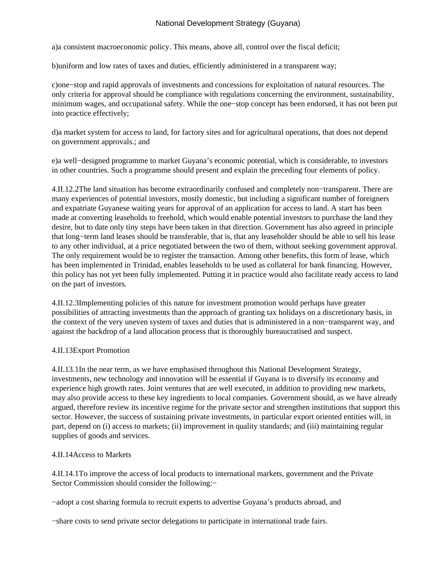a) a consistent macroeconomic policy. This means, above all, control over the fiscal deficit;

b) uniform and low rates of taxes and duties, efficiently administered in a transparent way;

c) one–stop and rapid approvals of investments and concessions for exploitation of natural resources. The only criteria for approval should be compliance with regulations concerning the environment, sustainability, minimum wages, and occupational safety. While the one−stop concept has been endorsed, it has not been put into practice effectively;

d) a market system for access to land, for factory sites and for agricultural operations, that does not depend on government approvals.; and

e) a well–designed programme to market Guyana's economic potential, which is considerable, to investors in other countries. Such a programme should present and explain the preceding four elements of policy.

4.II.12.2 The land situation has become extraordinarily confused and completely non−transparent. There are many experiences of potential investors, mostly domestic, but including a significant number of foreigners and expatriate Guyanese waiting years for approval of an application for access to land. A start has been made at converting leaseholds to freehold, which would enable potential investors to purchase the land they desire, but to date only tiny steps have been taken in that direction. Government has also agreed in principle that long−term land leases should be transferable, that is, that any leaseholder should be able to sell his lease to any other individual, at a price negotiated between the two of them, without seeking government approval. The only requirement would be to register the transaction. Among other benefits, this form of lease, which has been implemented in Trinidad, enables leaseholds to be used as collateral for bank financing. However, this policy has not yet been fully implemented. Putting it in practice would also facilitate ready access to land on the part of investors.

4.II.12.3 Implementing policies of this nature for investment promotion would perhaps have greater possibilities of attracting investments than the approach of granting tax holidays on a discretionary basis, in the context of the very uneven system of taxes and duties that is administered in a non−transparent way, and against the backdrop of a land allocation process that is thoroughly bureaucratised and suspect.

# 4.II.13 Export Promotion

4.II.13.1 In the near term, as we have emphasised throughout this National Development Strategy, investments, new technology and innovation will be essential if Guyana is to diversify its economy and experience high growth rates. Joint ventures that are well executed, in addition to providing new markets, may also provide access to these key ingredients to local companies. Government should, as we have already argued, therefore review its incentive regime for the private sector and strengthen institutions that support this sector. However, the success of sustaining private investments, in particular export oriented entities will, in part, depend on (i) access to markets; (ii) improvement in quality standards; and (iii) maintaining regular supplies of goods and services.

# 4.II.14 Access to Markets

4.II.14.1 To improve the access of local products to international markets, government and the Private Sector Commission should consider the following:−

− adopt a cost sharing formula to recruit experts to advertise Guyana's products abroad, and

− share costs to send private sector delegations to participate in international trade fairs.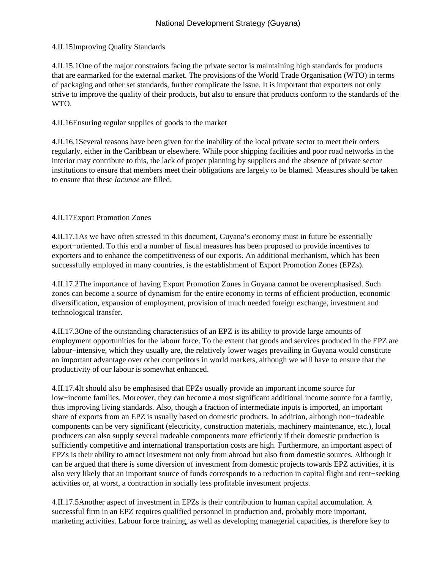# 4.II.15 Improving Quality Standards

4.II.15.1 One of the major constraints facing the private sector is maintaining high standards for products that are earmarked for the external market. The provisions of the World Trade Organisation (WTO) in terms of packaging and other set standards, further complicate the issue. It is important that exporters not only strive to improve the quality of their products, but also to ensure that products conform to the standards of the WTO.

# 4.II.16 Ensuring regular supplies of goods to the market

4.II.16.1 Several reasons have been given for the inability of the local private sector to meet their orders regularly, either in the Caribbean or elsewhere. While poor shipping facilities and poor road networks in the interior may contribute to this, the lack of proper planning by suppliers and the absence of private sector institutions to ensure that members meet their obligations are largely to be blamed. Measures should be taken to ensure that these *lacunae* are filled.

## 4.II.17 Export Promotion Zones

4.II.17.1 As we have often stressed in this document, Guyana's economy must in future be essentially export−oriented. To this end a number of fiscal measures has been proposed to provide incentives to exporters and to enhance the competitiveness of our exports. An additional mechanism, which has been successfully employed in many countries, is the establishment of Export Promotion Zones (EPZs).

4.II.17.2 The importance of having Export Promotion Zones in Guyana cannot be overemphasised. Such zones can become a source of dynamism for the entire economy in terms of efficient production, economic diversification, expansion of employment, provision of much needed foreign exchange, investment and technological transfer.

4.II.17.3 One of the outstanding characteristics of an EPZ is its ability to provide large amounts of employment opportunities for the labour force. To the extent that goods and services produced in the EPZ are labour−intensive, which they usually are, the relatively lower wages prevailing in Guyana would constitute an important advantage over other competitors in world markets, although we will have to ensure that the productivity of our labour is somewhat enhanced.

4.II.17.4 It should also be emphasised that EPZs usually provide an important income source for low−income families. Moreover, they can become a most significant additional income source for a family, thus improving living standards. Also, though a fraction of intermediate inputs is imported, an important share of exports from an EPZ is usually based on domestic products. In addition, although non−tradeable components can be very significant (electricity, construction materials, machinery maintenance, etc.), local producers can also supply several tradeable components more efficiently if their domestic production is sufficiently competitive and international transportation costs are high. Furthermore, an important aspect of EPZs is their ability to attract investment not only from abroad but also from domestic sources. Although it can be argued that there is some diversion of investment from domestic projects towards EPZ activities, it is also very likely that an important source of funds corresponds to a reduction in capital flight and rent−seeking activities or, at worst, a contraction in socially less profitable investment projects.

4.II.17.5 Another aspect of investment in EPZs is their contribution to human capital accumulation. A successful firm in an EPZ requires qualified personnel in production and, probably more important, marketing activities. Labour force training, as well as developing managerial capacities, is therefore key to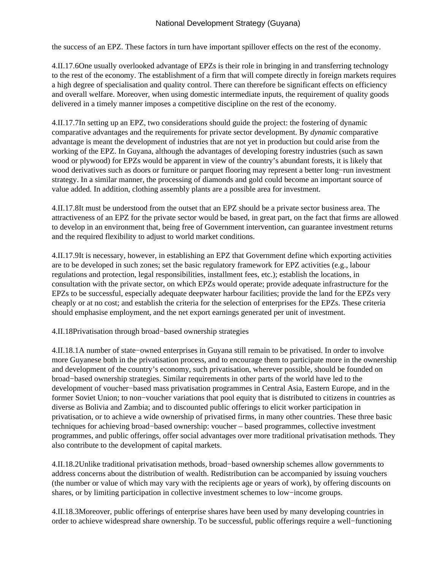the success of an EPZ. These factors in turn have important spillover effects on the rest of the economy.

4.II.17.6 One usually overlooked advantage of EPZs is their role in bringing in and transferring technology to the rest of the economy. The establishment of a firm that will compete directly in foreign markets requires a high degree of specialisation and quality control. There can therefore be significant effects on efficiency and overall welfare. Moreover, when using domestic intermediate inputs, the requirement of quality goods delivered in a timely manner imposes a competitive discipline on the rest of the economy.

4.II.17.7 In setting up an EPZ, two considerations should guide the project: the fostering of dynamic comparative advantages and the requirements for private sector development. By *dynamic* comparative advantage is meant the development of industries that are not yet in production but could arise from the working of the EPZ. In Guyana, although the advantages of developing forestry industries (such as sawn wood or plywood) for EPZs would be apparent in view of the country's abundant forests, it is likely that wood derivatives such as doors or furniture or parquet flooring may represent a better long−run investment strategy. In a similar manner, the processing of diamonds and gold could become an important source of value added. In addition, clothing assembly plants are a possible area for investment.

4.II.17.8 It must be understood from the outset that an EPZ should be a private sector business area. The attractiveness of an EPZ for the private sector would be based, in great part, on the fact that firms are allowed to develop in an environment that, being free of Government intervention, can guarantee investment returns and the required flexibility to adjust to world market conditions.

4.II.17.9 It is necessary, however, in establishing an EPZ that Government define which exporting activities are to be developed in such zones; set the basic regulatory framework for EPZ activities (e.g., labour regulations and protection, legal responsibilities, installment fees, etc.); establish the locations, in consultation with the private sector, on which EPZs would operate; provide adequate infrastructure for the EPZs to be successful, especially adequate deepwater harbour facilities; provide the land for the EPZs very cheaply or at no cost; and establish the criteria for the selection of enterprises for the EPZs. These criteria should emphasise employment, and the net export earnings generated per unit of investment.

4.II.18 Privatisation through broad−based ownership strategies

4.II.18.1 A number of state−owned enterprises in Guyana still remain to be privatised. In order to involve more Guyanese both in the privatisation process, and to encourage them to participate more in the ownership and development of the country's economy, such privatisation, wherever possible, should be founded on broad−based ownership strategies. Similar requirements in other parts of the world have led to the development of voucher−based mass privatisation programmes in Central Asia, Eastern Europe, and in the former Soviet Union; to non−voucher variations that pool equity that is distributed to citizens in countries as diverse as Bolivia and Zambia; and to discounted public offerings to elicit worker participation in privatisation, or to achieve a wide ownership of privatised firms, in many other countries. These three basic techniques for achieving broad−based ownership: voucher – based programmes, collective investment programmes, and public offerings, offer social advantages over more traditional privatisation methods. They also contribute to the development of capital markets.

4.II.18.2 Unlike traditional privatisation methods, broad−based ownership schemes allow governments to address concerns about the distribution of wealth. Redistribution can be accompanied by issuing vouchers (the number or value of which may vary with the recipients age or years of work), by offering discounts on shares, or by limiting participation in collective investment schemes to low−income groups.

4.II.18.3 Moreover, public offerings of enterprise shares have been used by many developing countries in order to achieve widespread share ownership. To be successful, public offerings require a well−functioning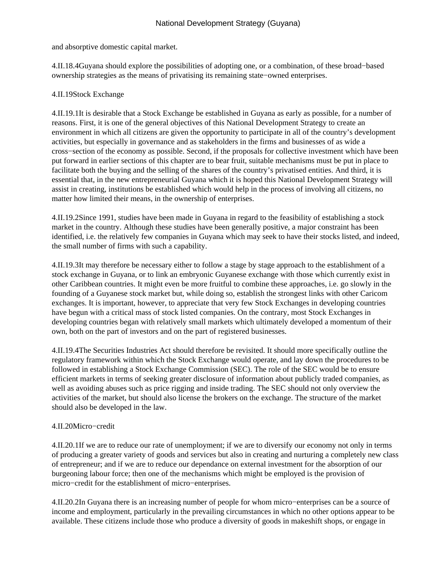and absorptive domestic capital market.

4.II.18.4 Guyana should explore the possibilities of adopting one, or a combination, of these broad−based ownership strategies as the means of privatising its remaining state−owned enterprises.

# 4.II.19 Stock Exchange

4.II.19.1 It is desirable that a Stock Exchange be established in Guyana as early as possible, for a number of reasons. First, it is one of the general objectives of this National Development Strategy to create an environment in which all citizens are given the opportunity to participate in all of the country's development activities, but especially in governance and as stakeholders in the firms and businesses of as wide a cross−section of the economy as possible. Second, if the proposals for collective investment which have been put forward in earlier sections of this chapter are to bear fruit, suitable mechanisms must be put in place to facilitate both the buying and the selling of the shares of the country's privatised entities. And third, it is essential that, in the new entrepreneurial Guyana which it is hoped this National Development Strategy will assist in creating, institutions be established which would help in the process of involving all citizens, no matter how limited their means, in the ownership of enterprises.

4.II.19.2 Since 1991, studies have been made in Guyana in regard to the feasibility of establishing a stock market in the country. Although these studies have been generally positive, a major constraint has been identified, i.e. the relatively few companies in Guyana which may seek to have their stocks listed, and indeed, the small number of firms with such a capability.

4.II.19.3 It may therefore be necessary either to follow a stage by stage approach to the establishment of a stock exchange in Guyana, or to link an embryonic Guyanese exchange with those which currently exist in other Caribbean countries. It might even be more fruitful to combine these approaches, i.e. go slowly in the founding of a Guyanese stock market but, while doing so, establish the strongest links with other Caricom exchanges. It is important, however, to appreciate that very few Stock Exchanges in developing countries have begun with a critical mass of stock listed companies. On the contrary, most Stock Exchanges in developing countries began with relatively small markets which ultimately developed a momentum of their own, both on the part of investors and on the part of registered businesses.

4.II.19.4 The Securities Industries Act should therefore be revisited. It should more specifically outline the regulatory framework within which the Stock Exchange would operate, and lay down the procedures to be followed in establishing a Stock Exchange Commission (SEC). The role of the SEC would be to ensure efficient markets in terms of seeking greater disclosure of information about publicly traded companies, as well as avoiding abuses such as price rigging and inside trading. The SEC should not only overview the activities of the market, but should also license the brokers on the exchange. The structure of the market should also be developed in the law.

# 4.II.20 Micro−credit

4.II.20.1 If we are to reduce our rate of unemployment; if we are to diversify our economy not only in terms of producing a greater variety of goods and services but also in creating and nurturing a completely new class of entrepreneur; and if we are to reduce our dependance on external investment for the absorption of our burgeoning labour force; then one of the mechanisms which might be employed is the provision of micro−credit for the establishment of micro−enterprises.

4.II.20.2 In Guyana there is an increasing number of people for whom micro−enterprises can be a source of income and employment, particularly in the prevailing circumstances in which no other options appear to be available. These citizens include those who produce a diversity of goods in makeshift shops, or engage in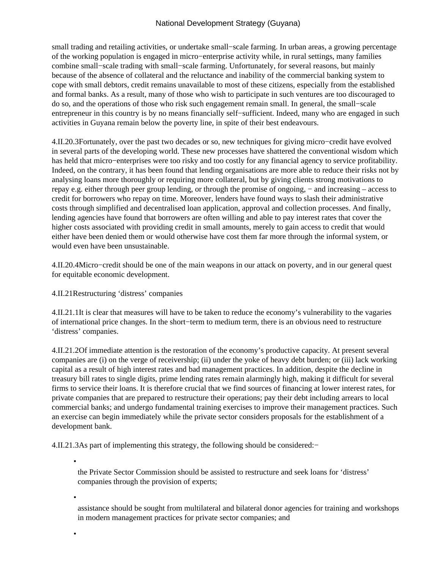small trading and retailing activities, or undertake small–scale farming. In urban areas, a growing percentage of the working population is engaged in micro−enterprise activity while, in rural settings, many families combine small−scale trading with small−scale farming. Unfortunately, for several reasons, but mainly because of the absence of collateral and the reluctance and inability of the commercial banking system to cope with small debtors, credit remains unavailable to most of these citizens, especially from the established and formal banks. As a result, many of those who wish to participate in such ventures are too discouraged to do so, and the operations of those who risk such engagement remain small. In general, the small−scale entrepreneur in this country is by no means financially self−sufficient. Indeed, many who are engaged in such activities in Guyana remain below the poverty line, in spite of their best endeavours.

4.II.20.3 Fortunately, over the past two decades or so, new techniques for giving micro−credit have evolved in several parts of the developing world. These new processes have shattered the conventional wisdom which has held that micro−enterprises were too risky and too costly for any financial agency to service profitability. Indeed, on the contrary, it has been found that lending organisations are more able to reduce their risks not by analysing loans more thoroughly or requiring more collateral, but by giving clients strong motivations to repay e.g. either through peer group lending, or through the promise of ongoing, − and increasing – access to credit for borrowers who repay on time. Moreover, lenders have found ways to slash their administrative costs through simplified and decentralised loan application, approval and collection processes. And finally, lending agencies have found that borrowers are often willing and able to pay interest rates that cover the higher costs associated with providing credit in small amounts, merely to gain access to credit that would either have been denied them or would otherwise have cost them far more through the informal system, or would even have been unsustainable.

4.II.20.4 Micro−credit should be one of the main weapons in our attack on poverty, and in our general quest for equitable economic development.

4.II.21 Restructuring 'distress' companies

4.II.21.1 It is clear that measures will have to be taken to reduce the economy's vulnerability to the vagaries of international price changes. In the short−term to medium term, there is an obvious need to restructure 'distress' companies.

4.II.21.2 Of immediate attention is the restoration of the economy's productive capacity. At present several companies are (i) on the verge of receivership; (ii) under the yoke of heavy debt burden; or (iii) lack working capital as a result of high interest rates and bad management practices. In addition, despite the decline in treasury bill rates to single digits, prime lending rates remain alarmingly high, making it difficult for several firms to service their loans. It is therefore crucial that we find sources of financing at lower interest rates, for private companies that are prepared to restructure their operations; pay their debt including arrears to local commercial banks; and undergo fundamental training exercises to improve their management practices. Such an exercise can begin immediately while the private sector considers proposals for the establishment of a development bank.

4.II.21.3 As part of implementing this strategy, the following should be considered:−

•

the Private Sector Commission should be assisted to restructure and seek loans for 'distress' companies through the provision of experts;

•

•

assistance should be sought from multilateral and bilateral donor agencies for training and workshops in modern management practices for private sector companies; and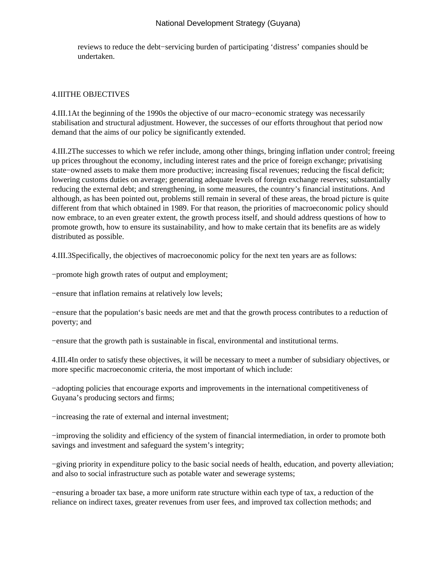reviews to reduce the debt−servicing burden of participating 'distress' companies should be undertaken.

## 4.III THE OBJECTIVES

4.III.1 At the beginning of the 1990s the objective of our macro−economic strategy was necessarily stabilisation and structural adjustment. However, the successes of our efforts throughout that period now demand that the aims of our policy be significantly extended.

4.III.2 The successes to which we refer include, among other things, bringing inflation under control; freeing up prices throughout the economy, including interest rates and the price of foreign exchange; privatising state−owned assets to make them more productive; increasing fiscal revenues; reducing the fiscal deficit; lowering customs duties on average; generating adequate levels of foreign exchange reserves; substantially reducing the external debt; and strengthening, in some measures, the country's financial institutions. And although, as has been pointed out, problems still remain in several of these areas, the broad picture is quite different from that which obtained in 1989. For that reason, the priorities of macroeconomic policy should now embrace, to an even greater extent, the growth process itself, and should address questions of how to promote growth, how to ensure its sustainability, and how to make certain that its benefits are as widely distributed as possible.

4.III.3 Specifically, the objectives of macroeconomic policy for the next ten years are as follows:

- − promote high growth rates of output and employment;
- − ensure that inflation remains at relatively low levels;

− ensure that the population's basic needs are met and that the growth process contributes to a reduction of poverty; and

− ensure that the growth path is sustainable in fiscal, environmental and institutional terms.

4.III.4 In order to satisfy these objectives, it will be necessary to meet a number of subsidiary objectives, or more specific macroeconomic criteria, the most important of which include:

− adopting policies that encourage exports and improvements in the international competitiveness of Guyana's producing sectors and firms;

− increasing the rate of external and internal investment;

− improving the solidity and efficiency of the system of financial intermediation, in order to promote both savings and investment and safeguard the system's integrity;

− giving priority in expenditure policy to the basic social needs of health, education, and poverty alleviation; and also to social infrastructure such as potable water and sewerage systems;

− ensuring a broader tax base, a more uniform rate structure within each type of tax, a reduction of the reliance on indirect taxes, greater revenues from user fees, and improved tax collection methods; and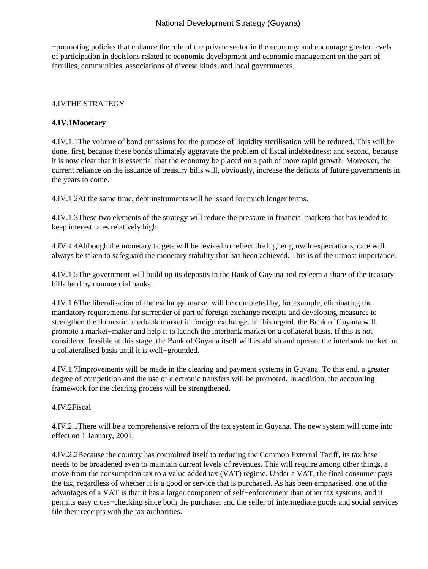− promoting policies that enhance the role of the private sector in the economy and encourage greater levels of participation in decisions related to economic development and economic management on the part of families, communities, associations of diverse kinds, and local governments.

## 4.IV THE STRATEGY

## **4.IV.1 Monetary**

4.IV.1.1 The volume of bond emissions for the purpose of liquidity sterilisation will be reduced. This will be done, first, because these bonds ultimately aggravate the problem of fiscal indebtedness; and second, because it is now clear that it is essential that the economy be placed on a path of more rapid growth. Moreover, the current reliance on the issuance of treasury bills will, obviously, increase the deficits of future governments in the years to come.

4.IV.1.2 At the same time, debt instruments will be issued for much longer terms.

4.IV.1.3 These two elements of the strategy will reduce the pressure in financial markets that has tended to keep interest rates relatively high.

4.IV.1.4 Although the monetary targets will be revised to reflect the higher growth expectations, care will always be taken to safeguard the monetary stability that has been achieved. This is of the utmost importance.

4.IV.1.5 The government will build up its deposits in the Bank of Guyana and redeem a share of the treasury bills held by commercial banks.

4.IV.1.6 The liberalisation of the exchange market will be completed by, for example, eliminating the mandatory requirements for surrender of part of foreign exchange receipts and developing measures to strengthen the domestic interbank market in foreign exchange. In this regard, the Bank of Guyana will promote a market−maker and help it to launch the interbank market on a collateral basis. If this is not considered feasible at this stage, the Bank of Guyana itself will establish and operate the interbank market on a collateralised basis until it is well−grounded.

4.IV.1.7 Improvements will be made in the clearing and payment systems in Guyana. To this end, a greater degree of competition and the use of electronic transfers will be promoted. In addition, the accounting framework for the clearing process will be strengthened.

4.IV.2 Fiscal

4.IV.2.1 There will be a comprehensive reform of the tax system in Guyana. The new system will come into effect on 1 January, 2001.

4.IV.2.2 Because the country has committed itself to reducing the Common External Tariff, its tax base needs to be broadened even to maintain current levels of revenues. This will require among other things, a move from the consumption tax to a value added tax (VAT) regime. Under a VAT, the final consumer pays the tax, regardless of whether it is a good or service that is purchased. As has been emphasised, one of the advantages of a VAT is that it has a larger component of self−enforcement than other tax systems, and it permits easy cross−checking since both the purchaser and the seller of intermediate goods and social services file their receipts with the tax authorities.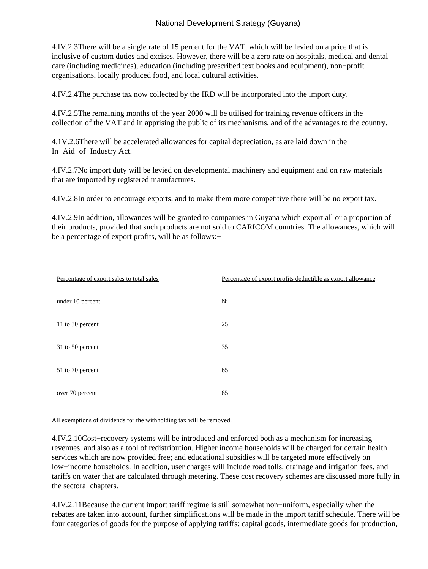4.IV.2.3 There will be a single rate of 15 percent for the VAT, which will be levied on a price that is inclusive of custom duties and excises. However, there will be a zero rate on hospitals, medical and dental care (including medicines), education (including prescribed text books and equipment), non−profit organisations, locally produced food, and local cultural activities.

4.IV.2.4 The purchase tax now collected by the IRD will be incorporated into the import duty.

4.IV.2.5 The remaining months of the year 2000 will be utilised for training revenue officers in the collection of the VAT and in apprising the public of its mechanisms, and of the advantages to the country.

4.1V.2.6 There will be accelerated allowances for capital depreciation, as are laid down in the In−Aid−of−Industry Act.

4.IV.2.7 No import duty will be levied on developmental machinery and equipment and on raw materials that are imported by registered manufactures.

4.IV.2.8 In order to encourage exports, and to make them more competitive there will be no export tax.

4.IV.2.9 In addition, allowances will be granted to companies in Guyana which export all or a proportion of their products, provided that such products are not sold to CARICOM countries. The allowances, which will be a percentage of export profits, will be as follows:−

| Percentage of export sales to total sales | Percentage of export profits deductible as export allowance |
|-------------------------------------------|-------------------------------------------------------------|
| under 10 percent                          | Nil                                                         |
| 11 to 30 percent                          | 25                                                          |
| 31 to 50 percent                          | 35                                                          |
| 51 to 70 percent                          | 65                                                          |
| over 70 percent                           | 85                                                          |

All exemptions of dividends for the withholding tax will be removed.

4.IV.2.10 Cost−recovery systems will be introduced and enforced both as a mechanism for increasing revenues, and also as a tool of redistribution. Higher income households will be charged for certain health services which are now provided free; and educational subsidies will be targeted more effectively on low−income households. In addition, user charges will include road tolls, drainage and irrigation fees, and tariffs on water that are calculated through metering. These cost recovery schemes are discussed more fully in the sectoral chapters.

4.IV.2.11 Because the current import tariff regime is still somewhat non−uniform, especially when the rebates are taken into account, further simplifications will be made in the import tariff schedule. There will be four categories of goods for the purpose of applying tariffs: capital goods, intermediate goods for production,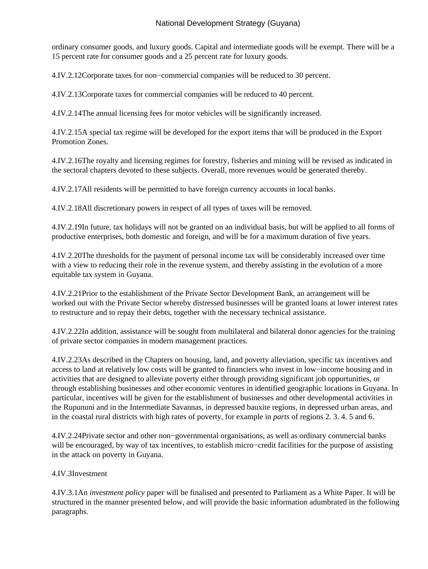ordinary consumer goods, and luxury goods. Capital and intermediate goods will be exempt. There will be a 15 percent rate for consumer goods and a 25 percent rate for luxury goods.

4.IV.2.12 Corporate taxes for non−commercial companies will be reduced to 30 percent.

4.IV.2.13 Corporate taxes for commercial companies will be reduced to 40 percent.

4.IV.2.14 The annual licensing fees for motor vehicles will be significantly increased.

4.IV.2.15 A special tax regime will be developed for the export items that will be produced in the Export Promotion Zones.

4.IV.2.16 The royalty and licensing regimes for forestry, fisheries and mining will be revised as indicated in the sectoral chapters devoted to these subjects. Overall, more revenues would be generated thereby.

4.IV.2.17 All residents will be permitted to have foreign currency accounts in local banks.

4.IV.2.18 All discretionary powers in respect of all types of taxes will be removed.

4.IV.2.19 In future, tax holidays will not be granted on an individual basis, but will be applied to all forms of productive enterprises, both domestic and foreign, and will be for a maximum duration of five years.

4.IV.2.20 The thresholds for the payment of personal income tax will be considerably increased over time with a view to reducing their role in the revenue system, and thereby assisting in the evolution of a more equitable tax system in Guyana.

4.IV.2.21 Prior to the establishment of the Private Sector Development Bank, an arrangement will be worked out with the Private Sector whereby distressed businesses will be granted loans at lower interest rates to restructure and to repay their debts, together with the necessary technical assistance.

4.IV.2.22 In addition, assistance will be sought from multilateral and bilateral donor agencies for the training of private sector companies in modern management practices.

4.IV.2.23 As described in the Chapters on housing, land, and poverty alleviation, specific tax incentives and access to land at relatively low costs will be granted to financiers who invest in low−income housing and in activities that are designed to alleviate poverty either through providing significant job opportunities, or through establishing businesses and other economic ventures in identified geographic locations in Guyana. In particular, incentives will be given for the establishment of businesses and other developmental activities in the Rupununi and in the Intermediate Savannas, in depressed bauxite regions, in depressed urban areas, and in the coastal rural districts with high rates of poverty, for example in *parts* of regions 2. 3. 4. 5 and 6.

4.IV.2.24 Private sector and other non−governmental organisations, as well as ordinary commercial banks will be encouraged, by way of tax incentives, to establish micro−credit facilities for the purpose of assisting in the attack on poverty in Guyana.

# 4.IV.3 Investment

4.IV.3.1 An *investment policy* paper will be finalised and presented to Parliament as a White Paper. It will be structured in the manner presented below, and will provide the basic information adumbrated in the following paragraphs.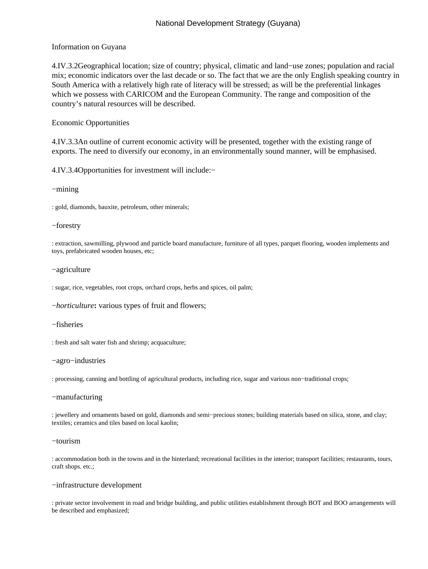### Information on Guyana

4.IV.3.2 Geographical location; size of country; physical, climatic and land−use zones; population and racial mix; economic indicators over the last decade or so. The fact that we are the only English speaking country in South America with a relatively high rate of literacy will be stressed; as will be the preferential linkages which we possess with CARICOM and the European Community. The range and composition of the country's natural resources will be described.

#### Economic Opportunities

4.IV.3.3 An outline of current economic activity will be presented, together with the existing range of exports. The need to diversify our economy, in an environmentally sound manner, will be emphasised.

4.IV.3.4 Opportunities for investment will include:−

#### − mining

: gold, diamonds, bauxite, petroleum, other minerals;

#### − forestry

: extraction, sawmilling, plywood and particle board manufacture, furniture of all types, parquet flooring, wooden implements and toys, prefabricated wooden houses, etc;

#### − agriculture

: sugar, rice, vegetables, root crops, orchard crops, herbs and spices, oil palm;

− *horticulture***:** various types of fruit and flowers;

#### − fisheries

: fresh and salt water fish and shrimp; acquaculture;

#### − agro−industries

: processing, canning and bottling of agricultural products, including rice, sugar and various non−traditional crops;

#### − manufacturing

: jewellery and ornaments based on gold, diamonds and semi−precious stones; building materials based on silica, stone, and clay; textiles; ceramics and tiles based on local kaolin;

− tourism

: accommodation both in the towns and in the hinterland; recreational facilities in the interior; transport facilities; restaurants, tours, craft shops. etc.;

#### − infrastructure development

: private sector involvement in road and bridge building, and public utilities establishment through BOT and BOO arrangements will be described and emphasized;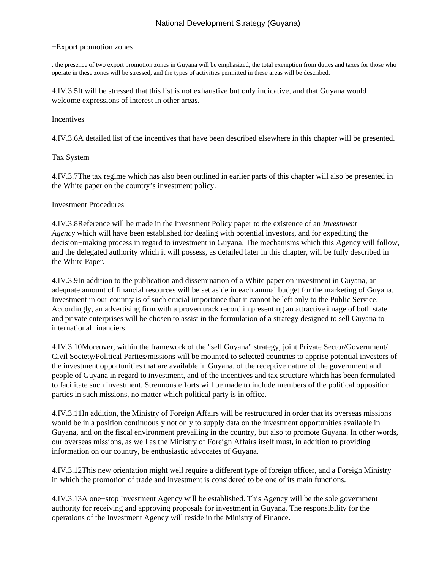#### − Export promotion zones

: the presence of two export promotion zones in Guyana will be emphasized, the total exemption from duties and taxes for those who operate in these zones will be stressed, and the types of activities permitted in these areas will be described.

4.IV.3.5 It will be stressed that this list is not exhaustive but only indicative, and that Guyana would welcome expressions of interest in other areas.

### Incentives

4.IV.3.6 A detailed list of the incentives that have been described elsewhere in this chapter will be presented.

### Tax System

4.IV.3.7 The tax regime which has also been outlined in earlier parts of this chapter will also be presented in the White paper on the country's investment policy.

### Investment Procedures

4.IV.3.8 Reference will be made in the Investment Policy paper to the existence of an *Investment Agency* which will have been established for dealing with potential investors, and for expediting the decision−making process in regard to investment in Guyana. The mechanisms which this Agency will follow, and the delegated authority which it will possess, as detailed later in this chapter, will be fully described in the White Paper.

4.IV.3.9 In addition to the publication and dissemination of a White paper on investment in Guyana, an adequate amount of financial resources will be set aside in each annual budget for the marketing of Guyana. Investment in our country is of such crucial importance that it cannot be left only to the Public Service. Accordingly, an advertising firm with a proven track record in presenting an attractive image of both state and private enterprises will be chosen to assist in the formulation of a strategy designed to sell Guyana to international financiers.

4.IV.3.10 Moreover, within the framework of the "sell Guyana" strategy, joint Private Sector/Government/ Civil Society/Political Parties/missions will be mounted to selected countries to apprise potential investors of the investment opportunities that are available in Guyana, of the receptive nature of the government and people of Guyana in regard to investment, and of the incentives and tax structure which has been formulated to facilitate such investment. Strenuous efforts will be made to include members of the political opposition parties in such missions, no matter which political party is in office.

4.IV.3.11 In addition, the Ministry of Foreign Affairs will be restructured in order that its overseas missions would be in a position continuously not only to supply data on the investment opportunities available in Guyana, and on the fiscal environment prevailing in the country, but also to promote Guyana. In other words, our overseas missions, as well as the Ministry of Foreign Affairs itself must, in addition to providing information on our country, be enthusiastic advocates of Guyana.

4.IV.3.12 This new orientation might well require a different type of foreign officer, and a Foreign Ministry in which the promotion of trade and investment is considered to be one of its main functions.

4.IV.3.13 A one−stop Investment Agency will be established. This Agency will be the sole government authority for receiving and approving proposals for investment in Guyana. The responsibility for the operations of the Investment Agency will reside in the Ministry of Finance.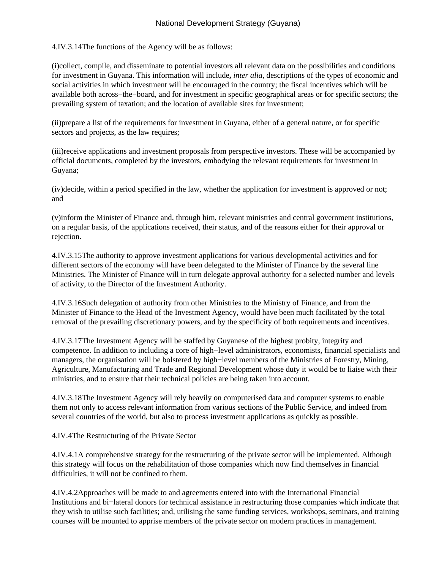4.IV.3.14 The functions of the Agency will be as follows:

(i) collect, compile, and disseminate to potential investors all relevant data on the possibilities and conditions for investment in Guyana. This information will include**,** *inter alia*, descriptions of the types of economic and social activities in which investment will be encouraged in the country; the fiscal incentives which will be available both across−the−board, and for investment in specific geographical areas or for specific sectors; the prevailing system of taxation; and the location of available sites for investment;

(ii) prepare a list of the requirements for investment in Guyana, either of a general nature, or for specific sectors and projects, as the law requires;

(iii) receive applications and investment proposals from perspective investors. These will be accompanied by official documents, completed by the investors, embodying the relevant requirements for investment in Guyana;

(iv) decide, within a period specified in the law, whether the application for investment is approved or not; and

(v) inform the Minister of Finance and, through him, relevant ministries and central government institutions, on a regular basis, of the applications received, their status, and of the reasons either for their approval or rejection.

4.IV.3.15 The authority to approve investment applications for various developmental activities and for different sectors of the economy will have been delegated to the Minister of Finance by the several line Ministries. The Minister of Finance will in turn delegate approval authority for a selected number and levels of activity, to the Director of the Investment Authority.

4.IV.3.16 Such delegation of authority from other Ministries to the Ministry of Finance, and from the Minister of Finance to the Head of the Investment Agency, would have been much facilitated by the total removal of the prevailing discretionary powers, and by the specificity of both requirements and incentives.

4.IV.3.17 The Investment Agency will be staffed by Guyanese of the highest probity, integrity and competence. In addition to including a core of high−level administrators, economists, financial specialists and managers, the organisation will be bolstered by high−level members of the Ministries of Forestry, Mining, Agriculture, Manufacturing and Trade and Regional Development whose duty it would be to liaise with their ministries, and to ensure that their technical policies are being taken into account.

4.IV.3.18 The Investment Agency will rely heavily on computerised data and computer systems to enable them not only to access relevant information from various sections of the Public Service, and indeed from several countries of the world, but also to process investment applications as quickly as possible.

4.IV.4 The Restructuring of the Private Sector

4.IV.4.1 A comprehensive strategy for the restructuring of the private sector will be implemented. Although this strategy will focus on the rehabilitation of those companies which now find themselves in financial difficulties, it will not be confined to them.

4.IV.4.2 Approaches will be made to and agreements entered into with the International Financial Institutions and bi−lateral donors for technical assistance in restructuring those companies which indicate that they wish to utilise such facilities; and, utilising the same funding services, workshops, seminars, and training courses will be mounted to apprise members of the private sector on modern practices in management.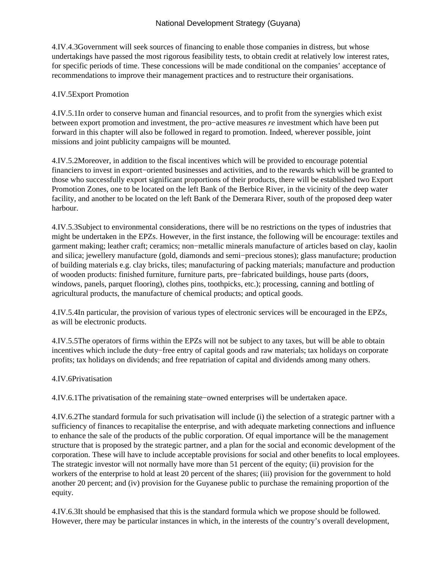4.IV.4.3 Government will seek sources of financing to enable those companies in distress, but whose undertakings have passed the most rigorous feasibility tests, to obtain credit at relatively low interest rates, for specific periods of time. These concessions will be made conditional on the companies' acceptance of recommendations to improve their management practices and to restructure their organisations.

## 4.IV.5 Export Promotion

4.IV.5.1 In order to conserve human and financial resources, and to profit from the synergies which exist between export promotion and investment, the pro−active measures *re* investment which have been put forward in this chapter will also be followed in regard to promotion. Indeed, wherever possible, joint missions and joint publicity campaigns will be mounted.

4.IV.5.2 Moreover, in addition to the fiscal incentives which will be provided to encourage potential financiers to invest in export−oriented businesses and activities, and to the rewards which will be granted to those who successfully export significant proportions of their products, there will be established two Export Promotion Zones, one to be located on the left Bank of the Berbice River, in the vicinity of the deep water facility, and another to be located on the left Bank of the Demerara River, south of the proposed deep water harbour.

4.IV.5.3 Subject to environmental considerations, there will be no restrictions on the types of industries that might be undertaken in the EPZs. However, in the first instance, the following will be encourage: textiles and garment making; leather craft; ceramics; non−metallic minerals manufacture of articles based on clay, kaolin and silica; jewellery manufacture (gold, diamonds and semi−precious stones); glass manufacture; production of building materials e.g. clay bricks, tiles; manufacturing of packing materials; manufacture and production of wooden products: finished furniture, furniture parts, pre−fabricated buildings, house parts (doors, windows, panels, parquet flooring), clothes pins, toothpicks, etc.); processing, canning and bottling of agricultural products, the manufacture of chemical products; and optical goods.

4.IV.5.4 In particular, the provision of various types of electronic services will be encouraged in the EPZs, as will be electronic products.

4.IV.5.5 The operators of firms within the EPZs will not be subject to any taxes, but will be able to obtain incentives which include the duty−free entry of capital goods and raw materials; tax holidays on corporate profits; tax holidays on dividends; and free repatriation of capital and dividends among many others.

# 4.IV.6 Privatisation

4.IV.6.1 The privatisation of the remaining state−owned enterprises will be undertaken apace.

4.IV.6.2 The standard formula for such privatisation will include (i) the selection of a strategic partner with a sufficiency of finances to recapitalise the enterprise, and with adequate marketing connections and influence to enhance the sale of the products of the public corporation. Of equal importance will be the management structure that is proposed by the strategic partner, and a plan for the social and economic development of the corporation. These will have to include acceptable provisions for social and other benefits to local employees. The strategic investor will not normally have more than 51 percent of the equity; (ii) provision for the workers of the enterprise to hold at least 20 percent of the shares; (iii) provision for the government to hold another 20 percent; and (iv) provision for the Guyanese public to purchase the remaining proportion of the equity.

4.IV.6.3 It should be emphasised that this is the standard formula which we propose should be followed. However, there may be particular instances in which, in the interests of the country's overall development,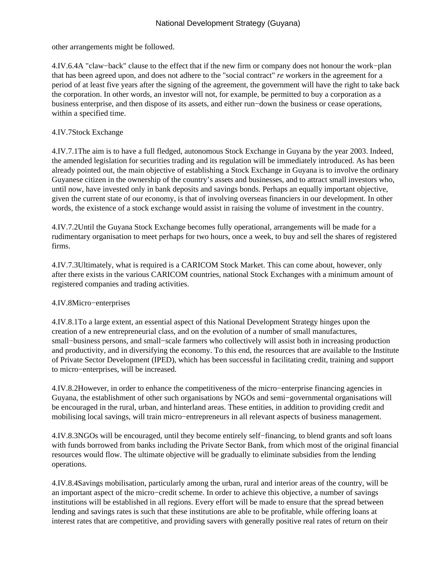other arrangements might be followed.

4.IV.6.4 A "claw−back" clause to the effect that if the new firm or company does not honour the work−plan that has been agreed upon, and does not adhere to the "social contract" *re* workers in the agreement for a period of at least five years after the signing of the agreement, the government will have the right to take back the corporation. In other words, an investor will not, for example, be permitted to buy a corporation as a business enterprise, and then dispose of its assets, and either run−down the business or cease operations, within a specified time.

# 4.IV.7 Stock Exchange

4.IV.7.1 The aim is to have a full fledged, autonomous Stock Exchange in Guyana by the year 2003. Indeed, the amended legislation for securities trading and its regulation will be immediately introduced. As has been already pointed out, the main objective of establishing a Stock Exchange in Guyana is to involve the ordinary Guyanese citizen in the ownership of the country's assets and businesses, and to attract small investors who, until now, have invested only in bank deposits and savings bonds. Perhaps an equally important objective, given the current state of our economy, is that of involving overseas financiers in our development. In other words, the existence of a stock exchange would assist in raising the volume of investment in the country.

4.IV.7.2 Until the Guyana Stock Exchange becomes fully operational, arrangements will be made for a rudimentary organisation to meet perhaps for two hours, once a week, to buy and sell the shares of registered firms.

4.IV.7.3 Ultimately, what is required is a CARICOM Stock Market. This can come about, however, only after there exists in the various CARICOM countries, national Stock Exchanges with a minimum amount of registered companies and trading activities.

# 4.IV.8 Micro−enterprises

4.IV.8.1 To a large extent, an essential aspect of this National Development Strategy hinges upon the creation of a new entrepreneurial class, and on the evolution of a number of small manufactures, small–business persons, and small–scale farmers who collectively will assist both in increasing production and productivity, and in diversifying the economy. To this end, the resources that are available to the Institute of Private Sector Development (IPED), which has been successful in facilitating credit, training and support to micro−enterprises, will be increased.

4.IV.8.2 However, in order to enhance the competitiveness of the micro−enterprise financing agencies in Guyana, the establishment of other such organisations by NGOs and semi−governmental organisations will be encouraged in the rural, urban, and hinterland areas. These entities, in addition to providing credit and mobilising local savings, will train micro−entrepreneurs in all relevant aspects of business management.

4.IV.8.3 NGOs will be encouraged, until they become entirely self−financing, to blend grants and soft loans with funds borrowed from banks including the Private Sector Bank, from which most of the original financial resources would flow. The ultimate objective will be gradually to eliminate subsidies from the lending operations.

4.IV.8.4 Savings mobilisation, particularly among the urban, rural and interior areas of the country, will be an important aspect of the micro−credit scheme. In order to achieve this objective, a number of savings institutions will be established in all regions. Every effort will be made to ensure that the spread between lending and savings rates is such that these institutions are able to be profitable, while offering loans at interest rates that are competitive, and providing savers with generally positive real rates of return on their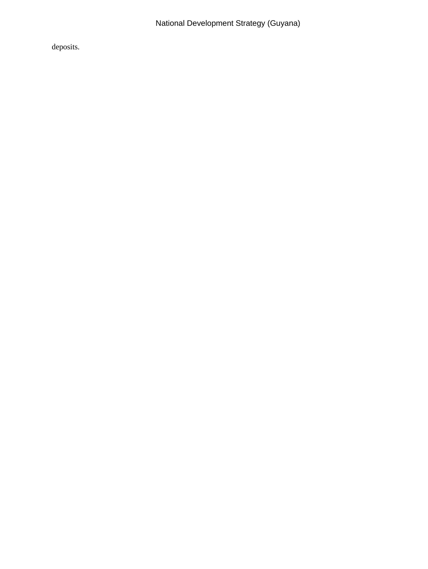deposits.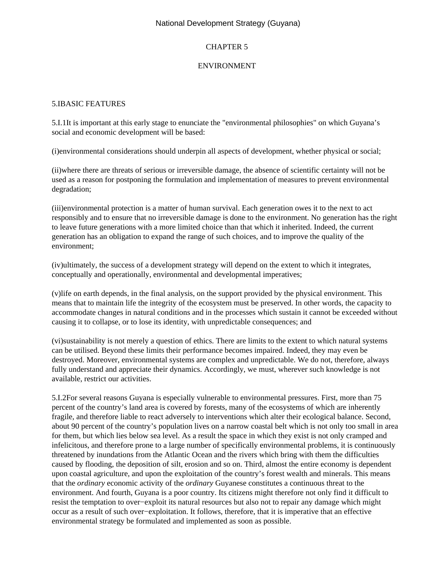# CHAPTER 5

## ENVIRONMENT

## 5.I BASIC FEATURES

5.I.1 It is important at this early stage to enunciate the "environmental philosophies" on which Guyana's social and economic development will be based:

(i) environmental considerations should underpin all aspects of development, whether physical or social;

 (ii) where there are threats of serious or irreversible damage, the absence of scientific certainty will not be used as a reason for postponing the formulation and implementation of measures to prevent environmental degradation;

(iii) environmental protection is a matter of human survival. Each generation owes it to the next to act responsibly and to ensure that no irreversible damage is done to the environment. No generation has the right to leave future generations with a more limited choice than that which it inherited. Indeed, the current generation has an obligation to expand the range of such choices, and to improve the quality of the environment;

(iv) ultimately, the success of a development strategy will depend on the extent to which it integrates, conceptually and operationally, environmental and developmental imperatives;

 (v) life on earth depends, in the final analysis, on the support provided by the physical environment. This means that to maintain life the integrity of the ecosystem must be preserved. In other words, the capacity to accommodate changes in natural conditions and in the processes which sustain it cannot be exceeded without causing it to collapse, or to lose its identity, with unpredictable consequences; and

(vi) sustainability is not merely a question of ethics. There are limits to the extent to which natural systems can be utilised. Beyond these limits their performance becomes impaired. Indeed, they may even be destroyed. Moreover, environmental systems are complex and unpredictable. We do not, therefore, always fully understand and appreciate their dynamics. Accordingly, we must, wherever such knowledge is not available, restrict our activities.

5.I.2 For several reasons Guyana is especially vulnerable to environmental pressures. First, more than 75 percent of the country's land area is covered by forests, many of the ecosystems of which are inherently fragile, and therefore liable to react adversely to interventions which alter their ecological balance. Second, about 90 percent of the country's population lives on a narrow coastal belt which is not only too small in area for them, but which lies below sea level. As a result the space in which they exist is not only cramped and infelicitous, and therefore prone to a large number of specifically environmental problems, it is continuously threatened by inundations from the Atlantic Ocean and the rivers which bring with them the difficulties caused by flooding, the deposition of silt, erosion and so on. Third, almost the entire economy is dependent upon coastal agriculture, and upon the exploitation of the country's forest wealth and minerals. This means that the *ordinary* economic activity of the *ordinary* Guyanese constitutes a continuous threat to the environment. And fourth, Guyana is a poor country. Its citizens might therefore not only find it difficult to resist the temptation to over−exploit its natural resources but also not to repair any damage which might occur as a result of such over−exploitation. It follows, therefore, that it is imperative that an effective environmental strategy be formulated and implemented as soon as possible.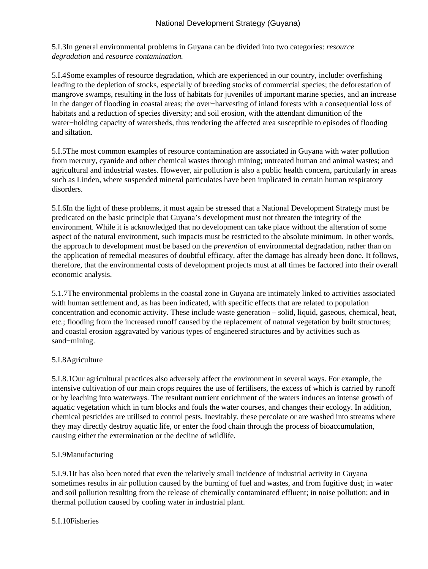5.I.3 In general environmental problems in Guyana can be divided into two categories: *resource degradation* and *resource contamination.*

5.I.4 Some examples of resource degradation, which are experienced in our country, include: overfishing leading to the depletion of stocks, especially of breeding stocks of commercial species; the deforestation of mangrove swamps, resulting in the loss of habitats for juveniles of important marine species, and an increase in the danger of flooding in coastal areas; the over−harvesting of inland forests with a consequential loss of habitats and a reduction of species diversity; and soil erosion, with the attendant dimunition of the water−holding capacity of watersheds, thus rendering the affected area susceptible to episodes of flooding and siltation.

5.I.5 The most common examples of resource contamination are associated in Guyana with water pollution from mercury, cyanide and other chemical wastes through mining; untreated human and animal wastes; and agricultural and industrial wastes. However, air pollution is also a public health concern, particularly in areas such as Linden, where suspended mineral particulates have been implicated in certain human respiratory disorders.

5.I.6 In the light of these problems, it must again be stressed that a National Development Strategy must be predicated on the basic principle that Guyana's development must not threaten the integrity of the environment. While it is acknowledged that no development can take place without the alteration of some aspect of the natural environment, such impacts must be restricted to the absolute minimum. In other words, the approach to development must be based on the *prevention* of environmental degradation, rather than on the application of remedial measures of doubtful efficacy, after the damage has already been done. It follows, therefore, that the environmental costs of development projects must at all times be factored into their overall economic analysis.

5.1.7 The environmental problems in the coastal zone in Guyana are intimately linked to activities associated with human settlement and, as has been indicated, with specific effects that are related to population concentration and economic activity. These include waste generation – solid, liquid, gaseous, chemical, heat, etc.; flooding from the increased runoff caused by the replacement of natural vegetation by built structures; and coastal erosion aggravated by various types of engineered structures and by activities such as sand−mining.

# 5.I.8 Agriculture

5.I.8.1 Our agricultural practices also adversely affect the environment in several ways. For example, the intensive cultivation of our main crops requires the use of fertilisers, the excess of which is carried by runoff or by leaching into waterways. The resultant nutrient enrichment of the waters induces an intense growth of aquatic vegetation which in turn blocks and fouls the water courses, and changes their ecology. In addition, chemical pesticides are utilised to control pests. Inevitably, these percolate or are washed into streams where they may directly destroy aquatic life, or enter the food chain through the process of bioaccumulation, causing either the extermination or the decline of wildlife.

# 5.I.9 Manufacturing

5.I.9.1 It has also been noted that even the relatively small incidence of industrial activity in Guyana sometimes results in air pollution caused by the burning of fuel and wastes, and from fugitive dust; in water and soil pollution resulting from the release of chemically contaminated effluent; in noise pollution; and in thermal pollution caused by cooling water in industrial plant.

# 5.I.10 Fisheries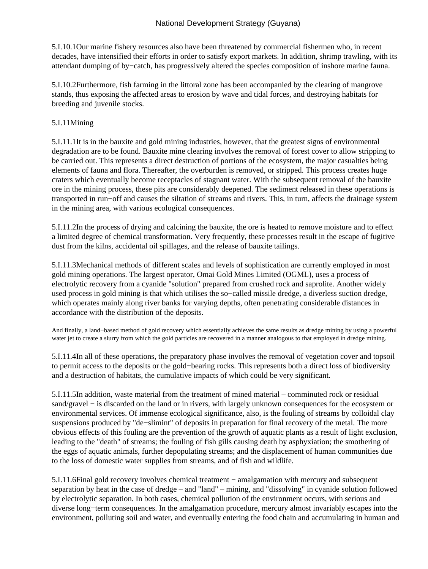5.I.10.1 Our marine fishery resources also have been threatened by commercial fishermen who, in recent decades, have intensified their efforts in order to satisfy export markets. In addition, shrimp trawling, with its attendant dumping of by−catch, has progressively altered the species composition of inshore marine fauna.

5.I.10.2 Furthermore, fish farming in the littoral zone has been accompanied by the clearing of mangrove stands, thus exposing the affected areas to erosion by wave and tidal forces, and destroying habitats for breeding and juvenile stocks.

# 5.I.11 Mining

5.I.11.1 It is in the bauxite and gold mining industries, however, that the greatest signs of environmental degradation are to be found. Bauxite mine clearing involves the removal of forest cover to allow stripping to be carried out. This represents a direct destruction of portions of the ecosystem, the major casualties being elements of fauna and flora. Thereafter, the overburden is removed, or stripped. This process creates huge craters which eventually become receptacles of stagnant water. With the subsequent removal of the bauxite ore in the mining process, these pits are considerably deepened. The sediment released in these operations is transported in run−off and causes the siltation of streams and rivers. This, in turn, affects the drainage system in the mining area, with various ecological consequences.

5.I.11.2 In the process of drying and calcining the bauxite, the ore is heated to remove moisture and to effect a limited degree of chemical transformation. Very frequently, these processes result in the escape of fugitive dust from the kilns, accidental oil spillages, and the release of bauxite tailings.

5.I.11.3 Mechanical methods of different scales and levels of sophistication are currently employed in most gold mining operations. The largest operator, Omai Gold Mines Limited (OGML), uses a process of electrolytic recovery from a cyanide "solution" prepared from crushed rock and saprolite. Another widely used process in gold mining is that which utilises the so−called missile dredge, a diverless suction dredge, which operates mainly along river banks for varying depths, often penetrating considerable distances in accordance with the distribution of the deposits.

And finally, a land−based method of gold recovery which essentially achieves the same results as dredge mining by using a powerful water jet to create a slurry from which the gold particles are recovered in a manner analogous to that employed in dredge mining.

5.I.11.4 In all of these operations, the preparatory phase involves the removal of vegetation cover and topsoil to permit access to the deposits or the gold−bearing rocks. This represents both a direct loss of biodiversity and a destruction of habitats, the cumulative impacts of which could be very significant.

5.I.11.5 In addition, waste material from the treatment of mined material – comminuted rock or residual sand/gravel – is discarded on the land or in rivers, with largely unknown consequences for the ecosystem or environmental services. Of immense ecological significance, also, is the fouling of streams by colloidal clay suspensions produced by "de–slimint" of deposits in preparation for final recovery of the metal. The more obvious effects of this fouling are the prevention of the growth of aquatic plants as a result of light exclusion, leading to the "death" of streams; the fouling of fish gills causing death by asphyxiation; the smothering of the eggs of aquatic animals, further depopulating streams; and the displacement of human communities due to the loss of domestic water supplies from streams, and of fish and wildlife.

5.I.11.6 Final gold recovery involves chemical treatment – amalgamation with mercury and subsequent separation by heat in the case of dredge – and "land" – mining, and "dissolving" in cyanide solution followed by electrolytic separation. In both cases, chemical pollution of the environment occurs, with serious and diverse long−term consequences. In the amalgamation procedure, mercury almost invariably escapes into the environment, polluting soil and water, and eventually entering the food chain and accumulating in human and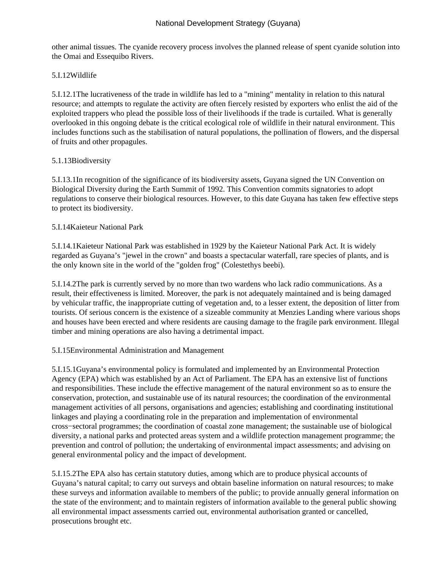other animal tissues. The cyanide recovery process involves the planned release of spent cyanide solution into the Omai and Essequibo Rivers.

# 5.I.12 Wildlife

5.I.12.1 The lucrativeness of the trade in wildlife has led to a "mining" mentality in relation to this natural resource; and attempts to regulate the activity are often fiercely resisted by exporters who enlist the aid of the exploited trappers who plead the possible loss of their livelihoods if the trade is curtailed. What is generally overlooked in this ongoing debate is the critical ecological role of wildlife in their natural environment. This includes functions such as the stabilisation of natural populations, the pollination of flowers, and the dispersal of fruits and other propagules.

# 5.1.13 Biodiversity

5.I.13.1 In recognition of the significance of its biodiversity assets, Guyana signed the UN Convention on Biological Diversity during the Earth Summit of 1992. This Convention commits signatories to adopt regulations to conserve their biological resources. However, to this date Guyana has taken few effective steps to protect its biodiversity.

# 5.I.14 Kaieteur National Park

5.I.14.1 Kaieteur National Park was established in 1929 by the Kaieteur National Park Act. It is widely regarded as Guyana's "jewel in the crown" and boasts a spectacular waterfall, rare species of plants, and is the only known site in the world of the "golden frog" (Colestethys beebi).

5.I.14.2 The park is currently served by no more than two wardens who lack radio communications. As a result, their effectiveness is limited. Moreover, the park is not adequately maintained and is being damaged by vehicular traffic, the inappropriate cutting of vegetation and, to a lesser extent, the deposition of litter from tourists. Of serious concern is the existence of a sizeable community at Menzies Landing where various shops and houses have been erected and where residents are causing damage to the fragile park environment. Illegal timber and mining operations are also having a detrimental impact.

# 5.I.15 Environmental Administration and Management

5.I.15.1 Guyana's environmental policy is formulated and implemented by an Environmental Protection Agency (EPA) which was established by an Act of Parliament. The EPA has an extensive list of functions and responsibilities. These include the effective management of the natural environment so as to ensure the conservation, protection, and sustainable use of its natural resources; the coordination of the environmental management activities of all persons, organisations and agencies; establishing and coordinating institutional linkages and playing a coordinating role in the preparation and implementation of environmental cross−sectoral programmes; the coordination of coastal zone management; the sustainable use of biological diversity, a national parks and protected areas system and a wildlife protection management programme; the prevention and control of pollution; the undertaking of environmental impact assessments; and advising on general environmental policy and the impact of development.

5.I.15.2 The EPA also has certain statutory duties, among which are to produce physical accounts of Guyana's natural capital; to carry out surveys and obtain baseline information on natural resources; to make these surveys and information available to members of the public; to provide annually general information on the state of the environment; and to maintain registers of information available to the general public showing all environmental impact assessments carried out, environmental authorisation granted or cancelled, prosecutions brought etc.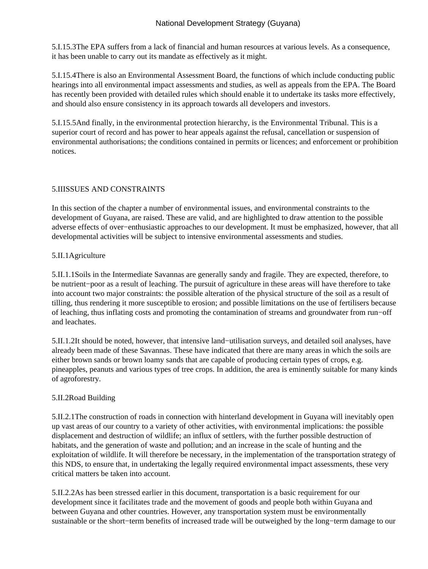5.I.15.3 The EPA suffers from a lack of financial and human resources at various levels. As a consequence, it has been unable to carry out its mandate as effectively as it might.

5.I.15.4 There is also an Environmental Assessment Board, the functions of which include conducting public hearings into all environmental impact assessments and studies, as well as appeals from the EPA. The Board has recently been provided with detailed rules which should enable it to undertake its tasks more effectively, and should also ensure consistency in its approach towards all developers and investors.

5.I.15.5 And finally, in the environmental protection hierarchy, is the Environmental Tribunal. This is a superior court of record and has power to hear appeals against the refusal, cancellation or suspension of environmental authorisations; the conditions contained in permits or licences; and enforcement or prohibition notices.

### 5.II ISSUES AND CONSTRAINTS

In this section of the chapter a number of environmental issues, and environmental constraints to the development of Guyana, are raised. These are valid, and are highlighted to draw attention to the possible adverse effects of over−enthusiastic approaches to our development. It must be emphasized, however, that all developmental activities will be subject to intensive environmental assessments and studies.

### 5.II.1 Agriculture

5.II.1.1 Soils in the Intermediate Savannas are generally sandy and fragile. They are expected, therefore, to be nutrient−poor as a result of leaching. The pursuit of agriculture in these areas will have therefore to take into account two major constraints: the possible alteration of the physical structure of the soil as a result of tilling, thus rendering it more susceptible to erosion; and possible limitations on the use of fertilisers because of leaching, thus inflating costs and promoting the contamination of streams and groundwater from run−off and leachates.

5.II.1.2 It should be noted, however, that intensive land–utilisation surveys, and detailed soil analyses, have already been made of these Savannas. These have indicated that there are many areas in which the soils are either brown sands or brown loamy sands that are capable of producing certain types of crops, e.g. pineapples, peanuts and various types of tree crops. In addition, the area is eminently suitable for many kinds of agroforestry.

# 5.II.2 Road Building

5.II.2.1 The construction of roads in connection with hinterland development in Guyana will inevitably open up vast areas of our country to a variety of other activities, with environmental implications: the possible displacement and destruction of wildlife; an influx of settlers, with the further possible destruction of habitats, and the generation of waste and pollution; and an increase in the scale of hunting and the exploitation of wildlife. It will therefore be necessary, in the implementation of the transportation strategy of this NDS, to ensure that, in undertaking the legally required environmental impact assessments, these very critical matters be taken into account.

5.II.2.2 As has been stressed earlier in this document, transportation is a basic requirement for our development since it facilitates trade and the movement of goods and people both within Guyana and between Guyana and other countries. However, any transportation system must be environmentally sustainable or the short−term benefits of increased trade will be outweighed by the long−term damage to our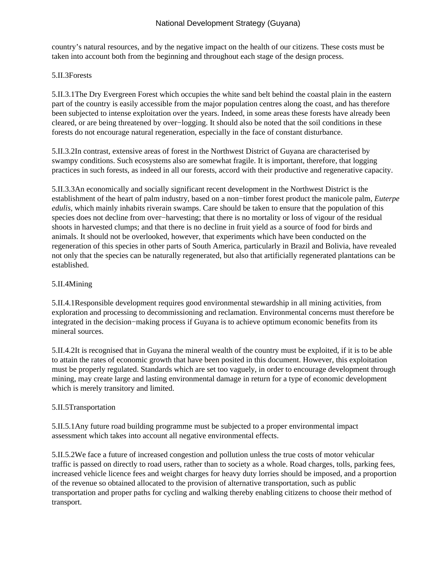country's natural resources, and by the negative impact on the health of our citizens. These costs must be taken into account both from the beginning and throughout each stage of the design process.

### 5.II.3 Forests

5.II.3.1 The Dry Evergreen Forest which occupies the white sand belt behind the coastal plain in the eastern part of the country is easily accessible from the major population centres along the coast, and has therefore been subjected to intense exploitation over the years. Indeed, in some areas these forests have already been cleared, or are being threatened by over−logging. It should also be noted that the soil conditions in these forests do not encourage natural regeneration, especially in the face of constant disturbance.

5.II.3.2 In contrast, extensive areas of forest in the Northwest District of Guyana are characterised by swampy conditions. Such ecosystems also are somewhat fragile. It is important, therefore, that logging practices in such forests, as indeed in all our forests, accord with their productive and regenerative capacity.

5.II.3.3 An economically and socially significant recent development in the Northwest District is the establishment of the heart of palm industry, based on a non−timber forest product the manicole palm, *Euterpe edulis,* which mainly inhabits riverain swamps. Care should be taken to ensure that the population of this species does not decline from over−harvesting; that there is no mortality or loss of vigour of the residual shoots in harvested clumps; and that there is no decline in fruit yield as a source of food for birds and animals. It should not be overlooked, however, that experiments which have been conducted on the regeneration of this species in other parts of South America, particularly in Brazil and Bolivia, have revealed not only that the species can be naturally regenerated, but also that artificially regenerated plantations can be established.

### 5.II.4 Mining

5.II.4.1 Responsible development requires good environmental stewardship in all mining activities, from exploration and processing to decommissioning and reclamation. Environmental concerns must therefore be integrated in the decision−making process if Guyana is to achieve optimum economic benefits from its mineral sources.

5.II.4.2 It is recognised that in Guyana the mineral wealth of the country must be exploited, if it is to be able to attain the rates of economic growth that have been posited in this document. However, this exploitation must be properly regulated. Standards which are set too vaguely, in order to encourage development through mining, may create large and lasting environmental damage in return for a type of economic development which is merely transitory and limited.

# 5.II.5 Transportation

5.II.5.1 Any future road building programme must be subjected to a proper environmental impact assessment which takes into account all negative environmental effects.

5.II.5.2 We face a future of increased congestion and pollution unless the true costs of motor vehicular traffic is passed on directly to road users, rather than to society as a whole. Road charges, tolls, parking fees, increased vehicle licence fees and weight charges for heavy duty lorries should be imposed, and a proportion of the revenue so obtained allocated to the provision of alternative transportation, such as public transportation and proper paths for cycling and walking thereby enabling citizens to choose their method of transport.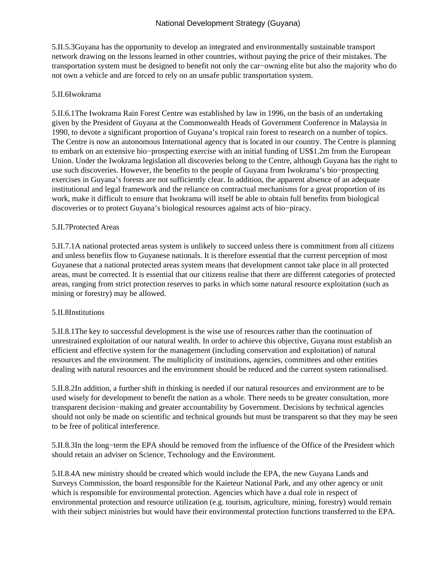5.II.5.3 Guyana has the opportunity to develop an integrated and environmentally sustainable transport network drawing on the lessons learned in other countries, without paying the price of their mistakes. The transportation system must be designed to benefit not only the car−owning elite but also the majority who do not own a vehicle and are forced to rely on an unsafe public transportation system.

#### 5.II.6 Iwokrama

5.II.6.1 The Iwokrama Rain Forest Centre was established by law in 1996, on the basis of an undertaking given by the President of Guyana at the Commonwealth Heads of Government Conference in Malaysia in 1990, to devote a significant proportion of Guyana's tropical rain forest to research on a number of topics. The Centre is now an autonomous International agency that is located in our country. The Centre is planning to embark on an extensive bio−prospecting exercise with an initial funding of US\$1.2m from the European Union. Under the Iwokrama legislation all discoveries belong to the Centre, although Guyana has the right to use such discoveries. However, the benefits to the people of Guyana from Iwokrama's bio−prospecting exercises in Guyana's forests are not sufficiently clear. In addition, the apparent absence of an adequate institutional and legal framework and the reliance on contractual mechanisms for a great proportion of its work, make it difficult to ensure that Iwokrama will itself be able to obtain full benefits from biological discoveries or to protect Guyana's biological resources against acts of bio−piracy.

### 5.II.7 Protected Areas

5.II.7.1 A national protected areas system is unlikely to succeed unless there is commitment from all citizens and unless benefits flow to Guyanese nationals. It is therefore essential that the current perception of most Guyanese that a national protected areas system means that development cannot take place in all protected areas, must be corrected. It is essential that our citizens realise that there are different categories of protected areas, ranging from strict protection reserves to parks in which some natural resource exploitation (such as mining or forestry) may be allowed.

#### 5.II.8 Institutions

5.II.8.1 The key to successful development is the wise use of resources rather than the continuation of unrestrained exploitation of our natural wealth. In order to achieve this objective, Guyana must establish an efficient and effective system for the management (including conservation and exploitation) of natural resources and the environment. The multiplicity of institutions, agencies, committees and other entities dealing with natural resources and the environment should be reduced and the current system rationalised.

5.II.8.2 In addition, a further shift in thinking is needed if our natural resources and environment are to be used wisely for development to benefit the nation as a whole. There needs to be greater consultation, more transparent decision−making and greater accountability by Government. Decisions by technical agencies should not only be made on scientific and technical grounds but must be transparent so that they may be seen to be free of political interference.

5.II.8.3 In the long−term the EPA should be removed from the influence of the Office of the President which should retain an adviser on Science, Technology and the Environment.

5.II.8.4 A new ministry should be created which would include the EPA, the new Guyana Lands and Surveys Commission, the board responsible for the Kaieteur National Park, and any other agency or unit which is responsible for environmental protection. Agencies which have a dual role in respect of environmental protection and resource utilization (e.g. tourism, agriculture, mining, forestry) would remain with their subject ministries but would have their environmental protection functions transferred to the EPA.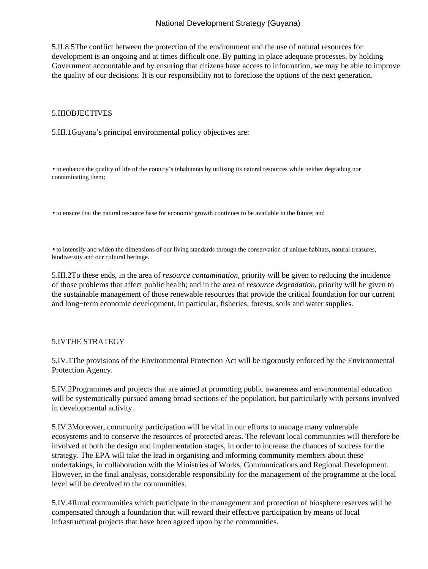5.II.8.5 The conflict between the protection of the environment and the use of natural resources for development is an ongoing and at times difficult one. By putting in place adequate processes, by holding Government accountable and by ensuring that citizens have access to information, we may be able to improve the quality of our decisions. It is our responsibility not to foreclose the options of the next generation.

#### 5.III OBJECTIVES

5.III.1 Guyana's principal environmental policy objectives are:

• to enhance the quality of life of the country's inhabitants by utilising its natural resources while neither degrading nor contaminating them;

• to ensure that the natural resource base for economic growth continues to be available in the future; and

• to intensify and widen the dimensions of our living standards through the conservation of unique habitats, natural treasures, biodiversity and our cultural heritage.

5.III.2 To these ends, in the area of *resource contamination,* priority will be given to reducing the incidence of those problems that affect public health; and in the area of *resource degradation*, priority will be given to the sustainable management of those renewable resources that provide the critical foundation for our current and long−term economic development, in particular, fisheries, forests, soils and water supplies.

#### 5.IV THE STRATEGY

5.IV.1 The provisions of the Environmental Protection Act will be rigorously enforced by the Environmental Protection Agency.

5.IV.2 Programmes and projects that are aimed at promoting public awareness and environmental education will be systematically pursued among broad sections of the population, but particularly with persons involved in developmental activity.

5.IV.3 Moreover, community participation will be vital in our efforts to manage many vulnerable ecosystems and to conserve the resources of protected areas. The relevant local communities will therefore be involved at both the design and implementation stages, in order to increase the chances of success for the strategy. The EPA will take the lead in organising and informing community members about these undertakings, in collaboration with the Ministries of Works, Communications and Regional Development. However, in the final analysis, considerable responsibility for the management of the programme at the local level will be devolved to the communities.

5.IV.4 Rural communities which participate in the management and protection of biosphere reserves will be compensated through a foundation that will reward their effective participation by means of local infrastructural projects that have been agreed upon by the communities.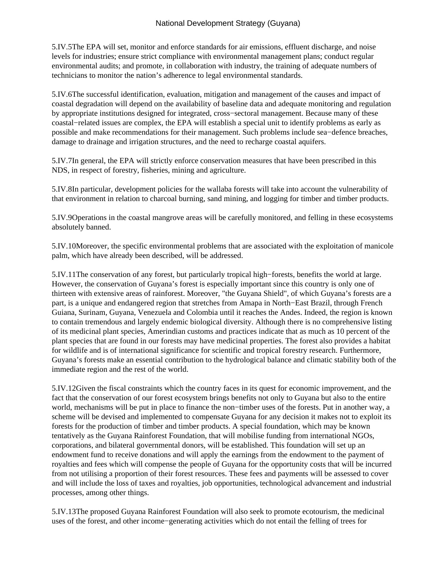5.IV.5 The EPA will set, monitor and enforce standards for air emissions, effluent discharge, and noise levels for industries; ensure strict compliance with environmental management plans; conduct regular environmental audits; and promote, in collaboration with industry, the training of adequate numbers of technicians to monitor the nation's adherence to legal environmental standards.

5.IV.6 The successful identification, evaluation, mitigation and management of the causes and impact of coastal degradation will depend on the availability of baseline data and adequate monitoring and regulation by appropriate institutions designed for integrated, cross−sectoral management. Because many of these coastal−related issues are complex, the EPA will establish a special unit to identify problems as early as possible and make recommendations for their management. Such problems include sea−defence breaches, damage to drainage and irrigation structures, and the need to recharge coastal aquifers.

5.IV.7 In general, the EPA will strictly enforce conservation measures that have been prescribed in this NDS, in respect of forestry, fisheries, mining and agriculture.

5.IV.8 In particular, development policies for the wallaba forests will take into account the vulnerability of that environment in relation to charcoal burning, sand mining, and logging for timber and timber products.

5.IV.9 Operations in the coastal mangrove areas will be carefully monitored, and felling in these ecosystems absolutely banned.

5.IV.10 Moreover, the specific environmental problems that are associated with the exploitation of manicole palm, which have already been described, will be addressed.

5.IV.11 The conservation of any forest, but particularly tropical high−forests, benefits the world at large. However, the conservation of Guyana's forest is especially important since this country is only one of thirteen with extensive areas of rainforest. Moreover, "the Guyana Shield", of which Guyana's forests are a part, is a unique and endangered region that stretches from Amapa in North−East Brazil, through French Guiana, Surinam, Guyana, Venezuela and Colombia until it reaches the Andes. Indeed, the region is known to contain tremendous and largely endemic biological diversity. Although there is no comprehensive listing of its medicinal plant species, Amerindian customs and practices indicate that as much as 10 percent of the plant species that are found in our forests may have medicinal properties. The forest also provides a habitat for wildlife and is of international significance for scientific and tropical forestry research. Furthermore, Guyana's forests make an essential contribution to the hydrological balance and climatic stability both of the immediate region and the rest of the world.

5.IV.12 Given the fiscal constraints which the country faces in its quest for economic improvement, and the fact that the conservation of our forest ecosystem brings benefits not only to Guyana but also to the entire world, mechanisms will be put in place to finance the non−timber uses of the forests. Put in another way, a scheme will be devised and implemented to compensate Guyana for any decision it makes not to exploit its forests for the production of timber and timber products. A special foundation, which may be known tentatively as the Guyana Rainforest Foundation, that will mobilise funding from international NGOs, corporations, and bilateral governmental donors, will be established. This foundation will set up an endowment fund to receive donations and will apply the earnings from the endowment to the payment of royalties and fees which will compense the people of Guyana for the opportunity costs that will be incurred from not utilising a proportion of their forest resources. These fees and payments will be assessed to cover and will include the loss of taxes and royalties, job opportunities, technological advancement and industrial processes, among other things.

5.IV.13 The proposed Guyana Rainforest Foundation will also seek to promote ecotourism, the medicinal uses of the forest, and other income−generating activities which do not entail the felling of trees for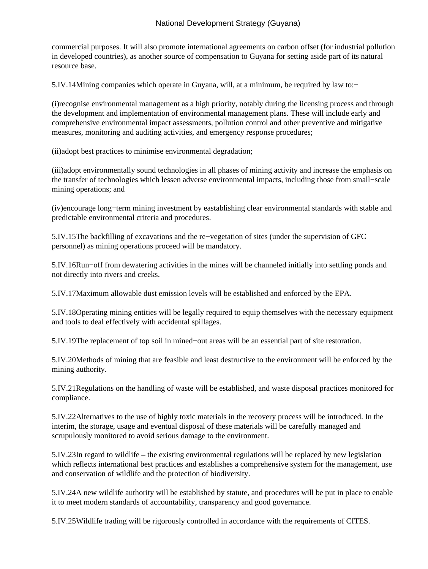commercial purposes. It will also promote international agreements on carbon offset (for industrial pollution in developed countries), as another source of compensation to Guyana for setting aside part of its natural resource base.

5.IV.14 Mining companies which operate in Guyana, will, at a minimum, be required by law to:−

(i) recognise environmental management as a high priority, notably during the licensing process and through the development and implementation of environmental management plans. These will include early and comprehensive environmental impact assessments, pollution control and other preventive and mitigative measures, monitoring and auditing activities, and emergency response procedures;

(ii) adopt best practices to minimise environmental degradation;

(iii) adopt environmentally sound technologies in all phases of mining activity and increase the emphasis on the transfer of technologies which lessen adverse environmental impacts, including those from small−scale mining operations; and

(iv) encourage long−term mining investment by eastablishing clear environmental standards with stable and predictable environmental criteria and procedures.

5.IV.15 The backfilling of excavations and the re−vegetation of sites (under the supervision of GFC personnel) as mining operations proceed will be mandatory.

5.IV.16 Run−off from dewatering activities in the mines will be channeled initially into settling ponds and not directly into rivers and creeks.

5.IV.17 Maximum allowable dust emission levels will be established and enforced by the EPA.

5.IV.18 Operating mining entities will be legally required to equip themselves with the necessary equipment and tools to deal effectively with accidental spillages.

5.IV.19 The replacement of top soil in mined–out areas will be an essential part of site restoration.

5.IV.20 Methods of mining that are feasible and least destructive to the environment will be enforced by the mining authority.

5.IV.21 Regulations on the handling of waste will be established, and waste disposal practices monitored for compliance.

5.IV.22 Alternatives to the use of highly toxic materials in the recovery process will be introduced. In the interim, the storage, usage and eventual disposal of these materials will be carefully managed and scrupulously monitored to avoid serious damage to the environment.

5.IV.23 In regard to wildlife – the existing environmental regulations will be replaced by new legislation which reflects international best practices and establishes a comprehensive system for the management, use and conservation of wildlife and the protection of biodiversity.

5.IV.24 A new wildlife authority will be established by statute, and procedures will be put in place to enable it to meet modern standards of accountability, transparency and good governance.

5.IV.25 Wildlife trading will be rigorously controlled in accordance with the requirements of CITES.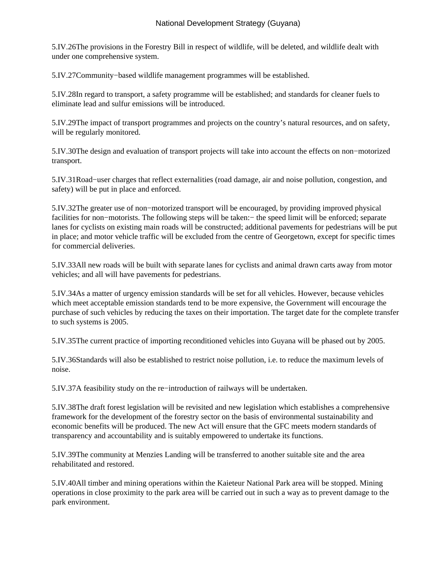5.IV.26 The provisions in the Forestry Bill in respect of wildlife, will be deleted, and wildlife dealt with under one comprehensive system.

5.IV.27 Community−based wildlife management programmes will be established.

5.IV.28 In regard to transport, a safety programme will be established; and standards for cleaner fuels to eliminate lead and sulfur emissions will be introduced.

5.IV.29 The impact of transport programmes and projects on the country's natural resources, and on safety, will be regularly monitored.

5.IV.30 The design and evaluation of transport projects will take into account the effects on non−motorized transport.

5.IV.31 Road−user charges that reflect externalities (road damage, air and noise pollution, congestion, and safety) will be put in place and enforced.

5.IV.32 The greater use of non−motorized transport will be encouraged, by providing improved physical facilities for non−motorists. The following steps will be taken:− the speed limit will be enforced; separate lanes for cyclists on existing main roads will be constructed; additional pavements for pedestrians will be put in place; and motor vehicle traffic will be excluded from the centre of Georgetown, except for specific times for commercial deliveries.

5.IV.33 All new roads will be built with separate lanes for cyclists and animal drawn carts away from motor vehicles; and all will have pavements for pedestrians.

5.IV.34 As a matter of urgency emission standards will be set for all vehicles. However, because vehicles which meet acceptable emission standards tend to be more expensive, the Government will encourage the purchase of such vehicles by reducing the taxes on their importation. The target date for the complete transfer to such systems is 2005.

5.IV.35 The current practice of importing reconditioned vehicles into Guyana will be phased out by 2005.

5.IV.36 Standards will also be established to restrict noise pollution, i.e. to reduce the maximum levels of noise.

5.IV.37 A feasibility study on the re−introduction of railways will be undertaken.

5.IV.38 The draft forest legislation will be revisited and new legislation which establishes a comprehensive framework for the development of the forestry sector on the basis of environmental sustainability and economic benefits will be produced. The new Act will ensure that the GFC meets modern standards of transparency and accountability and is suitably empowered to undertake its functions.

5.IV.39 The community at Menzies Landing will be transferred to another suitable site and the area rehabilitated and restored.

5.IV.40 All timber and mining operations within the Kaieteur National Park area will be stopped. Mining operations in close proximity to the park area will be carried out in such a way as to prevent damage to the park environment.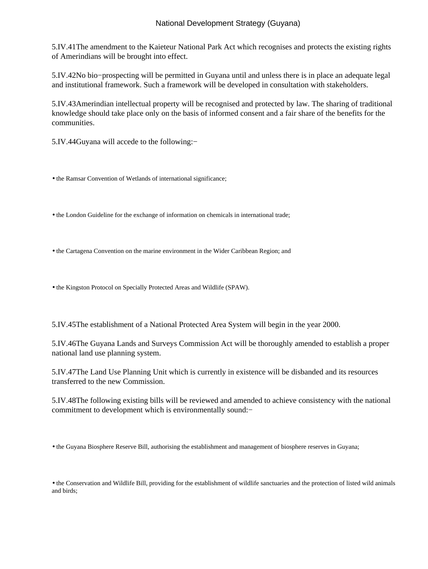5.IV.41 The amendment to the Kaieteur National Park Act which recognises and protects the existing rights of Amerindians will be brought into effect.

5.IV.42 No bio−prospecting will be permitted in Guyana until and unless there is in place an adequate legal and institutional framework. Such a framework will be developed in consultation with stakeholders.

5.IV.43 Amerindian intellectual property will be recognised and protected by law. The sharing of traditional knowledge should take place only on the basis of informed consent and a fair share of the benefits for the communities.

5.IV.44 Guyana will accede to the following:−

- the Ramsar Convention of Wetlands of international significance;
- the London Guideline for the exchange of information on chemicals in international trade;
- the Cartagena Convention on the marine environment in the Wider Caribbean Region; and
- the Kingston Protocol on Specially Protected Areas and Wildlife (SPAW).

5.IV.45 The establishment of a National Protected Area System will begin in the year 2000.

5.IV.46 The Guyana Lands and Surveys Commission Act will be thoroughly amended to establish a proper national land use planning system.

5.IV.47 The Land Use Planning Unit which is currently in existence will be disbanded and its resources transferred to the new Commission.

5.IV.48 The following existing bills will be reviewed and amended to achieve consistency with the national commitment to development which is environmentally sound:−

• the Guyana Biosphere Reserve Bill, authorising the establishment and management of biosphere reserves in Guyana;

• the Conservation and Wildlife Bill, providing for the establishment of wildlife sanctuaries and the protection of listed wild animals and birds;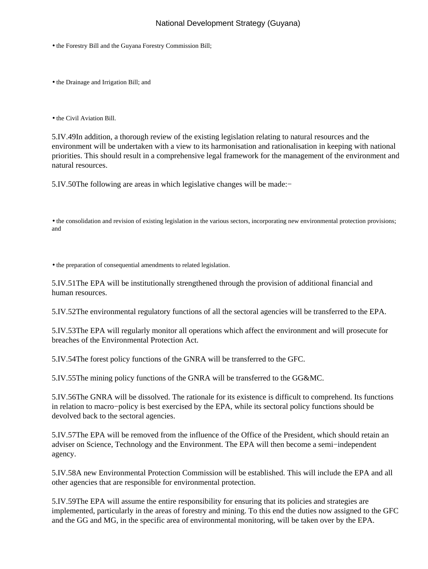- the Forestry Bill and the Guyana Forestry Commission Bill;
- the Drainage and Irrigation Bill; and
- the Civil Aviation Bill.

5.IV.49 In addition, a thorough review of the existing legislation relating to natural resources and the environment will be undertaken with a view to its harmonisation and rationalisation in keeping with national priorities. This should result in a comprehensive legal framework for the management of the environment and natural resources.

5.IV.50 The following are areas in which legislative changes will be made:−

• the consolidation and revision of existing legislation in the various sectors, incorporating new environmental protection provisions; and

• the preparation of consequential amendments to related legislation.

5.IV.51 The EPA will be institutionally strengthened through the provision of additional financial and human resources.

5.IV.52 The environmental regulatory functions of all the sectoral agencies will be transferred to the EPA.

5.IV.53 The EPA will regularly monitor all operations which affect the environment and will prosecute for breaches of the Environmental Protection Act.

5.IV.54 The forest policy functions of the GNRA will be transferred to the GFC.

5.IV.55 The mining policy functions of the GNRA will be transferred to the GG&MC.

5.IV.56 The GNRA will be dissolved. The rationale for its existence is difficult to comprehend. Its functions in relation to macro−policy is best exercised by the EPA, while its sectoral policy functions should be devolved back to the sectoral agencies.

5.IV.57 The EPA will be removed from the influence of the Office of the President, which should retain an adviser on Science, Technology and the Environment. The EPA will then become a semi−independent agency.

5.IV.58 A new Environmental Protection Commission will be established. This will include the EPA and all other agencies that are responsible for environmental protection.

5.IV.59 The EPA will assume the entire responsibility for ensuring that its policies and strategies are implemented, particularly in the areas of forestry and mining. To this end the duties now assigned to the GFC and the GG and MG, in the specific area of environmental monitoring, will be taken over by the EPA.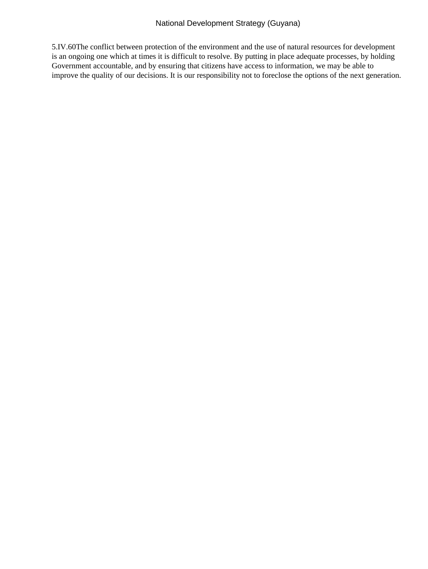5.IV.60 The conflict between protection of the environment and the use of natural resources for development is an ongoing one which at times it is difficult to resolve. By putting in place adequate processes, by holding Government accountable, and by ensuring that citizens have access to information, we may be able to improve the quality of our decisions. It is our responsibility not to foreclose the options of the next generation.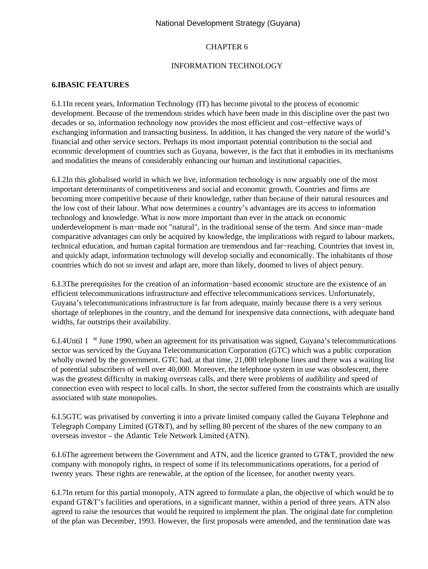# CHAPTER 6

#### INFORMATION TECHNOLOGY

# **6.I BASIC FEATURES**

6.I.1 In recent years, Information Technology (IT) has become pivotal to the process of economic development. Because of the tremendous strides which have been made in this discipline over the past two decades or so, information technology now provides the most efficient and cost−effective ways of exchanging information and transacting business. In addition, it has changed the very nature of the world's financial and other service sectors. Perhaps its most important potential contribution to the social and economic development of countries such as Guyana, however, is the fact that it embodies in its mechanisms and modalities the means of considerably enhancing our human and institutional capacities.

6.I.2 In this globalised world in which we live, information technology is now arguably one of the most important determinants of competitiveness and social and economic growth. Countries and firms are becoming more competitive because of their knowledge, rather than because of their natural resources and the low cost of their labour. What now determines a country's advantages are its access to information technology and knowledge. What is now more important than ever in the attack on economic underdevelopment is man−made not "natural", in the traditional sense of the term. And since man−made comparative advantages can only be acquired by knowledge, the implications with regard to labour markets, technical education, and human capital formation are tremendous and far−reaching. Countries that invest in, and quickly adapt, information technology will develop socially and economically. The inhabitants of those countries which do not so invest and adapt are, more than likely, doomed to lives of abject penury.

6.I.3 The prerequisites for the creation of an information−based economic structure are the existence of an efficient telecommunications infrastructure and effective telecommunications services. Unfortunately, Guyana's telecommunications infrastructure is far from adequate, mainly because there is a very serious shortage of telephones in the country, and the demand for inexpensive data connections, with adequate band widths, far outstrips their availability.

6.I.4 Until 1 st June 1990, when an agreement for its privatisation was signed, Guyana's telecommunications sector was serviced by the Guyana Telecommunication Corporation (GTC) which was a public corporation wholly owned by the government. GTC had, at that time, 21,000 telephone lines and there was a waiting list of potential subscribers of well over 40,000. Moreover, the telephone system in use was obsolescent, there was the greatest difficulty in making overseas calls, and there were problems of audibility and speed of connection even with respect to local calls. In short, the sector suffered from the constraints which are usually associated with state monopolies.

6.I.5 GTC was privatised by converting it into a private limited company called the Guyana Telephone and Telegraph Company Limited (GT&T), and by selling 80 percent of the shares of the new company to an overseas investor – the Atlantic Tele Network Limited (ATN).

6.I.6 The agreement between the Government and ATN, and the licence granted to GT&T, provided the new company with monopoly rights, in respect of some if its telecommunications operations, for a period of twenty years. These rights are renewable, at the option of the licensee, for another twenty years.

6.I.7 In return for this partial monopoly, ATN agreed to formulate a plan, the objective of which would be to expand GT&T's facilities and operations, in a significant manner, within a period of three years. ATN also agreed to raise the resources that would be required to implement the plan. The original date for completion of the plan was December, 1993. However, the first proposals were amended, and the termination date was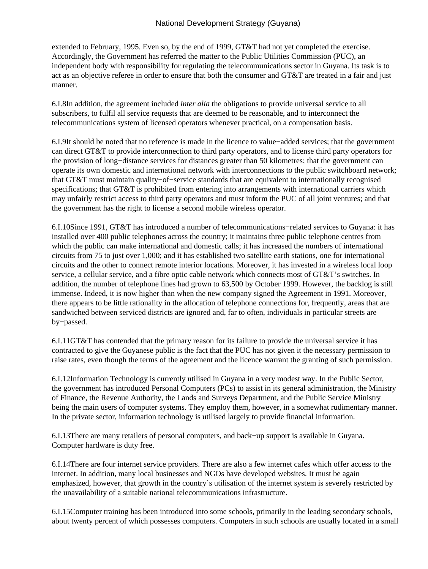extended to February, 1995. Even so, by the end of 1999, GT&T had not yet completed the exercise. Accordingly, the Government has referred the matter to the Public Utilities Commission (PUC), an independent body with responsibility for regulating the telecommunications sector in Guyana. Its task is to act as an objective referee in order to ensure that both the consumer and GT&T are treated in a fair and just manner.

6.I.8 In addition, the agreement included *inter alia* the obligations to provide universal service to all subscribers, to fulfil all service requests that are deemed to be reasonable, and to interconnect the telecommunications system of licensed operators whenever practical, on a compensation basis.

6.I.9 It should be noted that no reference is made in the licence to value−added services; that the government can direct GT&T to provide interconnection to third party operators, and to license third party operators for the provision of long−distance services for distances greater than 50 kilometres; that the government can operate its own domestic and international network with interconnections to the public switchboard network; that GT&T must maintain quality−of−service standards that are equivalent to internationally recognised specifications; that GT&T is prohibited from entering into arrangements with international carriers which may unfairly restrict access to third party operators and must inform the PUC of all joint ventures; and that the government has the right to license a second mobile wireless operator.

6.I.10 Since 1991, GT&T has introduced a number of telecommunications−related services to Guyana: it has installed over 400 public telephones across the country; it maintains three public telephone centres from which the public can make international and domestic calls; it has increased the numbers of international circuits from 75 to just over 1,000; and it has established two satellite earth stations, one for international circuits and the other to connect remote interior locations. Moreover, it has invested in a wireless local loop service, a cellular service, and a fibre optic cable network which connects most of GT&T's switches. In addition, the number of telephone lines had grown to 63,500 by October 1999. However, the backlog is still immense. Indeed, it is now higher than when the new company signed the Agreement in 1991. Moreover, there appears to be little rationality in the allocation of telephone connections for, frequently, areas that are sandwiched between serviced districts are ignored and, far to often, individuals in particular streets are by−passed.

6.I.11 GT&T has contended that the primary reason for its failure to provide the universal service it has contracted to give the Guyanese public is the fact that the PUC has not given it the necessary permission to raise rates, even though the terms of the agreement and the licence warrant the granting of such permission.

6.I.12 Information Technology is currently utilised in Guyana in a very modest way. In the Public Sector, the government has introduced Personal Computers (PCs) to assist in its general administration, the Ministry of Finance, the Revenue Authority, the Lands and Surveys Department, and the Public Service Ministry being the main users of computer systems. They employ them, however, in a somewhat rudimentary manner. In the private sector, information technology is utilised largely to provide financial information.

6.I.13 There are many retailers of personal computers, and back−up support is available in Guyana. Computer hardware is duty free.

6.I.14 There are four internet service providers. There are also a few internet cafes which offer access to the internet. In addition, many local businesses and NGOs have developed websites. It must be again emphasized, however, that growth in the country's utilisation of the internet system is severely restricted by the unavailability of a suitable national telecommunications infrastructure.

6.I.15 Computer training has been introduced into some schools, primarily in the leading secondary schools, about twenty percent of which possesses computers. Computers in such schools are usually located in a small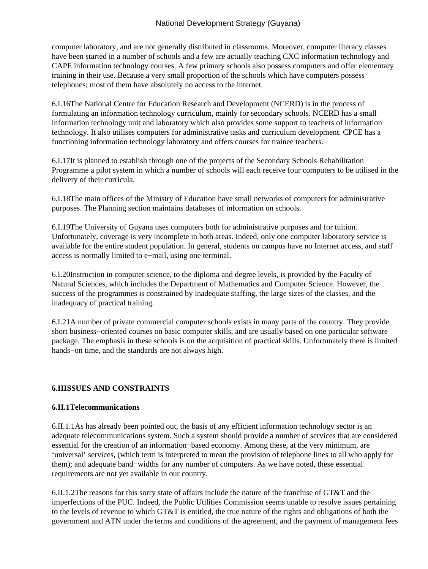computer laboratory, and are not generally distributed in classrooms. Moreover, computer literacy classes have been started in a number of schools and a few are actually teaching CXC information technology and CAPE information technology courses. A few primary schools also possess computers and offer elementary training in their use. Because a very small proportion of the schools which have computers possess telephones; most of them have absolutely no access to the internet.

6.I.16 The National Centre for Education Research and Development (NCERD) is in the process of formulating an information technology curriculum, mainly for secondary schools. NCERD has a small information technology unit and laboratory which also provides some support to teachers of information technology. It also utilises computers for administrative tasks and curriculum development. CPCE has a functioning information technology laboratory and offers courses for trainee teachers.

6.I.17 It is planned to establish through one of the projects of the Secondary Schools Rehabilitation Programme a pilot system in which a number of schools will each receive four computers to be utilised in the delivery of their curricula.

6.I.18 The main offices of the Ministry of Education have small networks of computers for administrative purposes. The Planning section maintains databases of information on schools.

6.I.19 The University of Guyana uses computers both for administrative purposes and for tuition. Unfortunately, coverage is very incomplete in both areas. Indeed, only one computer laboratory service is available for the entire student population. In general, students on campus have no Internet access, and staff access is normally limited to e−mail, using one terminal.

6.I.20 Instruction in computer science, to the diploma and degree levels, is provided by the Faculty of Natural Sciences, which includes the Department of Mathematics and Computer Science. However, the success of the programmes is constrained by inadequate staffing, the large sizes of the classes, and the inadequacy of practical training.

6.I.21 A number of private commercial computer schools exists in many parts of the country. They provide short business−oriented courses on basic computer skills, and are usually based on one particular software package. The emphasis in these schools is on the acquisition of practical skills. Unfortunately there is limited hands−on time, and the standards are not always high.

# **6.II ISSUES AND CONSTRAINTS**

#### **6.II.1 Telecommunications**

6.II.1.1 As has already been pointed out, the basis of any efficient information technology sector is an adequate telecommunications system. Such a system should provide a number of services that are considered essential for the creation of an information−based economy. Among these, at the very minimum, are 'universal' services, (which term is interpreted to mean the provision of telephone lines to all who apply for them); and adequate band−widths for any number of computers. As we have noted, these essential requirements are not yet available in our country.

6.II.1.2 The reasons for this sorry state of affairs include the nature of the franchise of GT&T and the imperfections of the PUC. Indeed, the Public Utilities Commission seems unable to resolve issues pertaining to the levels of revenue to which GT&T is entitled, the true nature of the rights and obligations of both the government and ATN under the terms and conditions of the agreement, and the payment of management fees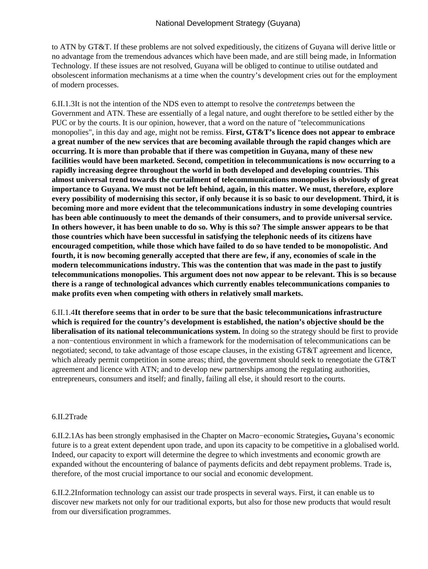to ATN by GT&T. If these problems are not solved expeditiously, the citizens of Guyana will derive little or no advantage from the tremendous advances which have been made, and are still being made, in Information Technology. If these issues are not resolved, Guyana will be obliged to continue to utilise outdated and obsolescent information mechanisms at a time when the country's development cries out for the employment of modern processes.

6.II.1.3 It is not the intention of the NDS even to attempt to resolve the *contretemps* between the Government and ATN. These are essentially of a legal nature, and ought therefore to be settled either by the PUC or by the courts. It is our opinion, however, that a word on the nature of "telecommunications monopolies", in this day and age, might not be remiss. **First, GT&T's licence does not appear to embrace a great number of the new services that are becoming available through the rapid changes which are occurring. It is more than probable that if there was competition in Guyana, many of these new facilities would have been marketed. Second, competition in telecommunications is now occurring to a rapidly increasing degree throughout the world in both developed and developing countries. This almost universal trend towards the curtailment of telecommunications monopolies is obviously of great importance to Guyana. We must not be left behind, again, in this matter. We must, therefore, explore every possibility of modernising this sector, if only because it is so basic to our development. Third, it is becoming more and more evident that the telecommunications industry in some developing countries has been able continuously to meet the demands of their consumers, and to provide universal service. In others however, it has been unable to do so. Why is this so? The simple answer appears to be that those countries which have been successful in satisfying the telephonic needs of its citizens have encouraged competition, while those which have failed to do so have tended to be monopolistic. And fourth, it is now becoming generally accepted that there are few, if any, economies of scale in the modern telecommunications industry. This was the contention that was made in the past to justify telecommunications monopolies. This argument does not now appear to be relevant. This is so because there is a range of technological advances which currently enables telecommunications companies to make profits even when competing with others in relatively small markets.**

6.II.1.4 **It therefore seems that in order to be sure that the basic telecommunications infrastructure which is required for the country's development is established, the nation's objective should be the liberalisation of its national telecommunications system.** In doing so the strategy should be first to provide a non−contentious environment in which a framework for the modernisation of telecommunications can be negotiated; second, to take advantage of those escape clauses, in the existing GT&T agreement and licence, which already permit competition in some areas; third, the government should seek to renegotiate the GT&T agreement and licence with ATN; and to develop new partnerships among the regulating authorities, entrepreneurs, consumers and itself; and finally, failing all else, it should resort to the courts.

#### 6.II.2 Trade

6.II.2.1 As has been strongly emphasised in the Chapter on Macro−economic Strategies**,** Guyana's economic future is to a great extent dependent upon trade, and upon its capacity to be competitive in a globalised world. Indeed, our capacity to export will determine the degree to which investments and economic growth are expanded without the encountering of balance of payments deficits and debt repayment problems. Trade is, therefore, of the most crucial importance to our social and economic development.

6.II.2.2 Information technology can assist our trade prospects in several ways. First, it can enable us to discover new markets not only for our traditional exports, but also for those new products that would result from our diversification programmes.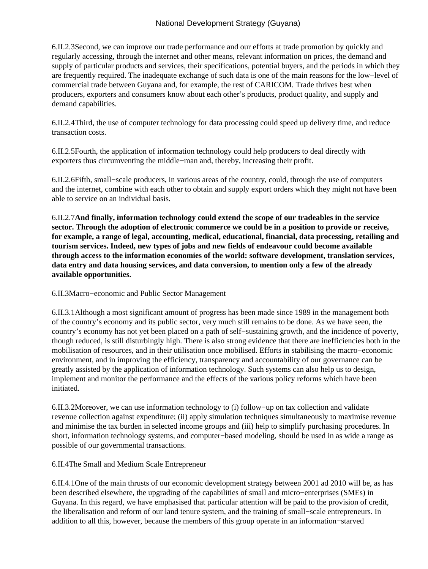6.II.2.3 Second, we can improve our trade performance and our efforts at trade promotion by quickly and regularly accessing, through the internet and other means, relevant information on prices, the demand and supply of particular products and services, their specifications, potential buyers, and the periods in which they are frequently required. The inadequate exchange of such data is one of the main reasons for the low−level of commercial trade between Guyana and, for example, the rest of CARICOM. Trade thrives best when producers, exporters and consumers know about each other's products, product quality, and supply and demand capabilities.

6.II.2.4 Third, the use of computer technology for data processing could speed up delivery time, and reduce transaction costs.

6.II.2.5 Fourth, the application of information technology could help producers to deal directly with exporters thus circumventing the middle−man and, thereby, increasing their profit.

6.II.2.6 Fifth, small−scale producers, in various areas of the country, could, through the use of computers and the internet, combine with each other to obtain and supply export orders which they might not have been able to service on an individual basis.

6.II.2.7 **And finally, information technology could extend the scope of our tradeables in the service sector. Through the adoption of electronic commerce we could be in a position to provide or receive, for example, a range of legal, accounting, medical, educational, financial, data processing, retailing and tourism services. Indeed, new types of jobs and new fields of endeavour could become available through access to the information economies of the world: software development, translation services, data entry and data housing services, and data conversion, to mention only a few of the already available opportunities.**

6.II.3 Macro−economic and Public Sector Management

6.II.3.1 Although a most significant amount of progress has been made since 1989 in the management both of the country's economy and its public sector, very much still remains to be done. As we have seen, the country's economy has not yet been placed on a path of self−sustaining growth, and the incidence of poverty, though reduced, is still disturbingly high. There is also strong evidence that there are inefficiencies both in the mobilisation of resources, and in their utilisation once mobilised. Efforts in stabilising the macro−economic environment, and in improving the efficiency, transparency and accountability of our governance can be greatly assisted by the application of information technology. Such systems can also help us to design, implement and monitor the performance and the effects of the various policy reforms which have been initiated.

6.II.3.2 Moreover, we can use information technology to (i) follow−up on tax collection and validate revenue collection against expenditure; (ii) apply simulation techniques simultaneously to maximise revenue and minimise the tax burden in selected income groups and (iii) help to simplify purchasing procedures. In short, information technology systems, and computer−based modeling, should be used in as wide a range as possible of our governmental transactions.

6.II.4 The Small and Medium Scale Entrepreneur

6.II.4.1 One of the main thrusts of our economic development strategy between 2001 ad 2010 will be, as has been described elsewhere, the upgrading of the capabilities of small and micro−enterprises (SMEs) in Guyana. In this regard, we have emphasised that particular attention will be paid to the provision of credit, the liberalisation and reform of our land tenure system, and the training of small−scale entrepreneurs. In addition to all this, however, because the members of this group operate in an information−starved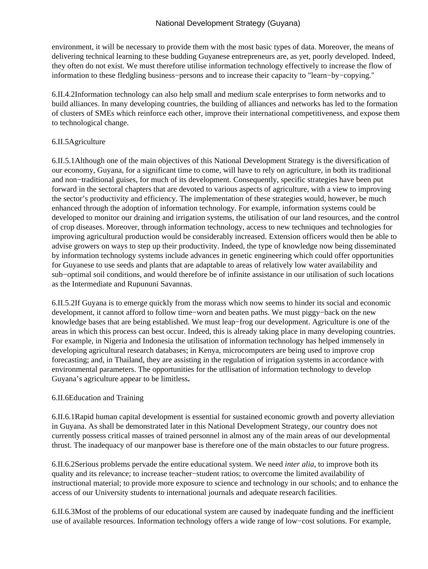environment, it will be necessary to provide them with the most basic types of data. Moreover, the means of delivering technical learning to these budding Guyanese entrepreneurs are, as yet, poorly developed. Indeed, they often do not exist. We must therefore utilise information technology effectively to increase the flow of information to these fledgling business−persons and to increase their capacity to "learn−by−copying."

6.II.4.2 Information technology can also help small and medium scale enterprises to form networks and to build alliances. In many developing countries, the building of alliances and networks has led to the formation of clusters of SMEs which reinforce each other, improve their international competitiveness, and expose them to technological change.

### 6.II.5 Agriculture

6.II.5.1 Although one of the main objectives of this National Development Strategy is the diversification of our economy, Guyana, for a significant time to come, will have to rely on agriculture, in both its traditional and non−traditional guises, for much of its development. Consequently, specific strategies have been put forward in the sectoral chapters that are devoted to various aspects of agriculture, with a view to improving the sector's productivity and efficiency. The implementation of these strategies would, however, be much enhanced through the adoption of information technology. For example, information systems could be developed to monitor our draining and irrigation systems, the utilisation of our land resources, and the control of crop diseases. Moreover, through information technology, access to new techniques and technologies for improving agricultural production would be considerably increased. Extension officers would then be able to advise growers on ways to step up their productivity. Indeed, the type of knowledge now being disseminated by information technology systems include advances in genetic engineering which could offer opportunities for Guyanese to use seeds and plants that are adaptable to areas of relatively low water availability and sub−optimal soil conditions, and would therefore be of infinite assistance in our utilisation of such locations as the Intermediate and Rupununi Savannas.

6.II.5.2 If Guyana is to emerge quickly from the morass which now seems to hinder its social and economic development, it cannot afford to follow time−worn and beaten paths. We must piggy−back on the new knowledge bases that are being established. We must leap−frog our development. Agriculture is one of the areas in which this process can best occur. Indeed, this is already taking place in many developing countries. For example, in Nigeria and Indonesia the utilisation of information technology has helped immensely in developing agricultural research databases; in Kenya, microcomputers are being used to improve crop forecasting; and, in Thailand, they are assisting in the regulation of irrigation systems in accordance with environmental parameters. The opportunities for the utllisation of information technology to develop Guyana's agriculture appear to be limitless**.**

#### 6.II.6 Education and Training

6.II.6.1 Rapid human capital development is essential for sustained economic growth and poverty alleviation in Guyana. As shall be demonstrated later in this National Development Strategy, our country does not currently possess critical masses of trained personnel in almost any of the main areas of our developmental thrust. The inadequacy of our manpower base is therefore one of the main obstacles to our future progress.

6.II.6.2 Serious problems pervade the entire educational system. We need *inter alia*, to improve both its quality and its relevance; to increase teacher−student ratios; to overcome the limited availability of instructional material; to provide more exposure to science and technology in our schools; and to enhance the access of our University students to international journals and adequate research facilities.

6.II.6.3 Most of the problems of our educational system are caused by inadequate funding and the inefficient use of available resources. Information technology offers a wide range of low−cost solutions. For example,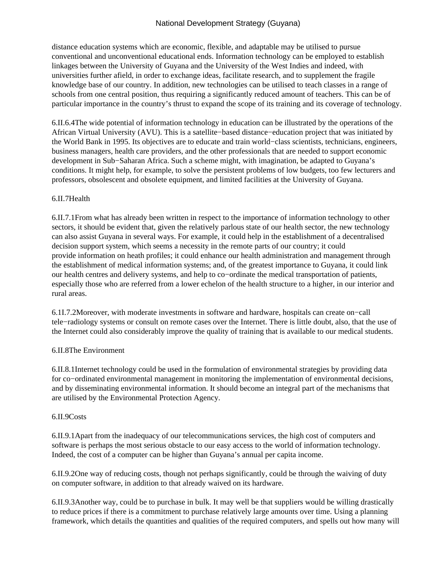distance education systems which are economic, flexible, and adaptable may be utilised to pursue conventional and unconventional educational ends. Information technology can be employed to establish linkages between the University of Guyana and the University of the West Indies and indeed, with universities further afield, in order to exchange ideas, facilitate research, and to supplement the fragile knowledge base of our country. In addition, new technologies can be utilised to teach classes in a range of schools from one central position, thus requiring a significantly reduced amount of teachers. This can be of particular importance in the country's thrust to expand the scope of its training and its coverage of technology.

6.II.6.4 The wide potential of information technology in education can be illustrated by the operations of the African Virtual University (AVU). This is a satellite−based distance−education project that was initiated by the World Bank in 1995. Its objectives are to educate and train world−class scientists, technicians, engineers, business managers, health care providers, and the other professionals that are needed to support economic development in Sub−Saharan Africa. Such a scheme might, with imagination, be adapted to Guyana's conditions. It might help, for example, to solve the persistent problems of low budgets, too few lecturers and professors, obsolescent and obsolete equipment, and limited facilities at the University of Guyana.

#### 6.II.7 Health

6.II.7.1 From what has already been written in respect to the importance of information technology to other sectors, it should be evident that, given the relatively parlous state of our health sector, the new technology can also assist Guyana in several ways. For example, it could help in the establishment of a decentralised decision support system, which seems a necessity in the remote parts of our country; it could provide information on heath profiles; it could enhance our health administration and management through the establishment of medical information systems; and, of the greatest importance to Guyana, it could link our health centres and delivery systems, and help to co−ordinate the medical transportation of patients, especially those who are referred from a lower echelon of the health structure to a higher, in our interior and rural areas.

6.1I.7.2 Moreover, with moderate investments in software and hardware, hospitals can create on−call tele−radiology systems or consult on remote cases over the Internet. There is little doubt, also, that the use of the Internet could also considerably improve the quality of training that is available to our medical students.

#### 6.II.8 The Environment

6.II.8.1 Internet technology could be used in the formulation of environmental strategies by providing data for co−ordinated environmental management in monitoring the implementation of environmental decisions, and by disseminating environmental information. It should become an integral part of the mechanisms that are utilised by the Environmental Protection Agency.

# 6.II.9 Costs

6.II.9.1 Apart from the inadequacy of our telecommunications services, the high cost of computers and software is perhaps the most serious obstacle to our easy access to the world of information technology. Indeed, the cost of a computer can be higher than Guyana's annual per capita income.

6.II.9.2 One way of reducing costs, though not perhaps significantly, could be through the waiving of duty on computer software, in addition to that already waived on its hardware.

6.II.9.3 Another way, could be to purchase in bulk. It may well be that suppliers would be willing drastically to reduce prices if there is a commitment to purchase relatively large amounts over time. Using a planning framework, which details the quantities and qualities of the required computers, and spells out how many will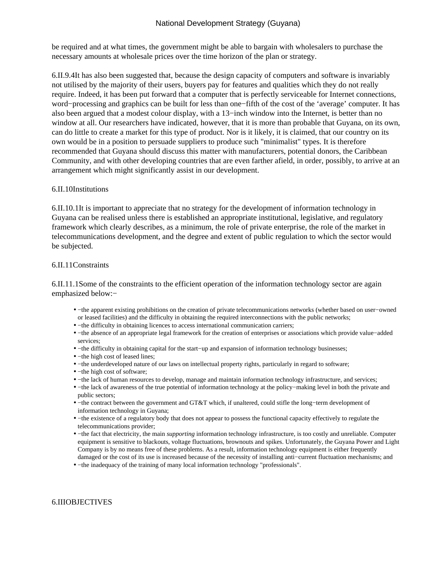be required and at what times, the government might be able to bargain with wholesalers to purchase the necessary amounts at wholesale prices over the time horizon of the plan or strategy.

6.II.9.4 It has also been suggested that, because the design capacity of computers and software is invariably not utilised by the majority of their users, buyers pay for features and qualities which they do not really require. Indeed, it has been put forward that a computer that is perfectly serviceable for Internet connections, word−processing and graphics can be built for less than one−fifth of the cost of the 'average' computer. It has also been argued that a modest colour display, with a 13−inch window into the Internet, is better than no window at all. Our researchers have indicated, however, that it is more than probable that Guyana, on its own, can do little to create a market for this type of product. Nor is it likely, it is claimed, that our country on its own would be in a position to persuade suppliers to produce such "minimalist" types. It is therefore recommended that Guyana should discuss this matter with manufacturers, potential donors, the Caribbean Community, and with other developing countries that are even farther afield, in order, possibly, to arrive at an arrangement which might significantly assist in our development.

#### 6.II.10 Institutions

6.II.10.1 It is important to appreciate that no strategy for the development of information technology in Guyana can be realised unless there is established an appropriate institutional, legislative, and regulatory framework which clearly describes, as a minimum, the role of private enterprise, the role of the market in telecommunications development, and the degree and extent of public regulation to which the sector would be subjected.

#### 6.II.11 Constraints

6.II.11.1 Some of the constraints to the efficient operation of the information technology sector are again emphasized below:−

- – the apparent existing prohibitions on the creation of private telecommunications networks (whether based on user–owned or leased facilities) and the difficulty in obtaining the required interconnections with the public networks;
- – the difficulty in obtaining licences to access international communication carriers;
- – the absence of an appropriate legal framework for the creation of enterprises or associations which provide value–added services;
- − the difficulty in obtaining capital for the start–up and expansion of information technology businesses;
- – the high cost of leased lines;
- – the underdeveloped nature of our laws on intellectual property rights, particularly in regard to software;
- – the high cost of software;
- - the lack of human resources to develop, manage and maintain information technology infrastructure, and services;
- – the lack of awareness of the true potential of information technology at the policy–making level in both the private and public sectors;
- – the contract between the government and GT&T which, if unaltered, could stifle the long–term development of information technology in Guyana;
- – the existence of a regulatory body that does not appear to possess the functional capacity effectively to regulate the telecommunications provider;
- – the fact that electricity, the main *supporting* information technology infrastructure, is too costly and unreliable. Computer equipment is sensitive to blackouts, voltage fluctuations, brownouts and spikes. Unfortunately, the Guyana Power and Light Company is by no means free of these problems. As a result, information technology equipment is either frequently damaged or the cost of its use is increased because of the necessity of installing anti−current fluctuation mechanisms; and
- – the inadequacy of the training of many local information technology "professionals".

#### 6.III OBJECTIVES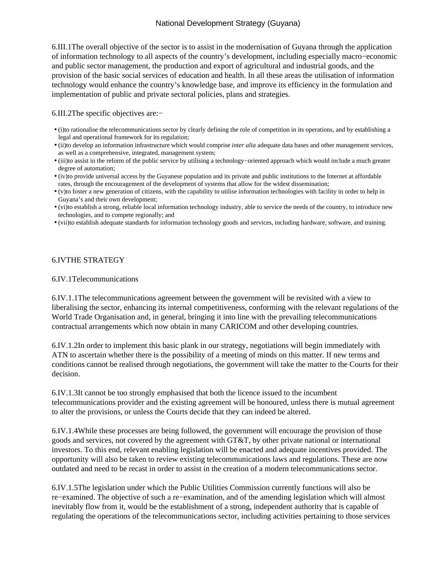6.III.1 The overall objective of the sector is to assist in the modernisation of Guyana through the application of information technology to all aspects of the country's development, including especially macro−economic and public sector management, the production and export of agricultural and industrial goods, and the provision of the basic social services of education and health. In all these areas the utilisation of information technology would enhance the country's knowledge base, and improve its efficiency in the formulation and implementation of public and private sectoral policies, plans and strategies.

#### 6.III.2 The specific objectives are:−

- (i) to rationalise the telecommunications sector by clearly defining the role of competition in its operations, and by establishing a legal and operational framework for its regulation;
- (ii) to develop an information infrastructure which would comprise *inter alia* adequate data bases and other management services, as well as a comprehensive, integrated, management system;
- (iii) to assist in the reform of the public service by utilising a technology–oriented approach which would include a much greater degree of automation;
- (iv) to provide universal access by the Guyanese population and its private and public institutions to the Internet at affordable rates, through the encouragement of the development of systems that allow for the widest dissemination;
- (v) to foster a new generation of citizens, with the capability to utilise information technologies with facility in order to help in Guyana's and their own development;
- (vi) to establish a strong, reliable local information technology industry, able to service the needs of the country, to introduce new technologies, and to compete regionally; and
- (vii) to establish adequate standards for information technology goods and services, including hardware, software, and training.

#### 6.IV THE STRATEGY

#### 6.IV.1 Telecommunications

6.IV.1.1 The telecommunications agreement between the government will be revisited with a view to liberalising the sector, enhancing its internal competitiveness, conforming with the relevant regulations of the World Trade Organisation and, in general, bringing it into line with the prevailing telecommunications contractual arrangements which now obtain in many CARICOM and other developing countries.

6.IV.1.2 In order to implement this basic plank in our strategy, negotiations will begin immediately with ATN to ascertain whether there is the possibility of a meeting of minds on this matter. If new terms and conditions cannot be realised through negotiations, the government will take the matter to the Courts for their decision.

6.IV.1.3 It cannot be too strongly emphasised that both the licence issued to the incumbent telecommunications provider and the existing agreement will be honoured, unless there is mutual agreement to alter the provisions, or unless the Courts decide that they can indeed be altered.

6.IV.1.4 While these processes are being followed, the government will encourage the provision of those goods and services, not covered by the agreement with GT&T, by other private national or international investors. To this end, relevant enabling legislation will be enacted and adequate incentives provided. The opportunity will also be taken to review existing telecommunications laws and regulations. These are now outdated and need to be recast in order to assist in the creation of a modern telecommunications sector.

6.IV.1.5 The legislation under which the Public Utilities Commission currently functions will also be re−examined. The objective of such a re−examination, and of the amending legislation which will almost inevitably flow from it, would be the establishment of a strong, independent authority that is capable of regulating the operations of the telecommunications sector, including activities pertaining to those services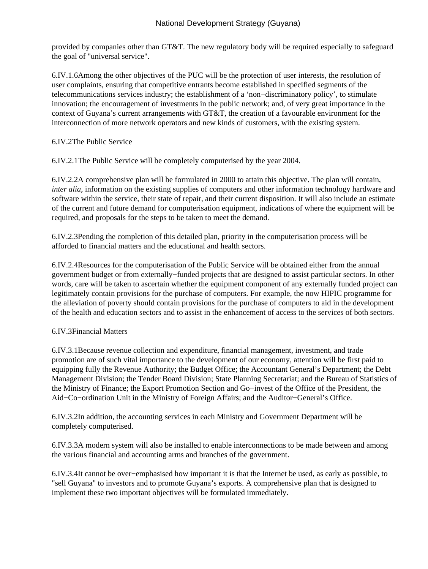provided by companies other than GT&T. The new regulatory body will be required especially to safeguard the goal of "universal service".

6.IV.1.6 Among the other objectives of the PUC will be the protection of user interests, the resolution of user complaints, ensuring that competitive entrants become established in specified segments of the telecommunications services industry; the establishment of a 'non−discriminatory policy', to stimulate innovation; the encouragement of investments in the public network; and, of very great importance in the context of Guyana's current arrangements with GT&T, the creation of a favourable environment for the interconnection of more network operators and new kinds of customers, with the existing system.

6.IV.2 The Public Service

6.IV.2.1 The Public Service will be completely computerised by the year 2004.

6.IV.2.2 A comprehensive plan will be formulated in 2000 to attain this objective. The plan will contain, *inter alia*, information on the existing supplies of computers and other information technology hardware and software within the service, their state of repair, and their current disposition. It will also include an estimate of the current and future demand for computerisation equipment, indications of where the equipment will be required, and proposals for the steps to be taken to meet the demand.

6.IV.2.3 Pending the completion of this detailed plan, priority in the computerisation process will be afforded to financial matters and the educational and health sectors.

6.IV.2.4 Resources for the computerisation of the Public Service will be obtained either from the annual government budget or from externally−funded projects that are designed to assist particular sectors. In other words, care will be taken to ascertain whether the equipment component of any externally funded project can legitimately contain provisions for the purchase of computers. For example, the now HIPIC programme for the alleviation of poverty should contain provisions for the purchase of computers to aid in the development of the health and education sectors and to assist in the enhancement of access to the services of both sectors.

# 6.IV.3 Financial Matters

6.IV.3.1 Because revenue collection and expenditure, financial management, investment, and trade promotion are of such vital importance to the development of our economy, attention will be first paid to equipping fully the Revenue Authority; the Budget Office; the Accountant General's Department; the Debt Management Division; the Tender Board Division; State Planning Secretariat; and the Bureau of Statistics of the Ministry of Finance; the Export Promotion Section and Go−invest of the Office of the President, the Aid−Co−ordination Unit in the Ministry of Foreign Affairs; and the Auditor−General's Office.

6.IV.3.2 In addition, the accounting services in each Ministry and Government Department will be completely computerised.

6.IV.3.3 A modern system will also be installed to enable interconnections to be made between and among the various financial and accounting arms and branches of the government.

6.IV.3.4 It cannot be over−emphasised how important it is that the Internet be used, as early as possible, to "sell Guyana" to investors and to promote Guyana's exports. A comprehensive plan that is designed to implement these two important objectives will be formulated immediately.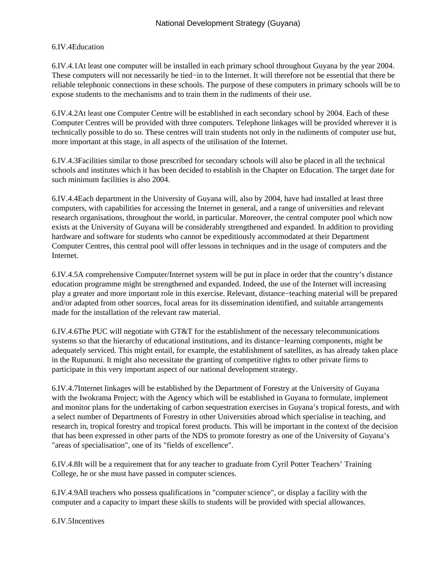### 6.IV.4 Education

6.IV.4.1 At least one computer will be installed in each primary school throughout Guyana by the year 2004. These computers will not necessarily be tied−in to the Internet. It will therefore not be essential that there be reliable telephonic connections in these schools. The purpose of these computers in primary schools will be to expose students to the mechanisms and to train them in the rudiments of their use.

6.IV.4.2 At least one Computer Centre will be established in each secondary school by 2004. Each of these Computer Centres will be provided with three computers. Telephone linkages will be provided wherever it is technically possible to do so. These centres will train students not only in the rudiments of computer use but, more important at this stage, in all aspects of the utilisation of the Internet.

6.IV.4.3 Facilities similar to those prescribed for secondary schools will also be placed in all the technical schools and institutes which it has been decided to establish in the Chapter on Education. The target date for such minimum facilities is also 2004.

6.IV.4.4 Each department in the University of Guyana will, also by 2004, have had installed at least three computers, with capabilities for accessing the Internet in general, and a range of universities and relevant research organisations, throughout the world, in particular. Moreover, the central computer pool which now exists at the University of Guyana will be considerably strengthened and expanded. In addition to providing hardware and software for students who cannot be expeditiously accommodated at their Department Computer Centres, this central pool will offer lessons in techniques and in the usage of computers and the Internet.

6.IV.4.5 A comprehensive Computer/Internet system will be put in place in order that the country's distance education programme might be strengthened and expanded. Indeed, the use of the Internet will increasing play a greater and more important role in this exercise. Relevant, distance−teaching material will be prepared and/or adapted from other sources, focal areas for its dissemination identified, and suitable arrangements made for the installation of the relevant raw material.

6.IV.4.6 The PUC will negotiate with GT&T for the establishment of the necessary telecommunications systems so that the hierarchy of educational institutions, and its distance−learning components, might be adequately serviced. This might entail, for example, the establishment of satellites, as has already taken place in the Rupununi. It might also necessitate the granting of competitive rights to other private firms to participate in this very important aspect of our national development strategy.

6.IV.4.7 Internet linkages will be established by the Department of Forestry at the University of Guyana with the Iwokrama Project; with the Agency which will be established in Guyana to formulate, implement and monitor plans for the undertaking of carbon sequestration exercises in Guyana's tropical forests, and with a select number of Departments of Forestry in other Universities abroad which specialise in teaching, and research in, tropical forestry and tropical forest products. This will be important in the context of the decision that has been expressed in other parts of the NDS to promote forestry as one of the University of Guyana's "areas of specialisation", one of its "fields of excellence".

6.IV.4.8 It will be a requirement that for any teacher to graduate from Cyril Potter Teachers' Training College, he or she must have passed in computer sciences.

6.IV.4.9 All teachers who possess qualifications in "computer science", or display a facility with the computer and a capacity to impart these skills to students will be provided with special allowances.

6.IV.5 Incentives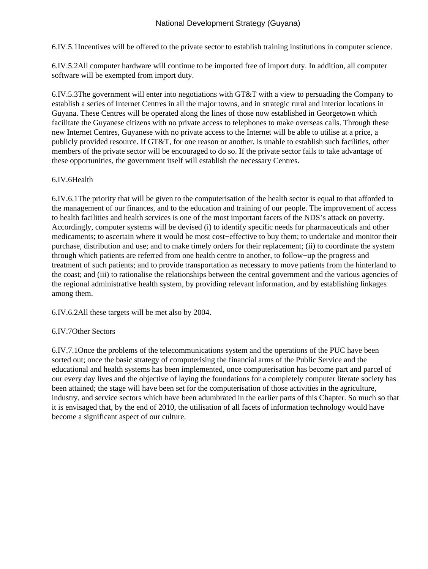6.IV.5.1 Incentives will be offered to the private sector to establish training institutions in computer science.

6.IV.5.2 All computer hardware will continue to be imported free of import duty. In addition, all computer software will be exempted from import duty.

6.IV.5.3 The government will enter into negotiations with GT&T with a view to persuading the Company to establish a series of Internet Centres in all the major towns, and in strategic rural and interior locations in Guyana. These Centres will be operated along the lines of those now established in Georgetown which facilitate the Guyanese citizens with no private access to telephones to make overseas calls. Through these new Internet Centres, Guyanese with no private access to the Internet will be able to utilise at a price, a publicly provided resource. If GT&T, for one reason or another, is unable to establish such facilities, other members of the private sector will be encouraged to do so. If the private sector fails to take advantage of these opportunities, the government itself will establish the necessary Centres.

# 6.IV.6 Health

6.IV.6.1 The priority that will be given to the computerisation of the health sector is equal to that afforded to the management of our finances, and to the education and training of our people. The improvement of access to health facilities and health services is one of the most important facets of the NDS's attack on poverty. Accordingly, computer systems will be devised (i) to identify specific needs for pharmaceuticals and other medicaments; to ascertain where it would be most cost−effective to buy them; to undertake and monitor their purchase, distribution and use; and to make timely orders for their replacement; (ii) to coordinate the system through which patients are referred from one health centre to another, to follow−up the progress and treatment of such patients; and to provide transportation as necessary to move patients from the hinterland to the coast; and (iii) to rationalise the relationships between the central government and the various agencies of the regional administrative health system, by providing relevant information, and by establishing linkages among them.

6.IV.6.2 All these targets will be met also by 2004.

# 6.IV.7 Other Sectors

6.IV.7.1 Once the problems of the telecommunications system and the operations of the PUC have been sorted out; once the basic strategy of computerising the financial arms of the Public Service and the educational and health systems has been implemented, once computerisation has become part and parcel of our every day lives and the objective of laying the foundations for a completely computer literate society has been attained; the stage will have been set for the computerisation of those activities in the agriculture, industry, and service sectors which have been adumbrated in the earlier parts of this Chapter. So much so that it is envisaged that, by the end of 2010, the utilisation of all facets of information technology would have become a significant aspect of our culture.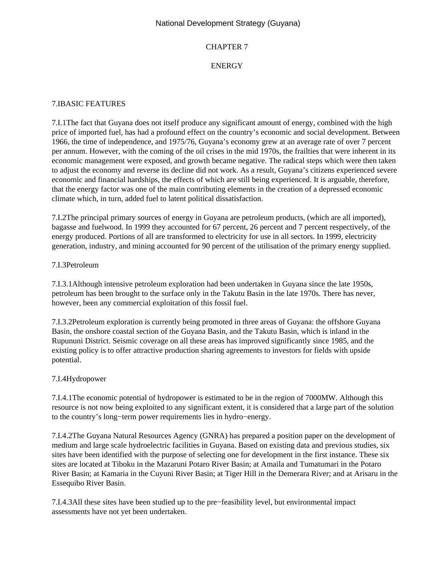### CHAPTER 7

# ENERGY

### 7.I BASIC FEATURES

7.I.1 The fact that Guyana does not itself produce any significant amount of energy, combined with the high price of imported fuel, has had a profound effect on the country's economic and social development. Between 1966, the time of independence, and 1975/76, Guyana's economy grew at an average rate of over 7 percent per annum. However, with the coming of the oil crises in the mid 1970s, the frailties that were inherent in its economic management were exposed, and growth became negative. The radical steps which were then taken to adjust the economy and reverse its decline did not work. As a result, Guyana's citizens experienced severe economic and financial hardships, the effects of which are still being experienced. It is arguable, therefore, that the energy factor was one of the main contributing elements in the creation of a depressed economic climate which, in turn, added fuel to latent political dissatisfaction.

7.I.2 The principal primary sources of energy in Guyana are petroleum products, (which are all imported), bagasse and fuelwood. In 1999 they accounted for 67 percent, 26 percent and 7 percent respectively, of the energy produced. Portions of all are transformed to electricity for use in all sectors. In 1999, electricity generation, industry, and mining accounted for 90 percent of the utilisation of the primary energy supplied.

### 7.I.3 Petroleum

7.I.3.1 Although intensive petroleum exploration had been undertaken in Guyana since the late 1950s, petroleum has been brought to the surface only in the Takutu Basin in the late 1970s. There has never, however, been any commercial exploitation of this fossil fuel.

7.I.3.2 Petroleum exploration is currently being promoted in three areas of Guyana: the offshore Guyana Basin, the onshore coastal section of the Guyana Basin, and the Takutu Basin, which is inland in the Rupununi District. Seismic coverage on all these areas has improved significantly since 1985, and the existing policy is to offer attractive production sharing agreements to investors for fields with upside potential.

# 7.I.4 Hydropower

7.I.4.1 The economic potential of hydropower is estimated to be in the region of 7000MW. Although this resource is not now being exploited to any significant extent, it is considered that a large part of the solution to the country's long−term power requirements lies in hydro−energy.

7.I.4.2 The Guyana Natural Resources Agency (GNRA) has prepared a position paper on the development of medium and large scale hydroelectric facilities in Guyana. Based on existing data and previous studies, six sites have been identified with the purpose of selecting one for development in the first instance. These six sites are located at Tiboku in the Mazaruni Potaro River Basin; at Amaila and Tumatumari in the Potaro River Basin; at Kamaria in the Cuyuni River Basin; at Tiger Hill in the Demerara River; and at Arisaru in the Essequibo River Basin.

7.I.4.3 All these sites have been studied up to the pre−feasibility level, but environmental impact assessments have not yet been undertaken.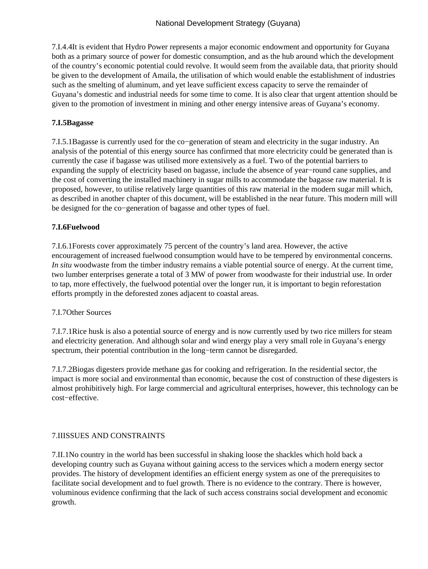7.I.4.4 It is evident that Hydro Power represents a major economic endowment and opportunity for Guyana both as a primary source of power for domestic consumption, and as the hub around which the development of the country's economic potential could revolve. It would seem from the available data, that priority should be given to the development of Amaila, the utilisation of which would enable the establishment of industries such as the smelting of aluminum, and yet leave sufficient excess capacity to serve the remainder of Guyana's domestic and industrial needs for some time to come. It is also clear that urgent attention should be given to the promotion of investment in mining and other energy intensive areas of Guyana's economy.

# **7.I.5 Bagasse**

7.I.5.1 Bagasse is currently used for the co−generation of steam and electricity in the sugar industry. An analysis of the potential of this energy source has confirmed that more electricity could be generated than is currently the case if bagasse was utilised more extensively as a fuel. Two of the potential barriers to expanding the supply of electricity based on bagasse, include the absence of year−round cane supplies, and the cost of converting the installed machinery in sugar mills to accommodate the bagasse raw material. It is proposed, however, to utilise relatively large quantities of this raw material in the modern sugar mill which, as described in another chapter of this document, will be established in the near future. This modern mill will be designed for the co−generation of bagasse and other types of fuel.

# **7.I.6 Fuelwood**

7.I.6.1 Forests cover approximately 75 percent of the country's land area. However, the active encouragement of increased fuelwood consumption would have to be tempered by environmental concerns. *In situ* woodwaste from the timber industry remains a viable potential source of energy. At the current time, two lumber enterprises generate a total of 3 MW of power from woodwaste for their industrial use. In order to tap, more effectively, the fuelwood potential over the longer run, it is important to begin reforestation efforts promptly in the deforested zones adjacent to coastal areas.

# 7.I.7 Other Sources

7.I.7.1 Rice husk is also a potential source of energy and is now currently used by two rice millers for steam and electricity generation. And although solar and wind energy play a very small role in Guyana's energy spectrum, their potential contribution in the long−term cannot be disregarded.

7.I.7.2 Biogas digesters provide methane gas for cooking and refrigeration. In the residential sector, the impact is more social and environmental than economic, because the cost of construction of these digesters is almost prohibitively high. For large commercial and agricultural enterprises, however, this technology can be cost−effective.

# **7.II ISSUES AND CONSTRAINTS**

7.II.1 No country in the world has been successful in shaking loose the shackles which hold back a developing country such as Guyana without gaining access to the services which a modern energy sector provides. The history of development identifies an efficient energy system as one of the prerequisites to facilitate social development and to fuel growth. There is no evidence to the contrary. There is however, voluminous evidence confirming that the lack of such access constrains social development and economic growth.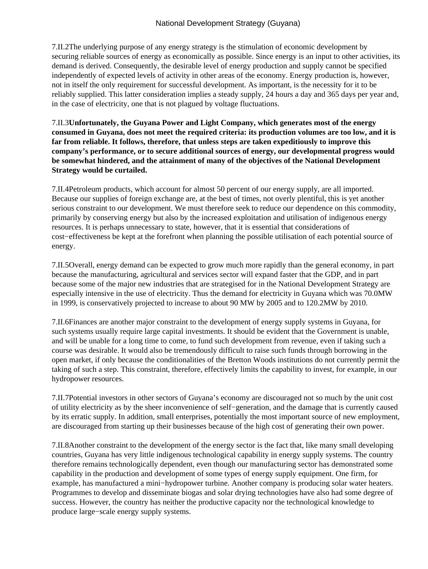7.II.2 The underlying purpose of any energy strategy is the stimulation of economic development by securing reliable sources of energy as economically as possible. Since energy is an input to other activities, its demand is derived. Consequently, the desirable level of energy production and supply cannot be specified independently of expected levels of activity in other areas of the economy. Energy production is, however, not in itself the only requirement for successful development. As important, is the necessity for it to be reliably supplied. This latter consideration implies a steady supply, 24 hours a day and 365 days per year and, in the case of electricity, one that is not plagued by voltage fluctuations.

7.II.3 **Unfortunately, the Guyana Power and Light Company, which generates most of the energy consumed in Guyana, does not meet the required criteria: its production volumes are too low, and it is far from reliable. It follows, therefore, that unless steps are taken expeditiously to improve this company's performance, or to secure additional sources of energy, our developmental progress would be somewhat hindered, and the attainment of many of the objectives of the National Development Strategy would be curtailed.**

7.II.4 Petroleum products, which account for almost 50 percent of our energy supply, are all imported. Because our supplies of foreign exchange are, at the best of times, not overly plentiful, this is yet another serious constraint to our development. We must therefore seek to reduce our dependence on this commodity, primarily by conserving energy but also by the increased exploitation and utilisation of indigenous energy resources. It is perhaps unnecessary to state, however, that it is essential that considerations of cost−effectiveness be kept at the forefront when planning the possible utilisation of each potential source of energy.

7.II.5 Overall, energy demand can be expected to grow much more rapidly than the general economy, in part because the manufacturing, agricultural and services sector will expand faster that the GDP, and in part because some of the major new industries that are strategised for in the National Development Strategy are especially intensive in the use of electricity. Thus the demand for electricity in Guyana which was 70.0MW in 1999, is conservatively projected to increase to about 90 MW by 2005 and to 120.2MW by 2010.

7.II.6 Finances are another major constraint to the development of energy supply systems in Guyana, for such systems usually require large capital investments. It should be evident that the Government is unable, and will be unable for a long time to come, to fund such development from revenue, even if taking such a course was desirable. It would also be tremendously difficult to raise such funds through borrowing in the open market, if only because the conditionalities of the Bretton Woods institutions do not currently permit the taking of such a step. This constraint, therefore, effectively limits the capability to invest, for example, in our hydropower resources.

7.II.7 Potential investors in other sectors of Guyana's economy are discouraged not so much by the unit cost of utility electricity as by the sheer inconvenience of self−generation, and the damage that is currently caused by its erratic supply. In addition, small enterprises, potentially the most important source of new employment, are discouraged from starting up their businesses because of the high cost of generating their own power.

7.II.8 Another constraint to the development of the energy sector is the fact that, like many small developing countries, Guyana has very little indigenous technological capability in energy supply systems. The country therefore remains technologically dependent, even though our manufacturing sector has demonstrated some capability in the production and development of some types of energy supply equipment. One firm, for example, has manufactured a mini−hydropower turbine. Another company is producing solar water heaters. Programmes to develop and disseminate biogas and solar drying technologies have also had some degree of success. However, the country has neither the productive capacity nor the technological knowledge to produce large−scale energy supply systems.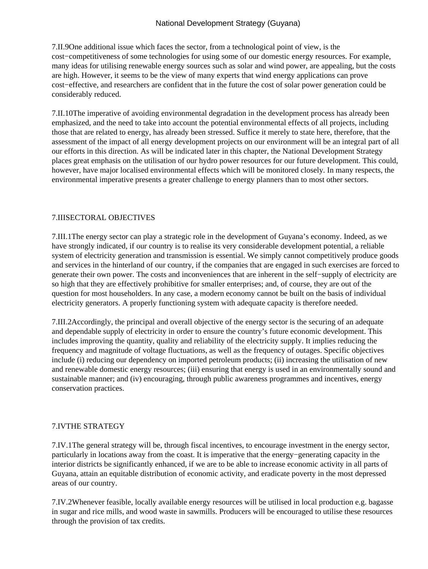7.II.9 One additional issue which faces the sector, from a technological point of view, is the cost−competitiveness of some technologies for using some of our domestic energy resources. For example, many ideas for utilising renewable energy sources such as solar and wind power, are appealing, but the costs are high. However, it seems to be the view of many experts that wind energy applications can prove cost−effective, and researchers are confident that in the future the cost of solar power generation could be considerably reduced.

7.II.10 The imperative of avoiding environmental degradation in the development process has already been emphasized, and the need to take into account the potential environmental effects of all projects, including those that are related to energy, has already been stressed. Suffice it merely to state here, therefore, that the assessment of the impact of all energy development projects on our environment will be an integral part of all our efforts in this direction. As will be indicated later in this chapter, the National Development Strategy places great emphasis on the utilisation of our hydro power resources for our future development. This could, however, have major localised environmental effects which will be monitored closely. In many respects, the environmental imperative presents a greater challenge to energy planners than to most other sectors.

### 7.III SECTORAL OBJECTIVES

7.III.1 The energy sector can play a strategic role in the development of Guyana's economy. Indeed, as we have strongly indicated, if our country is to realise its very considerable development potential, a reliable system of electricity generation and transmission is essential. We simply cannot competitively produce goods and services in the hinterland of our country, if the companies that are engaged in such exercises are forced to generate their own power. The costs and inconveniences that are inherent in the self−supply of electricity are so high that they are effectively prohibitive for smaller enterprises; and, of course, they are out of the question for most householders. In any case, a modern economy cannot be built on the basis of individual electricity generators. A properly functioning system with adequate capacity is therefore needed.

7.III.2 Accordingly, the principal and overall objective of the energy sector is the securing of an adequate and dependable supply of electricity in order to ensure the country's future economic development. This includes improving the quantity, quality and reliability of the electricity supply. It implies reducing the frequency and magnitude of voltage fluctuations, as well as the frequency of outages. Specific objectives include (i) reducing our dependency on imported petroleum products; (ii) increasing the utilisation of new and renewable domestic energy resources; (iii) ensuring that energy is used in an environmentally sound and sustainable manner; and (iv) encouraging, through public awareness programmes and incentives, energy conservation practices.

#### 7.IV THE STRATEGY

7.IV.1 The general strategy will be, through fiscal incentives, to encourage investment in the energy sector, particularly in locations away from the coast. It is imperative that the energy−generating capacity in the interior districts be significantly enhanced, if we are to be able to increase economic activity in all parts of Guyana, attain an equitable distribution of economic activity, and eradicate poverty in the most depressed areas of our country.

7.IV.2 Whenever feasible, locally available energy resources will be utilised in local production e.g. bagasse in sugar and rice mills, and wood waste in sawmills. Producers will be encouraged to utilise these resources through the provision of tax credits.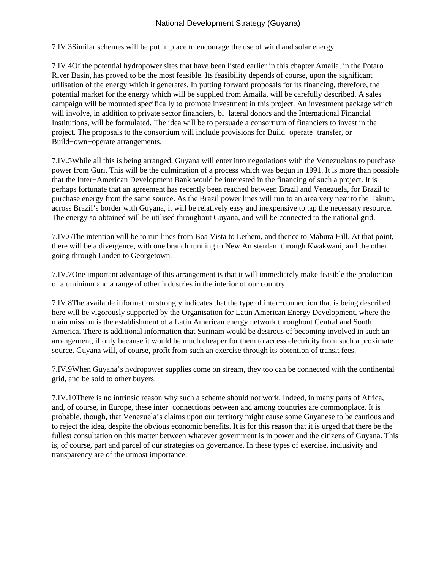7.IV.3 Similar schemes will be put in place to encourage the use of wind and solar energy.

7.IV.4 Of the potential hydropower sites that have been listed earlier in this chapter Amaila, in the Potaro River Basin, has proved to be the most feasible. Its feasibility depends of course, upon the significant utilisation of the energy which it generates. In putting forward proposals for its financing, therefore, the potential market for the energy which will be supplied from Amaila, will be carefully described. A sales campaign will be mounted specifically to promote investment in this project. An investment package which will involve, in addition to private sector financiers, bi−lateral donors and the International Financial Institutions, will be formulated. The idea will be to persuade a consortium of financiers to invest in the project. The proposals to the consortium will include provisions for Build−operate−transfer, or Build−own−operate arrangements.

7.IV.5 While all this is being arranged, Guyana will enter into negotiations with the Venezuelans to purchase power from Guri. This will be the culmination of a process which was begun in 1991. It is more than possible that the Inter−American Development Bank would be interested in the financing of such a project. It is perhaps fortunate that an agreement has recently been reached between Brazil and Venezuela, for Brazil to purchase energy from the same source. As the Brazil power lines will run to an area very near to the Takutu, across Brazil's border with Guyana, it will be relatively easy and inexpensive to tap the necessary resource. The energy so obtained will be utilised throughout Guyana, and will be connected to the national grid.

7.IV.6 The intention will be to run lines from Boa Vista to Lethem, and thence to Mabura Hill. At that point, there will be a divergence, with one branch running to New Amsterdam through Kwakwani, and the other going through Linden to Georgetown.

7.IV.7 One important advantage of this arrangement is that it will immediately make feasible the production of aluminium and a range of other industries in the interior of our country.

7.IV.8 The available information strongly indicates that the type of inter−connection that is being described here will be vigorously supported by the Organisation for Latin American Energy Development, where the main mission is the establishment of a Latin American energy network throughout Central and South America. There is additional information that Surinam would be desirous of becoming involved in such an arrangement, if only because it would be much cheaper for them to access electricity from such a proximate source. Guyana will, of course, profit from such an exercise through its obtention of transit fees.

7.IV.9 When Guyana's hydropower supplies come on stream, they too can be connected with the continental grid, and be sold to other buyers.

7.IV.10 There is no intrinsic reason why such a scheme should not work. Indeed, in many parts of Africa, and, of course, in Europe, these inter−connections between and among countries are commonplace. It is probable, though, that Venezuela's claims upon our territory might cause some Guyanese to be cautious and to reject the idea, despite the obvious economic benefits. It is for this reason that it is urged that there be the fullest consultation on this matter between whatever government is in power and the citizens of Guyana. This is, of course, part and parcel of our strategies on governance. In these types of exercise, inclusivity and transparency are of the utmost importance.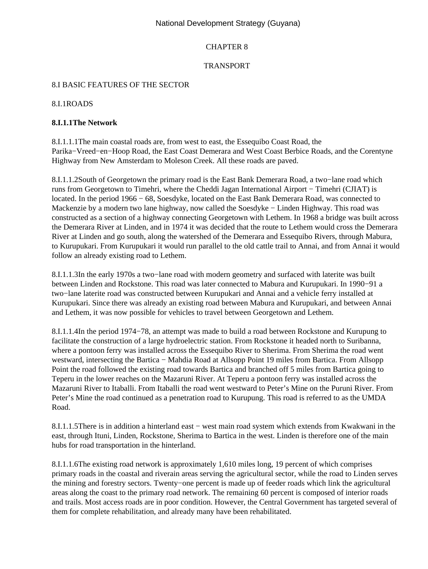# CHAPTER 8

### TRANSPORT

### 8.I BASIC FEATURES OF THE SECTOR

#### 8.I.1 ROADS

### **8.I.1.1 The Network**

8.I.1.1.1 The main coastal roads are, from west to east, the Essequibo Coast Road, the Parika−Vreed−en−Hoop Road, the East Coast Demerara and West Coast Berbice Roads, and the Corentyne Highway from New Amsterdam to Moleson Creek. All these roads are paved.

8.I.1.1.2 South of Georgetown the primary road is the East Bank Demerara Road, a two−lane road which runs from Georgetown to Timehri, where the Cheddi Jagan International Airport − Timehri (CJIAT) is located. In the period 1966 − 68, Soesdyke, located on the East Bank Demerara Road, was connected to Mackenzie by a modern two lane highway, now called the Soesdyke − Linden Highway. This road was constructed as a section of a highway connecting Georgetown with Lethem. In 1968 a bridge was built across the Demerara River at Linden, and in 1974 it was decided that the route to Lethem would cross the Demerara River at Linden and go south, along the watershed of the Demerara and Essequibo Rivers, through Mabura, to Kurupukari. From Kurupukari it would run parallel to the old cattle trail to Annai, and from Annai it would follow an already existing road to Lethem.

8.I.1.1.3 In the early 1970s a two–lane road with modern geometry and surfaced with laterite was built between Linden and Rockstone. This road was later connected to Mabura and Kurupukari. In 1990−91 a two−lane laterite road was constructed between Kurupukari and Annai and a vehicle ferry installed at Kurupukari. Since there was already an existing road between Mabura and Kurupukari, and between Annai and Lethem, it was now possible for vehicles to travel between Georgetown and Lethem.

8.I.1.1.4 In the period 1974−78, an attempt was made to build a road between Rockstone and Kurupung to facilitate the construction of a large hydroelectric station. From Rockstone it headed north to Suribanna, where a pontoon ferry was installed across the Essequibo River to Sherima. From Sherima the road went westward, intersecting the Bartica − Mahdia Road at Allsopp Point 19 miles from Bartica. From Allsopp Point the road followed the existing road towards Bartica and branched off 5 miles from Bartica going to Teperu in the lower reaches on the Mazaruni River. At Teperu a pontoon ferry was installed across the Mazaruni River to Itaballi. From Itaballi the road went westward to Peter's Mine on the Puruni River. From Peter's Mine the road continued as a penetration road to Kurupung. This road is referred to as the UMDA Road.

8.I.1.1.5 There is in addition a hinterland east – west main road system which extends from Kwakwani in the east, through Ituni, Linden, Rockstone, Sherima to Bartica in the west. Linden is therefore one of the main hubs for road transportation in the hinterland.

8.I.1.1.6 The existing road network is approximately 1,610 miles long, 19 percent of which comprises primary roads in the coastal and riverain areas serving the agricultural sector, while the road to Linden serves the mining and forestry sectors. Twenty−one percent is made up of feeder roads which link the agricultural areas along the coast to the primary road network. The remaining 60 percent is composed of interior roads and trails. Most access roads are in poor condition. However, the Central Government has targeted several of them for complete rehabilitation, and already many have been rehabilitated.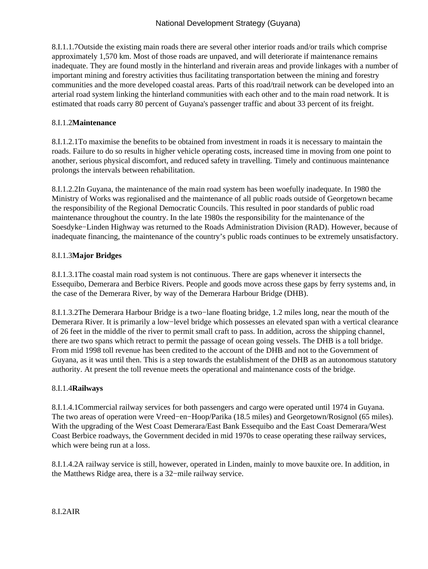8.I.1.1.7 Outside the existing main roads there are several other interior roads and/or trails which comprise approximately 1,570 km. Most of those roads are unpaved, and will deteriorate if maintenance remains inadequate. They are found mostly in the hinterland and riverain areas and provide linkages with a number of important mining and forestry activities thus facilitating transportation between the mining and forestry communities and the more developed coastal areas. Parts of this road/trail network can be developed into an arterial road system linking the hinterland communities with each other and to the main road network. It is estimated that roads carry 80 percent of Guyana's passenger traffic and about 33 percent of its freight.

# 8.I.1.2 **Maintenance**

8.I.1.2.1 To maximise the benefits to be obtained from investment in roads it is necessary to maintain the roads. Failure to do so results in higher vehicle operating costs, increased time in moving from one point to another, serious physical discomfort, and reduced safety in travelling. Timely and continuous maintenance prolongs the intervals between rehabilitation.

8.I.1.2.2 In Guyana, the maintenance of the main road system has been woefully inadequate. In 1980 the Ministry of Works was regionalised and the maintenance of all public roads outside of Georgetown became the responsibility of the Regional Democratic Councils. This resulted in poor standards of public road maintenance throughout the country. In the late 1980s the responsibility for the maintenance of the Soesdyke−Linden Highway was returned to the Roads Administration Division (RAD). However, because of inadequate financing, the maintenance of the country's public roads continues to be extremely unsatisfactory.

# 8.I.1.3 **Major Bridges**

8.I.1.3.1 The coastal main road system is not continuous. There are gaps whenever it intersects the Essequibo, Demerara and Berbice Rivers. People and goods move across these gaps by ferry systems and, in the case of the Demerara River, by way of the Demerara Harbour Bridge (DHB).

8.I.1.3.2 The Demerara Harbour Bridge is a two−lane floating bridge, 1.2 miles long, near the mouth of the Demerara River. It is primarily a low−level bridge which possesses an elevated span with a vertical clearance of 26 feet in the middle of the river to permit small craft to pass. In addition, across the shipping channel, there are two spans which retract to permit the passage of ocean going vessels. The DHB is a toll bridge. From mid 1998 toll revenue has been credited to the account of the DHB and not to the Government of Guyana, as it was until then. This is a step towards the establishment of the DHB as an autonomous statutory authority. At present the toll revenue meets the operational and maintenance costs of the bridge.

# 8.I.1.4 **Railways**

8.I.1.4.1 Commercial railway services for both passengers and cargo were operated until 1974 in Guyana. The two areas of operation were Vreed−en−Hoop/Parika (18.5 miles) and Georgetown/Rosignol (65 miles). With the upgrading of the West Coast Demerara/East Bank Essequibo and the East Coast Demerara/West Coast Berbice roadways, the Government decided in mid 1970s to cease operating these railway services, which were being run at a loss.

8.I.1.4.2 A railway service is still, however, operated in Linden, mainly to move bauxite ore. In addition, in the Matthews Ridge area, there is a 32−mile railway service.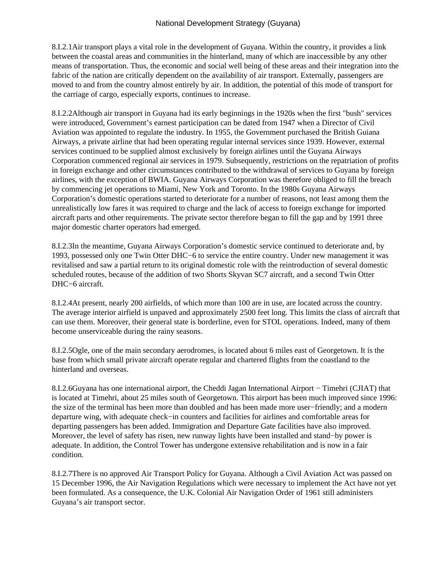8.I.2.1 Air transport plays a vital role in the development of Guyana. Within the country, it provides a link between the coastal areas and communities in the hinterland, many of which are inaccessible by any other means of transportation. Thus, the economic and social well being of these areas and their integration into the fabric of the nation are critically dependent on the availability of air transport. Externally, passengers are moved to and from the country almost entirely by air. In addition, the potential of this mode of transport for the carriage of cargo, especially exports, continues to increase.

8.I.2.2 Although air transport in Guyana had its early beginnings in the 1920s when the first "bush" services were introduced, Government's earnest participation can be dated from 1947 when a Director of Civil Aviation was appointed to regulate the industry. In 1955, the Government purchased the British Guiana Airways, a private airline that had been operating regular internal services since 1939. However, external services continued to be supplied almost exclusively by foreign airlines until the Guyana Airways Corporation commenced regional air services in 1979. Subsequently, restrictions on the repatriation of profits in foreign exchange and other circumstances contributed to the withdrawal of services to Guyana by foreign airlines, with the exception of BWIA. Guyana Airways Corporation was therefore obliged to fill the breach by commencing jet operations to Miami, New York and Toronto. In the 1980s Guyana Airways Corporation's domestic operations started to deteriorate for a number of reasons, not least among them the unrealistically low fares it was required to charge and the lack of access to foreign exchange for imported aircraft parts and other requirements. The private sector therefore began to fill the gap and by 1991 three major domestic charter operators had emerged.

8.I.2.3 In the meantime, Guyana Airways Corporation's domestic service continued to deteriorate and, by 1993, possessed only one Twin Otter DHC−6 to service the entire country. Under new management it was revitalised and saw a partial return to its original domestic role with the reintroduction of several domestic scheduled routes, because of the addition of two Shorts Skyvan SC7 aircraft, and a second Twin Otter DHC−6 aircraft.

8.I.2.4 At present, nearly 200 airfields, of which more than 100 are in use, are located across the country. The average interior airfield is unpaved and approximately 2500 feet long. This limits the class of aircraft that can use them. Moreover, their general state is borderline, even for STOL operations. Indeed, many of them become unserviceable during the rainy seasons.

8.I.2.5 Ogle, one of the main secondary aerodromes, is located about 6 miles east of Georgetown. It is the base from which small private aircraft operate regular and chartered flights from the coastland to the hinterland and overseas.

8.I.2.6 Guyana has one international airport, the Cheddi Jagan International Airport − Timehri (CJIAT) that is located at Timehri, about 25 miles south of Georgetown. This airport has been much improved since 1996: the size of the terminal has been more than doubled and has been made more user−friendly; and a modern departure wing, with adequate check−in counters and facilities for airlines and comfortable areas for departing passengers has been added. Immigration and Departure Gate facilities have also improved. Moreover, the level of safety has risen, new runway lights have been installed and stand−by power is adequate. In addition, the Control Tower has undergone extensive rehabilitation and is now in a fair condition.

8.I.2.7 There is no approved Air Transport Policy for Guyana. Although a Civil Aviation Act was passed on 15 December 1996, the Air Navigation Regulations which were necessary to implement the Act have not yet been formulated. As a consequence, the U.K. Colonial Air Navigation Order of 1961 still administers Guyana's air transport sector.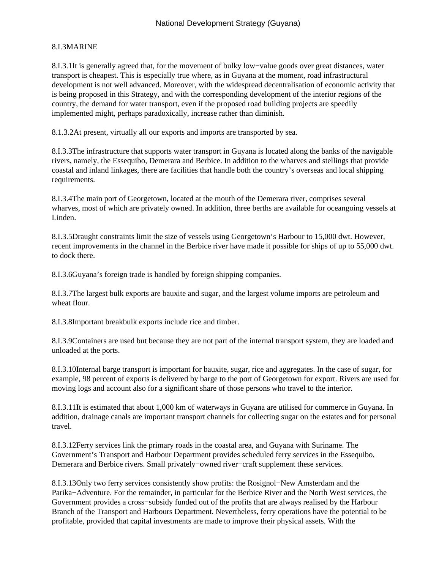# 8.I.3 MARINE

8.I.3.1 It is generally agreed that, for the movement of bulky low–value goods over great distances, water transport is cheapest. This is especially true where, as in Guyana at the moment, road infrastructural development is not well advanced. Moreover, with the widespread decentralisation of economic activity that is being proposed in this Strategy, and with the corresponding development of the interior regions of the country, the demand for water transport, even if the proposed road building projects are speedily implemented might, perhaps paradoxically, increase rather than diminish.

8.1.3.2 At present, virtually all our exports and imports are transported by sea.

8.I.3.3 The infrastructure that supports water transport in Guyana is located along the banks of the navigable rivers, namely, the Essequibo, Demerara and Berbice. In addition to the wharves and stellings that provide coastal and inland linkages, there are facilities that handle both the country's overseas and local shipping requirements.

8.I.3.4 The main port of Georgetown, located at the mouth of the Demerara river, comprises several wharves, most of which are privately owned. In addition, three berths are available for oceangoing vessels at Linden.

8.I.3.5 Draught constraints limit the size of vessels using Georgetown's Harbour to 15,000 dwt. However, recent improvements in the channel in the Berbice river have made it possible for ships of up to 55,000 dwt. to dock there.

8.I.3.6 Guyana's foreign trade is handled by foreign shipping companies.

8.I.3.7 The largest bulk exports are bauxite and sugar, and the largest volume imports are petroleum and wheat flour.

8.I.3.8 Important breakbulk exports include rice and timber.

8.I.3.9 Containers are used but because they are not part of the internal transport system, they are loaded and unloaded at the ports.

8.I.3.10 Internal barge transport is important for bauxite, sugar, rice and aggregates. In the case of sugar, for example, 98 percent of exports is delivered by barge to the port of Georgetown for export. Rivers are used for moving logs and account also for a significant share of those persons who travel to the interior.

8.I.3.11 It is estimated that about 1,000 km of waterways in Guyana are utilised for commerce in Guyana. In addition, drainage canals are important transport channels for collecting sugar on the estates and for personal travel.

8.I.3.12 Ferry services link the primary roads in the coastal area, and Guyana with Suriname. The Government's Transport and Harbour Department provides scheduled ferry services in the Essequibo, Demerara and Berbice rivers. Small privately−owned river−craft supplement these services.

8.I.3.13 Only two ferry services consistently show profits: the Rosignol−New Amsterdam and the Parika−Adventure. For the remainder, in particular for the Berbice River and the North West services, the Government provides a cross−subsidy funded out of the profits that are always realised by the Harbour Branch of the Transport and Harbours Department. Nevertheless, ferry operations have the potential to be profitable, provided that capital investments are made to improve their physical assets. With the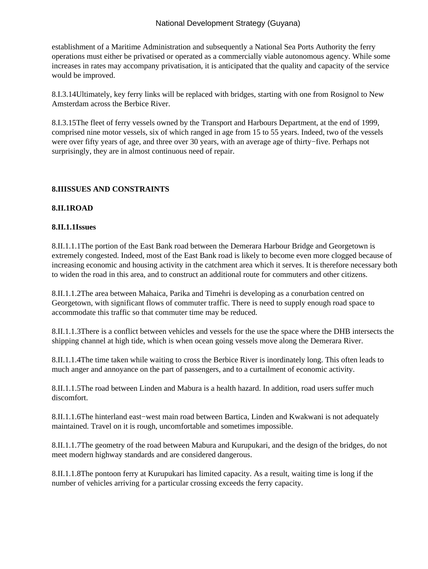establishment of a Maritime Administration and subsequently a National Sea Ports Authority the ferry operations must either be privatised or operated as a commercially viable autonomous agency. While some increases in rates may accompany privatisation, it is anticipated that the quality and capacity of the service would be improved.

8.I.3.14 Ultimately, key ferry links will be replaced with bridges, starting with one from Rosignol to New Amsterdam across the Berbice River.

8.I.3.15 The fleet of ferry vessels owned by the Transport and Harbours Department, at the end of 1999, comprised nine motor vessels, six of which ranged in age from 15 to 55 years. Indeed, two of the vessels were over fifty years of age, and three over 30 years, with an average age of thirty−five. Perhaps not surprisingly, they are in almost continuous need of repair.

# **8.II ISSUES AND CONSTRAINTS**

# **8.II.1 ROAD**

### **8.II.1.1 Issues**

8.II.1.1.1 The portion of the East Bank road between the Demerara Harbour Bridge and Georgetown is extremely congested. Indeed, most of the East Bank road is likely to become even more clogged because of increasing economic and housing activity in the catchment area which it serves. It is therefore necessary both to widen the road in this area, and to construct an additional route for commuters and other citizens.

8.II.1.1.2 The area between Mahaica, Parika and Timehri is developing as a conurbation centred on Georgetown, with significant flows of commuter traffic. There is need to supply enough road space to accommodate this traffic so that commuter time may be reduced.

8.II.1.1.3 There is a conflict between vehicles and vessels for the use the space where the DHB intersects the shipping channel at high tide, which is when ocean going vessels move along the Demerara River.

8.II.1.1.4 The time taken while waiting to cross the Berbice River is inordinately long. This often leads to much anger and annoyance on the part of passengers, and to a curtailment of economic activity.

8.II.1.1.5 The road between Linden and Mabura is a health hazard. In addition, road users suffer much discomfort.

8.II.1.1.6 The hinterland east–west main road between Bartica, Linden and Kwakwani is not adequately maintained. Travel on it is rough, uncomfortable and sometimes impossible.

8.II.1.1.7 The geometry of the road between Mabura and Kurupukari, and the design of the bridges, do not meet modern highway standards and are considered dangerous.

8.II.1.1.8 The pontoon ferry at Kurupukari has limited capacity. As a result, waiting time is long if the number of vehicles arriving for a particular crossing exceeds the ferry capacity.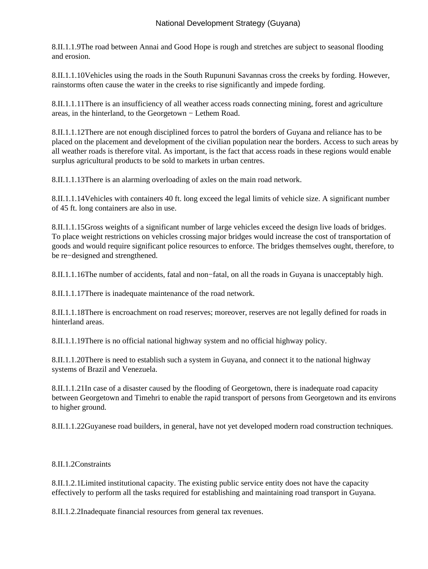8.II.1.1.9 The road between Annai and Good Hope is rough and stretches are subject to seasonal flooding and erosion.

8.II.1.1.10 Vehicles using the roads in the South Rupununi Savannas cross the creeks by fording. However, rainstorms often cause the water in the creeks to rise significantly and impede fording.

8.II.1.1.11 There is an insufficiency of all weather access roads connecting mining, forest and agriculture areas, in the hinterland, to the Georgetown − Lethem Road.

8.II.1.1.12 There are not enough disciplined forces to patrol the borders of Guyana and reliance has to be placed on the placement and development of the civilian population near the borders. Access to such areas by all weather roads is therefore vital. As important, is the fact that access roads in these regions would enable surplus agricultural products to be sold to markets in urban centres.

8.II.1.1.13 There is an alarming overloading of axles on the main road network.

8.II.1.1.14 Vehicles with containers 40 ft. long exceed the legal limits of vehicle size. A significant number of 45 ft. long containers are also in use.

8.II.1.1.15 Gross weights of a significant number of large vehicles exceed the design live loads of bridges. To place weight restrictions on vehicles crossing major bridges would increase the cost of transportation of goods and would require significant police resources to enforce. The bridges themselves ought, therefore, to be re−designed and strengthened.

8.II.1.1.16 The number of accidents, fatal and non–fatal, on all the roads in Guyana is unacceptably high.

8.II.1.1.17 There is inadequate maintenance of the road network.

8.II.1.1.18 There is encroachment on road reserves; moreover, reserves are not legally defined for roads in hinterland areas.

8.II.1.1.19 There is no official national highway system and no official highway policy.

8.II.1.1.20 There is need to establish such a system in Guyana, and connect it to the national highway systems of Brazil and Venezuela.

8.II.1.1.21 In case of a disaster caused by the flooding of Georgetown, there is inadequate road capacity between Georgetown and Timehri to enable the rapid transport of persons from Georgetown and its environs to higher ground.

8.II.1.1.22 Guyanese road builders, in general, have not yet developed modern road construction techniques.

8.II.1.2 Constraints

8.II.1.2.1 Limited institutional capacity. The existing public service entity does not have the capacity effectively to perform all the tasks required for establishing and maintaining road transport in Guyana.

8.II.1.2.2 Inadequate financial resources from general tax revenues.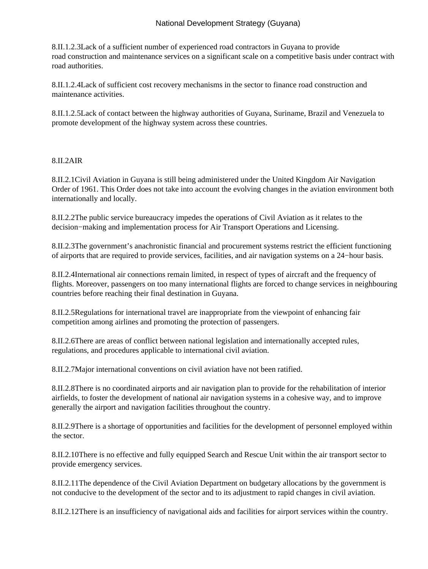8.II.1.2.3 Lack of a sufficient number of experienced road contractors in Guyana to provide road construction and maintenance services on a significant scale on a competitive basis under contract with road authorities.

8.II.1.2.4 Lack of sufficient cost recovery mechanisms in the sector to finance road construction and maintenance activities.

8.II.1.2.5 Lack of contact between the highway authorities of Guyana, Suriname, Brazil and Venezuela to promote development of the highway system across these countries.

### $8.II.2$  AIR

8.II.2.1 Civil Aviation in Guyana is still being administered under the United Kingdom Air Navigation Order of 1961. This Order does not take into account the evolving changes in the aviation environment both internationally and locally.

8.II.2.2 The public service bureaucracy impedes the operations of Civil Aviation as it relates to the decision−making and implementation process for Air Transport Operations and Licensing.

8.II.2.3 The government's anachronistic financial and procurement systems restrict the efficient functioning of airports that are required to provide services, facilities, and air navigation systems on a 24−hour basis.

8.II.2.4 International air connections remain limited, in respect of types of aircraft and the frequency of flights. Moreover, passengers on too many international flights are forced to change services in neighbouring countries before reaching their final destination in Guyana.

8.II.2.5 Regulations for international travel are inappropriate from the viewpoint of enhancing fair competition among airlines and promoting the protection of passengers.

8.II.2.6 There are areas of conflict between national legislation and internationally accepted rules, regulations, and procedures applicable to international civil aviation.

8.II.2.7 Major international conventions on civil aviation have not been ratified.

8.II.2.8 There is no coordinated airports and air navigation plan to provide for the rehabilitation of interior airfields, to foster the development of national air navigation systems in a cohesive way, and to improve generally the airport and navigation facilities throughout the country.

8.II.2.9 There is a shortage of opportunities and facilities for the development of personnel employed within the sector.

8.II.2.10 There is no effective and fully equipped Search and Rescue Unit within the air transport sector to provide emergency services.

8.II.2.11 The dependence of the Civil Aviation Department on budgetary allocations by the government is not conducive to the development of the sector and to its adjustment to rapid changes in civil aviation.

8.II.2.12 There is an insufficiency of navigational aids and facilities for airport services within the country.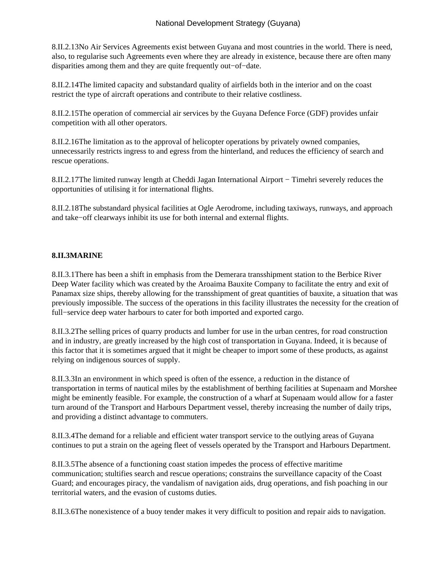8.II.2.13 No Air Services Agreements exist between Guyana and most countries in the world. There is need, also, to regularise such Agreements even where they are already in existence, because there are often many disparities among them and they are quite frequently out−of−date.

8.II.2.14 The limited capacity and substandard quality of airfields both in the interior and on the coast restrict the type of aircraft operations and contribute to their relative costliness.

8.II.2.15 The operation of commercial air services by the Guyana Defence Force (GDF) provides unfair competition with all other operators.

8.II.2.16 The limitation as to the approval of helicopter operations by privately owned companies, unnecessarily restricts ingress to and egress from the hinterland, and reduces the efficiency of search and rescue operations.

8.II.2.17 The limited runway length at Cheddi Jagan International Airport − Timehri severely reduces the opportunities of utilising it for international flights.

8.II.2.18 The substandard physical facilities at Ogle Aerodrome, including taxiways, runways, and approach and take−off clearways inhibit its use for both internal and external flights.

# 8.II.3 **MARINE**

8.II.3.1 There has been a shift in emphasis from the Demerara transshipment station to the Berbice River Deep Water facility which was created by the Aroaima Bauxite Company to facilitate the entry and exit of Panamax size ships, thereby allowing for the transshipment of great quantities of bauxite, a situation that was previously impossible. The success of the operations in this facility illustrates the necessity for the creation of full−service deep water harbours to cater for both imported and exported cargo.

8.II.3.2 The selling prices of quarry products and lumber for use in the urban centres, for road construction and in industry, are greatly increased by the high cost of transportation in Guyana. Indeed, it is because of this factor that it is sometimes argued that it might be cheaper to import some of these products, as against relying on indigenous sources of supply.

8.II.3.3 In an environment in which speed is often of the essence, a reduction in the distance of transportation in terms of nautical miles by the establishment of berthing facilities at Supenaam and Morshee might be eminently feasible. For example, the construction of a wharf at Supenaam would allow for a faster turn around of the Transport and Harbours Department vessel, thereby increasing the number of daily trips, and providing a distinct advantage to commuters.

8.II.3.4 The demand for a reliable and efficient water transport service to the outlying areas of Guyana continues to put a strain on the ageing fleet of vessels operated by the Transport and Harbours Department.

8.II.3.5 The absence of a functioning coast station impedes the process of effective maritime communication; stultifies search and rescue operations; constrains the surveillance capacity of the Coast Guard; and encourages piracy, the vandalism of navigation aids, drug operations, and fish poaching in our territorial waters, and the evasion of customs duties.

8.II.3.6 The nonexistence of a buoy tender makes it very difficult to position and repair aids to navigation.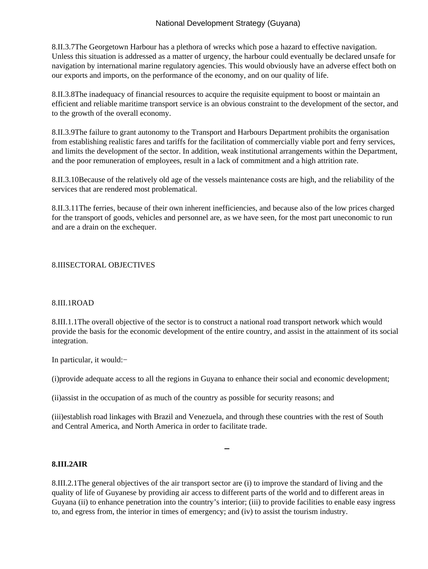8.II.3.7 The Georgetown Harbour has a plethora of wrecks which pose a hazard to effective navigation. Unless this situation is addressed as a matter of urgency, the harbour could eventually be declared unsafe for navigation by international marine regulatory agencies. This would obviously have an adverse effect both on our exports and imports, on the performance of the economy, and on our quality of life.

8.II.3.8 The inadequacy of financial resources to acquire the requisite equipment to boost or maintain an efficient and reliable maritime transport service is an obvious constraint to the development of the sector, and to the growth of the overall economy.

8.II.3.9 The failure to grant autonomy to the Transport and Harbours Department prohibits the organisation from establishing realistic fares and tariffs for the facilitation of commercially viable port and ferry services, and limits the development of the sector. In addition, weak institutional arrangements within the Department, and the poor remuneration of employees, result in a lack of commitment and a high attrition rate.

8.II.3.10 Because of the relatively old age of the vessels maintenance costs are high, and the reliability of the services that are rendered most problematical.

8.II.3.11 The ferries, because of their own inherent inefficiencies, and because also of the low prices charged for the transport of goods, vehicles and personnel are, as we have seen, for the most part uneconomic to run and are a drain on the exchequer.

#### 8.III SECTORAL OBJECTIVES

#### 8.III.1 ROAD

8.III.1.1 The overall objective of the sector is to construct a national road transport network which would provide the basis for the economic development of the entire country, and assist in the attainment of its social integration.

 In particular, it would:−

(i) provide adequate access to all the regions in Guyana to enhance their social and economic development;

 (ii) assist in the occupation of as much of the country as possible for security reasons; and

(iii) establish road linkages with Brazil and Venezuela, and through these countries with the rest of South and Central America, and North America in order to facilitate trade.

#### **8.III.2 AIR**

8.III.2.1 The general objectives of the air transport sector are (i) to improve the standard of living and the quality of life of Guyanese by providing air access to different parts of the world and to different areas in Guyana (ii) to enhance penetration into the country's interior; (iii) to provide facilities to enable easy ingress to, and egress from, the interior in times of emergency; and (iv) to assist the tourism industry.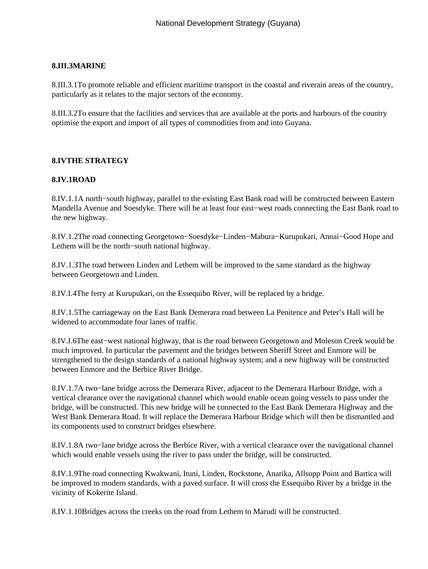### **8.III.3 MARINE**

8.III.3.1 To promote reliable and efficient maritime transport in the coastal and riverain areas of the country, particularly as it relates to the major sectors of the economy.

8.III.3.2 To ensure that the facilities and services that are available at the ports and harbours of the country optimise the export and import of all types of commodities from and into Guyana.

#### **8.IV THE STRATEGY**

#### **8.IV.1 ROAD**

8.IV.1.1 A north−south highway, parallel to the existing East Bank road will be constructed between Eastern Mandella Avenue and Soesdyke. There will be at least four east−west roads connecting the East Bank road to the new highway.

8.IV.1.2 The road connecting Georgetown−Soesdyke−Linden−Mabura−Kurupukari, Annai−Good Hope and Lethem will be the north−south national highway.

8.IV.1.3 The road between Linden and Lethem will be improved to the same standard as the highway between Georgetown and Linden.

8.IV.I.4 The ferry at Kurupukari, on the Essequibo River, will be replaced by a bridge.

8.IV.1.5 The carriageway on the East Bank Demerara road between La Penitence and Peter's Hall will be widened to accommodate four lanes of traffic.

8.IV.I.6 The east–west national highway, that is the road between Georgetown and Moleson Creek would be much improved. In particular the pavement and the bridges between Sheriff Street and Enmore will be strengthened to the design standards of a national highway system; and a new highway will be constructed between Enmore and the Berbice River Bridge.

8.IV.1.7 A two−lane bridge across the Demerara River, adjacent to the Demerara Harbour Bridge, with a vertical clearance over the navigational channel which would enable ocean going vessels to pass under the bridge, will be constructed. This new bridge will be connected to the East Bank Demerara Highway and the West Bank Demerara Road. It will replace the Demerara Harbour Bridge which will then be dismantled and its components used to construct bridges elsewhere.

8.IV.1.8 A two−lane bridge across the Berbice River, with a vertical clearance over the navigational channel which would enable vessels using the river to pass under the bridge, will be constructed.

8.IV.1.9 The road connecting Kwakwani, Ituni, Linden, Rockstone, Anarika, Allsopp Point and Bartica will be improved to modern standards, with a paved surface. It will cross the Essequibo River by a bridge in the vicinity of Kokerite Island.

8.IV.1.10 Bridges across the creeks on the road from Lethem to Marudi will be constructed.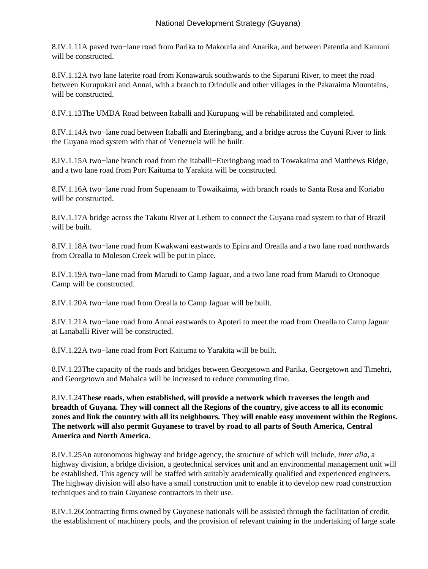8.IV.1.11 A paved two−lane road from Parika to Makouria and Anarika, and between Patentia and Kamuni will be constructed.

8.IV.1.12 A two lane laterite road from Konawaruk southwards to the Siparuni River, to meet the road between Kurupukari and Annai, with a branch to Orinduik and other villages in the Pakaraima Mountains, will be constructed.

8.IV.1.13 The UMDA Road between Itaballi and Kurupung will be rehabilitated and completed.

8.IV.1.14 A two−lane road between Itaballi and Eteringbang, and a bridge across the Cuyuni River to link the Guyana road system with that of Venezuela will be built.

8.IV.1.15 A two−lane branch road from the Itaballi−Eteringbang road to Towakaima and Matthews Ridge, and a two lane road from Port Kaituma to Yarakita will be constructed.

8.IV.1.16 A two−lane road from Supenaam to Towaikaima, with branch roads to Santa Rosa and Koriabo will be constructed.

8.IV.1.17 A bridge across the Takutu River at Lethem to connect the Guyana road system to that of Brazil will be built

8.IV.1.18 A two−lane road from Kwakwani eastwards to Epira and Orealla and a two lane road northwards from Orealla to Moleson Creek will be put in place.

8.IV.1.19 A two−lane road from Marudi to Camp Jaguar, and a two lane road from Marudi to Oronoque Camp will be constructed.

8.IV.1.20 A two−lane road from Orealla to Camp Jaguar will be built.

8.IV.1.21 A two−lane road from Annai eastwards to Apoteri to meet the road from Orealla to Camp Jaguar at Lanaballi River will be constructed.

8.IV.1.22 A two−lane road from Port Kaituma to Yarakita will be built.

8.IV.1.23 The capacity of the roads and bridges between Georgetown and Parika, Georgetown and Timehri, and Georgetown and Mahaica will be increased to reduce commuting time.

8.IV.1.24 **These roads, when established, will provide a network which traverses the length and breadth of Guyana. They will connect all the Regions of the country, give access to all its economic zones and link the country with all its neighbours. They will enable easy movement within the Regions. The network will also permit Guyanese to travel by road to all parts of South America, Central America and North America.**

8.IV.1.25 An autonomous highway and bridge agency, the structure of which will include, *inter alia*, a highway division, a bridge division, a geotechnical services unit and an environmental management unit will be established. This agency will be staffed with suitably academically qualified and experienced engineers. The highway division will also have a small construction unit to enable it to develop new road construction techniques and to train Guyanese contractors in their use.

8.IV.1.26 Contracting firms owned by Guyanese nationals will be assisted through the facilitation of credit, the establishment of machinery pools, and the provision of relevant training in the undertaking of large scale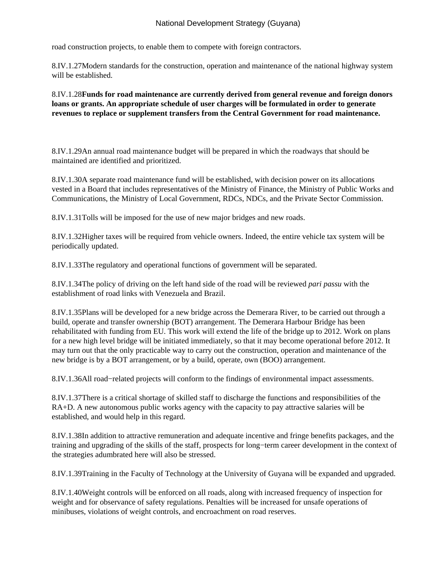road construction projects, to enable them to compete with foreign contractors.

8.IV.1.27 Modern standards for the construction, operation and maintenance of the national highway system will be established.

8.IV.1.28 **Funds for road maintenance are currently derived from general revenue and foreign donors loans or grants. An appropriate schedule of user charges will be formulated in order to generate revenues to replace or supplement transfers from the Central Government for road maintenance.**

8.IV.1.29 An annual road maintenance budget will be prepared in which the roadways that should be maintained are identified and prioritized.

8.IV.1.30 A separate road maintenance fund will be established, with decision power on its allocations vested in a Board that includes representatives of the Ministry of Finance, the Ministry of Public Works and Communications, the Ministry of Local Government, RDCs, NDCs, and the Private Sector Commission.

8.IV.1.31 Tolls will be imposed for the use of new major bridges and new roads.

8.IV.1.32 Higher taxes will be required from vehicle owners. Indeed, the entire vehicle tax system will be periodically updated.

8.IV.1.33 The regulatory and operational functions of government will be separated.

8.IV.1.34 The policy of driving on the left hand side of the road will be reviewed *pari passu* with the establishment of road links with Venezuela and Brazil.

8.IV.1.35 Plans will be developed for a new bridge across the Demerara River, to be carried out through a build, operate and transfer ownership (BOT) arrangement. The Demerara Harbour Bridge has been rehabilitated with funding from EU. This work will extend the life of the bridge up to 2012. Work on plans for a new high level bridge will be initiated immediately, so that it may become operational before 2012. It may turn out that the only practicable way to carry out the construction, operation and maintenance of the new bridge is by a BOT arrangement, or by a build, operate, own (BOO) arrangement.

8.IV.1.36 All road−related projects will conform to the findings of environmental impact assessments.

8.IV.1.37 There is a critical shortage of skilled staff to discharge the functions and responsibilities of the RA+D. A new autonomous public works agency with the capacity to pay attractive salaries will be established, and would help in this regard.

8.IV.1.38 In addition to attractive remuneration and adequate incentive and fringe benefits packages, and the training and upgrading of the skills of the staff, prospects for long−term career development in the context of the strategies adumbrated here will also be stressed.

8.IV.1.39 Training in the Faculty of Technology at the University of Guyana will be expanded and upgraded.

8.IV.1.40 Weight controls will be enforced on all roads, along with increased frequency of inspection for weight and for observance of safety regulations. Penalties will be increased for unsafe operations of minibuses, violations of weight controls, and encroachment on road reserves.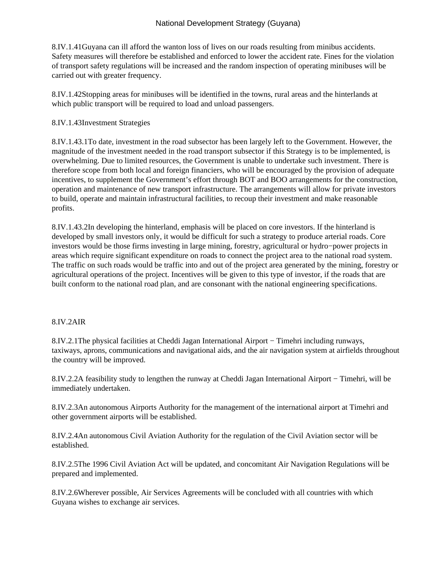8.IV.1.41 Guyana can ill afford the wanton loss of lives on our roads resulting from minibus accidents. Safety measures will therefore be established and enforced to lower the accident rate. Fines for the violation of transport safety regulations will be increased and the random inspection of operating minibuses will be carried out with greater frequency.

8.IV.1.42 Stopping areas for minibuses will be identified in the towns, rural areas and the hinterlands at which public transport will be required to load and unload passengers.

### 8.IV.1.43 Investment Strategies

8.IV.1.43.1 To date, investment in the road subsector has been largely left to the Government. However, the magnitude of the investment needed in the road transport subsector if this Strategy is to be implemented, is overwhelming. Due to limited resources, the Government is unable to undertake such investment. There is therefore scope from both local and foreign financiers, who will be encouraged by the provision of adequate incentives, to supplement the Government's effort through BOT and BOO arrangements for the construction, operation and maintenance of new transport infrastructure. The arrangements will allow for private investors to build, operate and maintain infrastructural facilities, to recoup their investment and make reasonable profits.

8.IV.1.43.2 In developing the hinterland, emphasis will be placed on core investors. If the hinterland is developed by small investors only, it would be difficult for such a strategy to produce arterial roads. Core investors would be those firms investing in large mining, forestry, agricultural or hydro−power projects in areas which require significant expenditure on roads to connect the project area to the national road system. The traffic on such roads would be traffic into and out of the project area generated by the mining, forestry or agricultural operations of the project. Incentives will be given to this type of investor, if the roads that are built conform to the national road plan, and are consonant with the national engineering specifications.

## $8.IV.2$  AIR

8.IV.2.1 The physical facilities at Cheddi Jagan International Airport – Timehri including runways, taxiways, aprons, communications and navigational aids, and the air navigation system at airfields throughout the country will be improved.

8.IV.2.2 A feasibility study to lengthen the runway at Cheddi Jagan International Airport – Timehri, will be immediately undertaken.

8.IV.2.3 An autonomous Airports Authority for the management of the international airport at Timehri and other government airports will be established.

8.IV.2.4 An autonomous Civil Aviation Authority for the regulation of the Civil Aviation sector will be established.

8.IV.2.5 The 1996 Civil Aviation Act will be updated, and concomitant Air Navigation Regulations will be prepared and implemented.

8.IV.2.6 Wherever possible, Air Services Agreements will be concluded with all countries with which Guyana wishes to exchange air services.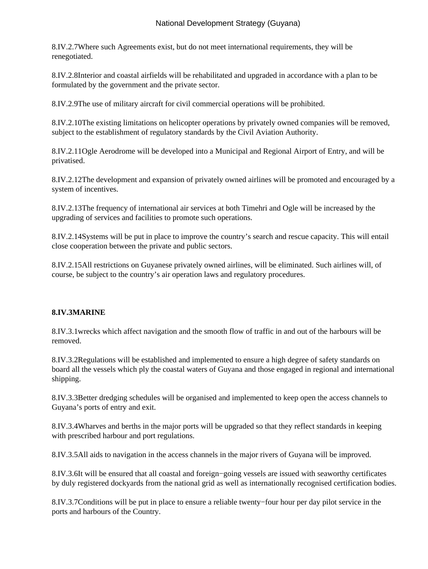8.IV.2.7 Where such Agreements exist, but do not meet international requirements, they will be renegotiated.

8.IV.2.8 Interior and coastal airfields will be rehabilitated and upgraded in accordance with a plan to be formulated by the government and the private sector.

8.IV.2.9 The use of military aircraft for civil commercial operations will be prohibited.

8.IV.2.10 The existing limitations on helicopter operations by privately owned companies will be removed, subject to the establishment of regulatory standards by the Civil Aviation Authority.

8.IV.2.11 Ogle Aerodrome will be developed into a Municipal and Regional Airport of Entry, and will be privatised.

8.IV.2.12 The development and expansion of privately owned airlines will be promoted and encouraged by a system of incentives.

8.IV.2.13 The frequency of international air services at both Timehri and Ogle will be increased by the upgrading of services and facilities to promote such operations.

8.IV.2.14 Systems will be put in place to improve the country's search and rescue capacity. This will entail close cooperation between the private and public sectors.

8.IV.2.15 All restrictions on Guyanese privately owned airlines, will be eliminated. Such airlines will, of course, be subject to the country's air operation laws and regulatory procedures.

## 8.IV.3 MARINE

8.IV.3.1 wrecks which affect navigation and the smooth flow of traffic in and out of the harbours will be removed.

8.IV.3.2 Regulations will be established and implemented to ensure a high degree of safety standards on board all the vessels which ply the coastal waters of Guyana and those engaged in regional and international shipping.

8.IV.3.3 Better dredging schedules will be organised and implemented to keep open the access channels to Guyana's ports of entry and exit.

8.IV.3.4 Wharves and berths in the major ports will be upgraded so that they reflect standards in keeping with prescribed harbour and port regulations.

8.IV.3.5 All aids to navigation in the access channels in the major rivers of Guyana will be improved.

8.IV.3.6 It will be ensured that all coastal and foreign–going vessels are issued with seaworthy certificates by duly registered dockyards from the national grid as well as internationally recognised certification bodies.

8.IV.3.7 Conditions will be put in place to ensure a reliable twenty−four hour per day pilot service in the ports and harbours of the Country.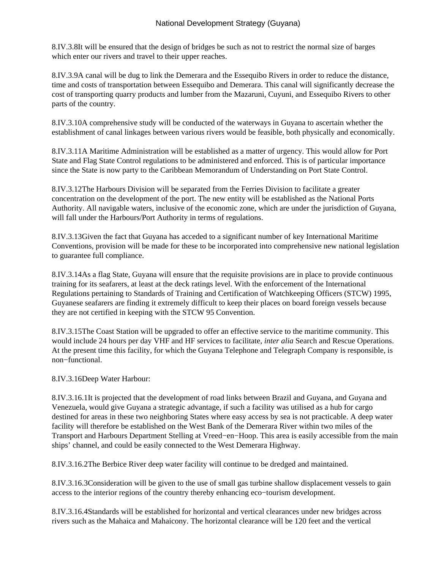8.IV.3.8 It will be ensured that the design of bridges be such as not to restrict the normal size of barges which enter our rivers and travel to their upper reaches.

8.IV.3.9 A canal will be dug to link the Demerara and the Essequibo Rivers in order to reduce the distance, time and costs of transportation between Essequibo and Demerara. This canal will significantly decrease the cost of transporting quarry products and lumber from the Mazaruni, Cuyuni, and Essequibo Rivers to other parts of the country.

8.IV.3.10 A comprehensive study will be conducted of the waterways in Guyana to ascertain whether the establishment of canal linkages between various rivers would be feasible, both physically and economically.

8.IV.3.11 A Maritime Administration will be established as a matter of urgency. This would allow for Port State and Flag State Control regulations to be administered and enforced. This is of particular importance since the State is now party to the Caribbean Memorandum of Understanding on Port State Control.

8.IV.3.12 The Harbours Division will be separated from the Ferries Division to facilitate a greater concentration on the development of the port. The new entity will be established as the National Ports Authority. All navigable waters, inclusive of the economic zone, which are under the jurisdiction of Guyana, will fall under the Harbours/Port Authority in terms of regulations.

8.IV.3.13 Given the fact that Guyana has acceded to a significant number of key International Maritime Conventions, provision will be made for these to be incorporated into comprehensive new national legislation to guarantee full compliance.

8.IV.3.14 As a flag State, Guyana will ensure that the requisite provisions are in place to provide continuous training for its seafarers, at least at the deck ratings level. With the enforcement of the International Regulations pertaining to Standards of Training and Certification of Watchkeeping Officers (STCW) 1995, Guyanese seafarers are finding it extremely difficult to keep their places on board foreign vessels because they are not certified in keeping with the STCW 95 Convention.

8.IV.3.15 The Coast Station will be upgraded to offer an effective service to the maritime community. This would include 24 hours per day VHF and HF services to facilitate, *inter alia* Search and Rescue Operations. At the present time this facility, for which the Guyana Telephone and Telegraph Company is responsible, is non−functional.

8.IV.3.16 Deep Water Harbour:

8.IV.3.16.1 It is projected that the development of road links between Brazil and Guyana, and Guyana and Venezuela, would give Guyana a strategic advantage, if such a facility was utilised as a hub for cargo destined for areas in these two neighboring States where easy access by sea is not practicable. A deep water facility will therefore be established on the West Bank of the Demerara River within two miles of the Transport and Harbours Department Stelling at Vreed−en−Hoop. This area is easily accessible from the main ships' channel, and could be easily connected to the West Demerara Highway.

8.IV.3.16.2 The Berbice River deep water facility will continue to be dredged and maintained.

8.IV.3.16.3 Consideration will be given to the use of small gas turbine shallow displacement vessels to gain access to the interior regions of the country thereby enhancing eco−tourism development.

8.IV.3.16.4 Standards will be established for horizontal and vertical clearances under new bridges across rivers such as the Mahaica and Mahaicony. The horizontal clearance will be 120 feet and the vertical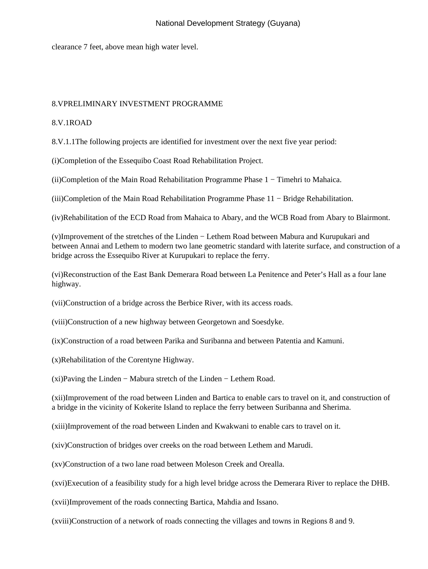clearance 7 feet, above mean high water level.

#### 8.V PRELIMINARY INVESTMENT PROGRAMME

### 8.V.1 ROAD

8.V.1.1 The following projects are identified for investment over the next five year period:

(i) Completion of the Essequibo Coast Road Rehabilitation Project.

(ii) Completion of the Main Road Rehabilitation Programme Phase 1 − Timehri to Mahaica.

(iii) Completion of the Main Road Rehabilitation Programme Phase 11 − Bridge Rehabilitation.

(iv) Rehabilitation of the ECD Road from Mahaica to Abary, and the WCB Road from Abary to Blairmont.

(v) Improvement of the stretches of the Linden − Lethem Road between Mabura and Kurupukari and between Annai and Lethem to modern two lane geometric standard with laterite surface, and construction of a bridge across the Essequibo River at Kurupukari to replace the ferry.

(vi) Reconstruction of the East Bank Demerara Road between La Penitence and Peter's Hall as a four lane highway.

(vii) Construction of a bridge across the Berbice River, with its access roads.

(viii) Construction of a new highway between Georgetown and Soesdyke.

(ix) Construction of a road between Parika and Suribanna and between Patentia and Kamuni.

(x) Rehabilitation of the Corentyne Highway.

(xi) Paving the Linden − Mabura stretch of the Linden − Lethem Road.

(xii) Improvement of the road between Linden and Bartica to enable cars to travel on it, and construction of a bridge in the vicinity of Kokerite Island to replace the ferry between Suribanna and Sherima. 

(xiii) Improvement of the road between Linden and Kwakwani to enable cars to travel on it.

(xiv) Construction of bridges over creeks on the road between Lethem and Marudi.

(xv) Construction of a two lane road between Moleson Creek and Orealla. 

(xvi) Execution of a feasibility study for a high level bridge across the Demerara River to replace the DHB.

(xvii) Improvement of the roads connecting Bartica, Mahdia and Issano.

(xviii) Construction of a network of roads connecting the villages and towns in Regions 8 and 9.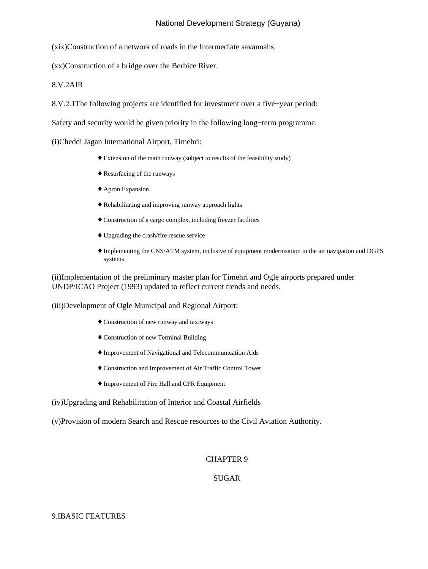(xix) Construction of a network of roads in the Intermediate savannahs.

(xx) Construction of a bridge over the Berbice River.

 $8.V.2$  AIR

8.V.2.1 The following projects are identified for investment over a five–year period:

Safety and security would be given priority in the following long−term programme.

(i) Cheddi Jagan International Airport, Timehri:

- ♦ Extension of the main runway (subject to results of the feasibility study)
- ♦ Resurfacing of the runways
- ♦ Apron Expansion
- ♦ Rehabilitating and improving runway approach lights
- ♦ Construction of a cargo complex, including freezer facilities
- ♦ Upgrading the crash/fire rescue service
- Implementing the CNS/ATM system, inclusive of equipment modernisation in the air navigation and DGPS ♦ systems

(ii) Implementation of the preliminary master plan for Timehri and Ogle airports prepared under UNDP/ICAO Project (1993) updated to reflect current trends and needs.

(iii) Development of Ogle Municipal and Regional Airport:

- ♦ Construction of new runway and taxiways
- ♦ Construction of new Terminal Building
- ♦ Improvement of Navigational and Telecommunication Aids
- ♦ Construction and Improvement of Air Traffic Control Tower
- ♦ Improvement of Fire Hall and CFR Equipment
- (iv) Upgrading and Rehabilitation of Interior and Coastal Airfields
- (v) Provision of modern Search and Rescue resources to the Civil Aviation Authority.

#### CHAPTER 9

## SUGAR

## 9.I BASIC FEATURES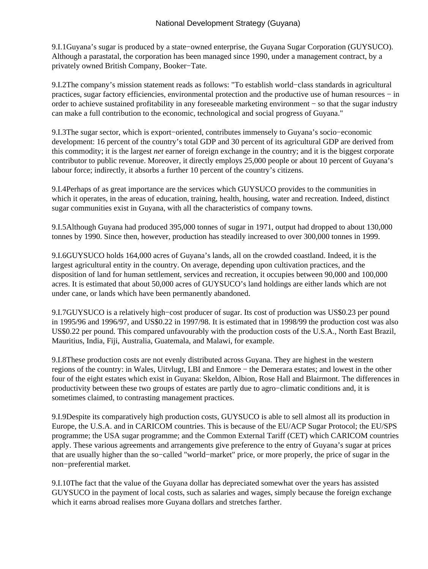9.I.1 Guyana's sugar is produced by a state–owned enterprise, the Guyana Sugar Corporation (GUYSUCO). Although a parastatal, the corporation has been managed since 1990, under a management contract, by a privately owned British Company, Booker−Tate.

9.I.2 The company's mission statement reads as follows: "To establish world–class standards in agricultural practices, sugar factory efficiencies, environmental protection and the productive use of human resources − in order to achieve sustained profitability in any foreseeable marketing environment − so that the sugar industry can make a full contribution to the economic, technological and social progress of Guyana."

9.I.3 The sugar sector, which is export–oriented, contributes immensely to Guyana's socio–economic development: 16 percent of the country's total GDP and 30 percent of its agricultural GDP are derived from this commodity; it is the largest *net* earner of foreign exchange in the country; and it is the biggest corporate contributor to public revenue. Moreover, it directly employs 25,000 people or about 10 percent of Guyana's labour force; indirectly, it absorbs a further 10 percent of the country's citizens.

9.I.4 Perhaps of as great importance are the services which GUYSUCO provides to the communities in which it operates, in the areas of education, training, health, housing, water and recreation. Indeed, distinct sugar communities exist in Guyana, with all the characteristics of company towns.

9.I.5 Although Guyana had produced 395,000 tonnes of sugar in 1971, output had dropped to about 130,000 tonnes by 1990. Since then, however, production has steadily increased to over 300,000 tonnes in 1999.

9.I.6 GUYSUCO holds 164,000 acres of Guyana's lands, all on the crowded coastland. Indeed, it is the largest agricultural entity in the country. On average, depending upon cultivation practices, and the disposition of land for human settlement, services and recreation, it occupies between 90,000 and 100,000 acres. It is estimated that about 50,000 acres of GUYSUCO's land holdings are either lands which are not under cane, or lands which have been permanently abandoned.

9.I.7 GUYSUCO is a relatively high–cost producer of sugar. Its cost of production was US\$0.23 per pound in 1995/96 and 1996/97, and US\$0.22 in 1997/98. It is estimated that in 1998/99 the production cost was also US\$0.22 per pound. This compared unfavourably with the production costs of the U.S.A., North East Brazil, Mauritius, India, Fiji, Australia, Guatemala, and Malawi, for example.

9.I.8 These production costs are not evenly distributed across Guyana. They are highest in the western regions of the country: in Wales, Uitvlugt, LBI and Enmore − the Demerara estates; and lowest in the other four of the eight estates which exist in Guyana: Skeldon, Albion, Rose Hall and Blairmont. The differences in productivity between these two groups of estates are partly due to agro−climatic conditions and, it is sometimes claimed, to contrasting management practices.

9.I.9 Despite its comparatively high production costs, GUYSUCO is able to sell almost all its production in Europe, the U.S.A. and in CARICOM countries. This is because of the EU/ACP Sugar Protocol; the EU/SPS programme; the USA sugar programme; and the Common External Tariff (CET) which CARICOM countries apply. These various agreements and arrangements give preference to the entry of Guyana's sugar at prices that are usually higher than the so−called "world−market" price, or more properly, the price of sugar in the non−preferential market.

9.I.10 The fact that the value of the Guyana dollar has depreciated somewhat over the years has assisted GUYSUCO in the payment of local costs, such as salaries and wages, simply because the foreign exchange which it earns abroad realises more Guyana dollars and stretches farther.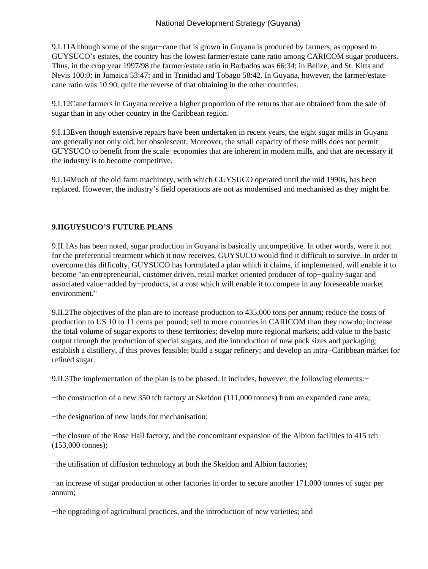9.I.11 Although some of the sugar–cane that is grown in Guyana is produced by farmers, as opposed to GUYSUCO's estates, the country has the lowest farmer/estate cane ratio among CARICOM sugar producers. Thus, in the crop year 1997/98 the farmer/estate ratio in Barbados was 66:34; in Belize, and St. Kitts and Nevis 100:0; in Jamaica 53:47; and in Trinidad and Tobago 58:42. In Guyana, however, the farmer/estate cane ratio was 10:90, quite the reverse of that obtaining in the other countries.

9.I.12 Cane farmers in Guyana receive a higher proportion of the returns that are obtained from the sale of sugar than in any other country in the Caribbean region.

9.I.13 Even though extensive repairs have been undertaken in recent years, the eight sugar mills in Guyana are generally not only old, but obsolescent. Moreover, the small capacity of these mills does not permit GUYSUCO to benefit from the scale−economies that are inherent in modern mills, and that are necessary if the industry is to become competitive.

9.I.14 Much of the old farm machinery, with which GUYSUCO operated until the mid 1990s, has been replaced. However, the industry's field operations are not as modernised and mechanised as they might be.

# **9.II GUYSUCO'S FUTURE PLANS**

9.II.1 As has been noted, sugar production in Guyana is basically uncompetitive. In other words, were it not for the preferential treatment which it now receives, GUYSUCO would find it difficult to survive. In order to overcome this difficulty, GUYSUCO has formulated a plan which it claims, if implemented, will enable it to become "an entrepreneurial, customer driven, retail market oriented producer of top−quality sugar and associated value−added by−products, at a cost which will enable it to compete in any foreseeable market environment."

9.II.2 The objectives of the plan are to increase production to 435,000 tons per annum; reduce the costs of production to US 10 to 11 cents per pound; sell to more countries in CARICOM than they now do; increase the total volume of sugar exports to these territories; develop more regional markets; add value to the basic output through the production of special sugars, and the introduction of new pack sizes and packaging; establish a distillery, if this proves feasible; build a sugar refinery; and develop an intra−Caribbean market for refined sugar.

9.II.3 The implementation of the plan is to be phased. It includes, however, the following elements:−

− the construction of a new 350 tch factory at Skeldon (111,000 tonnes) from an expanded cane area;

− the designation of new lands for mechanisation;

− the closure of the Rose Hall factory, and the concomitant expansion of the Albion facilities to 415 tch (153,000 tonnes);

− the utilisation of diffusion technology at both the Skeldon and Albion factories;

− an increase of sugar production at other factories in order to secure another 171,000 tonnes of sugar per annum;

− the upgrading of agricultural practices, and the introduction of new varieties; and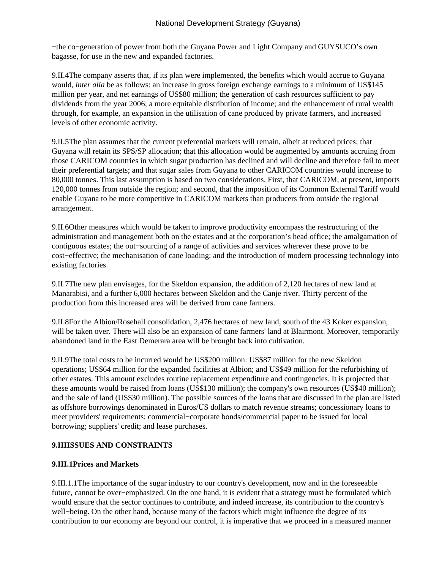− the co–generation of power from both the Guyana Power and Light Company and GUYSUCO's own bagasse, for use in the new and expanded factories.

9.II.4 The company asserts that, if its plan were implemented, the benefits which would accrue to Guyana would, *inter alia* be as follows: an increase in gross foreign exchange earnings to a minimum of US\$145 million per year, and net earnings of US\$80 million; the generation of cash resources sufficient to pay dividends from the year 2006; a more equitable distribution of income; and the enhancement of rural wealth through, for example, an expansion in the utilisation of cane produced by private farmers, and increased levels of other economic activity.

9.II.5 The plan assumes that the current preferential markets will remain, albeit at reduced prices; that Guyana will retain its SPS/SP allocation; that this allocation would be augmented by amounts accruing from those CARICOM countries in which sugar production has declined and will decline and therefore fail to meet their preferential targets; and that sugar sales from Guyana to other CARICOM countries would increase to 80,000 tonnes. This last assumption is based on two considerations. First, that CARICOM, at present, imports 120,000 tonnes from outside the region; and second, that the imposition of its Common External Tariff would enable Guyana to be more competitive in CARICOM markets than producers from outside the regional arrangement.

9.II.6 Other measures which would be taken to improve productivity encompass the restructuring of the administration and management both on the estates and at the corporation's head office; the amalgamation of contiguous estates; the out−sourcing of a range of activities and services wherever these prove to be cost−effective; the mechanisation of cane loading; and the introduction of modern processing technology into existing factories.

9.II.7 The new plan envisages, for the Skeldon expansion, the addition of 2,120 hectares of new land at Manarabisi, and a further 6,000 hectares between Skeldon and the Canje river. Thirty percent of the production from this increased area will be derived from cane farmers.

9.II.8 For the Albion/Rosehall consolidation, 2,476 hectares of new land, south of the 43 Koker expansion, will be taken over. There will also be an expansion of cane farmers' land at Blairmont. Moreover, temporarily abandoned land in the East Demerara area will be brought back into cultivation.

9.II.9 The total costs to be incurred would be US\$200 million: US\$87 million for the new Skeldon operations; US\$64 million for the expanded facilities at Albion; and US\$49 million for the refurbishing of other estates. This amount excludes routine replacement expenditure and contingencies. It is projected that these amounts would be raised from loans (US\$130 million); the company's own resources (US\$40 million); and the sale of land (US\$30 million). The possible sources of the loans that are discussed in the plan are listed as offshore borrowings denominated in Euros/US dollars to match revenue streams; concessionary loans to meet providers' requirements; commercial−corporate bonds/commercial paper to be issued for local borrowing; suppliers' credit; and lease purchases.

# **9.III ISSUES AND CONSTRAINTS**

## **9.III.1 Prices and Markets**

9.III.1.1 The importance of the sugar industry to our country's development, now and in the foreseeable future, cannot be over−emphasized. On the one hand, it is evident that a strategy must be formulated which would ensure that the sector continues to contribute, and indeed increase, its contribution to the country's well−being. On the other hand, because many of the factors which might influence the degree of its contribution to our economy are beyond our control, it is imperative that we proceed in a measured manner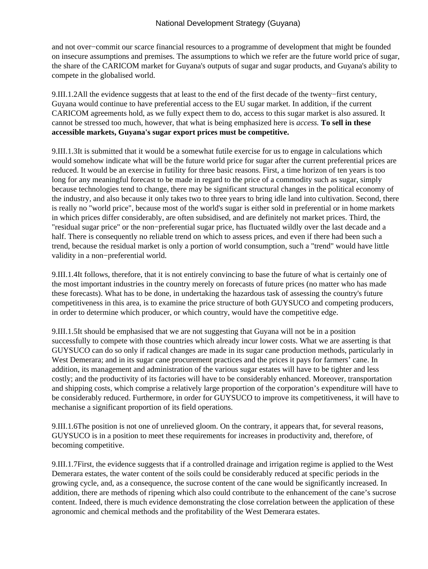and not over−commit our scarce financial resources to a programme of development that might be founded on insecure assumptions and premises. The assumptions to which we refer are the future world price of sugar, the share of the CARICOM market for Guyana's outputs of sugar and sugar products, and Guyana's ability to compete in the globalised world.

9.III.1.2 All the evidence suggests that at least to the end of the first decade of the twenty–first century, Guyana would continue to have preferential access to the EU sugar market. In addition, if the current CARICOM agreements hold, as we fully expect them to do, access to this sugar market is also assured. It cannot be stressed too much, however, that what is being emphasized here is *access.* **To sell in these accessible markets, Guyana's sugar export prices must be competitive.**

9.III.1.3 It is submitted that it would be a somewhat futile exercise for us to engage in calculations which would somehow indicate what will be the future world price for sugar after the current preferential prices are reduced. It would be an exercise in futility for three basic reasons. First, a time horizon of ten years is too long for any meaningful forecast to be made in regard to the price of a commodity such as sugar, simply because technologies tend to change, there may be significant structural changes in the political economy of the industry, and also because it only takes two to three years to bring idle land into cultivation. Second, there is really no "world price", because most of the world's sugar is either sold in preferential or in home markets in which prices differ considerably, are often subsidised, and are definitely not market prices. Third, the "residual sugar price" or the non−preferential sugar price, has fluctuated wildly over the last decade and a half. There is consequently no reliable trend on which to assess prices, and even if there had been such a trend, because the residual market is only a portion of world consumption, such a "trend" would have little validity in a non−preferential world.

9.III.1.4 It follows, therefore, that it is not entirely convincing to base the future of what is certainly one of the most important industries in the country merely on forecasts of future prices (no matter who has made these forecasts). What has to be done, in undertaking the hazardous task of assessing the country's future competitiveness in this area, is to examine the price structure of both GUYSUCO and competing producers, in order to determine which producer, or which country, would have the competitive edge.

9.III.1.5 It should be emphasised that we are not suggesting that Guyana will not be in a position successfully to compete with those countries which already incur lower costs. What we are asserting is that GUYSUCO can do so only if radical changes are made in its sugar cane production methods, particularly in West Demerara; and in its sugar cane procurement practices and the prices it pays for farmers' cane. In addition, its management and administration of the various sugar estates will have to be tighter and less costly; and the productivity of its factories will have to be considerably enhanced. Moreover, transportation and shipping costs, which comprise a relatively large proportion of the corporation's expenditure will have to be considerably reduced. Furthermore, in order for GUYSUCO to improve its competitiveness, it will have to mechanise a significant proportion of its field operations.

9.III.1.6 The position is not one of unrelieved gloom. On the contrary, it appears that, for several reasons, GUYSUCO is in a position to meet these requirements for increases in productivity and, therefore, of becoming competitive.

9.III.1.7 First, the evidence suggests that if a controlled drainage and irrigation regime is applied to the West Demerara estates, the water content of the soils could be considerably reduced at specific periods in the growing cycle, and, as a consequence, the sucrose content of the cane would be significantly increased. In addition, there are methods of ripening which also could contribute to the enhancement of the cane's sucrose content. Indeed, there is much evidence demonstrating the close correlation between the application of these agronomic and chemical methods and the profitability of the West Demerara estates.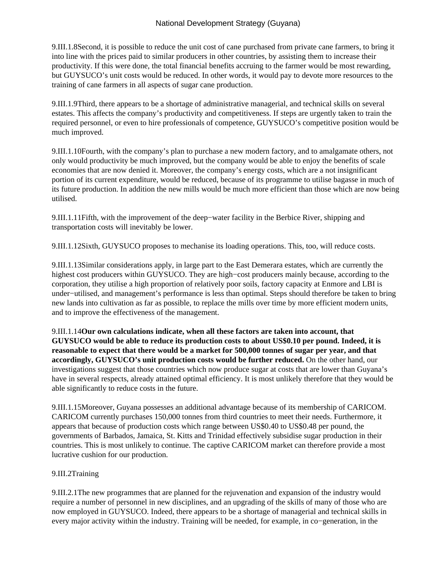9.III.1.8 Second, it is possible to reduce the unit cost of cane purchased from private cane farmers, to bring it into line with the prices paid to similar producers in other countries, by assisting them to increase their productivity. If this were done, the total financial benefits accruing to the farmer would be most rewarding, but GUYSUCO's unit costs would be reduced. In other words, it would pay to devote more resources to the training of cane farmers in all aspects of sugar cane production.

9.III.1.9 Third, there appears to be a shortage of administrative managerial, and technical skills on several estates. This affects the company's productivity and competitiveness. If steps are urgently taken to train the required personnel, or even to hire professionals of competence, GUYSUCO's competitive position would be much improved.

9.III.1.10 Fourth, with the company's plan to purchase a new modern factory, and to amalgamate others, not only would productivity be much improved, but the company would be able to enjoy the benefits of scale economies that are now denied it. Moreover, the company's energy costs, which are a not insignificant portion of its current expenditure, would be reduced, because of its programme to utilise bagasse in much of its future production. In addition the new mills would be much more efficient than those which are now being utilised.

9.III.1.11 Fifth, with the improvement of the deep–water facility in the Berbice River, shipping and transportation costs will inevitably be lower.

9.III.1.12 Sixth, GUYSUCO proposes to mechanise its loading operations. This, too, will reduce costs.

9.III.1.13 Similar considerations apply, in large part to the East Demerara estates, which are currently the highest cost producers within GUYSUCO. They are high−cost producers mainly because, according to the corporation, they utilise a high proportion of relatively poor soils, factory capacity at Enmore and LBI is under−utilised, and management's performance is less than optimal. Steps should therefore be taken to bring new lands into cultivation as far as possible, to replace the mills over time by more efficient modern units, and to improve the effectiveness of the management.

9.III.1.14 **Our own calculations indicate, when all these factors are taken into account, that GUYSUCO would be able to reduce its production costs to about US\$0.10 per pound. Indeed, it is reasonable to expect that there would be a market for 500,000 tonnes of sugar per year, and that accordingly, GUYSUCO's unit production costs would be further reduced.** On the other hand, our investigations suggest that those countries which now produce sugar at costs that are lower than Guyana's have in several respects, already attained optimal efficiency. It is most unlikely therefore that they would be able significantly to reduce costs in the future.

9.III.1.15 Moreover, Guyana possesses an additional advantage because of its membership of CARICOM. CARICOM currently purchases 150,000 tonnes from third countries to meet their needs. Furthermore, it appears that because of production costs which range between US\$0.40 to US\$0.48 per pound, the governments of Barbados, Jamaica, St. Kitts and Trinidad effectively subsidise sugar production in their countries. This is most unlikely to continue. The captive CARICOM market can therefore provide a most lucrative cushion for our production.

#### 9.III.2 Training

9.III.2.1 The new programmes that are planned for the rejuvenation and expansion of the industry would require a number of personnel in new disciplines, and an upgrading of the skills of many of those who are now employed in GUYSUCO. Indeed, there appears to be a shortage of managerial and technical skills in every major activity within the industry. Training will be needed, for example, in co−generation, in the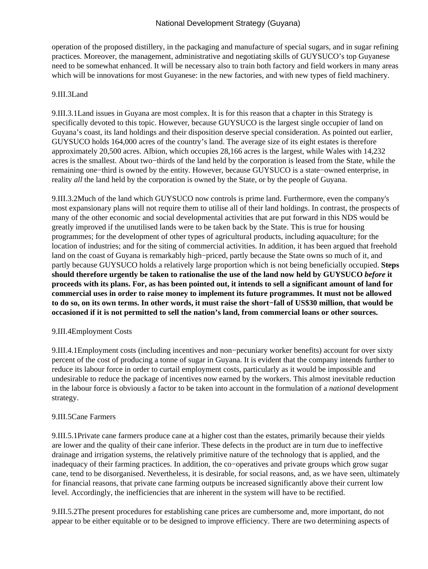operation of the proposed distillery, in the packaging and manufacture of special sugars, and in sugar refining practices. Moreover, the management, administrative and negotiating skills of GUYSUCO's top Guyanese need to be somewhat enhanced. It will be necessary also to train both factory and field workers in many areas which will be innovations for most Guyanese: in the new factories, and with new types of field machinery.

#### 9.III.3 Land

9.III.3.1 Land issues in Guyana are most complex. It is for this reason that a chapter in this Strategy is specifically devoted to this topic. However, because GUYSUCO is the largest single occupier of land on Guyana's coast, its land holdings and their disposition deserve special consideration. As pointed out earlier, GUYSUCO holds 164,000 acres of the country's land. The average size of its eight estates is therefore approximately 20,500 acres. Albion, which occupies 28,166 acres is the largest, while Wales with 14,232 acres is the smallest. About two−thirds of the land held by the corporation is leased from the State, while the remaining one−third is owned by the entity. However, because GUYSUCO is a state−owned enterprise, in reality *all* the land held by the corporation is owned by the State, or by the people of Guyana.

9.III.3.2 Much of the land which GUYSUCO now controls is prime land. Furthermore, even the company's most expansionary plans will not require them to utilise all of their land holdings. In contrast, the prospects of many of the other economic and social developmental activities that are put forward in this NDS would be greatly improved if the unutilised lands were to be taken back by the State. This is true for housing programmes; for the development of other types of agricultural products, including aquaculture; for the location of industries; and for the siting of commercial activities. In addition, it has been argued that freehold land on the coast of Guyana is remarkably high−priced, partly because the State owns so much of it, and partly because GUYSUCO holds a relatively large proportion which is not being beneficially occupied. **Steps should therefore urgently be taken to rationalise the use of the land now held by GUYSUCO** *before* **it proceeds with its plans. For, as has been pointed out, it intends to sell a significant amount of land for commercial uses in order to raise money to implement its future programmes. It must not be allowed to do so, on its own terms. In other words, it must raise the short−fall of US\$30 million, that would be occasioned if it is not permitted to sell the nation's land, from commercial loans or other sources.**

#### 9.III.4 Employment Costs

9.III.4.1 Employment costs (including incentives and non-pecuniary worker benefits) account for over sixty percent of the cost of producing a tonne of sugar in Guyana. It is evident that the company intends further to reduce its labour force in order to curtail employment costs, particularly as it would be impossible and undesirable to reduce the package of incentives now earned by the workers. This almost inevitable reduction in the labour force is obviously a factor to be taken into account in the formulation of a *national* development strategy.

## 9.III.5 Cane Farmers

9.III.5.1 Private cane farmers produce cane at a higher cost than the estates, primarily because their yields are lower and the quality of their cane inferior. These defects in the product are in turn due to ineffective drainage and irrigation systems, the relatively primitive nature of the technology that is applied, and the inadequacy of their farming practices. In addition, the co−operatives and private groups which grow sugar cane, tend to be disorganised. Nevertheless, it is desirable, for social reasons, and, as we have seen, ultimately for financial reasons, that private cane farming outputs be increased significantly above their current low level. Accordingly, the inefficiencies that are inherent in the system will have to be rectified.

9.III.5.2 The present procedures for establishing cane prices are cumbersome and, more important, do not appear to be either equitable or to be designed to improve efficiency. There are two determining aspects of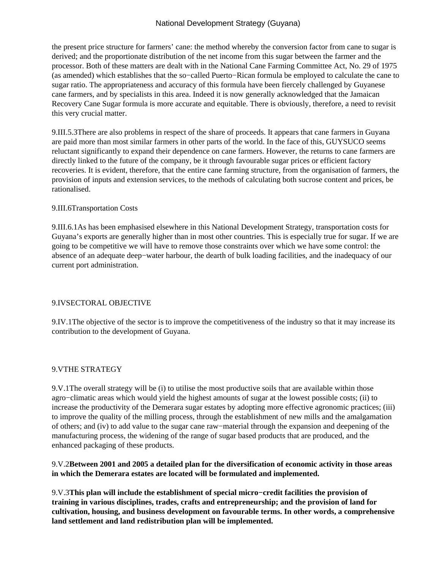the present price structure for farmers' cane: the method whereby the conversion factor from cane to sugar is derived; and the proportionate distribution of the net income from this sugar between the farmer and the processor. Both of these matters are dealt with in the National Cane Farming Committee Act, No. 29 of 1975 (as amended) which establishes that the so−called Puerto−Rican formula be employed to calculate the cane to sugar ratio. The appropriateness and accuracy of this formula have been fiercely challenged by Guyanese cane farmers, and by specialists in this area. Indeed it is now generally acknowledged that the Jamaican Recovery Cane Sugar formula is more accurate and equitable. There is obviously, therefore, a need to revisit this very crucial matter.

9.III.5.3 There are also problems in respect of the share of proceeds. It appears that cane farmers in Guyana are paid more than most similar farmers in other parts of the world. In the face of this, GUYSUCO seems reluctant significantly to expand their dependence on cane farmers. However, the returns to cane farmers are directly linked to the future of the company, be it through favourable sugar prices or efficient factory recoveries. It is evident, therefore, that the entire cane farming structure, from the organisation of farmers, the provision of inputs and extension services, to the methods of calculating both sucrose content and prices, be rationalised.

#### 9.III.6 Transportation Costs

9.III.6.1 As has been emphasised elsewhere in this National Development Strategy, transportation costs for Guyana's exports are generally higher than in most other countries. This is especially true for sugar. If we are going to be competitive we will have to remove those constraints over which we have some control: the absence of an adequate deep−water harbour, the dearth of bulk loading facilities, and the inadequacy of our current port administration.

## 9.IV SECTORAL OBJECTIVE

9.IV.1 The objective of the sector is to improve the competitiveness of the industry so that it may increase its contribution to the development of Guyana.

## 9.V THE STRATEGY

9.V.1 The overall strategy will be (i) to utilise the most productive soils that are available within those agro−climatic areas which would yield the highest amounts of sugar at the lowest possible costs; (ii) to increase the productivity of the Demerara sugar estates by adopting more effective agronomic practices; (iii) to improve the quality of the milling process, through the establishment of new mills and the amalgamation of others; and (iv) to add value to the sugar cane raw−material through the expansion and deepening of the manufacturing process, the widening of the range of sugar based products that are produced, and the enhanced packaging of these products.

## 9.V.2 **Between 2001 and 2005 a detailed plan for the diversification of economic activity in those areas in which the Demerara estates are located will be formulated and implemented.**

9.V.3 **This plan will include the establishment of special micro−credit facilities the provision of training in various disciplines, trades, crafts and entrepreneurship; and the provision of land for cultivation, housing, and business development on favourable terms. In other words, a comprehensive land settlement and land redistribution plan will be implemented.**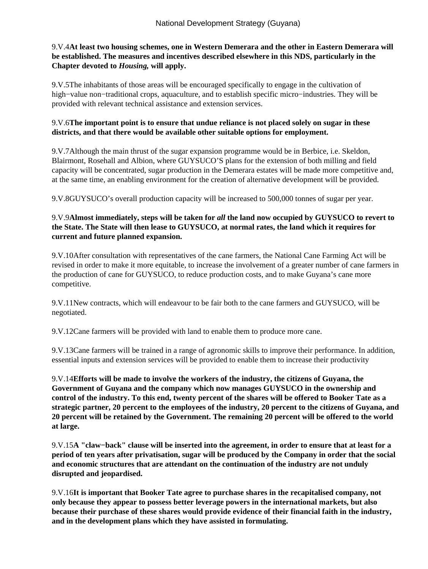## 9.V.4 **At least two housing schemes, one in Western Demerara and the other in Eastern Demerara will be established. The measures and incentives described elsewhere in this NDS, particularly in the Chapter devoted to** *Housing,* **will apply.**

9.V.5 The inhabitants of those areas will be encouraged specifically to engage in the cultivation of high−value non−traditional crops, aquaculture, and to establish specific micro−industries. They will be provided with relevant technical assistance and extension services.

### 9.V.6 **The important point is to ensure that undue reliance is not placed solely on sugar in these districts, and that there would be available other suitable options for employment.**

9.V.7 Although the main thrust of the sugar expansion programme would be in Berbice, i.e. Skeldon, Blairmont, Rosehall and Albion, where GUYSUCO'S plans for the extension of both milling and field capacity will be concentrated, sugar production in the Demerara estates will be made more competitive and, at the same time, an enabling environment for the creation of alternative development will be provided.

9.V.8 GUYSUCO's overall production capacity will be increased to 500,000 tonnes of sugar per year.

## 9.V.9 **Almost immediately, steps will be taken for** *all* **the land now occupied by GUYSUCO to revert to the State. The State will then lease to GUYSUCO, at normal rates, the land which it requires for current and future planned expansion.**

9.V.10 After consultation with representatives of the cane farmers, the National Cane Farming Act will be revised in order to make it more equitable, to increase the involvement of a greater number of cane farmers in the production of cane for GUYSUCO, to reduce production costs, and to make Guyana's cane more competitive.

9.V.11 New contracts, which will endeavour to be fair both to the cane farmers and GUYSUCO, will be negotiated.

9.V.12 Cane farmers will be provided with land to enable them to produce more cane.

9.V.13 Cane farmers will be trained in a range of agronomic skills to improve their performance. In addition, essential inputs and extension services will be provided to enable them to increase their productivity

9.V.14 **Efforts will be made to involve the workers of the industry, the citizens of Guyana, the Government of Guyana and the company which now manages GUYSUCO in the ownership and control of the industry. To this end, twenty percent of the shares will be offered to Booker Tate as a strategic partner, 20 percent to the employees of the industry, 20 percent to the citizens of Guyana, and 20 percent will be retained by the Government. The remaining 20 percent will be offered to the world at large.**

9.V.15 **A "claw−back" clause will be inserted into the agreement, in order to ensure that at least for a period of ten years after privatisation, sugar will be produced by the Company in order that the social and economic structures that are attendant on the continuation of the industry are not unduly disrupted and jeopardised.**

9.V.16 **It is important that Booker Tate agree to purchase shares in the recapitalised company, not only because they appear to possess better leverage powers in the international markets, but also because their purchase of these shares would provide evidence of their financial faith in the industry, and in the development plans which they have assisted in formulating.**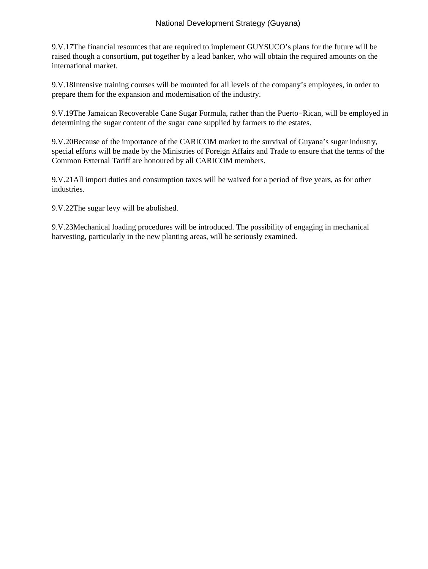9.V.17 The financial resources that are required to implement GUYSUCO's plans for the future will be raised though a consortium, put together by a lead banker, who will obtain the required amounts on the international market.

9.V.18 Intensive training courses will be mounted for all levels of the company's employees, in order to prepare them for the expansion and modernisation of the industry.

9.V.19 The Jamaican Recoverable Cane Sugar Formula, rather than the Puerto–Rican, will be employed in determining the sugar content of the sugar cane supplied by farmers to the estates.

9.V.20 Because of the importance of the CARICOM market to the survival of Guyana's sugar industry, special efforts will be made by the Ministries of Foreign Affairs and Trade to ensure that the terms of the Common External Tariff are honoured by all CARICOM members.

9.V.21 All import duties and consumption taxes will be waived for a period of five years, as for other industries.

9.V.22 The sugar levy will be abolished.

9.V.23 Mechanical loading procedures will be introduced. The possibility of engaging in mechanical harvesting, particularly in the new planting areas, will be seriously examined.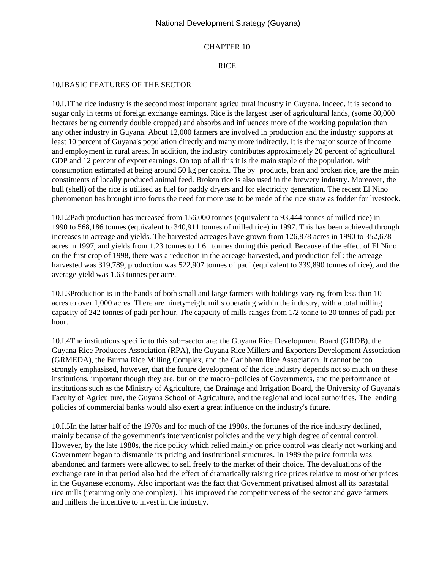#### CHAPTER 10

#### RICE

#### 10.I BASIC FEATURES OF THE SECTOR

10.I.1 The rice industry is the second most important agricultural industry in Guyana. Indeed, it is second to sugar only in terms of foreign exchange earnings. Rice is the largest user of agricultural lands, (some 80,000 hectares being currently double cropped) and absorbs and influences more of the working population than any other industry in Guyana. About 12,000 farmers are involved in production and the industry supports at least 10 percent of Guyana's population directly and many more indirectly. It is the major source of income and employment in rural areas. In addition, the industry contributes approximately 20 percent of agricultural GDP and 12 percent of export earnings. On top of all this it is the main staple of the population, with consumption estimated at being around 50 kg per capita. The by−products, bran and broken rice, are the main constituents of locally produced animal feed. Broken rice is also used in the brewery industry. Moreover, the hull (shell) of the rice is utilised as fuel for paddy dryers and for electricity generation. The recent El Nino phenomenon has brought into focus the need for more use to be made of the rice straw as fodder for livestock.

10.I.2 Padi production has increased from 156,000 tonnes (equivalent to 93,444 tonnes of milled rice) in 1990 to 568,186 tonnes (equivalent to 340,911 tonnes of milled rice) in 1997. This has been achieved through increases in acreage and yields. The harvested acreages have grown from 126,878 acres in 1990 to 352,678 acres in 1997, and yields from 1.23 tonnes to 1.61 tonnes during this period. Because of the effect of El Nino on the first crop of 1998, there was a reduction in the acreage harvested, and production fell: the acreage harvested was 319,789, production was 522,907 tonnes of padi (equivalent to 339,890 tonnes of rice), and the average yield was 1.63 tonnes per acre.

10.I.3 Production is in the hands of both small and large farmers with holdings varying from less than 10 acres to over 1,000 acres. There are ninety−eight mills operating within the industry, with a total milling capacity of 242 tonnes of padi per hour. The capacity of mills ranges from 1/2 tonne to 20 tonnes of padi per hour.

10.I.4 The institutions specific to this sub−sector are: the Guyana Rice Development Board (GRDB), the Guyana Rice Producers Association (RPA), the Guyana Rice Millers and Exporters Development Association (GRMEDA), the Burma Rice Milling Complex, and the Caribbean Rice Association. It cannot be too strongly emphasised, however, that the future development of the rice industry depends not so much on these institutions, important though they are, but on the macro−policies of Governments, and the performance of institutions such as the Ministry of Agriculture, the Drainage and Irrigation Board, the University of Guyana's Faculty of Agriculture, the Guyana School of Agriculture, and the regional and local authorities. The lending policies of commercial banks would also exert a great influence on the industry's future.

10.I.5 In the latter half of the 1970s and for much of the 1980s, the fortunes of the rice industry declined, mainly because of the government's interventionist policies and the very high degree of central control. However, by the late 1980s, the rice policy which relied mainly on price control was clearly not working and Government began to dismantle its pricing and institutional structures. In 1989 the price formula was abandoned and farmers were allowed to sell freely to the market of their choice. The devaluations of the exchange rate in that period also had the effect of dramatically raising rice prices relative to most other prices in the Guyanese economy. Also important was the fact that Government privatised almost all its parastatal rice mills (retaining only one complex). This improved the competitiveness of the sector and gave farmers and millers the incentive to invest in the industry.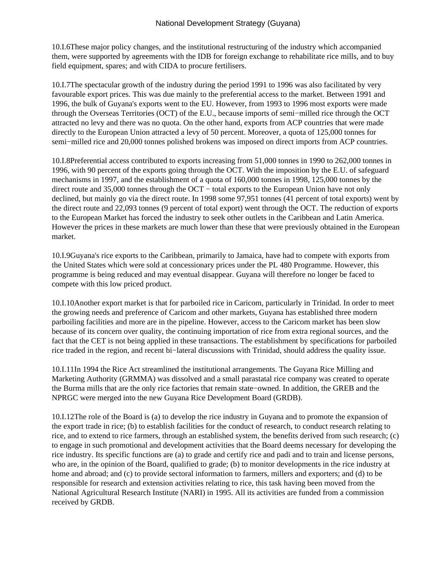10.I.6 These major policy changes, and the institutional restructuring of the industry which accompanied them, were supported by agreements with the IDB for foreign exchange to rehabilitate rice mills, and to buy field equipment, spares; and with CIDA to procure fertilisers.

10.I.7 The spectacular growth of the industry during the period 1991 to 1996 was also facilitated by very favourable export prices. This was due mainly to the preferential access to the market. Between 1991 and 1996, the bulk of Guyana's exports went to the EU. However, from 1993 to 1996 most exports were made through the Overseas Territories (OCT) of the E.U., because imports of semi−milled rice through the OCT attracted no levy and there was no quota. On the other hand, exports from ACP countries that were made directly to the European Union attracted a levy of 50 percent. Moreover, a quota of 125,000 tonnes for semi–milled rice and 20,000 tonnes polished brokens was imposed on direct imports from ACP countries.

10.I.8 Preferential access contributed to exports increasing from 51,000 tonnes in 1990 to 262,000 tonnes in 1996, with 90 percent of the exports going through the OCT. With the imposition by the E.U. of safeguard mechanisms in 1997, and the establishment of a quota of 160,000 tonnes in 1998, 125,000 tonnes by the direct route and 35,000 tonnes through the OCT − total exports to the European Union have not only declined, but mainly go via the direct route. In 1998 some 97,951 tonnes (41 percent of total exports) went by the direct route and 22,093 tonnes (9 percent of total export) went through the OCT. The reduction of exports to the European Market has forced the industry to seek other outlets in the Caribbean and Latin America. However the prices in these markets are much lower than these that were previously obtained in the European market.

10.I.9 Guyana's rice exports to the Caribbean, primarily to Jamaica, have had to compete with exports from the United States which were sold at concessionary prices under the PL 480 Programme. However, this programme is being reduced and may eventual disappear. Guyana will therefore no longer be faced to compete with this low priced product.

10.I.10 Another export market is that for parboiled rice in Caricom, particularly in Trinidad. In order to meet the growing needs and preference of Caricom and other markets, Guyana has established three modern parboiling facilities and more are in the pipeline. However, access to the Caricom market has been slow because of its concern over quality, the continuing importation of rice from extra regional sources, and the fact that the CET is not being applied in these transactions. The establishment by specifications for parboiled rice traded in the region, and recent bi−lateral discussions with Trinidad, should address the quality issue.

10.I.11 In 1994 the Rice Act streamlined the institutional arrangements. The Guyana Rice Milling and Marketing Authority (GRMMA) was dissolved and a small parastatal rice company was created to operate the Burma mills that are the only rice factories that remain state−owned. In addition, the GREB and the NPRGC were merged into the new Guyana Rice Development Board (GRDB).

10.I.12 The role of the Board is (a) to develop the rice industry in Guyana and to promote the expansion of the export trade in rice; (b) to establish facilities for the conduct of research, to conduct research relating to rice, and to extend to rice farmers, through an established system, the benefits derived from such research; (c) to engage in such promotional and development activities that the Board deems necessary for developing the rice industry. Its specific functions are (a) to grade and certify rice and padi and to train and license persons, who are, in the opinion of the Board, qualified to grade; (b) to monitor developments in the rice industry at home and abroad; and (c) to provide sectoral information to farmers, millers and exporters; and (d) to be responsible for research and extension activities relating to rice, this task having been moved from the National Agricultural Research Institute (NARI) in 1995. All its activities are funded from a commission received by GRDB.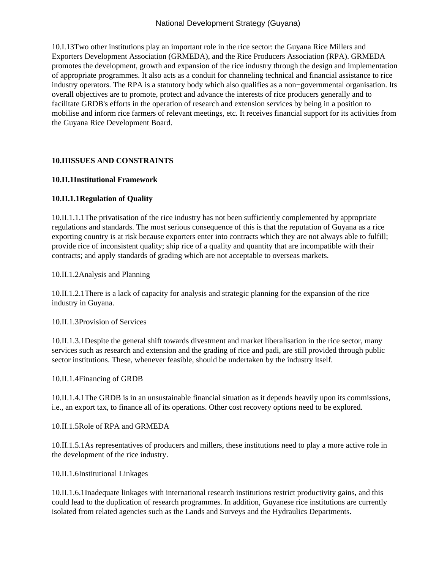10.I.13 Two other institutions play an important role in the rice sector: the Guyana Rice Millers and Exporters Development Association (GRMEDA), and the Rice Producers Association (RPA). GRMEDA promotes the development, growth and expansion of the rice industry through the design and implementation of appropriate programmes. It also acts as a conduit for channeling technical and financial assistance to rice industry operators. The RPA is a statutory body which also qualifies as a non−governmental organisation. Its overall objectives are to promote, protect and advance the interests of rice producers generally and to facilitate GRDB's efforts in the operation of research and extension services by being in a position to mobilise and inform rice farmers of relevant meetings, etc. It receives financial support for its activities from the Guyana Rice Development Board.

# **10.II ISSUES AND CONSTRAINTS**

## **10.II.1 Institutional Framework**

# **10.II.1.1 Regulation of Quality**

10.II.1.1.1 The privatisation of the rice industry has not been sufficiently complemented by appropriate regulations and standards. The most serious consequence of this is that the reputation of Guyana as a rice exporting country is at risk because exporters enter into contracts which they are not always able to fulfill; provide rice of inconsistent quality; ship rice of a quality and quantity that are incompatible with their contracts; and apply standards of grading which are not acceptable to overseas markets.

10.II.1.2 Analysis and Planning

10.II.1.2.1 There is a lack of capacity for analysis and strategic planning for the expansion of the rice industry in Guyana.

10.II.1.3 Provision of Services

10.II.1.3.1 Despite the general shift towards divestment and market liberalisation in the rice sector, many services such as research and extension and the grading of rice and padi, are still provided through public sector institutions. These, whenever feasible, should be undertaken by the industry itself.

10.II.1.4 Financing of GRDB

10.II.1.4.1 The GRDB is in an unsustainable financial situation as it depends heavily upon its commissions, i.e., an export tax, to finance all of its operations. Other cost recovery options need to be explored.

10.II.1.5 Role of RPA and GRMEDA

10.II.1.5.1 As representatives of producers and millers, these institutions need to play a more active role in the development of the rice industry.

10.II.1.6 Institutional Linkages

10.II.1.6.1 Inadequate linkages with international research institutions restrict productivity gains, and this could lead to the duplication of research programmes. In addition, Guyanese rice institutions are currently isolated from related agencies such as the Lands and Surveys and the Hydraulics Departments.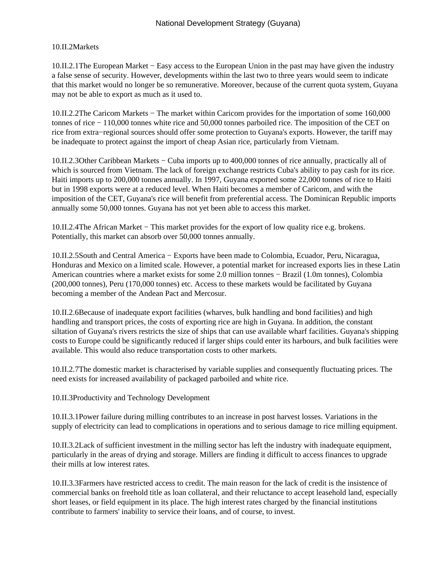## 10.II.2 Markets

10.II.2.1 The European Market − Easy access to the European Union in the past may have given the industry a false sense of security. However, developments within the last two to three years would seem to indicate that this market would no longer be so remunerative. Moreover, because of the current quota system, Guyana may not be able to export as much as it used to.

10.II.2.2 The Caricom Markets − The market within Caricom provides for the importation of some 160,000 tonnes of rice − 110,000 tonnes white rice and 50,000 tonnes parboiled rice. The imposition of the CET on rice from extra−regional sources should offer some protection to Guyana's exports. However, the tariff may be inadequate to protect against the import of cheap Asian rice, particularly from Vietnam.

10.II.2.3 Other Caribbean Markets − Cuba imports up to 400,000 tonnes of rice annually, practically all of which is sourced from Vietnam. The lack of foreign exchange restricts Cuba's ability to pay cash for its rice. Haiti imports up to 200,000 tonnes annually. In 1997, Guyana exported some 22,000 tonnes of rice to Haiti but in 1998 exports were at a reduced level. When Haiti becomes a member of Caricom, and with the imposition of the CET, Guyana's rice will benefit from preferential access. The Dominican Republic imports annually some 50,000 tonnes. Guyana has not yet been able to access this market.

10.II.2.4 The African Market − This market provides for the export of low quality rice e.g. brokens. Potentially, this market can absorb over 50,000 tonnes annually.

10.II.2.5 South and Central America − Exports have been made to Colombia, Ecuador, Peru, Nicaragua, Honduras and Mexico on a limited scale. However, a potential market for increased exports lies in these Latin American countries where a market exists for some 2.0 million tonnes − Brazil (1.0m tonnes), Colombia (200,000 tonnes), Peru (170,000 tonnes) etc. Access to these markets would be facilitated by Guyana becoming a member of the Andean Pact and Mercosur.

10.II.2.6 Because of inadequate export facilities (wharves, bulk handling and bond facilities) and high handling and transport prices, the costs of exporting rice are high in Guyana. In addition, the constant siltation of Guyana's rivers restricts the size of ships that can use available wharf facilities. Guyana's shipping costs to Europe could be significantly reduced if larger ships could enter its harbours, and bulk facilities were available. This would also reduce transportation costs to other markets.

10.II.2.7 The domestic market is characterised by variable supplies and consequently fluctuating prices. The need exists for increased availability of packaged parboiled and white rice.

10.II.3 Productivity and Technology Development

10.II.3.1 Power failure during milling contributes to an increase in post harvest losses. Variations in the supply of electricity can lead to complications in operations and to serious damage to rice milling equipment.

10.II.3.2 Lack of sufficient investment in the milling sector has left the industry with inadequate equipment, particularly in the areas of drying and storage. Millers are finding it difficult to access finances to upgrade their mills at low interest rates.

10.II.3.3 Farmers have restricted access to credit. The main reason for the lack of credit is the insistence of commercial banks on freehold title as loan collateral, and their reluctance to accept leasehold land, especially short leases, or field equipment in its place. The high interest rates charged by the financial institutions contribute to farmers' inability to service their loans, and of course, to invest.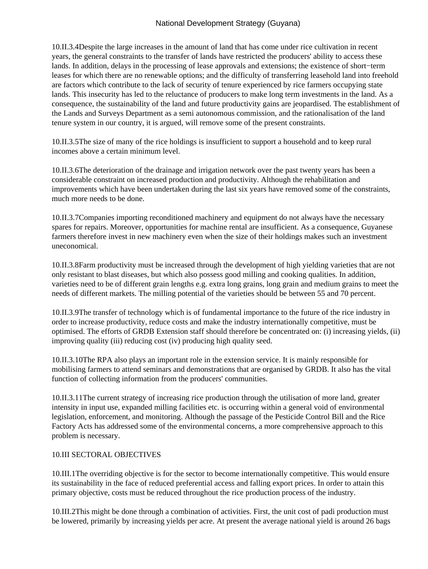10.II.3.4 Despite the large increases in the amount of land that has come under rice cultivation in recent years, the general constraints to the transfer of lands have restricted the producers' ability to access these lands. In addition, delays in the processing of lease approvals and extensions; the existence of short−term leases for which there are no renewable options; and the difficulty of transferring leasehold land into freehold are factors which contribute to the lack of security of tenure experienced by rice farmers occupying state lands. This insecurity has led to the reluctance of producers to make long term investments in the land. As a consequence, the sustainability of the land and future productivity gains are jeopardised. The establishment of the Lands and Surveys Department as a semi autonomous commission, and the rationalisation of the land tenure system in our country, it is argued, will remove some of the present constraints.

10.II.3.5 The size of many of the rice holdings is insufficient to support a household and to keep rural incomes above a certain minimum level.

10.II.3.6 The deterioration of the drainage and irrigation network over the past twenty years has been a considerable constraint on increased production and productivity. Although the rehabilitation and improvements which have been undertaken during the last six years have removed some of the constraints, much more needs to be done.

10.II.3.7 Companies importing reconditioned machinery and equipment do not always have the necessary spares for repairs. Moreover, opportunities for machine rental are insufficient. As a consequence, Guyanese farmers therefore invest in new machinery even when the size of their holdings makes such an investment uneconomical.

10.II.3.8 Farm productivity must be increased through the development of high yielding varieties that are not only resistant to blast diseases, but which also possess good milling and cooking qualities. In addition, varieties need to be of different grain lengths e.g. extra long grains, long grain and medium grains to meet the needs of different markets. The milling potential of the varieties should be between 55 and 70 percent.

10.II.3.9 The transfer of technology which is of fundamental importance to the future of the rice industry in order to increase productivity, reduce costs and make the industry internationally competitive, must be optimised. The efforts of GRDB Extension staff should therefore be concentrated on: (i) increasing yields, (ii) improving quality (iii) reducing cost (iv) producing high quality seed.

10.II.3.10 The RPA also plays an important role in the extension service. It is mainly responsible for mobilising farmers to attend seminars and demonstrations that are organised by GRDB. It also has the vital function of collecting information from the producers' communities.

10.II.3.11 The current strategy of increasing rice production through the utilisation of more land, greater intensity in input use, expanded milling facilities etc. is occurring within a general void of environmental legislation, enforcement, and monitoring. Although the passage of the Pesticide Control Bill and the Rice Factory Acts has addressed some of the environmental concerns, a more comprehensive approach to this problem is necessary.

## 10.III SECTORAL OBJECTIVES

10.III.1 The overriding objective is for the sector to become internationally competitive. This would ensure its sustainability in the face of reduced preferential access and falling export prices. In order to attain this primary objective, costs must be reduced throughout the rice production process of the industry.

10.III.2 This might be done through a combination of activities. First, the unit cost of padi production must be lowered, primarily by increasing yields per acre. At present the average national yield is around 26 bags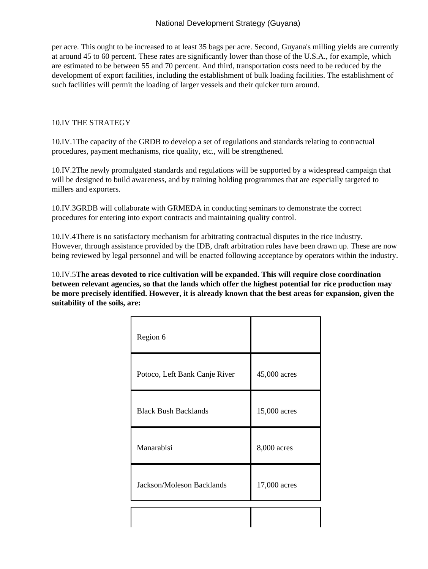per acre. This ought to be increased to at least 35 bags per acre. Second, Guyana's milling yields are currently at around 45 to 60 percent. These rates are significantly lower than those of the U.S.A., for example, which are estimated to be between 55 and 70 percent. And third, transportation costs need to be reduced by the development of export facilities, including the establishment of bulk loading facilities. The establishment of such facilities will permit the loading of larger vessels and their quicker turn around.

#### 10.IV THE STRATEGY

10.IV.1 The capacity of the GRDB to develop a set of regulations and standards relating to contractual procedures, payment mechanisms, rice quality, etc., will be strengthened.

10.IV.2 The newly promulgated standards and regulations will be supported by a widespread campaign that will be designed to build awareness, and by training holding programmes that are especially targeted to millers and exporters.

10.IV.3 GRDB will collaborate with GRMEDA in conducting seminars to demonstrate the correct procedures for entering into export contracts and maintaining quality control.

10.IV.4 There is no satisfactory mechanism for arbitrating contractual disputes in the rice industry. However, through assistance provided by the IDB, draft arbitration rules have been drawn up. These are now being reviewed by legal personnel and will be enacted following acceptance by operators within the industry.

10.IV.5 **The areas devoted to rice cultivation will be expanded. This will require close coordination between relevant agencies, so that the lands which offer the highest potential for rice production may be more precisely identified. However, it is already known that the best areas for expansion, given the suitability of the soils, are:**

| Region 6                      |              |
|-------------------------------|--------------|
| Potoco, Left Bank Canje River | 45,000 acres |
| <b>Black Bush Backlands</b>   | 15,000 acres |
| Manarabisi                    | 8,000 acres  |
| Jackson/Moleson Backlands     | 17,000 acres |
|                               |              |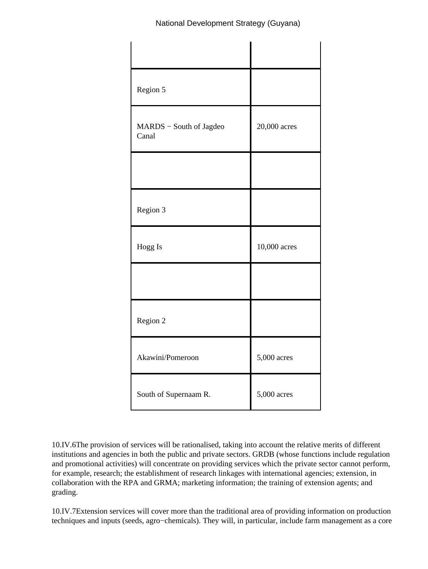| Region 5                         |              |
|----------------------------------|--------------|
| MARDS - South of Jagdeo<br>Canal | 20,000 acres |
|                                  |              |
| Region 3                         |              |
| Hogg Is                          | 10,000 acres |
|                                  |              |
| Region 2                         |              |
| Akawini/Pomeroon                 | 5,000 acres  |
| South of Supernaam R.            | 5,000 acres  |

10.IV.6 The provision of services will be rationalised, taking into account the relative merits of different institutions and agencies in both the public and private sectors. GRDB (whose functions include regulation and promotional activities) will concentrate on providing services which the private sector cannot perform, for example, research; the establishment of research linkages with international agencies; extension, in collaboration with the RPA and GRMA; marketing information; the training of extension agents; and grading.

10.IV.7 Extension services will cover more than the traditional area of providing information on production techniques and inputs (seeds, agro−chemicals). They will, in particular, include farm management as a core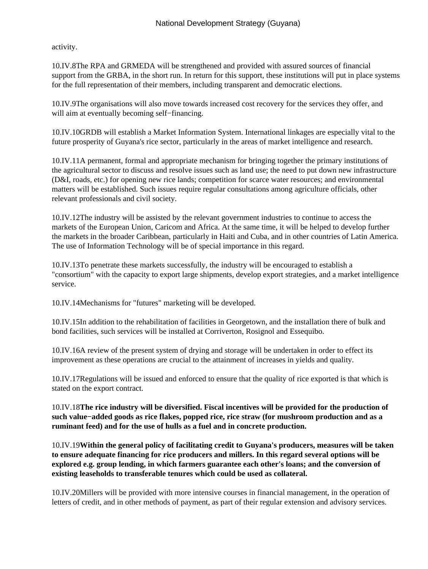activity.

10.IV.8 The RPA and GRMEDA will be strengthened and provided with assured sources of financial support from the GRBA, in the short run. In return for this support, these institutions will put in place systems for the full representation of their members, including transparent and democratic elections.

10.IV.9 The organisations will also move towards increased cost recovery for the services they offer, and will aim at eventually becoming self−financing.

10.IV.10 GRDB will establish a Market Information System. International linkages are especially vital to the future prosperity of Guyana's rice sector, particularly in the areas of market intelligence and research.

10.IV.11 A permanent, formal and appropriate mechanism for bringing together the primary institutions of the agricultural sector to discuss and resolve issues such as land use; the need to put down new infrastructure (D&I, roads, etc.) for opening new rice lands; competition for scarce water resources; and environmental matters will be established. Such issues require regular consultations among agriculture officials, other relevant professionals and civil society.

10.IV.12 The industry will be assisted by the relevant government industries to continue to access the markets of the European Union, Caricom and Africa. At the same time, it will be helped to develop further the markets in the broader Caribbean, particularly in Haiti and Cuba, and in other countries of Latin America. The use of Information Technology will be of special importance in this regard.

10.IV.13 To penetrate these markets successfully, the industry will be encouraged to establish a "consortium" with the capacity to export large shipments, develop export strategies, and a market intelligence service.

10.IV.14 Mechanisms for "futures" marketing will be developed.

10.IV.15 In addition to the rehabilitation of facilities in Georgetown, and the installation there of bulk and bond facilities, such services will be installed at Corriverton, Rosignol and Essequibo.

10.IV.16 A review of the present system of drying and storage will be undertaken in order to effect its improvement as these operations are crucial to the attainment of increases in yields and quality.

10.IV.17 Regulations will be issued and enforced to ensure that the quality of rice exported is that which is stated on the export contract.

10.IV.18 **The rice industry will be diversified. Fiscal incentives will be provided for the production of such value−added goods as rice flakes, popped rice, rice straw (for mushroom production and as a ruminant feed) and for the use of hulls as a fuel and in concrete production.**

10.IV.19 **Within the general policy of facilitating credit to Guyana's producers, measures will be taken to ensure adequate financing for rice producers and millers. In this regard several options will be explored e.g. group lending, in which farmers guarantee each other's loans; and the conversion of existing leaseholds to transferable tenures which could be used as collateral.**

10.IV.20 Millers will be provided with more intensive courses in financial management, in the operation of letters of credit, and in other methods of payment, as part of their regular extension and advisory services.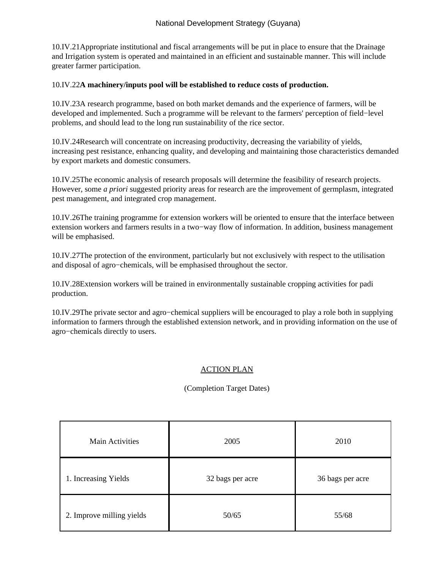10.IV.21 Appropriate institutional and fiscal arrangements will be put in place to ensure that the Drainage and Irrigation system is operated and maintained in an efficient and sustainable manner. This will include greater farmer participation.

#### 10.IV.22 **A machinery/inputs pool will be established to reduce costs of production.**

10.IV.23 A research programme, based on both market demands and the experience of farmers, will be developed and implemented. Such a programme will be relevant to the farmers' perception of field−level problems, and should lead to the long run sustainability of the rice sector.

10.IV.24 Research will concentrate on increasing productivity, decreasing the variability of yields, increasing pest resistance, enhancing quality, and developing and maintaining those characteristics demanded by export markets and domestic consumers.

10.IV.25 The economic analysis of research proposals will determine the feasibility of research projects. However, some *a priori* suggested priority areas for research are the improvement of germplasm, integrated pest management, and integrated crop management.

10.IV.26 The training programme for extension workers will be oriented to ensure that the interface between extension workers and farmers results in a two−way flow of information. In addition, business management will be emphasised.

10.IV.27 The protection of the environment, particularly but not exclusively with respect to the utilisation and disposal of agro−chemicals, will be emphasised throughout the sector.

10.IV.28 Extension workers will be trained in environmentally sustainable cropping activities for padi production.

10.IV.29 The private sector and agro−chemical suppliers will be encouraged to play a role both in supplying information to farmers through the established extension network, and in providing information on the use of agro−chemicals directly to users.

# ACTION PLAN

## (Completion Target Dates)

| Main Activities           | 2005             | 2010             |
|---------------------------|------------------|------------------|
| 1. Increasing Yields      | 32 bags per acre | 36 bags per acre |
| 2. Improve milling yields | 50/65            | 55/68            |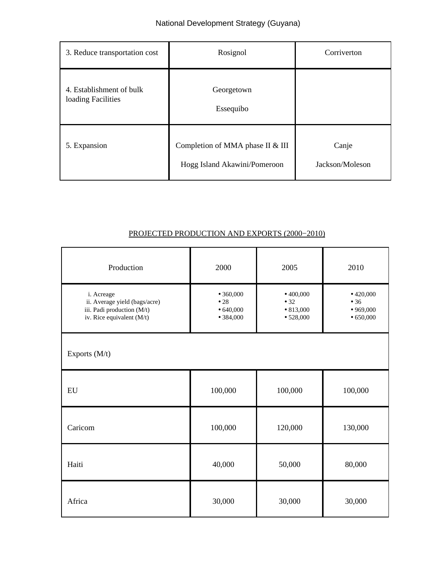| 3. Reduce transportation cost                  | Rosignol                                                         | Corriverton              |
|------------------------------------------------|------------------------------------------------------------------|--------------------------|
| 4. Establishment of bulk<br>loading Facilities | Georgetown<br>Essequibo                                          |                          |
| 5. Expansion                                   | Completion of MMA phase II & III<br>Hogg Island Akawini/Pomeroon | Canje<br>Jackson/Moleson |

# PROJECTED PRODUCTION AND EXPORTS (2000−2010)

| Production                                                                                             | 2000                                      | 2005                                               | 2010                                      |
|--------------------------------------------------------------------------------------------------------|-------------------------------------------|----------------------------------------------------|-------------------------------------------|
| i. Acreage<br>ii. Average yield (bags/acre)<br>iii. Padi production (M/t)<br>iv. Rice equivalent (M/t) | •360,000<br>•28<br>• 640,000<br>• 384,000 | •400,000<br>• 32<br>$\bullet$ 813,000<br>• 528,000 | •420,000<br>• 36<br>•969,000<br>• 650,000 |
| Exports (M/t)                                                                                          |                                           |                                                    |                                           |
| ${\rm EU}$                                                                                             | 100,000                                   | 100,000                                            | 100,000                                   |
| Caricom                                                                                                | 100,000                                   | 120,000                                            | 130,000                                   |
| Haiti                                                                                                  | 40,000                                    | 50,000                                             | 80,000                                    |
| Africa                                                                                                 | 30,000                                    | 30,000                                             | 30,000                                    |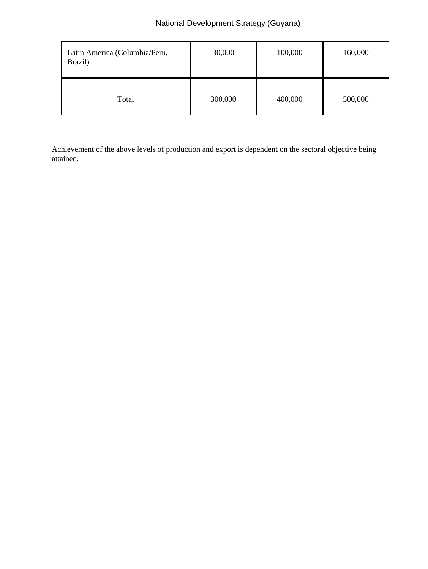| Latin America (Columbia/Peru,<br>Brazil) | 30,000  | 100,000 | 160,000 |
|------------------------------------------|---------|---------|---------|
| Total                                    | 300,000 | 400,000 | 500,000 |

Achievement of the above levels of production and export is dependent on the sectoral objective being attained.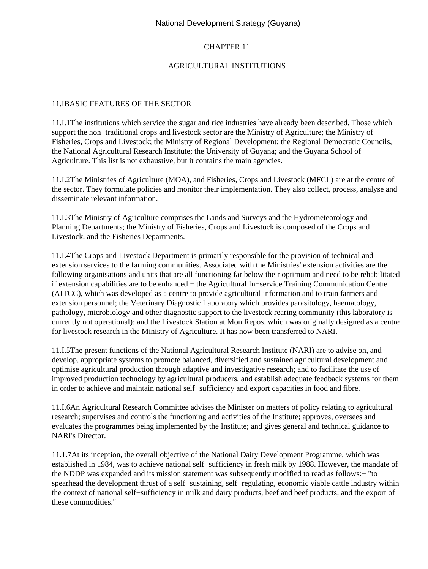# CHAPTER 11

### AGRICULTURAL INSTITUTIONS

#### 11.I BASIC FEATURES OF THE SECTOR

11.I.1 The institutions which service the sugar and rice industries have already been described. Those which support the non−traditional crops and livestock sector are the Ministry of Agriculture; the Ministry of Fisheries, Crops and Livestock; the Ministry of Regional Development; the Regional Democratic Councils, the National Agricultural Research Institute; the University of Guyana; and the Guyana School of Agriculture. This list is not exhaustive, but it contains the main agencies.

11.I.2 The Ministries of Agriculture (MOA), and Fisheries, Crops and Livestock (MFCL) are at the centre of the sector. They formulate policies and monitor their implementation. They also collect, process, analyse and disseminate relevant information.

11.I.3 The Ministry of Agriculture comprises the Lands and Surveys and the Hydrometeorology and Planning Departments; the Ministry of Fisheries, Crops and Livestock is composed of the Crops and Livestock, and the Fisheries Departments.

11.I.4 The Crops and Livestock Department is primarily responsible for the provision of technical and extension services to the farming communities. Associated with the Ministries' extension activities are the following organisations and units that are all functioning far below their optimum and need to be rehabilitated if extension capabilities are to be enhanced − the Agricultural In−service Training Communication Centre (AITCC), which was developed as a centre to provide agricultural information and to train farmers and extension personnel; the Veterinary Diagnostic Laboratory which provides parasitology, haematology, pathology, microbiology and other diagnostic support to the livestock rearing community (this laboratory is currently not operational); and the Livestock Station at Mon Repos, which was originally designed as a centre for livestock research in the Ministry of Agriculture. It has now been transferred to NARI.

11.I.5 The present functions of the National Agricultural Research Institute (NARI) are to advise on, and develop, appropriate systems to promote balanced, diversified and sustained agricultural development and optimise agricultural production through adaptive and investigative research; and to facilitate the use of improved production technology by agricultural producers, and establish adequate feedback systems for them in order to achieve and maintain national self−sufficiency and export capacities in food and fibre.

11.I.6 An Agricultural Research Committee advises the Minister on matters of policy relating to agricultural research; supervises and controls the functioning and activities of the Institute; approves, oversees and evaluates the programmes being implemented by the Institute; and gives general and technical guidance to NARI's Director.

11.1.7 At its inception, the overall objective of the National Dairy Development Programme, which was established in 1984, was to achieve national self−sufficiency in fresh milk by 1988. However, the mandate of the NDDP was expanded and its mission statement was subsequently modified to read as follows:− "to spearhead the development thrust of a self–sustaining, self–regulating, economic viable cattle industry within the context of national self−sufficiency in milk and dairy products, beef and beef products, and the export of these commodities."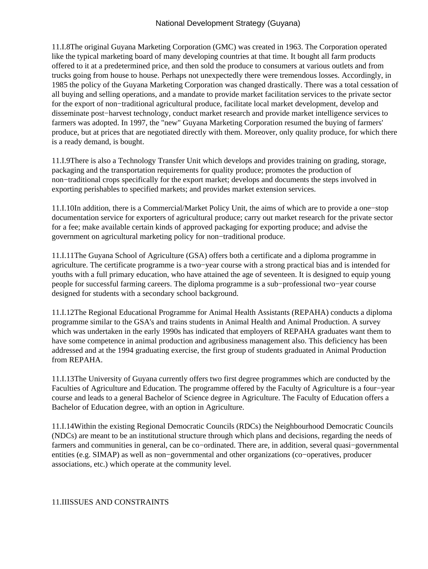11.I.8 The original Guyana Marketing Corporation (GMC) was created in 1963. The Corporation operated like the typical marketing board of many developing countries at that time. It bought all farm products offered to it at a predetermined price, and then sold the produce to consumers at various outlets and from trucks going from house to house. Perhaps not unexpectedly there were tremendous losses. Accordingly, in 1985 the policy of the Guyana Marketing Corporation was changed drastically. There was a total cessation of all buying and selling operations, and a mandate to provide market facilitation services to the private sector for the export of non−traditional agricultural produce, facilitate local market development, develop and disseminate post−harvest technology, conduct market research and provide market intelligence services to farmers was adopted. In 1997, the "new" Guyana Marketing Corporation resumed the buying of farmers' produce, but at prices that are negotiated directly with them. Moreover, only quality produce, for which there is a ready demand, is bought.

11.I.9 There is also a Technology Transfer Unit which develops and provides training on grading, storage, packaging and the transportation requirements for quality produce; promotes the production of non−traditional crops specifically for the export market; develops and documents the steps involved in exporting perishables to specified markets; and provides market extension services.

11.I.10 In addition, there is a Commercial/Market Policy Unit, the aims of which are to provide a one−stop documentation service for exporters of agricultural produce; carry out market research for the private sector for a fee; make available certain kinds of approved packaging for exporting produce; and advise the government on agricultural marketing policy for non−traditional produce.

11.I.11 The Guyana School of Agriculture (GSA) offers both a certificate and a diploma programme in agriculture. The certificate programme is a two−year course with a strong practical bias and is intended for youths with a full primary education, who have attained the age of seventeen. It is designed to equip young people for successful farming careers. The diploma programme is a sub−professional two−year course designed for students with a secondary school background.

11.I.12 The Regional Educational Programme for Animal Health Assistants (REPAHA) conducts a diploma programme similar to the GSA's and trains students in Animal Health and Animal Production. A survey which was undertaken in the early 1990s has indicated that employers of REPAHA graduates want them to have some competence in animal production and agribusiness management also. This deficiency has been addressed and at the 1994 graduating exercise, the first group of students graduated in Animal Production from REPAHA.

11.I.13 The University of Guyana currently offers two first degree programmes which are conducted by the Faculties of Agriculture and Education. The programme offered by the Faculty of Agriculture is a four−year course and leads to a general Bachelor of Science degree in Agriculture. The Faculty of Education offers a Bachelor of Education degree, with an option in Agriculture.

11.I.14 Within the existing Regional Democratic Councils (RDCs) the Neighbourhood Democratic Councils (NDCs) are meant to be an institutional structure through which plans and decisions, regarding the needs of farmers and communities in general, can be co−ordinated. There are, in addition, several quasi−governmental entities (e.g. SIMAP) as well as non−governmental and other organizations (co−operatives, producer associations, etc.) which operate at the community level.

## 11.II ISSUES AND CONSTRAINTS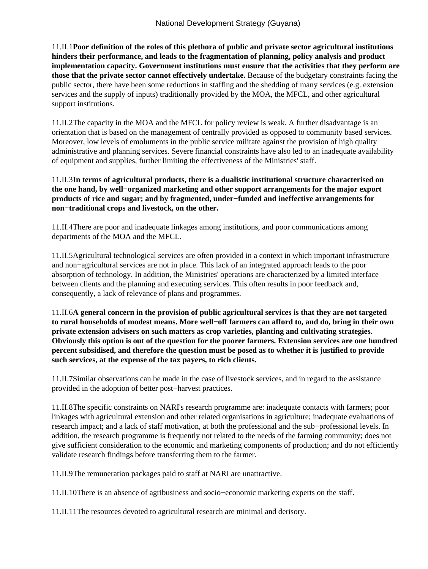11.II.1 **Poor definition of the roles of this plethora of public and private sector agricultural institutions hinders their performance, and leads to the fragmentation of planning, policy analysis and product implementation capacity. Government institutions must ensure that the activities that they perform are those that the private sector cannot effectively undertake.** Because of the budgetary constraints facing the public sector, there have been some reductions in staffing and the shedding of many services (e.g. extension services and the supply of inputs) traditionally provided by the MOA, the MFCL, and other agricultural support institutions.

11.II.2 The capacity in the MOA and the MFCL for policy review is weak. A further disadvantage is an orientation that is based on the management of centrally provided as opposed to community based services. Moreover, low levels of emoluments in the public service militate against the provision of high quality administrative and planning services. Severe financial constraints have also led to an inadequate availability of equipment and supplies, further limiting the effectiveness of the Ministries' staff.

### 11.II.3 **In terms of agricultural products, there is a dualistic institutional structure characterised on the one hand, by well−organized marketing and other support arrangements for the major export products of rice and sugar; and by fragmented, under−funded and ineffective arrangements for non−traditional crops and livestock, on the other.**

11.II.4 There are poor and inadequate linkages among institutions, and poor communications among departments of the MOA and the MFCL.

11.II.5 Agricultural technological services are often provided in a context in which important infrastructure and non−agricultural services are not in place. This lack of an integrated approach leads to the poor absorption of technology. In addition, the Ministries' operations are characterized by a limited interface between clients and the planning and executing services. This often results in poor feedback and, consequently, a lack of relevance of plans and programmes.

11.II.6 **A general concern in the provision of public agricultural services is that they are not targeted to rural households of modest means. More well−off farmers can afford to, and do, bring in their own private extension advisers on such matters as crop varieties, planting and cultivating strategies. Obviously this option is out of the question for the poorer farmers. Extension services are one hundred percent subsidised, and therefore the question must be posed as to whether it is justified to provide such services, at the expense of the tax payers, to rich clients.**

11.II.7 Similar observations can be made in the case of livestock services, and in regard to the assistance provided in the adoption of better post−harvest practices.

11.II.8 The specific constraints on NARI's research programme are: inadequate contacts with farmers; poor linkages with agricultural extension and other related organisations in agriculture; inadequate evaluations of research impact; and a lack of staff motivation, at both the professional and the sub−professional levels. In addition, the research programme is frequently not related to the needs of the farming community; does not give sufficient consideration to the economic and marketing components of production; and do not efficiently validate research findings before transferring them to the farmer.

11.II.9 The remuneration packages paid to staff at NARI are unattractive.

11.II.10 There is an absence of agribusiness and socio−economic marketing experts on the staff.

11.II.11 The resources devoted to agricultural research are minimal and derisory.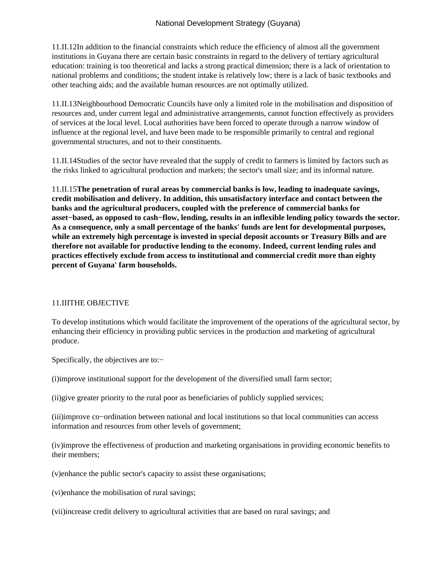11.II.12 In addition to the financial constraints which reduce the efficiency of almost all the government institutions in Guyana there are certain basic constraints in regard to the delivery of tertiary agricultural education: training is too theoretical and lacks a strong practical dimension; there is a lack of orientation to national problems and conditions; the student intake is relatively low; there is a lack of basic textbooks and other teaching aids; and the available human resources are not optimally utilized.

11.II.13 Neighbourhood Democratic Councils have only a limited role in the mobilisation and disposition of resources and, under current legal and administrative arrangements, cannot function effectively as providers of services at the local level. Local authorities have been forced to operate through a narrow window of influence at the regional level, and have been made to be responsible primarily to central and regional governmental structures, and not to their constituents.

11.II.14 Studies of the sector have revealed that the supply of credit to farmers is limited by factors such as the risks linked to agricultural production and markets; the sector's small size; and its informal nature.

11.II.15 **The penetration of rural areas by commercial banks is low, leading to inadequate savings, credit mobilisation and delivery. In addition, this unsatisfactory interface and contact between the banks and the agricultural producers, coupled with the preference of commercial banks for asset−based, as opposed to cash−flow, lending, results in an inflexible lending policy towards the sector. As a consequence, only a small percentage of the banks' funds are lent for developmental purposes, while an extremely high percentage is invested in special deposit accounts or Treasury Bills and are therefore not available for productive lending to the economy. Indeed, current lending rules and practices effectively exclude from access to institutional and commercial credit more than eighty percent of Guyana' farm households.**

## 11.III THE OBJECTIVE

To develop institutions which would facilitate the improvement of the operations of the agricultural sector, by enhancing their efficiency in providing public services in the production and marketing of agricultural produce.

Specifically, the objectives are to:−

(i) improve institutional support for the development of the diversified small farm sector;

(ii) give greater priority to the rural poor as beneficiaries of publicly supplied services;

(iii) improve co−ordination between national and local institutions so that local communities can access information and resources from other levels of government;

(iv) improve the effectiveness of production and marketing organisations in providing economic benefits to their members;

(v) enhance the public sector's capacity to assist these organisations;

(vi) enhance the mobilisation of rural savings;

(vii) increase credit delivery to agricultural activities that are based on rural savings; and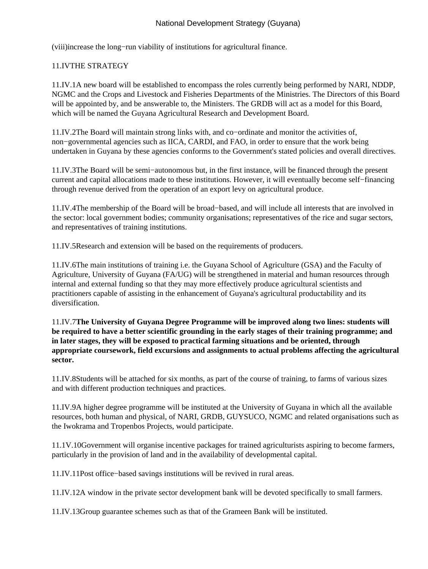(viii) increase the long−run viability of institutions for agricultural finance.

## 11.IV THE STRATEGY

11.IV.1 A new board will be established to encompass the roles currently being performed by NARI, NDDP, NGMC and the Crops and Livestock and Fisheries Departments of the Ministries. The Directors of this Board will be appointed by, and be answerable to, the Ministers. The GRDB will act as a model for this Board, which will be named the Guyana Agricultural Research and Development Board.

11.IV.2 The Board will maintain strong links with, and co−ordinate and monitor the activities of, non−governmental agencies such as IICA, CARDI, and FAO, in order to ensure that the work being undertaken in Guyana by these agencies conforms to the Government's stated policies and overall directives.

11.IV.3 The Board will be semi−autonomous but, in the first instance, will be financed through the present current and capital allocations made to these institutions. However, it will eventually become self−financing through revenue derived from the operation of an export levy on agricultural produce.

11.IV.4 The membership of the Board will be broad−based, and will include all interests that are involved in the sector: local government bodies; community organisations; representatives of the rice and sugar sectors, and representatives of training institutions.

11.IV.5 Research and extension will be based on the requirements of producers.

11.IV.6 The main institutions of training i.e. the Guyana School of Agriculture (GSA) and the Faculty of Agriculture, University of Guyana (FA/UG) will be strengthened in material and human resources through internal and external funding so that they may more effectively produce agricultural scientists and practitioners capable of assisting in the enhancement of Guyana's agricultural productability and its diversification.

11.IV.7 **The University of Guyana Degree Programme will be improved along two lines: students will be required to have a better scientific grounding in the early stages of their training programme; and in later stages, they will be exposed to practical farming situations and be oriented, through appropriate coursework, field excursions and assignments to actual problems affecting the agricultural sector.**

11.IV.8 Students will be attached for six months, as part of the course of training, to farms of various sizes and with different production techniques and practices.

11.IV.9 A higher degree programme will be instituted at the University of Guyana in which all the available resources, both human and physical, of NARI, GRDB, GUYSUCO, NGMC and related organisations such as the Iwokrama and Tropenbos Projects, would participate.

11.1V.10 Government will organise incentive packages for trained agriculturists aspiring to become farmers, particularly in the provision of land and in the availability of developmental capital.

11.IV.11 Post office−based savings institutions will be revived in rural areas.

11.IV.12 A window in the private sector development bank will be devoted specifically to small farmers.

11.IV.13 Group guarantee schemes such as that of the Grameen Bank will be instituted.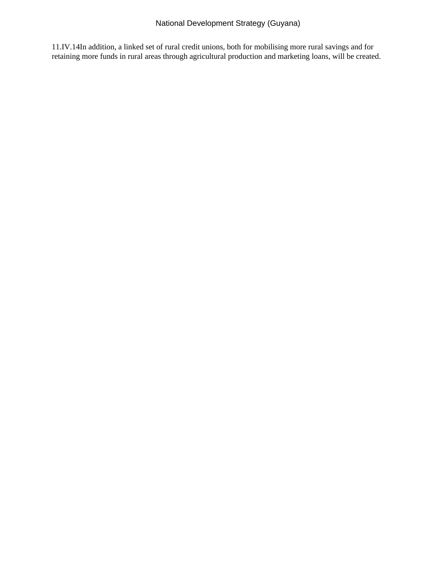11.IV.14 In addition, a linked set of rural credit unions, both for mobilising more rural savings and for retaining more funds in rural areas through agricultural production and marketing loans, will be created.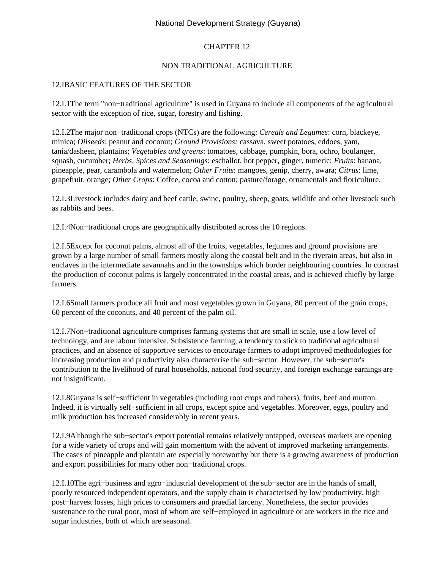### CHAPTER 12

#### NON TRADITIONAL AGRICULTURE

#### 12.I BASIC FEATURES OF THE SECTOR

12.I.1 The term "non−traditional agriculture" is used in Guyana to include all components of the agricultural sector with the exception of rice, sugar, forestry and fishing.

12.I.2 The major non−traditional crops (NTCs) are the following: *Cereals and Legumes*: corn, blackeye, minica; *Oilseeds*: peanut and coconut; *Ground Provisions:* cassava, sweet potatoes, eddoes, yam, tania/dasheen, plantains; *Vegetables and greens*: tomatoes, cabbage, pumpkin, bora, ochro, boulanger, squash, cucumber; *Herbs, Spices and Seasonings*: eschallot, hot pepper, ginger, tumeric; *Fruits*: banana, pineapple, pear, carambola and watermelon; *Other Fruits*: mangoes, genip, cherry, awara; *Citrus*: lime, grapefruit, orange; *Other Crops*: Coffee, cocoa and cotton; pasture/forage, ornamentals and floriculture.

12.I.3 Livestock includes dairy and beef cattle, swine, poultry, sheep, goats, wildlife and other livestock such as rabbits and bees.

12.I.4 Non−traditional crops are geographically distributed across the 10 regions.

12.I.5 Except for coconut palms, almost all of the fruits, vegetables, legumes and ground provisions are grown by a large number of small farmers mostly along the coastal belt and in the riverain areas, but also in enclaves in the intermediate savannahs and in the townships which border neighbouring countries. In contrast the production of coconut palms is largely concentrated in the coastal areas, and is achieved chiefly by large farmers.

12.I.6 Small farmers produce all fruit and most vegetables grown in Guyana, 80 percent of the grain crops, 60 percent of the coconuts, and 40 percent of the palm oil.

12.I.7 Non−traditional agriculture comprises farming systems that are small in scale, use a low level of technology, and are labour intensive. Subsistence farming, a tendency to stick to traditional agricultural practices, and an absence of supportive services to encourage farmers to adopt improved methodologies for increasing production and productivity also characterise the sub−sector. However, the sub−sector's contribution to the livelihood of rural households, national food security, and foreign exchange earnings are not insignificant.

12.I.8 Guyana is self−sufficient in vegetables (including root crops and tubers), fruits, beef and mutton. Indeed, it is virtually self−sufficient in all crops, except spice and vegetables. Moreover, eggs, poultry and milk production has increased considerably in recent years.

12.I.9 Although the sub−sector's export potential remains relatively untapped, overseas markets are opening for a wide variety of crops and will gain momentum with the advent of improved marketing arrangements. The cases of pineapple and plantain are especially noteworthy but there is a growing awareness of production and export possibilities for many other non−traditional crops.

12.I.10 The agri−business and agro−industrial development of the sub−sector are in the hands of small, poorly resourced independent operators, and the supply chain is characterised by low productivity, high post−harvest losses, high prices to consumers and praedial larceny. Nonetheless, the sector provides sustenance to the rural poor, most of whom are self−employed in agriculture or are workers in the rice and sugar industries, both of which are seasonal.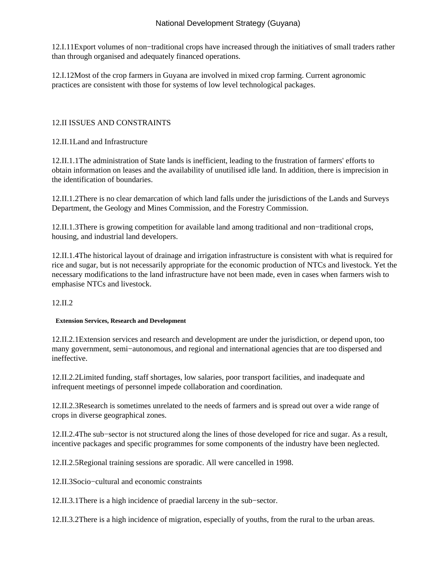12.I.11 Export volumes of non−traditional crops have increased through the initiatives of small traders rather than through organised and adequately financed operations.

12.I.12 Most of the crop farmers in Guyana are involved in mixed crop farming. Current agronomic practices are consistent with those for systems of low level technological packages.

## 12.II ISSUES AND CONSTRAINTS

12.II.1 Land and Infrastructure

12.II.1.1 The administration of State lands is inefficient, leading to the frustration of farmers' efforts to obtain information on leases and the availability of unutilised idle land. In addition, there is imprecision in the identification of boundaries.

12.II.1.2 There is no clear demarcation of which land falls under the jurisdictions of the Lands and Surveys Department, the Geology and Mines Commission, and the Forestry Commission.

12.II.1.3 There is growing competition for available land among traditional and non−traditional crops, housing, and industrial land developers.

12.II.1.4 The historical layout of drainage and irrigation infrastructure is consistent with what is required for rice and sugar, but is not necessarily appropriate for the economic production of NTCs and livestock. Yet the necessary modifications to the land infrastructure have not been made, even in cases when farmers wish to emphasise NTCs and livestock.

12.II.2

#### **Extension Services, Research and Development**

12.II.2.1 Extension services and research and development are under the jurisdiction, or depend upon, too many government, semi−autonomous, and regional and international agencies that are too dispersed and ineffective.

12.II.2.2 Limited funding, staff shortages, low salaries, poor transport facilities, and inadequate and infrequent meetings of personnel impede collaboration and coordination.

12.II.2.3 Research is sometimes unrelated to the needs of farmers and is spread out over a wide range of crops in diverse geographical zones.

12.II.2.4 The sub−sector is not structured along the lines of those developed for rice and sugar. As a result, incentive packages and specific programmes for some components of the industry have been neglected.

12.II.2.5 Regional training sessions are sporadic. All were cancelled in 1998.

12.II.3 Socio−cultural and economic constraints

12.II.3.1 There is a high incidence of praedial larceny in the sub−sector.

12.II.3.2 There is a high incidence of migration, especially of youths, from the rural to the urban areas.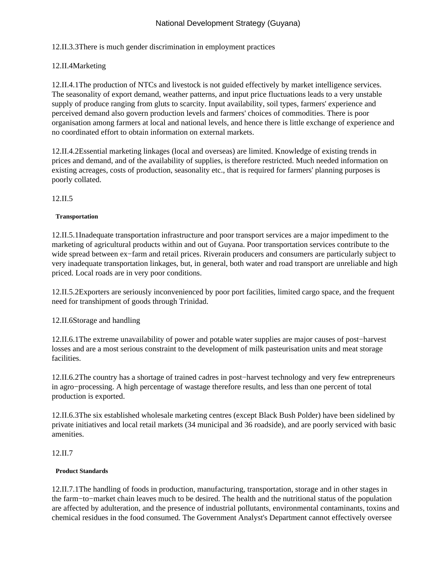# 12.II.3.3 There is much gender discrimination in employment practices

# 12.II.4 Marketing

12.II.4.1 The production of NTCs and livestock is not guided effectively by market intelligence services. The seasonality of export demand, weather patterns, and input price fluctuations leads to a very unstable supply of produce ranging from gluts to scarcity. Input availability, soil types, farmers' experience and perceived demand also govern production levels and farmers' choices of commodities. There is poor organisation among farmers at local and national levels, and hence there is little exchange of experience and no coordinated effort to obtain information on external markets.

12.II.4.2 Essential marketing linkages (local and overseas) are limited. Knowledge of existing trends in prices and demand, and of the availability of supplies, is therefore restricted. Much needed information on existing acreages, costs of production, seasonality etc., that is required for farmers' planning purposes is poorly collated.

12.II.5

#### **Transportation**

12.II.5.1 Inadequate transportation infrastructure and poor transport services are a major impediment to the marketing of agricultural products within and out of Guyana. Poor transportation services contribute to the wide spread between ex−farm and retail prices. Riverain producers and consumers are particularly subject to very inadequate transportation linkages, but, in general, both water and road transport are unreliable and high priced. Local roads are in very poor conditions.

12.II.5.2 Exporters are seriously inconvenienced by poor port facilities, limited cargo space, and the frequent need for transhipment of goods through Trinidad.

## 12.II.6 Storage and handling

12.II.6.1 The extreme unavailability of power and potable water supplies are major causes of post−harvest losses and are a most serious constraint to the development of milk pasteurisation units and meat storage facilities.

12.II.6.2 The country has a shortage of trained cadres in post−harvest technology and very few entrepreneurs in agro−processing. A high percentage of wastage therefore results, and less than one percent of total production is exported.

12.II.6.3 The six established wholesale marketing centres (except Black Bush Polder) have been sidelined by private initiatives and local retail markets (34 municipal and 36 roadside), and are poorly serviced with basic amenities.

#### 12.II.7

#### **Product Standards**

12.II.7.1 The handling of foods in production, manufacturing, transportation, storage and in other stages in the farm−to−market chain leaves much to be desired. The health and the nutritional status of the population are affected by adulteration, and the presence of industrial pollutants, environmental contaminants, toxins and chemical residues in the food consumed. The Government Analyst's Department cannot effectively oversee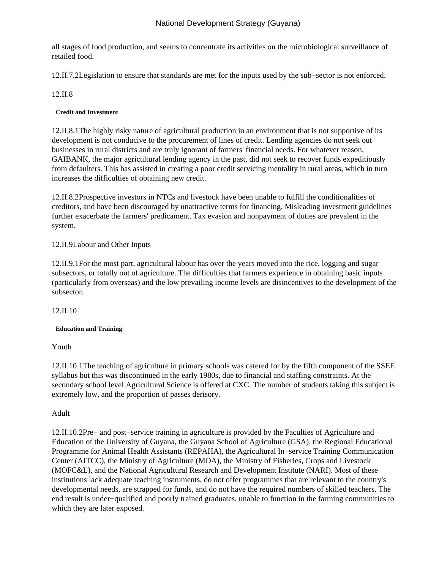all stages of food production, and seems to concentrate its activities on the microbiological surveillance of retailed food.

12.II.7.2 Legislation to ensure that standards are met for the inputs used by the sub−sector is not enforced.

## 12.II.8

### **Credit and Investment**

12.II.8.1 The highly risky nature of agricultural production in an environment that is not supportive of its development is not conducive to the procurement of lines of credit. Lending agencies do not seek out businesses in rural districts and are truly ignorant of farmers' financial needs. For whatever reason, GAIBANK, the major agricultural lending agency in the past, did not seek to recover funds expeditiously from defaulters. This has assisted in creating a poor credit servicing mentality in rural areas, which in turn increases the difficulties of obtaining new credit.

12.II.8.2 Prospective investors in NTCs and livestock have been unable to fulfill the conditionalities of creditors, and have been discouraged by unattractive terms for financing. Misleading investment guidelines further exacerbate the farmers' predicament. Tax evasion and nonpayment of duties are prevalent in the system.

### 12.II.9 Labour and Other Inputs

12.II.9.1 For the most part, agricultural labour has over the years moved into the rice, logging and sugar subsectors, or totally out of agriculture. The difficulties that farmers experience in obtaining basic inputs (particularly from overseas) and the low prevailing income levels are disincentives to the development of the subsector.

12.II.10

#### **Education and Training**

 Youth

12.II.10.1 The teaching of agriculture in primary schools was catered for by the fifth component of the SSEE syllabus but this was discontinued in the early 1980s, due to financial and staffing constraints. At the secondary school level Agricultural Science is offered at CXC. The number of students taking this subject is extremely low, and the proportion of passes derisory.

 Adult

12.II.10.2 Pre− and post−service training in agriculture is provided by the Faculties of Agriculture and Education of the University of Guyana, the Guyana School of Agriculture (GSA), the Regional Educational Programme for Animal Health Assistants (REPAHA), the Agricultural In−service Training Communication Center (AITCC), the Ministry of Agriculture (MOA), the Ministry of Fisheries, Crops and Livestock (MOFC&L), and the National Agricultural Research and Development Institute (NARI). Most of these institutions lack adequate teaching instruments, do not offer programmes that are relevant to the country's developmental needs, are strapped for funds, and do not have the required numbers of skilled teachers. The end result is under−qualified and poorly trained graduates, unable to function in the farming communities to which they are later exposed.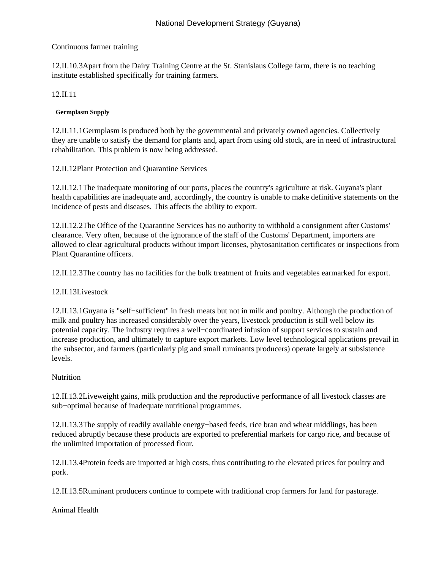## Continuous farmer training

12.II.10.3 Apart from the Dairy Training Centre at the St. Stanislaus College farm, there is no teaching institute established specifically for training farmers.

### 12.II.11

### **Germplasm Supply**

12.II.11.1 Germplasm is produced both by the governmental and privately owned agencies. Collectively they are unable to satisfy the demand for plants and, apart from using old stock, are in need of infrastructural rehabilitation. This problem is now being addressed.

12.II.12 Plant Protection and Quarantine Services

12.II.12.1 The inadequate monitoring of our ports, places the country's agriculture at risk. Guyana's plant health capabilities are inadequate and, accordingly, the country is unable to make definitive statements on the incidence of pests and diseases. This affects the ability to export.

12.II.12.2 The Office of the Quarantine Services has no authority to withhold a consignment after Customs' clearance. Very often, because of the ignorance of the staff of the Customs' Department, importers are allowed to clear agricultural products without import licenses, phytosanitation certificates or inspections from Plant Quarantine officers.

12.II.12.3 The country has no facilities for the bulk treatment of fruits and vegetables earmarked for export.

## 12.II.13 Livestock

12.II.13.1 Guyana is "self−sufficient" in fresh meats but not in milk and poultry. Although the production of milk and poultry has increased considerably over the years, livestock production is still well below its potential capacity. The industry requires a well−coordinated infusion of support services to sustain and increase production, and ultimately to capture export markets. Low level technological applications prevail in the subsector, and farmers (particularly pig and small ruminants producers) operate largely at subsistence levels.

## **Nutrition**

12.II.13.2 Liveweight gains, milk production and the reproductive performance of all livestock classes are sub−optimal because of inadequate nutritional programmes.

12.II.13.3 The supply of readily available energy−based feeds, rice bran and wheat middlings, has been reduced abruptly because these products are exported to preferential markets for cargo rice, and because of the unlimited importation of processed flour.

12.II.13.4 Protein feeds are imported at high costs, thus contributing to the elevated prices for poultry and pork.

12.II.13.5 Ruminant producers continue to compete with traditional crop farmers for land for pasturage.

 Animal Health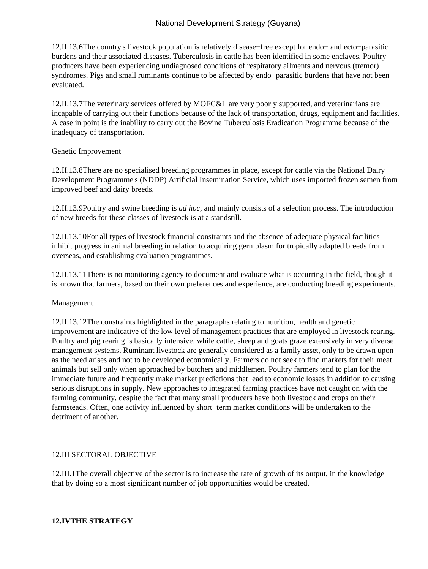12.II.13.6 The country's livestock population is relatively disease−free except for endo− and ecto−parasitic burdens and their associated diseases. Tuberculosis in cattle has been identified in some enclaves. Poultry producers have been experiencing undiagnosed conditions of respiratory ailments and nervous (tremor) syndromes. Pigs and small ruminants continue to be affected by endo−parasitic burdens that have not been evaluated.

12.II.13.7 The veterinary services offered by MOFC&L are very poorly supported, and veterinarians are incapable of carrying out their functions because of the lack of transportation, drugs, equipment and facilities. A case in point is the inability to carry out the Bovine Tuberculosis Eradication Programme because of the inadequacy of transportation.

#### Genetic Improvement

12.II.13.8 There are no specialised breeding programmes in place, except for cattle via the National Dairy Development Programme's (NDDP) Artificial Insemination Service, which uses imported frozen semen from improved beef and dairy breeds.

12.II.13.9 Poultry and swine breeding is *ad hoc*, and mainly consists of a selection process. The introduction of new breeds for these classes of livestock is at a standstill.

12.II.13.10 For all types of livestock financial constraints and the absence of adequate physical facilities inhibit progress in animal breeding in relation to acquiring germplasm for tropically adapted breeds from overseas, and establishing evaluation programmes.

12.II.13.11 There is no monitoring agency to document and evaluate what is occurring in the field, though it is known that farmers, based on their own preferences and experience, are conducting breeding experiments.

#### Management

12.II.13.12 The constraints highlighted in the paragraphs relating to nutrition, health and genetic improvement are indicative of the low level of management practices that are employed in livestock rearing. Poultry and pig rearing is basically intensive, while cattle, sheep and goats graze extensively in very diverse management systems. Ruminant livestock are generally considered as a family asset, only to be drawn upon as the need arises and not to be developed economically. Farmers do not seek to find markets for their meat animals but sell only when approached by butchers and middlemen. Poultry farmers tend to plan for the immediate future and frequently make market predictions that lead to economic losses in addition to causing serious disruptions in supply. New approaches to integrated farming practices have not caught on with the farming community, despite the fact that many small producers have both livestock and crops on their farmsteads. Often, one activity influenced by short−term market conditions will be undertaken to the detriment of another.

#### 12.III SECTORAL OBJECTIVE

12.III.1 The overall objective of the sector is to increase the rate of growth of its output, in the knowledge that by doing so a most significant number of job opportunities would be created.

### **12.IV THE STRATEGY**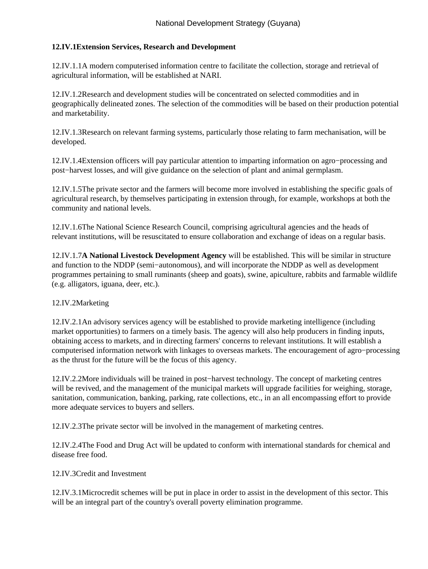## **12.IV.1 Extension Services, Research and Development**

12.IV.1.1 A modern computerised information centre to facilitate the collection, storage and retrieval of agricultural information, will be established at NARI.

12.IV.1.2 Research and development studies will be concentrated on selected commodities and in geographically delineated zones. The selection of the commodities will be based on their production potential and marketability.

12.IV.1.3 Research on relevant farming systems, particularly those relating to farm mechanisation, will be developed.

12.IV.1.4 Extension officers will pay particular attention to imparting information on agro−processing and post−harvest losses, and will give guidance on the selection of plant and animal germplasm.

12.IV.1.5 The private sector and the farmers will become more involved in establishing the specific goals of agricultural research, by themselves participating in extension through, for example, workshops at both the community and national levels.

12.IV.1.6 The National Science Research Council, comprising agricultural agencies and the heads of relevant institutions, will be resuscitated to ensure collaboration and exchange of ideas on a regular basis.

12.IV.1.7 **A National Livestock Development Agency** will be established. This will be similar in structure and function to the NDDP (semi−autonomous), and will incorporate the NDDP as well as development programmes pertaining to small ruminants (sheep and goats), swine, apiculture, rabbits and farmable wildlife (e.g. alligators, iguana, deer, etc.).

## 12.IV.2 Marketing

12.IV.2.1 An advisory services agency will be established to provide marketing intelligence (including market opportunities) to farmers on a timely basis. The agency will also help producers in finding inputs, obtaining access to markets, and in directing farmers' concerns to relevant institutions. It will establish a computerised information network with linkages to overseas markets. The encouragement of agro−processing as the thrust for the future will be the focus of this agency.

12.IV.2.2 More individuals will be trained in post−harvest technology. The concept of marketing centres will be revived, and the management of the municipal markets will upgrade facilities for weighing, storage, sanitation, communication, banking, parking, rate collections, etc., in an all encompassing effort to provide more adequate services to buyers and sellers.

12.IV.2.3 The private sector will be involved in the management of marketing centres.

12.IV.2.4 The Food and Drug Act will be updated to conform with international standards for chemical and disease free food.

12.IV.3 Credit and Investment

12.IV.3.1 Microcredit schemes will be put in place in order to assist in the development of this sector. This will be an integral part of the country's overall poverty elimination programme.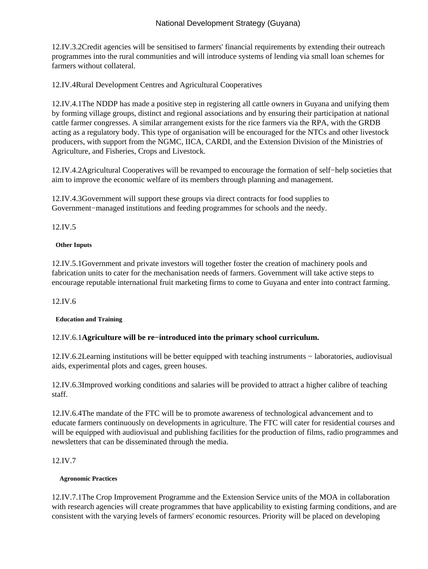12.IV.3.2 Credit agencies will be sensitised to farmers' financial requirements by extending their outreach programmes into the rural communities and will introduce systems of lending via small loan schemes for farmers without collateral.

12.IV.4 Rural Development Centres and Agricultural Cooperatives

12.IV.4.1 The NDDP has made a positive step in registering all cattle owners in Guyana and unifying them by forming village groups, distinct and regional associations and by ensuring their participation at national cattle farmer congresses. A similar arrangement exists for the rice farmers via the RPA, with the GRDB acting as a regulatory body. This type of organisation will be encouraged for the NTCs and other livestock producers, with support from the NGMC, IICA, CARDI, and the Extension Division of the Ministries of Agriculture, and Fisheries, Crops and Livestock.

12.IV.4.2 Agricultural Cooperatives will be revamped to encourage the formation of self−help societies that aim to improve the economic welfare of its members through planning and management.

12.IV.4.3 Government will support these groups via direct contracts for food supplies to Government−managed institutions and feeding programmes for schools and the needy.

12.IV.5 

#### **Other Inputs**

12.IV.5.1 Government and private investors will together foster the creation of machinery pools and fabrication units to cater for the mechanisation needs of farmers. Government will take active steps to encourage reputable international fruit marketing firms to come to Guyana and enter into contract farming.

### 12.IV.6

#### **Education and Training**

#### 12.IV.6.1 **Agriculture will be re−introduced into the primary school curriculum.**

12.IV.6.2 Learning institutions will be better equipped with teaching instruments − laboratories, audiovisual aids, experimental plots and cages, green houses.

12.IV.6.3 Improved working conditions and salaries will be provided to attract a higher calibre of teaching staff.

12.IV.6.4 The mandate of the FTC will be to promote awareness of technological advancement and to educate farmers continuously on developments in agriculture. The FTC will cater for residential courses and will be equipped with audiovisual and publishing facilities for the production of films, radio programmes and newsletters that can be disseminated through the media.

#### 12.IV.7

#### **Agronomic Practices**

12.IV.7.1 The Crop Improvement Programme and the Extension Service units of the MOA in collaboration with research agencies will create programmes that have applicability to existing farming conditions, and are consistent with the varying levels of farmers' economic resources. Priority will be placed on developing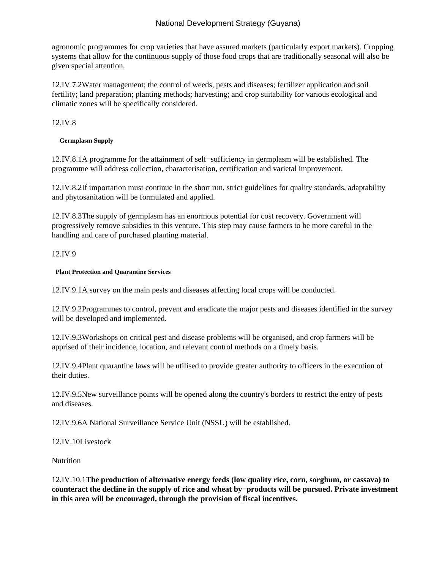agronomic programmes for crop varieties that have assured markets (particularly export markets). Cropping systems that allow for the continuous supply of those food crops that are traditionally seasonal will also be given special attention.

12.IV.7.2 Water management; the control of weeds, pests and diseases; fertilizer application and soil fertility; land preparation; planting methods; harvesting; and crop suitability for various ecological and climatic zones will be specifically considered.

12.IV.8

**Germplasm Supply**

12.IV.8.1 A programme for the attainment of self−sufficiency in germplasm will be established. The programme will address collection, characterisation, certification and varietal improvement.

12.IV.8.2 If importation must continue in the short run, strict guidelines for quality standards, adaptability and phytosanitation will be formulated and applied.

12.IV.8.3 The supply of germplasm has an enormous potential for cost recovery. Government will progressively remove subsidies in this venture. This step may cause farmers to be more careful in the handling and care of purchased planting material.

12.IV.9

#### **Plant Protection and Quarantine Services**

12.IV.9.1 A survey on the main pests and diseases affecting local crops will be conducted.

12.IV.9.2 Programmes to control, prevent and eradicate the major pests and diseases identified in the survey will be developed and implemented.

12.IV.9.3 Workshops on critical pest and disease problems will be organised, and crop farmers will be apprised of their incidence, location, and relevant control methods on a timely basis.

12.IV.9.4 Plant quarantine laws will be utilised to provide greater authority to officers in the execution of their duties.

12.IV.9.5 New surveillance points will be opened along the country's borders to restrict the entry of pests and diseases.

12.IV.9.6 A National Surveillance Service Unit (NSSU) will be established.

12.IV.10 Livestock

**Nutrition** 

12.IV.10.1 **The production of alternative energy feeds (low quality rice, corn, sorghum, or cassava) to counteract the decline in the supply of rice and wheat by−products will be pursued. Private investment in this area will be encouraged, through the provision of fiscal incentives.**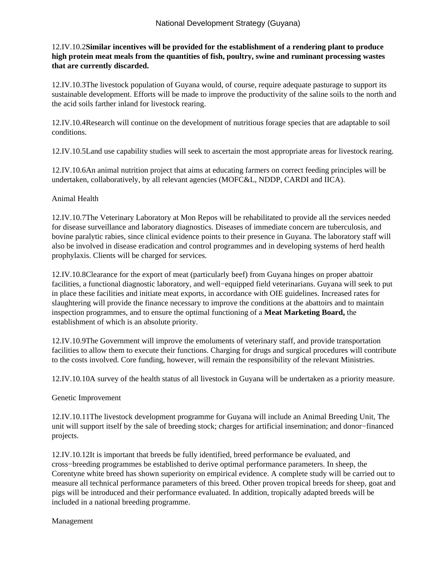## 12.IV.10.2 **Similar incentives will be provided for the establishment of a rendering plant to produce high protein meat meals from the quantities of fish, poultry, swine and ruminant processing wastes that are currently discarded.**

12.IV.10.3 The livestock population of Guyana would, of course, require adequate pasturage to support its sustainable development. Efforts will be made to improve the productivity of the saline soils to the north and the acid soils farther inland for livestock rearing.

12.IV.10.4 Research will continue on the development of nutritious forage species that are adaptable to soil conditions.

12.IV.10.5 Land use capability studies will seek to ascertain the most appropriate areas for livestock rearing.

12.IV.10.6 An animal nutrition project that aims at educating farmers on correct feeding principles will be undertaken, collaboratively, by all relevant agencies (MOFC&L, NDDP, CARDI and IICA).

#### Animal Health

12.IV.10.7 The Veterinary Laboratory at Mon Repos will be rehabilitated to provide all the services needed for disease surveillance and laboratory diagnostics. Diseases of immediate concern are tuberculosis, and bovine paralytic rabies, since clinical evidence points to their presence in Guyana. The laboratory staff will also be involved in disease eradication and control programmes and in developing systems of herd health prophylaxis. Clients will be charged for services.

12.IV.10.8 Clearance for the export of meat (particularly beef) from Guyana hinges on proper abattoir facilities, a functional diagnostic laboratory, and well−equipped field veterinarians. Guyana will seek to put in place these facilities and initiate meat exports, in accordance with OIE guidelines. Increased rates for slaughtering will provide the finance necessary to improve the conditions at the abattoirs and to maintain inspection programmes, and to ensure the optimal functioning of a **Meat Marketing Board,** the establishment of which is an absolute priority.

12.IV.10.9 The Government will improve the emoluments of veterinary staff, and provide transportation facilities to allow them to execute their functions. Charging for drugs and surgical procedures will contribute to the costs involved. Core funding, however, will remain the responsibility of the relevant Ministries.

12.IV.10.10 A survey of the health status of all livestock in Guyana will be undertaken as a priority measure.

#### Genetic Improvement

12.IV.10.11 The livestock development programme for Guyana will include an Animal Breeding Unit, The unit will support itself by the sale of breeding stock; charges for artificial insemination; and donor−financed projects.

12.IV.10.12 It is important that breeds be fully identified, breed performance be evaluated, and cross−breeding programmes be established to derive optimal performance parameters. In sheep, the Corentyne white breed has shown superiority on empirical evidence. A complete study will be carried out to measure all technical performance parameters of this breed. Other proven tropical breeds for sheep, goat and pigs will be introduced and their performance evaluated. In addition, tropically adapted breeds will be included in a national breeding programme.

#### Management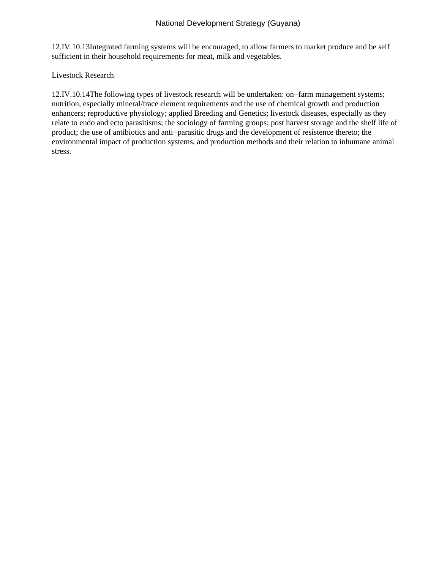12.IV.10.13 Integrated farming systems will be encouraged, to allow farmers to market produce and be self sufficient in their household requirements for meat, milk and vegetables.

 Livestock Research

12.IV.10.14 The following types of livestock research will be undertaken: on−farm management systems; nutrition, especially mineral/trace element requirements and the use of chemical growth and production enhancers; reproductive physiology; applied Breeding and Genetics; livestock diseases, especially as they relate to endo and ecto parasitisms; the sociology of farming groups; post harvest storage and the shelf life of product; the use of antibiotics and anti−parasitic drugs and the development of resistence thereto; the environmental impact of production systems, and production methods and their relation to inhumane animal stress.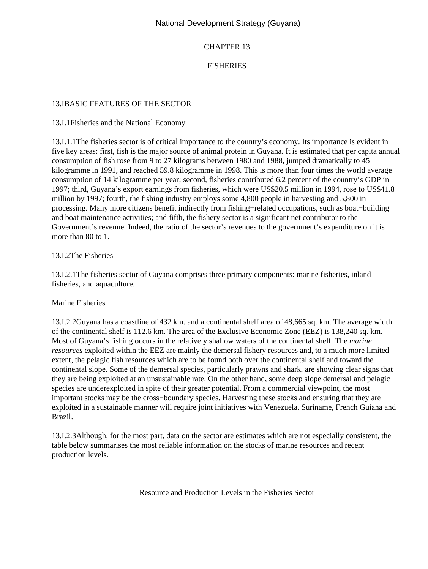## CHAPTER 13

# FISHERIES

### 13.I BASIC FEATURES OF THE SECTOR

### 13.I.1 Fisheries and the National Economy

13.I.1.1 The fisheries sector is of critical importance to the country's economy. Its importance is evident in five key areas: first, fish is the major source of animal protein in Guyana. It is estimated that per capita annual consumption of fish rose from 9 to 27 kilograms between 1980 and 1988, jumped dramatically to 45 kilogramme in 1991, and reached 59.8 kilogramme in 1998. This is more than four times the world average consumption of 14 kilogramme per year; second, fisheries contributed 6.2 percent of the country's GDP in 1997; third, Guyana's export earnings from fisheries, which were US\$20.5 million in 1994, rose to US\$41.8 million by 1997; fourth, the fishing industry employs some 4,800 people in harvesting and 5,800 in processing. Many more citizens benefit indirectly from fishing−related occupations, such as boat−building and boat maintenance activities; and fifth, the fishery sector is a significant net contributor to the Government's revenue. Indeed, the ratio of the sector's revenues to the government's expenditure on it is more than 80 to 1.

### 13.I.2 The Fisheries

13.I.2.1 The fisheries sector of Guyana comprises three primary components: marine fisheries, inland fisheries, and aquaculture.

#### Marine Fisheries

13.I.2.2 Guyana has a coastline of 432 km. and a continental shelf area of 48,665 sq. km. The average width of the continental shelf is 112.6 km. The area of the Exclusive Economic Zone (EEZ) is 138,240 sq. km. Most of Guyana's fishing occurs in the relatively shallow waters of the continental shelf. The *marine resources* exploited within the EEZ are mainly the demersal fishery resources and, to a much more limited extent, the pelagic fish resources which are to be found both over the continental shelf and toward the continental slope. Some of the demersal species, particularly prawns and shark, are showing clear signs that they are being exploited at an unsustainable rate. On the other hand, some deep slope demersal and pelagic species are underexploited in spite of their greater potential. From a commercial viewpoint, the most important stocks may be the cross−boundary species. Harvesting these stocks and ensuring that they are exploited in a sustainable manner will require joint initiatives with Venezuela, Suriname, French Guiana and Brazil.

13.I.2.3 Although, for the most part, data on the sector are estimates which are not especially consistent, the table below summarises the most reliable information on the stocks of marine resources and recent production levels.

Resource and Production Levels in the Fisheries Sector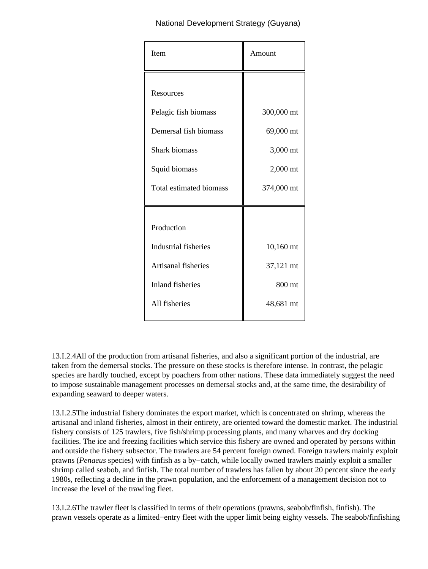| Item                                                                                                                           | Amount                                                        |
|--------------------------------------------------------------------------------------------------------------------------------|---------------------------------------------------------------|
| Resources<br>Pelagic fish biomass<br>Demersal fish biomass<br><b>Shark biomass</b><br>Squid biomass<br>Total estimated biomass | 300,000 mt<br>69,000 mt<br>3,000 mt<br>2,000 mt<br>374,000 mt |
| Production<br>Industrial fisheries<br>Artisanal fisheries<br><b>Inland fisheries</b><br>All fisheries                          | 10,160 mt<br>37,121 mt<br>800 mt<br>48,681 mt                 |

13.I.2.4 All of the production from artisanal fisheries, and also a significant portion of the industrial, are taken from the demersal stocks. The pressure on these stocks is therefore intense. In contrast, the pelagic species are hardly touched, except by poachers from other nations. These data immediately suggest the need to impose sustainable management processes on demersal stocks and, at the same time, the desirability of expanding seaward to deeper waters.

13.I.2.5 The industrial fishery dominates the export market, which is concentrated on shrimp, whereas the artisanal and inland fisheries, almost in their entirety, are oriented toward the domestic market. The industrial fishery consists of 125 trawlers, five fish/shrimp processing plants, and many wharves and dry docking facilities. The ice and freezing facilities which service this fishery are owned and operated by persons within and outside the fishery subsector. The trawlers are 54 percent foreign owned. Foreign trawlers mainly exploit prawns (*Penaeus* species) with finfish as a by−catch, while locally owned trawlers mainly exploit a smaller shrimp called seabob, and finfish. The total number of trawlers has fallen by about 20 percent since the early 1980s, reflecting a decline in the prawn population, and the enforcement of a management decision not to increase the level of the trawling fleet.

13.I.2.6 The trawler fleet is classified in terms of their operations (prawns, seabob/finfish, finfish). The prawn vessels operate as a limited−entry fleet with the upper limit being eighty vessels. The seabob/finfishing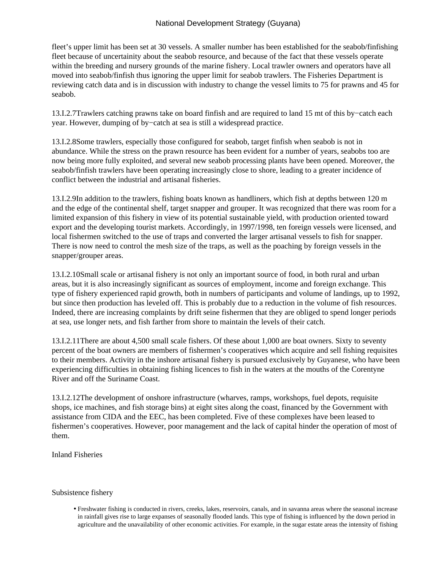fleet's upper limit has been set at 30 vessels. A smaller number has been established for the seabob/finfishing fleet because of uncertainity about the seabob resource, and because of the fact that these vessels operate within the breeding and nursery grounds of the marine fishery. Local trawler owners and operators have all moved into seabob/finfish thus ignoring the upper limit for seabob trawlers. The Fisheries Department is reviewing catch data and is in discussion with industry to change the vessel limits to 75 for prawns and 45 for seabob.

13.I.2.7 Trawlers catching prawns take on board finfish and are required to land 15 mt of this by−catch each year. However, dumping of by−catch at sea is still a widespread practice.

13.I.2.8 Some trawlers, especially those configured for seabob, target finfish when seabob is not in abundance. While the stress on the prawn resource has been evident for a number of years, seabobs too are now being more fully exploited, and several new seabob processing plants have been opened. Moreover, the seabob/finfish trawlers have been operating increasingly close to shore, leading to a greater incidence of conflict between the industrial and artisanal fisheries.

13.I.2.9 In addition to the trawlers, fishing boats known as handliners, which fish at depths between 120 m and the edge of the continental shelf, target snapper and grouper. It was recognized that there was room for a limited expansion of this fishery in view of its potential sustainable yield, with production oriented toward export and the developing tourist markets. Accordingly, in 1997/1998, ten foreign vessels were licensed, and local fishermen switched to the use of traps and converted the larger artisanal vessels to fish for snapper. There is now need to control the mesh size of the traps, as well as the poaching by foreign vessels in the snapper/grouper areas.

13.I.2.10 Small scale or artisanal fishery is not only an important source of food, in both rural and urban areas, but it is also increasingly significant as sources of employment, income and foreign exchange. This type of fishery experienced rapid growth, both in numbers of participants and volume of landings, up to 1992, but since then production has leveled off. This is probably due to a reduction in the volume of fish resources. Indeed, there are increasing complaints by drift seine fishermen that they are obliged to spend longer periods at sea, use longer nets, and fish farther from shore to maintain the levels of their catch.

13.I.2.11 There are about 4,500 small scale fishers. Of these about 1,000 are boat owners. Sixty to seventy percent of the boat owners are members of fishermen's cooperatives which acquire and sell fishing requisites to their members. Activity in the inshore artisanal fishery is pursued exclusively by Guyanese, who have been experiencing difficulties in obtaining fishing licences to fish in the waters at the mouths of the Corentyne River and off the Suriname Coast.

13.I.2.12 The development of onshore infrastructure (wharves, ramps, workshops, fuel depots, requisite shops, ice machines, and fish storage bins) at eight sites along the coast, financed by the Government with assistance from CIDA and the EEC, has been completed. Five of these complexes have been leased to fishermen's cooperatives. However, poor management and the lack of capital hinder the operation of most of them.

Inland Fisheries

#### Subsistence fishery

Freshwater fishing is conducted in rivers, creeks, lakes, reservoirs, canals, and in savanna areas where the seasonal increase • in rainfall gives rise to large expanses of seasonally flooded lands. This type of fishing is influenced by the down period in agriculture and the unavailability of other economic activities. For example, in the sugar estate areas the intensity of fishing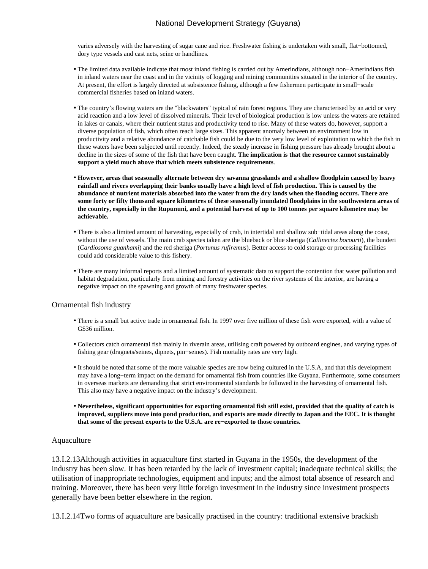varies adversely with the harvesting of sugar cane and rice. Freshwater fishing is undertaken with small, flat−bottomed, dory type vessels and cast nets, seine or handlines.

- The limited data available indicate that most inland fishing is carried out by Amerindians, although non−Amerindians fish in inland waters near the coast and in the vicinity of logging and mining communities situated in the interior of the country. At present, the effort is largely directed at subsistence fishing, although a few fishermen participate in small−scale commercial fisheries based on inland waters.
- The country's flowing waters are the "blackwaters" typical of rain forest regions. They are characterised by an acid or very acid reaction and a low level of dissolved minerals. Their level of biological production is low unless the waters are retained in lakes or canals, where their nutrient status and productivity tend to rise. Many of these waters do, however, support a diverse population of fish, which often reach large sizes. This apparent anomaly between an environment low in productivity and a relative abundance of catchable fish could be due to the very low level of exploitation to which the fish in these waters have been subjected until recently. Indeed, the steady increase in fishing pressure has already brought about a decline in the sizes of some of the fish that have been caught. **The implication is that the resource cannot sustainably support a yield much above that which meets subsistence requirements**.
- **However, areas that seasonally alternate between dry savanna grasslands and a shallow floodplain caused by heavy rainfall and rivers overlapping their banks usually have a high level of fish production. This is caused by the abundance of nutrient materials absorbed into the water from the dry lands when the flooding occurs. There are some forty or fifty thousand square kilometres of these seasonally inundated floodplains in the southwestern areas of the country, especially in the Rupununi, and a potential harvest of up to 100 tonnes per square kilometre may be achievable.**
- There is also a limited amount of harvesting, especially of crab, in intertidal and shallow sub−tidal areas along the coast, without the use of vessels. The main crab species taken are the blueback or blue sheriga (*Callinectes bocourti*), the bunderi (*Cardiosoma guanhami*) and the red sheriga (*Portunus rufiremus*). Better access to cold storage or processing facilities could add considerable value to this fishery.
- There are many informal reports and a limited amount of systematic data to support the contention that water pollution and habitat degradation, particularly from mining and forestry activities on the river systems of the interior, are having a negative impact on the spawning and growth of many freshwater species.

#### Ornamental fish industry

- There is a small but active trade in ornamental fish. In 1997 over five million of these fish were exported, with a value of G\$36 million.
- Collectors catch ornamental fish mainly in riverain areas, utilising craft powered by outboard engines, and varying types of fishing gear (dragnets/seines, dipnets, pin−seines). Fish mortality rates are very high.
- It should be noted that some of the more valuable species are now being cultured in the U.S.A, and that this development may have a long−term impact on the demand for ornamental fish from countries like Guyana. Furthermore, some consumers in overseas markets are demanding that strict environmental standards be followed in the harvesting of ornamental fish. This also may have a negative impact on the industry's development.
- **Nevertheless, significant opportunities for exporting ornamental fish still exist, provided that the quality of catch is improved, suppliers move into pond production, and exports are made directly to Japan and the EEC. It is thought that some of the present exports to the U.S.A. are re−exported to those countries.**

#### Aquaculture

13.I.2.13 Although activities in aquaculture first started in Guyana in the 1950s, the development of the industry has been slow. It has been retarded by the lack of investment capital; inadequate technical skills; the utilisation of inappropriate technologies, equipment and inputs; and the almost total absence of research and training. Moreover, there has been very little foreign investment in the industry since investment prospects generally have been better elsewhere in the region.

13.I.2.14 Two forms of aquaculture are basically practised in the country: traditional extensive brackish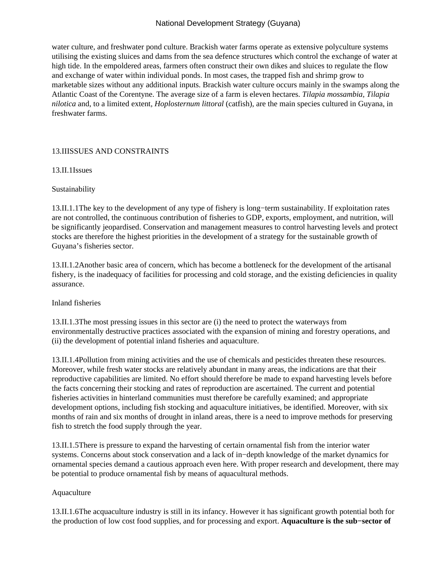water culture, and freshwater pond culture. Brackish water farms operate as extensive polyculture systems utilising the existing sluices and dams from the sea defence structures which control the exchange of water at high tide. In the empoldered areas, farmers often construct their own dikes and sluices to regulate the flow and exchange of water within individual ponds. In most cases, the trapped fish and shrimp grow to marketable sizes without any additional inputs. Brackish water culture occurs mainly in the swamps along the Atlantic Coast of the Corentyne. The average size of a farm is eleven hectares. *Tilapia mossambia, Tilapia nilotica* and, to a limited extent*, Hoplosternum littoral* (catfish), are the main species cultured in Guyana, in freshwater farms.

### 13.II ISSUES AND CONSTRAINTS

13.II.1 Issues

#### Sustainability

13.II.1.1 The key to the development of any type of fishery is long−term sustainability. If exploitation rates are not controlled, the continuous contribution of fisheries to GDP, exports, employment, and nutrition, will be significantly jeopardised. Conservation and management measures to control harvesting levels and protect stocks are therefore the highest priorities in the development of a strategy for the sustainable growth of Guyana's fisheries sector.

13.II.1.2 Another basic area of concern, which has become a bottleneck for the development of the artisanal fishery, is the inadequacy of facilities for processing and cold storage, and the existing deficiencies in quality assurance.

 Inland fisheries

13.II.1.3 The most pressing issues in this sector are (i) the need to protect the waterways from environmentally destructive practices associated with the expansion of mining and forestry operations, and (ii) the development of potential inland fisheries and aquaculture.

13.II.1.4 Pollution from mining activities and the use of chemicals and pesticides threaten these resources. Moreover, while fresh water stocks are relatively abundant in many areas, the indications are that their reproductive capabilities are limited. No effort should therefore be made to expand harvesting levels before the facts concerning their stocking and rates of reproduction are ascertained. The current and potential fisheries activities in hinterland communities must therefore be carefully examined; and appropriate development options, including fish stocking and aquaculture initiatives, be identified. Moreover, with six months of rain and six months of drought in inland areas, there is a need to improve methods for preserving fish to stretch the food supply through the year.

13.II.1.5 There is pressure to expand the harvesting of certain ornamental fish from the interior water systems. Concerns about stock conservation and a lack of in−depth knowledge of the market dynamics for ornamental species demand a cautious approach even here. With proper research and development, there may be potential to produce ornamental fish by means of aquacultural methods.

#### Aquaculture

13.II.1.6 The acquaculture industry is still in its infancy. However it has significant growth potential both for the production of low cost food supplies, and for processing and export. **Aquaculture is the sub−sector of**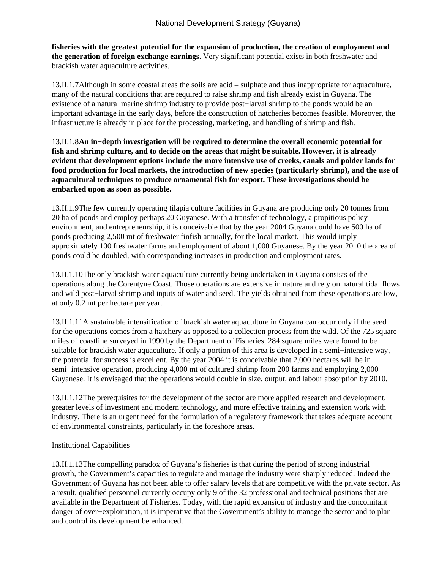**fisheries with the greatest potential for the expansion of production, the creation of employment and the generation of foreign exchange earnings**. Very significant potential exists in both freshwater and brackish water aquaculture activities.

13.II.1.7 Although in some coastal areas the soils are acid – sulphate and thus inappropriate for aquaculture, many of the natural conditions that are required to raise shrimp and fish already exist in Guyana. The existence of a natural marine shrimp industry to provide post−larval shrimp to the ponds would be an important advantage in the early days, before the construction of hatcheries becomes feasible. Moreover, the infrastructure is already in place for the processing, marketing, and handling of shrimp and fish.

13.II.1.8 **An in−depth investigation will be required to determine the overall economic potential for fish and shrimp culture, and to decide on the areas that might be suitable. However, it is already evident that development options include the more intensive use of creeks, canals and polder lands for food production for local markets, the introduction of new species (particularly shrimp), and the use of aquacultural techniques to produce ornamental fish for export. These investigations should be embarked upon as soon as possible.**

13.II.1.9 The few currently operating tilapia culture facilities in Guyana are producing only 20 tonnes from 20 ha of ponds and employ perhaps 20 Guyanese. With a transfer of technology, a propitious policy environment, and entrepreneurship, it is conceivable that by the year 2004 Guyana could have 500 ha of ponds producing 2,500 mt of freshwater finfish annually, for the local market. This would imply approximately 100 freshwater farms and employment of about 1,000 Guyanese. By the year 2010 the area of ponds could be doubled, with corresponding increases in production and employment rates.

13.II.1.10 The only brackish water aquaculture currently being undertaken in Guyana consists of the operations along the Corentyne Coast. Those operations are extensive in nature and rely on natural tidal flows and wild post−larval shrimp and inputs of water and seed. The yields obtained from these operations are low, at only 0.2 mt per hectare per year.

13.II.1.11 A sustainable intensification of brackish water aquaculture in Guyana can occur only if the seed for the operations comes from a hatchery as opposed to a collection process from the wild. Of the 725 square miles of coastline surveyed in 1990 by the Department of Fisheries, 284 square miles were found to be suitable for brackish water aquaculture. If only a portion of this area is developed in a semi−intensive way, the potential for success is excellent. By the year 2004 it is conceivable that 2,000 hectares will be in semi−intensive operation, producing 4,000 mt of cultured shrimp from 200 farms and employing 2,000 Guyanese. It is envisaged that the operations would double in size, output, and labour absorption by 2010.

13.II.1.12 The prerequisites for the development of the sector are more applied research and development, greater levels of investment and modern technology, and more effective training and extension work with industry. There is an urgent need for the formulation of a regulatory framework that takes adequate account of environmental constraints, particularly in the foreshore areas.

## Institutional Capabilities

13.II.1.13 The compelling paradox of Guyana's fisheries is that during the period of strong industrial growth, the Government's capacities to regulate and manage the industry were sharply reduced. Indeed the Government of Guyana has not been able to offer salary levels that are competitive with the private sector. As a result, qualified personnel currently occupy only 9 of the 32 professional and technical positions that are available in the Department of Fisheries. Today, with the rapid expansion of industry and the concomitant danger of over−exploitation, it is imperative that the Government's ability to manage the sector and to plan and control its development be enhanced.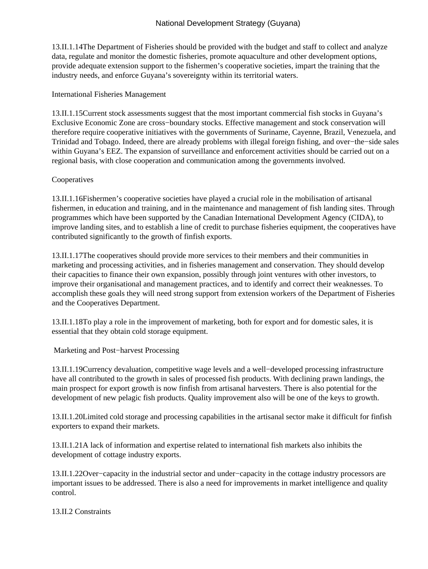13.II.1.14 The Department of Fisheries should be provided with the budget and staff to collect and analyze data, regulate and monitor the domestic fisheries, promote aquaculture and other development options, provide adequate extension support to the fishermen's cooperative societies, impart the training that the industry needs, and enforce Guyana's sovereignty within its territorial waters.

 International Fisheries Management

13.II.1.15 Current stock assessments suggest that the most important commercial fish stocks in Guyana's Exclusive Economic Zone are cross−boundary stocks. Effective management and stock conservation will therefore require cooperative initiatives with the governments of Suriname, Cayenne, Brazil, Venezuela, and Trinidad and Tobago. Indeed, there are already problems with illegal foreign fishing, and over−the−side sales within Guyana's EEZ. The expansion of surveillance and enforcement activities should be carried out on a regional basis, with close cooperation and communication among the governments involved.

### Cooperatives

13.II.1.16 Fishermen's cooperative societies have played a crucial role in the mobilisation of artisanal fishermen, in education and training, and in the maintenance and management of fish landing sites. Through programmes which have been supported by the Canadian International Development Agency (CIDA), to improve landing sites, and to establish a line of credit to purchase fisheries equipment, the cooperatives have contributed significantly to the growth of finfish exports.

13.II.1.17 The cooperatives should provide more services to their members and their communities in marketing and processing activities, and in fisheries management and conservation. They should develop their capacities to finance their own expansion, possibly through joint ventures with other investors, to improve their organisational and management practices, and to identify and correct their weaknesses. To accomplish these goals they will need strong support from extension workers of the Department of Fisheries and the Cooperatives Department.

13.II.1.18 To play a role in the improvement of marketing, both for export and for domestic sales, it is essential that they obtain cold storage equipment.

 Marketing and Post−harvest Processing

13.II.1.19 Currency devaluation, competitive wage levels and a well−developed processing infrastructure have all contributed to the growth in sales of processed fish products. With declining prawn landings, the main prospect for export growth is now finfish from artisanal harvesters. There is also potential for the development of new pelagic fish products. Quality improvement also will be one of the keys to growth.

13.II.1.20 Limited cold storage and processing capabilities in the artisanal sector make it difficult for finfish exporters to expand their markets.

13.II.1.21 A lack of information and expertise related to international fish markets also inhibits the development of cottage industry exports.

13.II.1.22 Over−capacity in the industrial sector and under−capacity in the cottage industry processors are important issues to be addressed. There is also a need for improvements in market intelligence and quality control.

13.II.2. Constraints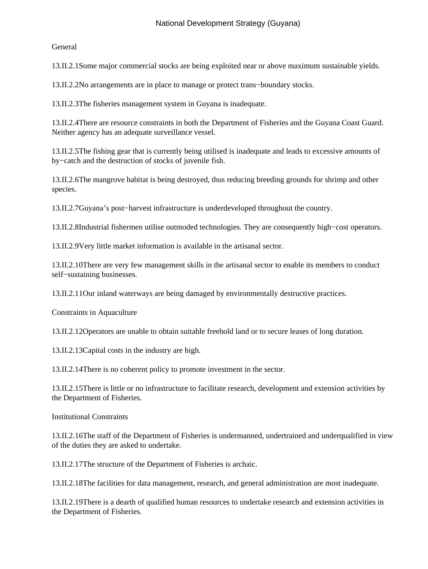General

13.II.2.1 Some major commercial stocks are being exploited near or above maximum sustainable yields.

13.II.2.2 No arrangements are in place to manage or protect trans−boundary stocks.

13.II.2.3 The fisheries management system in Guyana is inadequate.

13.II.2.4 There are resource constraints in both the Department of Fisheries and the Guyana Coast Guard. Neither agency has an adequate surveillance vessel.

13.II.2.5 The fishing gear that is currently being utilised is inadequate and leads to excessive amounts of by−catch and the destruction of stocks of juvenile fish.

13.II.2.6 The mangrove habitat is being destroyed, thus reducing breeding grounds for shrimp and other species.

13.II.2.7 Guyana's post−harvest infrastructure is underdeveloped throughout the country.

13.II.2.8 Industrial fishermen utilise outmoded technologies. They are consequently high−cost operators.

13.II.2.9 Very little market information is available in the artisanal sector.

13.II.2.10 There are very few management skills in the artisanal sector to enable its members to conduct self−sustaining businesses.

13.II.2.11 Our inland waterways are being damaged by environmentally destructive practices.

 Constraints in Aquaculture

13.II.2.12 Operators are unable to obtain suitable freehold land or to secure leases of long duration.

13.II.2.13 Capital costs in the industry are high.

13.II.2.14 There is no coherent policy to promote investment in the sector.

13.II.2.15 There is little or no infrastructure to facilitate research, development and extension activities by the Department of Fisheries.

 Institutional Constraints

13.II.2.16 The staff of the Department of Fisheries is undermanned, undertrained and underqualified in view of the duties they are asked to undertake.

13.II.2.17 The structure of the Department of Fisheries is archaic.

13.II.2.18 The facilities for data management, research, and general administration are most inadequate.

13.II.2.19 There is a dearth of qualified human resources to undertake research and extension activities in the Department of Fisheries.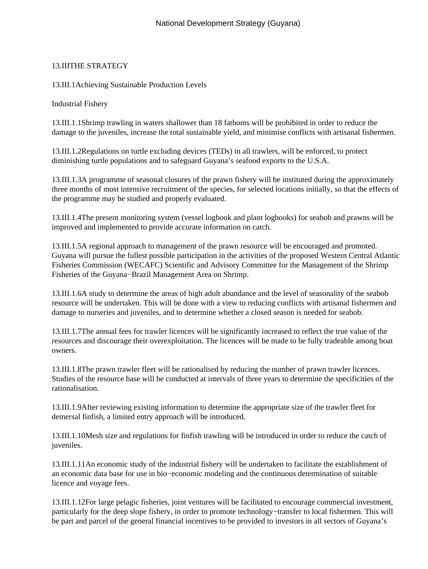## 13.III THE STRATEGY

13.III.1 Achieving Sustainable Production Levels

 Industrial Fishery

13.III.1.1 Shrimp trawling in waters shallower than 18 fathoms will be prohibited in order to reduce the damage to the juveniles, increase the total sustainable yield, and minimise conflicts with artisanal fishermen.

13.III.1.2 Regulations on turtle excluding devices (TEDs) in all trawlers, will be enforced, to protect diminishing turtle populations and to safeguard Guyana's seafood exports to the U.S.A.

13.III.1.3 A programme of seasonal closures of the prawn fishery will be instituted during the approximately three months of most intensive recruitment of the species, for selected locations initially, so that the effects of the programme may be studied and properly evaluated.

13.III.1.4 The present monitoring system (vessel logbook and plant logbooks) for seabob and prawns will be improved and implemented to provide accurate information on catch.

13.III.1.5 A regional approach to management of the prawn resource will be encouraged and promoted. Guyana will pursue the fullest possible participation in the activities of the proposed Western Central Atlantic Fisheries Commission (WECAFC) Scientific and Advisory Committee for the Management of the Shrimp Fisheries of the Guyana−Brazil Management Area on Shrimp.

13.III.1.6 A study to determine the areas of high adult abundance and the level of seasonality of the seabob resource will be undertaken. This will be done with a view to reducing conflicts with artisanal fishermen and damage to nurseries and juveniles, and to determine whether a closed season is needed for seabob.

13.III.1.7 The annual fees for trawler licences will be significantly increased to reflect the true value of the resources and discourage their overexploitation. The licences will be made to be fully tradeable among boat owners.

13.III.1.8 The prawn trawler fleet will be rationalised by reducing the number of prawn trawler licences. Studies of the resource base will be conducted at intervals of three years to determine the specificities of the rationalisation.

13.III.1.9 After reviewing existing information to determine the appropriate size of the trawler fleet for demersal finfish, a limited entry approach will be introduced.

13.III.1.10 Mesh size and regulations for finfish trawling will be introduced in order to reduce the catch of juveniles.

13.III.1.11 An economic study of the industrial fishery will be undertaken to facilitate the establishment of an economic data base for use in bio−economic modeling and the continuous determination of suitable licence and voyage fees.

13.III.1.12 For large pelagic fisheries, joint ventures will be facilitated to encourage commercial investment, particularly for the deep slope fishery, in order to promote technology−transfer to local fishermen. This will be part and parcel of the general financial incentives to be provided to investors in all sectors of Guyana's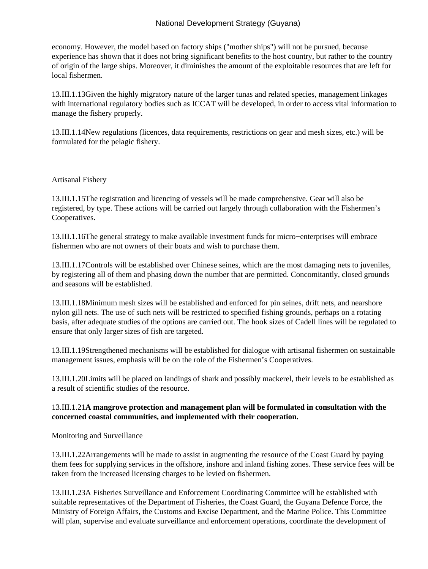economy. However, the model based on factory ships ("mother ships") will not be pursued, because experience has shown that it does not bring significant benefits to the host country, but rather to the country of origin of the large ships. Moreover, it diminishes the amount of the exploitable resources that are left for local fishermen.

13.III.1.13 Given the highly migratory nature of the larger tunas and related species, management linkages with international regulatory bodies such as ICCAT will be developed, in order to access vital information to manage the fishery properly.

13.III.1.14 New regulations (licences, data requirements, restrictions on gear and mesh sizes, etc.) will be formulated for the pelagic fishery.

### Artisanal Fishery

13.III.1.15 The registration and licencing of vessels will be made comprehensive. Gear will also be registered, by type. These actions will be carried out largely through collaboration with the Fishermen's Cooperatives.

13.III.1.16 The general strategy to make available investment funds for micro−enterprises will embrace fishermen who are not owners of their boats and wish to purchase them.

13.III.1.17 Controls will be established over Chinese seines, which are the most damaging nets to juveniles, by registering all of them and phasing down the number that are permitted. Concomitantly, closed grounds and seasons will be established.

13.III.1.18 Minimum mesh sizes will be established and enforced for pin seines, drift nets, and nearshore nylon gill nets. The use of such nets will be restricted to specified fishing grounds, perhaps on a rotating basis, after adequate studies of the options are carried out. The hook sizes of Cadell lines will be regulated to ensure that only larger sizes of fish are targeted.

13.III.1.19 Strengthened mechanisms will be established for dialogue with artisanal fishermen on sustainable management issues, emphasis will be on the role of the Fishermen's Cooperatives.

13.III.1.20 Limits will be placed on landings of shark and possibly mackerel, their levels to be established as a result of scientific studies of the resource.

### 13.III.1.21 **A mangrove protection and management plan will be formulated in consultation with the concerned coastal communities, and implemented with their cooperation.**

 Monitoring and Surveillance

13.III.1.22 Arrangements will be made to assist in augmenting the resource of the Coast Guard by paying them fees for supplying services in the offshore, inshore and inland fishing zones. These service fees will be taken from the increased licensing charges to be levied on fishermen.

13.III.1.23 A Fisheries Surveillance and Enforcement Coordinating Committee will be established with suitable representatives of the Department of Fisheries, the Coast Guard, the Guyana Defence Force, the Ministry of Foreign Affairs, the Customs and Excise Department, and the Marine Police. This Committee will plan, supervise and evaluate surveillance and enforcement operations, coordinate the development of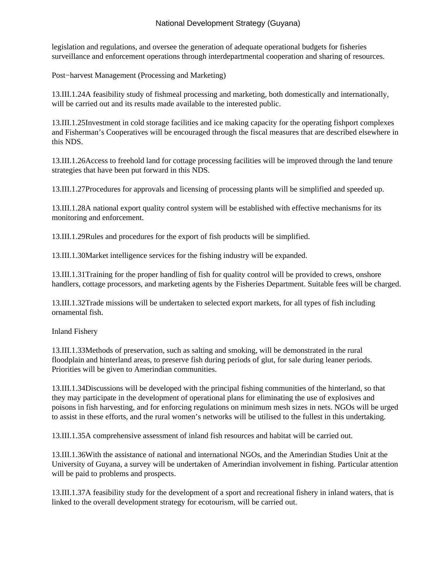legislation and regulations, and oversee the generation of adequate operational budgets for fisheries surveillance and enforcement operations through interdepartmental cooperation and sharing of resources.

 Post−harvest Management (Processing and Marketing)

13.III.1.24 A feasibility study of fishmeal processing and marketing, both domestically and internationally, will be carried out and its results made available to the interested public.

13.III.1.25 Investment in cold storage facilities and ice making capacity for the operating fishport complexes and Fisherman's Cooperatives will be encouraged through the fiscal measures that are described elsewhere in this NDS.

13.III.1.26 Access to freehold land for cottage processing facilities will be improved through the land tenure strategies that have been put forward in this NDS.

13.III.1.27 Procedures for approvals and licensing of processing plants will be simplified and speeded up.

13.III.1.28 A national export quality control system will be established with effective mechanisms for its monitoring and enforcement.

13.III.1.29 Rules and procedures for the export of fish products will be simplified.

13.III.1.30 Market intelligence services for the fishing industry will be expanded.

13.III.1.31 Training for the proper handling of fish for quality control will be provided to crews, onshore handlers, cottage processors, and marketing agents by the Fisheries Department. Suitable fees will be charged.

13.III.1.32 Trade missions will be undertaken to selected export markets, for all types of fish including ornamental fish.

 Inland Fishery

13.III.1.33 Methods of preservation, such as salting and smoking, will be demonstrated in the rural floodplain and hinterland areas, to preserve fish during periods of glut, for sale during leaner periods. Priorities will be given to Amerindian communities.

13.III.1.34 Discussions will be developed with the principal fishing communities of the hinterland, so that they may participate in the development of operational plans for eliminating the use of explosives and poisons in fish harvesting, and for enforcing regulations on minimum mesh sizes in nets. NGOs will be urged to assist in these efforts, and the rural women's networks will be utilised to the fullest in this undertaking.

13.III.1.35 A comprehensive assessment of inland fish resources and habitat will be carried out.

13.III.1.36 With the assistance of national and international NGOs, and the Amerindian Studies Unit at the University of Guyana, a survey will be undertaken of Amerindian involvement in fishing. Particular attention will be paid to problems and prospects.

13.III.1.37 A feasibility study for the development of a sport and recreational fishery in inland waters, that is linked to the overall development strategy for ecotourism, will be carried out.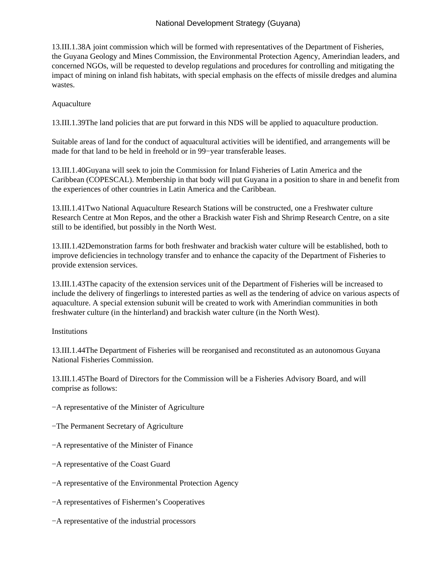13.III.1.38 A joint commission which will be formed with representatives of the Department of Fisheries, the Guyana Geology and Mines Commission, the Environmental Protection Agency, Amerindian leaders, and concerned NGOs, will be requested to develop regulations and procedures for controlling and mitigating the impact of mining on inland fish habitats, with special emphasis on the effects of missile dredges and alumina wastes.

### Aquaculture

13.III.1.39 The land policies that are put forward in this NDS will be applied to aquaculture production.

 Suitable areas of land for the conduct of aquacultural activities will be identified, and arrangements will be made for that land to be held in freehold or in 99−year transferable leases.

13.III.1.40 Guyana will seek to join the Commission for Inland Fisheries of Latin America and the Caribbean (COPESCAL). Membership in that body will put Guyana in a position to share in and benefit from the experiences of other countries in Latin America and the Caribbean.

13.III.1.41 Two National Aquaculture Research Stations will be constructed, one a Freshwater culture Research Centre at Mon Repos, and the other a Brackish water Fish and Shrimp Research Centre, on a site still to be identified, but possibly in the North West.

13.III.1.42 Demonstration farms for both freshwater and brackish water culture will be established, both to improve deficiencies in technology transfer and to enhance the capacity of the Department of Fisheries to provide extension services.

13.III.1.43 The capacity of the extension services unit of the Department of Fisheries will be increased to include the delivery of fingerlings to interested parties as well as the tendering of advice on various aspects of aquaculture. A special extension subunit will be created to work with Amerindian communities in both freshwater culture (in the hinterland) and brackish water culture (in the North West).

#### Institutions

13.III.1.44 The Department of Fisheries will be reorganised and reconstituted as an autonomous Guyana National Fisheries Commission.

13.III.1.45 The Board of Directors for the Commission will be a Fisheries Advisory Board, and will comprise as follows:

- − A representative of the Minister of Agriculture
- − The Permanent Secretary of Agriculture
- − A representative of the Minister of Finance
- − A representative of the Coast Guard
- − A representative of the Environmental Protection Agency
- − A representatives of Fishermen's Cooperatives
- − A representative of the industrial processors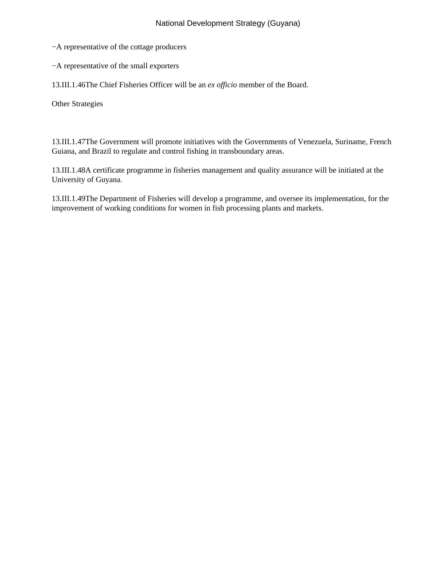- − A representative of the cottage producers
- − A representative of the small exporters

13.III.1.46 The Chief Fisheries Officer will be an *ex officio* member of the Board.

 Other Strategies

13.III.1.47 The Government will promote initiatives with the Governments of Venezuela, Suriname, French Guiana, and Brazil to regulate and control fishing in transboundary areas.

13.III.1.48 A certificate programme in fisheries management and quality assurance will be initiated at the University of Guyana.

13.III.1.49 The Department of Fisheries will develop a programme, and oversee its implementation, for the improvement of working conditions for women in fish processing plants and markets.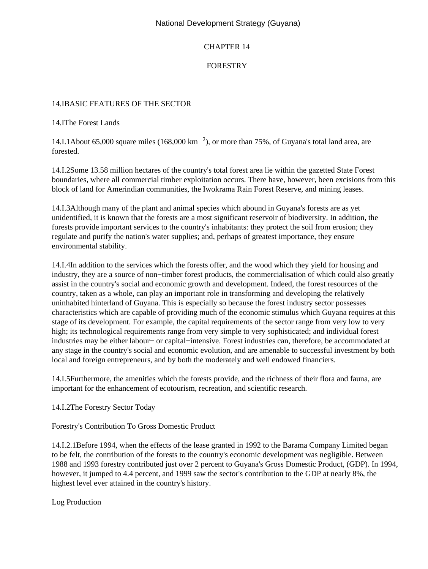## CHAPTER 14

## FORESTRY

### 14.I BASIC FEATURES OF THE SECTOR

14.I The Forest Lands

14.I.1 About 65,000 square miles  $(168,000 \text{ km}^2)$ , or more than 75%, of Guyana's total land area, are forested.

14.I.2 Some 13.58 million hectares of the country's total forest area lie within the gazetted State Forest boundaries, where all commercial timber exploitation occurs. There have, however, been excisions from this block of land for Amerindian communities, the Iwokrama Rain Forest Reserve, and mining leases.

14.I.3 Although many of the plant and animal species which abound in Guyana's forests are as yet unidentified, it is known that the forests are a most significant reservoir of biodiversity. In addition, the forests provide important services to the country's inhabitants: they protect the soil from erosion; they regulate and purify the nation's water supplies; and, perhaps of greatest importance, they ensure environmental stability.

14.I.4 In addition to the services which the forests offer, and the wood which they yield for housing and industry, they are a source of non−timber forest products, the commercialisation of which could also greatly assist in the country's social and economic growth and development. Indeed, the forest resources of the country, taken as a whole, can play an important role in transforming and developing the relatively uninhabited hinterland of Guyana. This is especially so because the forest industry sector possesses characteristics which are capable of providing much of the economic stimulus which Guyana requires at this stage of its development. For example, the capital requirements of the sector range from very low to very high; its technological requirements range from very simple to very sophisticated; and individual forest industries may be either labour− or capital−intensive. Forest industries can, therefore, be accommodated at any stage in the country's social and economic evolution, and are amenable to successful investment by both local and foreign entrepreneurs, and by both the moderately and well endowed financiers.

14.I.5 Furthermore, the amenities which the forests provide, and the richness of their flora and fauna, are important for the enhancement of ecotourism, recreation, and scientific research.

14.I.2 The Forestry Sector Today

 Forestry's Contribution To Gross Domestic Product

14.I.2.1 Before 1994, when the effects of the lease granted in 1992 to the Barama Company Limited began to be felt, the contribution of the forests to the country's economic development was negligible. Between 1988 and 1993 forestry contributed just over 2 percent to Guyana's Gross Domestic Product, (GDP). In 1994, however, it jumped to 4.4 percent, and 1999 saw the sector's contribution to the GDP at nearly 8%, the highest level ever attained in the country's history.

 Log Production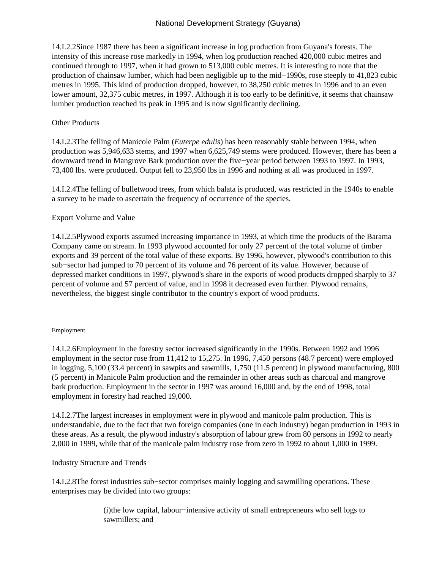14.I.2.2 Since 1987 there has been a significant increase in log production from Guyana's forests. The intensity of this increase rose markedly in 1994, when log production reached 420,000 cubic metres and continued through to 1997, when it had grown to 513,000 cubic metres. It is interesting to note that the production of chainsaw lumber, which had been negligible up to the mid−1990s, rose steeply to 41,823 cubic metres in 1995. This kind of production dropped, however, to 38,250 cubic metres in 1996 and to an even lower amount, 32,375 cubic metres, in 1997. Although it is too early to be definitive, it seems that chainsaw lumber production reached its peak in 1995 and is now significantly declining.

### Other Products

14.I.2.3 The felling of Manicole Palm (*Euterpe edulis*) has been reasonably stable between 1994, when production was 5,946,633 stems, and 1997 when 6,625,749 stems were produced. However, there has been a downward trend in Mangrove Bark production over the five−year period between 1993 to 1997. In 1993, 73,400 lbs. were produced. Output fell to 23,950 lbs in 1996 and nothing at all was produced in 1997.

14.I.2.4 The felling of bulletwood trees, from which balata is produced, was restricted in the 1940s to enable a survey to be made to ascertain the frequency of occurrence of the species.

### Export Volume and Value

14.I.2.5 Plywood exports assumed increasing importance in 1993, at which time the products of the Barama Company came on stream. In 1993 plywood accounted for only 27 percent of the total volume of timber exports and 39 percent of the total value of these exports. By 1996, however, plywood's contribution to this sub−sector had jumped to 70 percent of its volume and 76 percent of its value. However, because of depressed market conditions in 1997, plywood's share in the exports of wood products dropped sharply to 37 percent of volume and 57 percent of value, and in 1998 it decreased even further. Plywood remains, nevertheless, the biggest single contributor to the country's export of wood products.

#### Employment

14.I.2.6 Employment in the forestry sector increased significantly in the 1990s. Between 1992 and 1996 employment in the sector rose from 11,412 to 15,275. In 1996, 7,450 persons (48.7 percent) were employed in logging, 5,100 (33.4 percent) in sawpits and sawmills, 1,750 (11.5 percent) in plywood manufacturing, 800 (5 percent) in Manicole Palm production and the remainder in other areas such as charcoal and mangrove bark production. Employment in the sector in 1997 was around 16,000 and, by the end of 1998, total employment in forestry had reached 19,000.

14.I.2.7 The largest increases in employment were in plywood and manicole palm production. This is understandable, due to the fact that two foreign companies (one in each industry) began production in 1993 in these areas. As a result, the plywood industry's absorption of labour grew from 80 persons in 1992 to nearly 2,000 in 1999, while that of the manicole palm industry rose from zero in 1992 to about 1,000 in 1999.

#### Industry Structure and Trends

14.I.2.8 The forest industries sub−sector comprises mainly logging and sawmilling operations. These enterprises may be divided into two groups:

> (i) the low capital, labour−intensive activity of small entrepreneurs who sell logs to sawmillers; and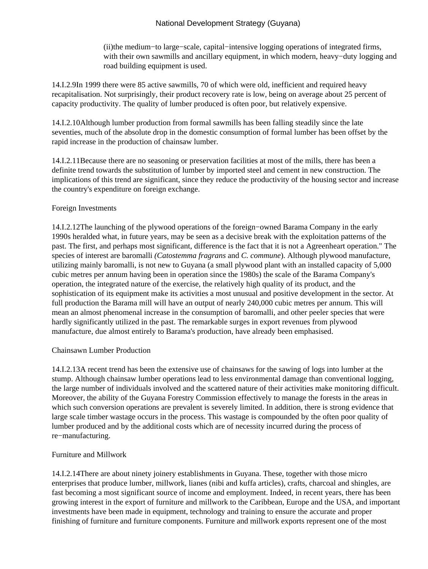(ii) the medium−to large−scale, capital−intensive logging operations of integrated firms, with their own sawmills and ancillary equipment, in which modern, heavy−duty logging and road building equipment is used.

14.I.2.9 In 1999 there were 85 active sawmills, 70 of which were old, inefficient and required heavy recapitalisation. Not surprisingly, their product recovery rate is low, being on average about 25 percent of capacity productivity. The quality of lumber produced is often poor, but relatively expensive.

14.I.2.10 Although lumber production from formal sawmills has been falling steadily since the late seventies, much of the absolute drop in the domestic consumption of formal lumber has been offset by the rapid increase in the production of chainsaw lumber.

14.I.2.11 Because there are no seasoning or preservation facilities at most of the mills, there has been a definite trend towards the substitution of lumber by imported steel and cement in new construction. The implications of this trend are significant, since they reduce the productivity of the housing sector and increase the country's expenditure on foreign exchange.

#### Foreign Investments

14.I.2.12 The launching of the plywood operations of the foreign−owned Barama Company in the early 1990s heralded what, in future years, may be seen as a decisive break with the exploitation patterns of the past. The first, and perhaps most significant, difference is the fact that it is not a Agreenheart operation." The species of interest are baromalli *(Catostemma fragrans* and *C. commune*). Although plywood manufacture, utilizing mainly baromalli, is not new to Guyana (a small plywood plant with an installed capacity of 5,000 cubic metres per annum having been in operation since the 1980s) the scale of the Barama Company's operation, the integrated nature of the exercise, the relatively high quality of its product, and the sophistication of its equipment make its activities a most unusual and positive development in the sector. At full production the Barama mill will have an output of nearly 240,000 cubic metres per annum. This will mean an almost phenomenal increase in the consumption of baromalli, and other peeler species that were hardly significantly utilized in the past. The remarkable surges in export revenues from plywood manufacture, due almost entirely to Barama's production, have already been emphasised.

#### Chainsawn Lumber Production

14.I.2.13 A recent trend has been the extensive use of chainsaws for the sawing of logs into lumber at the stump. Although chainsaw lumber operations lead to less environmental damage than conventional logging, the large number of individuals involved and the scattered nature of their activities make monitoring difficult. Moreover, the ability of the Guyana Forestry Commission effectively to manage the forests in the areas in which such conversion operations are prevalent is severely limited. In addition, there is strong evidence that large scale timber wastage occurs in the process. This wastage is compounded by the often poor quality of lumber produced and by the additional costs which are of necessity incurred during the process of re−manufacturing.

#### Furniture and Millwork

14.I.2.14 There are about ninety joinery establishments in Guyana. These, together with those micro enterprises that produce lumber, millwork, lianes (nibi and kuffa articles), crafts, charcoal and shingles, are fast becoming a most significant source of income and employment. Indeed, in recent years, there has been growing interest in the export of furniture and millwork to the Caribbean, Europe and the USA, and important investments have been made in equipment, technology and training to ensure the accurate and proper finishing of furniture and furniture components. Furniture and millwork exports represent one of the most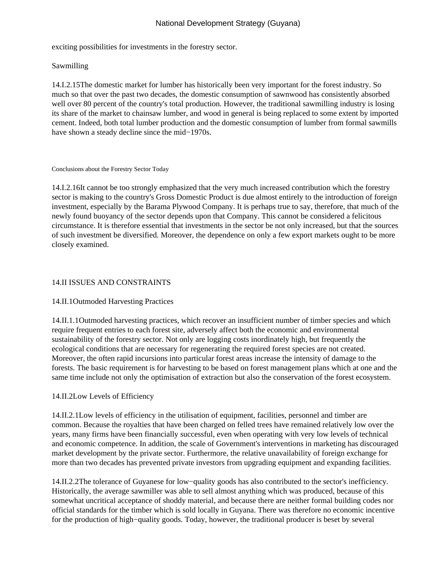exciting possibilities for investments in the forestry sector.

## Sawmilling

14.I.2.15 The domestic market for lumber has historically been very important for the forest industry. So much so that over the past two decades, the domestic consumption of sawnwood has consistently absorbed well over 80 percent of the country's total production. However, the traditional sawmilling industry is losing its share of the market to chainsaw lumber, and wood in general is being replaced to some extent by imported cement. Indeed, both total lumber production and the domestic consumption of lumber from formal sawmills have shown a steady decline since the mid−1970s.

#### Conclusions about the Forestry Sector Today

14.I.2.16 It cannot be too strongly emphasized that the very much increased contribution which the forestry sector is making to the country's Gross Domestic Product is due almost entirely to the introduction of foreign investment, especially by the Barama Plywood Company. It is perhaps true to say, therefore, that much of the newly found buoyancy of the sector depends upon that Company. This cannot be considered a felicitous circumstance. It is therefore essential that investments in the sector be not only increased, but that the sources of such investment be diversified. Moreover, the dependence on only a few export markets ought to be more closely examined.

## 14.II ISSUES AND CONSTRAINTS

## 14.II.1 Outmoded Harvesting Practices

14.II.1.1 Outmoded harvesting practices, which recover an insufficient number of timber species and which require frequent entries to each forest site, adversely affect both the economic and environmental sustainability of the forestry sector. Not only are logging costs inordinately high, but frequently the ecological conditions that are necessary for regenerating the required forest species are not created. Moreover, the often rapid incursions into particular forest areas increase the intensity of damage to the forests. The basic requirement is for harvesting to be based on forest management plans which at one and the same time include not only the optimisation of extraction but also the conservation of the forest ecosystem.

#### 14.II.2 Low Levels of Efficiency

14.II.2.1 Low levels of efficiency in the utilisation of equipment, facilities, personnel and timber are common. Because the royalties that have been charged on felled trees have remained relatively low over the years, many firms have been financially successful, even when operating with very low levels of technical and economic competence. In addition, the scale of Government's interventions in marketing has discouraged market development by the private sector. Furthermore, the relative unavailability of foreign exchange for more than two decades has prevented private investors from upgrading equipment and expanding facilities.

14.II.2.2 The tolerance of Guyanese for low−quality goods has also contributed to the sector's inefficiency. Historically, the average sawmiller was able to sell almost anything which was produced, because of this somewhat uncritical acceptance of shoddy material, and because there are neither formal building codes nor official standards for the timber which is sold locally in Guyana. There was therefore no economic incentive for the production of high−quality goods. Today, however, the traditional producer is beset by several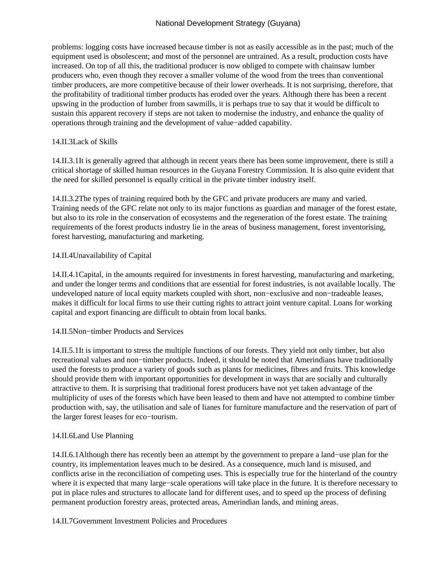problems: logging costs have increased because timber is not as easily accessible as in the past; much of the equipment used is obsolescent; and most of the personnel are untrained. As a result, production costs have increased. On top of all this, the traditional producer is now obliged to compete with chainsaw lumber producers who, even though they recover a smaller volume of the wood from the trees than conventional timber producers, are more competitive because of their lower overheads. It is not surprising, therefore, that the profitability of traditional timber products has eroded over the years. Although there has been a recent upswing in the production of lumber from sawmills, it is perhaps true to say that it would be difficult to sustain this apparent recovery if steps are not taken to modernise the industry, and enhance the quality of operations through training and the development of value−added capability.

### 14.II.3 Lack of Skills

14.II.3.1 It is generally agreed that although in recent years there has been some improvement, there is still a critical shortage of skilled human resources in the Guyana Forestry Commission. It is also quite evident that the need for skilled personnel is equally critical in the private timber industry itself.

14.II.3.2 The types of training required both by the GFC and private producers are many and varied. Training needs of the GFC relate not only to its major functions as guardian and manager of the forest estate, but also to its role in the conservation of ecosystems and the regeneration of the forest estate. The training requirements of the forest products industry lie in the areas of business management, forest inventorising, forest harvesting, manufacturing and marketing.

### 14.II.4 Unavailability of Capital

14.II.4.1 Capital, in the amounts required for investments in forest harvesting, manufacturing and marketing, and under the longer terms and conditions that are essential for forest industries, is not available locally. The undeveloped nature of local equity markets coupled with short, non−exclusive and non−tradeable leases, makes it difficult for local firms to use their cutting rights to attract joint venture capital. Loans for working capital and export financing are difficult to obtain from local banks.

#### 14.II.5 Non−timber Products and Services

14.II.5.1 It is important to stress the multiple functions of our forests. They yield not only timber, but also recreational values and non−timber products. Indeed, it should be noted that Amerindians have traditionally used the forests to produce a variety of goods such as plants for medicines, fibres and fruits. This knowledge should provide them with important opportunities for development in ways that are socially and culturally attractive to them. It is surprising that traditional forest producers have not yet taken advantage of the multiplicity of uses of the forests which have been leased to them and have not attempted to combine timber production with, say, the utilisation and sale of lianes for furniture manufacture and the reservation of part of the larger forest leases for eco−tourism.

#### 14.II.6 Land Use Planning

14.II.6.1 Although there has recently been an attempt by the government to prepare a land−use plan for the country, its implementation leaves much to be desired. As a consequence, much land is misused, and conflicts arise in the reconciliation of competing uses. This is especially true for the hinterland of the country where it is expected that many large−scale operations will take place in the future. It is therefore necessary to put in place rules and structures to allocate land for different uses, and to speed up the process of defining permanent production forestry areas, protected areas, Amerindian lands, and mining areas.

### 14.II.7 Government Investment Policies and Procedures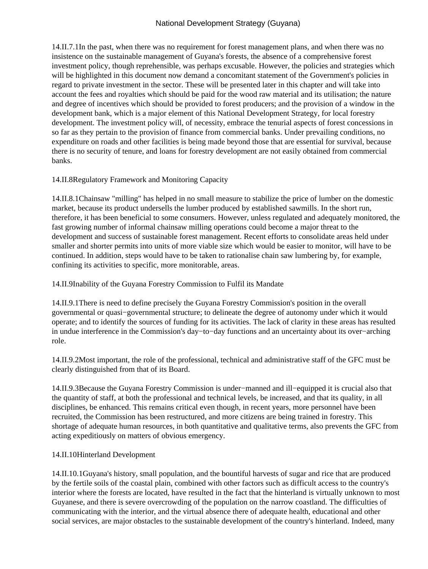14.II.7.1 In the past, when there was no requirement for forest management plans, and when there was no insistence on the sustainable management of Guyana's forests, the absence of a comprehensive forest investment policy, though reprehensible, was perhaps excusable. However, the policies and strategies which will be highlighted in this document now demand a concomitant statement of the Government's policies in regard to private investment in the sector. These will be presented later in this chapter and will take into account the fees and royalties which should be paid for the wood raw material and its utilisation; the nature and degree of incentives which should be provided to forest producers; and the provision of a window in the development bank, which is a major element of this National Development Strategy, for local forestry development. The investment policy will, of necessity, embrace the tenurial aspects of forest concessions in so far as they pertain to the provision of finance from commercial banks. Under prevailing conditions, no expenditure on roads and other facilities is being made beyond those that are essential for survival, because there is no security of tenure, and loans for forestry development are not easily obtained from commercial banks.

## 14.II.8 Regulatory Framework and Monitoring Capacity

14.II.8.1 Chainsaw "milling" has helped in no small measure to stabilize the price of lumber on the domestic market, because its product undersells the lumber produced by established sawmills. In the short run, therefore, it has been beneficial to some consumers. However, unless regulated and adequately monitored, the fast growing number of informal chainsaw milling operations could become a major threat to the development and success of sustainable forest management. Recent efforts to consolidate areas held under smaller and shorter permits into units of more viable size which would be easier to monitor, will have to be continued. In addition, steps would have to be taken to rationalise chain saw lumbering by, for example, confining its activities to specific, more monitorable, areas.

14.II.9 Inability of the Guyana Forestry Commission to Fulfil its Mandate

14.II.9.1 There is need to define precisely the Guyana Forestry Commission's position in the overall governmental or quasi−governmental structure; to delineate the degree of autonomy under which it would operate; and to identify the sources of funding for its activities. The lack of clarity in these areas has resulted in undue interference in the Commission's day−to−day functions and an uncertainty about its over−arching role.

14.II.9.2 Most important, the role of the professional, technical and administrative staff of the GFC must be clearly distinguished from that of its Board.

14.II.9.3 Because the Guyana Forestry Commission is under−manned and ill−equipped it is crucial also that the quantity of staff, at both the professional and technical levels, be increased, and that its quality, in all disciplines, be enhanced. This remains critical even though, in recent years, more personnel have been recruited, the Commission has been restructured, and more citizens are being trained in forestry. This shortage of adequate human resources, in both quantitative and qualitative terms, also prevents the GFC from acting expeditiously on matters of obvious emergency.

## 14.II.10 Hinterland Development

14.II.10.1 Guyana's history, small population, and the bountiful harvests of sugar and rice that are produced by the fertile soils of the coastal plain, combined with other factors such as difficult access to the country's interior where the forests are located, have resulted in the fact that the hinterland is virtually unknown to most Guyanese, and there is severe overcrowding of the population on the narrow coastland. The difficulties of communicating with the interior, and the virtual absence there of adequate health, educational and other social services, are major obstacles to the sustainable development of the country's hinterland. Indeed, many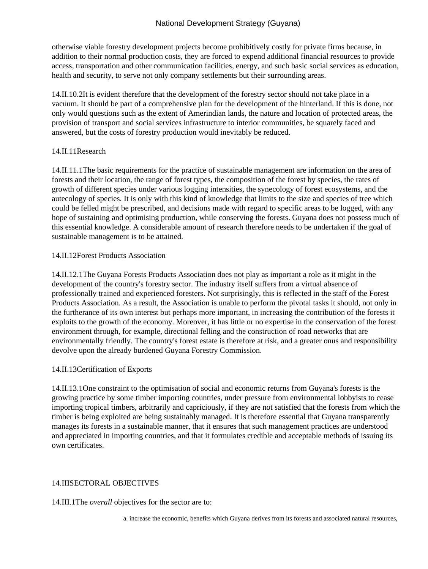otherwise viable forestry development projects become prohibitively costly for private firms because, in addition to their normal production costs, they are forced to expend additional financial resources to provide access, transportation and other communication facilities, energy, and such basic social services as education, health and security, to serve not only company settlements but their surrounding areas.

14.II.10.2 It is evident therefore that the development of the forestry sector should not take place in a vacuum. It should be part of a comprehensive plan for the development of the hinterland. If this is done, not only would questions such as the extent of Amerindian lands, the nature and location of protected areas, the provision of transport and social services infrastructure to interior communities, be squarely faced and answered, but the costs of forestry production would inevitably be reduced.

### 14.II.11 Research

14.II.11.1 The basic requirements for the practice of sustainable management are information on the area of forests and their location, the range of forest types, the composition of the forest by species, the rates of growth of different species under various logging intensities, the synecology of forest ecosystems, and the autecology of species. It is only with this kind of knowledge that limits to the size and species of tree which could be felled might be prescribed, and decisions made with regard to specific areas to be logged, with any hope of sustaining and optimising production, while conserving the forests. Guyana does not possess much of this essential knowledge. A considerable amount of research therefore needs to be undertaken if the goal of sustainable management is to be attained.

### 14.II.12 Forest Products Association

14.II.12.1 The Guyana Forests Products Association does not play as important a role as it might in the development of the country's forestry sector. The industry itself suffers from a virtual absence of professionally trained and experienced foresters. Not surprisingly, this is reflected in the staff of the Forest Products Association. As a result, the Association is unable to perform the pivotal tasks it should, not only in the furtherance of its own interest but perhaps more important, in increasing the contribution of the forests it exploits to the growth of the economy. Moreover, it has little or no expertise in the conservation of the forest environment through, for example, directional felling and the construction of road networks that are environmentally friendly. The country's forest estate is therefore at risk, and a greater onus and responsibility devolve upon the already burdened Guyana Forestry Commission.

## 14.II.13 Certification of Exports

14.II.13.1 One constraint to the optimisation of social and economic returns from Guyana's forests is the growing practice by some timber importing countries, under pressure from environmental lobbyists to cease importing tropical timbers, arbitrarily and capriciously, if they are not satisfied that the forests from which the timber is being exploited are being sustainably managed. It is therefore essential that Guyana transparently manages its forests in a sustainable manner, that it ensures that such management practices are understood and appreciated in importing countries, and that it formulates credible and acceptable methods of issuing its own certificates.

## 14. III SECTORAL OBJECTIVES

14.III.1 The *overall* objectives for the sector are to: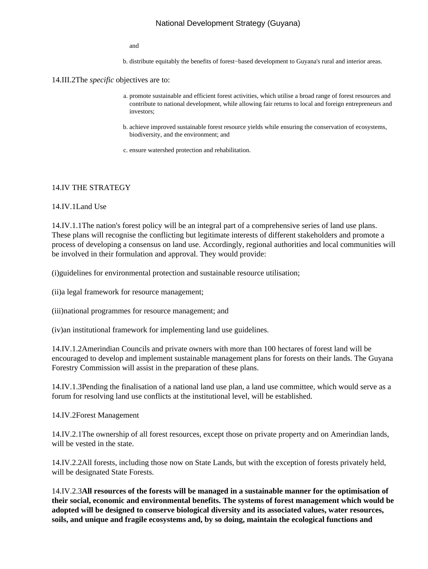and

b. distribute equitably the benefits of forest−based development to Guyana's rural and interior areas.

14.III.2 The *specific* objectives are to:

- a. promote sustainable and efficient forest activities, which utilise a broad range of forest resources and contribute to national development, while allowing fair returns to local and foreign entrepreneurs and investors;
- b. achieve improved sustainable forest resource yields while ensuring the conservation of ecosystems, biodiversity, and the environment; and
- c. ensure watershed protection and rehabilitation.

#### 14.IV THE STRATEGY

14.IV.1 Land Use

14.IV.1.1 The nation's forest policy will be an integral part of a comprehensive series of land use plans. These plans will recognise the conflicting but legitimate interests of different stakeholders and promote a process of developing a consensus on land use. Accordingly, regional authorities and local communities will be involved in their formulation and approval. They would provide:

(i) guidelines for environmental protection and sustainable resource utilisation;

(ii) a legal framework for resource management;

(iii) national programmes for resource management; and

(iv) an institutional framework for implementing land use guidelines.

14.IV.1.2 Amerindian Councils and private owners with more than 100 hectares of forest land will be encouraged to develop and implement sustainable management plans for forests on their lands. The Guyana Forestry Commission will assist in the preparation of these plans.

14.IV.1.3 Pending the finalisation of a national land use plan, a land use committee, which would serve as a forum for resolving land use conflicts at the institutional level, will be established.

14.IV.2 Forest Management

14.IV.2.1 The ownership of all forest resources, except those on private property and on Amerindian lands, will be vested in the state.

14.IV.2.2 All forests, including those now on State Lands, but with the exception of forests privately held, will be designated State Forests.

14.IV.2.3 **All resources of the forests will be managed in a sustainable manner for the optimisation of their social, economic and environmental benefits. The systems of forest management which would be adopted will be designed to conserve biological diversity and its associated values, water resources, soils, and unique and fragile ecosystems and, by so doing, maintain the ecological functions and**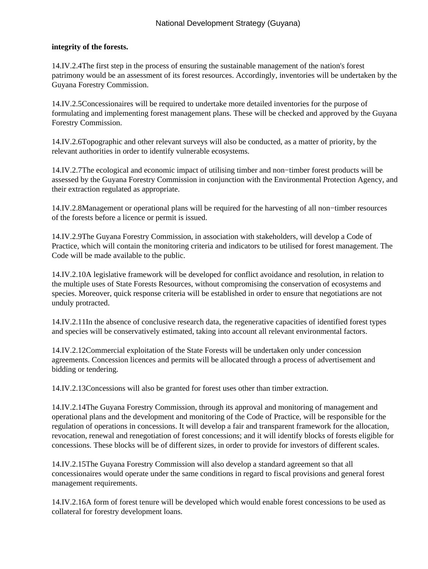### **integrity of the forests.**

14.IV.2.4 The first step in the process of ensuring the sustainable management of the nation's forest patrimony would be an assessment of its forest resources. Accordingly, inventories will be undertaken by the Guyana Forestry Commission.

14.IV.2.5 Concessionaires will be required to undertake more detailed inventories for the purpose of formulating and implementing forest management plans. These will be checked and approved by the Guyana Forestry Commission.

14.IV.2.6 Topographic and other relevant surveys will also be conducted, as a matter of priority, by the relevant authorities in order to identify vulnerable ecosystems.

14.IV.2.7 The ecological and economic impact of utilising timber and non−timber forest products will be assessed by the Guyana Forestry Commission in conjunction with the Environmental Protection Agency, and their extraction regulated as appropriate.

14.IV.2.8 Management or operational plans will be required for the harvesting of all non−timber resources of the forests before a licence or permit is issued.

14.IV.2.9 The Guyana Forestry Commission, in association with stakeholders, will develop a Code of Practice, which will contain the monitoring criteria and indicators to be utilised for forest management. The Code will be made available to the public.

14.IV.2.10 A legislative framework will be developed for conflict avoidance and resolution, in relation to the multiple uses of State Forests Resources, without compromising the conservation of ecosystems and species. Moreover, quick response criteria will be established in order to ensure that negotiations are not unduly protracted.

14.IV.2.11 In the absence of conclusive research data, the regenerative capacities of identified forest types and species will be conservatively estimated, taking into account all relevant environmental factors.

14.IV.2.12 Commercial exploitation of the State Forests will be undertaken only under concession agreements. Concession licences and permits will be allocated through a process of advertisement and bidding or tendering.

14.IV.2.13 Concessions will also be granted for forest uses other than timber extraction.

14.IV.2.14 The Guyana Forestry Commission, through its approval and monitoring of management and operational plans and the development and monitoring of the Code of Practice, will be responsible for the regulation of operations in concessions. It will develop a fair and transparent framework for the allocation, revocation, renewal and renegotiation of forest concessions; and it will identify blocks of forests eligible for concessions. These blocks will be of different sizes, in order to provide for investors of different scales.

14.IV.2.15 The Guyana Forestry Commission will also develop a standard agreement so that all concessionaires would operate under the same conditions in regard to fiscal provisions and general forest management requirements.

14.IV.2.16 A form of forest tenure will be developed which would enable forest concessions to be used as collateral for forestry development loans.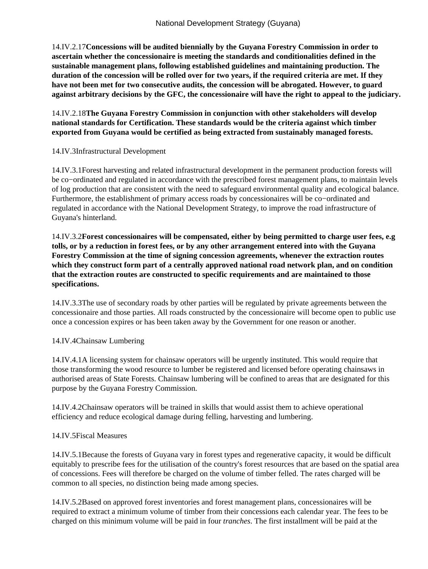14.IV.2.17 **Concessions will be audited biennially by the Guyana Forestry Commission in order to ascertain whether the concessionaire is meeting the standards and conditionalities defined in the sustainable management plans, following established guidelines and maintaining production. The duration of the concession will be rolled over for two years, if the required criteria are met. If they have not been met for two consecutive audits, the concession will be abrogated. However, to guard against arbitrary decisions by the GFC, the concessionaire will have the right to appeal to the judiciary.**

14.IV.2.18 **The Guyana Forestry Commission in conjunction with other stakeholders will develop national standards for Certification. These standards would be the criteria against which timber exported from Guyana would be certified as being extracted from sustainably managed forests.**

14.IV.3 Infrastructural Development

14.IV.3.1 Forest harvesting and related infrastructural development in the permanent production forests will be co−ordinated and regulated in accordance with the prescribed forest management plans, to maintain levels of log production that are consistent with the need to safeguard environmental quality and ecological balance. Furthermore, the establishment of primary access roads by concessionaires will be co−ordinated and regulated in accordance with the National Development Strategy, to improve the road infrastructure of Guyana's hinterland.

14.IV.3.2 **Forest concessionaires will be compensated, either by being permitted to charge user fees, e.g tolls, or by a reduction in forest fees, or by any other arrangement entered into with the Guyana Forestry Commission at the time of signing concession agreements, whenever the extraction routes which they construct form part of a centrally approved national road network plan, and on condition that the extraction routes are constructed to specific requirements and are maintained to those specifications.**

14.IV.3.3 The use of secondary roads by other parties will be regulated by private agreements between the concessionaire and those parties. All roads constructed by the concessionaire will become open to public use once a concession expires or has been taken away by the Government for one reason or another.

14.IV.4 Chainsaw Lumbering

14.IV.4.1 A licensing system for chainsaw operators will be urgently instituted. This would require that those transforming the wood resource to lumber be registered and licensed before operating chainsaws in authorised areas of State Forests. Chainsaw lumbering will be confined to areas that are designated for this purpose by the Guyana Forestry Commission.

14.IV.4.2 Chainsaw operators will be trained in skills that would assist them to achieve operational efficiency and reduce ecological damage during felling, harvesting and lumbering.

## 14.IV.5 Fiscal Measures

14.IV.5.1 Because the forests of Guyana vary in forest types and regenerative capacity, it would be difficult equitably to prescribe fees for the utilisation of the country's forest resources that are based on the spatial area of concessions. Fees will therefore be charged on the volume of timber felled. The rates charged will be common to all species, no distinction being made among species.

14.IV.5.2 Based on approved forest inventories and forest management plans, concessionaires will be required to extract a minimum volume of timber from their concessions each calendar year. The fees to be charged on this minimum volume will be paid in four *tranches*. The first installment will be paid at the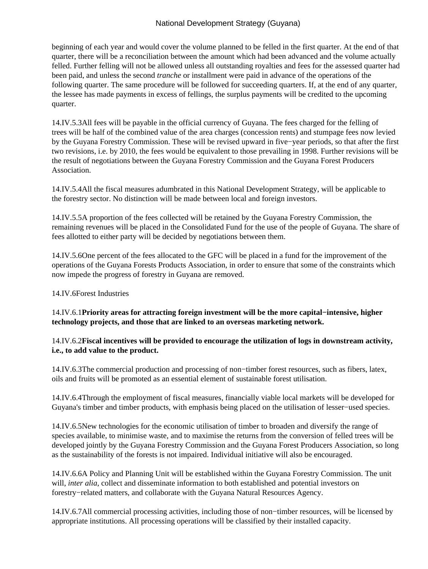beginning of each year and would cover the volume planned to be felled in the first quarter. At the end of that quarter, there will be a reconciliation between the amount which had been advanced and the volume actually felled. Further felling will not be allowed unless all outstanding royalties and fees for the assessed quarter had been paid, and unless the second *tranche* or installment were paid in advance of the operations of the following quarter. The same procedure will be followed for succeeding quarters. If, at the end of any quarter, the lessee has made payments in excess of fellings, the surplus payments will be credited to the upcoming quarter.

14.IV.5.3 All fees will be payable in the official currency of Guyana. The fees charged for the felling of trees will be half of the combined value of the area charges (concession rents) and stumpage fees now levied by the Guyana Forestry Commission. These will be revised upward in five−year periods, so that after the first two revisions, i.e. by 2010, the fees would be equivalent to those prevailing in 1998. Further revisions will be the result of negotiations between the Guyana Forestry Commission and the Guyana Forest Producers Association.

14.IV.5.4 All the fiscal measures adumbrated in this National Development Strategy, will be applicable to the forestry sector. No distinction will be made between local and foreign investors.

14.IV.5.5 A proportion of the fees collected will be retained by the Guyana Forestry Commission, the remaining revenues will be placed in the Consolidated Fund for the use of the people of Guyana. The share of fees allotted to either party will be decided by negotiations between them.

14.IV.5.6 One percent of the fees allocated to the GFC will be placed in a fund for the improvement of the operations of the Guyana Forests Products Association, in order to ensure that some of the constraints which now impede the progress of forestry in Guyana are removed.

#### 14.IV.6 Forest Industries

14.IV.6.1 **Priority areas for attracting foreign investment will be the more capital−intensive, higher technology projects, and those that are linked to an overseas marketing network.**

### 14.IV.6.2 **Fiscal incentives will be provided to encourage the utilization of logs in downstream activity, i.e., to add value to the product.**

14.IV.6.3 The commercial production and processing of non−timber forest resources, such as fibers, latex, oils and fruits will be promoted as an essential element of sustainable forest utilisation.

14.IV.6.4 Through the employment of fiscal measures, financially viable local markets will be developed for Guyana's timber and timber products, with emphasis being placed on the utilisation of lesser−used species.

14.IV.6.5 New technologies for the economic utilisation of timber to broaden and diversify the range of species available, to minimise waste, and to maximise the returns from the conversion of felled trees will be developed jointly by the Guyana Forestry Commission and the Guyana Forest Producers Association, so long as the sustainability of the forests is not impaired. Individual initiative will also be encouraged.

14.IV.6.6 A Policy and Planning Unit will be established within the Guyana Forestry Commission. The unit will, *inter alia*, collect and disseminate information to both established and potential investors on forestry−related matters, and collaborate with the Guyana Natural Resources Agency.

14.IV.6.7 All commercial processing activities, including those of non−timber resources, will be licensed by appropriate institutions. All processing operations will be classified by their installed capacity.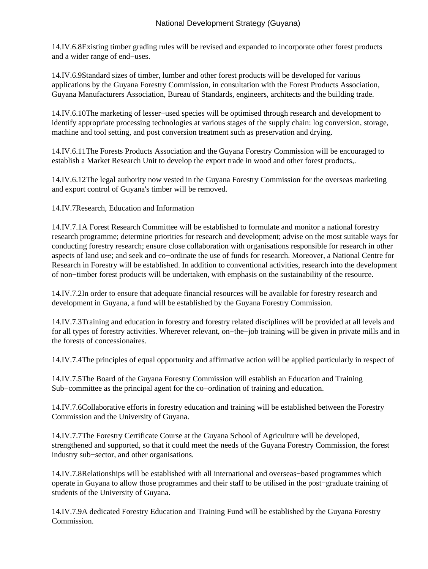14.IV.6.8 Existing timber grading rules will be revised and expanded to incorporate other forest products and a wider range of end−uses.

14.IV.6.9 Standard sizes of timber, lumber and other forest products will be developed for various applications by the Guyana Forestry Commission, in consultation with the Forest Products Association, Guyana Manufacturers Association, Bureau of Standards, engineers, architects and the building trade.

14.IV.6.10 The marketing of lesser−used species will be optimised through research and development to identify appropriate processing technologies at various stages of the supply chain: log conversion, storage, machine and tool setting, and post conversion treatment such as preservation and drying.

14.IV.6.11 The Forests Products Association and the Guyana Forestry Commission will be encouraged to establish a Market Research Unit to develop the export trade in wood and other forest products,.

14.IV.6.12 The legal authority now vested in the Guyana Forestry Commission for the overseas marketing and export control of Guyana's timber will be removed.

14.IV.7 Research, Education and Information

14.IV.7.1 A Forest Research Committee will be established to formulate and monitor a national forestry research programme; determine priorities for research and development; advise on the most suitable ways for conducting forestry research; ensure close collaboration with organisations responsible for research in other aspects of land use; and seek and co−ordinate the use of funds for research. Moreover, a National Centre for Research in Forestry will be established. In addition to conventional activities, research into the development of non−timber forest products will be undertaken, with emphasis on the sustainability of the resource.

14.IV.7.2 In order to ensure that adequate financial resources will be available for forestry research and development in Guyana, a fund will be established by the Guyana Forestry Commission.

14.IV.7.3 Training and education in forestry and forestry related disciplines will be provided at all levels and for all types of forestry activities. Wherever relevant, on−the−job training will be given in private mills and in the forests of concessionaires.

14.IV.7.4 The principles of equal opportunity and affirmative action will be applied particularly in respect of

14.IV.7.5 The Board of the Guyana Forestry Commission will establish an Education and Training Sub−committee as the principal agent for the co−ordination of training and education.

14.IV.7.6 Collaborative efforts in forestry education and training will be established between the Forestry Commission and the University of Guyana.

14.IV.7.7 The Forestry Certificate Course at the Guyana School of Agriculture will be developed, strengthened and supported, so that it could meet the needs of the Guyana Forestry Commission, the forest industry sub−sector, and other organisations.

14.IV.7.8 Relationships will be established with all international and overseas−based programmes which operate in Guyana to allow those programmes and their staff to be utilised in the post−graduate training of students of the University of Guyana.

14.IV.7.9 A dedicated Forestry Education and Training Fund will be established by the Guyana Forestry Commission.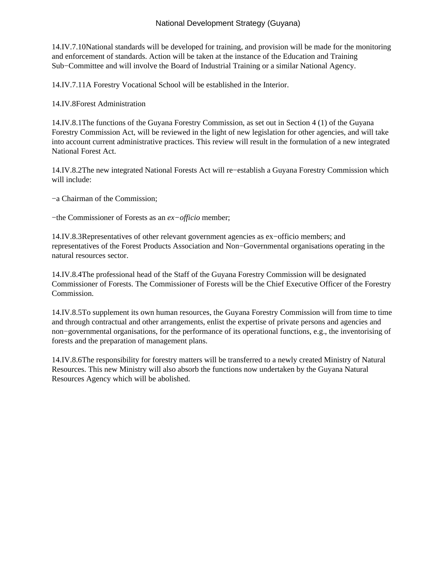14.IV.7.10 National standards will be developed for training, and provision will be made for the monitoring and enforcement of standards. Action will be taken at the instance of the Education and Training Sub−Committee and will involve the Board of Industrial Training or a similar National Agency.

14.IV.7.11 A Forestry Vocational School will be established in the Interior.

14.IV.8 Forest Administration

14.IV.8.1 The functions of the Guyana Forestry Commission, as set out in Section 4 (1) of the Guyana Forestry Commission Act, will be reviewed in the light of new legislation for other agencies, and will take into account current administrative practices. This review will result in the formulation of a new integrated National Forest Act.

14.IV.8.2 The new integrated National Forests Act will re−establish a Guyana Forestry Commission which will include:

- − a Chairman of the Commission;
- − the Commissioner of Forests as an *ex−officio* member;

14.IV.8.3 Representatives of other relevant government agencies as ex−officio members; and representatives of the Forest Products Association and Non−Governmental organisations operating in the natural resources sector.

14.IV.8.4 The professional head of the Staff of the Guyana Forestry Commission will be designated Commissioner of Forests. The Commissioner of Forests will be the Chief Executive Officer of the Forestry Commission.

14.IV.8.5 To supplement its own human resources, the Guyana Forestry Commission will from time to time and through contractual and other arrangements, enlist the expertise of private persons and agencies and non−governmental organisations, for the performance of its operational functions, e.g., the inventorising of forests and the preparation of management plans.

14.IV.8.6 The responsibility for forestry matters will be transferred to a newly created Ministry of Natural Resources. This new Ministry will also absorb the functions now undertaken by the Guyana Natural Resources Agency which will be abolished.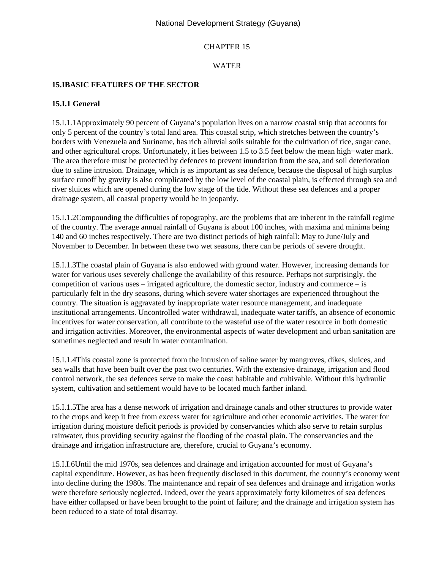# CHAPTER 15

# WATER

# **15.I BASIC FEATURES OF THE SECTOR**

## **15.I.1 General**

15.I.1.1 Approximately 90 percent of Guyana's population lives on a narrow coastal strip that accounts for only 5 percent of the country's total land area. This coastal strip, which stretches between the country's borders with Venezuela and Suriname, has rich alluvial soils suitable for the cultivation of rice, sugar cane, and other agricultural crops. Unfortunately, it lies between 1.5 to 3.5 feet below the mean high−water mark. The area therefore must be protected by defences to prevent inundation from the sea, and soil deterioration due to saline intrusion. Drainage, which is as important as sea defence, because the disposal of high surplus surface runoff by gravity is also complicated by the low level of the coastal plain, is effected through sea and river sluices which are opened during the low stage of the tide. Without these sea defences and a proper drainage system, all coastal property would be in jeopardy.

15.I.1.2 Compounding the difficulties of topography, are the problems that are inherent in the rainfall regime of the country. The average annual rainfall of Guyana is about 100 inches, with maxima and minima being 140 and 60 inches respectively. There are two distinct periods of high rainfall: May to June/July and November to December. In between these two wet seasons, there can be periods of severe drought.

15.I.1.3 The coastal plain of Guyana is also endowed with ground water. However, increasing demands for water for various uses severely challenge the availability of this resource. Perhaps not surprisingly, the competition of various uses – irrigated agriculture, the domestic sector, industry and commerce – is particularly felt in the dry seasons, during which severe water shortages are experienced throughout the country. The situation is aggravated by inappropriate water resource management, and inadequate institutional arrangements. Uncontrolled water withdrawal, inadequate water tariffs, an absence of economic incentives for water conservation, all contribute to the wasteful use of the water resource in both domestic and irrigation activities. Moreover, the environmental aspects of water development and urban sanitation are sometimes neglected and result in water contamination.

15.I.1.4 This coastal zone is protected from the intrusion of saline water by mangroves, dikes, sluices, and sea walls that have been built over the past two centuries. With the extensive drainage, irrigation and flood control network, the sea defences serve to make the coast habitable and cultivable. Without this hydraulic system, cultivation and settlement would have to be located much farther inland.

15.I.1.5 The area has a dense network of irrigation and drainage canals and other structures to provide water to the crops and keep it free from excess water for agriculture and other economic activities. The water for irrigation during moisture deficit periods is provided by conservancies which also serve to retain surplus rainwater, thus providing security against the flooding of the coastal plain. The conservancies and the drainage and irrigation infrastructure are, therefore, crucial to Guyana's economy.

15.I.I.6 Until the mid 1970s, sea defences and drainage and irrigation accounted for most of Guyana's capital expenditure. However, as has been frequently disclosed in this document, the country's economy went into decline during the 1980s. The maintenance and repair of sea defences and drainage and irrigation works were therefore seriously neglected. Indeed, over the years approximately forty kilometres of sea defences have either collapsed or have been brought to the point of failure; and the drainage and irrigation system has been reduced to a state of total disarray.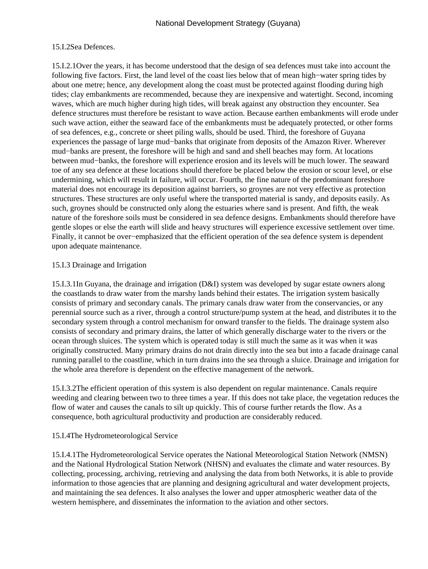## 15.I.2 Sea Defences.

15.I.2.1 Over the years, it has become understood that the design of sea defences must take into account the following five factors. First, the land level of the coast lies below that of mean high−water spring tides by about one metre; hence, any development along the coast must be protected against flooding during high tides; clay embankments are recommended, because they are inexpensive and watertight. Second, incoming waves, which are much higher during high tides, will break against any obstruction they encounter. Sea defence structures must therefore be resistant to wave action. Because earthen embankments will erode under such wave action, either the seaward face of the embankments must be adequately protected, or other forms of sea defences, e.g., concrete or sheet piling walls, should be used. Third, the foreshore of Guyana experiences the passage of large mud−banks that originate from deposits of the Amazon River. Wherever mud−banks are present, the foreshore will be high and sand and shell beaches may form. At locations between mud−banks, the foreshore will experience erosion and its levels will be much lower. The seaward toe of any sea defence at these locations should therefore be placed below the erosion or scour level, or else undermining, which will result in failure, will occur. Fourth, the fine nature of the predominant foreshore material does not encourage its deposition against barriers, so groynes are not very effective as protection structures. These structures are only useful where the transported material is sandy, and deposits easily. As such, groynes should be constructed only along the estuaries where sand is present. And fifth, the weak nature of the foreshore soils must be considered in sea defence designs. Embankments should therefore have gentle slopes or else the earth will slide and heavy structures will experience excessive settlement over time. Finally, it cannot be over−emphasized that the efficient operation of the sea defence system is dependent upon adequate maintenance.

## 15.I.3 Drainage and Irrigation

15.I.3.1 In Guyana, the drainage and irrigation (D&I) system was developed by sugar estate owners along the coastlands to draw water from the marshy lands behind their estates. The irrigation system basically consists of primary and secondary canals. The primary canals draw water from the conservancies, or any perennial source such as a river, through a control structure/pump system at the head, and distributes it to the secondary system through a control mechanism for onward transfer to the fields. The drainage system also consists of secondary and primary drains, the latter of which generally discharge water to the rivers or the ocean through sluices. The system which is operated today is still much the same as it was when it was originally constructed. Many primary drains do not drain directly into the sea but into a facade drainage canal running parallel to the coastline, which in turn drains into the sea through a sluice. Drainage and irrigation for the whole area therefore is dependent on the effective management of the network.

15.I.3.2 The efficient operation of this system is also dependent on regular maintenance. Canals require weeding and clearing between two to three times a year. If this does not take place, the vegetation reduces the flow of water and causes the canals to silt up quickly. This of course further retards the flow. As a consequence, both agricultural productivity and production are considerably reduced.

## 15.I.4 The Hydrometeorological Service

15.I.4.1 The Hydrometeorological Service operates the National Meteorological Station Network (NMSN) and the National Hydrological Station Network (NHSN) and evaluates the climate and water resources. By collecting, processing, archiving, retrieving and analysing the data from both Networks, it is able to provide information to those agencies that are planning and designing agricultural and water development projects, and maintaining the sea defences. It also analyses the lower and upper atmospheric weather data of the western hemisphere, and disseminates the information to the aviation and other sectors.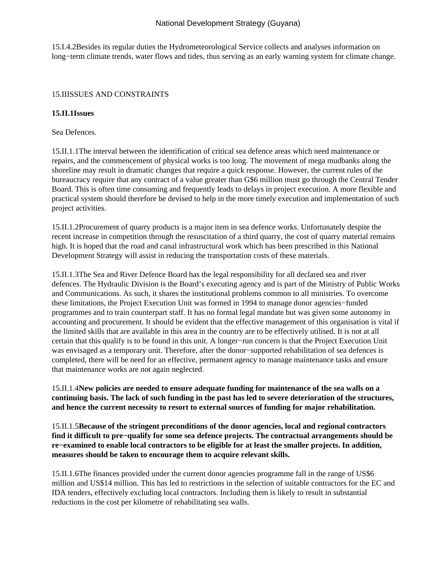15.I.4.2 Besides its regular duties the Hydrometeorological Service collects and analyses information on long−term climate trends, water flows and tides, thus serving as an early warning system for climate change.

## 15.II ISSUES AND CONSTRAINTS

## **15.II.1 Issues**

 Sea Defences.

15.II.1.1 The interval between the identification of critical sea defence areas which need maintenance or repairs, and the commencement of physical works is too long. The movement of mega mudbanks along the shoreline may result in dramatic changes that require a quick response. However, the current rules of the bureaucracy require that any contract of a value greater than G\$6 million must go through the Central Tender Board. This is often time consuming and frequently leads to delays in project execution. A more flexible and practical system should therefore be devised to help in the more timely execution and implementation of such project activities.

15.II.1.2 Procurement of quarry products is a major item in sea defence works. Unfortunately despite the recent increase in competition through the resuscitation of a third quarry, the cost of quarry material remains high. It is hoped that the road and canal infrastructural work which has been prescribed in this National Development Strategy will assist in reducing the transportation costs of these materials.

15.II.1.3 The Sea and River Defence Board has the legal responsibility for all declared sea and river defences. The Hydraulic Division is the Board's executing agency and is part of the Ministry of Public Works and Communications. As such, it shares the institutional problems common to all ministries. To overcome these limitations, the Project Execution Unit was formed in 1994 to manage donor agencies−funded programmes and to train counterpart staff. It has no formal legal mandate but was given some autonomy in accounting and procurement. It should be evident that the effective management of this organisation is vital if the limited skills that are available in this area in the country are to be effectively utilised. It is not at all certain that this qualify is to be found in this unit. A longer−run concern is that the Project Execution Unit was envisaged as a temporary unit. Therefore, after the donor−supported rehabilitation of sea defences is completed, there will be need for an effective, permanent agency to manage maintenance tasks and ensure that maintenance works are not again neglected.

15.II.1.4 **New policies are needed to ensure adequate funding for maintenance of the sea walls on a continuing basis. The lack of such funding in the past has led to severe deterioration of the structures, and hence the current necessity to resort to external sources of funding for major rehabilitation.**

15.II.1.5 **Because of the stringent preconditions of the donor agencies, local and regional contractors find it difficult to pre−qualify for some sea defence projects. The contractual arrangements should be re−examined to enable local contractors to be eligible for at least the smaller projects. In addition, measures should be taken to encourage them to acquire relevant skills.**

15.II.1.6 The finances provided under the current donor agencies programme fall in the range of US\$6 million and US\$14 million. This has led to restrictions in the selection of suitable contractors for the EC and IDA tenders, effectively excluding local contractors. Including them is likely to result in substantial reductions in the cost per kilometre of rehabilitating sea walls.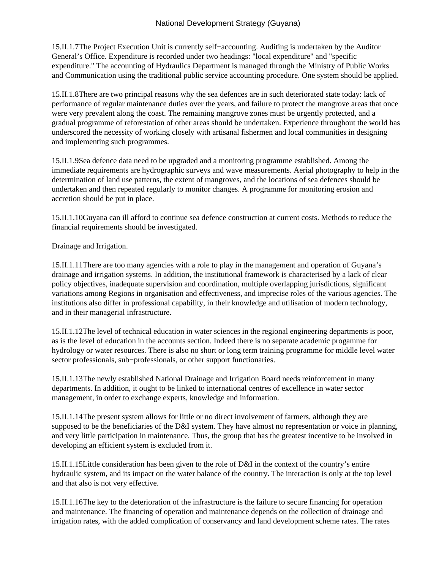15.II.1.7 The Project Execution Unit is currently self−accounting. Auditing is undertaken by the Auditor General's Office. Expenditure is recorded under two headings: "local expenditure" and "specific expenditure." The accounting of Hydraulics Department is managed through the Ministry of Public Works and Communication using the traditional public service accounting procedure. One system should be applied.

15.II.1.8 There are two principal reasons why the sea defences are in such deteriorated state today: lack of performance of regular maintenance duties over the years, and failure to protect the mangrove areas that once were very prevalent along the coast. The remaining mangrove zones must be urgently protected, and a gradual programme of reforestation of other areas should be undertaken. Experience throughout the world has underscored the necessity of working closely with artisanal fishermen and local communities in designing and implementing such programmes.

15.II.1.9 Sea defence data need to be upgraded and a monitoring programme established. Among the immediate requirements are hydrographic surveys and wave measurements. Aerial photography to help in the determination of land use patterns, the extent of mangroves, and the locations of sea defences should be undertaken and then repeated regularly to monitor changes. A programme for monitoring erosion and accretion should be put in place.

15.II.1.10 Guyana can ill afford to continue sea defence construction at current costs. Methods to reduce the financial requirements should be investigated.

 Drainage and Irrigation.

15.II.1.11 There are too many agencies with a role to play in the management and operation of Guyana's drainage and irrigation systems. In addition, the institutional framework is characterised by a lack of clear policy objectives, inadequate supervision and coordination, multiple overlapping jurisdictions, significant variations among Regions in organisation and effectiveness, and imprecise roles of the various agencies. The institutions also differ in professional capability, in their knowledge and utilisation of modern technology, and in their managerial infrastructure.

15.II.1.12 The level of technical education in water sciences in the regional engineering departments is poor, as is the level of education in the accounts section. Indeed there is no separate academic progamme for hydrology or water resources. There is also no short or long term training programme for middle level water sector professionals, sub−professionals, or other support functionaries.

15.II.1.13 The newly established National Drainage and Irrigation Board needs reinforcement in many departments. In addition, it ought to be linked to international centres of excellence in water sector management, in order to exchange experts, knowledge and information.

15.II.1.14 The present system allows for little or no direct involvement of farmers, although they are supposed to be the beneficiaries of the D&I system. They have almost no representation or voice in planning, and very little participation in maintenance. Thus, the group that has the greatest incentive to be involved in developing an efficient system is excluded from it.

15.II.1.15 Little consideration has been given to the role of D&I in the context of the country's entire hydraulic system, and its impact on the water balance of the country. The interaction is only at the top level and that also is not very effective.

15.II.1.16 The key to the deterioration of the infrastructure is the failure to secure financing for operation and maintenance. The financing of operation and maintenance depends on the collection of drainage and irrigation rates, with the added complication of conservancy and land development scheme rates. The rates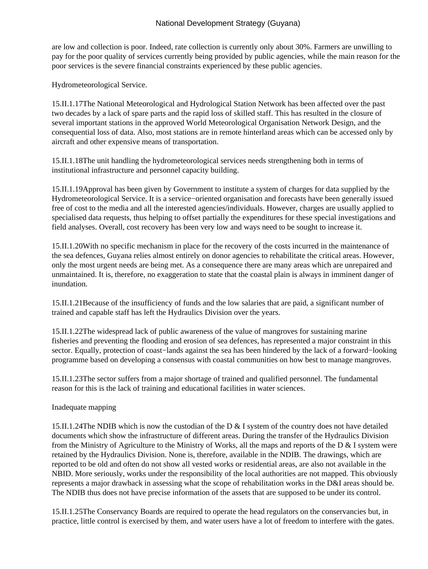are low and collection is poor. Indeed, rate collection is currently only about 30%. Farmers are unwilling to pay for the poor quality of services currently being provided by public agencies, while the main reason for the poor services is the severe financial constraints experienced by these public agencies.

 Hydrometeorological Service.

15.II.1.17 The National Meteorological and Hydrological Station Network has been affected over the past two decades by a lack of spare parts and the rapid loss of skilled staff. This has resulted in the closure of several important stations in the approved World Meteorological Organisation Network Design, and the consequential loss of data. Also, most stations are in remote hinterland areas which can be accessed only by aircraft and other expensive means of transportation.

15.II.1.18 The unit handling the hydrometeorological services needs strengthening both in terms of institutional infrastructure and personnel capacity building.

15.II.1.19 Approval has been given by Government to institute a system of charges for data supplied by the Hydrometeorological Service. It is a service−oriented organisation and forecasts have been generally issued free of cost to the media and all the interested agencies/individuals. However, charges are usually applied to specialised data requests, thus helping to offset partially the expenditures for these special investigations and field analyses. Overall, cost recovery has been very low and ways need to be sought to increase it.

15.II.1.20 With no specific mechanism in place for the recovery of the costs incurred in the maintenance of the sea defences, Guyana relies almost entirely on donor agencies to rehabilitate the critical areas. However, only the most urgent needs are being met. As a consequence there are many areas which are unrepaired and unmaintained. It is, therefore, no exaggeration to state that the coastal plain is always in imminent danger of inundation.

15.II.1.21 Because of the insufficiency of funds and the low salaries that are paid, a significant number of trained and capable staff has left the Hydraulics Division over the years.

15.II.1.22 The widespread lack of public awareness of the value of mangroves for sustaining marine fisheries and preventing the flooding and erosion of sea defences, has represented a major constraint in this sector. Equally, protection of coast−lands against the sea has been hindered by the lack of a forward−looking programme based on developing a consensus with coastal communities on how best to manage mangroves.

15.II.1.23 The sector suffers from a major shortage of trained and qualified personnel. The fundamental reason for this is the lack of training and educational facilities in water sciences.

 Inadequate mapping

15.II.1.24 The NDIB which is now the custodian of the D  $\&$  I system of the country does not have detailed documents which show the infrastructure of different areas. During the transfer of the Hydraulics Division from the Ministry of Agriculture to the Ministry of Works, all the maps and reports of the D & I system were retained by the Hydraulics Division. None is, therefore, available in the NDIB. The drawings, which are reported to be old and often do not show all vested works or residential areas, are also not available in the NBID. More seriously, works under the responsibility of the local authorities are not mapped. This obviously represents a major drawback in assessing what the scope of rehabilitation works in the D&I areas should be. The NDIB thus does not have precise information of the assets that are supposed to be under its control.

15.II.1.25 The Conservancy Boards are required to operate the head regulators on the conservancies but, in practice, little control is exercised by them, and water users have a lot of freedom to interfere with the gates.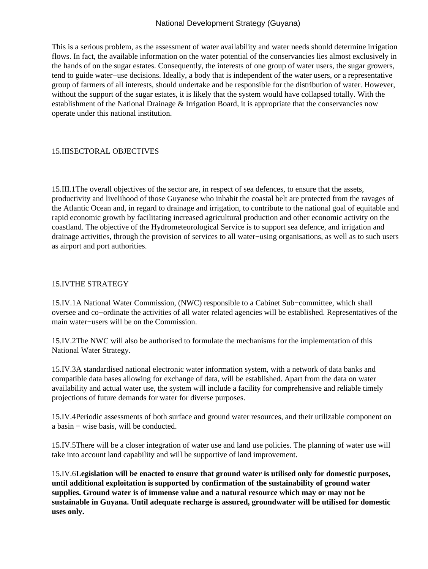This is a serious problem, as the assessment of water availability and water needs should determine irrigation flows. In fact, the available information on the water potential of the conservancies lies almost exclusively in the hands of on the sugar estates. Consequently, the interests of one group of water users, the sugar growers, tend to guide water−use decisions. Ideally, a body that is independent of the water users, or a representative group of farmers of all interests, should undertake and be responsible for the distribution of water. However, without the support of the sugar estates, it is likely that the system would have collapsed totally. With the establishment of the National Drainage & Irrigation Board, it is appropriate that the conservancies now operate under this national institution.

## 15.III SECTORAL OBJECTIVES

15.III.1 The overall objectives of the sector are, in respect of sea defences, to ensure that the assets, productivity and livelihood of those Guyanese who inhabit the coastal belt are protected from the ravages of the Atlantic Ocean and, in regard to drainage and irrigation, to contribute to the national goal of equitable and rapid economic growth by facilitating increased agricultural production and other economic activity on the coastland. The objective of the Hydrometeorological Service is to support sea defence, and irrigation and drainage activities, through the provision of services to all water−using organisations, as well as to such users as airport and port authorities.

## 15.IV THE STRATEGY

15.IV.1 A National Water Commission, (NWC) responsible to a Cabinet Sub−committee, which shall oversee and co−ordinate the activities of all water related agencies will be established. Representatives of the main water−users will be on the Commission.

15.IV.2 The NWC will also be authorised to formulate the mechanisms for the implementation of this National Water Strategy.

15.IV.3 A standardised national electronic water information system, with a network of data banks and compatible data bases allowing for exchange of data, will be established. Apart from the data on water availability and actual water use, the system will include a facility for comprehensive and reliable timely projections of future demands for water for diverse purposes.

15.IV.4 Periodic assessments of both surface and ground water resources, and their utilizable component on a basin − wise basis, will be conducted.

15.IV.5 There will be a closer integration of water use and land use policies. The planning of water use will take into account land capability and will be supportive of land improvement.

15.IV.6 **Legislation will be enacted to ensure that ground water is utilised only for domestic purposes, until additional exploitation is supported by confirmation of the sustainability of ground water supplies. Ground water is of immense value and a natural resource which may or may not be sustainable in Guyana. Until adequate recharge is assured, groundwater will be utilised for domestic uses only.**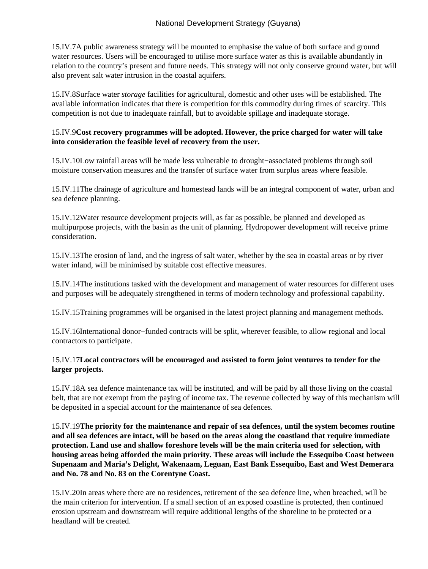15.IV.7 A public awareness strategy will be mounted to emphasise the value of both surface and ground water resources. Users will be encouraged to utilise more surface water as this is available abundantly in relation to the country's present and future needs. This strategy will not only conserve ground water, but will also prevent salt water intrusion in the coastal aquifers.

15.IV.8 Surface water *storage* facilities for agricultural, domestic and other uses will be established. The available information indicates that there is competition for this commodity during times of scarcity. This competition is not due to inadequate rainfall, but to avoidable spillage and inadequate storage.

# 15.IV.9 **Cost recovery programmes will be adopted. However, the price charged for water will take into consideration the feasible level of recovery from the user.**

15.IV.10 Low rainfall areas will be made less vulnerable to drought−associated problems through soil moisture conservation measures and the transfer of surface water from surplus areas where feasible.

15.IV.11 The drainage of agriculture and homestead lands will be an integral component of water, urban and sea defence planning.

15.IV.12 Water resource development projects will, as far as possible, be planned and developed as multipurpose projects, with the basin as the unit of planning. Hydropower development will receive prime consideration.

15.IV.13 The erosion of land, and the ingress of salt water, whether by the sea in coastal areas or by river water inland, will be minimised by suitable cost effective measures.

15.IV.14 The institutions tasked with the development and management of water resources for different uses and purposes will be adequately strengthened in terms of modern technology and professional capability.

15.IV.15 Training programmes will be organised in the latest project planning and management methods.

15.IV.16 International donor−funded contracts will be split, wherever feasible, to allow regional and local contractors to participate.

# 15.IV.17 **Local contractors will be encouraged and assisted to form joint ventures to tender for the larger projects.**

15.IV.18 A sea defence maintenance tax will be instituted, and will be paid by all those living on the coastal belt, that are not exempt from the paying of income tax. The revenue collected by way of this mechanism will be deposited in a special account for the maintenance of sea defences.

15.IV.19 **The priority for the maintenance and repair of sea defences, until the system becomes routine and all sea defences are intact, will be based on the areas along the coastland that require immediate protection. Land use and shallow foreshore levels will be the main criteria used for selection, with housing areas being afforded the main priority. These areas will include the Essequibo Coast between Supenaam and Maria's Delight, Wakenaam, Leguan, East Bank Essequibo, East and West Demerara and No. 78 and No. 83 on the Corentyne Coast.**

15.IV.20 In areas where there are no residences, retirement of the sea defence line, when breached, will be the main criterion for intervention. If a small section of an exposed coastline is protected, then continued erosion upstream and downstream will require additional lengths of the shoreline to be protected or a headland will be created.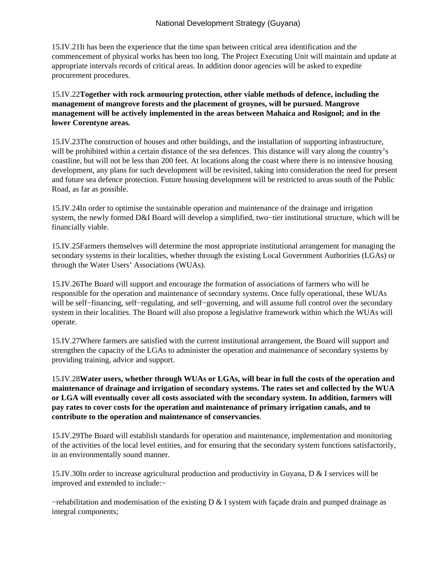15.IV.21 It has been the experience that the time span between critical area identification and the commencement of physical works has been too long. The Project Executing Unit will maintain and update at appropriate intervals records of critical areas. In addition donor agencies will be asked to expedite procurement procedures.

15.IV.22 **Together with rock armouring protection, other viable methods of defence, including the management of mangrove forests and the placement of groynes, will be pursued. Mangrove management will be actively implemented in the areas between Mahaica and Rosignol; and in the lower Corentyne areas.**

15.IV.23 The construction of houses and other buildings, and the installation of supporting infrastructure, will be prohibited within a certain distance of the sea defences. This distance will vary along the country's coastline, but will not be less than 200 feet. At locations along the coast where there is no intensive housing development, any plans for such development will be revisited, taking into consideration the need for present and future sea defence protection. Future housing development will be restricted to areas south of the Public Road, as far as possible.

15.IV.24 In order to optimise the sustainable operation and maintenance of the drainage and irrigation system, the newly formed D&I Board will develop a simplified, two−tier institutional structure, which will be financially viable.

15.IV.25 Farmers themselves will determine the most appropriate institutional arrangement for managing the secondary systems in their localities, whether through the existing Local Government Authorities (LGAs) or through the Water Users' Associations (WUAs).

15.IV.26 The Board will support and encourage the formation of associations of farmers who will be responsible for the operation and maintenance of secondary systems. Once fully operational, these WUAs will be self−financing, self−regulating, and self−governing, and will assume full control over the secondary system in their localities. The Board will also propose a legislative framework within which the WUAs will operate.

15.IV.27 Where farmers are satisfied with the current institutional arrangement, the Board will support and strengthen the capacity of the LGAs to administer the operation and maintenance of secondary systems by providing training, advice and support.

15.IV.28 **Water users, whether through WUAs or LGAs, will bear in full the costs of the operation and maintenance of drainage and irrigation of secondary systems. The rates set and collected by the WUA or LGA will eventually cover all costs associated with the secondary system. In addition, farmers will pay rates to cover costs for the operation and maintenance of primary irrigation canals, and to contribute to the operation and maintenance of conservancies**.

15.IV.29 The Board will establish standards for operation and maintenance, implementation and monitoring of the activities of the local level entities, and for ensuring that the secondary system functions satisfactorily, in an environmentally sound manner.

15.IV.30 In order to increase agricultural production and productivity in Guyana, D & I services will be improved and extended to include:−

 $-$  rehabilitation and modernisation of the existing D & I system with facade drain and pumped drainage as integral components;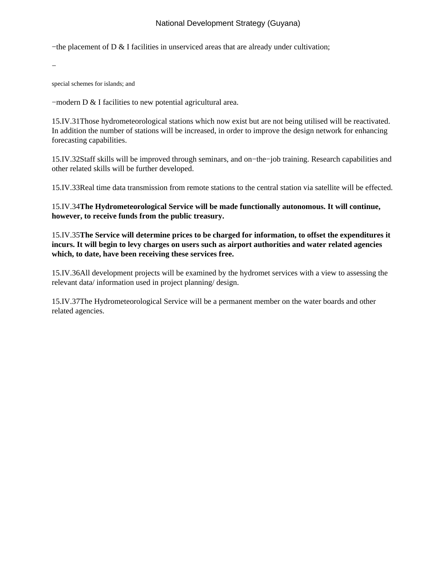− the placement of D & I facilities in unserviced areas that are already under cultivation;

 − 

special schemes for islands; and

− modern D & I facilities to new potential agricultural area.

15.IV.31 Those hydrometeorological stations which now exist but are not being utilised will be reactivated. In addition the number of stations will be increased, in order to improve the design network for enhancing forecasting capabilities.

15.IV.32 Staff skills will be improved through seminars, and on−the−job training. Research capabilities and other related skills will be further developed.

15.IV.33 Real time data transmission from remote stations to the central station via satellite will be effected.

15.IV.34 **The Hydrometeorological Service will be made functionally autonomous. It will continue, however, to receive funds from the public treasury.**

15.IV.35 **The Service will determine prices to be charged for information, to offset the expenditures it incurs. It will begin to levy charges on users such as airport authorities and water related agencies which, to date, have been receiving these services free.**

15.IV.36 All development projects will be examined by the hydromet services with a view to assessing the relevant data/ information used in project planning/ design.

15.IV.37 The Hydrometeorological Service will be a permanent member on the water boards and other related agencies.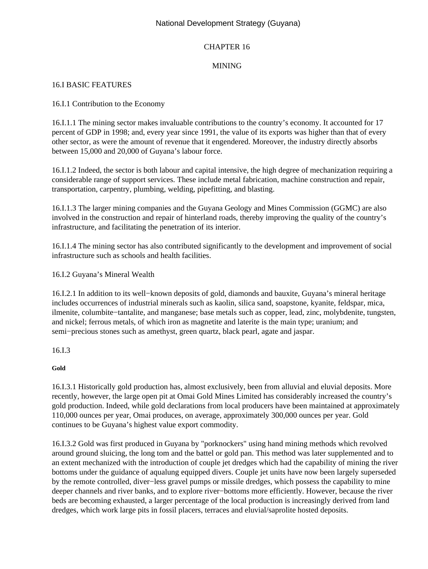# CHAPTER 16

# MINING

## 16.I BASIC FEATURES

## 16.I.1 Contribution to the Economy

16.I.1.1 The mining sector makes invaluable contributions to the country's economy. It accounted for 17 percent of GDP in 1998; and, every year since 1991, the value of its exports was higher than that of every other sector, as were the amount of revenue that it engendered. Moreover, the industry directly absorbs between 15,000 and 20,000 of Guyana's labour force.

16.I.1.2 Indeed, the sector is both labour and capital intensive, the high degree of mechanization requiring a considerable range of support services. These include metal fabrication, machine construction and repair, transportation, carpentry, plumbing, welding, pipefitting, and blasting.

16.I.1.3 The larger mining companies and the Guyana Geology and Mines Commission (GGMC) are also involved in the construction and repair of hinterland roads, thereby improving the quality of the country's infrastructure, and facilitating the penetration of its interior.

16.I.1.4 The mining sector has also contributed significantly to the development and improvement of social infrastructure such as schools and health facilities.

16.I.2 Guyana's Mineral Wealth

16.I.2.1 In addition to its well−known deposits of gold, diamonds and bauxite, Guyana's mineral heritage includes occurrences of industrial minerals such as kaolin, silica sand, soapstone, kyanite, feldspar, mica, ilmenite, columbite−tantalite, and manganese; base metals such as copper, lead, zinc, molybdenite, tungsten, and nickel; ferrous metals, of which iron as magnetite and laterite is the main type; uranium; and semi−precious stones such as amethyst, green quartz, black pearl, agate and jaspar.

16.I.3

**Gold**

16.I.3.1 Historically gold production has, almost exclusively, been from alluvial and eluvial deposits. More recently, however, the large open pit at Omai Gold Mines Limited has considerably increased the country's gold production. Indeed, while gold declarations from local producers have been maintained at approximately 110,000 ounces per year, Omai produces, on average, approximately 300,000 ounces per year. Gold continues to be Guyana's highest value export commodity.

16.I.3.2 Gold was first produced in Guyana by "porknockers" using hand mining methods which revolved around ground sluicing, the long tom and the battel or gold pan. This method was later supplemented and to an extent mechanized with the introduction of couple jet dredges which had the capability of mining the river bottoms under the guidance of aqualung equipped divers. Couple jet units have now been largely superseded by the remote controlled, diver−less gravel pumps or missile dredges, which possess the capability to mine deeper channels and river banks, and to explore river−bottoms more efficiently. However, because the river beds are becoming exhausted, a larger percentage of the local production is increasingly derived from land dredges, which work large pits in fossil placers, terraces and eluvial/saprolite hosted deposits.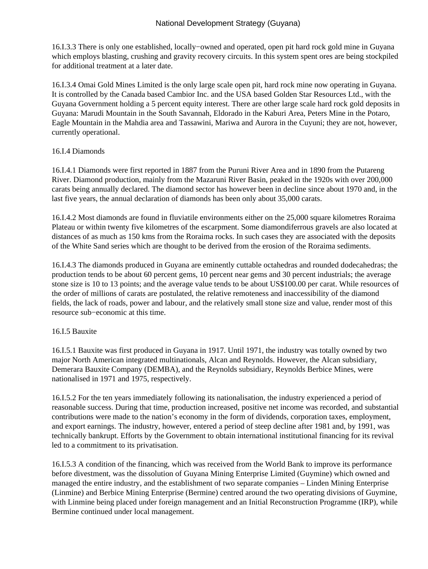16.I.3.3 There is only one established, locally−owned and operated, open pit hard rock gold mine in Guyana which employs blasting, crushing and gravity recovery circuits. In this system spent ores are being stockpiled for additional treatment at a later date.

16.I.3.4 Omai Gold Mines Limited is the only large scale open pit, hard rock mine now operating in Guyana. It is controlled by the Canada based Cambior Inc. and the USA based Golden Star Resources Ltd., with the Guyana Government holding a 5 percent equity interest. There are other large scale hard rock gold deposits in Guyana: Marudi Mountain in the South Savannah, Eldorado in the Kaburi Area, Peters Mine in the Potaro, Eagle Mountain in the Mahdia area and Tassawini, Mariwa and Aurora in the Cuyuni; they are not, however, currently operational.

## 16.I.4 Diamonds

16.I.4.1 Diamonds were first reported in 1887 from the Puruni River Area and in 1890 from the Putareng River. Diamond production, mainly from the Mazaruni River Basin, peaked in the 1920s with over 200,000 carats being annually declared. The diamond sector has however been in decline since about 1970 and, in the last five years, the annual declaration of diamonds has been only about 35,000 carats.

16.I.4.2 Most diamonds are found in fluviatile environments either on the 25,000 square kilometres Roraima Plateau or within twenty five kilometres of the escarpment. Some diamondiferrous gravels are also located at distances of as much as 150 kms from the Roraima rocks. In such cases they are associated with the deposits of the White Sand series which are thought to be derived from the erosion of the Roraima sediments.

16.I.4.3 The diamonds produced in Guyana are eminently cuttable octahedras and rounded dodecahedras; the production tends to be about 60 percent gems, 10 percent near gems and 30 percent industrials; the average stone size is 10 to 13 points; and the average value tends to be about US\$100.00 per carat. While resources of the order of millions of carats are postulated, the relative remoteness and inaccessibility of the diamond fields, the lack of roads, power and labour, and the relatively small stone size and value, render most of this resource sub−economic at this time.

# 16.I.5 Bauxite

16.I.5.1 Bauxite was first produced in Guyana in 1917. Until 1971, the industry was totally owned by two major North American integrated multinationals, Alcan and Reynolds. However, the Alcan subsidiary, Demerara Bauxite Company (DEMBA), and the Reynolds subsidiary, Reynolds Berbice Mines, were nationalised in 1971 and 1975, respectively.

16.I.5.2 For the ten years immediately following its nationalisation, the industry experienced a period of reasonable success. During that time, production increased, positive net income was recorded, and substantial contributions were made to the nation's economy in the form of dividends, corporation taxes, employment, and export earnings. The industry, however, entered a period of steep decline after 1981 and, by 1991, was technically bankrupt. Efforts by the Government to obtain international institutional financing for its revival led to a commitment to its privatisation.

16.I.5.3 A condition of the financing, which was received from the World Bank to improve its performance before divestment, was the dissolution of Guyana Mining Enterprise Limited (Guymine) which owned and managed the entire industry, and the establishment of two separate companies – Linden Mining Enterprise (Linmine) and Berbice Mining Enterprise (Bermine) centred around the two operating divisions of Guymine, with Linmine being placed under foreign management and an Initial Reconstruction Programme (IRP), while Bermine continued under local management.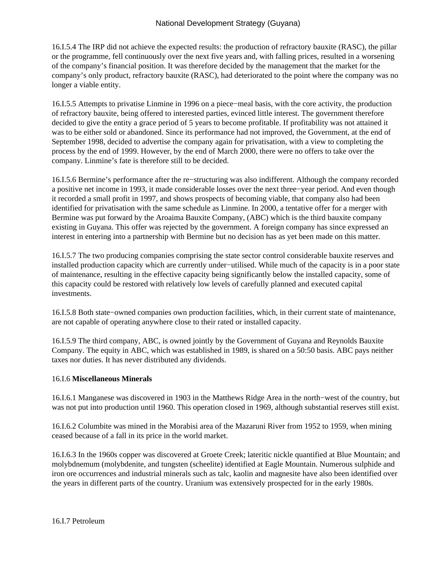16.I.5.4 The IRP did not achieve the expected results: the production of refractory bauxite (RASC), the pillar or the programme, fell continuously over the next five years and, with falling prices, resulted in a worsening of the company's financial position. It was therefore decided by the management that the market for the company's only product, refractory bauxite (RASC), had deteriorated to the point where the company was no longer a viable entity.

16.I.5.5 Attempts to privatise Linmine in 1996 on a piece−meal basis, with the core activity, the production of refractory bauxite, being offered to interested parties, evinced little interest. The government therefore decided to give the entity a grace period of 5 years to become profitable. If profitability was not attained it was to be either sold or abandoned. Since its performance had not improved, the Government, at the end of September 1998, decided to advertise the company again for privatisation, with a view to completing the process by the end of 1999. However, by the end of March 2000, there were no offers to take over the company. Linmine's fate is therefore still to be decided.

16.I.5.6 Bermine's performance after the re−structuring was also indifferent. Although the company recorded a positive net income in 1993, it made considerable losses over the next three−year period. And even though it recorded a small profit in 1997, and shows prospects of becoming viable, that company also had been identified for privatisation with the same schedule as Linmine. In 2000, a tentative offer for a merger with Bermine was put forward by the Aroaima Bauxite Company, (ABC) which is the third bauxite company existing in Guyana. This offer was rejected by the government. A foreign company has since expressed an interest in entering into a partnership with Bermine but no decision has as yet been made on this matter.

16.I.5.7 The two producing companies comprising the state sector control considerable bauxite reserves and installed production capacity which are currently under−utilised. While much of the capacity is in a poor state of maintenance, resulting in the effective capacity being significantly below the installed capacity, some of this capacity could be restored with relatively low levels of carefully planned and executed capital investments.

16.I.5.8 Both state−owned companies own production facilities, which, in their current state of maintenance, are not capable of operating anywhere close to their rated or installed capacity.

16.I.5.9 The third company, ABC, is owned jointly by the Government of Guyana and Reynolds Bauxite Company. The equity in ABC, which was established in 1989, is shared on a 50:50 basis. ABC pays neither taxes nor duties. It has never distributed any dividends.

# 16.I.6 **Miscellaneous Minerals**

16.I.6.1 Manganese was discovered in 1903 in the Matthews Ridge Area in the north−west of the country, but was not put into production until 1960. This operation closed in 1969, although substantial reserves still exist.

16.I.6.2 Columbite was mined in the Morabisi area of the Mazaruni River from 1952 to 1959, when mining ceased because of a fall in its price in the world market.

16.I.6.3 In the 1960s copper was discovered at Groete Creek; lateritic nickle quantified at Blue Mountain; and molybdnemum (molybdenite, and tungsten (scheelite) identified at Eagle Mountain. Numerous sulphide and iron ore occurrences and industrial minerals such as talc, kaolin and magnesite have also been identified over the years in different parts of the country. Uranium was extensively prospected for in the early 1980s.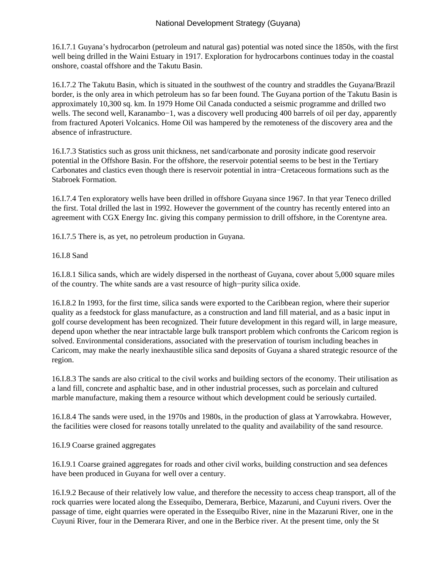16.I.7.1 Guyana's hydrocarbon (petroleum and natural gas) potential was noted since the 1850s, with the first well being drilled in the Waini Estuary in 1917. Exploration for hydrocarbons continues today in the coastal onshore, coastal offshore and the Takutu Basin.

16.I.7.2 The Takutu Basin, which is situated in the southwest of the country and straddles the Guyana/Brazil border, is the only area in which petroleum has so far been found. The Guyana portion of the Takutu Basin is approximately 10,300 sq. km. In 1979 Home Oil Canada conducted a seismic programme and drilled two wells. The second well, Karanambo−1, was a discovery well producing 400 barrels of oil per day, apparently from fractured Apoteri Volcanics. Home Oil was hampered by the remoteness of the discovery area and the absence of infrastructure.

16.I.7.3 Statistics such as gross unit thickness, net sand/carbonate and porosity indicate good reservoir potential in the Offshore Basin. For the offshore, the reservoir potential seems to be best in the Tertiary Carbonates and clastics even though there is reservoir potential in intra−Cretaceous formations such as the Stabroek Formation.

16.I.7.4 Ten exploratory wells have been drilled in offshore Guyana since 1967. In that year Teneco drilled the first. Total drilled the last in 1992. However the government of the country has recently entered into an agreement with CGX Energy Inc. giving this company permission to drill offshore, in the Corentyne area.

16.I.7.5 There is, as yet, no petroleum production in Guyana.

16.I.8 Sand

16.I.8.1 Silica sands, which are widely dispersed in the northeast of Guyana, cover about 5,000 square miles of the country. The white sands are a vast resource of high−purity silica oxide.

16.I.8.2 In 1993, for the first time, silica sands were exported to the Caribbean region, where their superior quality as a feedstock for glass manufacture, as a construction and land fill material, and as a basic input in golf course development has been recognized. Their future development in this regard will, in large measure, depend upon whether the near intractable large bulk transport problem which confronts the Caricom region is solved. Environmental considerations, associated with the preservation of tourism including beaches in Caricom, may make the nearly inexhaustible silica sand deposits of Guyana a shared strategic resource of the region.

16.I.8.3 The sands are also critical to the civil works and building sectors of the economy. Their utilisation as a land fill, concrete and asphaltic base, and in other industrial processes, such as porcelain and cultured marble manufacture, making them a resource without which development could be seriously curtailed.

16.I.8.4 The sands were used, in the 1970s and 1980s, in the production of glass at Yarrowkabra. However, the facilities were closed for reasons totally unrelated to the quality and availability of the sand resource.

# 16.I.9 Coarse grained aggregates

16.I.9.1 Coarse grained aggregates for roads and other civil works, building construction and sea defences have been produced in Guyana for well over a century.

16.I.9.2 Because of their relatively low value, and therefore the necessity to access cheap transport, all of the rock quarries were located along the Essequibo, Demerara, Berbice, Mazaruni, and Cuyuni rivers. Over the passage of time, eight quarries were operated in the Essequibo River, nine in the Mazaruni River, one in the Cuyuni River, four in the Demerara River, and one in the Berbice river. At the present time, only the St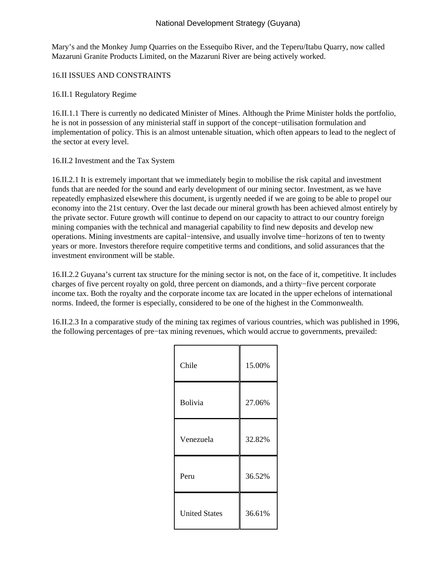Mary's and the Monkey Jump Quarries on the Essequibo River, and the Teperu/Itabu Quarry, now called Mazaruni Granite Products Limited, on the Mazaruni River are being actively worked.

16.II ISSUES AND CONSTRAINTS

16.II.1 Regulatory Regime

16.II.1.1 There is currently no dedicated Minister of Mines. Although the Prime Minister holds the portfolio, he is not in possession of any ministerial staff in support of the concept−utilisation formulation and implementation of policy. This is an almost untenable situation, which often appears to lead to the neglect of the sector at every level.

16.II.2 Investment and the Tax System

16.II.2.1 It is extremely important that we immediately begin to mobilise the risk capital and investment funds that are needed for the sound and early development of our mining sector. Investment, as we have repeatedly emphasized elsewhere this document, is urgently needed if we are going to be able to propel our economy into the 21st century. Over the last decade our mineral growth has been achieved almost entirely by the private sector. Future growth will continue to depend on our capacity to attract to our country foreign mining companies with the technical and managerial capability to find new deposits and develop new operations. Mining investments are capital−intensive, and usually involve time−horizons of ten to twenty years or more. Investors therefore require competitive terms and conditions, and solid assurances that the investment environment will be stable.

16.II.2.2 Guyana's current tax structure for the mining sector is not, on the face of it, competitive. It includes charges of five percent royalty on gold, three percent on diamonds, and a thirty−five percent corporate income tax. Both the royalty and the corporate income tax are located in the upper echelons of international norms. Indeed, the former is especially, considered to be one of the highest in the Commonwealth.

16.II.2.3 In a comparative study of the mining tax regimes of various countries, which was published in 1996, the following percentages of pre−tax mining revenues, which would accrue to governments, prevailed:

| Chile                | 15.00% |
|----------------------|--------|
| Bolivia              | 27.06% |
| Venezuela            | 32.82% |
| Peru                 | 36.52% |
| <b>United States</b> | 36.61% |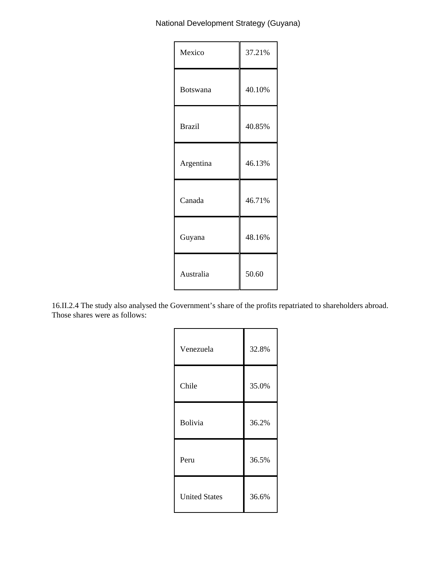| Mexico        | 37.21% |
|---------------|--------|
| Botswana      | 40.10% |
| <b>Brazil</b> | 40.85% |
| Argentina     | 46.13% |
| Canada        | 46.71% |
| Guyana        | 48.16% |
| Australia     | 50.60  |

16.II.2.4 The study also analysed the Government's share of the profits repatriated to shareholders abroad. Those shares were as follows:

| Venezuela            | 32.8% |
|----------------------|-------|
| Chile                | 35.0% |
| Bolivia              | 36.2% |
| Peru                 | 36.5% |
| <b>United States</b> | 36.6% |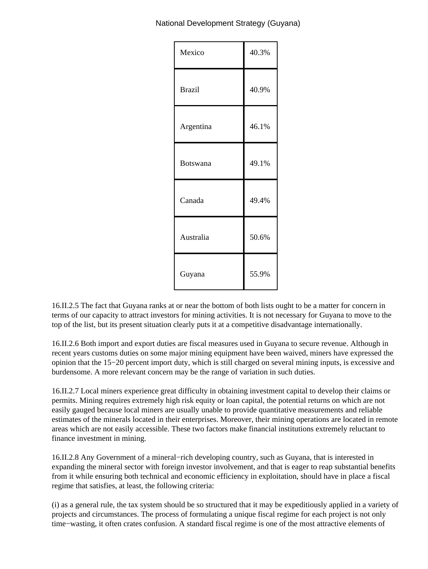| Mexico        | 40.3% |
|---------------|-------|
| <b>Brazil</b> | 40.9% |
| Argentina     | 46.1% |
| Botswana      | 49.1% |
| Canada        | 49.4% |
| Australia     | 50.6% |
| Guyana        | 55.9% |

16.II.2.5 The fact that Guyana ranks at or near the bottom of both lists ought to be a matter for concern in terms of our capacity to attract investors for mining activities. It is not necessary for Guyana to move to the top of the list, but its present situation clearly puts it at a competitive disadvantage internationally.

16.II.2.6 Both import and export duties are fiscal measures used in Guyana to secure revenue. Although in recent years customs duties on some major mining equipment have been waived, miners have expressed the opinion that the 15−20 percent import duty, which is still charged on several mining inputs, is excessive and burdensome. A more relevant concern may be the range of variation in such duties.

16.II.2.7 Local miners experience great difficulty in obtaining investment capital to develop their claims or permits. Mining requires extremely high risk equity or loan capital, the potential returns on which are not easily gauged because local miners are usually unable to provide quantitative measurements and reliable estimates of the minerals located in their enterprises. Moreover, their mining operations are located in remote areas which are not easily accessible. These two factors make financial institutions extremely reluctant to finance investment in mining.

16.II.2.8 Any Government of a mineral−rich developing country, such as Guyana, that is interested in expanding the mineral sector with foreign investor involvement, and that is eager to reap substantial benefits from it while ensuring both technical and economic efficiency in exploitation, should have in place a fiscal regime that satisfies, at least, the following criteria:

(i) as a general rule, the tax system should be so structured that it may be expeditiously applied in a variety of projects and circumstances. The process of formulating a unique fiscal regime for each project is not only time−wasting, it often crates confusion. A standard fiscal regime is one of the most attractive elements of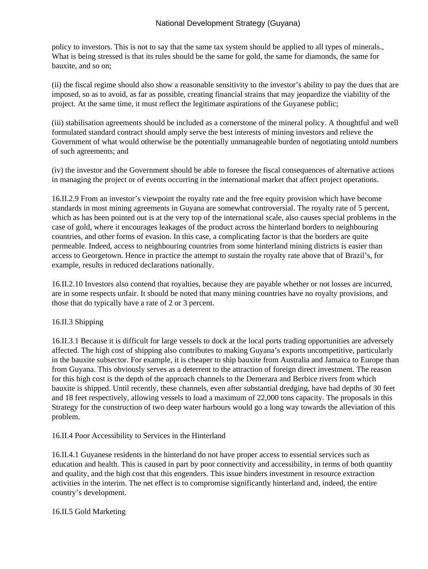policy to investors. This is not to say that the same tax system should be applied to all types of minerals., What is being stressed is that its rules should be the same for gold, the same for diamonds, the same for bauxite, and so on;

(ii) the fiscal regime should also show a reasonable sensitivity to the investor's ability to pay the dues that are imposed, so as to avoid, as far as possible, creating financial strains that may jeopardize the viability of the project. At the same time, it must reflect the legitimate aspirations of the Guyanese public;

(iii) stabilisation agreements should be included as a cornerstone of the mineral policy. A thoughtful and well formulated standard contract should amply serve the best interests of mining investors and relieve the Government of what would otherwise be the potentially unmanageable burden of negotiating untold numbers of such agreements; and

(iv) the investor and the Government should be able to foresee the fiscal consequences of alternative actions in managing the project or of events occurring in the international market that affect project operations.

16.II.2.9 From an investor's viewpoint the royalty rate and the free equity provision which have become standards in most mining agreements in Guyana are somewhat controversial. The royalty rate of 5 percent, which as has been pointed out is at the very top of the international scale, also causes special problems in the case of gold, where it encourages leakages of the product across the hinterland borders to neighbouring countries, and other forms of evasion. In this case, a complicating factor is that the borders are quite permeable. Indeed, access to neighbouring countries from some hinterland mining districts is easier than access to Georgetown. Hence in practice the attempt to sustain the royalty rate above that of Brazil's, for example, results in reduced declarations nationally.

16.II.2.10 Investors also contend that royalties, because they are payable whether or not losses are incurred, are in some respects unfair. It should be noted that many mining countries have no royalty provisions, and those that do typically have a rate of 2 or 3 percent.

## 16.II.3 Shipping

16.II.3.1 Because it is difficult for large vessels to dock at the local ports trading opportunities are adversely affected. The high cost of shipping also contributes to making Guyana's exports uncompetitive, particularly in the bauxite subsector. For example, it is cheaper to ship bauxite from Australia and Jamaica to Europe than from Guyana. This obviously serves as a deterrent to the attraction of foreign direct investment. The reason for this high cost is the depth of the approach channels to the Demerara and Berbice rivers from which bauxite is shipped. Until recently, these channels, even after substantial dredging, have had depths of 30 feet and 18 feet respectively, allowing vessels to load a maximum of 22,000 tons capacity. The proposals in this Strategy for the construction of two deep water harbours would go a long way towards the alleviation of this problem.

16.II.4 Poor Accessibility to Services in the Hinterland

16.II.4.1 Guyanese residents in the hinterland do not have proper access to essential services such as education and health. This is caused in part by poor connectivity and accessibility, in terms of both quantity and quality, and the high cost that this engenders. This issue hinders investment in resource extraction activities in the interim. The net effect is to compromise significantly hinterland and, indeed, the entire country's development.

## 16.II.5 Gold Marketing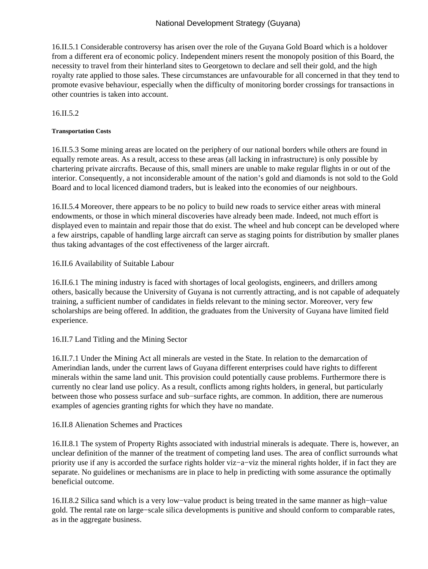16.II.5.1 Considerable controversy has arisen over the role of the Guyana Gold Board which is a holdover from a different era of economic policy. Independent miners resent the monopoly position of this Board, the necessity to travel from their hinterland sites to Georgetown to declare and sell their gold, and the high royalty rate applied to those sales. These circumstances are unfavourable for all concerned in that they tend to promote evasive behaviour, especially when the difficulty of monitoring border crossings for transactions in other countries is taken into account.

16.II.5.2

#### **Transportation Costs**

16.II.5.3 Some mining areas are located on the periphery of our national borders while others are found in equally remote areas. As a result, access to these areas (all lacking in infrastructure) is only possible by chartering private aircrafts. Because of this, small miners are unable to make regular flights in or out of the interior. Consequently, a not inconsiderable amount of the nation's gold and diamonds is not sold to the Gold Board and to local licenced diamond traders, but is leaked into the economies of our neighbours.

16.II.5.4 Moreover, there appears to be no policy to build new roads to service either areas with mineral endowments, or those in which mineral discoveries have already been made. Indeed, not much effort is displayed even to maintain and repair those that do exist. The wheel and hub concept can be developed where a few airstrips, capable of handling large aircraft can serve as staging points for distribution by smaller planes thus taking advantages of the cost effectiveness of the larger aircraft.

16.II.6 Availability of Suitable Labour

16.II.6.1 The mining industry is faced with shortages of local geologists, engineers, and drillers among others, basically because the University of Guyana is not currently attracting, and is not capable of adequately training, a sufficient number of candidates in fields relevant to the mining sector. Moreover, very few scholarships are being offered. In addition, the graduates from the University of Guyana have limited field experience.

## 16.II.7 Land Titling and the Mining Sector

16.II.7.1 Under the Mining Act all minerals are vested in the State. In relation to the demarcation of Amerindian lands, under the current laws of Guyana different enterprises could have rights to different minerals within the same land unit. This provision could potentially cause problems. Furthermore there is currently no clear land use policy. As a result, conflicts among rights holders, in general, but particularly between those who possess surface and sub−surface rights, are common. In addition, there are numerous examples of agencies granting rights for which they have no mandate.

## 16.II.8 Alienation Schemes and Practices

16.II.8.1 The system of Property Rights associated with industrial minerals is adequate. There is, however, an unclear definition of the manner of the treatment of competing land uses. The area of conflict surrounds what priority use if any is accorded the surface rights holder viz−a−viz the mineral rights holder, if in fact they are separate. No guidelines or mechanisms are in place to help in predicting with some assurance the optimally beneficial outcome.

16.II.8.2 Silica sand which is a very low−value product is being treated in the same manner as high−value gold. The rental rate on large−scale silica developments is punitive and should conform to comparable rates, as in the aggregate business.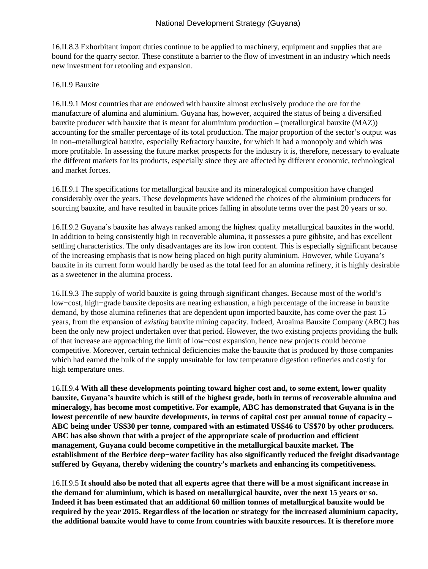16.II.8.3 Exhorbitant import duties continue to be applied to machinery, equipment and supplies that are bound for the quarry sector. These constitute a barrier to the flow of investment in an industry which needs new investment for retooling and expansion.

## 16.II.9 Bauxite

16.II.9.1 Most countries that are endowed with bauxite almost exclusively produce the ore for the manufacture of alumina and aluminium. Guyana has, however, acquired the status of being a diversified bauxite producer with bauxite that is meant for aluminium production – (metallurgical bauxite (MAZ)) accounting for the smaller percentage of its total production. The major proportion of the sector's output was in non–metallurgical bauxite, especially Refractory bauxite, for which it had a monopoly and which was more profitable. In assessing the future market prospects for the industry it is, therefore, necessary to evaluate the different markets for its products, especially since they are affected by different economic, technological and market forces.

16.II.9.1 The specifications for metallurgical bauxite and its mineralogical composition have changed considerably over the years. These developments have widened the choices of the aluminium producers for sourcing bauxite, and have resulted in bauxite prices falling in absolute terms over the past 20 years or so.

16.II.9.2 Guyana's bauxite has always ranked among the highest quality metallurgical bauxites in the world. In addition to being consistently high in recoverable alumina, it possesses a pure gibbsite, and has excellent settling characteristics. The only disadvantages are its low iron content. This is especially significant because of the increasing emphasis that is now being placed on high purity aluminium. However, while Guyana's bauxite in its current form would hardly be used as the total feed for an alumina refinery, it is highly desirable as a sweetener in the alumina process.

16.II.9.3 The supply of world bauxite is going through significant changes. Because most of the world's low−cost, high−grade bauxite deposits are nearing exhaustion, a high percentage of the increase in bauxite demand, by those alumina refineries that are dependent upon imported bauxite, has come over the past 15 years, from the expansion of *existing* bauxite mining capacity. Indeed, Aroaima Bauxite Company (ABC) has been the only new project undertaken over that period. However, the two existing projects providing the bulk of that increase are approaching the limit of low−cost expansion, hence new projects could become competitive. Moreover, certain technical deficiencies make the bauxite that is produced by those companies which had earned the bulk of the supply unsuitable for low temperature digestion refineries and costly for high temperature ones.

16.II.9.4 **With all these developments pointing toward higher cost and, to some extent, lower quality bauxite, Guyana's bauxite which is still of the highest grade, both in terms of recoverable alumina and mineralogy, has become most competitive. For example, ABC has demonstrated that Guyana is in the lowest percentile of new bauxite developments, in terms of capital cost per annual tonne of capacity – ABC being under US\$30 per tonne, compared with an estimated US\$46 to US\$70 by other producers. ABC has also shown that with a project of the appropriate scale of production and efficient management, Guyana could become competitive in the metallurgical bauxite market. The establishment of the Berbice deep−water facility has also significantly reduced the freight disadvantage suffered by Guyana, thereby widening the country's markets and enhancing its competitiveness.**

16.II.9.5 **It should also be noted that all experts agree that there will be a most significant increase in the demand for aluminium, which is based on metallurgical bauxite, over the next 15 years or so. Indeed it has been estimated that an additional 60 million tonnes of metallurgical bauxite would be required by the year 2015. Regardless of the location or strategy for the increased aluminium capacity, the additional bauxite would have to come from countries with bauxite resources. It is therefore more**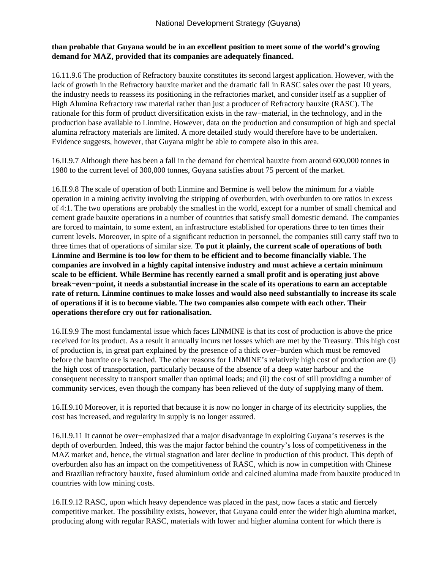# **than probable that Guyana would be in an excellent position to meet some of the world's growing demand for MAZ, provided that its companies are adequately financed.**

16.11.9.6 The production of Refractory bauxite constitutes its second largest application. However, with the lack of growth in the Refractory bauxite market and the dramatic fall in RASC sales over the past 10 years, the industry needs to reassess its positioning in the refractories market, and consider itself as a supplier of High Alumina Refractory raw material rather than just a producer of Refractory bauxite (RASC). The rationale for this form of product diversification exists in the raw−material, in the technology, and in the production base available to Linmine. However, data on the production and consumption of high and special alumina refractory materials are limited. A more detailed study would therefore have to be undertaken. Evidence suggests, however, that Guyana might be able to compete also in this area.

16.II.9.7 Although there has been a fall in the demand for chemical bauxite from around 600,000 tonnes in 1980 to the current level of 300,000 tonnes, Guyana satisfies about 75 percent of the market.

16.II.9.8 The scale of operation of both Linmine and Bermine is well below the minimum for a viable operation in a mining activity involving the stripping of overburden, with overburden to ore ratios in excess of 4:1. The two operations are probably the smallest in the world, except for a number of small chemical and cement grade bauxite operations in a number of countries that satisfy small domestic demand. The companies are forced to maintain, to some extent, an infrastructure established for operations three to ten times their current levels. Moreover, in spite of a significant reduction in personnel, the companies still carry staff two to three times that of operations of similar size. **To put it plainly, the current scale of operations of both Linmine and Bermine is too low for them to be efficient and to become financially viable. The companies are involved in a highly capital intensive industry and must achieve a certain minimum scale to be efficient. While Bermine has recently earned a small profit and is operating just above break−even−point, it needs a substantial increase in the scale of its operations to earn an acceptable rate of return. Linmine continues to make losses and would also need substantially to increase its scale of operations if it is to become viable. The two companies also compete with each other. Their operations therefore cry out for rationalisation.**

16.II.9.9 The most fundamental issue which faces LINMINE is that its cost of production is above the price received for its product. As a result it annually incurs net losses which are met by the Treasury. This high cost of production is, in great part explained by the presence of a thick over−burden which must be removed before the bauxite ore is reached. The other reasons for LINMINE's relatively high cost of production are (i) the high cost of transportation, particularly because of the absence of a deep water harbour and the consequent necessity to transport smaller than optimal loads; and (ii) the cost of still providing a number of community services, even though the company has been relieved of the duty of supplying many of them.

16.II.9.10 Moreover, it is reported that because it is now no longer in charge of its electricity supplies, the cost has increased, and regularity in supply is no longer assured.

16.II.9.11 It cannot be over−emphasized that a major disadvantage in exploiting Guyana's reserves is the depth of overburden. Indeed, this was the major factor behind the country's loss of competitiveness in the MAZ market and, hence, the virtual stagnation and later decline in production of this product. This depth of overburden also has an impact on the competitiveness of RASC, which is now in competition with Chinese and Brazilian refractory bauxite, fused aluminium oxide and calcined alumina made from bauxite produced in countries with low mining costs.

16.II.9.12 RASC, upon which heavy dependence was placed in the past, now faces a static and fiercely competitive market. The possibility exists, however, that Guyana could enter the wider high alumina market, producing along with regular RASC, materials with lower and higher alumina content for which there is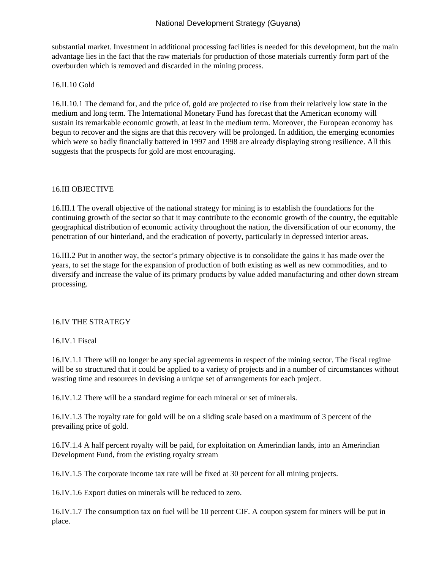substantial market. Investment in additional processing facilities is needed for this development, but the main advantage lies in the fact that the raw materials for production of those materials currently form part of the overburden which is removed and discarded in the mining process.

## 16.II.10 Gold

16.II.10.1 The demand for, and the price of, gold are projected to rise from their relatively low state in the medium and long term. The International Monetary Fund has forecast that the American economy will sustain its remarkable economic growth, at least in the medium term. Moreover, the European economy has begun to recover and the signs are that this recovery will be prolonged. In addition, the emerging economies which were so badly financially battered in 1997 and 1998 are already displaying strong resilience. All this suggests that the prospects for gold are most encouraging.

## 16.III OBJECTIVE

16.III.1 The overall objective of the national strategy for mining is to establish the foundations for the continuing growth of the sector so that it may contribute to the economic growth of the country, the equitable geographical distribution of economic activity throughout the nation, the diversification of our economy, the penetration of our hinterland, and the eradication of poverty, particularly in depressed interior areas.

16.III.2 Put in another way, the sector's primary objective is to consolidate the gains it has made over the years, to set the stage for the expansion of production of both existing as well as new commodities, and to diversify and increase the value of its primary products by value added manufacturing and other down stream processing.

# 16.IV THE STRATEGY

## 16.IV.1 Fiscal

16.IV.1.1 There will no longer be any special agreements in respect of the mining sector. The fiscal regime will be so structured that it could be applied to a variety of projects and in a number of circumstances without wasting time and resources in devising a unique set of arrangements for each project.

16.IV.1.2 There will be a standard regime for each mineral or set of minerals.

16.IV.1.3 The royalty rate for gold will be on a sliding scale based on a maximum of 3 percent of the prevailing price of gold.

16.IV.1.4 A half percent royalty will be paid, for exploitation on Amerindian lands, into an Amerindian Development Fund, from the existing royalty stream

16.IV.1.5 The corporate income tax rate will be fixed at 30 percent for all mining projects.

16.IV.1.6 Export duties on minerals will be reduced to zero.

16.IV.1.7 The consumption tax on fuel will be 10 percent CIF. A coupon system for miners will be put in place.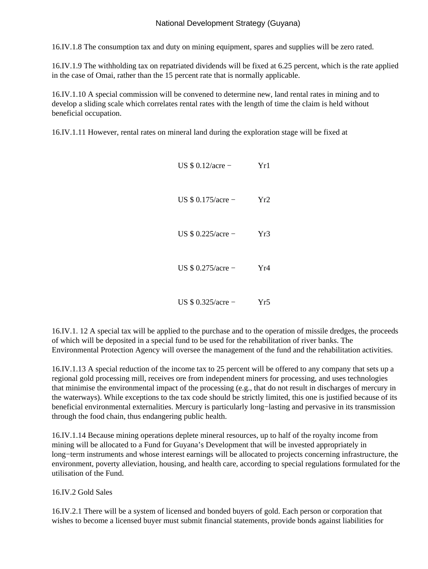16.IV.1.8 The consumption tax and duty on mining equipment, spares and supplies will be zero rated.

16.IV.1.9 The withholding tax on repatriated dividends will be fixed at 6.25 percent, which is the rate applied in the case of Omai, rather than the 15 percent rate that is normally applicable.

16.IV.1.10 A special commission will be convened to determine new, land rental rates in mining and to develop a sliding scale which correlates rental rates with the length of time the claim is held without beneficial occupation.

16.IV.1.11 However, rental rates on mineral land during the exploration stage will be fixed at

| US $$0.12/acre -$  | Yr1             |
|--------------------|-----------------|
| US $$0.175/acre -$ | Yr2             |
| US $$0.225/acre -$ | Yr3             |
| US $$0.275/acre -$ | Yr4             |
| US $$0.325/acre -$ | Yr <sup>4</sup> |

16.IV.1. 12 A special tax will be applied to the purchase and to the operation of missile dredges, the proceeds of which will be deposited in a special fund to be used for the rehabilitation of river banks. The Environmental Protection Agency will oversee the management of the fund and the rehabilitation activities.

16.IV.1.13 A special reduction of the income tax to 25 percent will be offered to any company that sets up a regional gold processing mill, receives ore from independent miners for processing, and uses technologies that minimise the environmental impact of the processing (e.g., that do not result in discharges of mercury in the waterways). While exceptions to the tax code should be strictly limited, this one is justified because of its beneficial environmental externalities. Mercury is particularly long−lasting and pervasive in its transmission through the food chain, thus endangering public health.

16.IV.1.14 Because mining operations deplete mineral resources, up to half of the royalty income from mining will be allocated to a Fund for Guyana's Development that will be invested appropriately in long−term instruments and whose interest earnings will be allocated to projects concerning infrastructure, the environment, poverty alleviation, housing, and health care, according to special regulations formulated for the utilisation of the Fund.

# 16.IV.2 Gold Sales

16.IV.2.1 There will be a system of licensed and bonded buyers of gold. Each person or corporation that wishes to become a licensed buyer must submit financial statements, provide bonds against liabilities for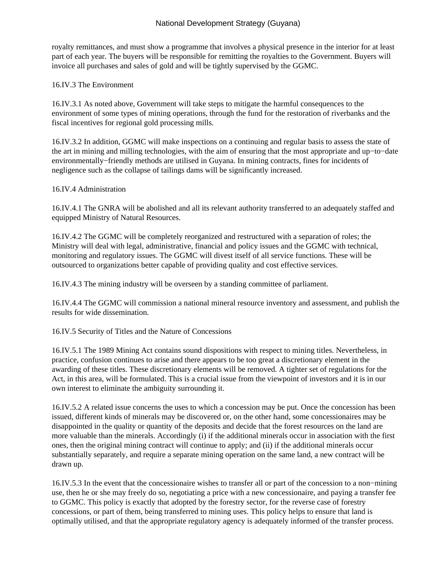royalty remittances, and must show a programme that involves a physical presence in the interior for at least part of each year. The buyers will be responsible for remitting the royalties to the Government. Buyers will invoice all purchases and sales of gold and will be tightly supervised by the GGMC.

## 16.IV.3 The Environment

16.IV.3.1 As noted above, Government will take steps to mitigate the harmful consequences to the environment of some types of mining operations, through the fund for the restoration of riverbanks and the fiscal incentives for regional gold processing mills.

16.IV.3.2 In addition, GGMC will make inspections on a continuing and regular basis to assess the state of the art in mining and milling technologies, with the aim of ensuring that the most appropriate and up−to−date environmentally−friendly methods are utilised in Guyana. In mining contracts, fines for incidents of negligence such as the collapse of tailings dams will be significantly increased.

## 16.IV.4 Administration

16.IV.4.1 The GNRA will be abolished and all its relevant authority transferred to an adequately staffed and equipped Ministry of Natural Resources.

16.IV.4.2 The GGMC will be completely reorganized and restructured with a separation of roles; the Ministry will deal with legal, administrative, financial and policy issues and the GGMC with technical, monitoring and regulatory issues. The GGMC will divest itself of all service functions. These will be outsourced to organizations better capable of providing quality and cost effective services.

16.IV.4.3 The mining industry will be overseen by a standing committee of parliament.

16.IV.4.4 The GGMC will commission a national mineral resource inventory and assessment, and publish the results for wide dissemination.

16.IV.5 Security of Titles and the Nature of Concessions

16.IV.5.1 The 1989 Mining Act contains sound dispositions with respect to mining titles. Nevertheless, in practice, confusion continues to arise and there appears to be too great a discretionary element in the awarding of these titles. These discretionary elements will be removed. A tighter set of regulations for the Act, in this area, will be formulated. This is a crucial issue from the viewpoint of investors and it is in our own interest to eliminate the ambiguity surrounding it.

16.IV.5.2 A related issue concerns the uses to which a concession may be put. Once the concession has been issued, different kinds of minerals may be discovered or, on the other hand, some concessionaires may be disappointed in the quality or quantity of the deposits and decide that the forest resources on the land are more valuable than the minerals. Accordingly (i) if the additional minerals occur in association with the first ones, then the original mining contract will continue to apply; and (ii) if the additional minerals occur substantially separately, and require a separate mining operation on the same land, a new contract will be drawn up.

16.IV.5.3 In the event that the concessionaire wishes to transfer all or part of the concession to a non−mining use, then he or she may freely do so, negotiating a price with a new concessionaire, and paying a transfer fee to GGMC. This policy is exactly that adopted by the forestry sector, for the reverse case of forestry concessions, or part of them, being transferred to mining uses. This policy helps to ensure that land is optimally utilised, and that the appropriate regulatory agency is adequately informed of the transfer process.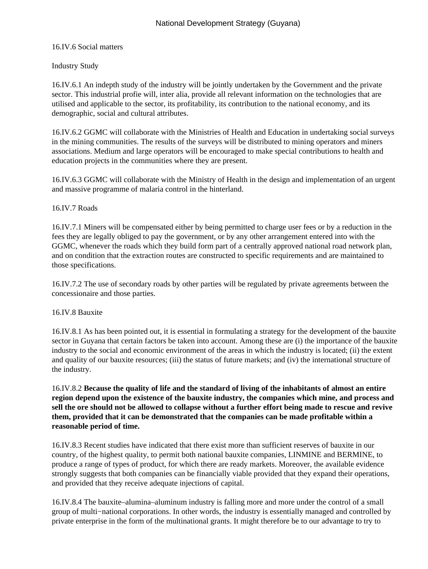# 16.IV.6 Social matters

# Industry Study

16.IV.6.1 An indepth study of the industry will be jointly undertaken by the Government and the private sector. This industrial profie will, inter alia, provide all relevant information on the technologies that are utilised and applicable to the sector, its profitability, its contribution to the national economy, and its demographic, social and cultural attributes.

16.IV.6.2 GGMC will collaborate with the Ministries of Health and Education in undertaking social surveys in the mining communities. The results of the surveys will be distributed to mining operators and miners associations. Medium and large operators will be encouraged to make special contributions to health and education projects in the communities where they are present.

16.IV.6.3 GGMC will collaborate with the Ministry of Health in the design and implementation of an urgent and massive programme of malaria control in the hinterland.

# 16.IV.7 Roads

16.IV.7.1 Miners will be compensated either by being permitted to charge user fees or by a reduction in the fees they are legally obliged to pay the government, or by any other arrangement entered into with the GGMC, whenever the roads which they build form part of a centrally approved national road network plan, and on condition that the extraction routes are constructed to specific requirements and are maintained to those specifications.

16.IV.7.2 The use of secondary roads by other parties will be regulated by private agreements between the concessionaire and those parties.

# 16.IV.8 Bauxite

16.IV.8.1 As has been pointed out, it is essential in formulating a strategy for the development of the bauxite sector in Guyana that certain factors be taken into account. Among these are (i) the importance of the bauxite industry to the social and economic environment of the areas in which the industry is located; (ii) the extent and quality of our bauxite resources; (iii) the status of future markets; and (iv) the international structure of the industry.

16.IV.8.2 **Because the quality of life and the standard of living of the inhabitants of almost an entire region depend upon the existence of the bauxite industry, the companies which mine, and process and sell the ore should not be allowed to collapse without a further effort being made to rescue and revive them, provided that it can be demonstrated that the companies can be made profitable within a reasonable period of time.**

16.IV.8.3 Recent studies have indicated that there exist more than sufficient reserves of bauxite in our country, of the highest quality, to permit both national bauxite companies, LINMINE and BERMINE, to produce a range of types of product, for which there are ready markets. Moreover, the available evidence strongly suggests that both companies can be financially viable provided that they expand their operations, and provided that they receive adequate injections of capital.

16.IV.8.4 The bauxite–alumina–aluminum industry is falling more and more under the control of a small group of multi−national corporations. In other words, the industry is essentially managed and controlled by private enterprise in the form of the multinational grants. It might therefore be to our advantage to try to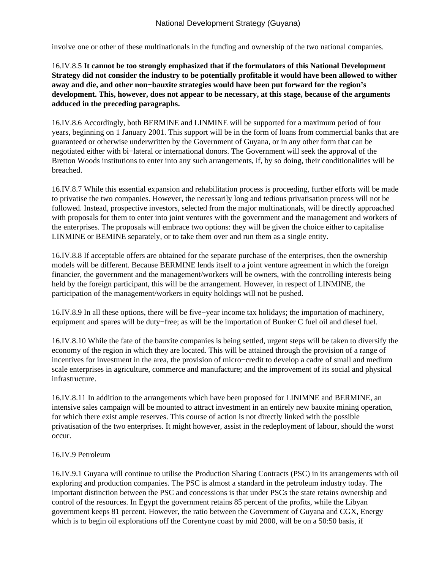involve one or other of these multinationals in the funding and ownership of the two national companies.

# 16.IV.8.5 **It cannot be too strongly emphasized that if the formulators of this National Development Strategy did not consider the industry to be potentially profitable it would have been allowed to wither away and die, and other non−bauxite strategies would have been put forward for the region's development. This, however, does not appear to be necessary, at this stage, because of the arguments adduced in the preceding paragraphs.**

16.IV.8.6 Accordingly, both BERMINE and LINMINE will be supported for a maximum period of four years, beginning on 1 January 2001. This support will be in the form of loans from commercial banks that are guaranteed or otherwise underwritten by the Government of Guyana, or in any other form that can be negotiated either with bi−lateral or international donors. The Government will seek the approval of the Bretton Woods institutions to enter into any such arrangements, if, by so doing, their conditionalities will be breached.

16.IV.8.7 While this essential expansion and rehabilitation process is proceeding, further efforts will be made to privatise the two companies. However, the necessarily long and tedious privatisation process will not be followed. Instead, prospective investors, selected from the major multinationals, will be directly approached with proposals for them to enter into joint ventures with the government and the management and workers of the enterprises. The proposals will embrace two options: they will be given the choice either to capitalise LINMINE or BEMINE separately, or to take them over and run them as a single entity.

16.IV.8.8 If acceptable offers are obtained for the separate purchase of the enterprises, then the ownership models will be different. Because BERMINE lends itself to a joint venture agreement in which the foreign financier, the government and the management/workers will be owners, with the controlling interests being held by the foreign participant, this will be the arrangement. However, in respect of LINMINE, the participation of the management/workers in equity holdings will not be pushed.

16.IV.8.9 In all these options, there will be five−year income tax holidays; the importation of machinery, equipment and spares will be duty−free; as will be the importation of Bunker C fuel oil and diesel fuel.

16.IV.8.10 While the fate of the bauxite companies is being settled, urgent steps will be taken to diversify the economy of the region in which they are located. This will be attained through the provision of a range of incentives for investment in the area, the provision of micro−credit to develop a cadre of small and medium scale enterprises in agriculture, commerce and manufacture; and the improvement of its social and physical infrastructure.

16.IV.8.11 In addition to the arrangements which have been proposed for LINIMNE and BERMINE, an intensive sales campaign will be mounted to attract investment in an entirely new bauxite mining operation, for which there exist ample reserves. This course of action is not directly linked with the possible privatisation of the two enterprises. It might however, assist in the redeployment of labour, should the worst occur.

## 16.IV.9 Petroleum

16.IV.9.1 Guyana will continue to utilise the Production Sharing Contracts (PSC) in its arrangements with oil exploring and production companies. The PSC is almost a standard in the petroleum industry today. The important distinction between the PSC and concessions is that under PSCs the state retains ownership and control of the resources. In Egypt the government retains 85 percent of the profits, while the Libyan government keeps 81 percent. However, the ratio between the Government of Guyana and CGX, Energy which is to begin oil explorations off the Corentyne coast by mid 2000, will be on a 50:50 basis, if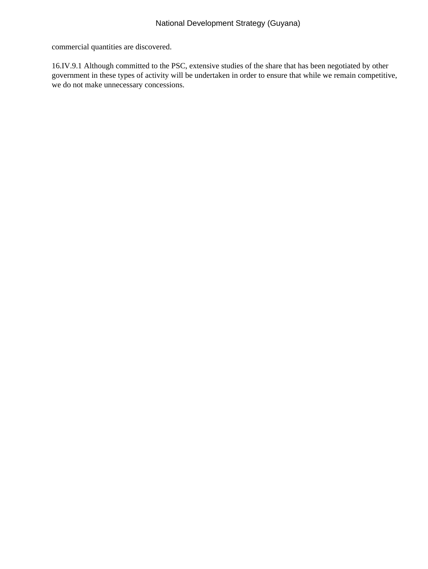commercial quantities are discovered.

16.IV.9.1 Although committed to the PSC, extensive studies of the share that has been negotiated by other government in these types of activity will be undertaken in order to ensure that while we remain competitive, we do not make unnecessary concessions.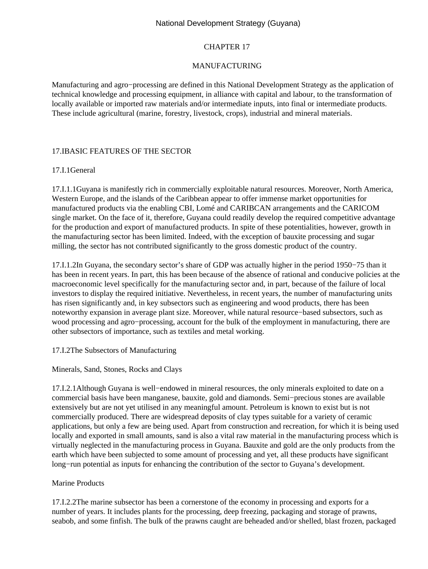## CHAPTER 17

## MANUFACTURING

Manufacturing and agro−processing are defined in this National Development Strategy as the application of technical knowledge and processing equipment, in alliance with capital and labour, to the transformation of locally available or imported raw materials and/or intermediate inputs, into final or intermediate products. These include agricultural (marine, forestry, livestock, crops), industrial and mineral materials.

## 17.I BASIC FEATURES OF THE SECTOR

## 17.I.1 General

17.I.1.1 Guyana is manifestly rich in commercially exploitable natural resources. Moreover, North America, Western Europe, and the islands of the Caribbean appear to offer immense market opportunities for manufactured products via the enabling CBI, Lomé and CARIBCAN arrangements and the CARICOM single market. On the face of it, therefore, Guyana could readily develop the required competitive advantage for the production and export of manufactured products. In spite of these potentialities, however, growth in the manufacturing sector has been limited. Indeed, with the exception of bauxite processing and sugar milling, the sector has not contributed significantly to the gross domestic product of the country.

17.I.1.2 In Guyana, the secondary sector's share of GDP was actually higher in the period 1950−75 than it has been in recent years. In part, this has been because of the absence of rational and conducive policies at the macroeconomic level specifically for the manufacturing sector and, in part, because of the failure of local investors to display the required initiative. Nevertheless, in recent years, the number of manufacturing units has risen significantly and, in key subsectors such as engineering and wood products, there has been noteworthy expansion in average plant size. Moreover, while natural resource−based subsectors, such as wood processing and agro−processing, account for the bulk of the employment in manufacturing, there are other subsectors of importance, such as textiles and metal working.

## 17.I.2 The Subsectors of Manufacturing

## Minerals, Sand, Stones, Rocks and Clays

17.I.2.1 Although Guyana is well−endowed in mineral resources, the only minerals exploited to date on a commercial basis have been manganese, bauxite, gold and diamonds. Semi−precious stones are available extensively but are not yet utilised in any meaningful amount. Petroleum is known to exist but is not commercially produced. There are widespread deposits of clay types suitable for a variety of ceramic applications, but only a few are being used. Apart from construction and recreation, for which it is being used locally and exported in small amounts, sand is also a vital raw material in the manufacturing process which is virtually neglected in the manufacturing process in Guyana. Bauxite and gold are the only products from the earth which have been subjected to some amount of processing and yet, all these products have significant long−run potential as inputs for enhancing the contribution of the sector to Guyana's development.

## Marine Products

17.I.2.2 The marine subsector has been a cornerstone of the economy in processing and exports for a number of years. It includes plants for the processing, deep freezing, packaging and storage of prawns, seabob, and some finfish. The bulk of the prawns caught are beheaded and/or shelled, blast frozen, packaged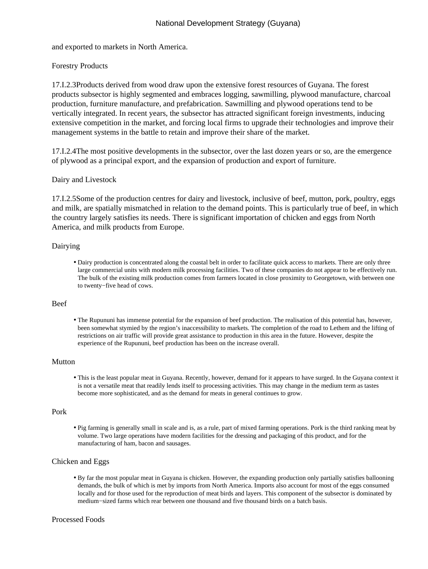and exported to markets in North America.

## Forestry Products

17.I.2.3 Products derived from wood draw upon the extensive forest resources of Guyana. The forest products subsector is highly segmented and embraces logging, sawmilling, plywood manufacture, charcoal production, furniture manufacture, and prefabrication. Sawmilling and plywood operations tend to be vertically integrated. In recent years, the subsector has attracted significant foreign investments, inducing extensive competition in the market, and forcing local firms to upgrade their technologies and improve their management systems in the battle to retain and improve their share of the market.

17.I.2.4 The most positive developments in the subsector, over the last dozen years or so, are the emergence of plywood as a principal export, and the expansion of production and export of furniture.

## Dairy and Livestock

17.I.2.5 Some of the production centres for dairy and livestock, inclusive of beef, mutton, pork, poultry, eggs and milk, are spatially mismatched in relation to the demand points. This is particularly true of beef, in which the country largely satisfies its needs. There is significant importation of chicken and eggs from North America, and milk products from Europe.

#### Dairying

• Dairy production is concentrated along the coastal belt in order to facilitate quick access to markets. There are only three large commercial units with modern milk processing facilities. Two of these companies do not appear to be effectively run. The bulk of the existing milk production comes from farmers located in close proximity to Georgetown, with between one to twenty−five head of cows.

#### Beef

The Rupununi has immense potential for the expansion of beef production. The realisation of this potential has, however, • been somewhat stymied by the region's inaccessibility to markets. The completion of the road to Lethem and the lifting of restrictions on air traffic will provide great assistance to production in this area in the future. However, despite the experience of the Rupununi, beef production has been on the increase overall.

## Mutton

• This is the least popular meat in Guyana. Recently, however, demand for it appears to have surged. In the Guyana context it is not a versatile meat that readily lends itself to processing activities. This may change in the medium term as tastes become more sophisticated, and as the demand for meats in general continues to grow.

#### Pork

• Pig farming is generally small in scale and is, as a rule, part of mixed farming operations. Pork is the third ranking meat by volume. Two large operations have modern facilities for the dressing and packaging of this product, and for the manufacturing of ham, bacon and sausages.

#### Chicken and Eggs

• By far the most popular meat in Guyana is chicken. However, the expanding production only partially satisfies ballooning demands, the bulk of which is met by imports from North America. Imports also account for most of the eggs consumed locally and for those used for the reproduction of meat birds and layers. This component of the subsector is dominated by medium−sized farms which rear between one thousand and five thousand birds on a batch basis.

#### Processed Foods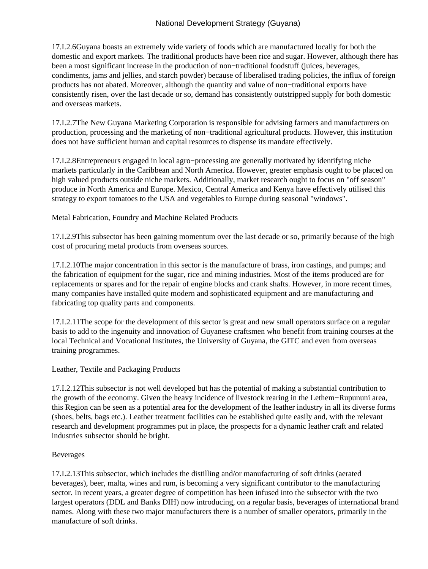17.I.2.6 Guyana boasts an extremely wide variety of foods which are manufactured locally for both the domestic and export markets. The traditional products have been rice and sugar. However, although there has been a most significant increase in the production of non−traditional foodstuff (juices, beverages, condiments, jams and jellies, and starch powder) because of liberalised trading policies, the influx of foreign products has not abated. Moreover, although the quantity and value of non−traditional exports have consistently risen, over the last decade or so, demand has consistently outstripped supply for both domestic and overseas markets.

17.I.2.7 The New Guyana Marketing Corporation is responsible for advising farmers and manufacturers on production, processing and the marketing of non−traditional agricultural products. However, this institution does not have sufficient human and capital resources to dispense its mandate effectively.

17.I.2.8 Entrepreneurs engaged in local agro−processing are generally motivated by identifying niche markets particularly in the Caribbean and North America. However, greater emphasis ought to be placed on high valued products outside niche markets. Additionally, market research ought to focus on "off season" produce in North America and Europe. Mexico, Central America and Kenya have effectively utilised this strategy to export tomatoes to the USA and vegetables to Europe during seasonal "windows".

Metal Fabrication, Foundry and Machine Related Products

17.I.2.9 This subsector has been gaining momentum over the last decade or so, primarily because of the high cost of procuring metal products from overseas sources.

17.I.2.10 The major concentration in this sector is the manufacture of brass, iron castings, and pumps; and the fabrication of equipment for the sugar, rice and mining industries. Most of the items produced are for replacements or spares and for the repair of engine blocks and crank shafts. However, in more recent times, many companies have installed quite modern and sophisticated equipment and are manufacturing and fabricating top quality parts and components.

17.I.2.11 The scope for the development of this sector is great and new small operators surface on a regular basis to add to the ingenuity and innovation of Guyanese craftsmen who benefit from training courses at the local Technical and Vocational Institutes, the University of Guyana, the GITC and even from overseas training programmes.

Leather, Textile and Packaging Products

17.I.2.12 This subsector is not well developed but has the potential of making a substantial contribution to the growth of the economy. Given the heavy incidence of livestock rearing in the Lethem−Rupununi area, this Region can be seen as a potential area for the development of the leather industry in all its diverse forms (shoes, belts, bags etc.). Leather treatment facilities can be established quite easily and, with the relevant research and development programmes put in place, the prospects for a dynamic leather craft and related industries subsector should be bright.

## Beverages

17.I.2.13 This subsector, which includes the distilling and/or manufacturing of soft drinks (aerated beverages), beer, malta, wines and rum, is becoming a very significant contributor to the manufacturing sector. In recent years, a greater degree of competition has been infused into the subsector with the two largest operators (DDL and Banks DIH) now introducing, on a regular basis, beverages of international brand names. Along with these two major manufacturers there is a number of smaller operators, primarily in the manufacture of soft drinks.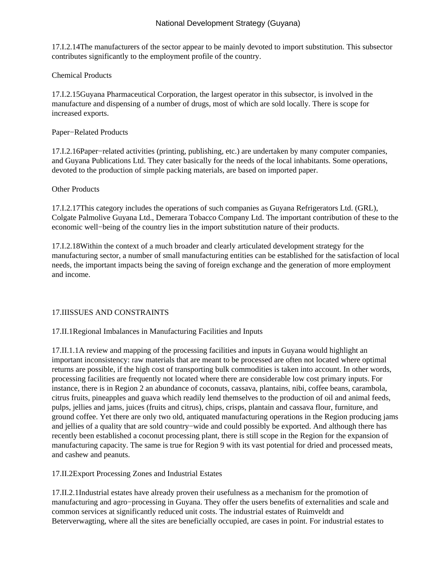17.I.2.14 The manufacturers of the sector appear to be mainly devoted to import substitution. This subsector contributes significantly to the employment profile of the country.

Chemical Products

17.I.2.15 Guyana Pharmaceutical Corporation, the largest operator in this subsector, is involved in the manufacture and dispensing of a number of drugs, most of which are sold locally. There is scope for increased exports.

Paper−Related Products

17.I.2.16 Paper−related activities (printing, publishing, etc.) are undertaken by many computer companies, and Guyana Publications Ltd. They cater basically for the needs of the local inhabitants. Some operations, devoted to the production of simple packing materials, are based on imported paper.

## Other Products

17.I.2.17 This category includes the operations of such companies as Guyana Refrigerators Ltd. (GRL), Colgate Palmolive Guyana Ltd., Demerara Tobacco Company Ltd. The important contribution of these to the economic well−being of the country lies in the import substitution nature of their products.

17.I.2.18 Within the context of a much broader and clearly articulated development strategy for the manufacturing sector, a number of small manufacturing entities can be established for the satisfaction of local needs, the important impacts being the saving of foreign exchange and the generation of more employment and income.

# 17.II ISSUES AND CONSTRAINTS

## 17.II.1 Regional Imbalances in Manufacturing Facilities and Inputs

17.II.1.1 A review and mapping of the processing facilities and inputs in Guyana would highlight an important inconsistency: raw materials that are meant to be processed are often not located where optimal returns are possible, if the high cost of transporting bulk commodities is taken into account. In other words, processing facilities are frequently not located where there are considerable low cost primary inputs. For instance, there is in Region 2 an abundance of coconuts, cassava, plantains, nibi, coffee beans, carambola, citrus fruits, pineapples and guava which readily lend themselves to the production of oil and animal feeds, pulps, jellies and jams, juices (fruits and citrus), chips, crisps, plantain and cassava flour, furniture, and ground coffee. Yet there are only two old, antiquated manufacturing operations in the Region producing jams and jellies of a quality that are sold country−wide and could possibly be exported. And although there has recently been established a coconut processing plant, there is still scope in the Region for the expansion of manufacturing capacity. The same is true for Region 9 with its vast potential for dried and processed meats, and cashew and peanuts.

# 17.II.2 Export Processing Zones and Industrial Estates

17.II.2.1 Industrial estates have already proven their usefulness as a mechanism for the promotion of manufacturing and agro−processing in Guyana. They offer the users benefits of externalities and scale and common services at significantly reduced unit costs. The industrial estates of Ruimveldt and Beterverwagting, where all the sites are beneficially occupied, are cases in point. For industrial estates to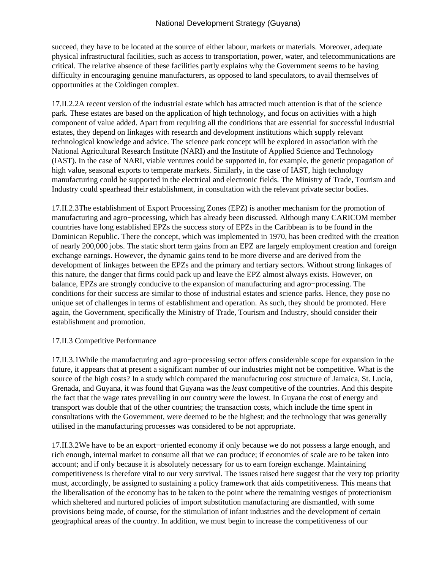succeed, they have to be located at the source of either labour, markets or materials. Moreover, adequate physical infrastructural facilities, such as access to transportation, power, water, and telecommunications are critical. The relative absence of these facilities partly explains why the Government seems to be having difficulty in encouraging genuine manufacturers, as opposed to land speculators, to avail themselves of opportunities at the Coldingen complex.

17.II.2.2 A recent version of the industrial estate which has attracted much attention is that of the science park. These estates are based on the application of high technology, and focus on activities with a high component of value added. Apart from requiring all the conditions that are essential for successful industrial estates, they depend on linkages with research and development institutions which supply relevant technological knowledge and advice. The science park concept will be explored in association with the National Agricultural Research Institute (NARI) and the Institute of Applied Science and Technology (IAST). In the case of NARI, viable ventures could be supported in, for example, the genetic propagation of high value, seasonal exports to temperate markets. Similarly, in the case of IAST, high technology manufacturing could be supported in the electrical and electronic fields. The Ministry of Trade, Tourism and Industry could spearhead their establishment, in consultation with the relevant private sector bodies.

17.II.2.3 The establishment of Export Processing Zones (EPZ) is another mechanism for the promotion of manufacturing and agro−processing, which has already been discussed. Although many CARICOM member countries have long established EPZs the success story of EPZs in the Caribbean is to be found in the Dominican Republic. There the concept, which was implemented in 1970, has been credited with the creation of nearly 200,000 jobs. The static short term gains from an EPZ are largely employment creation and foreign exchange earnings. However, the dynamic gains tend to be more diverse and are derived from the development of linkages between the EPZs and the primary and tertiary sectors. Without strong linkages of this nature, the danger that firms could pack up and leave the EPZ almost always exists. However, on balance, EPZs are strongly conducive to the expansion of manufacturing and agro−processing. The conditions for their success are similar to those of industrial estates and science parks. Hence, they pose no unique set of challenges in terms of establishment and operation. As such, they should be promoted. Here again, the Government, specifically the Ministry of Trade, Tourism and Industry, should consider their establishment and promotion.

## 17.II.3 Competitive Performance

17.II.3.1 While the manufacturing and agro−processing sector offers considerable scope for expansion in the future, it appears that at present a significant number of our industries might not be competitive. What is the source of the high costs? In a study which compared the manufacturing cost structure of Jamaica, St. Lucia, Grenada, and Guyana, it was found that Guyana was the *least* competitive of the countries. And this despite the fact that the wage rates prevailing in our country were the lowest. In Guyana the cost of energy and transport was double that of the other countries; the transaction costs, which include the time spent in consultations with the Government, were deemed to be the highest; and the technology that was generally utilised in the manufacturing processes was considered to be not appropriate.

17.II.3.2 We have to be an export−oriented economy if only because we do not possess a large enough, and rich enough, internal market to consume all that we can produce; if economies of scale are to be taken into account; and if only because it is absolutely necessary for us to earn foreign exchange. Maintaining competitiveness is therefore vital to our very survival. The issues raised here suggest that the very top priority must, accordingly, be assigned to sustaining a policy framework that aids competitiveness. This means that the liberalisation of the economy has to be taken to the point where the remaining vestiges of protectionism which sheltered and nurtured policies of import substitution manufacturing are dismantled, with some provisions being made, of course, for the stimulation of infant industries and the development of certain geographical areas of the country. In addition, we must begin to increase the competitiveness of our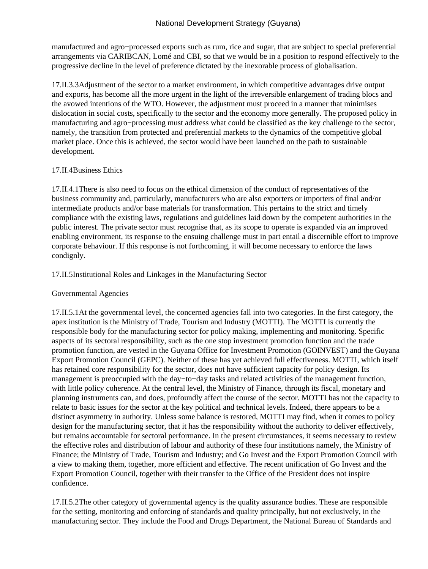manufactured and agro−processed exports such as rum, rice and sugar, that are subject to special preferential arrangements via CARIBCAN, Lomé and CBI, so that we would be in a position to respond effectively to the progressive decline in the level of preference dictated by the inexorable process of globalisation.

17.II.3.3 Adjustment of the sector to a market environment, in which competitive advantages drive output and exports, has become all the more urgent in the light of the irreversible enlargement of trading blocs and the avowed intentions of the WTO. However, the adjustment must proceed in a manner that minimises dislocation in social costs, specifically to the sector and the economy more generally. The proposed policy in manufacturing and agro−processing must address what could be classified as the key challenge to the sector, namely, the transition from protected and preferential markets to the dynamics of the competitive global market place. Once this is achieved, the sector would have been launched on the path to sustainable development.

# 17.II.4 Business Ethics

17.II.4.1 There is also need to focus on the ethical dimension of the conduct of representatives of the business community and, particularly, manufacturers who are also exporters or importers of final and/or intermediate products and/or base materials for transformation. This pertains to the strict and timely compliance with the existing laws, regulations and guidelines laid down by the competent authorities in the public interest. The private sector must recognise that, as its scope to operate is expanded via an improved enabling environment, its response to the ensuing challenge must in part entail a discernible effort to improve corporate behaviour. If this response is not forthcoming, it will become necessary to enforce the laws condignly.

# 17.II.5 Institutional Roles and Linkages in the Manufacturing Sector

## Governmental Agencies

17.II.5.1 At the governmental level, the concerned agencies fall into two categories. In the first category, the apex institution is the Ministry of Trade, Tourism and Industry (MOTTI). The MOTTI is currently the responsible body for the manufacturing sector for policy making, implementing and monitoring. Specific aspects of its sectoral responsibility, such as the one stop investment promotion function and the trade promotion function, are vested in the Guyana Office for Investment Promotion (GOINVEST) and the Guyana Export Promotion Council (GEPC). Neither of these has yet achieved full effectiveness. MOTTI, which itself has retained core responsibility for the sector, does not have sufficient capacity for policy design. Its management is preoccupied with the day−to−day tasks and related activities of the management function, with little policy coherence. At the central level, the Ministry of Finance, through its fiscal, monetary and planning instruments can, and does, profoundly affect the course of the sector. MOTTI has not the capacity to relate to basic issues for the sector at the key political and technical levels. Indeed, there appears to be a distinct asymmetry in authority. Unless some balance is restored, MOTTI may find, when it comes to policy design for the manufacturing sector, that it has the responsibility without the authority to deliver effectively, but remains accountable for sectoral performance. In the present circumstances, it seems necessary to review the effective roles and distribution of labour and authority of these four institutions namely, the Ministry of Finance; the Ministry of Trade, Tourism and Industry; and Go Invest and the Export Promotion Council with a view to making them, together, more efficient and effective. The recent unification of Go Invest and the Export Promotion Council, together with their transfer to the Office of the President does not inspire confidence.

17.II.5.2 The other category of governmental agency is the quality assurance bodies. These are responsible for the setting, monitoring and enforcing of standards and quality principally, but not exclusively, in the manufacturing sector. They include the Food and Drugs Department, the National Bureau of Standards and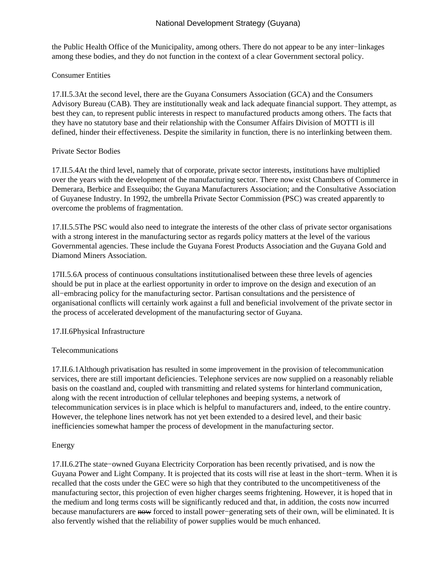the Public Health Office of the Municipality, among others. There do not appear to be any inter−linkages among these bodies, and they do not function in the context of a clear Government sectoral policy.

## Consumer Entities

17.II.5.3 At the second level, there are the Guyana Consumers Association (GCA) and the Consumers Advisory Bureau (CAB). They are institutionally weak and lack adequate financial support. They attempt, as best they can, to represent public interests in respect to manufactured products among others. The facts that they have no statutory base and their relationship with the Consumer Affairs Division of MOTTI is ill defined, hinder their effectiveness. Despite the similarity in function, there is no interlinking between them.

## Private Sector Bodies

17.II.5.4 At the third level, namely that of corporate, private sector interests, institutions have multiplied over the years with the development of the manufacturing sector. There now exist Chambers of Commerce in Demerara, Berbice and Essequibo; the Guyana Manufacturers Association; and the Consultative Association of Guyanese Industry. In 1992, the umbrella Private Sector Commission (PSC) was created apparently to overcome the problems of fragmentation.

17.II.5.5 The PSC would also need to integrate the interests of the other class of private sector organisations with a strong interest in the manufacturing sector as regards policy matters at the level of the various Governmental agencies. These include the Guyana Forest Products Association and the Guyana Gold and Diamond Miners Association.

17II.5.6 A process of continuous consultations institutionalised between these three levels of agencies should be put in place at the earliest opportunity in order to improve on the design and execution of an all−embracing policy for the manufacturing sector. Partisan consultations and the persistence of organisational conflicts will certainly work against a full and beneficial involvement of the private sector in the process of accelerated development of the manufacturing sector of Guyana.

# 17.II.6 Physical Infrastructure

# Telecommunications

17.II.6.1 Although privatisation has resulted in some improvement in the provision of telecommunication services, there are still important deficiencies. Telephone services are now supplied on a reasonably reliable basis on the coastland and, coupled with transmitting and related systems for hinterland communication, along with the recent introduction of cellular telephones and beeping systems, a network of telecommunication services is in place which is helpful to manufacturers and, indeed, to the entire country. However, the telephone lines network has not yet been extended to a desired level, and their basic inefficiencies somewhat hamper the process of development in the manufacturing sector.

# Energy

17.II.6.2 The state−owned Guyana Electricity Corporation has been recently privatised, and is now the Guyana Power and Light Company. It is projected that its costs will rise at least in the short−term. When it is recalled that the costs under the GEC were so high that they contributed to the uncompetitiveness of the manufacturing sector, this projection of even higher charges seems frightening. However, it is hoped that in the medium and long terms costs will be significantly reduced and that, in addition, the costs now incurred because manufacturers are now forced to install power−generating sets of their own, will be eliminated. It is also fervently wished that the reliability of power supplies would be much enhanced.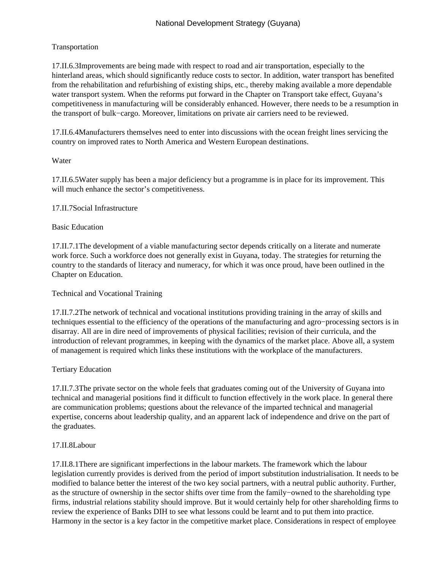# Transportation

17.II.6.3 Improvements are being made with respect to road and air transportation, especially to the hinterland areas, which should significantly reduce costs to sector. In addition, water transport has benefited from the rehabilitation and refurbishing of existing ships, etc., thereby making available a more dependable water transport system. When the reforms put forward in the Chapter on Transport take effect, Guyana's competitiveness in manufacturing will be considerably enhanced. However, there needs to be a resumption in the transport of bulk−cargo. Moreover, limitations on private air carriers need to be reviewed.

17.II.6.4 Manufacturers themselves need to enter into discussions with the ocean freight lines servicing the country on improved rates to North America and Western European destinations.

# Water

17.II.6.5 Water supply has been a major deficiency but a programme is in place for its improvement. This will much enhance the sector's competitiveness.

## 17.II.7 Social Infrastructure

## Basic Education

17.II.7.1 The development of a viable manufacturing sector depends critically on a literate and numerate work force. Such a workforce does not generally exist in Guyana, today. The strategies for returning the country to the standards of literacy and numeracy, for which it was once proud, have been outlined in the Chapter on Education.

## Technical and Vocational Training

17.II.7.2 The network of technical and vocational institutions providing training in the array of skills and techniques essential to the efficiency of the operations of the manufacturing and agro−processing sectors is in disarray. All are in dire need of improvements of physical facilities; revision of their curricula, and the introduction of relevant programmes, in keeping with the dynamics of the market place. Above all, a system of management is required which links these institutions with the workplace of the manufacturers.

## Tertiary Education

17.II.7.3 The private sector on the whole feels that graduates coming out of the University of Guyana into technical and managerial positions find it difficult to function effectively in the work place. In general there are communication problems; questions about the relevance of the imparted technical and managerial expertise, concerns about leadership quality, and an apparent lack of independence and drive on the part of the graduates.

## 17.II.8 Labour

17.II.8.1 There are significant imperfections in the labour markets. The framework which the labour legislation currently provides is derived from the period of import substitution industrialisation. It needs to be modified to balance better the interest of the two key social partners, with a neutral public authority. Further, as the structure of ownership in the sector shifts over time from the family−owned to the shareholding type firms, industrial relations stability should improve. But it would certainly help for other shareholding firms to review the experience of Banks DIH to see what lessons could be learnt and to put them into practice. Harmony in the sector is a key factor in the competitive market place. Considerations in respect of employee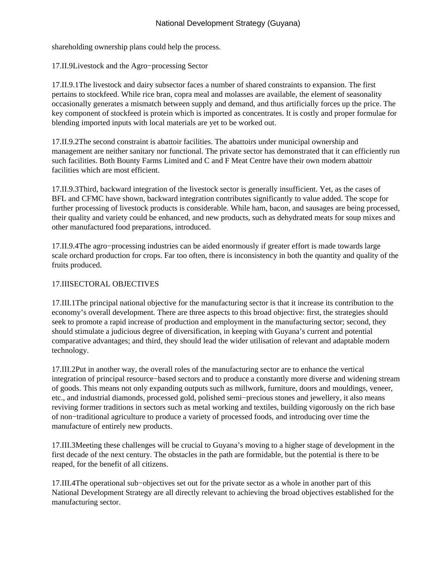shareholding ownership plans could help the process.

17.II.9 Livestock and the Agro−processing Sector

17.II.9.1 The livestock and dairy subsector faces a number of shared constraints to expansion. The first pertains to stockfeed. While rice bran, copra meal and molasses are available, the element of seasonality occasionally generates a mismatch between supply and demand, and thus artificially forces up the price. The key component of stockfeed is protein which is imported as concentrates. It is costly and proper formulae for blending imported inputs with local materials are yet to be worked out.

17.II.9.2 The second constraint is abattoir facilities. The abattoirs under municipal ownership and management are neither sanitary nor functional. The private sector has demonstrated that it can efficiently run such facilities. Both Bounty Farms Limited and C and F Meat Centre have their own modern abattoir facilities which are most efficient.

17.II.9.3 Third, backward integration of the livestock sector is generally insufficient. Yet, as the cases of BFL and CFMC have shown, backward integration contributes significantly to value added. The scope for further processing of livestock products is considerable. While ham, bacon, and sausages are being processed, their quality and variety could be enhanced, and new products, such as dehydrated meats for soup mixes and other manufactured food preparations, introduced.

17.II.9.4 The agro−processing industries can be aided enormously if greater effort is made towards large scale orchard production for crops. Far too often, there is inconsistency in both the quantity and quality of the fruits produced.

# 17.III SECTORAL OBJECTIVES

17.III.1 The principal national objective for the manufacturing sector is that it increase its contribution to the economy's overall development. There are three aspects to this broad objective: first, the strategies should seek to promote a rapid increase of production and employment in the manufacturing sector; second, they should stimulate a judicious degree of diversification, in keeping with Guyana's current and potential comparative advantages; and third, they should lead the wider utilisation of relevant and adaptable modern technology.

17.III.2 Put in another way, the overall roles of the manufacturing sector are to enhance the vertical integration of principal resource−based sectors and to produce a constantly more diverse and widening stream of goods. This means not only expanding outputs such as millwork, furniture, doors and mouldings, veneer, etc., and industrial diamonds, processed gold, polished semi−precious stones and jewellery, it also means reviving former traditions in sectors such as metal working and textiles, building vigorously on the rich base of non−traditional agriculture to produce a variety of processed foods, and introducing over time the manufacture of entirely new products.

17.III.3 Meeting these challenges will be crucial to Guyana's moving to a higher stage of development in the first decade of the next century. The obstacles in the path are formidable, but the potential is there to be reaped, for the benefit of all citizens.

17.III.4 The operational sub−objectives set out for the private sector as a whole in another part of this National Development Strategy are all directly relevant to achieving the broad objectives established for the manufacturing sector.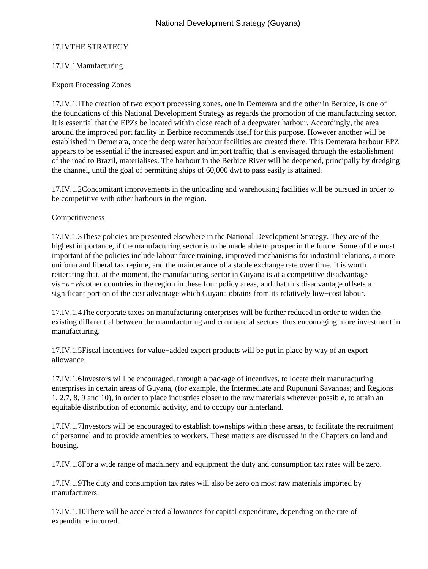# 17.IV THE STRATEGY

## 17.IV.1 Manufacturing

## Export Processing Zones

17.IV.1.I The creation of two export processing zones, one in Demerara and the other in Berbice, is one of the foundations of this National Development Strategy as regards the promotion of the manufacturing sector. It is essential that the EPZs be located within close reach of a deepwater harbour. Accordingly, the area around the improved port facility in Berbice recommends itself for this purpose. However another will be established in Demerara, once the deep water harbour facilities are created there. This Demerara harbour EPZ appears to be essential if the increased export and import traffic, that is envisaged through the establishment of the road to Brazil, materialises. The harbour in the Berbice River will be deepened, principally by dredging the channel, until the goal of permitting ships of 60,000 dwt to pass easily is attained.

17.IV.1.2 Concomitant improvements in the unloading and warehousing facilities will be pursued in order to be competitive with other harbours in the region.

## Competitiveness

17.IV.1.3 These policies are presented elsewhere in the National Development Strategy. They are of the highest importance, if the manufacturing sector is to be made able to prosper in the future. Some of the most important of the policies include labour force training, improved mechanisms for industrial relations, a more uniform and liberal tax regime, and the maintenance of a stable exchange rate over time. It is worth reiterating that, at the moment, the manufacturing sector in Guyana is at a competitive disadvantage *vis−a–vis* other countries in the region in these four policy areas, and that this disadvantage offsets a significant portion of the cost advantage which Guyana obtains from its relatively low−cost labour.

17.IV.1.4 The corporate taxes on manufacturing enterprises will be further reduced in order to widen the existing differential between the manufacturing and commercial sectors, thus encouraging more investment in manufacturing.

17.IV.1.5 Fiscal incentives for value−added export products will be put in place by way of an export allowance.

17.IV.1.6 Investors will be encouraged, through a package of incentives, to locate their manufacturing enterprises in certain areas of Guyana, (for example, the Intermediate and Rupununi Savannas; and Regions 1, 2,7, 8, 9 and 10), in order to place industries closer to the raw materials wherever possible, to attain an equitable distribution of economic activity, and to occupy our hinterland.

17.IV.1.7 Investors will be encouraged to establish townships within these areas, to facilitate the recruitment of personnel and to provide amenities to workers. These matters are discussed in the Chapters on land and housing.

17.IV.1.8 For a wide range of machinery and equipment the duty and consumption tax rates will be zero.

17.IV.1.9 The duty and consumption tax rates will also be zero on most raw materials imported by manufacturers.

17.IV.1.10 There will be accelerated allowances for capital expenditure, depending on the rate of expenditure incurred.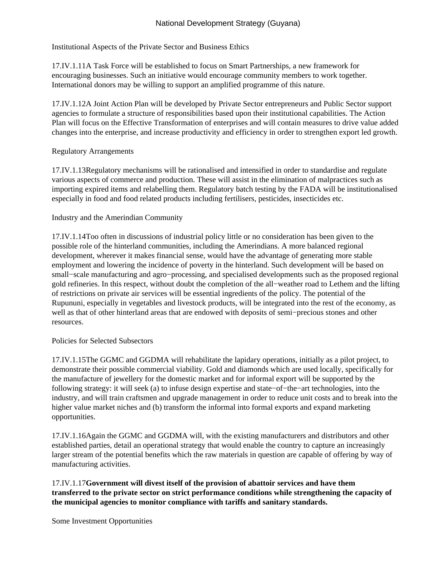# Institutional Aspects of the Private Sector and Business Ethics

17.IV.1.11 A Task Force will be established to focus on Smart Partnerships, a new framework for encouraging businesses. Such an initiative would encourage community members to work together. International donors may be willing to support an amplified programme of this nature.

17.IV.1.12 A Joint Action Plan will be developed by Private Sector entrepreneurs and Public Sector support agencies to formulate a structure of responsibilities based upon their institutional capabilities. The Action Plan will focus on the Effective Transformation of enterprises and will contain measures to drive value added changes into the enterprise, and increase productivity and efficiency in order to strengthen export led growth.

# Regulatory Arrangements

17.IV.1.13 Regulatory mechanisms will be rationalised and intensified in order to standardise and regulate various aspects of commerce and production. These will assist in the elimination of malpractices such as importing expired items and relabelling them. Regulatory batch testing by the FADA will be institutionalised especially in food and food related products including fertilisers, pesticides, insecticides etc.

# Industry and the Amerindian Community

17.IV.1.14 Too often in discussions of industrial policy little or no consideration has been given to the possible role of the hinterland communities, including the Amerindians. A more balanced regional development, wherever it makes financial sense, would have the advantage of generating more stable employment and lowering the incidence of poverty in the hinterland. Such development will be based on small–scale manufacturing and agro–processing, and specialised developments such as the proposed regional gold refineries. In this respect, without doubt the completion of the all−weather road to Lethem and the lifting of restrictions on private air services will be essential ingredients of the policy. The potential of the Rupununi, especially in vegetables and livestock products, will be integrated into the rest of the economy, as well as that of other hinterland areas that are endowed with deposits of semi−precious stones and other resources.

#### Policies for Selected Subsectors

17.IV.1.15 The GGMC and GGDMA will rehabilitate the lapidary operations, initially as a pilot project, to demonstrate their possible commercial viability. Gold and diamonds which are used locally, specifically for the manufacture of jewellery for the domestic market and for informal export will be supported by the following strategy: it will seek (a) to infuse design expertise and state−of−the−art technologies, into the industry, and will train craftsmen and upgrade management in order to reduce unit costs and to break into the higher value market niches and (b) transform the informal into formal exports and expand marketing opportunities.

17.IV.1.16 Again the GGMC and GGDMA will, with the existing manufacturers and distributors and other established parties, detail an operational strategy that would enable the country to capture an increasingly larger stream of the potential benefits which the raw materials in question are capable of offering by way of manufacturing activities.

17.IV.1.17 **Government will divest itself of the provision of abattoir services and have them transferred to the private sector on strict performance conditions while strengthening the capacity of the municipal agencies to monitor compliance with tariffs and sanitary standards.**

Some Investment Opportunities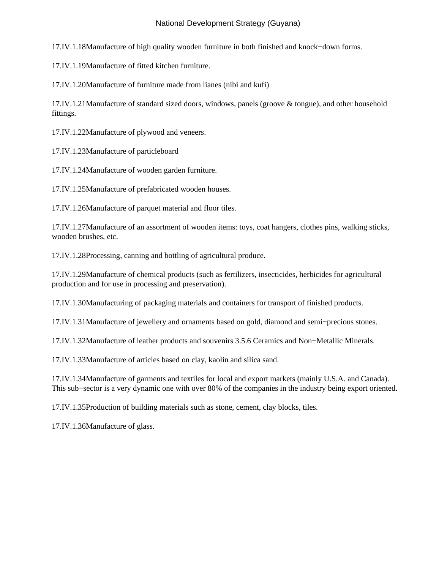17.IV.1.18 Manufacture of high quality wooden furniture in both finished and knock−down forms.

17.IV.1.19 Manufacture of fitted kitchen furniture.

17.IV.1.20 Manufacture of furniture made from lianes (nibi and kufi)

17.IV.1.21 Manufacture of standard sized doors, windows, panels (groove & tongue), and other household fittings.

17.IV.1.22 Manufacture of plywood and veneers.

17.IV.1.23 Manufacture of particleboard

17.IV.1.24 Manufacture of wooden garden furniture.

17.IV.1.25 Manufacture of prefabricated wooden houses.

17.IV.1.26 Manufacture of parquet material and floor tiles.

17.IV.1.27 Manufacture of an assortment of wooden items: toys, coat hangers, clothes pins, walking sticks, wooden brushes, etc.

17.IV.1.28 Processing, canning and bottling of agricultural produce.

17.IV.1.29 Manufacture of chemical products (such as fertilizers, insecticides, herbicides for agricultural production and for use in processing and preservation).

17.IV.1.30 Manufacturing of packaging materials and containers for transport of finished products.

17.IV.1.31 Manufacture of jewellery and ornaments based on gold, diamond and semi−precious stones.

17.IV.1.32 Manufacture of leather products and souvenirs 3.5.6 Ceramics and Non−Metallic Minerals.

17.IV.1.33 Manufacture of articles based on clay, kaolin and silica sand.

17.IV.1.34 Manufacture of garments and textiles for local and export markets (mainly U.S.A. and Canada). This sub–sector is a very dynamic one with over 80% of the companies in the industry being export oriented.

17.IV.1.35 Production of building materials such as stone, cement, clay blocks, tiles.

17.IV.1.36 Manufacture of glass.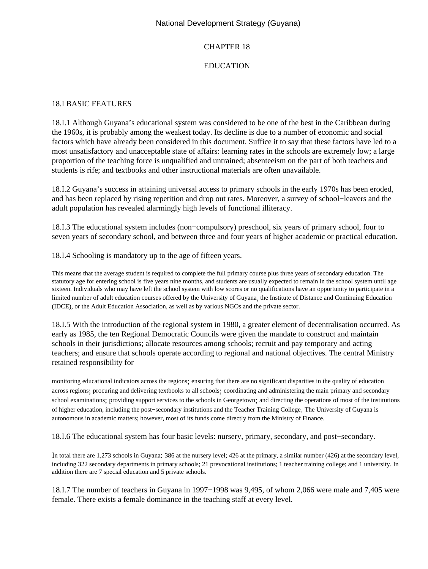# CHAPTER 18

# EDUCATION

#### 18.I BASIC FEATURES

18.I.1 Although Guyana's educational system was considered to be one of the best in the Caribbean during the 1960s, it is probably among the weakest today. Its decline is due to a number of economic and social factors which have already been considered in this document. Suffice it to say that these factors have led to a most unsatisfactory and unacceptable state of affairs: learning rates in the schools are extremely low; a large proportion of the teaching force is unqualified and untrained; absenteeism on the part of both teachers and students is rife; and textbooks and other instructional materials are often unavailable.

18.I.2 Guyana's success in attaining universal access to primary schools in the early 1970s has been eroded, and has been replaced by rising repetition and drop out rates. Moreover, a survey of school−leavers and the adult population has revealed alarmingly high levels of functional illiteracy.

18.I.3 The educational system includes (non−compulsory) preschool, six years of primary school, four to seven years of secondary school, and between three and four years of higher academic or practical education.

18.I.4 Schooling is mandatory up to the age of fifteen years.

This means that the average student is required to complete the full primary course plus three years of secondary education. The statutory age for entering school is five years nine months, and students are usually expected to remain in the school system until age sixteen. Individuals who may have left the school system with low scores or no qualifications have an opportunity to participate in a limited number of adult education courses offered by the University of Guyana, the Institute of Distance and Continuing Education (IDCE), or the Adult Education Association, as well as by various NGOs and the private sector.

18.I.5 With the introduction of the regional system in 1980, a greater element of decentralisation occurred. As early as 1985, the ten Regional Democratic Councils were given the mandate to construct and maintain schools in their jurisdictions; allocate resources among schools; recruit and pay temporary and acting teachers; and ensure that schools operate according to regional and national objectives. The central Ministry retained responsibility for

monitoring educational indicators across the regions; ensuring that there are no significant disparities in the quality of education across regions; procuring and delivering textbooks to all schools; coordinating and administering the main primary and secondary school examinations; providing support services to the schools in Georgetown; and directing the operations of most of the institutions of higher education, including the post−secondary institutions and the Teacher Training College. The University of Guyana is autonomous in academic matters; however, most of its funds come directly from the Ministry of Finance.

18.I.6 The educational system has four basic levels: nursery, primary, secondary, and post−secondary.

In total there are 1,273 schools in Guyana: 386 at the nursery level; 426 at the primary, a similar number (426) at the secondary level, including 322 secondary departments in primary schools; 21 prevocational institutions; 1 teacher training college; and 1 university. In addition there are 7 special education and 5 private schools.

18.I.7 The number of teachers in Guyana in 1997−1998 was 9,495, of whom 2,066 were male and 7,405 were female. There exists a female dominance in the teaching staff at every level.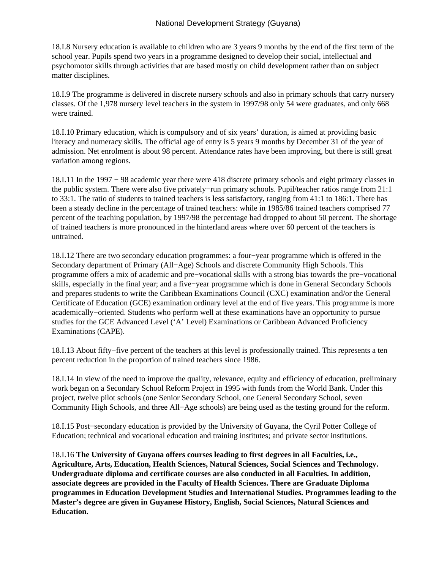18.I.8 Nursery education is available to children who are 3 years 9 months by the end of the first term of the school year. Pupils spend two years in a programme designed to develop their social, intellectual and psychomotor skills through activities that are based mostly on child development rather than on subject matter disciplines.

18.I.9 The programme is delivered in discrete nursery schools and also in primary schools that carry nursery classes. Of the 1,978 nursery level teachers in the system in 1997/98 only 54 were graduates, and only 668 were trained.

18.I.10 Primary education, which is compulsory and of six years' duration, is aimed at providing basic literacy and numeracy skills. The official age of entry is 5 years 9 months by December 31 of the year of admission. Net enrolment is about 98 percent. Attendance rates have been improving, but there is still great variation among regions.

18.I.11 In the 1997 − 98 academic year there were 418 discrete primary schools and eight primary classes in the public system. There were also five privately−run primary schools. Pupil/teacher ratios range from 21:1 to 33:1. The ratio of students to trained teachers is less satisfactory, ranging from 41:1 to 186:1. There has been a steady decline in the percentage of trained teachers: while in 1985/86 trained teachers comprised 77 percent of the teaching population, by 1997/98 the percentage had dropped to about 50 percent. The shortage of trained teachers is more pronounced in the hinterland areas where over 60 percent of the teachers is untrained.

18.I.12 There are two secondary education programmes: a four−year programme which is offered in the Secondary department of Primary (All−Age) Schools and discrete Community High Schools. This programme offers a mix of academic and pre−vocational skills with a strong bias towards the pre−vocational skills, especially in the final year; and a five−year programme which is done in General Secondary Schools and prepares students to write the Caribbean Examinations Council (CXC) examination and/or the General Certificate of Education (GCE) examination ordinary level at the end of five years. This programme is more academically−oriented. Students who perform well at these examinations have an opportunity to pursue studies for the GCE Advanced Level ('A' Level) Examinations or Caribbean Advanced Proficiency Examinations (CAPE).

18.I.13 About fifty−five percent of the teachers at this level is professionally trained. This represents a ten percent reduction in the proportion of trained teachers since 1986.

18.I.14 In view of the need to improve the quality, relevance, equity and efficiency of education, preliminary work began on a Secondary School Reform Project in 1995 with funds from the World Bank. Under this project, twelve pilot schools (one Senior Secondary School, one General Secondary School, seven Community High Schools, and three All−Age schools) are being used as the testing ground for the reform.

18.I.15 Post−secondary education is provided by the University of Guyana, the Cyril Potter College of Education; technical and vocational education and training institutes; and private sector institutions.

18.I.16 **The University of Guyana offers courses leading to first degrees in all Faculties, i.e., Agriculture, Arts, Education, Health Sciences, Natural Sciences, Social Sciences and Technology. Undergraduate diploma and certificate courses are also conducted in all Faculties. In addition, associate degrees are provided in the Faculty of Health Sciences. There are Graduate Diploma programmes in Education Development Studies and International Studies. Programmes leading to the Master's degree are given in Guyanese History, English, Social Sciences, Natural Sciences and Education.**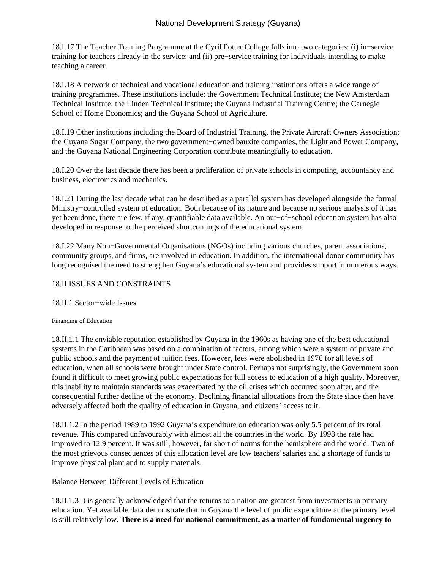18.I.17 The Teacher Training Programme at the Cyril Potter College falls into two categories: (i) in−service training for teachers already in the service; and (ii) pre−service training for individuals intending to make teaching a career.

18.I.18 A network of technical and vocational education and training institutions offers a wide range of training programmes. These institutions include: the Government Technical Institute; the New Amsterdam Technical Institute; the Linden Technical Institute; the Guyana Industrial Training Centre; the Carnegie School of Home Economics; and the Guyana School of Agriculture.

18.I.19 Other institutions including the Board of Industrial Training, the Private Aircraft Owners Association; the Guyana Sugar Company, the two government−owned bauxite companies, the Light and Power Company, and the Guyana National Engineering Corporation contribute meaningfully to education.

18.I.20 Over the last decade there has been a proliferation of private schools in computing, accountancy and business, electronics and mechanics.

18.I.21 During the last decade what can be described as a parallel system has developed alongside the formal Ministry−controlled system of education. Both because of its nature and because no serious analysis of it has yet been done, there are few, if any, quantifiable data available. An out−of−school education system has also developed in response to the perceived shortcomings of the educational system.

18.I.22 Many Non−Governmental Organisations (NGOs) including various churches, parent associations, community groups, and firms, are involved in education. In addition, the international donor community has long recognised the need to strengthen Guyana's educational system and provides support in numerous ways.

### 18.II ISSUES AND CONSTRAINTS

#### 18.II.1 Sector−wide Issues

#### Financing of Education

18.II.1.1 The enviable reputation established by Guyana in the 1960s as having one of the best educational systems in the Caribbean was based on a combination of factors, among which were a system of private and public schools and the payment of tuition fees. However, fees were abolished in 1976 for all levels of education, when all schools were brought under State control. Perhaps not surprisingly, the Government soon found it difficult to meet growing public expectations for full access to education of a high quality. Moreover, this inability to maintain standards was exacerbated by the oil crises which occurred soon after, and the consequential further decline of the economy. Declining financial allocations from the State since then have adversely affected both the quality of education in Guyana, and citizens' access to it.

18.II.1.2 In the period 1989 to 1992 Guyana's expenditure on education was only 5.5 percent of its total revenue. This compared unfavourably with almost all the countries in the world. By 1998 the rate had improved to 12.9 percent. It was still, however, far short of norms for the hemisphere and the world. Two of the most grievous consequences of this allocation level are low teachers' salaries and a shortage of funds to improve physical plant and to supply materials.

#### Balance Between Different Levels of Education

18.II.1.3 It is generally acknowledged that the returns to a nation are greatest from investments in primary education. Yet available data demonstrate that in Guyana the level of public expenditure at the primary level is still relatively low. **There is a need for national commitment, as a matter of fundamental urgency to**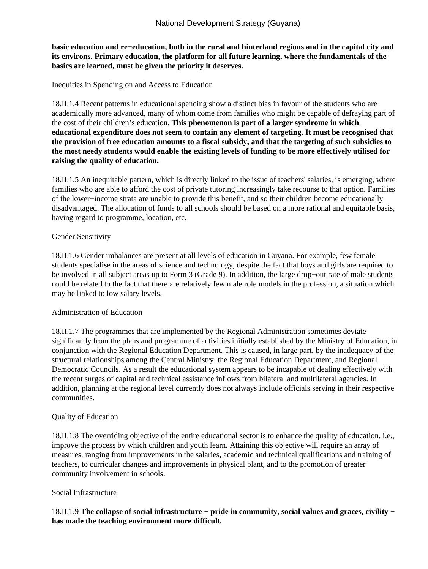**basic education and re−education, both in the rural and hinterland regions and in the capital city and its environs. Primary education, the platform for all future learning, where the fundamentals of the basics are learned, must be given the priority it deserves.**

Inequities in Spending on and Access to Education

18.II.1.4 Recent patterns in educational spending show a distinct bias in favour of the students who are academically more advanced, many of whom come from families who might be capable of defraying part of the cost of their children's education. **This phenomenon is part of a larger syndrome in which educational expenditure does not seem to contain any element of targeting. It must be recognised that the provision of free education amounts to a fiscal subsidy, and that the targeting of such subsidies to the most needy students would enable the existing levels of funding to be more effectively utilised for raising the quality of education.**

18.II.1.5 An inequitable pattern*,* which is directly linked to the issue of teachers' salaries*,* is emerging, where families who are able to afford the cost of private tutoring increasingly take recourse to that option. Families of the lower−income strata are unable to provide this benefit, and so their children become educationally disadvantaged. The allocation of funds to all schools should be based on a more rational and equitable basis, having regard to programme, location, etc.

#### Gender Sensitivity

18.II.1.6 Gender imbalances are present at all levels of education in Guyana. For example, few female students specialise in the areas of science and technology, despite the fact that boys and girls are required to be involved in all subject areas up to Form 3 (Grade 9). In addition, the large drop−out rate of male students could be related to the fact that there are relatively few male role models in the profession, a situation which may be linked to low salary levels.

#### Administration of Education

18.II.1.7 The programmes that are implemented by the Regional Administration sometimes deviate significantly from the plans and programme of activities initially established by the Ministry of Education, in conjunction with the Regional Education Department. This is caused, in large part, by the inadequacy of the structural relationships among the Central Ministry, the Regional Education Department, and Regional Democratic Councils. As a result the educational system appears to be incapable of dealing effectively with the recent surges of capital and technical assistance inflows from bilateral and multilateral agencies. In addition, planning at the regional level currently does not always include officials serving in their respective communities.

#### Quality of Education

18.II.1.8 The overriding objective of the entire educational sector is to enhance the quality of education, i.e., improve the process by which children and youth learn. Attaining this objective will require an array of measures, ranging from improvements in the salaries**,** academic and technical qualifications and training of teachers, to curricular changes and improvements in physical plant, and to the promotion of greater community involvement in schools.

#### Social Infrastructure

18.II.1.9 **The collapse of social infrastructure − pride in community, social values and graces, civility − has made the teaching environment more difficult***.*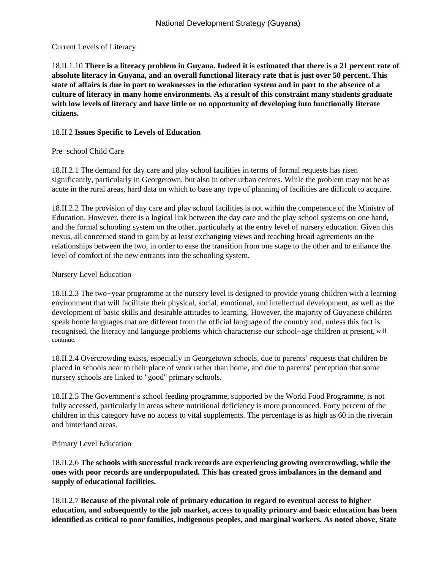#### Current Levels of Literacy

18.II.1.10 **There is a literacy problem in Guyana. Indeed it is estimated that there is a 21 percent rate of absolute literacy in Guyana, and an overall functional literacy rate that is just over 50 percent. This state of affairs is due in part to weaknesses in the education system and in part to the absence of a culture of literacy in many home environments. As a result of this constraint many students graduate with low levels of literacy and have little or no opportunity of developing into functionally literate citizens.**

### 18.II.2 **Issues Specific to Levels of Education**

#### Pre−school Child Care

18.II.2.1 The demand for day care and play school facilities in terms of formal requests has risen significantly, particularly in Georgetown, but also in other urban centres. While the problem may not be as acute in the rural areas, hard data on which to base any type of planning of facilities are difficult to acquire.

18.II.2.2 The provision of day care and play school facilities is not within the competence of the Ministry of Education. However, there is a logical link between the day care and the play school systems on one hand, and the formal schooling system on the other, particularly at the entry level of nursery education. Given this nexus, all concerned stand to gain by at least exchanging views and reaching broad agreements on the relationships between the two, in order to ease the transition from one stage to the other and to enhance the level of comfort of the new entrants into the schooling system.

#### Nursery Level Education

18.II.2.3 The two−year programme at the nursery level is designed to provide young children with a learning environment that will facilitate their physical, social, emotional, and intellectual development, as well as the development of basic skills and desirable attitudes to learning. However, the majority of Guyanese children speak home languages that are different from the official language of the country and, unless this fact is recognised, the literacy and language problems which characterise our school−age children at present, will continue.

18.II.2.4 Overcrowding exists, especially in Georgetown schools, due to parents' requests that children be placed in schools near to their place of work rather than home, and due to parents' perception that some nursery schools are linked to "good" primary schools.

18.II.2.5 The Government's school feeding programme, supported by the World Food Programme, is not fully accessed, particularly in areas where nutritional deficiency is more pronounced. Forty percent of the children in this category have no access to vital supplements. The percentage is as high as 60 in the riverain and hinterland areas.

#### Primary Level Education

18.II.2.6 **The schools with successful track records are experiencing growing overcrowding, while the ones with poor records are underpopulated. This has created gross imbalances in the demand and supply of educational facilities.**

18.II.2.7 **Because of the pivotal role of primary education in regard to eventual access to higher education, and subsequently to the job market, access to quality primary and basic education has been identified as critical to poor families, indigenous peoples, and marginal workers. As noted above, State**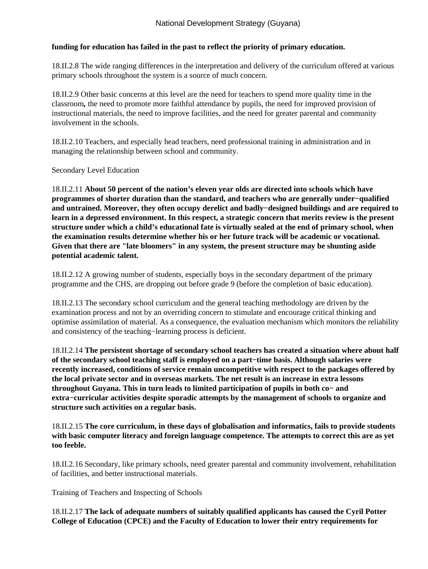# **funding for education has failed in the past to reflect the priority of primary education.**

18.II.2.8 The wide ranging differences in the interpretation and delivery of the curriculum offered at various primary schools throughout the system is a source of much concern.

18.II.2.9 Other basic concerns at this level are the need for teachers to spend more quality time in the classroom*,* the need to promote more faithful attendance by pupils, the need for improved provision of instructional materials, the need to improve facilities, and the need for greater parental and community involvement in the schools.

18.II.2.10 Teachers, and especially head teachers, need professional training in administration and in managing the relationship between school and community.

# Secondary Level Education

18.II.2.11 **About 50 percent of the nation's eleven year olds are directed into schools which have programmes of shorter duration than the standard, and teachers who are generally under−qualified and untrained. Moreover, they often occupy derelict and badly−designed buildings and are required to learn in a depressed environment. In this respect, a strategic concern that merits review is the present structure under which a child's educational fate is virtually sealed at the end of primary school, when the examination results determine whether his or her future track will be academic or vocational. Given that there are "late bloomers" in any system, the present structure may be shunting aside potential academic talent.**

18.II.2.12 A growing number of students, especially boys in the secondary department of the primary programme and the CHS, are dropping out before grade 9 (before the completion of basic education).

18.II.2.13 The secondary school curriculum and the general teaching methodology are driven by the examination process and not by an overriding concern to stimulate and encourage critical thinking and optimise assimilation of material. As a consequence, the evaluation mechanism which monitors the reliability and consistency of the teaching−learning process is deficient.

18.II.2.14 **The persistent shortage of secondary school teachers has created a situation where about half of the secondary school teaching staff is employed on a part−time basis. Although salaries were recently increased, conditions of service remain uncompetitive with respect to the packages offered by the local private sector and in overseas markets. The net result is an increase in extra lessons throughout Guyana. This in turn leads to limited participation of pupils in both co− and extra−curricular activities despite sporadic attempts by the management of schools to organize and structure such activities on a regular basis.**

18.II.2.15 **The core curriculum, in these days of globalisation and informatics, fails to provide students with basic computer literacy and foreign language competence. The attempts to correct this are as yet too feeble.**

18.II.2.16 Secondary, like primary schools, need greater parental and community involvement, rehabilitation of facilities, and better instructional materials.

Training of Teachers and Inspecting of Schools

18.II.2.17 **The lack of adequate numbers of suitably qualified applicants has caused the Cyril Potter College of Education (CPCE) and the Faculty of Education to lower their entry requirements for**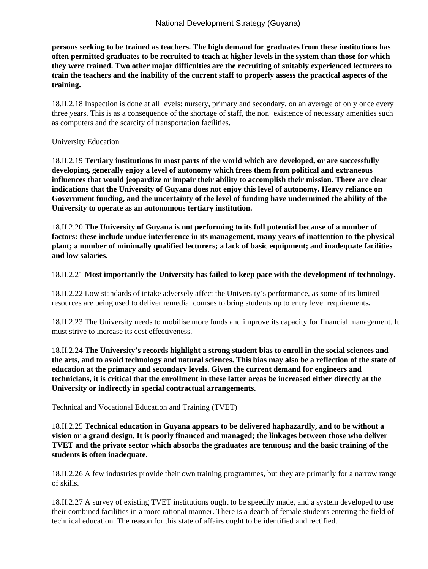**persons seeking to be trained as teachers. The high demand for graduates from these institutions has often permitted graduates to be recruited to teach at higher levels in the system than those for which they were trained. Two other major difficulties are the recruiting of suitably experienced lecturers to train the teachers and the inability of the current staff to properly assess the practical aspects of the training.**

18.II.2.18 Inspection is done at all levels: nursery, primary and secondary, on an average of only once every three years. This is as a consequence of the shortage of staff, the non−existence of necessary amenities such as computers and the scarcity of transportation facilities.

#### University Education

18.II.2.19 **Tertiary institutions in most parts of the world which are developed, or are successfully developing, generally enjoy a level of autonomy which frees them from political and extraneous influences that would jeopardize or impair their ability to accomplish their mission. There are clear indications that the University of Guyana does not enjoy this level of autonomy. Heavy reliance on Government funding, and the uncertainty of the level of funding have undermined the ability of the University to operate as an autonomous tertiary institution.**

18.II.2.20 **The University of Guyana is not performing to its full potential because of a number of factors: these include undue interference in its management, many years of inattention to the physical plant; a number of minimally qualified lecturers; a lack of basic equipment; and inadequate facilities and low salaries.**

#### 18.II.2.21 **Most importantly the University has failed to keep pace with the development of technology.**

18.II.2.22 Low standards of intake adversely affect the University's performance, as some of its limited resources are being used to deliver remedial courses to bring students up to entry level requirements*.*

18.II.2.23 The University needs to mobilise more funds and improve its capacity for financial management. It must strive to increase its cost effectiveness.

18.II.2.24 **The University's records highlight a strong student bias to enroll in the social sciences and the arts, and to avoid technology and natural sciences. This bias may also be a reflection of the state of education at the primary and secondary levels. Given the current demand for engineers and technicians, it is critical that the enrollment in these latter areas be increased either directly at the University or indirectly in special contractual arrangements.**

Technical and Vocational Education and Training (TVET)

18.II.2.25 **Technical education in Guyana appears to be delivered haphazardly, and to be without a vision or a grand design. It is poorly financed and managed; the linkages between those who deliver TVET and the private sector which absorbs the graduates are tenuous; and the basic training of the students is often inadequate.**

18.II.2.26 A few industries provide their own training programmes, but they are primarily for a narrow range of skills.

18.II.2.27 A survey of existing TVET institutions ought to be speedily made, and a system developed to use their combined facilities in a more rational manner. There is a dearth of female students entering the field of technical education. The reason for this state of affairs ought to be identified and rectified.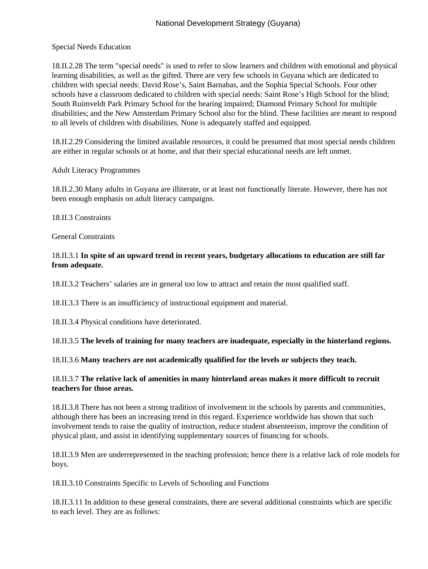Special Needs Education

18.II.2.28 The term "special needs" is used to refer to slow learners and children with emotional and physical learning disabilities, as well as the gifted. There are very few schools in Guyana which are dedicated to children with special needs: David Rose's, Saint Barnabas, and the Sophia Special Schools. Four other schools have a classroom dedicated to children with special needs: Saint Rose's High School for the blind; South Ruimveldt Park Primary School for the hearing impaired; Diamond Primary School for multiple disabilities; and the New Amsterdam Primary School also for the blind. These facilities are meant to respond to all levels of children with disabilities. None is adequately staffed and equipped.

18.II.2.29 Considering the limited available resources, it could be presumed that most special needs children are either in regular schools or at home, and that their special educational needs are left unmet.

Adult Literacy Programmes

18.II.2.30 Many adults in Guyana are illiterate, or at least not functionally literate. However, there has not been enough emphasis on adult literacy campaigns.

18.II.3 Constraints

General Constraints

# 18.II.3.1 **In spite of an upward trend in recent years, budgetary allocations to education are still far from adequate.**

18.II.3.2 Teachers' salaries are in general too low to attract and retain the most qualified staff.

18.II.3.3 There is an insufficiency of instructional equipment and material.

18.II.3.4 Physical conditions have deteriorated.

18.II.3.5 **The levels of training for many teachers are inadequate, especially in the hinterland regions.**

18.II.3.6 **Many teachers are not academically qualified for the levels or subjects they teach.**

#### 18.II.3.7 **The relative lack of amenities in many hinterland areas makes it more difficult to recruit teachers for those areas.**

18.II.3.8 There has not been a strong tradition of involvement in the schools by parents and communities, although there has been an increasing trend in this regard. Experience worldwide has shown that such involvement tends to raise the quality of instruction, reduce student absenteeism, improve the condition of physical plant, and assist in identifying supplementary sources of financing for schools.

18.II.3.9 Men are underrepresented in the teaching profession; hence there is a relative lack of role models for boys.

18.II.3.10 Constraints Specific to Levels of Schooling and Functions

18.II.3.11 In addition to these general constraints, there are several additional constraints which are specific to each level. They are as follows: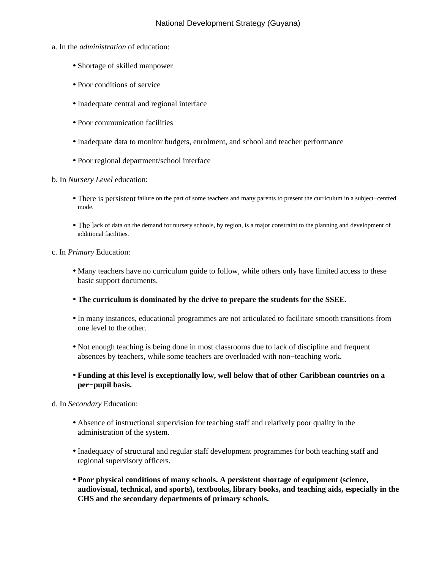- a. In the *administration* of education:
	- Shortage of skilled manpower
	- Poor conditions of service
	- Inadequate central and regional interface
	- Poor communication facilities
	- Inadequate data to monitor budgets, enrolment, and school and teacher performance
	- Poor regional department/school interface
- b. In *Nursery Level* education:
	- There is persistent failure on the part of some teachers and many parents to present the curriculum in a subject−centred mode.
	- The lack of data on the demand for nursery schools, by region, is a major constraint to the planning and development of additional facilities.
- c. In *Primary* Education:
	- Many teachers have no curriculum guide to follow, while others only have limited access to these basic support documents.
	- **The curriculum is dominated by the drive to prepare the students for the SSEE.**
	- In many instances, educational programmes are not articulated to facilitate smooth transitions from one level to the other.
	- Not enough teaching is being done in most classrooms due to lack of discipline and frequent absences by teachers, while some teachers are overloaded with non−teaching work.
	- **Funding at this level is exceptionally low, well below that of other Caribbean countries on a per−pupil basis.**
- d. In *Secondary* Education:
	- Absence of instructional supervision for teaching staff and relatively poor quality in the administration of the system.
	- Inadequacy of structural and regular staff development programmes for both teaching staff and regional supervisory officers.
	- **Poor physical conditions of many schools. A persistent shortage of equipment (science, audiovisual, technical, and sports), textbooks, library books, and teaching aids, especially in the CHS and the secondary departments of primary schools.**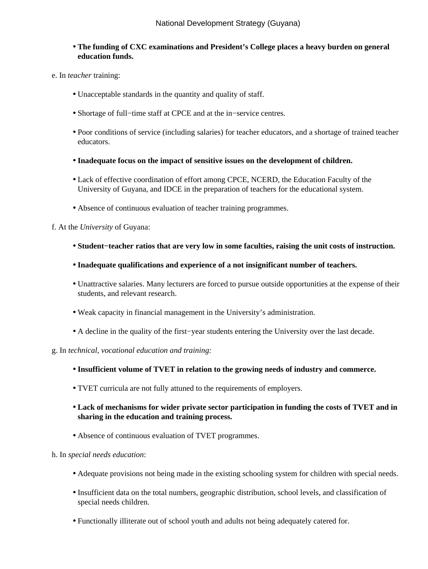- **The funding of CXC examinations and President's College places a heavy burden on general education funds.**
- e. In *teacher* training:
	- Unacceptable standards in the quantity and quality of staff.
	- Shortage of full−time staff at CPCE and at the in−service centres.
	- Poor conditions of service (including salaries) for teacher educators, and a shortage of trained teacher educators.
	- **Inadequate focus on the impact of sensitive issues on the development of children.**
	- Lack of effective coordination of effort among CPCE, NCERD, the Education Faculty of the University of Guyana, and IDCE in the preparation of teachers for the educational system.
	- Absence of continuous evaluation of teacher training programmes.

#### f. At the *University* of Guyana:

- **Student−teacher ratios that are very low in some faculties, raising the unit costs of instruction.**
- **Inadequate qualifications and experience of a not insignificant number of teachers.**
- Unattractive salaries. Many lecturers are forced to pursue outside opportunities at the expense of their students, and relevant research.
- Weak capacity in financial management in the University's administration.
- A decline in the quality of the first−year students entering the University over the last decade.
- g. In *technical, vocational education and training:*
	- **Insufficient volume of TVET in relation to the growing needs of industry and commerce.**
	- TVET curricula are not fully attuned to the requirements of employers.
	- **Lack of mechanisms for wider private sector participation in funding the costs of TVET and in sharing in the education and training process.**
	- Absence of continuous evaluation of TVET programmes.
- h. In *special needs education*:
	- Adequate provisions not being made in the existing schooling system for children with special needs.
	- Insufficient data on the total numbers, geographic distribution, school levels, and classification of special needs children.
	- Functionally illiterate out of school youth and adults not being adequately catered for.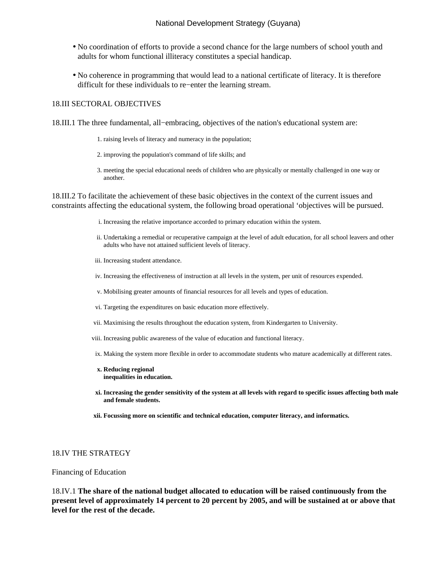- No coordination of efforts to provide a second chance for the large numbers of school youth and adults for whom functional illiteracy constitutes a special handicap.
- No coherence in programming that would lead to a national certificate of literacy. It is therefore difficult for these individuals to re−enter the learning stream.

#### 18.III SECTORAL OBJECTIVES

18.III.1 The three fundamental, all−embracing, objectives of the nation's educational system are:

- 1. raising levels of literacy and numeracy in the population;
- 2. improving the population's command of life skills; and
- 3. meeting the special educational needs of children who are physically or mentally challenged in one way or another.

18.III.2 To facilitate the achievement of these basic objectives in the context of the current issues and constraints affecting the educational system, the following broad operational 'objectives will be pursued.

- i. Increasing the relative importance accorded to primary education within the system.
- ii. Undertaking a remedial or recuperative campaign at the level of adult education, for all school leavers and other adults who have not attained sufficient levels of literacy.
- iii. Increasing student attendance.
- iv. Increasing the effectiveness of instruction at all levels in the system, per unit of resources expended.
- v. Mobilising greater amounts of financial resources for all levels and types of education.
- vi. Targeting the expenditures on basic education more effectively.
- vii. Maximising the results throughout the education system, from Kindergarten to University.
- viii. Increasing public awareness of the value of education and functional literacy.
- ix. Making the system more flexible in order to accommodate students who mature academically at different rates.
- **x. Reducing regional inequalities in education.**
- **Increasing the gender sensitivity of the system at all levels with regard to specific issues affecting both male xi. and female students.**
- **xii. Focussing more on scientific and technical education, computer literacy, and informatics.**

#### 18.IV THE STRATEGY

#### Financing of Education

18.IV.1 **The share of the national budget allocated to education will be raised continuously from the present level of approximately 14 percent to 20 percent by 2005, and will be sustained at or above that level for the rest of the decade.**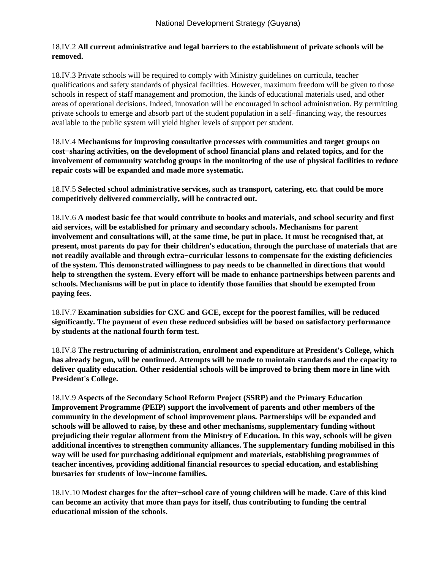### 18.IV.2 **All current administrative and legal barriers to the establishment of private schools will be removed.**

18.IV.3 Private schools will be required to comply with Ministry guidelines on curricula, teacher qualifications and safety standards of physical facilities. However, maximum freedom will be given to those schools in respect of staff management and promotion, the kinds of educational materials used, and other areas of operational decisions. Indeed, innovation will be encouraged in school administration. By permitting private schools to emerge and absorb part of the student population in a self−financing way, the resources available to the public system will yield higher levels of support per student.

18.IV.4 **Mechanisms for improving consultative processes with communities and target groups on cost−sharing activities, on the development of school financial plans and related topics, and for the involvement of community watchdog groups in the monitoring of the use of physical facilities to reduce repair costs will be expanded and made more systematic.**

18.IV.5 **Selected school administrative services, such as transport, catering, etc. that could be more competitively delivered commercially, will be contracted out.**

18.IV.6 **A modest basic fee that would contribute to books and materials, and school security and first aid services, will be established for primary and secondary schools. Mechanisms for parent involvement and consultations will, at the same time, be put in place. It must be recognised that, at present, most parents do pay for their children's education, through the purchase of materials that are not readily available and through extra−curricular lessons to compensate for the existing deficiencies of the system. This demonstrated willingness to pay needs to be channelled in directions that would help to strengthen the system. Every effort will be made to enhance partnerships between parents and schools. Mechanisms will be put in place to identify those families that should be exempted from paying fees.**

18.IV.7 **Examination subsidies for CXC and GCE, except for the poorest families, will be reduced significantly. The payment of even these reduced subsidies will be based on satisfactory performance by students at the national fourth form test.**

18.IV.8 **The restructuring of administration, enrolment and expenditure at President's College, which has already begun, will be continued. Attempts will be made to maintain standards and the capacity to deliver quality education. Other residential schools will be improved to bring them more in line with President's College.**

18.IV.9 **Aspects of the Secondary School Reform Project (SSRP) and the Primary Education Improvement Programme (PEIP) support the involvement of parents and other members of the community in the development of school improvement plans. Partnerships will be expanded and schools will be allowed to raise, by these and other mechanisms, supplementary funding without prejudicing their regular allotment from the Ministry of Education. In this way, schools will be given additional incentives to strengthen community alliances. The supplementary funding mobilised in this way will be used for purchasing additional equipment and materials, establishing programmes of teacher incentives, providing additional financial resources to special education, and establishing bursaries for students of low−income families.**

18.IV.10 **Modest charges for the after−school care of young children will be made. Care of this kind can become an activity that more than pays for itself, thus contributing to funding the central educational mission of the schools.**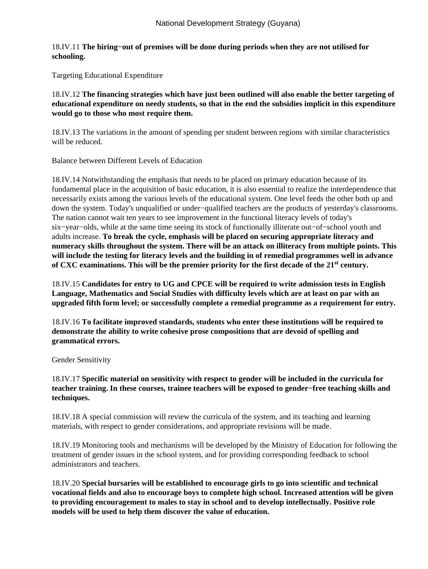## 18.IV.11 **The hiring−out of premises will be done during periods when they are not utilised for schooling.**

Targeting Educational Expenditure

18.IV.12 **The financing strategies which have just been outlined will also enable the better targeting of educational expenditure on needy students, so that in the end the subsidies implicit in this expenditure would go to those who most require them.**

18.IV.13 The variations in the amount of spending per student between regions with similar characteristics will be reduced.

Balance between Different Levels of Education

18.IV.14 Notwithstanding the emphasis that needs to be placed on primary education because of its fundamental place in the acquisition of basic education, it is also essential to realize the interdependence that necessarily exists among the various levels of the educational system. One level feeds the other both up and down the system. Today's unqualified or under−qualified teachers are the products of yesterday's classrooms. The nation cannot wait ten years to see improvement in the functional literacy levels of today's six−year−olds, while at the same time seeing its stock of functionally illiterate out−of−school youth and adults increase. **To break the cycle, emphasis will be placed on securing appropriate literacy and numeracy skills throughout the system. There will be an attack on illiteracy from multiple points. This will include the testing for literacy levels and the building in of remedial programmes well in advance of CXC examinations. This will be the premier priority for the first decade of the 21st century.**

18.IV.15 **Candidates for entry to UG and CPCE will be required to write admission tests in English Language, Mathematics and Social Studies with difficulty levels which are at least on par with an upgraded fifth form level; or successfully complete a remedial programme as a requirement for entry.**

18.IV.16 **To facilitate improved standards, students who enter these institutions will be required to demonstrate the ability to write cohesive prose compositions that are devoid of spelling and grammatical errors.**

Gender Sensitivity

18.IV.17 **Specific material on sensitivity with respect to gender will be included in the curricula for teacher training. In these courses, trainee teachers will be exposed to gender−free teaching skills and techniques.**

18.IV.18 A special commission will review the curricula of the system, and its teaching and learning materials, with respect to gender considerations, and appropriate revisions will be made.

18.IV.19 Monitoring tools and mechanisms will be developed by the Ministry of Education for following the treatment of gender issues in the school system, and for providing corresponding feedback to school administrators and teachers.

18.IV.20 **Special bursaries will be established to encourage girls to go into scientific and technical vocational fields and also to encourage boys to complete high school. Increased attention will be given to providing encouragement to males to stay in school and to develop intellectually. Positive role models will be used to help them discover the value of education.**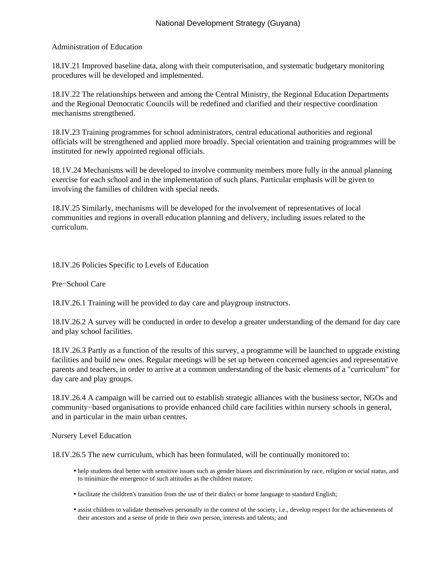### Administration of Education

18.IV.21 Improved baseline data, along with their computerisation, and systematic budgetary monitoring procedures will be developed and implemented.

18.IV.22 The relationships between and among the Central Ministry, the Regional Education Departments and the Regional Democratic Councils will be redefined and clarified and their respective coordination mechanisms strengthened.

18.IV.23 Training programmes for school administrators, central educational authorities and regional officials will be strengthened and applied more broadly. Special orientation and training programmes will be instituted for newly appointed regional officials.

18.1V.24 Mechanisms will be developed to involve community members more fully in the annual planning exercise for each school and in the implementation of such plans. Particular emphasis will be given to involving the families of children with special needs.

18.IV.25 Similarly, mechanisms will be developed for the involvement of representatives of local communities and regions in overall education planning and delivery, including issues related to the curriculum.

18.IV.26 Policies Specific to Levels of Education

Pre−School Care

18.IV.26.1 Training will be provided to day care and playgroup instructors.

18.IV.26.2 A survey will be conducted in order to develop a greater understanding of the demand for day care and play school facilities.

18.IV.26.3 Partly as a function of the results of this survey, a programme will be launched to upgrade existing facilities and build new ones. Regular meetings will be set up between concerned agencies and representative parents and teachers, in order to arrive at a common understanding of the basic elements of a "curriculum" for day care and play groups.

18.IV.26.4 A campaign will be carried out to establish strategic alliances with the business sector, NGOs and community−based organisations to provide enhanced child care facilities within nursery schools in general, and in particular in the main urban centres.

#### Nursery Level Education

18.IV.26.5 The new curriculum, which has been formulated, will be continually monitored to:

- help students deal better with sensitive issues such as gender biases and discrimination by race, religion or social status, and to minimize the emergence of such attitudes as the children mature;
- facilitate the children's transition from the use of their dialect or home language to standard English;
- assist children to validate themselves personally in the context of the society, i.e., develop respect for the achievements of their ancestors and a sense of pride in their own person, interests and talents; and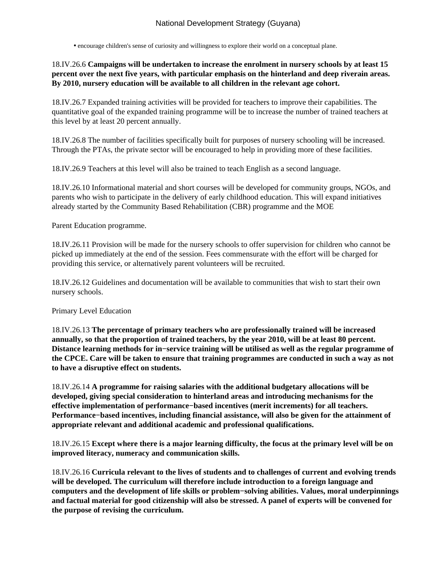• encourage children's sense of curiosity and willingness to explore their world on a conceptual plane.

18.IV.26.6 **Campaigns will be undertaken to increase the enrolment in nursery schools by at least 15 percent over the next five years, with particular emphasis on the hinterland and deep riverain areas. By 2010, nursery education will be available to all children in the relevant age cohort.**

18.IV.26.7 Expanded training activities will be provided for teachers to improve their capabilities. The quantitative goal of the expanded training programme will be to increase the number of trained teachers at this level by at least 20 percent annually.

18.IV.26.8 The number of facilities specifically built for purposes of nursery schooling will be increased. Through the PTAs, the private sector will be encouraged to help in providing more of these facilities.

18.IV.26.9 Teachers at this level will also be trained to teach English as a second language.

18.IV.26.10 Informational material and short courses will be developed for community groups, NGOs, and parents who wish to participate in the delivery of early childhood education. This will expand initiatives already started by the Community Based Rehabilitation (CBR) programme and the MOE

Parent Education programme.

18.IV.26.11 Provision will be made for the nursery schools to offer supervision for children who cannot be picked up immediately at the end of the session. Fees commensurate with the effort will be charged for providing this service, or alternatively parent volunteers will be recruited.

18.IV.26.12 Guidelines and documentation will be available to communities that wish to start their own nursery schools.

#### Primary Level Education

18.IV.26.13 **The percentage of primary teachers who are professionally trained will be increased annually, so that the proportion of trained teachers, by the year 2010, will be at least 80 percent. Distance learning methods for in−service training will be utilised as well as the regular programme of the CPCE. Care will be taken to ensure that training programmes are conducted in such a way as not to have a disruptive effect on students.**

18.IV.26.14 **A programme for raising salaries with the additional budgetary allocations will be developed, giving special consideration to hinterland areas and introducing mechanisms for the effective implementation of performance−based incentives (merit increments) for all teachers. Performance−based incentives, including financial assistance, will also be given for the attainment of appropriate relevant and additional academic and professional qualifications.**

18.IV.26.15 **Except where there is a major learning difficulty, the focus at the primary level will be on improved literacy, numeracy and communication skills.**

18.IV.26.16 **Curricula relevant to the lives of students and to challenges of current and evolving trends will be developed. The curriculum will therefore include introduction to a foreign language and computers and the development of life skills or problem−solving abilities. Values, moral underpinnings and factual material for good citizenship will also be stressed. A panel of experts will be convened for the purpose of revising the curriculum.**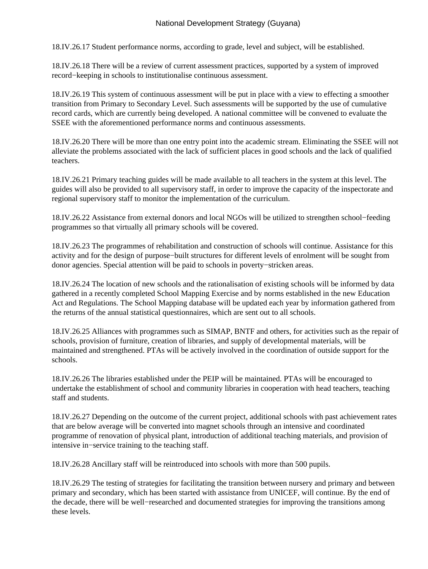18.IV.26.17 Student performance norms, according to grade, level and subject, will be established.

18.IV.26.18 There will be a review of current assessment practices, supported by a system of improved record−keeping in schools to institutionalise continuous assessment.

18.IV.26.19 This system of continuous assessment will be put in place with a view to effecting a smoother transition from Primary to Secondary Level. Such assessments will be supported by the use of cumulative record cards, which are currently being developed. A national committee will be convened to evaluate the SSEE with the aforementioned performance norms and continuous assessments.

18.IV.26.20 There will be more than one entry point into the academic stream. Eliminating the SSEE will not alleviate the problems associated with the lack of sufficient places in good schools and the lack of qualified teachers.

18.IV.26.21 Primary teaching guides will be made available to all teachers in the system at this level. The guides will also be provided to all supervisory staff, in order to improve the capacity of the inspectorate and regional supervisory staff to monitor the implementation of the curriculum.

18.IV.26.22 Assistance from external donors and local NGOs will be utilized to strengthen school−feeding programmes so that virtually all primary schools will be covered.

18.IV.26.23 The programmes of rehabilitation and construction of schools will continue. Assistance for this activity and for the design of purpose−built structures for different levels of enrolment will be sought from donor agencies. Special attention will be paid to schools in poverty−stricken areas.

18.IV.26.24 The location of new schools and the rationalisation of existing schools will be informed by data gathered in a recently completed School Mapping Exercise and by norms established in the new Education Act and Regulations. The School Mapping database will be updated each year by information gathered from the returns of the annual statistical questionnaires, which are sent out to all schools.

18.IV.26.25 Alliances with programmes such as SIMAP, BNTF and others, for activities such as the repair of schools, provision of furniture, creation of libraries, and supply of developmental materials, will be maintained and strengthened. PTAs will be actively involved in the coordination of outside support for the schools.

18.IV.26.26 The libraries established under the PEIP will be maintained. PTAs will be encouraged to undertake the establishment of school and community libraries in cooperation with head teachers, teaching staff and students.

18.IV.26.27 Depending on the outcome of the current project, additional schools with past achievement rates that are below average will be converted into magnet schools through an intensive and coordinated programme of renovation of physical plant, introduction of additional teaching materials, and provision of intensive in−service training to the teaching staff.

18.IV.26.28 Ancillary staff will be reintroduced into schools with more than 500 pupils.

18.IV.26.29 The testing of strategies for facilitating the transition between nursery and primary and between primary and secondary, which has been started with assistance from UNICEF, will continue. By the end of the decade, there will be well−researched and documented strategies for improving the transitions among these levels.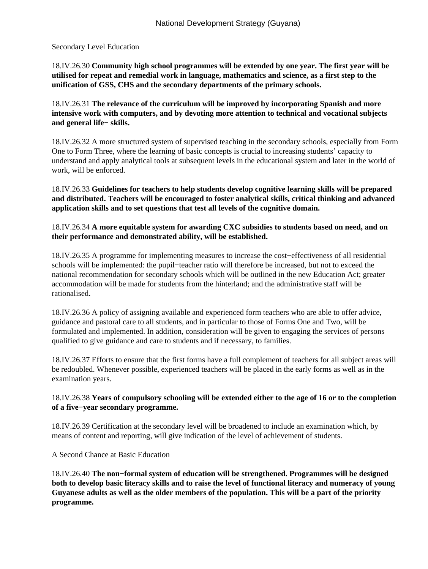#### Secondary Level Education

18.IV.26.30 **Community high school programmes will be extended by one year. The first year will be utilised for repeat and remedial work in language, mathematics and science, as a first step to the unification of GSS, CHS and the secondary departments of the primary schools.**

18.IV.26.31 **The relevance of the curriculum will be improved by incorporating Spanish and more intensive work with computers, and by devoting more attention to technical and vocational subjects and general life− skills.**

18.IV.26.32 A more structured system of supervised teaching in the secondary schools, especially from Form One to Form Three, where the learning of basic concepts is crucial to increasing students' capacity to understand and apply analytical tools at subsequent levels in the educational system and later in the world of work, will be enforced.

18.IV.26.33 **Guidelines for teachers to help students develop cognitive learning skills will be prepared and distributed. Teachers will be encouraged to foster analytical skills, critical thinking and advanced application skills and to set questions that test all levels of the cognitive domain.**

### 18.IV.26.34 **A more equitable system for awarding CXC subsidies to students based on need, and on their performance and demonstrated ability, will be established.**

18.IV.26.35 A programme for implementing measures to increase the cost−effectiveness of all residential schools will be implemented: the pupil−teacher ratio will therefore be increased, but not to exceed the national recommendation for secondary schools which will be outlined in the new Education Act; greater accommodation will be made for students from the hinterland; and the administrative staff will be rationalised.

18.IV.26.36 A policy of assigning available and experienced form teachers who are able to offer advice, guidance and pastoral care to all students, and in particular to those of Forms One and Two, will be formulated and implemented. In addition, consideration will be given to engaging the services of persons qualified to give guidance and care to students and if necessary, to families.

18.IV.26.37 Efforts to ensure that the first forms have a full complement of teachers for all subject areas will be redoubled. Whenever possible, experienced teachers will be placed in the early forms as well as in the examination years.

# 18.IV.26.38 **Years of compulsory schooling will be extended either to the age of 16 or to the completion of a five−year secondary programme.**

18.IV.26.39 Certification at the secondary level will be broadened to include an examination which, by means of content and reporting, will give indication of the level of achievement of students.

A Second Chance at Basic Education

18.IV.26.40 **The non−formal system of education will be strengthened. Programmes will be designed both to develop basic literacy skills and to raise the level of functional literacy and numeracy of young Guyanese adults as well as the older members of the population. This will be a part of the priority programme.**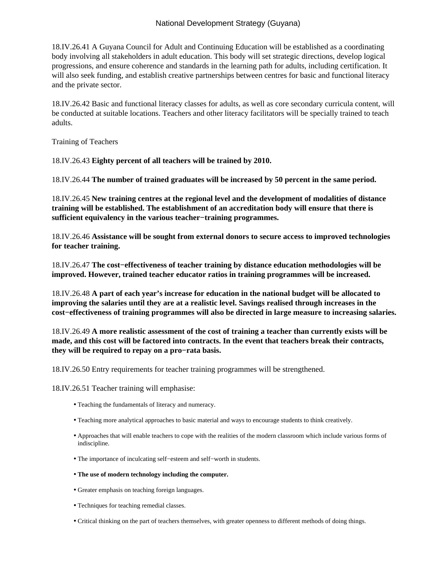18.IV.26.41 A Guyana Council for Adult and Continuing Education will be established as a coordinating body involving all stakeholders in adult education. This body will set strategic directions, develop logical progressions, and ensure coherence and standards in the learning path for adults, including certification. It will also seek funding, and establish creative partnerships between centres for basic and functional literacy and the private sector.

18.IV.26.42 Basic and functional literacy classes for adults, as well as core secondary curricula content, will be conducted at suitable locations. Teachers and other literacy facilitators will be specially trained to teach adults.

Training of Teachers

18.IV.26.43 **Eighty percent of all teachers will be trained by 2010.**

18.IV.26.44 **The number of trained graduates will be increased by 50 percent in the same period.**

18.IV.26.45 **New training centres at the regional level and the development of modalities of distance training will be established. The establishment of an accreditation body will ensure that there is sufficient equivalency in the various teacher−training programmes.**

18.IV.26.46 **Assistance will be sought from external donors to secure access to improved technologies for teacher training.**

18.IV.26.47 **The cost−effectiveness of teacher training by distance education methodologies will be improved. However, trained teacher educator ratios in training programmes will be increased.**

18.IV.26.48 **A part of each year's increase for education in the national budget will be allocated to improving the salaries until they are at a realistic level. Savings realised through increases in the cost−effectiveness of training programmes will also be directed in large measure to increasing salaries.**

18.IV.26.49 **A more realistic assessment of the cost of training a teacher than currently exists will be made, and this cost will be factored into contracts. In the event that teachers break their contracts, they will be required to repay on a pro−rata basis.**

18.IV.26.50 Entry requirements for teacher training programmes will be strengthened.

18.IV.26.51 Teacher training will emphasise:

- Teaching the fundamentals of literacy and numeracy.
- Teaching more analytical approaches to basic material and ways to encourage students to think creatively.
- Approaches that will enable teachers to cope with the realities of the modern classroom which include various forms of indiscipline.
- The importance of inculcating self−esteem and self−worth in students.
- **The use of modern technology including the computer.**
- Greater emphasis on teaching foreign languages.
- Techniques for teaching remedial classes.
- Critical thinking on the part of teachers themselves, with greater openness to different methods of doing things.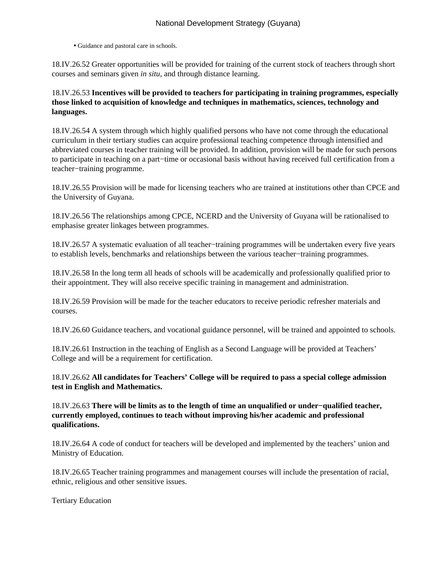• Guidance and pastoral care in schools.

18.IV.26.52 Greater opportunities will be provided for training of the current stock of teachers through short courses and seminars given *in situ*, and through distance learning.

18.IV.26.53 **Incentives will be provided to teachers for participating in training programmes, especially those linked to acquisition of knowledge and techniques in mathematics, sciences, technology and languages.**

18.IV.26.54 A system through which highly qualified persons who have not come through the educational curriculum in their tertiary studies can acquire professional teaching competence through intensified and abbreviated courses in teacher training will be provided. In addition, provision will be made for such persons to participate in teaching on a part−time or occasional basis without having received full certification from a teacher−training programme.

18.IV.26.55 Provision will be made for licensing teachers who are trained at institutions other than CPCE and the University of Guyana.

18.IV.26.56 The relationships among CPCE, NCERD and the University of Guyana will be rationalised to emphasise greater linkages between programmes.

18.IV.26.57 A systematic evaluation of all teacher−training programmes will be undertaken every five years to establish levels, benchmarks and relationships between the various teacher−training programmes.

18.IV.26.58 In the long term all heads of schools will be academically and professionally qualified prior to their appointment. They will also receive specific training in management and administration.

18.IV.26.59 Provision will be made for the teacher educators to receive periodic refresher materials and courses.

18.IV.26.60 Guidance teachers, and vocational guidance personnel, will be trained and appointed to schools.

18.IV.26.61 Instruction in the teaching of English as a Second Language will be provided at Teachers' College and will be a requirement for certification.

18.IV.26.62 **All candidates for Teachers' College will be required to pass a special college admission test in English and Mathematics.**

18.IV.26.63 **There will be limits as to the length of time an unqualified or under−qualified teacher, currently employed, continues to teach without improving his/her academic and professional qualifications.**

18.IV.26.64 A code of conduct for teachers will be developed and implemented by the teachers' union and Ministry of Education.

18.IV.26.65 Teacher training programmes and management courses will include the presentation of racial, ethnic, religious and other sensitive issues.

Tertiary Education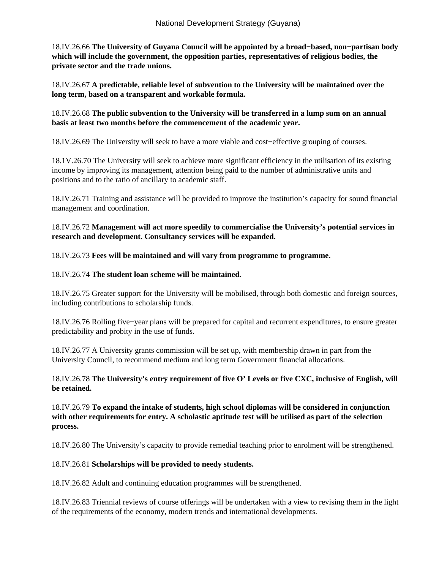18.IV.26.66 **The University of Guyana Council will be appointed by a broad−based, non−partisan body which will include the government, the opposition parties, representatives of religious bodies, the private sector and the trade unions.**

18.IV.26.67 **A predictable, reliable level of subvention to the University will be maintained over the long term, based on a transparent and workable formula.**

18.IV.26.68 **The public subvention to the University will be transferred in a lump sum on an annual basis at least two months before the commencement of the academic year.**

18.IV.26.69 The University will seek to have a more viable and cost−effective grouping of courses.

18.1V.26.70 The University will seek to achieve more significant efficiency in the utilisation of its existing income by improving its management, attention being paid to the number of administrative units and positions and to the ratio of ancillary to academic staff.

18.IV.26.71 Training and assistance will be provided to improve the institution's capacity for sound financial management and coordination.

18.IV.26.72 **Management will act more speedily to commercialise the University's potential services in research and development. Consultancy services will be expanded.**

18.IV.26.73 **Fees will be maintained and will vary from programme to programme.**

## 18.IV.26.74 **The student loan scheme will be maintained.**

18.IV.26.75 Greater support for the University will be mobilised, through both domestic and foreign sources, including contributions to scholarship funds.

18.IV.26.76 Rolling five−year plans will be prepared for capital and recurrent expenditures, to ensure greater predictability and probity in the use of funds.

18.IV.26.77 A University grants commission will be set up, with membership drawn in part from the University Council, to recommend medium and long term Government financial allocations.

#### 18.IV.26.78 **The University's entry requirement of five O' Levels or five CXC, inclusive of English, will be retained.**

18.IV.26.79 **To expand the intake of students, high school diplomas will be considered in conjunction with other requirements for entry. A scholastic aptitude test will be utilised as part of the selection process.**

18.IV.26.80 The University's capacity to provide remedial teaching prior to enrolment will be strengthened.

# 18.IV.26.81 **Scholarships will be provided to needy students.**

18.IV.26.82 Adult and continuing education programmes will be strengthened.

18.IV.26.83 Triennial reviews of course offerings will be undertaken with a view to revising them in the light of the requirements of the economy, modern trends and international developments.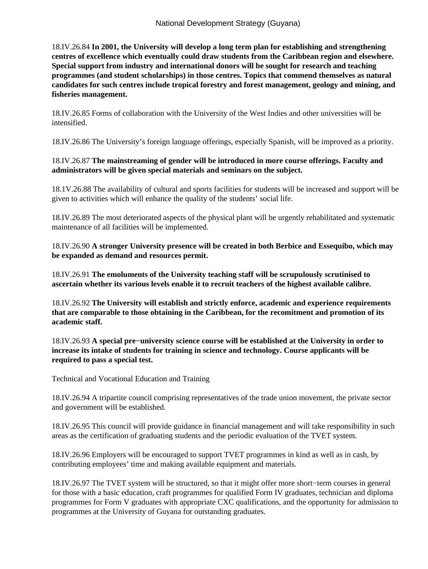18.IV.26.84 **In 2001, the University will develop a long term plan for establishing and strengthening centres of excellence which eventually could draw students from the Caribbean region and elsewhere. Special support from industry and international donors will be sought for research and teaching programmes (and student scholarships) in those centres. Topics that commend themselves as natural candidates for such centres include tropical forestry and forest management, geology and mining, and fisheries management.**

18.IV.26.85 Forms of collaboration with the University of the West Indies and other universities will be intensified.

18.IV.26.86 The University's foreign language offerings, especially Spanish, will be improved as a priority.

# 18.IV.26.87 **The mainstreaming of gender will be introduced in more course offerings. Faculty and administrators will be given special materials and seminars on the subject.**

18.1V.26.88 The availability of cultural and sports facilities for students will be increased and support will be given to activities which will enhance the quality of the students' social life.

18.IV.26.89 The most deteriorated aspects of the physical plant will be urgently rehabilitated and systematic maintenance of all facilities will be implemented.

18.IV.26.90 **A stronger University presence will be created in both Berbice and Essequibo, which may be expanded as demand and resources permit.**

18.IV.26.91 **The emoluments of the University teaching staff will be scrupulously scrutinised to ascertain whether its various levels enable it to recruit teachers of the highest available calibre.**

18.IV.26.92 **The University will establish and strictly enforce, academic and experience requirements that are comparable to those obtaining in the Caribbean, for the recomitment and promotion of its academic staff.**

18.IV.26.93 **A special pre−university science course will be established at the University in order to increase its intake of students for training in science and technology. Course applicants will be required to pass a special test.**

Technical and Vocational Education and Training

18.IV.26.94 A tripartite council comprising representatives of the trade union movement, the private sector and government will be established.

18.IV.26.95 This council will provide guidance in financial management and will take responsibility in such areas as the certification of graduating students and the periodic evaluation of the TVET system.

18.IV.26.96 Employers will be encouraged to support TVET programmes in kind as well as in cash, by contributing employees' time and making available equipment and materials.

18.IV.26.97 The TVET system will be structured, so that it might offer more short−term courses in general for those with a basic education, craft programmes for qualified Form IV graduates, technician and diploma programmes for Form V graduates with appropriate CXC qualifications, and the opportunity for admission to programmes at the University of Guyana for outstanding graduates.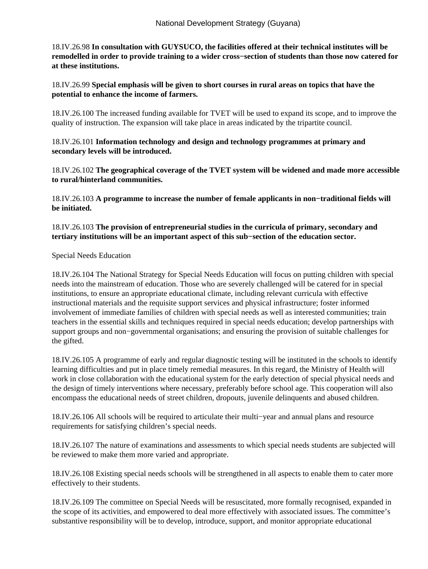18.IV.26.98 **In consultation with GUYSUCO, the facilities offered at their technical institutes will be remodelled in order to provide training to a wider cross−section of students than those now catered for at these institutions.**

18.IV.26.99 **Special emphasis will be given to short courses in rural areas on topics that have the potential to enhance the income of farmers.**

18.IV.26.100 The increased funding available for TVET will be used to expand its scope, and to improve the quality of instruction. The expansion will take place in areas indicated by the tripartite council.

18.IV.26.101 **Information technology and design and technology programmes at primary and secondary levels will be introduced.**

18.IV.26.102 **The geographical coverage of the TVET system will be widened and made more accessible to rural/hinterland communities.**

18.IV.26.103 **A programme to increase the number of female applicants in non−traditional fields will be initiated.**

18.IV.26.103 **The provision of entrepreneurial studies in the curricula of primary, secondary and tertiary institutions will be an important aspect of this sub−section of the education sector.**

Special Needs Education

18.IV.26.104 The National Strategy for Special Needs Education will focus on putting children with special needs into the mainstream of education. Those who are severely challenged will be catered for in special institutions, to ensure an appropriate educational climate, including relevant curricula with effective instructional materials and the requisite support services and physical infrastructure; foster informed involvement of immediate families of children with special needs as well as interested communities; train teachers in the essential skills and techniques required in special needs education; develop partnerships with support groups and non−governmental organisations; and ensuring the provision of suitable challenges for the gifted.

18.IV.26.105 A programme of early and regular diagnostic testing will be instituted in the schools to identify learning difficulties and put in place timely remedial measures. In this regard, the Ministry of Health will work in close collaboration with the educational system for the early detection of special physical needs and the design of timely interventions where necessary, preferably before school age. This cooperation will also encompass the educational needs of street children, dropouts, juvenile delinquents and abused children.

18.IV.26.106 All schools will be required to articulate their multi−year and annual plans and resource requirements for satisfying children's special needs.

18.IV.26.107 The nature of examinations and assessments to which special needs students are subjected will be reviewed to make them more varied and appropriate.

18.IV.26.108 Existing special needs schools will be strengthened in all aspects to enable them to cater more effectively to their students.

18.IV.26.109 The committee on Special Needs will be resuscitated, more formally recognised, expanded in the scope of its activities, and empowered to deal more effectively with associated issues. The committee's substantive responsibility will be to develop, introduce, support, and monitor appropriate educational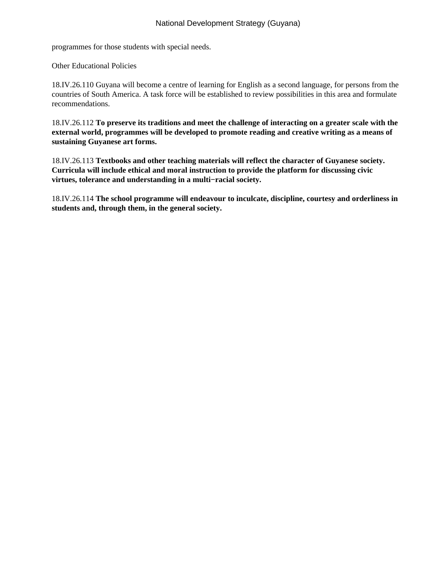programmes for those students with special needs.

Other Educational Policies

18.IV.26.110 Guyana will become a centre of learning for English as a second language, for persons from the countries of South America. A task force will be established to review possibilities in this area and formulate recommendations.

18.IV.26.112 **To preserve its traditions and meet the challenge of interacting on a greater scale with the external world, programmes will be developed to promote reading and creative writing as a means of sustaining Guyanese art forms.**

18.IV.26.113 **Textbooks and other teaching materials will reflect the character of Guyanese society. Curricula will include ethical and moral instruction to provide the platform for discussing civic virtues, tolerance and understanding in a multi−racial society.**

18.IV.26.114 **The school programme will endeavour to inculcate, discipline, courtesy and orderliness in students and, through them, in the general society.**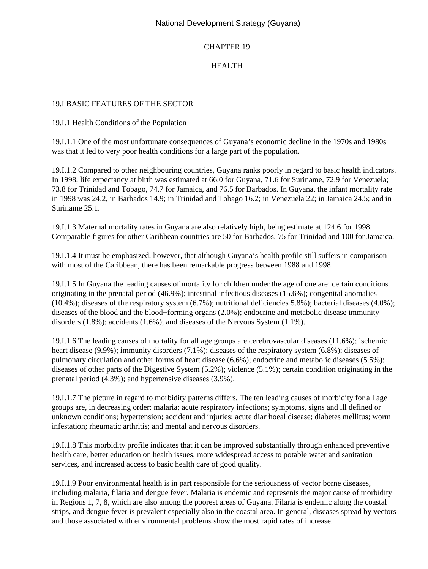### CHAPTER 19

# HEALTH

#### 19.I BASIC FEATURES OF THE SECTOR

19.I.1 Health Conditions of the Population

19.I.1.1 One of the most unfortunate consequences of Guyana's economic decline in the 1970s and 1980s was that it led to very poor health conditions for a large part of the population.

19.I.1.2 Compared to other neighbouring countries, Guyana ranks poorly in regard to basic health indicators. In 1998, life expectancy at birth was estimated at 66.0 for Guyana, 71.6 for Suriname, 72.9 for Venezuela; 73.8 for Trinidad and Tobago, 74.7 for Jamaica, and 76.5 for Barbados. In Guyana, the infant mortality rate in 1998 was 24.2, in Barbados 14.9; in Trinidad and Tobago 16.2; in Venezuela 22; in Jamaica 24.5; and in Suriname 25.1.

19.I.1.3 Maternal mortality rates in Guyana are also relatively high, being estimate at 124.6 for 1998. Comparable figures for other Caribbean countries are 50 for Barbados, 75 for Trinidad and 100 for Jamaica.

19.I.1.4 It must be emphasized, however, that although Guyana's health profile still suffers in comparison with most of the Caribbean, there has been remarkable progress between 1988 and 1998

19.I.1.5 In Guyana the leading causes of mortality for children under the age of one are: certain conditions originating in the prenatal period (46.9%); intestinal infectious diseases (15.6%); congenital anomalies (10.4%); diseases of the respiratory system (6.7%); nutritional deficiencies 5.8%); bacterial diseases (4.0%); diseases of the blood and the blood−forming organs (2.0%); endocrine and metabolic disease immunity disorders (1.8%); accidents (1.6%); and diseases of the Nervous System (1.1%).

19.I.1.6 The leading causes of mortality for all age groups are cerebrovascular diseases (11.6%); ischemic heart disease (9.9%); immunity disorders (7.1%); diseases of the respiratory system (6.8%); diseases of pulmonary circulation and other forms of heart disease (6.6%); endocrine and metabolic diseases (5.5%); diseases of other parts of the Digestive System (5.2%); violence (5.1%); certain condition originating in the prenatal period (4.3%); and hypertensive diseases (3.9%).

19.I.1.7 The picture in regard to morbidity patterns differs. The ten leading causes of morbidity for all age groups are, in decreasing order: malaria; acute respiratory infections; symptoms, signs and ill defined or unknown conditions; hypertension; accident and injuries; acute diarrhoeal disease; diabetes mellitus; worm infestation; rheumatic arthritis; and mental and nervous disorders.

19.I.1.8 This morbidity profile indicates that it can be improved substantially through enhanced preventive health care, better education on health issues, more widespread access to potable water and sanitation services, and increased access to basic health care of good quality.

19.I.1.9 Poor environmental health is in part responsible for the seriousness of vector borne diseases, including malaria, filaria and dengue fever. Malaria is endemic and represents the major cause of morbidity in Regions 1, 7, 8, which are also among the poorest areas of Guyana. Filaria is endemic along the coastal strips, and dengue fever is prevalent especially also in the coastal area. In general, diseases spread by vectors and those associated with environmental problems show the most rapid rates of increase.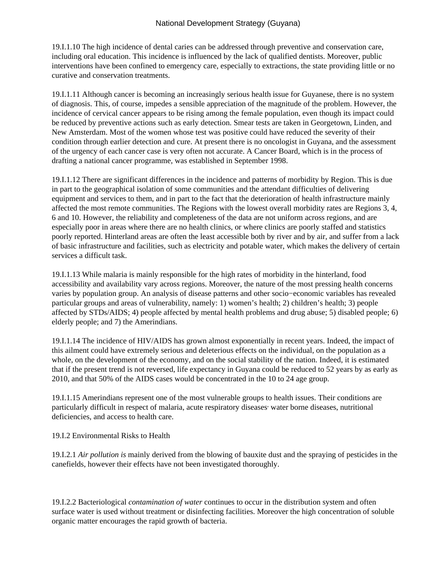19.I.1.10 The high incidence of dental caries can be addressed through preventive and conservation care, including oral education. This incidence is influenced by the lack of qualified dentists. Moreover, public interventions have been confined to emergency care, especially to extractions, the state providing little or no curative and conservation treatments.

19.I.1.11 Although cancer is becoming an increasingly serious health issue for Guyanese, there is no system of diagnosis. This, of course, impedes a sensible appreciation of the magnitude of the problem. However, the incidence of cervical cancer appears to be rising among the female population, even though its impact could be reduced by preventive actions such as early detection. Smear tests are taken in Georgetown, Linden, and New Amsterdam. Most of the women whose test was positive could have reduced the severity of their condition through earlier detection and cure. At present there is no oncologist in Guyana, and the assessment of the urgency of each cancer case is very often not accurate. A Cancer Board, which is in the process of drafting a national cancer programme, was established in September 1998.

19.I.1.12 There are significant differences in the incidence and patterns of morbidity by Region. This is due in part to the geographical isolation of some communities and the attendant difficulties of delivering equipment and services to them, and in part to the fact that the deterioration of health infrastructure mainly affected the most remote communities. The Regions with the lowest overall morbidity rates are Regions 3, 4, 6 and 10. However, the reliability and completeness of the data are not uniform across regions, and are especially poor in areas where there are no health clinics, or where clinics are poorly staffed and statistics poorly reported. Hinterland areas are often the least accessible both by river and by air, and suffer from a lack of basic infrastructure and facilities, such as electricity and potable water, which makes the delivery of certain services a difficult task.

19.I.1.13 While malaria is mainly responsible for the high rates of morbidity in the hinterland, food accessibility and availability vary across regions. Moreover, the nature of the most pressing health concerns varies by population group. An analysis of disease patterns and other socio−economic variables has revealed particular groups and areas of vulnerability, namely: 1) women's health; 2) children's health; 3) people affected by STDs/AIDS; 4) people affected by mental health problems and drug abuse; 5) disabled people; 6) elderly people; and 7) the Amerindians.

19.I.1.14 The incidence of HIV/AIDS has grown almost exponentially in recent years. Indeed, the impact of this ailment could have extremely serious and deleterious effects on the individual, on the population as a whole, on the development of the economy, and on the social stability of the nation. Indeed, it is estimated that if the present trend is not reversed, life expectancy in Guyana could be reduced to 52 years by as early as 2010, and that 50% of the AIDS cases would be concentrated in the 10 to 24 age group.

19.I.1.15 Amerindians represent one of the most vulnerable groups to health issues. Their conditions are particularly difficult in respect of malaria, acute respiratory diseases water borne diseases, nutritional deficiencies, and access to health care.

19.I.2 Environmental Risks to Health

19.I.2.1 *Air pollution is* mainly derived from the blowing of bauxite dust and the spraying of pesticides in the canefields, however their effects have not been investigated thoroughly.

19.I.2.2 Bacteriological *contamination of water* continues to occur in the distribution system and often surface water is used without treatment or disinfecting facilities. Moreover the high concentration of soluble organic matter encourages the rapid growth of bacteria.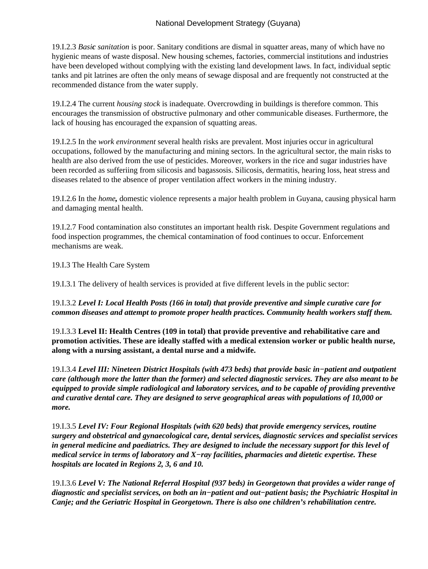19.I.2.3 *Basic sanitation* is poor. Sanitary conditions are dismal in squatter areas, many of which have no hygienic means of waste disposal. New housing schemes, factories, commercial institutions and industries have been developed without complying with the existing land development laws. In fact, individual septic tanks and pit latrines are often the only means of sewage disposal and are frequently not constructed at the recommended distance from the water supply.

19.I.2.4 The current *housing stock* is inadequate. Overcrowding in buildings is therefore common. This encourages the transmission of obstructive pulmonary and other communicable diseases. Furthermore, the lack of housing has encouraged the expansion of squatting areas.

19.I.2.5 In the *work environment* several health risks are prevalent. Most injuries occur in agricultural occupations, followed by the manufacturing and mining sectors. In the agricultural sector, the main risks to health are also derived from the use of pesticides. Moreover, workers in the rice and sugar industries have been recorded as sufferiing from silicosis and bagassosis. Silicosis, dermatitis, hearing loss, heat stress and diseases related to the absence of proper ventilation affect workers in the mining industry.

19.I.2.6 In the *home,* domestic violence represents a major health problem in Guyana, causing physical harm and damaging mental health.

19.I.2.7 Food contamination also constitutes an important health risk. Despite Government regulations and food inspection programmes, the chemical contamination of food continues to occur. Enforcement mechanisms are weak.

19.I.3 The Health Care System

19.I.3.1 The delivery of health services is provided at five different levels in the public sector:

19.I.3.2 *Level I: Local Health Posts (166 in total) that provide preventive and simple curative care for common diseases and attempt to promote proper health practices. Community health workers staff them.*

19.I.3.3 **Level II: Health Centres (109 in total) that provide preventive and rehabilitative care and promotion activities. These are ideally staffed with a medical extension worker or public health nurse, along with a nursing assistant, a dental nurse and a midwife.**

19.I.3.4 *Level III: Nineteen District Hospitals (with 473 beds) that provide basic in−patient and outpatient care (although more the latter than the former) and selected diagnostic services. They are also meant to be equipped to provide simple radiological and laboratory services, and to be capable of providing preventive and curative dental care. They are designed to serve geographical areas with populations of 10,000 or more.*

19.I.3.5 *Level IV: Four Regional Hospitals (with 620 beds) that provide emergency services, routine surgery and obstetrical and gynaecological care, dental services, diagnostic services and specialist services in general medicine and paediatrics. They are designed to include the necessary support for this level of medical service in terms of laboratory and X−ray facilities, pharmacies and dietetic expertise. These hospitals are located in Regions 2, 3, 6 and 10.*

19.I.3.6 *Level V: The National Referral Hospital (937 beds) in Georgetown that provides a wider range of diagnostic and specialist services, on both an in−patient and out−patient basis; the Psychiatric Hospital in Canje; and the Geriatric Hospital in Georgetown. There is also one children's rehabilitation centre.*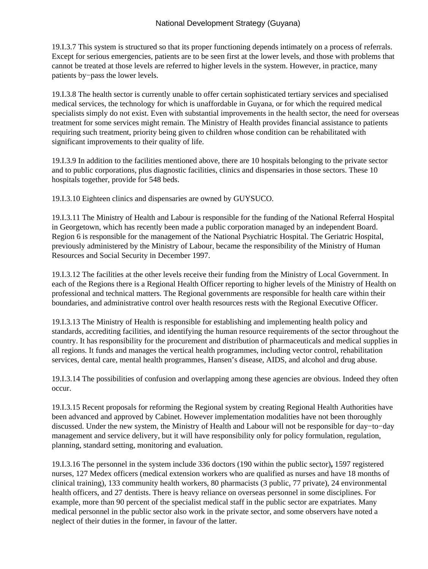19.I.3.7 This system is structured so that its proper functioning depends intimately on a process of referrals. Except for serious emergencies, patients are to be seen first at the lower levels, and those with problems that cannot be treated at those levels are referred to higher levels in the system. However, in practice, many patients by−pass the lower levels.

19.I.3.8 The health sector is currently unable to offer certain sophisticated tertiary services and specialised medical services, the technology for which is unaffordable in Guyana, or for which the required medical specialists simply do not exist. Even with substantial improvements in the health sector, the need for overseas treatment for some services might remain. The Ministry of Health provides financial assistance to patients requiring such treatment, priority being given to children whose condition can be rehabilitated with significant improvements to their quality of life.

19.I.3.9 In addition to the facilities mentioned above, there are 10 hospitals belonging to the private sector and to public corporations, plus diagnostic facilities, clinics and dispensaries in those sectors. These 10 hospitals together, provide for 548 beds.

19.I.3.10 Eighteen clinics and dispensaries are owned by GUYSUCO.

19.I.3.11 The Ministry of Health and Labour is responsible for the funding of the National Referral Hospital in Georgetown, which has recently been made a public corporation managed by an independent Board. Region 6 is responsible for the management of the National Psychiatric Hospital. The Geriatric Hospital, previously administered by the Ministry of Labour, became the responsibility of the Ministry of Human Resources and Social Security in December 1997.

19.I.3.12 The facilities at the other levels receive their funding from the Ministry of Local Government. In each of the Regions there is a Regional Health Officer reporting to higher levels of the Ministry of Health on professional and technical matters. The Regional governments are responsible for health care within their boundaries, and administrative control over health resources rests with the Regional Executive Officer.

19.I.3.13 The Ministry of Health is responsible for establishing and implementing health policy and standards, accrediting facilities, and identifying the human resource requirements of the sector throughout the country. It has responsibility for the procurement and distribution of pharmaceuticals and medical supplies in all regions. It funds and manages the vertical health programmes, including vector control, rehabilitation services, dental care, mental health programmes, Hansen's disease, AIDS, and alcohol and drug abuse.

19.I.3.14 The possibilities of confusion and overlapping among these agencies are obvious. Indeed they often occur.

19.I.3.15 Recent proposals for reforming the Regional system by creating Regional Health Authorities have been advanced and approved by Cabinet. However implementation modalities have not been thoroughly discussed. Under the new system, the Ministry of Health and Labour will not be responsible for day−to−day management and service delivery, but it will have responsibility only for policy formulation, regulation, planning, standard setting, monitoring and evaluation.

19.I.3.16 The personnel in the system include 336 doctors (190 within the public sector)**,** 1597 registered nurses, 127 Medex officers (medical extension workers who are qualified as nurses and have 18 months of clinical training), 133 community health workers, 80 pharmacists (3 public, 77 private), 24 environmental health officers, and 27 dentists. There is heavy reliance on overseas personnel in some disciplines. For example, more than 90 percent of the specialist medical staff in the public sector are expatriates. Many medical personnel in the public sector also work in the private sector, and some observers have noted a neglect of their duties in the former, in favour of the latter.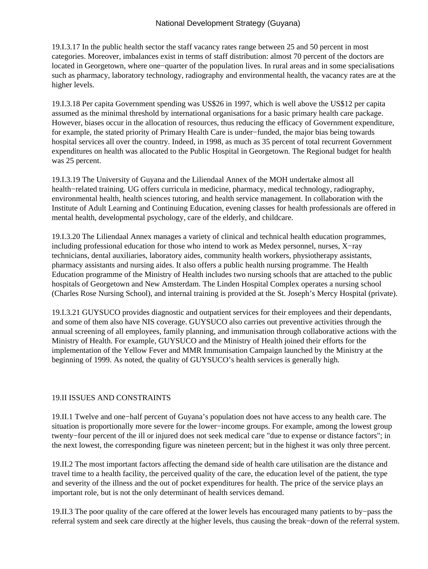19.I.3.17 In the public health sector the staff vacancy rates range between 25 and 50 percent in most categories. Moreover, imbalances exist in terms of staff distribution: almost 70 percent of the doctors are located in Georgetown, where one−quarter of the population lives. In rural areas and in some specialisations such as pharmacy, laboratory technology, radiography and environmental health, the vacancy rates are at the higher levels.

19.I.3.18 Per capita Government spending was US\$26 in 1997, which is well above the US\$12 per capita assumed as the minimal threshold by international organisations for a basic primary health care package. However, biases occur in the allocation of resources, thus reducing the efficacy of Government expenditure, for example, the stated priority of Primary Health Care is under−funded, the major bias being towards hospital services all over the country. Indeed, in 1998, as much as 35 percent of total recurrent Government expenditures on health was allocated to the Public Hospital in Georgetown. The Regional budget for health was 25 percent.

19.I.3.19 The University of Guyana and the Liliendaal Annex of the MOH undertake almost all health−related training. UG offers curricula in medicine, pharmacy, medical technology, radiography, environmental health, health sciences tutoring, and health service management. In collaboration with the Institute of Adult Learning and Continuing Education, evening classes for health professionals are offered in mental health, developmental psychology, care of the elderly, and childcare.

19.I.3.20 The Liliendaal Annex manages a variety of clinical and technical health education programmes, including professional education for those who intend to work as Medex personnel, nurses, X−ray technicians, dental auxiliaries, laboratory aides, community health workers, physiotherapy assistants, pharmacy assistants and nursing aides. It also offers a public health nursing programme. The Health Education programme of the Ministry of Health includes two nursing schools that are attached to the public hospitals of Georgetown and New Amsterdam. The Linden Hospital Complex operates a nursing school (Charles Rose Nursing School), and internal training is provided at the St. Joseph's Mercy Hospital (private).

19.I.3.21 GUYSUCO provides diagnostic and outpatient services for their employees and their dependants, and some of them also have NIS coverage. GUYSUCO also carries out preventive activities through the annual screening of all employees, family planning, and immunisation through collaborative actions with the Ministry of Health. For example, GUYSUCO and the Ministry of Health joined their efforts for the implementation of the Yellow Fever and MMR Immunisation Campaign launched by the Ministry at the beginning of 1999. As noted, the quality of GUYSUCO's health services is generally high.

#### 19.II ISSUES AND CONSTRAINTS

19.II.1 Twelve and one−half percent of Guyana's population does not have access to any health care. The situation is proportionally more severe for the lower−income groups. For example, among the lowest group twenty−four percent of the ill or injured does not seek medical care "due to expense or distance factors"; in the next lowest, the corresponding figure was nineteen percent; but in the highest it was only three percent.

19.II.2 The most important factors affecting the demand side of health care utilisation are the distance and travel time to a health facility, the perceived quality of the care, the education level of the patient, the type and severity of the illness and the out of pocket expenditures for health. The price of the service plays an important role, but is not the only determinant of health services demand.

19.II.3 The poor quality of the care offered at the lower levels has encouraged many patients to by−pass the referral system and seek care directly at the higher levels, thus causing the break−down of the referral system.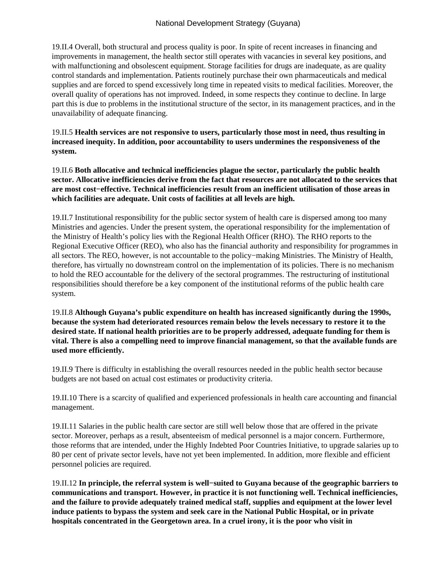19.II.4 Overall, both structural and process quality is poor. In spite of recent increases in financing and improvements in management, the health sector still operates with vacancies in several key positions, and with malfunctioning and obsolescent equipment. Storage facilities for drugs are inadequate, as are quality control standards and implementation. Patients routinely purchase their own pharmaceuticals and medical supplies and are forced to spend excessively long time in repeated visits to medical facilities. Moreover, the overall quality of operations has not improved. Indeed, in some respects they continue to decline. In large part this is due to problems in the institutional structure of the sector, in its management practices, and in the unavailability of adequate financing.

19.II.5 **Health services are not responsive to users, particularly those most in need, thus resulting in increased inequity. In addition, poor accountability to users undermines the responsiveness of the system.**

19.II.6 **Both allocative and technical inefficiencies plague the sector, particularly the public health sector. Allocative inefficiencies derive from the fact that resources are not allocated to the services that are most cost−effective. Technical inefficiencies result from an inefficient utilisation of those areas in which facilities are adequate. Unit costs of facilities at all levels are high.**

19.II.7 Institutional responsibility for the public sector system of health care is dispersed among too many Ministries and agencies. Under the present system, the operational responsibility for the implementation of the Ministry of Health's policy lies with the Regional Health Officer (RHO). The RHO reports to the Regional Executive Officer (REO), who also has the financial authority and responsibility for programmes in all sectors. The REO, however, is not accountable to the policy−making Ministries. The Ministry of Health, therefore, has virtually no downstream control on the implementation of its policies. There is no mechanism to hold the REO accountable for the delivery of the sectoral programmes. The restructuring of institutional responsibilities should therefore be a key component of the institutional reforms of the public health care system.

19.II.8 **Although Guyana's public expenditure on health has increased significantly during the 1990s, because the system had deteriorated resources remain below the levels necessary to restore it to the desired state. If national health priorities are to be properly addressed, adequate funding for them is vital. There is also a compelling need to improve financial management, so that the available funds are used more efficiently.**

19.II.9 There is difficulty in establishing the overall resources needed in the public health sector because budgets are not based on actual cost estimates or productivity criteria.

19.II.10 There is a scarcity of qualified and experienced professionals in health care accounting and financial management.

19.II.11 Salaries in the public health care sector are still well below those that are offered in the private sector. Moreover, perhaps as a result, absenteeism of medical personnel is a major concern. Furthermore, those reforms that are intended, under the Highly Indebted Poor Countries Initiative, to upgrade salaries up to 80 per cent of private sector levels, have not yet been implemented. In addition, more flexible and efficient personnel policies are required.

19.II.12 **In principle, the referral system is well−suited to Guyana because of the geographic barriers to communications and transport. However, in practice it is not functioning well. Technical inefficiencies, and the failure to provide adequately trained medical staff, supplies and equipment at the lower level induce patients to bypass the system and seek care in the National Public Hospital, or in private hospitals concentrated in the Georgetown area. In a cruel irony, it is the poor who visit in**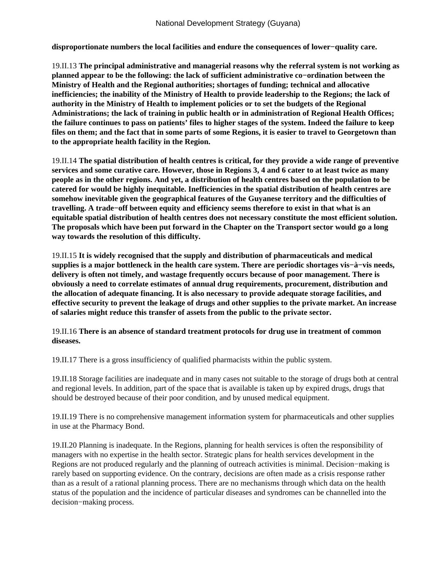**disproportionate numbers the local facilities and endure the consequences of lower−quality care.**

19.II.13 **The principal administrative and managerial reasons why the referral system is not working as planned appear to be the following: the lack of sufficient administrative co−ordination between the Ministry of Health and the Regional authorities; shortages of funding; technical and allocative inefficiencies; the inability of the Ministry of Health to provide leadership to the Regions; the lack of authority in the Ministry of Health to implement policies or to set the budgets of the Regional Administrations; the lack of training in public health or in administration of Regional Health Offices; the failure continues to pass on patients' files to higher stages of the system. Indeed the failure to keep files on them; and the fact that in some parts of some Regions, it is easier to travel to Georgetown than to the appropriate health facility in the Region.**

19.II.14 **The spatial distribution of health centres is critical, for they provide a wide range of preventive services and some curative care. However, those in Regions 3, 4 and 6 cater to at least twice as many people as in the other regions. And yet, a distribution of health centres based on the population to be catered for would be highly inequitable. Inefficiencies in the spatial distribution of health centres are somehow inevitable given the geographical features of the Guyanese territory and the difficulties of travelling. A trade−off between equity and efficiency seems therefore to exist in that what is an equitable spatial distribution of health centres does not necessary constitute the most efficient solution. The proposals which have been put forward in the Chapter on the Transport sector would go a long way towards the resolution of this difficulty.**

19.II.15 **It is widely recognised that the supply and distribution of pharmaceuticals and medical supplies is a major bottleneck in the health care system. There are periodic shortages vis−à−vis needs, delivery is often not timely, and wastage frequently occurs because of poor management. There is obviously a need to correlate estimates of annual drug requirements, procurement, distribution and the allocation of adequate financing. It is also necessary to provide adequate storage facilities, and effective security to prevent the leakage of drugs and other supplies to the private market. An increase of salaries might reduce this transfer of assets from the public to the private sector.**

19.II.16 **There is an absence of standard treatment protocols for drug use in treatment of common diseases.**

19.II.17 There is a gross insufficiency of qualified pharmacists within the public system.

19.II.18 Storage facilities are inadequate and in many cases not suitable to the storage of drugs both at central and regional levels. In addition, part of the space that is available is taken up by expired drugs, drugs that should be destroyed because of their poor condition, and by unused medical equipment.

19.II.19 There is no comprehensive management information system for pharmaceuticals and other supplies in use at the Pharmacy Bond.

19.II.20 Planning is inadequate. In the Regions, planning for health services is often the responsibility of managers with no expertise in the health sector. Strategic plans for health services development in the Regions are not produced regularly and the planning of outreach activities is minimal. Decision−making is rarely based on supporting evidence. On the contrary, decisions are often made as a crisis response rather than as a result of a rational planning process. There are no mechanisms through which data on the health status of the population and the incidence of particular diseases and syndromes can be channelled into the decision−making process.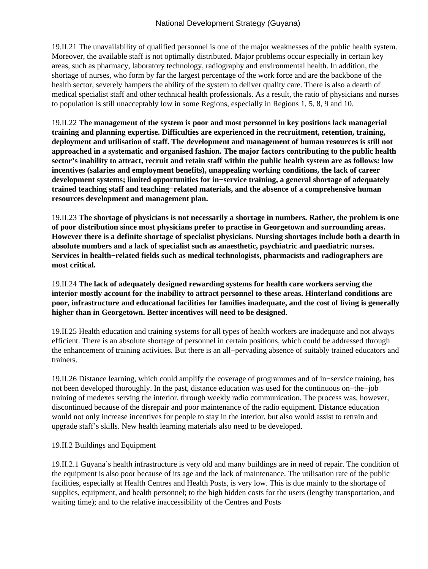19.II.21 The unavailability of qualified personnel is one of the major weaknesses of the public health system. Moreover, the available staff is not optimally distributed. Major problems occur especially in certain key areas, such as pharmacy, laboratory technology, radiography and environmental health. In addition, the shortage of nurses, who form by far the largest percentage of the work force and are the backbone of the health sector, severely hampers the ability of the system to deliver quality care. There is also a dearth of medical specialist staff and other technical health professionals. As a result, the ratio of physicians and nurses to population is still unacceptably low in some Regions, especially in Regions 1, 5, 8, 9 and 10.

19.II.22 **The management of the system is poor and most personnel in key positions lack managerial training and planning expertise. Difficulties are experienced in the recruitment, retention, training, deployment and utilisation of staff. The development and management of human resources is still not approached in a systematic and organised fashion. The major factors contributing to the public health sector's inability to attract, recruit and retain staff within the public health system are as follows: low incentives (salaries and employment benefits), unappealing working conditions, the lack of career development systems; limited opportunities for in−service training, a general shortage of adequately trained teaching staff and teaching−related materials, and the absence of a comprehensive human resources development and management plan.**

19.II.23 **The shortage of physicians is not necessarily a shortage in numbers. Rather, the problem is one of poor distribution since most physicians prefer to practise in Georgetown and surrounding areas. However there is a definite shortage of specialist physicians. Nursing shortages include both a dearth in absolute numbers and a lack of specialist such as anaesthetic, psychiatric and paediatric nurses. Services in health−related fields such as medical technologists, pharmacists and radiographers are most critical.**

### 19.II.24 **The lack of adequately designed rewarding systems for health care workers serving the interior mostly account for the inability to attract personnel to these areas. Hinterland conditions are poor, infrastructure and educational facilities for families inadequate, and the cost of living is generally higher than in Georgetown. Better incentives will need to be designed.**

19.II.25 Health education and training systems for all types of health workers are inadequate and not always efficient. There is an absolute shortage of personnel in certain positions, which could be addressed through the enhancement of training activities. But there is an all−pervading absence of suitably trained educators and trainers.

19.II.26 Distance learning, which could amplify the coverage of programmes and of in−service training, has not been developed thoroughly. In the past, distance education was used for the continuous on−the−job training of medexes serving the interior, through weekly radio communication. The process was, however, discontinued because of the disrepair and poor maintenance of the radio equipment. Distance education would not only increase incentives for people to stay in the interior, but also would assist to retrain and upgrade staff's skills. New health learning materials also need to be developed.

#### 19.II.2 Buildings and Equipment

19.II.2.1 Guyana's health infrastructure is very old and many buildings are in need of repair. The condition of the equipment is also poor because of its age and the lack of maintenance. The utilisation rate of the public facilities, especially at Health Centres and Health Posts, is very low. This is due mainly to the shortage of supplies, equipment, and health personnel; to the high hidden costs for the users (lengthy transportation, and waiting time); and to the relative inaccessibility of the Centres and Posts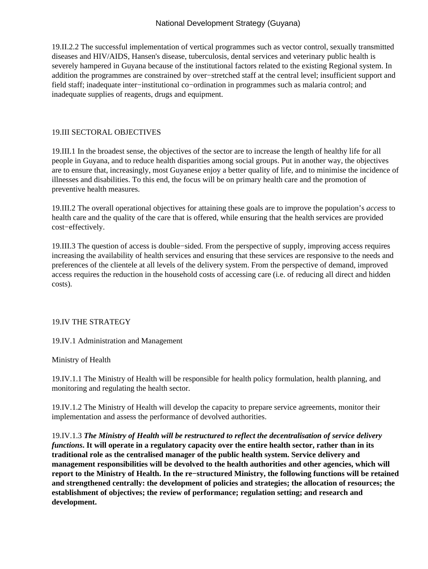19.II.2.2 The successful implementation of vertical programmes such as vector control, sexually transmitted diseases and HIV/AIDS, Hansen's disease, tuberculosis, dental services and veterinary public health is severely hampered in Guyana because of the institutional factors related to the existing Regional system. In addition the programmes are constrained by over−stretched staff at the central level; insufficient support and field staff; inadequate inter−institutional co−ordination in programmes such as malaria control; and inadequate supplies of reagents, drugs and equipment.

# 19.III SECTORAL OBJECTIVES

19.III.1 In the broadest sense, the objectives of the sector are to increase the length of healthy life for all people in Guyana, and to reduce health disparities among social groups. Put in another way, the objectives are to ensure that, increasingly, most Guyanese enjoy a better quality of life, and to minimise the incidence of illnesses and disabilities. To this end, the focus will be on primary health care and the promotion of preventive health measures.

19.III.2 The overall operational objectives for attaining these goals are to improve the population's *access* to health care and the quality of the care that is offered, while ensuring that the health services are provided cost−effectively.

19.III.3 The question of access is double−sided. From the perspective of supply, improving access requires increasing the availability of health services and ensuring that these services are responsive to the needs and preferences of the clientele at all levels of the delivery system. From the perspective of demand, improved access requires the reduction in the household costs of accessing care (i.e. of reducing all direct and hidden costs).

# 19.IV THE STRATEGY

19.IV.1 Administration and Management

Ministry of Health

19.IV.1.1 The Ministry of Health will be responsible for health policy formulation, health planning, and monitoring and regulating the health sector.

19.IV.1.2 The Ministry of Health will develop the capacity to prepare service agreements, monitor their implementation and assess the performance of devolved authorities.

19.IV.1.3 *The Ministry of Health will be restructured to reflect the decentralisation of service delivery functions***. It will operate in a regulatory capacity over the entire health sector, rather than in its traditional role as the centralised manager of the public health system. Service delivery and management responsibilities will be devolved to the health authorities and other agencies, which will report to the Ministry of Health. In the re−structured Ministry, the following functions will be retained and strengthened centrally: the development of policies and strategies; the allocation of resources; the establishment of objectives; the review of performance; regulation setting; and research and development.**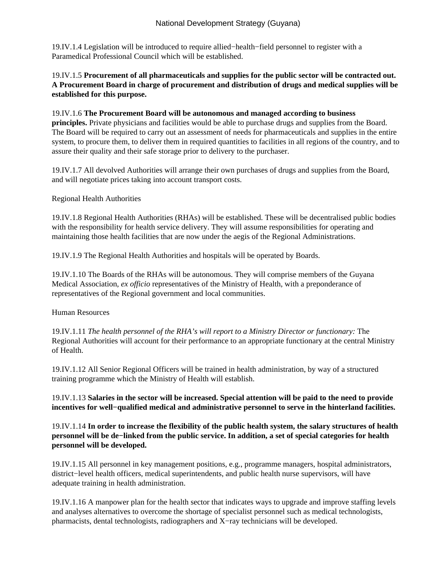19.IV.1.4 Legislation will be introduced to require allied−health−field personnel to register with a Paramedical Professional Council which will be established.

19.IV.1.5 **Procurement of all pharmaceuticals and supplies for the public sector will be contracted out. A Procurement Board in charge of procurement and distribution of drugs and medical supplies will be established for this purpose.**

#### 19.IV.1.6 **The Procurement Board will be autonomous and managed according to business**

**principles.** Private physicians and facilities would be able to purchase drugs and supplies from the Board. The Board will be required to carry out an assessment of needs for pharmaceuticals and supplies in the entire system, to procure them, to deliver them in required quantities to facilities in all regions of the country, and to assure their quality and their safe storage prior to delivery to the purchaser.

19.IV.1.7 All devolved Authorities will arrange their own purchases of drugs and supplies from the Board, and will negotiate prices taking into account transport costs.

Regional Health Authorities

19.IV.1.8 Regional Health Authorities (RHAs) will be established. These will be decentralised public bodies with the responsibility for health service delivery. They will assume responsibilities for operating and maintaining those health facilities that are now under the aegis of the Regional Administrations.

19.IV.1.9 The Regional Health Authorities and hospitals will be operated by Boards.

19.IV.1.10 The Boards of the RHAs will be autonomous. They will comprise members of the Guyana Medical Association, *ex officio* representatives of the Ministry of Health, with a preponderance of representatives of the Regional government and local communities.

Human Resources

19.IV.1.11 *The health personnel of the RHA's will report to a Ministry Director or functionary:* The Regional Authorities will account for their performance to an appropriate functionary at the central Ministry of Health.

19.IV.1.12 All Senior Regional Officers will be trained in health administration, by way of a structured training programme which the Ministry of Health will establish.

19.IV.1.13 **Salaries in the sector will be increased. Special attention will be paid to the need to provide incentives for well−qualified medical and administrative personnel to serve in the hinterland facilities.**

### 19.IV.1.14 **In order to increase the flexibility of the public health system, the salary structures of health personnel will be de−linked from the public service. In addition, a set of special categories for health personnel will be developed.**

19.IV.1.15 All personnel in key management positions, e.g., programme managers, hospital administrators, district−level health officers, medical superintendents, and public health nurse supervisors, will have adequate training in health administration.

19.IV.1.16 A manpower plan for the health sector that indicates ways to upgrade and improve staffing levels and analyses alternatives to overcome the shortage of specialist personnel such as medical technologists, pharmacists, dental technologists, radiographers and X−ray technicians will be developed.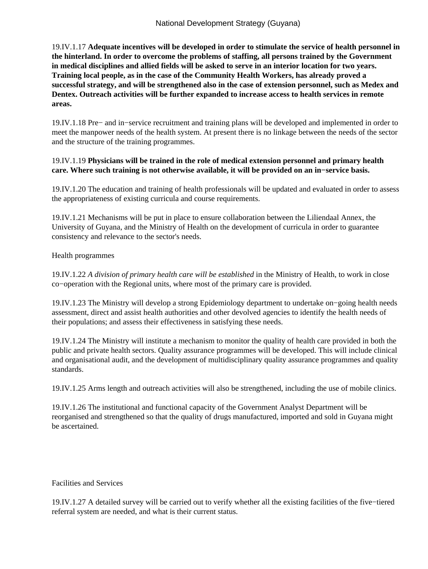19.IV.1.17 **Adequate incentives will be developed in order to stimulate the service of health personnel in the hinterland. In order to overcome the problems of staffing, all persons trained by the Government in medical disciplines and allied fields will be asked to serve in an interior location for two years. Training local people, as in the case of the Community Health Workers, has already proved a successful strategy, and will be strengthened also in the case of extension personnel, such as Medex and Dentex. Outreach activities will be further expanded to increase access to health services in remote areas.**

19.IV.1.18 Pre− and in−service recruitment and training plans will be developed and implemented in order to meet the manpower needs of the health system. At present there is no linkage between the needs of the sector and the structure of the training programmes.

### 19.IV.1.19 **Physicians will be trained in the role of medical extension personnel and primary health care. Where such training is not otherwise available, it will be provided on an in−service basis.**

19.IV.1.20 The education and training of health professionals will be updated and evaluated in order to assess the appropriateness of existing curricula and course requirements.

19.IV.1.21 Mechanisms will be put in place to ensure collaboration between the Liliendaal Annex, the University of Guyana, and the Ministry of Health on the development of curricula in order to guarantee consistency and relevance to the sector's needs.

Health programmes

19.IV.1.22 *A division of primary health care will be established* in the Ministry of Health, to work in close co−operation with the Regional units, where most of the primary care is provided.

19.IV.1.23 The Ministry will develop a strong Epidemiology department to undertake on−going health needs assessment, direct and assist health authorities and other devolved agencies to identify the health needs of their populations; and assess their effectiveness in satisfying these needs.

19.IV.1.24 The Ministry will institute a mechanism to monitor the quality of health care provided in both the public and private health sectors. Quality assurance programmes will be developed. This will include clinical and organisational audit, and the development of multidisciplinary quality assurance programmes and quality standards.

19.IV.1.25 Arms length and outreach activities will also be strengthened, including the use of mobile clinics.

19.IV.1.26 The institutional and functional capacity of the Government Analyst Department will be reorganised and strengthened so that the quality of drugs manufactured, imported and sold in Guyana might be ascertained.

#### Facilities and Services

19.IV.1.27 A detailed survey will be carried out to verify whether all the existing facilities of the five−tiered referral system are needed, and what is their current status.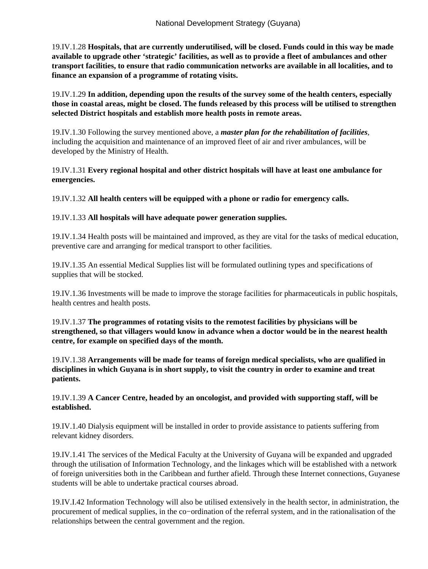19.IV.1.28 **Hospitals, that are currently underutilised, will be closed. Funds could in this way be made available to upgrade other 'strategic' facilities, as well as to provide a fleet of ambulances and other transport facilities, to ensure that radio communication networks are available in all localities, and to finance an expansion of a programme of rotating visits.**

19.IV.1.29 **In addition, depending upon the results of the survey some of the health centers, especially those in coastal areas, might be closed. The funds released by this process will be utilised to strengthen selected District hospitals and establish more health posts in remote areas.**

19.IV.1.30 Following the survey mentioned above, a *master plan for the rehabilitation of facilities*, including the acquisition and maintenance of an improved fleet of air and river ambulances, will be developed by the Ministry of Health.

19.IV.1.31 **Every regional hospital and other district hospitals will have at least one ambulance for emergencies.**

19.IV.1.32 **All health centers will be equipped with a phone or radio for emergency calls.**

#### 19.IV.1.33 **All hospitals will have adequate power generation supplies.**

19.IV.1.34 Health posts will be maintained and improved, as they are vital for the tasks of medical education, preventive care and arranging for medical transport to other facilities.

19.IV.1.35 An essential Medical Supplies list will be formulated outlining types and specifications of supplies that will be stocked.

19.IV.1.36 Investments will be made to improve the storage facilities for pharmaceuticals in public hospitals, health centres and health posts.

19.IV.1.37 **The programmes of rotating visits to the remotest facilities by physicians will be strengthened, so that villagers would know in advance when a doctor would be in the nearest health centre, for example on specified days of the month.**

19.IV.1.38 **Arrangements will be made for teams of foreign medical specialists, who are qualified in disciplines in which Guyana is in short supply, to visit the country in order to examine and treat patients.**

19.IV.1.39 **A Cancer Centre, headed by an oncologist, and provided with supporting staff, will be established.**

19.IV.1.40 Dialysis equipment will be installed in order to provide assistance to patients suffering from relevant kidney disorders.

19.IV.1.41 The services of the Medical Faculty at the University of Guyana will be expanded and upgraded through the utilisation of Information Technology, and the linkages which will be established with a network of foreign universities both in the Caribbean and further afield. Through these Internet connections, Guyanese students will be able to undertake practical courses abroad.

19.IV.I.42 Information Technology will also be utilised extensively in the health sector, in administration, the procurement of medical supplies, in the co−ordination of the referral system, and in the rationalisation of the relationships between the central government and the region.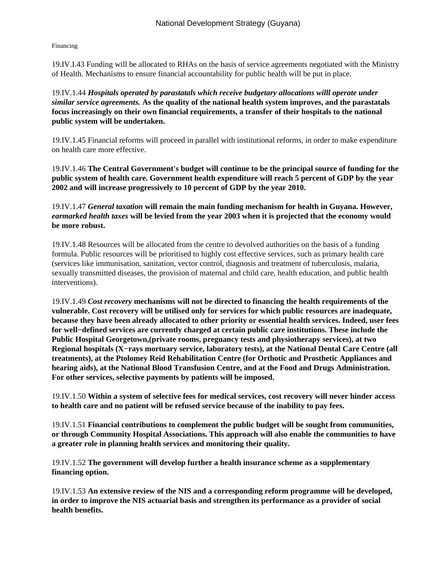Financing

19.IV.I.43 Funding will be allocated to RHAs on the basis of service agreements negotiated with the Ministry of Health. Mechanisms to ensure financial accountability for public health will be put in place.

19.IV.1.44 *Hospitals operated by parastatals which receive budgetary allocations willl operate under similar service agreements.* **As the quality of the national health system improves, and the parastatals focus increasingly on their own financial requirements, a transfer of their hospitals to the national public system will be undertaken.**

19.IV.1.45 Financial reforms will proceed in parallel with institutional reforms, in order to make expenditure on health care more effective.

19.IV.1.46 **The Central Government's budget will continue to be the principal source of funding for the public system of health care. Government health expenditure will reach 5 percent of GDP by the year 2002 and will increase progressively to 10 percent of GDP by the year 2010.**

19.IV.1.47 *General taxation* **will remain the main funding mechanism for health in Guyana. However,** *earmarked health taxes* **will be levied from the year 2003 when it is projected that the economy would be more robust.**

19.IV.1.48 Resources will be allocated from the centre to devolved authorities on the basis of a funding formula. Public resources will be prioritised to highly cost effective services, such as primary health care (services like immunisation, sanitation, vector control, diagnosis and treatment of tuberculosis, malaria, sexually transmitted diseases, the provision of maternal and child care, health education, and public health interventions).

19.IV.1.49 *Cost recovery* **mechanisms will not be directed to financing the health requirements of the vulnerable. Cost recovery will be utilised only for services for which public resources are inadequate, because they have been already allocated to other priority or essential health services. Indeed, user fees for well−defined services are currently charged at certain public care institutions. These include the Public Hospital Georgetown,(private rooms, pregnancy tests and physiotherapy services), at two Regional hospitals (X−rays mortuary service, laboratory tests), at the National Dental Care Centre (all treatments), at the Ptolomey Reid Rehabilitation Centre (for Orthotic and Prosthetic Appliances and hearing aids), at the National Blood Transfusion Centre, and at the Food and Drugs Administration. For other services, selective payments by patients will be imposed.**

19.IV.1.50 **Within a system of selective fees for medical services, cost recovery will never hinder access to health care and no patient will be refused service because of the inability to pay fees.**

19.IV.1.51 **Financial contributions to complement the public budget will be sought from communities, or through Community Hospital Associations. This approach will also enable the communities to have a greater role in planning health services and monitoring their quality.**

19.IV.1.52 **The government will develop further a health insurance scheme as a supplementary financing option.**

19.IV.1.53 **An extensive review of the NIS and a corresponding reform programme will be developed, in order to improve the NIS actuarial basis and strengthen its performance as a provider of social health benefits.**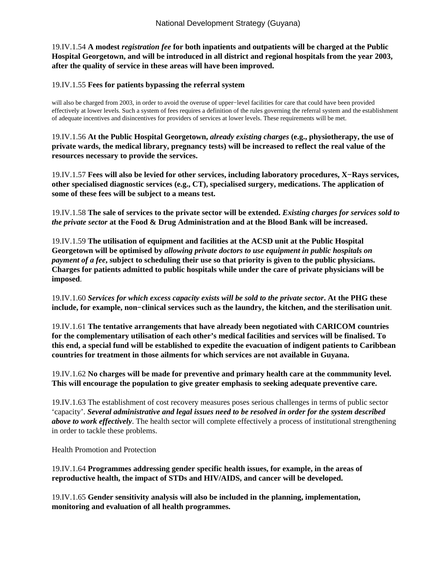19.IV.1.54 **A modest** *registration fee* **for both inpatients and outpatients will be charged at the Public Hospital Georgetown, and will be introduced in all district and regional hospitals from the year 2003, after the quality of service in these areas will have been improved.**

#### 19.IV.1.55 **Fees for patients bypassing the referral system**

will also be charged from 2003, in order to avoid the overuse of upper−level facilities for care that could have been provided effectively at lower levels. Such a system of fees requires a definition of the rules governing the referral system and the establishment of adequate incentives and disincentives for providers of services at lower levels. These requirements will be met.

19.IV.1.56 **At the Public Hospital Georgetown,** *already existing charges* **(e.g., physiotherapy, the use of private wards, the medical library, pregnancy tests) will be increased to reflect the real value of the resources necessary to provide the services.**

19.IV.1.57 **Fees will also be levied for other services, including laboratory procedures, X−Rays services, other specialised diagnostic services (e.g., CT), specialised surgery, medications. The application of some of these fees will be subject to a means test.**

19.IV.1.58 **The sale of services to the private sector will be extended.** *Existing charges for services sold to the private sector* **at the Food & Drug Administration and at the Blood Bank will be increased.**

19.IV.1.59 **The utilisation of equipment and facilities at the ACSD unit at the Public Hospital Georgetown will be optimised by** *allowing private doctors to use equipment in public hospitals on payment of a fee***, subject to scheduling their use so that priority is given to the public physicians. Charges for patients admitted to public hospitals while under the care of private physicians will be imposed**.

19.IV.1.60 *Services for which excess capacity exists will be sold to the private sector***. At the PHG these include, for example, non−clinical services such as the laundry, the kitchen, and the sterilisation unit**.

19.IV.1.61 **The tentative arrangements that have already been negotiated with CARICOM countries for the complementary utilisation of each other's medical facilities and services will be finalised. To this end, a special fund will be established to expedite the evacuation of indigent patients to Caribbean countries for treatment in those ailments for which services are not available in Guyana.**

19.IV.1.62 **No charges will be made for preventive and primary health care at the commmunity level. This will encourage the population to give greater emphasis to seeking adequate preventive care.**

19.IV.1.63 The establishment of cost recovery measures poses serious challenges in terms of public sector 'capacity'. *Several administrative and legal issues need to be resolved in order for the system described above to work effectively*. The health sector will complete effectively a process of institutional strengthening in order to tackle these problems.

Health Promotion and Protection

19.IV.1.64 **Programmes addressing gender specific health issues, for example, in the areas of reproductive health, the impact of STDs and HIV/AIDS, and cancer will be developed.**

19.IV.1.65 **Gender sensitivity analysis will also be included in the planning, implementation, monitoring and evaluation of all health programmes.**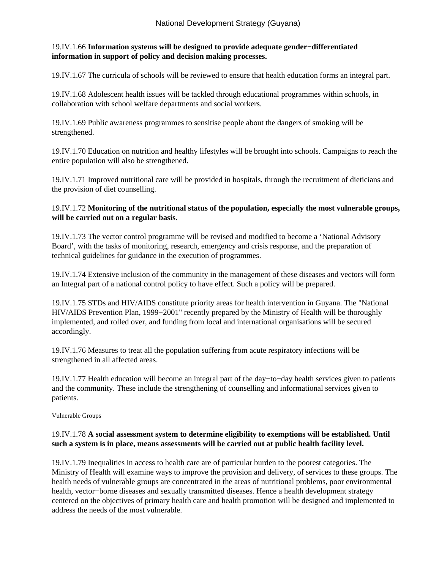# 19.IV.1.66 **Information systems will be designed to provide adequate gender−differentiated information in support of policy and decision making processes.**

19.IV.1.67 The curricula of schools will be reviewed to ensure that health education forms an integral part.

19.IV.1.68 Adolescent health issues will be tackled through educational programmes within schools, in collaboration with school welfare departments and social workers.

19.IV.1.69 Public awareness programmes to sensitise people about the dangers of smoking will be strengthened.

19.IV.1.70 Education on nutrition and healthy lifestyles will be brought into schools. Campaigns to reach the entire population will also be strengthened.

19.IV.1.71 Improved nutritional care will be provided in hospitals, through the recruitment of dieticians and the provision of diet counselling.

# 19.IV.1.72 **Monitoring of the nutritional status of the population, especially the most vulnerable groups, will be carried out on a regular basis.**

19.IV.1.73 The vector control programme will be revised and modified to become a 'National Advisory Board', with the tasks of monitoring, research, emergency and crisis response, and the preparation of technical guidelines for guidance in the execution of programmes.

19.IV.1.74 Extensive inclusion of the community in the management of these diseases and vectors will form an Integral part of a national control policy to have effect. Such a policy will be prepared.

19.IV.1.75 STDs and HIV/AIDS constitute priority areas for health intervention in Guyana. The "National HIV/AIDS Prevention Plan, 1999–2001" recently prepared by the Ministry of Health will be thoroughly implemented, and rolled over, and funding from local and international organisations will be secured accordingly.

19.IV.1.76 Measures to treat all the population suffering from acute respiratory infections will be strengthened in all affected areas.

19.IV.1.77 Health education will become an integral part of the day−to−day health services given to patients and the community. These include the strengthening of counselling and informational services given to patients.

Vulnerable Groups

## 19.IV.1.78 **A social assessment system to determine eligibility to exemptions will be established. Until such a system is in place, means assessments will be carried out at public health facility level.**

19.IV.1.79 Inequalities in access to health care are of particular burden to the poorest categories. The Ministry of Health will examine ways to improve the provision and delivery, of services to these groups. The health needs of vulnerable groups are concentrated in the areas of nutritional problems, poor environmental health, vector−borne diseases and sexually transmitted diseases. Hence a health development strategy centered on the objectives of primary health care and health promotion will be designed and implemented to address the needs of the most vulnerable.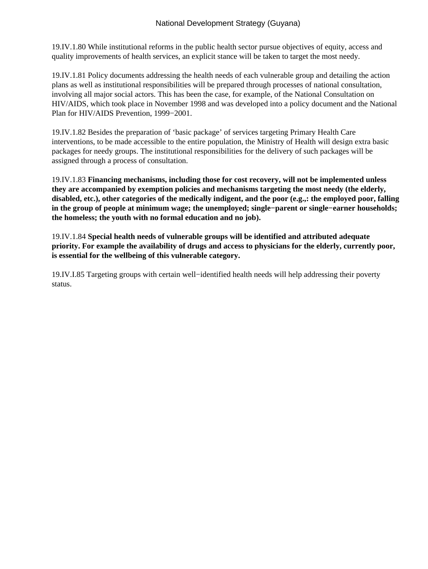19.IV.1.80 While institutional reforms in the public health sector pursue objectives of equity, access and quality improvements of health services, an explicit stance will be taken to target the most needy.

19.IV.1.81 Policy documents addressing the health needs of each vulnerable group and detailing the action plans as well as institutional responsibilities will be prepared through processes of national consultation, involving all major social actors. This has been the case, for example, of the National Consultation on HIV/AIDS, which took place in November 1998 and was developed into a policy document and the National Plan for HIV/AIDS Prevention, 1999−2001.

19.IV.1.82 Besides the preparation of 'basic package' of services targeting Primary Health Care interventions, to be made accessible to the entire population, the Ministry of Health will design extra basic packages for needy groups. The institutional responsibilities for the delivery of such packages will be assigned through a process of consultation.

19.IV.1.83 **Financing mechanisms, including those for cost recovery, will not be implemented unless they are accompanied by exemption policies and mechanisms targeting the most needy (the elderly, disabled, etc.), other categories of the medically indigent, and the poor (e.g.,: the employed poor, falling in the group of people at minimum wage; the unemployed; single−parent or single−earner households; the homeless; the youth with no formal education and no job).**

19.IV.1.84 **Special health needs of vulnerable groups will be identified and attributed adequate priority. For example the availability of drugs and access to physicians for the elderly, currently poor, is essential for the wellbeing of this vulnerable category.**

19.IV.I.85 Targeting groups with certain well−identified health needs will help addressing their poverty status.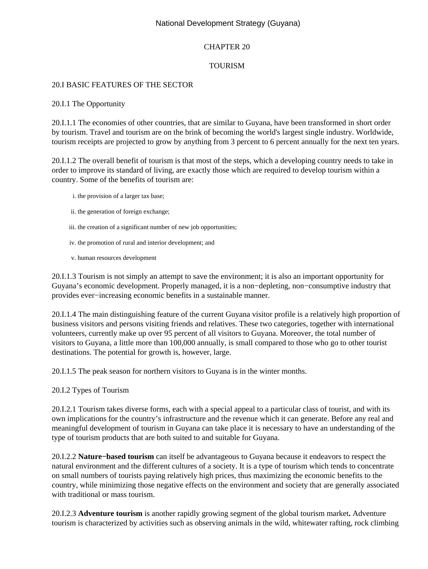# National Development Strategy (Guyana)

# CHAPTER 20

# TOURISM

### 20.I BASIC FEATURES OF THE SECTOR

#### 20.I.1 The Opportunity

20.I.1.1 The economies of other countries, that are similar to Guyana, have been transformed in short order by tourism. Travel and tourism are on the brink of becoming the world's largest single industry. Worldwide, tourism receipts are projected to grow by anything from 3 percent to 6 percent annually for the next ten years.

20.I.1.2 The overall benefit of tourism is that most of the steps, which a developing country needs to take in order to improve its standard of living, are exactly those which are required to develop tourism within a country. Some of the benefits of tourism are:

- i. the provision of a larger tax base;
- ii. the generation of foreign exchange;
- iii. the creation of a significant number of new job opportunities;
- iv. the promotion of rural and interior development; and
- v. human resources development

20.I.1.3 Tourism is not simply an attempt to save the environment; it is also an important opportunity for Guyana's economic development. Properly managed, it is a non−depleting, non−consumptive industry that provides ever−increasing economic benefits in a sustainable manner.

20.I.1.4 The main distinguishing feature of the current Guyana visitor profile is a relatively high proportion of business visitors and persons visiting friends and relatives. These two categories, together with international volunteers, currently make up over 95 percent of all visitors to Guyana. Moreover, the total number of visitors to Guyana, a little more than 100,000 annually, is small compared to those who go to other tourist destinations. The potential for growth is, however, large.

20.I.1.5 The peak season for northern visitors to Guyana is in the winter months.

#### 20.I.2 Types of Tourism

20.I.2.1 Tourism takes diverse forms, each with a special appeal to a particular class of tourist, and with its own implications for the country's infrastructure and the revenue which it can generate. Before any real and meaningful development of tourism in Guyana can take place it is necessary to have an understanding of the type of tourism products that are both suited to and suitable for Guyana.

20.I.2.2 **Nature−based tourism** can itself be advantageous to Guyana because it endeavors to respect the natural environment and the different cultures of a society. It is a type of tourism which tends to concentrate on small numbers of tourists paying relatively high prices, thus maximizing the economic benefits to the country, while minimizing those negative effects on the environment and society that are generally associated with traditional or mass tourism.

20.I.2.3 **Adventure tourism** is another rapidly growing segment of the global tourism market**.** Adventure tourism is characterized by activities such as observing animals in the wild, whitewater rafting, rock climbing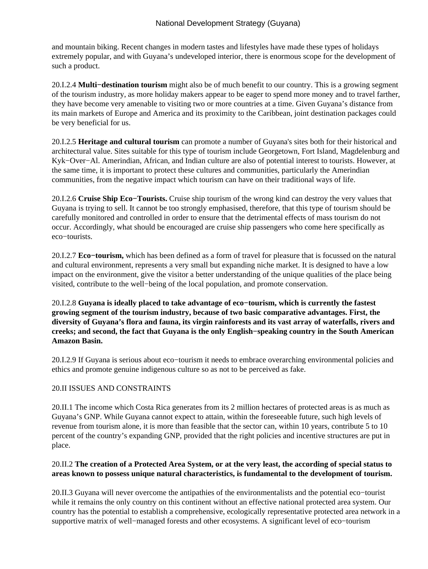and mountain biking. Recent changes in modern tastes and lifestyles have made these types of holidays extremely popular, and with Guyana's undeveloped interior, there is enormous scope for the development of such a product.

20.I.2.4 **Multi−destination tourism** might also be of much benefit to our country. This is a growing segment of the tourism industry, as more holiday makers appear to be eager to spend more money and to travel farther, they have become very amenable to visiting two or more countries at a time. Given Guyana's distance from its main markets of Europe and America and its proximity to the Caribbean, joint destination packages could be very beneficial for us.

20.I.2.5 **Heritage and cultural tourism** can promote a number of Guyana's sites both for their historical and architectural value. Sites suitable for this type of tourism include Georgetown, Fort Island, Magdelenburg and Kyk−Over−Al. Amerindian, African, and Indian culture are also of potential interest to tourists. However, at the same time, it is important to protect these cultures and communities, particularly the Amerindian communities, from the negative impact which tourism can have on their traditional ways of life.

20.I.2.6 **Cruise Ship Eco−Tourists.** Cruise ship tourism of the wrong kind can destroy the very values that Guyana is trying to sell. It cannot be too strongly emphasised, therefore, that this type of tourism should be carefully monitored and controlled in order to ensure that the detrimental effects of mass tourism do not occur. Accordingly, what should be encouraged are cruise ship passengers who come here specifically as eco−tourists.

20.I.2.7 **Eco−tourism,** which has been defined as a form of travel for pleasure that is focussed on the natural and cultural environment, represents a very small but expanding niche market. It is designed to have a low impact on the environment, give the visitor a better understanding of the unique qualities of the place being visited, contribute to the well−being of the local population, and promote conservation.

20.I.2.8 **Guyana is ideally placed to take advantage of eco−tourism, which is currently the fastest growing segment of the tourism industry, because of two basic comparative advantages. First, the diversity of Guyana's flora and fauna, its virgin rainforests and its vast array of waterfalls, rivers and creeks; and second, the fact that Guyana is the only English−speaking country in the South American Amazon Basin.**

20.I.2.9 If Guyana is serious about eco−tourism it needs to embrace overarching environmental policies and ethics and promote genuine indigenous culture so as not to be perceived as fake.

## 20.II ISSUES AND CONSTRAINTS

20.II.1 The income which Costa Rica generates from its 2 million hectares of protected areas is as much as Guyana's GNP. While Guyana cannot expect to attain, within the foreseeable future, such high levels of revenue from tourism alone, it is more than feasible that the sector can, within 10 years, contribute 5 to 10 percent of the country's expanding GNP, provided that the right policies and incentive structures are put in place.

## 20.II.2 **The creation of a Protected Area System, or at the very least, the according of special status to areas known to possess unique natural characteristics, is fundamental to the development of tourism.**

20.II.3 Guyana will never overcome the antipathies of the environmentalists and the potential eco−tourist while it remains the only country on this continent without an effective national protected area system. Our country has the potential to establish a comprehensive, ecologically representative protected area network in a supportive matrix of well−managed forests and other ecosystems. A significant level of eco−tourism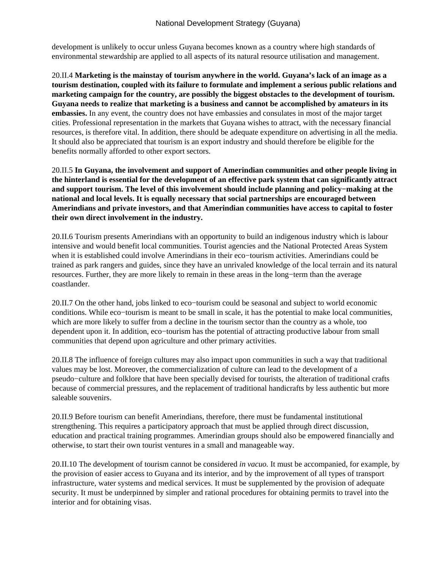development is unlikely to occur unless Guyana becomes known as a country where high standards of environmental stewardship are applied to all aspects of its natural resource utilisation and management.

20.II.4 **Marketing is the mainstay of tourism anywhere in the world. Guyana's lack of an image as a tourism destination, coupled with its failure to formulate and implement a serious public relations and marketing campaign for the country, are possibly the biggest obstacles to the development of tourism. Guyana needs to realize that marketing is a business and cannot be accomplished by amateurs in its embassies.** In any event, the country does not have embassies and consulates in most of the major target cities. Professional representation in the markets that Guyana wishes to attract, with the necessary financial resources, is therefore vital. In addition, there should be adequate expenditure on advertising in all the media. It should also be appreciated that tourism is an export industry and should therefore be eligible for the benefits normally afforded to other export sectors.

20.II.5 **In Guyana, the involvement and support of Amerindian communities and other people living in the hinterland is essential for the development of an effective park system that can significantly attract and support tourism. The level of this involvement should include planning and policy−making at the national and local levels. It is equally necessary that social partnerships are encouraged between Amerindians and private investors, and that Amerindian communities have access to capital to foster their own direct involvement in the industry.**

20.II.6 Tourism presents Amerindians with an opportunity to build an indigenous industry which is labour intensive and would benefit local communities. Tourist agencies and the National Protected Areas System when it is established could involve Amerindians in their eco−tourism activities. Amerindians could be trained as park rangers and guides, since they have an unrivaled knowledge of the local terrain and its natural resources. Further, they are more likely to remain in these areas in the long−term than the average coastlander.

20.II.7 On the other hand, jobs linked to eco−tourism could be seasonal and subject to world economic conditions. While eco−tourism is meant to be small in scale, it has the potential to make local communities, which are more likely to suffer from a decline in the tourism sector than the country as a whole, too dependent upon it. In addition, eco−tourism has the potential of attracting productive labour from small communities that depend upon agriculture and other primary activities.

20.II.8 The influence of foreign cultures may also impact upon communities in such a way that traditional values may be lost. Moreover, the commercialization of culture can lead to the development of a pseudo−culture and folklore that have been specially devised for tourists, the alteration of traditional crafts because of commercial pressures, and the replacement of traditional handicrafts by less authentic but more saleable souvenirs.

20.II.9 Before tourism can benefit Amerindians, therefore, there must be fundamental institutional strengthening. This requires a participatory approach that must be applied through direct discussion, education and practical training programmes. Amerindian groups should also be empowered financially and otherwise, to start their own tourist ventures in a small and manageable way.

20.II.10 The development of tourism cannot be considered *in vacuo.* It must be accompanied, for example, by the provision of easier access to Guyana and its interior, and by the improvement of all types of transport infrastructure, water systems and medical services. It must be supplemented by the provision of adequate security. It must be underpinned by simpler and rational procedures for obtaining permits to travel into the interior and for obtaining visas.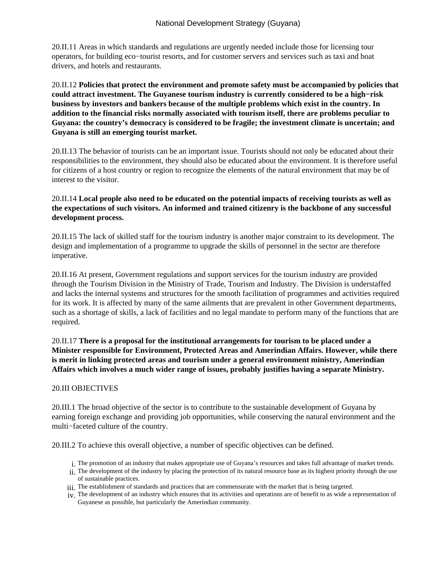20.II.11 Areas in which standards and regulations are urgently needed include those for licensing tour operators, for building eco−tourist resorts, and for customer servers and services such as taxi and boat drivers, and hotels and restaurants.

20.II.12 **Policies that protect the environment and promote safety must be accompanied by policies that could attract investment. The Guyanese tourism industry is currently considered to be a high−risk business by investors and bankers because of the multiple problems which exist in the country. In addition to the financial risks normally associated with tourism itself, there are problems peculiar to Guyana: the country's democracy is considered to be fragile; the investment climate is uncertain; and Guyana is still an emerging tourist market.**

20.II.13 The behavior of tourists can be an important issue. Tourists should not only be educated about their responsibilities to the environment, they should also be educated about the environment. It is therefore useful for citizens of a host country or region to recognize the elements of the natural environment that may be of interest to the visitor.

### 20.II.14 **Local people also need to be educated on the potential impacts of receiving tourists as well as the expectations of such visitors. An informed and trained citizenry is the backbone of any successful development process.**

20.II.15 The lack of skilled staff for the tourism industry is another major constraint to its development. The design and implementation of a programme to upgrade the skills of personnel in the sector are therefore imperative.

20.II.16 At present, Government regulations and support services for the tourism industry are provided through the Tourism Division in the Ministry of Trade, Tourism and Industry. The Division is understaffed and lacks the internal systems and structures for the smooth facilitation of programmes and activities required for its work. It is affected by many of the same ailments that are prevalent in other Government departments, such as a shortage of skills, a lack of facilities and no legal mandate to perform many of the functions that are required.

20.II.17 **There is a proposal for the institutional arrangements for tourism to be placed under a Minister responsible for Environment, Protected Areas and Amerindian Affairs. However, while there is merit in linking protected areas and tourism under a general environment ministry, Amerindian Affairs which involves a much wider range of issues, probably justifies having a separate Ministry.**

#### 20.III OBJECTIVES

20.III.1 The broad objective of the sector is to contribute to the sustainable development of Guyana by earning foreign exchange and providing job opportunities, while conserving the natural environment and the multi−faceted culture of the country.

20.III.2 To achieve this overall objective, a number of specific objectives can be defined.

- The promotion of an industry that makes appropriate use of Guyana's resources and takes full advantage of market trends. i.
- ii. The development of the industry by placing the protection of its natural resource base as its highest priority through the use of sustainable practices.
- iii. The establishment of standards and practices that are commensurate with the market that is being targeted.
- iv. The development of an industry which ensures that its activities and operations are of benefit to as wide a representation of Guyanese as possible, but particularly the Amerindian community.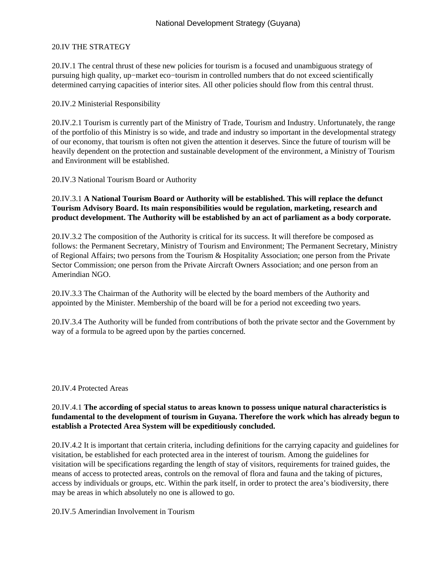#### 20.IV THE STRATEGY

20.IV.1 The central thrust of these new policies for tourism is a focused and unambiguous strategy of pursuing high quality, up−market eco−tourism in controlled numbers that do not exceed scientifically determined carrying capacities of interior sites. All other policies should flow from this central thrust.

#### 20.IV.2 Ministerial Responsibility

20.IV.2.1 Tourism is currently part of the Ministry of Trade, Tourism and Industry. Unfortunately, the range of the portfolio of this Ministry is so wide, and trade and industry so important in the developmental strategy of our economy, that tourism is often not given the attention it deserves. Since the future of tourism will be heavily dependent on the protection and sustainable development of the environment, a Ministry of Tourism and Environment will be established.

20.IV.3 National Tourism Board or Authority

### 20.IV.3.1 **A National Tourism Board or Authority will be established. This will replace the defunct Tourism Advisory Board. Its main responsibilities would be regulation, marketing, research and product development. The Authority will be established by an act of parliament as a body corporate.**

20.IV.3.2 The composition of the Authority is critical for its success. It will therefore be composed as follows: the Permanent Secretary, Ministry of Tourism and Environment; The Permanent Secretary, Ministry of Regional Affairs; two persons from the Tourism & Hospitality Association; one person from the Private Sector Commission; one person from the Private Aircraft Owners Association; and one person from an Amerindian NGO.

20.IV.3.3 The Chairman of the Authority will be elected by the board members of the Authority and appointed by the Minister. Membership of the board will be for a period not exceeding two years.

20.IV.3.4 The Authority will be funded from contributions of both the private sector and the Government by way of a formula to be agreed upon by the parties concerned.

#### 20.IV.4 Protected Areas

### 20.IV.4.1 **The according of special status to areas known to possess unique natural characteristics is fundamental to the development of tourism in Guyana. Therefore the work which has already begun to establish a Protected Area System will be expeditiously concluded.**

20.IV.4.2 It is important that certain criteria, including definitions for the carrying capacity and guidelines for visitation, be established for each protected area in the interest of tourism. Among the guidelines for visitation will be specifications regarding the length of stay of visitors, requirements for trained guides, the means of access to protected areas, controls on the removal of flora and fauna and the taking of pictures, access by individuals or groups, etc. Within the park itself, in order to protect the area's biodiversity, there may be areas in which absolutely no one is allowed to go.

20.IV.5 Amerindian Involvement in Tourism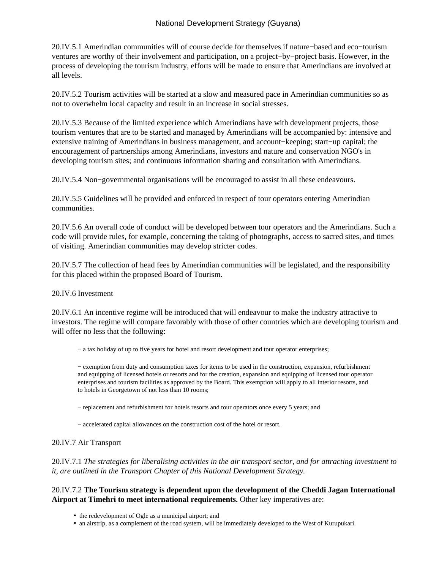# National Development Strategy (Guyana)

20.IV.5.1 Amerindian communities will of course decide for themselves if nature−based and eco−tourism ventures are worthy of their involvement and participation, on a project−by−project basis. However, in the process of developing the tourism industry, efforts will be made to ensure that Amerindians are involved at all levels.

20.IV.5.2 Tourism activities will be started at a slow and measured pace in Amerindian communities so as not to overwhelm local capacity and result in an increase in social stresses.

20.IV.5.3 Because of the limited experience which Amerindians have with development projects, those tourism ventures that are to be started and managed by Amerindians will be accompanied by: intensive and extensive training of Amerindians in business management, and account−keeping; start−up capital; the encouragement of partnerships among Amerindians, investors and nature and conservation NGO's in developing tourism sites; and continuous information sharing and consultation with Amerindians.

20.IV.5.4 Non−governmental organisations will be encouraged to assist in all these endeavours.

20.IV.5.5 Guidelines will be provided and enforced in respect of tour operators entering Amerindian communities.

20.IV.5.6 An overall code of conduct will be developed between tour operators and the Amerindians. Such a code will provide rules, for example, concerning the taking of photographs, access to sacred sites, and times of visiting. Amerindian communities may develop stricter codes.

20.IV.5.7 The collection of head fees by Amerindian communities will be legislated, and the responsibility for this placed within the proposed Board of Tourism.

#### 20.IV.6 Investment

20.IV.6.1 An incentive regime will be introduced that will endeavour to make the industry attractive to investors. The regime will compare favorably with those of other countries which are developing tourism and will offer no less that the following:

− a tax holiday of up to five years for hotel and resort development and tour operator enterprises;

− exemption from duty and consumption taxes for items to be used in the construction, expansion, refurbishment and equipping of licensed hotels or resorts and for the creation, expansion and equipping of licensed tour operator enterprises and tourism facilities as approved by the Board. This exemption will apply to all interior resorts, and to hotels in Georgetown of not less than 10 rooms;

− replacement and refurbishment for hotels resorts and tour operators once every 5 years; and

− accelerated capital allowances on the construction cost of the hotel or resort.

#### 20.IV.7 Air Transport

20.IV.7.1 *The strategies for liberalising activities in the air transport sector, and for attracting investment to it, are outlined in the Transport Chapter of this National Development Strategy.*

### 20.IV.7.2 **The Tourism strategy is dependent upon the development of the Cheddi Jagan International Airport at Timehri to meet international requirements.** Other key imperatives are:

- the redevelopment of Ogle as a municipal airport; and
- an airstrip, as a complement of the road system, will be immediately developed to the West of Kurupukari.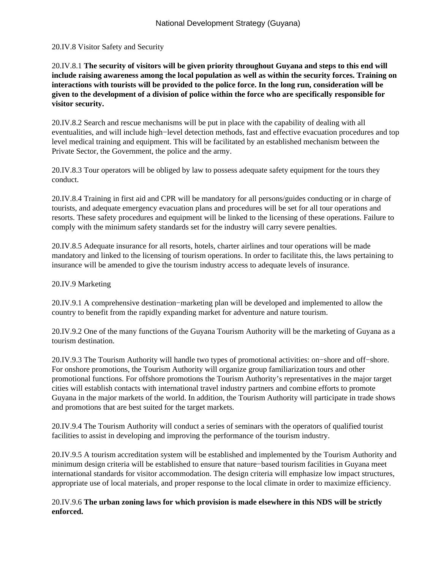#### 20.IV.8 Visitor Safety and Security

20.IV.8.1 **The security of visitors will be given priority throughout Guyana and steps to this end will include raising awareness among the local population as well as within the security forces. Training on interactions with tourists will be provided to the police force. In the long run, consideration will be given to the development of a division of police within the force who are specifically responsible for visitor security.**

20.IV.8.2 Search and rescue mechanisms will be put in place with the capability of dealing with all eventualities, and will include high−level detection methods, fast and effective evacuation procedures and top level medical training and equipment. This will be facilitated by an established mechanism between the Private Sector, the Government, the police and the army.

20.IV.8.3 Tour operators will be obliged by law to possess adequate safety equipment for the tours they conduct.

20.IV.8.4 Training in first aid and CPR will be mandatory for all persons/guides conducting or in charge of tourists, and adequate emergency evacuation plans and procedures will be set for all tour operations and resorts. These safety procedures and equipment will be linked to the licensing of these operations. Failure to comply with the minimum safety standards set for the industry will carry severe penalties.

20.IV.8.5 Adequate insurance for all resorts, hotels, charter airlines and tour operations will be made mandatory and linked to the licensing of tourism operations. In order to facilitate this, the laws pertaining to insurance will be amended to give the tourism industry access to adequate levels of insurance.

#### 20.IV.9 Marketing

20.IV.9.1 A comprehensive destination−marketing plan will be developed and implemented to allow the country to benefit from the rapidly expanding market for adventure and nature tourism.

20.IV.9.2 One of the many functions of the Guyana Tourism Authority will be the marketing of Guyana as a tourism destination.

20.IV.9.3 The Tourism Authority will handle two types of promotional activities: on−shore and off−shore. For onshore promotions, the Tourism Authority will organize group familiarization tours and other promotional functions. For offshore promotions the Tourism Authority's representatives in the major target cities will establish contacts with international travel industry partners and combine efforts to promote Guyana in the major markets of the world. In addition, the Tourism Authority will participate in trade shows and promotions that are best suited for the target markets.

20.IV.9.4 The Tourism Authority will conduct a series of seminars with the operators of qualified tourist facilities to assist in developing and improving the performance of the tourism industry.

20.IV.9.5 A tourism accreditation system will be established and implemented by the Tourism Authority and minimum design criteria will be established to ensure that nature−based tourism facilities in Guyana meet international standards for visitor accommodation. The design criteria will emphasize low impact structures, appropriate use of local materials, and proper response to the local climate in order to maximize efficiency.

### 20.IV.9.6 **The urban zoning laws for which provision is made elsewhere in this NDS will be strictly enforced.**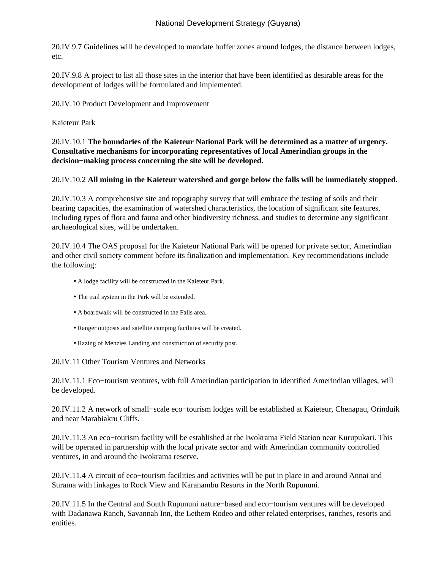# National Development Strategy (Guyana)

20.IV.9.7 Guidelines will be developed to mandate buffer zones around lodges, the distance between lodges, etc.

20.IV.9.8 A project to list all those sites in the interior that have been identified as desirable areas for the development of lodges will be formulated and implemented.

20.IV.10 Product Development and Improvement

Kaieteur Park

20.IV.10.1 **The boundaries of the Kaieteur National Park will be determined as a matter of urgency. Consultative mechanisms for incorporating representatives of local Amerindian groups in the decision−making process concerning the site will be developed.**

#### 20.IV.10.2 **All mining in the Kaieteur watershed and gorge below the falls will be immediately stopped.**

20.IV.10.3 A comprehensive site and topography survey that will embrace the testing of soils and their bearing capacities, the examination of watershed characteristics, the location of significant site features, including types of flora and fauna and other biodiversity richness, and studies to determine any significant archaeological sites, will be undertaken.

20.IV.10.4 The OAS proposal for the Kaieteur National Park will be opened for private sector, Amerindian and other civil society comment before its finalization and implementation. Key recommendations include the following:

- A lodge facility will be constructed in the Kaieteur Park.
- The trail system in the Park will be extended.
- A boardwalk will be constructed in the Falls area.
- Ranger outposts and satellite camping facilities will be created.
- Razing of Menzies Landing and construction of security post.

20.IV.11 Other Tourism Ventures and Networks

20.IV.11.1 Eco−tourism ventures, with full Amerindian participation in identified Amerindian villages, will be developed.

20.IV.11.2 A network of small−scale eco−tourism lodges will be established at Kaieteur, Chenapau, Orinduik and near Marabiakru Cliffs.

20.IV.11.3 An eco−tourism facility will be established at the Iwokrama Field Station near Kurupukari. This will be operated in partnership with the local private sector and with Amerindian community controlled ventures, in and around the Iwokrama reserve.

20.IV.11.4 A circuit of eco−tourism facilities and activities will be put in place in and around Annai and Surama with linkages to Rock View and Karanambu Resorts in the North Rupununi.

20.IV.11.5 In the Central and South Rupununi nature−based and eco−tourism ventures will be developed with Dadanawa Ranch, Savannah Inn, the Lethem Rodeo and other related enterprises, ranches, resorts and entities.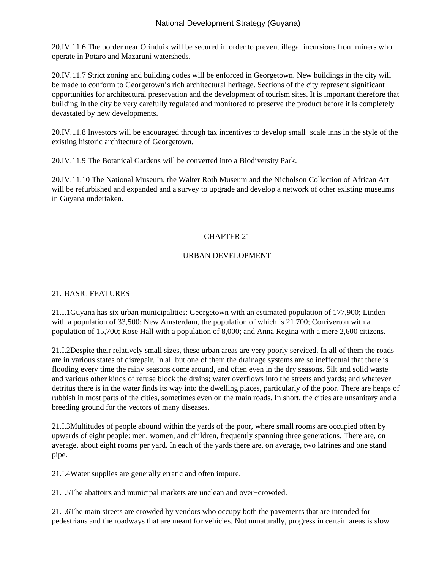20.IV.11.6 The border near Orinduik will be secured in order to prevent illegal incursions from miners who operate in Potaro and Mazaruni watersheds.

20.IV.11.7 Strict zoning and building codes will be enforced in Georgetown. New buildings in the city will be made to conform to Georgetown's rich architectural heritage. Sections of the city represent significant opportunities for architectural preservation and the development of tourism sites. It is important therefore that building in the city be very carefully regulated and monitored to preserve the product before it is completely devastated by new developments.

20.IV.11.8 Investors will be encouraged through tax incentives to develop small−scale inns in the style of the existing historic architecture of Georgetown.

20.IV.11.9 The Botanical Gardens will be converted into a Biodiversity Park.

20.IV.11.10 The National Museum, the Walter Roth Museum and the Nicholson Collection of African Art will be refurbished and expanded and a survey to upgrade and develop a network of other existing museums in Guyana undertaken.

## CHAPTER 21

## URBAN DEVELOPMENT

#### 21.I BASIC FEATURES

21.I.1 Guyana has six urban municipalities: Georgetown with an estimated population of 177,900; Linden with a population of 33,500; New Amsterdam, the population of which is 21,700; Corriverton with a population of 15,700; Rose Hall with a population of 8,000; and Anna Regina with a mere 2,600 citizens.

21.I.2 Despite their relatively small sizes, these urban areas are very poorly serviced. In all of them the roads are in various states of disrepair. In all but one of them the drainage systems are so ineffectual that there is flooding every time the rainy seasons come around, and often even in the dry seasons. Silt and solid waste and various other kinds of refuse block the drains; water overflows into the streets and yards; and whatever detritus there is in the water finds its way into the dwelling places, particularly of the poor. There are heaps of rubbish in most parts of the cities, sometimes even on the main roads. In short, the cities are unsanitary and a breeding ground for the vectors of many diseases.

21.I.3 Multitudes of people abound within the yards of the poor, where small rooms are occupied often by upwards of eight people: men, women, and children, frequently spanning three generations. There are, on average, about eight rooms per yard. In each of the yards there are, on average, two latrines and one stand pipe.

21.I.4 Water supplies are generally erratic and often impure.

21.I.5 The abattoirs and municipal markets are unclean and over–crowded.

21.I.6 The main streets are crowded by vendors who occupy both the pavements that are intended for pedestrians and the roadways that are meant for vehicles. Not unnaturally, progress in certain areas is slow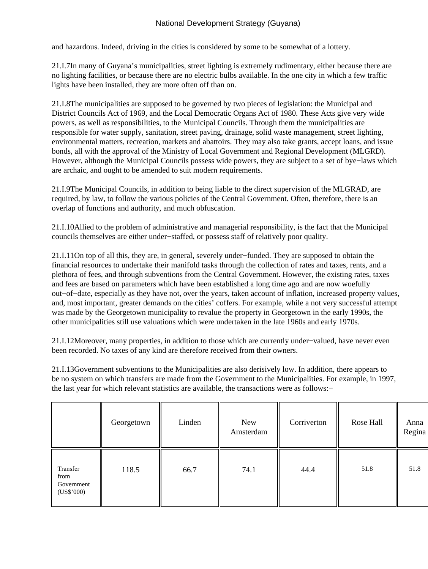and hazardous. Indeed, driving in the cities is considered by some to be somewhat of a lottery.

21.I.7 In many of Guyana's municipalities, street lighting is extremely rudimentary, either because there are no lighting facilities, or because there are no electric bulbs available. In the one city in which a few traffic lights have been installed, they are more often off than on.

21.I.8 The municipalities are supposed to be governed by two pieces of legislation: the Municipal and District Councils Act of 1969, and the Local Democratic Organs Act of 1980. These Acts give very wide powers, as well as responsibilities, to the Municipal Councils. Through them the municipalities are responsible for water supply, sanitation, street paving, drainage, solid waste management, street lighting, environmental matters, recreation, markets and abattoirs. They may also take grants, accept loans, and issue bonds, all with the approval of the Ministry of Local Government and Regional Development (MLGRD). However, although the Municipal Councils possess wide powers, they are subject to a set of bye−laws which are archaic, and ought to be amended to suit modern requirements.

21.I.9 The Municipal Councils, in addition to being liable to the direct supervision of the MLGRAD, are required, by law, to follow the various policies of the Central Government. Often, therefore, there is an overlap of functions and authority, and much obfuscation.

21.I.10 Allied to the problem of administrative and managerial responsibility, is the fact that the Municipal councils themselves are either under−staffed, or possess staff of relatively poor quality.

21.I.11 On top of all this, they are, in general, severely under−funded. They are supposed to obtain the financial resources to undertake their manifold tasks through the collection of rates and taxes, rents, and a plethora of fees, and through subventions from the Central Government. However, the existing rates, taxes and fees are based on parameters which have been established a long time ago and are now woefully out−of−date, especially as they have not, over the years, taken account of inflation, increased property values, and, most important, greater demands on the cities' coffers. For example, while a not very successful attempt was made by the Georgetown municipality to revalue the property in Georgetown in the early 1990s, the other municipalities still use valuations which were undertaken in the late 1960s and early 1970s.

21.I.12 Moreover, many properties, in addition to those which are currently under−valued, have never even been recorded. No taxes of any kind are therefore received from their owners.

21.I.13 Government subventions to the Municipalities are also derisively low. In addition, there appears to be no system on which transfers are made from the Government to the Municipalities. For example, in 1997, the last year for which relevant statistics are available, the transactions were as follows:−

|                                              | Georgetown | Linden | New<br>Amsterdam | Corriverton | Rose Hall | Anna<br>Regina |
|----------------------------------------------|------------|--------|------------------|-------------|-----------|----------------|
| Transfer<br>from<br>Government<br>(US\$'000) | 118.5      | 66.7   | 74.1             | 44.4        | 51.8      | 51.8           |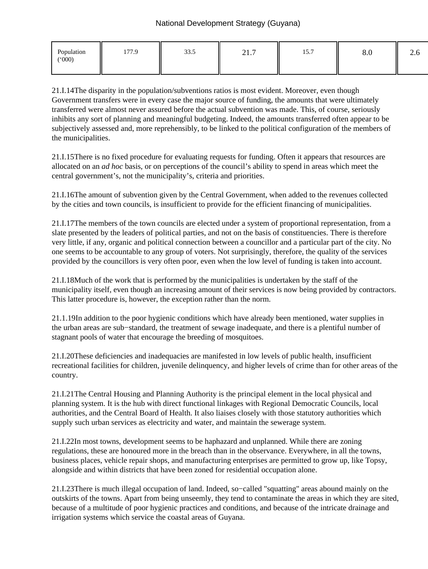| Population<br>(000) | 177.9 | 22c<br>JJ.J | $\mathbf{A}$ $\mathbf{A}$<br>21.1 | $1 - \pi$<br>1.3.1 | o.v | $\overline{\phantom{m}}$ |
|---------------------|-------|-------------|-----------------------------------|--------------------|-----|--------------------------|
|                     |       |             |                                   |                    |     |                          |

21.I.14 The disparity in the population/subventions ratios is most evident. Moreover, even though Government transfers were in every case the major source of funding, the amounts that were ultimately transferred were almost never assured before the actual subvention was made. This, of course, seriously inhibits any sort of planning and meaningful budgeting. Indeed, the amounts transferred often appear to be subjectively assessed and, more reprehensibly, to be linked to the political configuration of the members of the municipalities.

21.I.15 There is no fixed procedure for evaluating requests for funding. Often it appears that resources are allocated on an *ad hoc* basis, or on perceptions of the council's ability to spend in areas which meet the central government's, not the municipality's, criteria and priorities.

21.I.16 The amount of subvention given by the Central Government, when added to the revenues collected by the cities and town councils, is insufficient to provide for the efficient financing of municipalities.

21.I.17 The members of the town councils are elected under a system of proportional representation, from a slate presented by the leaders of political parties, and not on the basis of constituencies. There is therefore very little, if any, organic and political connection between a councillor and a particular part of the city. No one seems to be accountable to any group of voters. Not surprisingly, therefore, the quality of the services provided by the councillors is very often poor, even when the low level of funding is taken into account.

21.I.18 Much of the work that is performed by the municipalities is undertaken by the staff of the municipality itself, even though an increasing amount of their services is now being provided by contractors. This latter procedure is, however, the exception rather than the norm.

21.1.19 In addition to the poor hygienic conditions which have already been mentioned, water supplies in the urban areas are sub−standard, the treatment of sewage inadequate, and there is a plentiful number of stagnant pools of water that encourage the breeding of mosquitoes.

21.I.20 These deficiencies and inadequacies are manifested in low levels of public health, insufficient recreational facilities for children, juvenile delinquency, and higher levels of crime than for other areas of the country.

21.I.21 The Central Housing and Planning Authority is the principal element in the local physical and planning system. It is the hub with direct functional linkages with Regional Democratic Councils, local authorities, and the Central Board of Health. It also liaises closely with those statutory authorities which supply such urban services as electricity and water, and maintain the sewerage system.

21.I.22 In most towns, development seems to be haphazard and unplanned. While there are zoning regulations, these are honoured more in the breach than in the observance. Everywhere, in all the towns, business places, vehicle repair shops, and manufacturing enterprises are permitted to grow up, like Topsy, alongside and within districts that have been zoned for residential occupation alone.

21.I.23 There is much illegal occupation of land. Indeed, so−called "squatting" areas abound mainly on the outskirts of the towns. Apart from being unseemly, they tend to contaminate the areas in which they are sited, because of a multitude of poor hygienic practices and conditions, and because of the intricate drainage and irrigation systems which service the coastal areas of Guyana.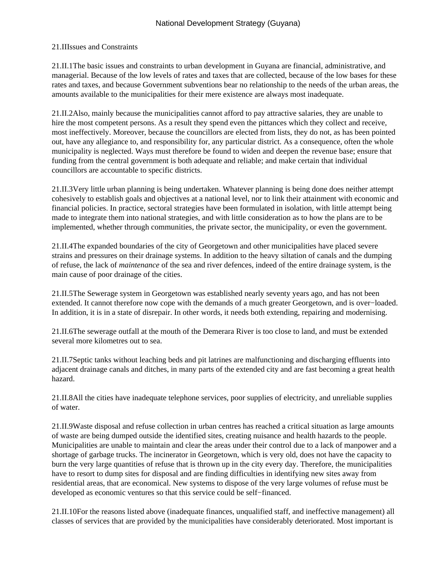## 21.II Issues and Constraints

21.II.1 The basic issues and constraints to urban development in Guyana are financial, administrative, and managerial. Because of the low levels of rates and taxes that are collected, because of the low bases for these rates and taxes, and because Government subventions bear no relationship to the needs of the urban areas, the amounts available to the municipalities for their mere existence are always most inadequate.

21.II.2 Also, mainly because the municipalities cannot afford to pay attractive salaries, they are unable to hire the most competent persons. As a result they spend even the pittances which they collect and receive, most ineffectively. Moreover, because the councillors are elected from lists, they do not, as has been pointed out, have any allegiance to, and responsibility for, any particular district. As a consequence, often the whole municipality is neglected. Ways must therefore be found to widen and deepen the revenue base; ensure that funding from the central government is both adequate and reliable; and make certain that individual councillors are accountable to specific districts.

21.II.3 Very little urban planning is being undertaken. Whatever planning is being done does neither attempt cohesively to establish goals and objectives at a national level, nor to link their attainment with economic and financial policies. In practice, sectoral strategies have been formulated in isolation, with little attempt being made to integrate them into national strategies, and with little consideration as to how the plans are to be implemented, whether through communities, the private sector, the municipality, or even the government.

21.II.4 The expanded boundaries of the city of Georgetown and other municipalities have placed severe strains and pressures on their drainage systems. In addition to the heavy siltation of canals and the dumping of refuse, the lack of *maintenance* of the sea and river defences, indeed of the entire drainage system, is the main cause of poor drainage of the cities.

21.II.5 The Sewerage system in Georgetown was established nearly seventy years ago, and has not been extended. It cannot therefore now cope with the demands of a much greater Georgetown, and is over−loaded. In addition, it is in a state of disrepair. In other words, it needs both extending, repairing and modernising.

21.II.6 The sewerage outfall at the mouth of the Demerara River is too close to land, and must be extended several more kilometres out to sea.

21.II.7 Septic tanks without leaching beds and pit latrines are malfunctioning and discharging effluents into adjacent drainage canals and ditches, in many parts of the extended city and are fast becoming a great health hazard.

21.II.8 All the cities have inadequate telephone services, poor supplies of electricity, and unreliable supplies of water.

21.II.9 Waste disposal and refuse collection in urban centres has reached a critical situation as large amounts of waste are being dumped outside the identified sites, creating nuisance and health hazards to the people. Municipalities are unable to maintain and clear the areas under their control due to a lack of manpower and a shortage of garbage trucks. The incinerator in Georgetown, which is very old, does not have the capacity to burn the very large quantities of refuse that is thrown up in the city every day. Therefore, the municipalities have to resort to dump sites for disposal and are finding difficulties in identifying new sites away from residential areas, that are economical. New systems to dispose of the very large volumes of refuse must be developed as economic ventures so that this service could be self−financed.

21.II.10 For the reasons listed above (inadequate finances, unqualified staff, and ineffective management) all classes of services that are provided by the municipalities have considerably deteriorated. Most important is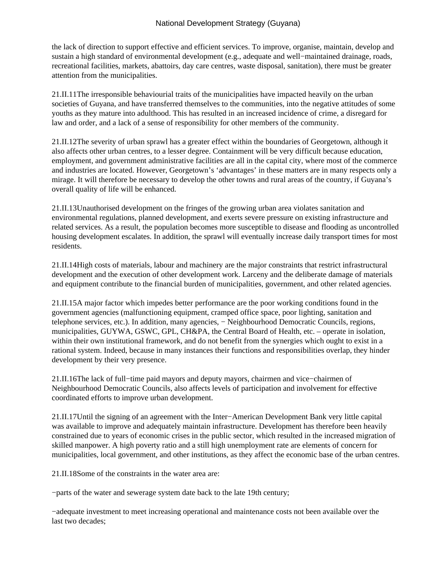the lack of direction to support effective and efficient services. To improve, organise, maintain, develop and sustain a high standard of environmental development (e.g., adequate and well−maintained drainage, roads, recreational facilities, markets, abattoirs, day care centres, waste disposal, sanitation), there must be greater attention from the municipalities.

21.II.11 The irresponsible behaviourial traits of the municipalities have impacted heavily on the urban societies of Guyana, and have transferred themselves to the communities, into the negative attitudes of some youths as they mature into adulthood. This has resulted in an increased incidence of crime, a disregard for law and order, and a lack of a sense of responsibility for other members of the community.

21.II.12 The severity of urban sprawl has a greater effect within the boundaries of Georgetown, although it also affects other urban centres, to a lesser degree. Containment will be very difficult because education, employment, and government administrative facilities are all in the capital city, where most of the commerce and industries are located. However, Georgetown's 'advantages' in these matters are in many respects only a mirage. It will therefore be necessary to develop the other towns and rural areas of the country, if Guyana's overall quality of life will be enhanced.

21.II.13 Unauthorised development on the fringes of the growing urban area violates sanitation and environmental regulations, planned development, and exerts severe pressure on existing infrastructure and related services. As a result, the population becomes more susceptible to disease and flooding as uncontrolled housing development escalates. In addition, the sprawl will eventually increase daily transport times for most residents.

21.II.14 High costs of materials, labour and machinery are the major constraints that restrict infrastructural development and the execution of other development work. Larceny and the deliberate damage of materials and equipment contribute to the financial burden of municipalities, government, and other related agencies.

21.II.15 A major factor which impedes better performance are the poor working conditions found in the government agencies (malfunctioning equipment, cramped office space, poor lighting, sanitation and telephone services, etc.). In addition, many agencies, − Neighbourhood Democratic Councils, regions, municipalities, GUYWA, GSWC, GPL, CH&PA, the Central Board of Health, etc. – operate in isolation, within their own institutional framework, and do not benefit from the synergies which ought to exist in a rational system. Indeed, because in many instances their functions and responsibilities overlap, they hinder development by their very presence.

21.II.16 The lack of full−time paid mayors and deputy mayors, chairmen and vice−chairmen of Neighbourhood Democratic Councils, also affects levels of participation and involvement for effective coordinated efforts to improve urban development.

21.II.17 Until the signing of an agreement with the Inter−American Development Bank very little capital was available to improve and adequately maintain infrastructure. Development has therefore been heavily constrained due to years of economic crises in the public sector, which resulted in the increased migration of skilled manpower. A high poverty ratio and a still high unemployment rate are elements of concern for municipalities, local government, and other institutions, as they affect the economic base of the urban centres.

21.II.18 Some of the constraints in the water area are:

− parts of the water and sewerage system date back to the late 19th century;

− adequate investment to meet increasing operational and maintenance costs not been available over the last two decades;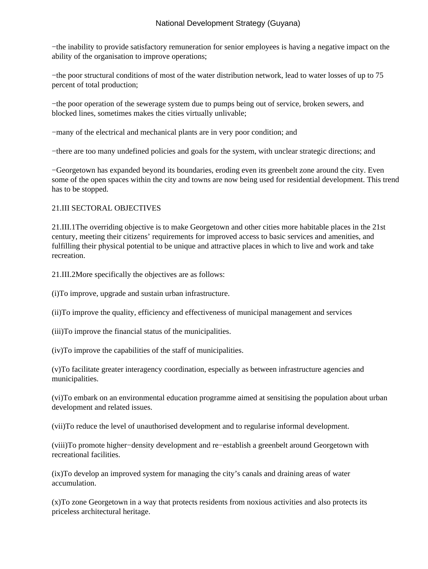− the inability to provide satisfactory remuneration for senior employees is having a negative impact on the ability of the organisation to improve operations;

− the poor structural conditions of most of the water distribution network, lead to water losses of up to 75 percent of total production;

− the poor operation of the sewerage system due to pumps being out of service, broken sewers, and blocked lines, sometimes makes the cities virtually unlivable;

− many of the electrical and mechanical plants are in very poor condition; and

− there are too many undefined policies and goals for the system, with unclear strategic directions; and

− Georgetown has expanded beyond its boundaries, eroding even its greenbelt zone around the city. Even some of the open spaces within the city and towns are now being used for residential development. This trend has to be stopped.

### 21.III SECTORAL OBJECTIVES

21.III.1 The overriding objective is to make Georgetown and other cities more habitable places in the 21st century, meeting their citizens' requirements for improved access to basic services and amenities, and fulfilling their physical potential to be unique and attractive places in which to live and work and take recreation.

21.III.2 More specifically the objectives are as follows:

 (i) To improve, upgrade and sustain urban infrastructure.

 (ii) To improve the quality, efficiency and effectiveness of municipal management and services

 (iii) To improve the financial status of the municipalities.

 (iv) To improve the capabilities of the staff of municipalities. 

 (v) To facilitate greater interagency coordination, especially as between infrastructure agencies and municipalities.

 (vi) To embark on an environmental education programme aimed at sensitising the population about urban development and related issues.

 (vii) To reduce the level of unauthorised development and to regularise informal development.

 (viii) To promote higher−density development and re−establish a greenbelt around Georgetown with recreational facilities.

 (ix) To develop an improved system for managing the city's canals and draining areas of water accumulation.

 (x) To zone Georgetown in a way that protects residents from noxious activities and also protects its priceless architectural heritage.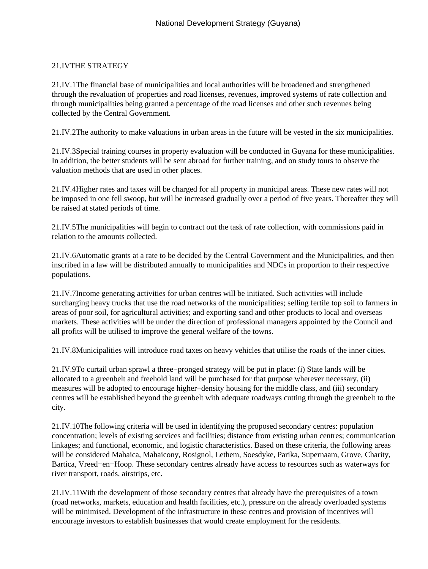# 21.IV THE STRATEGY

21.IV.1 The financial base of municipalities and local authorities will be broadened and strengthened through the revaluation of properties and road licenses, revenues, improved systems of rate collection and through municipalities being granted a percentage of the road licenses and other such revenues being collected by the Central Government.

21.IV.2 The authority to make valuations in urban areas in the future will be vested in the six municipalities.

21.IV.3 Special training courses in property evaluation will be conducted in Guyana for these municipalities. In addition, the better students will be sent abroad for further training, and on study tours to observe the valuation methods that are used in other places.

21.IV.4 Higher rates and taxes will be charged for all property in municipal areas. These new rates will not be imposed in one fell swoop, but will be increased gradually over a period of five years. Thereafter they will be raised at stated periods of time.

21.IV.5 The municipalities will begin to contract out the task of rate collection, with commissions paid in relation to the amounts collected.

21.IV.6 Automatic grants at a rate to be decided by the Central Government and the Municipalities, and then inscribed in a law will be distributed annually to municipalities and NDCs in proportion to their respective populations.

21.IV.7 Income generating activities for urban centres will be initiated. Such activities will include surcharging heavy trucks that use the road networks of the municipalities; selling fertile top soil to farmers in areas of poor soil, for agricultural activities; and exporting sand and other products to local and overseas markets. These activities will be under the direction of professional managers appointed by the Council and all profits will be utilised to improve the general welfare of the towns.

21.IV.8 Municipalities will introduce road taxes on heavy vehicles that utilise the roads of the inner cities.

21.IV.9 To curtail urban sprawl a three−pronged strategy will be put in place: (i) State lands will be allocated to a greenbelt and freehold land will be purchased for that purpose wherever necessary, (ii) measures will be adopted to encourage higher−density housing for the middle class, and (iii) secondary centres will be established beyond the greenbelt with adequate roadways cutting through the greenbelt to the city.

21.IV.10 The following criteria will be used in identifying the proposed secondary centres: population concentration; levels of existing services and facilities; distance from existing urban centres; communication linkages; and functional, economic, and logistic characteristics. Based on these criteria, the following areas will be considered Mahaica, Mahaicony, Rosignol, Lethem, Soesdyke, Parika, Supernaam, Grove, Charity, Bartica, Vreed−en−Hoop. These secondary centres already have access to resources such as waterways for river transport, roads, airstrips, etc.

21.IV.11 With the development of those secondary centres that already have the prerequisites of a town (road networks, markets, education and health facilities, etc.), pressure on the already overloaded systems will be minimised. Development of the infrastructure in these centres and provision of incentives will encourage investors to establish businesses that would create employment for the residents.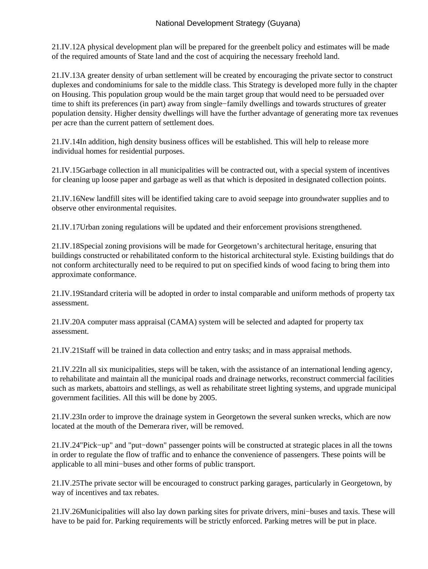# National Development Strategy (Guyana)

21.IV.12 A physical development plan will be prepared for the greenbelt policy and estimates will be made of the required amounts of State land and the cost of acquiring the necessary freehold land.

21.IV.13 A greater density of urban settlement will be created by encouraging the private sector to construct duplexes and condominiums for sale to the middle class. This Strategy is developed more fully in the chapter on Housing. This population group would be the main target group that would need to be persuaded over time to shift its preferences (in part) away from single−family dwellings and towards structures of greater population density. Higher density dwellings will have the further advantage of generating more tax revenues per acre than the current pattern of settlement does.

21.IV.14 In addition, high density business offices will be established. This will help to release more individual homes for residential purposes.

21.IV.15 Garbage collection in all municipalities will be contracted out, with a special system of incentives for cleaning up loose paper and garbage as well as that which is deposited in designated collection points.

21.IV.16 New landfill sites will be identified taking care to avoid seepage into groundwater supplies and to observe other environmental requisites.

21.IV.17 Urban zoning regulations will be updated and their enforcement provisions strengthened.

21.IV.18 Special zoning provisions will be made for Georgetown's architectural heritage, ensuring that buildings constructed or rehabilitated conform to the historical architectural style. Existing buildings that do not conform architecturally need to be required to put on specified kinds of wood facing to bring them into approximate conformance.

21.IV.19 Standard criteria will be adopted in order to instal comparable and uniform methods of property tax assessment.

21.IV.20 A computer mass appraisal (CAMA) system will be selected and adapted for property tax assessment.

21.IV.21 Staff will be trained in data collection and entry tasks; and in mass appraisal methods.

21.IV.22 In all six municipalities, steps will be taken, with the assistance of an international lending agency, to rehabilitate and maintain all the municipal roads and drainage networks, reconstruct commercial facilities such as markets, abattoirs and stellings, as well as rehabilitate street lighting systems, and upgrade municipal government facilities. All this will be done by 2005.

21.IV.23 In order to improve the drainage system in Georgetown the several sunken wrecks, which are now located at the mouth of the Demerara river, will be removed.

21.IV.24 "Pick−up" and "put−down" passenger points will be constructed at strategic places in all the towns in order to regulate the flow of traffic and to enhance the convenience of passengers. These points will be applicable to all mini−buses and other forms of public transport.

21.IV.25 The private sector will be encouraged to construct parking garages, particularly in Georgetown, by way of incentives and tax rebates.

21.IV.26 Municipalities will also lay down parking sites for private drivers, mini−buses and taxis. These will have to be paid for. Parking requirements will be strictly enforced. Parking metres will be put in place.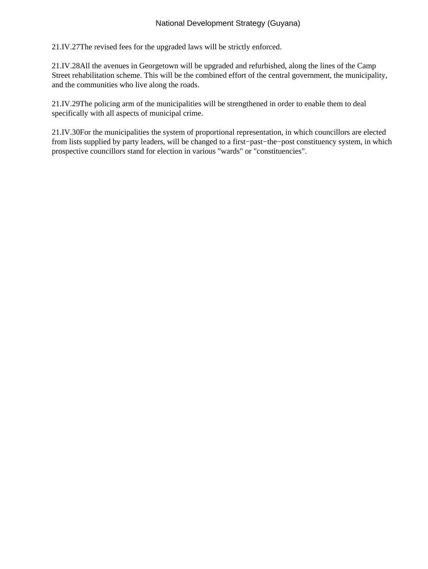21.IV.27 The revised fees for the upgraded laws will be strictly enforced.

21.IV.28 All the avenues in Georgetown will be upgraded and refurbished, along the lines of the Camp Street rehabilitation scheme. This will be the combined effort of the central government, the municipality, and the communities who live along the roads.

21.IV.29 The policing arm of the municipalities will be strengthened in order to enable them to deal specifically with all aspects of municipal crime.

21.IV.30 For the municipalities the system of proportional representation, in which councillors are elected from lists supplied by party leaders, will be changed to a first−past−the−post constituency system, in which prospective councillors stand for election in various "wards" or "constituencies".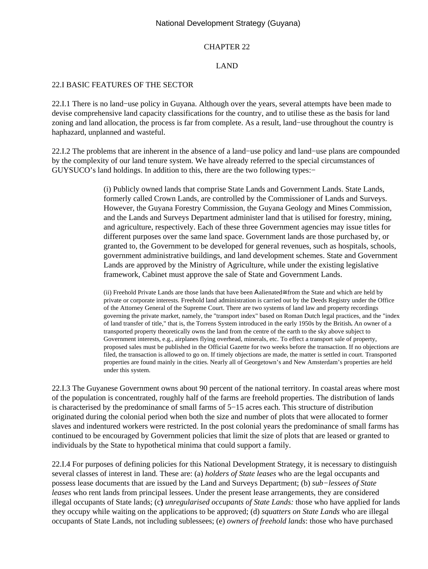#### National Development Strategy (Guyana)

#### CHAPTER 22

#### LAND

### 22.I BASIC FEATURES OF THE SECTOR

22.I.1 There is no land−use policy in Guyana. Although over the years, several attempts have been made to devise comprehensive land capacity classifications for the country, and to utilise these as the basis for land zoning and land allocation, the process is far from complete. As a result, land−use throughout the country is haphazard, unplanned and wasteful.

22.I.2 The problems that are inherent in the absence of a land−use policy and land−use plans are compounded by the complexity of our land tenure system. We have already referred to the special circumstances of GUYSUCO's land holdings. In addition to this, there are the two following types:−

> (i) Publicly owned lands that comprise State Lands and Government Lands. State Lands, formerly called Crown Lands, are controlled by the Commissioner of Lands and Surveys. However, the Guyana Forestry Commission, the Guyana Geology and Mines Commission, and the Lands and Surveys Department administer land that is utilised for forestry, mining, and agriculture, respectively. Each of these three Government agencies may issue titles for different purposes over the same land space. Government lands are those purchased by, or granted to, the Government to be developed for general revenues, such as hospitals, schools, government administrative buildings, and land development schemes. State and Government Lands are approved by the Ministry of Agriculture, while under the existing legislative framework, Cabinet must approve the sale of State and Government Lands.

> (ii) Freehold Private Lands are those lands that have been Αalienated≅ from the State and which are held by private or corporate interests. Freehold land administration is carried out by the Deeds Registry under the Office of the Attorney General of the Supreme Court. There are two systems of land law and property recordings governing the private market, namely, the "transport index" based on Roman Dutch legal practices, and the "index of land transfer of title," that is, the Torrens System introduced in the early 1950s by the British**.** An owner of a transported property theoretically owns the land from the centre of the earth to the sky above subject to Government interests, e.g., airplanes flying overhead, minerals, etc. To effect a transport sale of property, proposed sales must be published in the Official Gazette for two weeks before the transaction. If no objections are filed, the transaction is allowed to go on. If timely objections are made, the matter is settled in court. Transported properties are found mainly in the cities. Nearly all of Georgetown's and New Amsterdam's properties are held under this system.

22.I.3 The Guyanese Government owns about 90 percent of the national territory. In coastal areas where most of the population is concentrated, roughly half of the farms are freehold properties. The distribution of lands is characterised by the predominance of small farms of 5−15 acres each. This structure of distribution originated during the colonial period when both the size and number of plots that were allocated to former slaves and indentured workers were restricted. In the post colonial years the predominance of small farms has continued to be encouraged by Government policies that limit the size of plots that are leased or granted to individuals by the State to hypothetical minima that could support a family.

22.I.4 For purposes of defining policies for this National Development Strategy, it is necessary to distinguish several classes of interest in land. These are: (a) *holders of State leases* who are the legal occupants and possess lease documents that are issued by the Land and Surveys Department; (b) *sub−lessees of State leases* who rent lands from principal lessees. Under the present lease arrangements, they are considered illegal occupants of State lands; (c**)** *unregularised occupants of State Lands:* those who have applied for lands they occupy while waiting on the applications to be approved; (d) *squatters on State Lands* who are illegal occupants of State Lands, not including sublessees; (e) *owners of freehold lands*: those who have purchased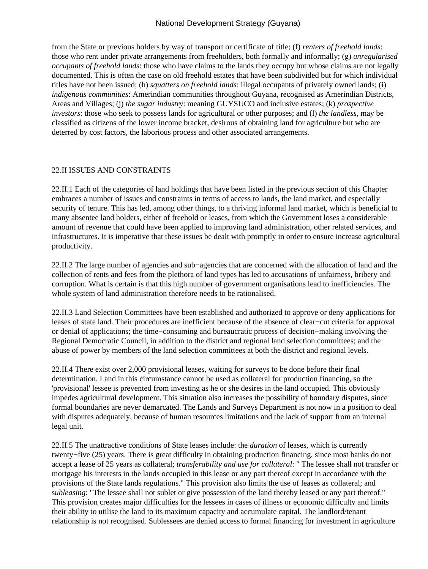from the State or previous holders by way of transport or certificate of title; (f) *renters of freehold lands*: those who rent under private arrangements from freeholders, both formally and informally; (g) *unregularised occupants of freehold lands*: those who have claims to the lands they occupy but whose claims are not legally documented. This is often the case on old freehold estates that have been subdivided but for which individual titles have not been issued; (h) *squatters on freehold lands*: illegal occupants of privately owned lands; (i) *indigenous communities*: Amerindian communities throughout Guyana, recognised as Amerindian Districts, Areas and Villages; (j) *the sugar industry*: meaning GUYSUCO and inclusive estates; (k) *prospective investors*: those who seek to possess lands for agricultural or other purposes; and (l) *the landless*, may be classified as citizens of the lower income bracket, desirous of obtaining land for agriculture but who are deterred by cost factors, the laborious process and other associated arrangements.

### 22.II ISSUES AND CONSTRAINTS

22.II.1 Each of the categories of land holdings that have been listed in the previous section of this Chapter embraces a number of issues and constraints in terms of access to lands, the land market, and especially security of tenure. This has led, among other things, to a thriving informal land market, which is beneficial to many absentee land holders, either of freehold or leases, from which the Government loses a considerable amount of revenue that could have been applied to improving land administration, other related services, and infrastructures. It is imperative that these issues be dealt with promptly in order to ensure increase agricultural productivity.

22.II.2 The large number of agencies and sub−agencies that are concerned with the allocation of land and the collection of rents and fees from the plethora of land types has led to accusations of unfairness, bribery and corruption. What is certain is that this high number of government organisations lead to inefficiencies. The whole system of land administration therefore needs to be rationalised.

22.II.3 Land Selection Committees have been established and authorized to approve or deny applications for leases of state land. Their procedures are inefficient because of the absence of clear−cut criteria for approval or denial of applications; the time−consuming and bureaucratic process of decision−making involving the Regional Democratic Council, in addition to the district and regional land selection committees; and the abuse of power by members of the land selection committees at both the district and regional levels.

22.II.4 There exist over 2,000 provisional leases, waiting for surveys to be done before their final determination. Land in this circumstance cannot be used as collateral for production financing, so the 'provisional' lessee is prevented from investing as he or she desires in the land occupied. This obviously impedes agricultural development. This situation also increases the possibility of boundary disputes, since formal boundaries are never demarcated. The Lands and Surveys Department is not now in a position to deal with disputes adequately, because of human resources limitations and the lack of support from an internal legal unit.

22.II.5 The unattractive conditions of State leases include: the *duration* of leases, which is currently twenty−five (25) years. There is great difficulty in obtaining production financing, since most banks do not accept a lease of 25 years as collateral; *transferability and use for collateral*: " The lessee shall not transfer or mortgage his interests in the lands occupied in this lease or any part thereof except in accordance with the provisions of the State lands regulations." This provision also limits the use of leases as collateral; and subleasing: "The lessee shall not sublet or give possession of the land thereby leased or any part thereof." This provision creates major difficulties for the lessees in cases of illness or economic difficulty and limits their ability to utilise the land to its maximum capacity and accumulate capital. The landlord/tenant relationship is not recognised. Sublessees are denied access to formal financing for investment in agriculture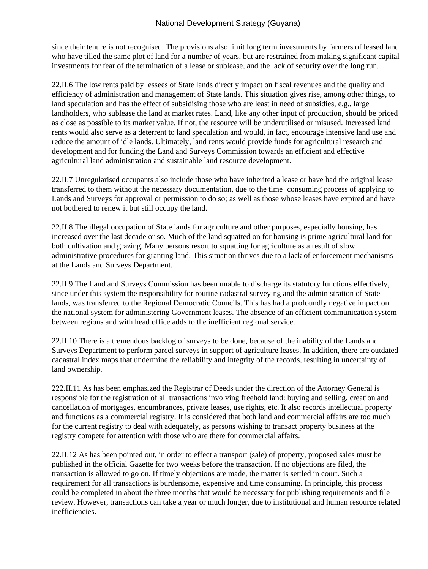since their tenure is not recognised. The provisions also limit long term investments by farmers of leased land who have tilled the same plot of land for a number of years, but are restrained from making significant capital investments for fear of the termination of a lease or sublease, and the lack of security over the long run.

22.II.6 The low rents paid by lessees of State lands directly impact on fiscal revenues and the quality and efficiency of administration and management of State lands. This situation gives rise, among other things, to land speculation and has the effect of subsidising those who are least in need of subsidies, e.g., large landholders, who sublease the land at market rates. Land, like any other input of production, should be priced as close as possible to its market value. If not, the resource will be underutilised or misused. Increased land rents would also serve as a deterrent to land speculation and would, in fact, encourage intensive land use and reduce the amount of idle lands. Ultimately, land rents would provide funds for agricultural research and development and for funding the Land and Surveys Commission towards an efficient and effective agricultural land administration and sustainable land resource development.

22.II.7 Unregularised occupants also include those who have inherited a lease or have had the original lease transferred to them without the necessary documentation, due to the time−consuming process of applying to Lands and Surveys for approval or permission to do so; as well as those whose leases have expired and have not bothered to renew it but still occupy the land.

22.II.8 The illegal occupation of State lands for agriculture and other purposes, especially housing, has increased over the last decade or so. Much of the land squatted on for housing is prime agricultural land for both cultivation and grazing. Many persons resort to squatting for agriculture as a result of slow administrative procedures for granting land. This situation thrives due to a lack of enforcement mechanisms at the Lands and Surveys Department.

22.II.9 The Land and Surveys Commission has been unable to discharge its statutory functions effectively, since under this system the responsibility for routine cadastral surveying and the administration of State lands, was transferred to the Regional Democratic Councils. This has had a profoundly negative impact on the national system for administering Government leases. The absence of an efficient communication system between regions and with head office adds to the inefficient regional service.

22.II.10 There is a tremendous backlog of surveys to be done, because of the inability of the Lands and Surveys Department to perform parcel surveys in support of agriculture leases. In addition, there are outdated cadastral index maps that undermine the reliability and integrity of the records, resulting in uncertainty of land ownership.

222.II.11 As has been emphasized the Registrar of Deeds under the direction of the Attorney General is responsible for the registration of all transactions involving freehold land: buying and selling, creation and cancellation of mortgages, encumbrances, private leases, use rights, etc. It also records intellectual property and functions as a commercial registry. It is considered that both land and commercial affairs are too much for the current registry to deal with adequately, as persons wishing to transact property business at the registry compete for attention with those who are there for commercial affairs.

22.II.12 As has been pointed out, in order to effect a transport (sale) of property, proposed sales must be published in the official Gazette for two weeks before the transaction. If no objections are filed, the transaction is allowed to go on. If timely objections are made, the matter is settled in court. Such a requirement for all transactions is burdensome, expensive and time consuming. In principle, this process could be completed in about the three months that would be necessary for publishing requirements and file review. However, transactions can take a year or much longer, due to institutional and human resource related inefficiencies.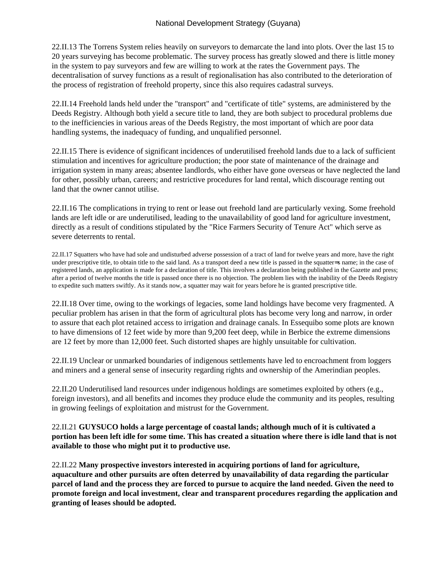22.II.13 The Torrens System relies heavily on surveyors to demarcate the land into plots. Over the last 15 to 20 years surveying has become problematic. The survey process has greatly slowed and there is little money in the system to pay surveyors and few are willing to work at the rates the Government pays. The decentralisation of survey functions as a result of regionalisation has also contributed to the deterioration of the process of registration of freehold property, since this also requires cadastral surveys.

22.II.14 Freehold lands held under the "transport" and "certificate of title" systems, are administered by the Deeds Registry. Although both yield a secure title to land, they are both subject to procedural problems due to the inefficiencies in various areas of the Deeds Registry, the most important of which are poor data handling systems, the inadequacy of funding, and unqualified personnel.

22.II.15 There is evidence of significant incidences of underutilised freehold lands due to a lack of sufficient stimulation and incentives for agriculture production; the poor state of maintenance of the drainage and irrigation system in many areas; absentee landlords, who either have gone overseas or have neglected the land for other, possibly urban, careers; and restrictive procedures for land rental, which discourage renting out land that the owner cannot utilise.

22.II.16 The complications in trying to rent or lease out freehold land are particularly vexing. Some freehold lands are left idle or are underutilised, leading to the unavailability of good land for agriculture investment, directly as a result of conditions stipulated by the "Rice Farmers Security of Tenure Act" which serve as severe deterrents to rental.

22.II.17 Squatters who have had sole and undisturbed adverse possession of a tract of land for twelve years and more, have the right under prescriptive title, to obtain title to the said land. As a transport deed a new title is passed in the squatter=s name; in the case of registered lands, an application is made for a declaration of title. This involves a declaration being published in the Gazette and press; after a period of twelve months the title is passed once there is no objection. The problem lies with the inability of the Deeds Registry to expedite such matters swiftly. As it stands now, a squatter may wait for years before he is granted prescriptive title.

22.II.18 Over time, owing to the workings of legacies, some land holdings have become very fragmented. A peculiar problem has arisen in that the form of agricultural plots has become very long and narrow, in order to assure that each plot retained access to irrigation and drainage canals. In Essequibo some plots are known to have dimensions of 12 feet wide by more than 9,200 feet deep, while in Berbice the extreme dimensions are 12 feet by more than 12,000 feet. Such distorted shapes are highly unsuitable for cultivation.

22.II.19 Unclear or unmarked boundaries of indigenous settlements have led to encroachment from loggers and miners and a general sense of insecurity regarding rights and ownership of the Amerindian peoples.

22.II.20 Underutilised land resources under indigenous holdings are sometimes exploited by others (e.g., foreign investors), and all benefits and incomes they produce elude the community and its peoples, resulting in growing feelings of exploitation and mistrust for the Government.

## 22.II.21 **GUYSUCO holds a large percentage of coastal lands; although much of it is cultivated a portion has been left idle for some time. This has created a situation where there is idle land that is not available to those who might put it to productive use.**

22.II.22 **Many prospective investors interested in acquiring portions of land for agriculture, aquaculture and other pursuits are often deterred by unavailability of data regarding the particular parcel of land and the process they are forced to pursue to acquire the land needed. Given the need to promote foreign and local investment, clear and transparent procedures regarding the application and granting of leases should be adopted.**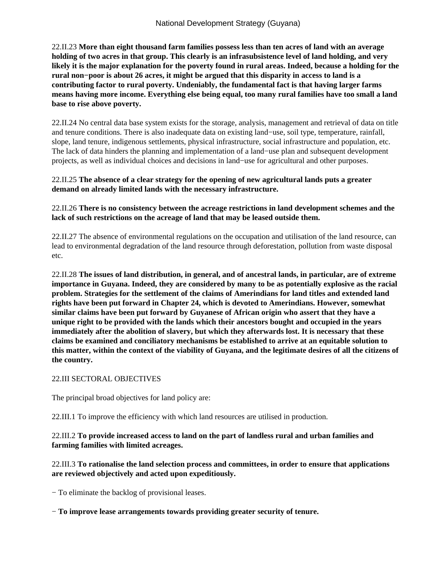22.II.23 **More than eight thousand farm families possess less than ten acres of land with an average holding of two acres in that group. This clearly is an infrasubsistence level of land holding, and very likely it is the major explanation for the poverty found in rural areas. Indeed, because a holding for the rural non−poor is about 26 acres, it might be argued that this disparity in access to land is a contributing factor to rural poverty. Undeniably, the fundamental fact is that having larger farms means having more income. Everything else being equal, too many rural families have too small a land base to rise above poverty.**

22.II.24 No central data base system exists for the storage, analysis, management and retrieval of data on title and tenure conditions. There is also inadequate data on existing land−use, soil type, temperature, rainfall, slope, land tenure, indigenous settlements, physical infrastructure, social infrastructure and population, etc. The lack of data hinders the planning and implementation of a land−use plan and subsequent development projects, as well as individual choices and decisions in land−use for agricultural and other purposes.

### 22.II.25 **The absence of a clear strategy for the opening of new agricultural lands puts a greater demand on already limited lands with the necessary infrastructure.**

## 22.II.26 **There is no consistency between the acreage restrictions in land development schemes and the lack of such restrictions on the acreage of land that may be leased outside them.**

22.II.27 The absence of environmental regulations on the occupation and utilisation of the land resource, can lead to environmental degradation of the land resource through deforestation, pollution from waste disposal etc.

22.II.28 **The issues of land distribution, in general, and of ancestral lands, in particular, are of extreme importance in Guyana. Indeed, they are considered by many to be as potentially explosive as the racial problem. Strategies for the settlement of the claims of Amerindians for land titles and extended land rights have been put forward in Chapter 24, which is devoted to Amerindians. However, somewhat similar claims have been put forward by Guyanese of African origin who assert that they have a unique right to be provided with the lands which their ancestors bought and occupied in the years immediately after the abolition of slavery, but which they afterwards lost. It is necessary that these claims be examined and conciliatory mechanisms be established to arrive at an equitable solution to this matter, within the context of the viability of Guyana, and the legitimate desires of all the citizens of the country.**

## 22.III SECTORAL OBJECTIVES

The principal broad objectives for land policy are:

22.III.1 To improve the efficiency with which land resources are utilised in production.

## 22.III.2 **To provide increased access to land on the part of landless rural and urban families and farming families with limited acreages.**

# 22.III.3 **To rationalise the land selection process and committees, in order to ensure that applications are reviewed objectively and acted upon expeditiously.**

− To eliminate the backlog of provisional leases.

− **To improve lease arrangements towards providing greater security of tenure.**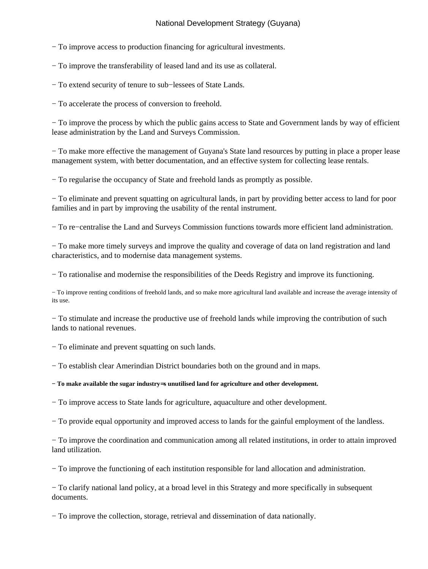# National Development Strategy (Guyana)

− To improve access to production financing for agricultural investments.

− To improve the transferability of leased land and its use as collateral.

− To extend security of tenure to sub−lessees of State Lands.

− To accelerate the process of conversion to freehold.

− To improve the process by which the public gains access to State and Government lands by way of efficient lease administration by the Land and Surveys Commission.

− To make more effective the management of Guyana's State land resources by putting in place a proper lease management system, with better documentation, and an effective system for collecting lease rentals.

− To regularise the occupancy of State and freehold lands as promptly as possible.

− To eliminate and prevent squatting on agricultural lands, in part by providing better access to land for poor families and in part by improving the usability of the rental instrument.

− To re−centralise the Land and Surveys Commission functions towards more efficient land administration.

− To make more timely surveys and improve the quality and coverage of data on land registration and land characteristics, and to modernise data management systems.

− To rationalise and modernise the responsibilities of the Deeds Registry and improve its functioning.

− To improve renting conditions of freehold lands, and so make more agricultural land available and increase the average intensity of its use.

− To stimulate and increase the productive use of freehold lands while improving the contribution of such lands to national revenues.

− To eliminate and prevent squatting on such lands.

− To establish clear Amerindian District boundaries both on the ground and in maps.

**− To make available the sugar industry**=**s unutilised land for agriculture and other development.**

− To improve access to State lands for agriculture, aquaculture and other development.

− To provide equal opportunity and improved access to lands for the gainful employment of the landless.

− To improve the coordination and communication among all related institutions, in order to attain improved land utilization.

− To improve the functioning of each institution responsible for land allocation and administration.

− To clarify national land policy, at a broad level in this Strategy and more specifically in subsequent documents.

− To improve the collection, storage, retrieval and dissemination of data nationally.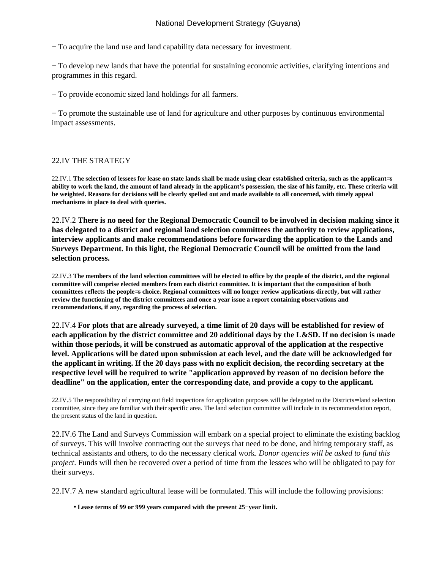− To acquire the land use and land capability data necessary for investment.

− To develop new lands that have the potential for sustaining economic activities, clarifying intentions and programmes in this regard.

− To provide economic sized land holdings for all farmers.

− To promote the sustainable use of land for agriculture and other purposes by continuous environmental impact assessments.

### 22.IV THE STRATEGY

22.IV.1 **The selection of lessees for lease on state lands shall be made using clear established criteria, such as the applicant**=**s ability to work the land, the amount of land already in the applicant's possession, the size of his family, etc. These criteria will be weighted. Reasons for decisions will be clearly spelled out and made available to all concerned, with timely appeal mechanisms in place to deal with queries.**

22.IV.2 **There is no need for the Regional Democratic Council to be involved in decision making since it has delegated to a district and regional land selection committees the authority to review applications, interview applicants and make recommendations before forwarding the application to the Lands and Surveys Department. In this light, the Regional Democratic Council will be omitted from the land selection process.**

22.IV.3 **The members of the land selection committees will be elected to office by the people of the district, and the regional committee will comprise elected members from each district committee. It is important that the composition of both committees reflects the people**=**s choice. Regional committees will no longer review applications directly, but will rather review the functioning of the district committees and once a year issue a report containing observations and recommendations, if any, regarding the process of selection.**

22.IV.4 **For plots that are already surveyed, a time limit of 20 days will be established for review of each application by the district committee and 20 additional days by the L&SD. If no decision is made within those periods, it will be construed as automatic approval of the application at the respective level. Applications will be dated upon submission at each level, and the date will be acknowledged for the applicant in writing. If the 20 days pass with no explicit decision, the recording secretary at the respective level will be required to write "application approved by reason of no decision before the deadline" on the application, enter the corresponding date, and provide a copy to the applicant.**

22.IV.5 The responsibility of carrying out field inspections for application purposes will be delegated to the Districts= land selection committee, since they are familiar with their specific area. The land selection committee will include in its recommendation report, the present status of the land in question.

22.IV.6 The Land and Surveys Commission will embark on a special project to eliminate the existing backlog of surveys. This will involve contracting out the surveys that need to be done, and hiring temporary staff, as technical assistants and others, to do the necessary clerical work. *Donor agencies will be asked to fund this project*. Funds will then be recovered over a period of time from the lessees who will be obligated to pay for their surveys.

22.IV.7 A new standard agricultural lease will be formulated. This will include the following provisions:

• **Lease terms of 99 or 999 years compared with the present 25−year limit.**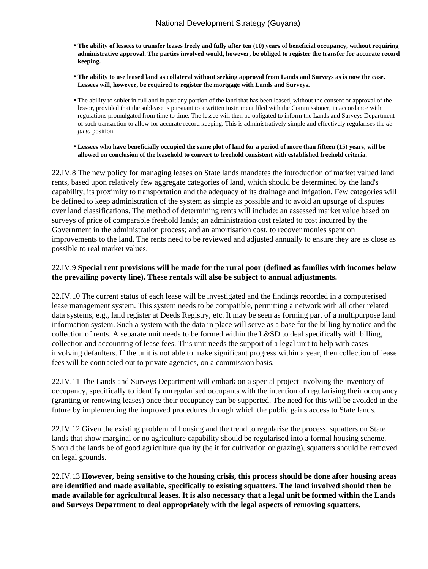- **The ability of lessees to transfer leases freely and fully after ten (10) years of beneficial occupancy, without requiring administrative approval. The parties involved would, however, be obliged to register the transfer for accurate record keeping.**
- **The ability to use leased land as collateral without seeking approval from Lands and Surveys as is now the case. Lessees will, however, be required to register the mortgage with Lands and Surveys.**
- The ability to sublet in full and in part any portion of the land that has been leased, without the consent or approval of the lessor, provided that the sublease is pursuant to a written instrument filed with the Commissioner, in accordance with regulations promulgated from time to time. The lessee will then be obligated to inform the Lands and Surveys Department of such transaction to allow for accurate record keeping. This is administratively simple and effectively regularises the *de facto* position.
- **Lessees who have beneficially occupied the same plot of land for a period of more than fifteen (15) years, will be allowed on conclusion of the leasehold to convert to freehold consistent with established freehold criteria.**

22.IV.8 The new policy for managing leases on State lands mandates the introduction of market valued land rents, based upon relatively few aggregate categories of land, which should be determined by the land's capability, its proximity to transportation and the adequacy of its drainage and irrigation. Few categories will be defined to keep administration of the system as simple as possible and to avoid an upsurge of disputes over land classifications. The method of determining rents will include: an assessed market value based on surveys of price of comparable freehold lands; an administration cost related to cost incurred by the Government in the administration process; and an amortisation cost, to recover monies spent on improvements to the land. The rents need to be reviewed and adjusted annually to ensure they are as close as possible to real market values.

### 22.IV.9 **Special rent provisions will be made for the rural poor (defined as families with incomes below the prevailing poverty line). These rentals will also be subject to annual adjustments.**

22.IV.10 The current status of each lease will be investigated and the findings recorded in a computerised lease management system. This system needs to be compatible, permitting a network with all other related data systems, e.g., land register at Deeds Registry, etc. It may be seen as forming part of a multipurpose land information system. Such a system with the data in place will serve as a base for the billing by notice and the collection of rents. A separate unit needs to be formed within the L&SD to deal specifically with billing, collection and accounting of lease fees. This unit needs the support of a legal unit to help with cases involving defaulters. If the unit is not able to make significant progress within a year, then collection of lease fees will be contracted out to private agencies, on a commission basis.

22.IV.11 The Lands and Surveys Department will embark on a special project involving the inventory of occupancy, specifically to identify unregularised occupants with the intention of regularising their occupancy (granting or renewing leases) once their occupancy can be supported. The need for this will be avoided in the future by implementing the improved procedures through which the public gains access to State lands.

22.IV.12 Given the existing problem of housing and the trend to regularise the process, squatters on State lands that show marginal or no agriculture capability should be regularised into a formal housing scheme. Should the lands be of good agriculture quality (be it for cultivation or grazing), squatters should be removed on legal grounds.

22.IV.13 **However, being sensitive to the housing crisis, this process should be done after housing areas are identified and made available, specifically to existing squatters. The land involved should then be made available for agricultural leases. It is also necessary that a legal unit be formed within the Lands and Surveys Department to deal appropriately with the legal aspects of removing squatters.**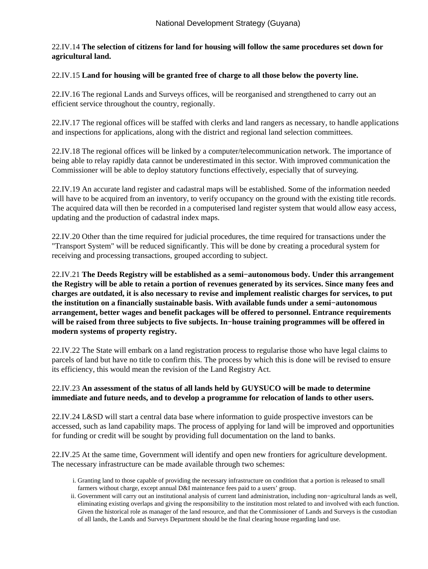# 22.IV.14 **The selection of citizens for land for housing will follow the same procedures set down for agricultural land.**

### 22.IV.15 **Land for housing will be granted free of charge to all those below the poverty line.**

22.IV.16 The regional Lands and Surveys offices, will be reorganised and strengthened to carry out an efficient service throughout the country, regionally.

22.IV.17 The regional offices will be staffed with clerks and land rangers as necessary, to handle applications and inspections for applications, along with the district and regional land selection committees.

22.IV.18 The regional offices will be linked by a computer/telecommunication network. The importance of being able to relay rapidly data cannot be underestimated in this sector. With improved communication the Commissioner will be able to deploy statutory functions effectively, especially that of surveying.

22.IV.19 An accurate land register and cadastral maps will be established. Some of the information needed will have to be acquired from an inventory, to verify occupancy on the ground with the existing title records. The acquired data will then be recorded in a computerised land register system that would allow easy access, updating and the production of cadastral index maps.

22.IV.20 Other than the time required for judicial procedures, the time required for transactions under the "Transport System" will be reduced significantly. This will be done by creating a procedural system for receiving and processing transactions, grouped according to subject.

22.IV.21 **The Deeds Registry will be established as a semi−autonomous body. Under this arrangement the Registry will be able to retain a portion of revenues generated by its services. Since many fees and charges are outdated, it is also necessary to revise and implement realistic charges for services, to put the institution on a financially sustainable basis. With available funds under a semi−autonomous arrangement, better wages and benefit packages will be offered to personnel. Entrance requirements will be raised from three subjects to five subjects. In−house training programmes will be offered in modern systems of property registry.**

22.IV.22 The State will embark on a land registration process to regularise those who have legal claims to parcels of land but have no title to confirm this. The process by which this is done will be revised to ensure its efficiency, this would mean the revision of the Land Registry Act.

### 22.IV.23 **An assessment of the status of all lands held by GUYSUCO will be made to determine immediate and future needs, and to develop a programme for relocation of lands to other users.**

22.IV.24 L&SD will start a central data base where information to guide prospective investors can be accessed, such as land capability maps. The process of applying for land will be improved and opportunities for funding or credit will be sought by providing full documentation on the land to banks.

22.IV.25 At the same time, Government will identify and open new frontiers for agriculture development. The necessary infrastructure can be made available through two schemes:

- Granting land to those capable of providing the necessary infrastructure on condition that a portion is released to small i. farmers without charge, except annual D&I maintenance fees paid to a users' group.
- ii. Government will carry out an institutional analysis of current land administration, including non-agricultural lands as well, eliminating existing overlaps and giving the responsibility to the institution most related to and involved with each function. Given the historical role as manager of the land resource, and that the Commissioner of Lands and Surveys is the custodian of all lands, the Lands and Surveys Department should be the final clearing house regarding land use.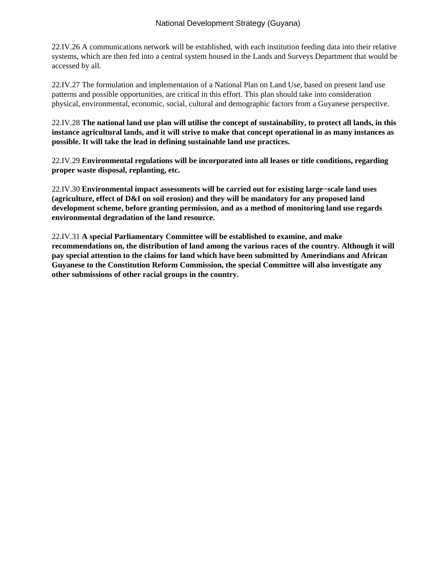22.IV.26 A communications network will be established, with each institution feeding data into their relative systems, which are then fed into a central system housed in the Lands and Surveys Department that would be accessed by all.

22.IV.27 The formulation and implementation of a National Plan on Land Use, based on present land use patterns and possible opportunities, are critical in this effort. This plan should take into consideration physical, environmental, economic, social, cultural and demographic factors from a Guyanese perspective.

22.IV.28 **The national land use plan will utilise the concept of sustainability, to protect all lands, in this instance agricultural lands, and it will strive to make that concept operational in as many instances as possible. It will take the lead in defining sustainable land use practices.**

22.IV.29 **Environmental regulations will be incorporated into all leases or title conditions, regarding proper waste disposal, replanting, etc.**

22.IV.30 **Environmental impact assessments will be carried out for existing large−scale land uses (agriculture, effect of D&I on soil erosion) and they will be mandatory for any proposed land development scheme, before granting permission, and as a method of monitoring land use regards environmental degradation of the land resource.**

22.IV.31 **A special Parliamentary Committee will be established to examine, and make recommendations on, the distribution of land among the various races of the country. Although it will pay special attention to the claims for land which have been submitted by Amerindians and African Guyanese to the Constitution Reform Commission, the special Committee will also investigate any other submissions of other racial groups in the country.**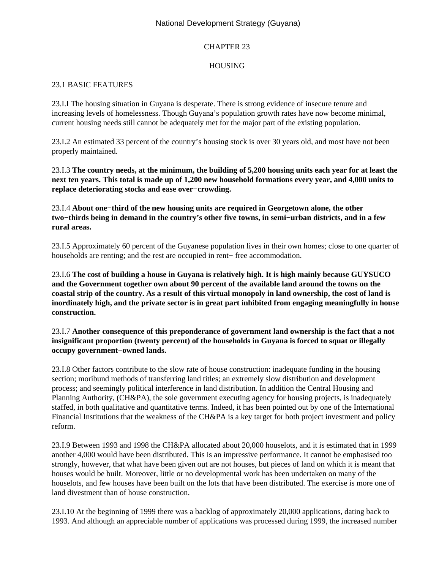# National Development Strategy (Guyana)

# CHAPTER 23

# HOUSING

# 23.1 BASIC FEATURES

23.I.I The housing situation in Guyana is desperate. There is strong evidence of insecure tenure and increasing levels of homelessness. Though Guyana's population growth rates have now become minimal, current housing needs still cannot be adequately met for the major part of the existing population.

23.I.2 An estimated 33 percent of the country's housing stock is over 30 years old, and most have not been properly maintained.

23.I.3 **The country needs, at the minimum, the building of 5,200 housing units each year for at least the next ten years. This total is made up of 1,200 new household formations every year, and 4,000 units to replace deteriorating stocks and ease over−crowding.**

23.I.4 **About one−third of the new housing units are required in Georgetown alone, the other two−thirds being in demand in the country's other five towns, in semi−urban districts, and in a few rural areas.**

23.I.5 Approximately 60 percent of the Guyanese population lives in their own homes; close to one quarter of households are renting; and the rest are occupied in rent− free accommodation.

23.I.6 **The cost of building a house in Guyana is relatively high. It is high mainly because GUYSUCO and the Government together own about 90 percent of the available land around the towns on the coastal strip of the country. As a result of this virtual monopoly in land ownership, the cost of land is inordinately high, and the private sector is in great part inhibited from engaging meaningfully in house construction.**

## 23.I.7 **Another consequence of this preponderance of government land ownership is the fact that a not insignificant proportion (twenty percent) of the households in Guyana is forced to squat or illegally occupy government−owned lands.**

23.I.8 Other factors contribute to the slow rate of house construction: inadequate funding in the housing section; moribund methods of transferring land titles; an extremely slow distribution and development process; and seemingly political interference in land distribution. In addition the Central Housing and Planning Authority, (CH&PA), the sole government executing agency for housing projects, is inadequately staffed, in both qualitative and quantitative terms. Indeed, it has been pointed out by one of the International Financial Institutions that the weakness of the CH&PA is a key target for both project investment and policy reform.

23.I.9 Between 1993 and 1998 the CH&PA allocated about 20,000 houselots, and it is estimated that in 1999 another 4,000 would have been distributed. This is an impressive performance. It cannot be emphasised too strongly, however, that what have been given out are not houses, but pieces of land on which it is meant that houses would be built. Moreover, little or no developmental work has been undertaken on many of the houselots, and few houses have been built on the lots that have been distributed. The exercise is more one of land divestment than of house construction.

23.I.10 At the beginning of 1999 there was a backlog of approximately 20,000 applications, dating back to 1993. And although an appreciable number of applications was processed during 1999, the increased number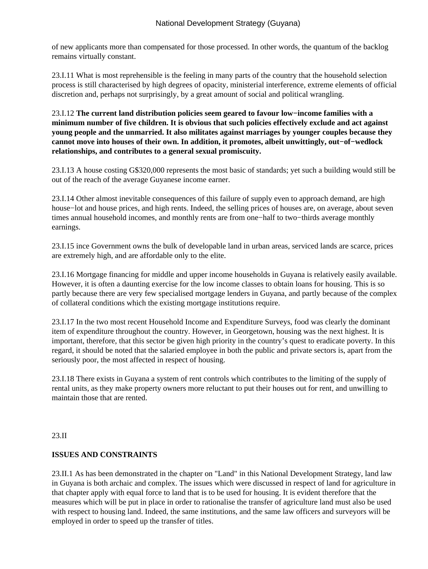of new applicants more than compensated for those processed. In other words, the quantum of the backlog remains virtually constant.

23.I.11 What is most reprehensible is the feeling in many parts of the country that the household selection process is still characterised by high degrees of opacity, ministerial interference, extreme elements of official discretion and, perhaps not surprisingly, by a great amount of social and political wrangling.

23.I.12 **The current land distribution policies seem geared to favour low−income families with a minimum number of five children. It is obvious that such policies effectively exclude and act against young people and the unmarried. It also militates against marriages by younger couples because they cannot move into houses of their own. In addition, it promotes, albeit unwittingly, out−of−wedlock relationships, and contributes to a general sexual promiscuity.**

23.I.13 A house costing G\$320,000 represents the most basic of standards; yet such a building would still be out of the reach of the average Guyanese income earner.

23.I.14 Other almost inevitable consequences of this failure of supply even to approach demand, are high house−lot and house prices, and high rents. Indeed, the selling prices of houses are, on average, about seven times annual household incomes, and monthly rents are from one−half to two−thirds average monthly earnings.

23.I.15 ince Government owns the bulk of developable land in urban areas, serviced lands are scarce, prices are extremely high, and are affordable only to the elite.

23.I.16 Mortgage financing for middle and upper income households in Guyana is relatively easily available. However, it is often a daunting exercise for the low income classes to obtain loans for housing. This is so partly because there are very few specialised mortgage lenders in Guyana, and partly because of the complex of collateral conditions which the existing mortgage institutions require.

23.I.17 In the two most recent Household Income and Expenditure Surveys, food was clearly the dominant item of expenditure throughout the country. However, in Georgetown, housing was the next highest. It is important, therefore, that this sector be given high priority in the country's quest to eradicate poverty. In this regard, it should be noted that the salaried employee in both the public and private sectors is, apart from the seriously poor, the most affected in respect of housing.

23.I.18 There exists in Guyana a system of rent controls which contributes to the limiting of the supply of rental units, as they make property owners more reluctant to put their houses out for rent, and unwilling to maintain those that are rented.

#### 23.II

## **ISSUES AND CONSTRAINTS**

23.II.1 As has been demonstrated in the chapter on "Land" in this National Development Strategy, land law in Guyana is both archaic and complex. The issues which were discussed in respect of land for agriculture in that chapter apply with equal force to land that is to be used for housing. It is evident therefore that the measures which will be put in place in order to rationalise the transfer of agriculture land must also be used with respect to housing land. Indeed, the same institutions, and the same law officers and surveyors will be employed in order to speed up the transfer of titles.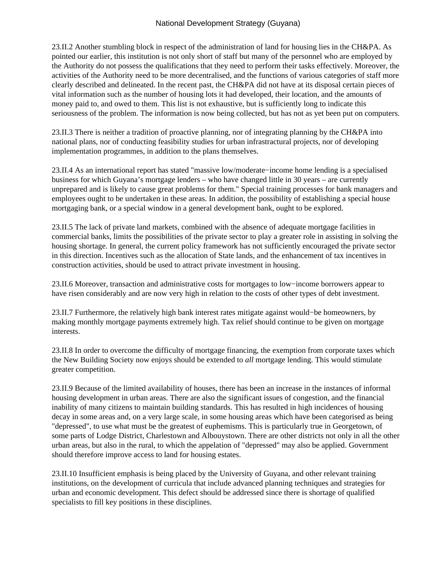23.II.2 Another stumbling block in respect of the administration of land for housing lies in the CH&PA. As pointed our earlier, this institution is not only short of staff but many of the personnel who are employed by the Authority do not possess the qualifications that they need to perform their tasks effectively. Moreover, the activities of the Authority need to be more decentralised, and the functions of various categories of staff more clearly described and delineated. In the recent past, the CH&PA did not have at its disposal certain pieces of vital information such as the number of housing lots it had developed, their location, and the amounts of money paid to, and owed to them. This list is not exhaustive, but is sufficiently long to indicate this seriousness of the problem. The information is now being collected, but has not as yet been put on computers.

23.II.3 There is neither a tradition of proactive planning, nor of integrating planning by the CH&PA into national plans, nor of conducting feasibility studies for urban infrastractural projects, nor of developing implementation programmes, in addition to the plans themselves.

23.II.4 As an international report has stated "massive low/moderate−income home lending is a specialised business for which Guyana's mortgage lenders – who have changed little in 30 years – are currently unprepared and is likely to cause great problems for them." Special training processes for bank managers and employees ought to be undertaken in these areas. In addition, the possibility of establishing a special house mortgaging bank, or a special window in a general development bank, ought to be explored.

23.II.5 The lack of private land markets, combined with the absence of adequate mortgage facilities in commercial banks, limits the possibilities of the private sector to play a greater role in assisting in solving the housing shortage. In general, the current policy framework has not sufficiently encouraged the private sector in this direction. Incentives such as the allocation of State lands, and the enhancement of tax incentives in construction activities, should be used to attract private investment in housing.

23.II.6 Moreover, transaction and administrative costs for mortgages to low−income borrowers appear to have risen considerably and are now very high in relation to the costs of other types of debt investment.

23.II.7 Furthermore, the relatively high bank interest rates mitigate against would−be homeowners, by making monthly mortgage payments extremely high. Tax relief should continue to be given on mortgage interests.

23.II.8 In order to overcome the difficulty of mortgage financing, the exemption from corporate taxes which the New Building Society now enjoys should be extended to *all* mortgage lending. This would stimulate greater competition.

23.II.9 Because of the limited availability of houses, there has been an increase in the instances of informal housing development in urban areas. There are also the significant issues of congestion, and the financial inability of many citizens to maintain building standards. This has resulted in high incidences of housing decay in some areas and, on a very large scale, in some housing areas which have been categorised as being "depressed", to use what must be the greatest of euphemisms. This is particularly true in Georgetown, of some parts of Lodge District, Charlestown and Albouystown. There are other districts not only in all the other urban areas, but also in the rural, to which the appelation of "depressed" may also be applied. Government should therefore improve access to land for housing estates.

23.II.10 Insufficient emphasis is being placed by the University of Guyana, and other relevant training institutions, on the development of curricula that include advanced planning techniques and strategies for urban and economic development. This defect should be addressed since there is shortage of qualified specialists to fill key positions in these disciplines.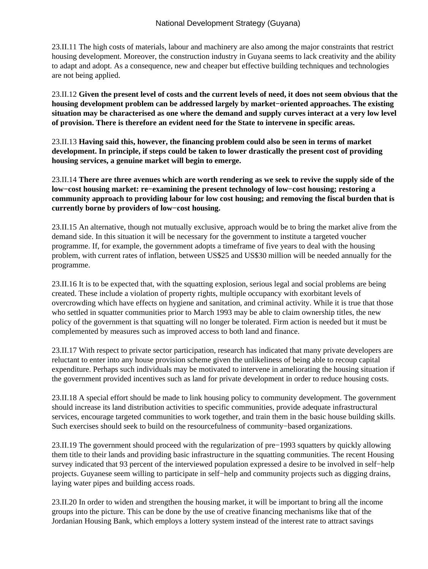23.II.11 The high costs of materials, labour and machinery are also among the major constraints that restrict housing development. Moreover, the construction industry in Guyana seems to lack creativity and the ability to adapt and adopt. As a consequence, new and cheaper but effective building techniques and technologies are not being applied.

23.II.12 **Given the present level of costs and the current levels of need, it does not seem obvious that the housing development problem can be addressed largely by market−oriented approaches. The existing situation may be characterised as one where the demand and supply curves interact at a very low level of provision. There is therefore an evident need for the State to intervene in specific areas.**

23.II.13 **Having said this, however, the financing problem could also be seen in terms of market development. In principle, if steps could be taken to lower drastically the present cost of providing housing services, a genuine market will begin to emerge.**

23.II.14 **There are three avenues which are worth rendering as we seek to revive the supply side of the low−cost housing market: re−examining the present technology of low−cost housing; restoring a community approach to providing labour for low cost housing; and removing the fiscal burden that is currently borne by providers of low−cost housing.**

23.II.15 An alternative, though not mutually exclusive, approach would be to bring the market alive from the demand side. In this situation it will be necessary for the government to institute a targeted voucher programme. If, for example, the government adopts a timeframe of five years to deal with the housing problem, with current rates of inflation, between US\$25 and US\$30 million will be needed annually for the programme.

23.II.16 It is to be expected that, with the squatting explosion, serious legal and social problems are being created. These include a violation of property rights, multiple occupancy with exorbitant levels of overcrowding which have effects on hygiene and sanitation, and criminal activity. While it is true that those who settled in squatter communities prior to March 1993 may be able to claim ownership titles, the new policy of the government is that squatting will no longer be tolerated. Firm action is needed but it must be complemented by measures such as improved access to both land and finance.

23.II.17 With respect to private sector participation, research has indicated that many private developers are reluctant to enter into any house provision scheme given the unlikeliness of being able to recoup capital expenditure. Perhaps such individuals may be motivated to intervene in ameliorating the housing situation if the government provided incentives such as land for private development in order to reduce housing costs.

23.II.18 A special effort should be made to link housing policy to community development. The government should increase its land distribution activities to specific communities, provide adequate infrastructural services, encourage targeted communities to work together, and train them in the basic house building skills. Such exercises should seek to build on the resourcefulness of community−based organizations.

23.II.19 The government should proceed with the regularization of pre−1993 squatters by quickly allowing them title to their lands and providing basic infrastructure in the squatting communities. The recent Housing survey indicated that 93 percent of the interviewed population expressed a desire to be involved in self−help projects. Guyanese seem willing to participate in self−help and community projects such as digging drains, laying water pipes and building access roads.

23.II.20 In order to widen and strengthen the housing market, it will be important to bring all the income groups into the picture. This can be done by the use of creative financing mechanisms like that of the Jordanian Housing Bank, which employs a lottery system instead of the interest rate to attract savings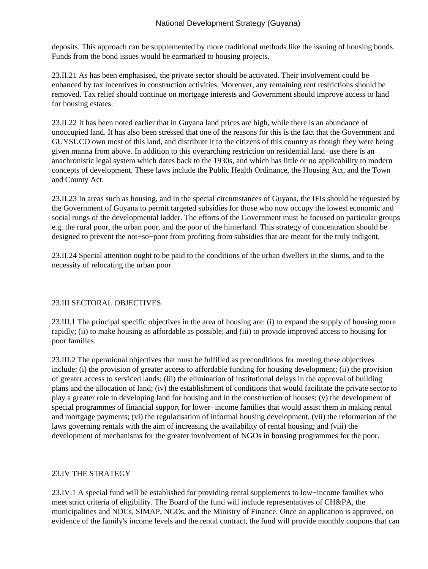deposits. This approach can be supplemented by more traditional methods like the issuing of housing bonds. Funds from the bond issues would be earmarked to housing projects.

23.II.21 As has been emphasised, the private sector should be activated. Their involvement could be enhanced by tax incentives in construction activities. Moreover, any remaining rent restrictions should be removed. Tax relief should continue on mortgage interests and Government should improve access to land for housing estates.

23.II.22 It has been noted earlier that in Guyana land prices are high, while there is an abundance of unoccupied land. It has also been stressed that one of the reasons for this is the fact that the Government and GUYSUCO own most of this land, and distribute it to the citizens of this country as though they were being given manna from above. In addition to this overarching restriction on residential land−use there is an anachronistic legal system which dates back to the 1930s, and which has little or no applicability to modern concepts of development. These laws include the Public Health Ordinance, the Housing Act, and the Town and County Act.

23.II.23 In areas such as housing, and in the special circumstances of Guyana, the IFIs should be requested by the Government of Guyana to permit targeted subsidies for those who now occupy the lowest economic and social rungs of the developmental ladder. The efforts of the Government must be focused on particular groups e.g. the rural poor, the urban poor, and the poor of the hinterland. This strategy of concentration should be designed to prevent the not−so−poor from profiting from subsidies that are meant for the truly indigent.

23.II.24 Special attention ought to be paid to the conditions of the urban dwellers in the slums, and to the necessity of relocating the urban poor.

## 23.III SECTORAL OBJECTIVES

23.III.1 The principal specific objectives in the area of housing are: (i) to expand the supply of housing more rapidly; (ii) to make housing as affordable as possible; and (iii) to provide improved access to housing for poor families.

23.III.2 The operational objectives that must be fulfilled as preconditions for meeting these objectives include: (i) the provision of greater access to affordable funding for housing development; (ii) the provision of greater access to serviced lands; (iii) the elimination of institutional delays in the approval of building plans and the allocation of land; (iv) the establishment of conditions that would facilitate the private sector to play a greater role in developing land for housing and in the construction of houses; (v) the development of special programmes of financial support for lower−income families that would assist them in making rental and mortgage payments; (vi) the regularisation of informal housing development, (vii) the reformation of the laws governing rentals with the aim of increasing the availability of rental housing; and (viii) the development of mechanisms for the greater involvement of NGOs in housing programmes for the poor.

## 23.IV THE STRATEGY

23.IV.1 A special fund will be established for providing rental supplements to low−income families who meet strict criteria of eligibility. The Board of the fund will include representatives of CH&PA, the municipalities and NDCs, SIMAP, NGOs, and the Ministry of Finance. Once an application is approved, on evidence of the family's income levels and the rental contract, the fund will provide monthly coupons that can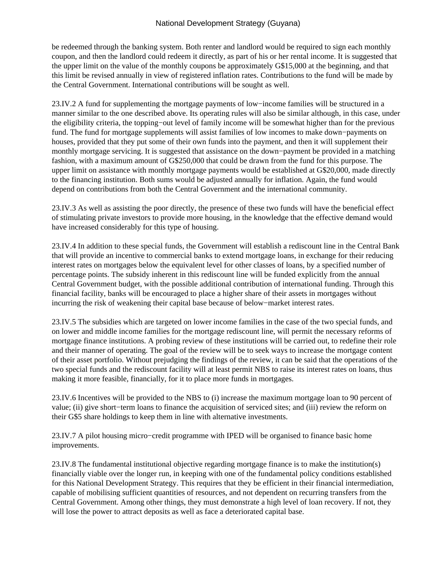be redeemed through the banking system. Both renter and landlord would be required to sign each monthly coupon, and then the landlord could redeem it directly, as part of his or her rental income. It is suggested that the upper limit on the value of the monthly coupons be approximately G\$15,000 at the beginning, and that this limit be revised annually in view of registered inflation rates. Contributions to the fund will be made by the Central Government. International contributions will be sought as well.

23.IV.2 A fund for supplementing the mortgage payments of low−income families will be structured in a manner similar to the one described above. Its operating rules will also be similar although, in this case, under the eligibility criteria, the topping−out level of family income will be somewhat higher than for the previous fund. The fund for mortgage supplements will assist families of low incomes to make down−payments on houses, provided that they put some of their own funds into the payment, and then it will supplement their monthly mortgage servicing. It is suggested that assistance on the down−payment be provided in a matching fashion, with a maximum amount of G\$250,000 that could be drawn from the fund for this purpose. The upper limit on assistance with monthly mortgage payments would be established at G\$20,000, made directly to the financing institution. Both sums would be adjusted annually for inflation. Again, the fund would depend on contributions from both the Central Government and the international community.

23.IV.3 As well as assisting the poor directly, the presence of these two funds will have the beneficial effect of stimulating private investors to provide more housing, in the knowledge that the effective demand would have increased considerably for this type of housing.

23.IV.4 In addition to these special funds, the Government will establish a rediscount line in the Central Bank that will provide an incentive to commercial banks to extend mortgage loans, in exchange for their reducing interest rates on mortgages below the equivalent level for other classes of loans, by a specified number of percentage points. The subsidy inherent in this rediscount line will be funded explicitly from the annual Central Government budget, with the possible additional contribution of international funding. Through this financial facility, banks will be encouraged to place a higher share of their assets in mortgages without incurring the risk of weakening their capital base because of below−market interest rates.

23.IV.5 The subsidies which are targeted on lower income families in the case of the two special funds, and on lower and middle income families for the mortgage rediscount line, will permit the necessary reforms of mortgage finance institutions. A probing review of these institutions will be carried out, to redefine their role and their manner of operating. The goal of the review will be to seek ways to increase the mortgage content of their asset portfolio. Without prejudging the findings of the review, it can be said that the operations of the two special funds and the rediscount facility will at least permit NBS to raise its interest rates on loans, thus making it more feasible, financially, for it to place more funds in mortgages.

23.IV.6 Incentives will be provided to the NBS to (i) increase the maximum mortgage loan to 90 percent of value; (ii) give short−term loans to finance the acquisition of serviced sites; and (iii) review the reform on their G\$5 share holdings to keep them in line with alternative investments.

23.IV.7 A pilot housing micro−credit programme with IPED will be organised to finance basic home improvements.

23.IV.8 The fundamental institutional objective regarding mortgage finance is to make the institution(s) financially viable over the longer run, in keeping with one of the fundamental policy conditions established for this National Development Strategy. This requires that they be efficient in their financial intermediation, capable of mobilising sufficient quantities of resources, and not dependent on recurring transfers from the Central Government. Among other things, they must demonstrate a high level of loan recovery. If not, they will lose the power to attract deposits as well as face a deteriorated capital base.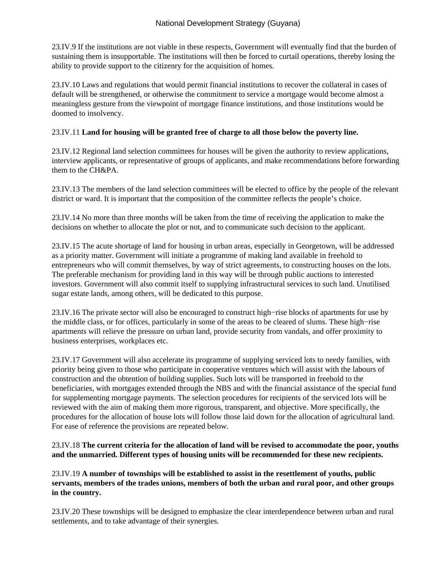23.IV.9 If the institutions are not viable in these respects, Government will eventually find that the burden of sustaining them is insupportable. The institutions will then be forced to curtail operations, thereby losing the ability to provide support to the citizenry for the acquisition of homes.

23.IV.10 Laws and regulations that would permit financial institutions to recover the collateral in cases of default will be strengthened, or otherwise the commitment to service a mortgage would become almost a meaningless gesture from the viewpoint of mortgage finance institutions, and those institutions would be doomed to insolvency.

## 23.IV.11 **Land for housing will be granted free of charge to all those below the poverty line.**

23.IV.12 Regional land selection committees for houses will be given the authority to review applications, interview applicants, or representative of groups of applicants, and make recommendations before forwarding them to the CH&PA.

23.IV.13 The members of the land selection committees will be elected to office by the people of the relevant district or ward. It is important that the composition of the committee reflects the people's choice.

23.IV.14 No more than three months will be taken from the time of receiving the application to make the decisions on whether to allocate the plot or not, and to communicate such decision to the applicant.

23.IV.15 The acute shortage of land for housing in urban areas, especially in Georgetown, will be addressed as a priority matter. Government will initiate a programme of making land available in freehold to entrepreneurs who will commit themselves, by way of strict agreements, to constructing houses on the lots. The preferable mechanism for providing land in this way will be through public auctions to interested investors. Government will also commit itself to supplying infrastructural services to such land. Unutilised sugar estate lands, among others, will be dedicated to this purpose.

23.IV.16 The private sector will also be encouraged to construct high−rise blocks of apartments for use by the middle class, or for offices, particularly in some of the areas to be cleared of slums. These high−rise apartments will relieve the pressure on urban land, provide security from vandals, and offer proximity to business enterprises, workplaces etc.

23.IV.17 Government will also accelerate its programme of supplying serviced lots to needy families, with priority being given to those who participate in cooperative ventures which will assist with the labours of construction and the obtention of building supplies. Such lots will be transported in freehold to the beneficiaries, with mortgages extended through the NBS and with the financial assistance of the special fund for supplementing mortgage payments. The selection procedures for recipients of the serviced lots will be reviewed with the aim of making them more rigorous, transparent, and objective. More specifically, the procedures for the allocation of house lots will follow those laid down for the allocation of agricultural land. For ease of reference the provisions are repeated below.

## 23.IV.18 **The current criteria for the allocation of land will be revised to accommodate the poor, youths and the unmarried. Different types of housing units will be recommended for these new recipients.**

## 23.IV.19 **A number of townships will be established to assist in the resettlement of youths, public servants, members of the trades unions, members of both the urban and rural poor, and other groups in the country.**

23.IV.20 These townships will be designed to emphasize the clear interdependence between urban and rural settlements, and to take advantage of their synergies.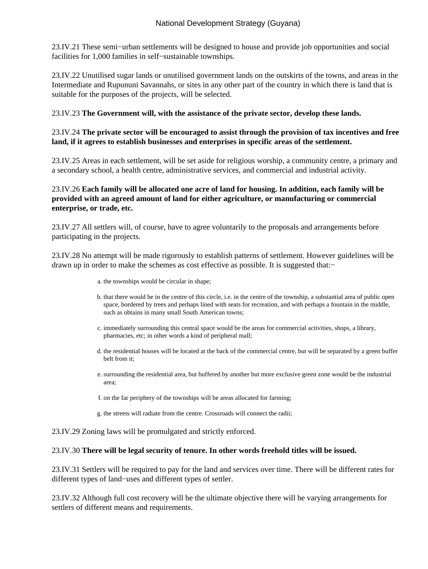23.IV.21 These semi−urban settlements will be designed to house and provide job opportunities and social facilities for 1,000 families in self−sustainable townships.

23.IV.22 Unutilised sugar lands or unutilised government lands on the outskirts of the towns, and areas in the Intermediate and Rupununi Savannahs, or sites in any other part of the country in which there is land that is suitable for the purposes of the projects, will be selected.

### 23.IV.23 **The Government will, with the assistance of the private sector, develop these lands.**

## 23.IV.24 **The private sector will be encouraged to assist through the provision of tax incentives and free land, if it agrees to establish businesses and enterprises in specific areas of the settlement.**

23.IV.25 Areas in each settlement, will be set aside for religious worship, a community centre, a primary and a secondary school, a health centre, administrative services, and commercial and industrial activity.

## 23.IV.26 **Each family will be allocated one acre of land for housing. In addition, each family will be provided with an agreed amount of land for either agriculture, or manufacturing or commercial enterprise, or trade, etc.**

23.IV.27 All settlers will, of course, have to agree voluntarily to the proposals and arrangements before participating in the projects.

23.IV.28 No attempt will be made rigorously to establish patterns of settlement. However guidelines will be drawn up in order to make the schemes as cost effective as possible. It is suggested that:−

- a. the townships would be circular in shape;
- b. that there would be in the centre of this circle, i.e. in the centre of the township, a substantial area of public open space, bordered by trees and perhaps lined with seats for recreation, and with perhaps a fountain in the middle, such as obtains in many small South American towns;
- c. immediately surrounding this central space would be the areas for commercial activities, shops, a library, pharmacies, etc; in other words a kind of peripheral mall;
- d. the residential houses will be located at the back of the commercial centre, but will be separated by a green buffer belt from it;
- surrounding the residential area, but buffered by another but more exclusive green zone would be the industrial e. area;
- f. on the far periphery of the townships will be areas allocated for farming;
- g. the streets will radiate from the centre. Crossroads will connect the radii;

23.IV.29 Zoning laws will be promulgated and strictly enforced.

#### 23.IV.30 **There will be legal security of tenure. In other words freehold titles will be issued.**

23.IV.31 Settlers will be required to pay for the land and services over time. There will be different rates for different types of land−uses and different types of settler.

23.IV.32 Although full cost recovery will be the ultimate objective there will be varying arrangements for settlers of different means and requirements.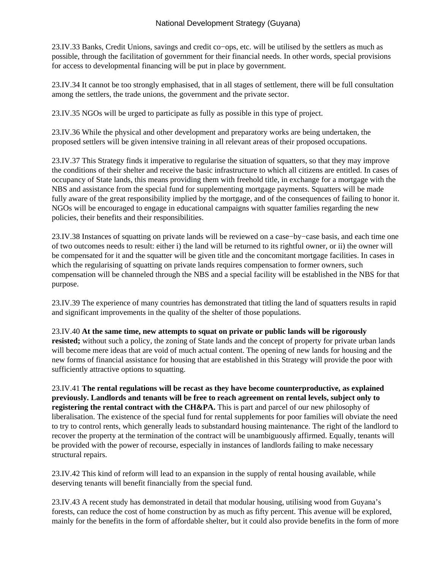23.IV.33 Banks, Credit Unions, savings and credit co−ops, etc. will be utilised by the settlers as much as possible, through the facilitation of government for their financial needs. In other words, special provisions for access to developmental financing will be put in place by government.

23.IV.34 It cannot be too strongly emphasised, that in all stages of settlement, there will be full consultation among the settlers, the trade unions, the government and the private sector.

23.IV.35 NGOs will be urged to participate as fully as possible in this type of project.

23.IV.36 While the physical and other development and preparatory works are being undertaken, the proposed settlers will be given intensive training in all relevant areas of their proposed occupations.

23.IV.37 This Strategy finds it imperative to regularise the situation of squatters, so that they may improve the conditions of their shelter and receive the basic infrastructure to which all citizens are entitled. In cases of occupancy of State lands, this means providing them with freehold title, in exchange for a mortgage with the NBS and assistance from the special fund for supplementing mortgage payments. Squatters will be made fully aware of the great responsibility implied by the mortgage, and of the consequences of failing to honor it. NGOs will be encouraged to engage in educational campaigns with squatter families regarding the new policies, their benefits and their responsibilities.

23.IV.38 Instances of squatting on private lands will be reviewed on a case−by−case basis, and each time one of two outcomes needs to result: either i) the land will be returned to its rightful owner, or ii) the owner will be compensated for it and the squatter will be given title and the concomitant mortgage facilities. In cases in which the regularising of squatting on private lands requires compensation to former owners, such compensation will be channeled through the NBS and a special facility will be established in the NBS for that purpose.

23.IV.39 The experience of many countries has demonstrated that titling the land of squatters results in rapid and significant improvements in the quality of the shelter of those populations.

23.IV.40 **At the same time, new attempts to squat on private or public lands will be rigorously resisted;** without such a policy, the zoning of State lands and the concept of property for private urban lands will become mere ideas that are void of much actual content. The opening of new lands for housing and the new forms of financial assistance for housing that are established in this Strategy will provide the poor with sufficiently attractive options to squatting.

23.IV.41 **The rental regulations will be recast as they have become counterproductive, as explained previously. Landlords and tenants will be free to reach agreement on rental levels, subject only to registering the rental contract with the CH&PA.** This is part and parcel of our new philosophy of liberalisation. The existence of the special fund for rental supplements for poor families will obviate the need to try to control rents, which generally leads to substandard housing maintenance. The right of the landlord to recover the property at the termination of the contract will be unambiguously affirmed. Equally, tenants will be provided with the power of recourse, especially in instances of landlords failing to make necessary structural repairs.

23.IV.42 This kind of reform will lead to an expansion in the supply of rental housing available, while deserving tenants will benefit financially from the special fund.

23.IV.43 A recent study has demonstrated in detail that modular housing, utilising wood from Guyana's forests, can reduce the cost of home construction by as much as fifty percent. This avenue will be explored, mainly for the benefits in the form of affordable shelter, but it could also provide benefits in the form of more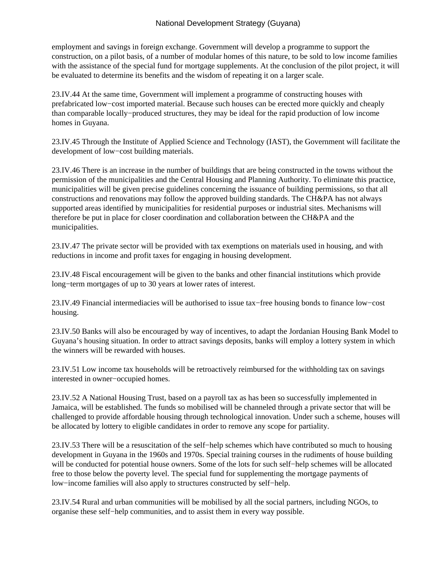employment and savings in foreign exchange. Government will develop a programme to support the construction, on a pilot basis, of a number of modular homes of this nature, to be sold to low income families with the assistance of the special fund for mortgage supplements. At the conclusion of the pilot project, it will be evaluated to determine its benefits and the wisdom of repeating it on a larger scale.

23.IV.44 At the same time, Government will implement a programme of constructing houses with prefabricated low−cost imported material. Because such houses can be erected more quickly and cheaply than comparable locally−produced structures, they may be ideal for the rapid production of low income homes in Guyana.

23.IV.45 Through the Institute of Applied Science and Technology (IAST), the Government will facilitate the development of low−cost building materials.

23.IV.46 There is an increase in the number of buildings that are being constructed in the towns without the permission of the municipalities and the Central Housing and Planning Authority. To eliminate this practice, municipalities will be given precise guidelines concerning the issuance of building permissions, so that all constructions and renovations may follow the approved building standards. The CH&PA has not always supported areas identified by municipalities for residential purposes or industrial sites. Mechanisms will therefore be put in place for closer coordination and collaboration between the CH&PA and the municipalities.

23.IV.47 The private sector will be provided with tax exemptions on materials used in housing, and with reductions in income and profit taxes for engaging in housing development.

23.IV.48 Fiscal encouragement will be given to the banks and other financial institutions which provide long−term mortgages of up to 30 years at lower rates of interest.

23.IV.49 Financial intermediacies will be authorised to issue tax−free housing bonds to finance low−cost housing.

23.IV.50 Banks will also be encouraged by way of incentives, to adapt the Jordanian Housing Bank Model to Guyana's housing situation. In order to attract savings deposits, banks will employ a lottery system in which the winners will be rewarded with houses.

23.IV.51 Low income tax households will be retroactively reimbursed for the withholding tax on savings interested in owner−occupied homes.

23.IV.52 A National Housing Trust, based on a payroll tax as has been so successfully implemented in Jamaica, will be established. The funds so mobilised will be channeled through a private sector that will be challenged to provide affordable housing through technological innovation. Under such a scheme, houses will be allocated by lottery to eligible candidates in order to remove any scope for partiality.

23.IV.53 There will be a resuscitation of the self−help schemes which have contributed so much to housing development in Guyana in the 1960s and 1970s. Special training courses in the rudiments of house building will be conducted for potential house owners. Some of the lots for such self−help schemes will be allocated free to those below the poverty level. The special fund for supplementing the mortgage payments of low−income families will also apply to structures constructed by self−help.

23.IV.54 Rural and urban communities will be mobilised by all the social partners, including NGOs, to organise these self−help communities, and to assist them in every way possible.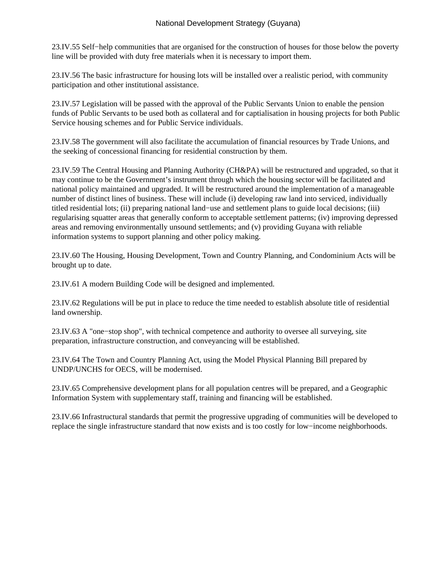23.IV.55 Self−help communities that are organised for the construction of houses for those below the poverty line will be provided with duty free materials when it is necessary to import them.

23.IV.56 The basic infrastructure for housing lots will be installed over a realistic period, with community participation and other institutional assistance.

23.IV.57 Legislation will be passed with the approval of the Public Servants Union to enable the pension funds of Public Servants to be used both as collateral and for captialisation in housing projects for both Public Service housing schemes and for Public Service individuals.

23.IV.58 The government will also facilitate the accumulation of financial resources by Trade Unions, and the seeking of concessional financing for residential construction by them.

23.IV.59 The Central Housing and Planning Authority (CH&PA) will be restructured and upgraded, so that it may continue to be the Government's instrument through which the housing sector will be facilitated and national policy maintained and upgraded. It will be restructured around the implementation of a manageable number of distinct lines of business. These will include (i) developing raw land into serviced, individually titled residential lots; (ii) preparing national land−use and settlement plans to guide local decisions; (iii) regularising squatter areas that generally conform to acceptable settlement patterns; (iv) improving depressed areas and removing environmentally unsound settlements; and (v) providing Guyana with reliable information systems to support planning and other policy making.

23.IV.60 The Housing, Housing Development, Town and Country Planning, and Condominium Acts will be brought up to date.

23.IV.61 A modern Building Code will be designed and implemented.

23.IV.62 Regulations will be put in place to reduce the time needed to establish absolute title of residential land ownership.

23.IV.63 A "one−stop shop", with technical competence and authority to oversee all surveying, site preparation, infrastructure construction, and conveyancing will be established.

23.IV.64 The Town and Country Planning Act, using the Model Physical Planning Bill prepared by UNDP/UNCHS for OECS, will be modernised.

23.IV.65 Comprehensive development plans for all population centres will be prepared, and a Geographic Information System with supplementary staff, training and financing will be established.

23.IV.66 Infrastructural standards that permit the progressive upgrading of communities will be developed to replace the single infrastructure standard that now exists and is too costly for low−income neighborhoods.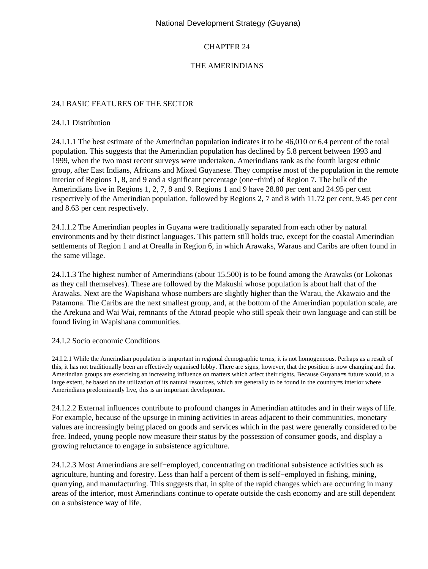## CHAPTER 24

## THE AMERINDIANS

#### 24.I BASIC FEATURES OF THE SECTOR

#### 24.I.1 Distribution

24.I.1.1 The best estimate of the Amerindian population indicates it to be 46,010 or 6.4 percent of the total population. This suggests that the Amerindian population has declined by 5.8 percent between 1993 and 1999, when the two most recent surveys were undertaken. Amerindians rank as the fourth largest ethnic group, after East Indians, Africans and Mixed Guyanese. They comprise most of the population in the remote interior of Regions 1, 8, and 9 and a significant percentage (one−third) of Region 7. The bulk of the Amerindians live in Regions 1, 2, 7, 8 and 9. Regions 1 and 9 have 28.80 per cent and 24.95 per cent respectively of the Amerindian population, followed by Regions 2, 7 and 8 with 11.72 per cent, 9.45 per cent and 8.63 per cent respectively.

24.I.1.2 The Amerindian peoples in Guyana were traditionally separated from each other by natural environments and by their distinct languages. This pattern still holds true, except for the coastal Amerindian settlements of Region 1 and at Orealla in Region 6, in which Arawaks, Waraus and Caribs are often found in the same village.

24.I.1.3 The highest number of Amerindians (about 15.500) is to be found among the Arawaks (or Lokonas as they call themselves). These are followed by the Makushi whose population is about half that of the Arawaks. Next are the Wapishana whose numbers are slightly higher than the Warau, the Akawaio and the Patamona. The Caribs are the next smallest group, and, at the bottom of the Amerindian population scale, are the Arekuna and Wai Wai, remnants of the Atorad people who still speak their own language and can still be found living in Wapishana communities.

#### 24.I.2 Socio economic Conditions

24.I.2.1 While the Amerindian population is important in regional demographic terms, it is not homogeneous. Perhaps as a result of this, it has not traditionally been an effectively organised lobby. There are signs, however, that the position is now changing and that Amerindian groups are exercising an increasing influence on matters which affect their rights. Because Guyana=s future would, to a large extent, be based on the utilization of its natural resources, which are generally to be found in the country=s interior where Amerindians predominantly live, this is an important development.

24.I.2.2 External influences contribute to profound changes in Amerindian attitudes and in their ways of life. For example, because of the upsurge in mining activities in areas adjacent to their communities, monetary values are increasingly being placed on goods and services which in the past were generally considered to be free. Indeed, young people now measure their status by the possession of consumer goods, and display a growing reluctance to engage in subsistence agriculture.

24.I.2.3 Most Amerindians are self−employed, concentrating on traditional subsistence activities such as agriculture, hunting and forestry. Less than half a percent of them is self−employed in fishing, mining, quarrying, and manufacturing. This suggests that, in spite of the rapid changes which are occurring in many areas of the interior, most Amerindians continue to operate outside the cash economy and are still dependent on a subsistence way of life.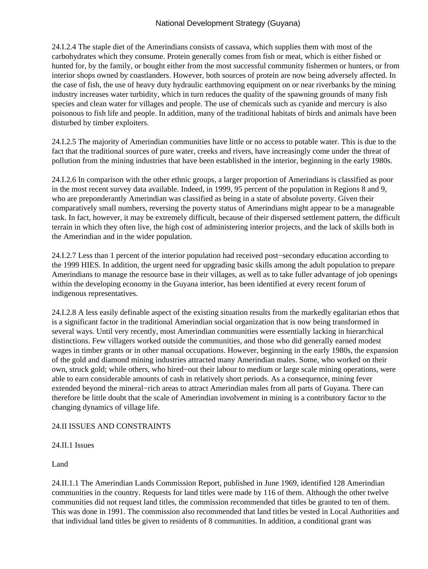24.I.2.4 The staple diet of the Amerindians consists of cassava, which supplies them with most of the carbohydrates which they consume. Protein generally comes from fish or meat, which is either fished or hunted for, by the family, or bought either from the most successful community fishermen or hunters, or from interior shops owned by coastlanders. However, both sources of protein are now being adversely affected. In the case of fish, the use of heavy duty hydraulic earthmoving equipment on or near riverbanks by the mining industry increases water turbidity, which in turn reduces the quality of the spawning grounds of many fish species and clean water for villages and people. The use of chemicals such as cyanide and mercury is also poisonous to fish life and people. In addition, many of the traditional habitats of birds and animals have been disturbed by timber exploiters.

24.I.2.5 The majority of Amerindian communities have little or no access to potable water. This is due to the fact that the traditional sources of pure water, creeks and rivers, have increasingly come under the threat of pollution from the mining industries that have been established in the interior, beginning in the early 1980s.

24.I.2.6 In comparison with the other ethnic groups, a larger proportion of Amerindians is classified as poor in the most recent survey data available. Indeed, in 1999, 95 percent of the population in Regions 8 and 9, who are preponderantly Amerindian was classified as being in a state of absolute poverty. Given their comparatively small numbers, reversing the poverty status of Amerindians might appear to be a manageable task. In fact, however, it may be extremely difficult, because of their dispersed settlement pattern, the difficult terrain in which they often live, the high cost of administering interior projects, and the lack of skills both in the Amerindian and in the wider population.

24.I.2.7 Less than 1 percent of the interior population had received post−secondary education according to the 1999 HIES. In addition, the urgent need for upgrading basic skills among the adult population to prepare Amerindians to manage the resource base in their villages, as well as to take fuller advantage of job openings within the developing economy in the Guyana interior, has been identified at every recent forum of indigenous representatives.

24.I.2.8 A less easily definable aspect of the existing situation results from the markedly egalitarian ethos that is a significant factor in the traditional Amerindian social organization that is now being transformed in several ways. Until very recently, most Amerindian communities were essentially lacking in hierarchical distinctions. Few villagers worked outside the communities, and those who did generally earned modest wages in timber grants or in other manual occupations. However, beginning in the early 1980s, the expansion of the gold and diamond mining industries attracted many Amerindian males. Some, who worked on their own, struck gold; while others, who hired−out their labour to medium or large scale mining operations, were able to earn considerable amounts of cash in relatively short periods. As a consequence, mining fever extended beyond the mineral−rich areas to attract Amerindian males from all parts of Guyana. There can therefore be little doubt that the scale of Amerindian involvement in mining is a contributory factor to the changing dynamics of village life.

## 24.II ISSUES AND CONSTRAINTS

#### 24.II.1 Issues

Land

24.II.1.1 The Amerindian Lands Commission Report, published in June 1969, identified 128 Amerindian communities in the country. Requests for land titles were made by 116 of them. Although the other twelve communities did not request land titles, the commission recommended that titles be granted to ten of them. This was done in 1991. The commission also recommended that land titles be vested in Local Authorities and that individual land titles be given to residents of 8 communities. In addition, a conditional grant was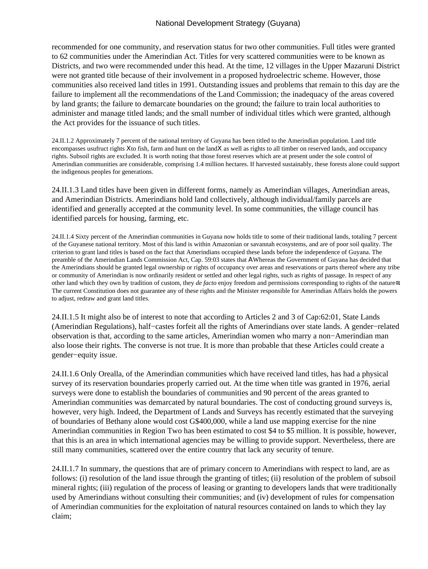recommended for one community, and reservation status for two other communities. Full titles were granted to 62 communities under the Amerindian Act. Titles for very scattered communities were to be known as Districts, and two were recommended under this head. At the time, 12 villages in the Upper Mazaruni District were not granted title because of their involvement in a proposed hydroelectric scheme. However, those communities also received land titles in 1991. Outstanding issues and problems that remain to this day are the failure to implement all the recommendations of the Land Commission; the inadequacy of the areas covered by land grants; the failure to demarcate boundaries on the ground; the failure to train local authorities to administer and manage titled lands; and the small number of individual titles which were granted, although the Act provides for the issuance of such titles.

24.II.1.2 Approximately 7 percent of the national territory of Guyana has been titled to the Amerindian population. Land title encompasses usufruct rights Χto fish, farm and hunt on the landΧ as well as rights to all timber on reserved lands, and occupancy rights. Subsoil rights are excluded. It is worth noting that those forest reserves which are at present under the sole control of Amerindian communities are considerable, comprising 1.4 million hectares. If harvested sustainably, these forests alone could support the indigenous peoples for generations.

24.II.1.3 Land titles have been given in different forms, namely as Amerindian villages, Amerindian areas, and Amerindian Districts. Amerindians hold land collectively, although individual/family parcels are identified and generally accepted at the community level. In some communities, the village council has identified parcels for housing, farming, etc.

24.II.1.4 Sixty percent of the Amerindian communities in Guyana now holds title to some of their traditional lands, totaling 7 percent of the Guyanese national territory. Most of this land is within Amazonian or savannah ecosystems, and are of poor soil quality. The criterion to grant land titles is based on the fact that Amerindians occupied these lands before the independence of Guyana. The preamble of the Amerindian Lands Commission Act, Cap. 59:03 states that ΑWhereas the Government of Guyana has decided that the Amerindians should be granted legal ownership or rights of occupancy over areas and reservations or parts thereof where any tribe or community of Amerindian is now ordinarily resident or settled and other legal rights, such as rights of passage. In respect of any other land which they own by tradition of custom, they *de facto* enjoy freedom and permissions corresponding to rights of the nature≅. The current Constitution does not guarantee any of these rights and the Minister responsible for Amerindian Affairs holds the powers to adjust, redraw and grant land titles.

24.II.1.5 It might also be of interest to note that according to Articles 2 and 3 of Cap:62:01, State Lands (Amerindian Regulations), half−castes forfeit all the rights of Amerindians over state lands. A gender−related observation is that, according to the same articles, Amerindian women who marry a non−Amerindian man also loose their rights. The converse is not true. It is more than probable that these Articles could create a gender−equity issue.

24.II.1.6 Only Orealla, of the Amerindian communities which have received land titles, has had a physical survey of its reservation boundaries properly carried out. At the time when title was granted in 1976, aerial surveys were done to establish the boundaries of communities and 90 percent of the areas granted to Amerindian communities was demarcated by natural boundaries. The cost of conducting ground surveys is, however, very high. Indeed, the Department of Lands and Surveys has recently estimated that the surveying of boundaries of Bethany alone would cost G\$400,000, while a land use mapping exercise for the nine Amerindian communities in Region Two has been estimated to cost \$4 to \$5 million. It is possible, however, that this is an area in which international agencies may be willing to provide support. Nevertheless, there are still many communities, scattered over the entire country that lack any security of tenure.

24.II.1.7 In summary, the questions that are of primary concern to Amerindians with respect to land, are as follows: (i) resolution of the land issue through the granting of titles; (ii) resolution of the problem of subsoil mineral rights; (iii) regulation of the process of leasing or granting to developers lands that were traditionally used by Amerindians without consulting their communities; and (iv) development of rules for compensation of Amerindian communities for the exploitation of natural resources contained on lands to which they lay claim;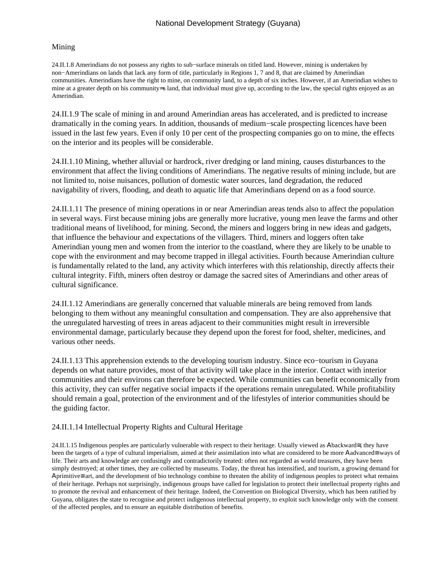#### Mining

24.II.1.8 Amerindians do not possess any rights to sub−surface minerals on titled land. However, mining is undertaken by non−Amerindians on lands that lack any form of title, particularly in Regions 1, 7 and 8, that are claimed by Amerindian communities. Amerindians have the right to mine, on community land, to a depth of six inches. However, if an Amerindian wishes to mine at a greater depth on his community=s land, that individual must give up, according to the law, the special rights enjoyed as an Amerindian.

24.II.1.9 The scale of mining in and around Amerindian areas has accelerated, and is predicted to increase dramatically in the coming years. In addition, thousands of medium−scale prospecting licences have been issued in the last few years. Even if only 10 per cent of the prospecting companies go on to mine, the effects on the interior and its peoples will be considerable.

24.II.1.10 Mining, whether alluvial or hardrock, river dredging or land mining, causes disturbances to the environment that affect the living conditions of Amerindians. The negative results of mining include, but are not limited to, noise nuisances, pollution of domestic water sources, land degradation, the reduced navigability of rivers, flooding, and death to aquatic life that Amerindians depend on as a food source.

24.II.1.11 The presence of mining operations in or near Amerindian areas tends also to affect the population in several ways. First because mining jobs are generally more lucrative, young men leave the farms and other traditional means of livelihood, for mining. Second, the miners and loggers bring in new ideas and gadgets, that influence the behaviour and expectations of the villagers. Third, miners and loggers often take Amerindian young men and women from the interior to the coastland, where they are likely to be unable to cope with the environment and may become trapped in illegal activities. Fourth because Amerindian culture is fundamentally related to the land, any activity which interferes with this relationship, directly affects their cultural integrity. Fifth, miners often destroy or damage the sacred sites of Amerindians and other areas of cultural significance.

24.II.1.12 Amerindians are generally concerned that valuable minerals are being removed from lands belonging to them without any meaningful consultation and compensation. They are also apprehensive that the unregulated harvesting of trees in areas adjacent to their communities might result in irreversible environmental damage, particularly because they depend upon the forest for food, shelter, medicines, and various other needs.

24.II.1.13 This apprehension extends to the developing tourism industry. Since eco−tourism in Guyana depends on what nature provides, most of that activity will take place in the interior. Contact with interior communities and their environs can therefore be expected. While communities can benefit economically from this activity, they can suffer negative social impacts if the operations remain unregulated. While profitability should remain a goal, protection of the environment and of the lifestyles of interior communities should be the guiding factor.

#### 24.II.1.14 Intellectual Property Rights and Cultural Heritage

24.II.1.15 Indigenous peoples are particularly vulnerable with respect to their heritage. Usually viewed as Αbackward≅, they have been the targets of a type of cultural imperialism, aimed at their assimilation into what are considered to be more Αadvanced≅ ways of life. Their arts and knowledge are confusingly and contradictorily treated: often not regarded as world treasures, they have been simply destroyed; at other times, they are collected by museums. Today, the threat has intensified, and tourism, a growing demand for Αprimitive≅ art, and the development of bio technology combine to threaten the ability of indigenous peoples to protect what remains of their heritage. Perhaps not surprisingly, indigenous groups have called for legislation to protect their intellectual property rights and to promote the revival and enhancement of their heritage. Indeed, the Convention on Biological Diversity, which has been ratified by Guyana, obligates the state to recognise and protect indigenous intellectual property, to exploit such knowledge only with the consent of the affected peoples, and to ensure an equitable distribution of benefits.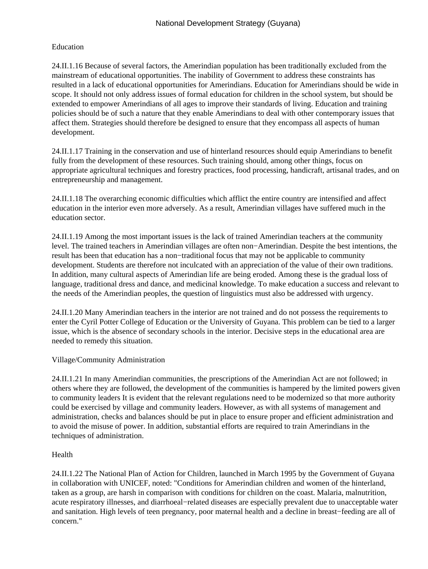### Education

24.II.1.16 Because of several factors, the Amerindian population has been traditionally excluded from the mainstream of educational opportunities. The inability of Government to address these constraints has resulted in a lack of educational opportunities for Amerindians. Education for Amerindians should be wide in scope. It should not only address issues of formal education for children in the school system, but should be extended to empower Amerindians of all ages to improve their standards of living. Education and training policies should be of such a nature that they enable Amerindians to deal with other contemporary issues that affect them. Strategies should therefore be designed to ensure that they encompass all aspects of human development.

24.II.1.17 Training in the conservation and use of hinterland resources should equip Amerindians to benefit fully from the development of these resources. Such training should, among other things, focus on appropriate agricultural techniques and forestry practices, food processing, handicraft, artisanal trades, and on entrepreneurship and management.

24.II.1.18 The overarching economic difficulties which afflict the entire country are intensified and affect education in the interior even more adversely. As a result, Amerindian villages have suffered much in the education sector.

24.II.1.19 Among the most important issues is the lack of trained Amerindian teachers at the community level. The trained teachers in Amerindian villages are often non−Amerindian. Despite the best intentions, the result has been that education has a non−traditional focus that may not be applicable to community development. Students are therefore not inculcated with an appreciation of the value of their own traditions. In addition, many cultural aspects of Amerindian life are being eroded. Among these is the gradual loss of language, traditional dress and dance, and medicinal knowledge. To make education a success and relevant to the needs of the Amerindian peoples, the question of linguistics must also be addressed with urgency.

24.II.1.20 Many Amerindian teachers in the interior are not trained and do not possess the requirements to enter the Cyril Potter College of Education or the University of Guyana. This problem can be tied to a larger issue, which is the absence of secondary schools in the interior. Decisive steps in the educational area are needed to remedy this situation.

## Village/Community Administration

24.II.1.21 In many Amerindian communities, the prescriptions of the Amerindian Act are not followed; in others where they are followed, the development of the communities is hampered by the limited powers given to community leaders It is evident that the relevant regulations need to be modernized so that more authority could be exercised by village and community leaders. However, as with all systems of management and administration, checks and balances should be put in place to ensure proper and efficient administration and to avoid the misuse of power. In addition, substantial efforts are required to train Amerindians in the techniques of administration.

## Health

24.II.1.22 The National Plan of Action for Children, launched in March 1995 by the Government of Guyana in collaboration with UNICEF, noted: "Conditions for Amerindian children and women of the hinterland, taken as a group, are harsh in comparison with conditions for children on the coast. Malaria, malnutrition, acute respiratory illnesses, and diarrhoeal−related diseases are especially prevalent due to unacceptable water and sanitation. High levels of teen pregnancy, poor maternal health and a decline in breast−feeding are all of concern."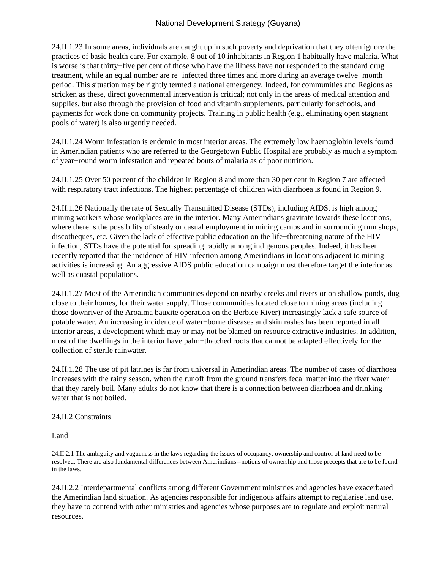24.II.1.23 In some areas, individuals are caught up in such poverty and deprivation that they often ignore the practices of basic health care. For example, 8 out of 10 inhabitants in Region 1 habitually have malaria. What is worse is that thirty−five per cent of those who have the illness have not responded to the standard drug treatment, while an equal number are re−infected three times and more during an average twelve−month period. This situation may be rightly termed a national emergency. Indeed, for communities and Regions as stricken as these, direct governmental intervention is critical; not only in the areas of medical attention and supplies, but also through the provision of food and vitamin supplements, particularly for schools, and payments for work done on community projects. Training in public health (e.g., eliminating open stagnant pools of water) is also urgently needed.

24.II.1.24 Worm infestation is endemic in most interior areas. The extremely low haemoglobin levels found in Amerindian patients who are referred to the Georgetown Public Hospital are probably as much a symptom of year−round worm infestation and repeated bouts of malaria as of poor nutrition.

24.II.1.25 Over 50 percent of the children in Region 8 and more than 30 per cent in Region 7 are affected with respiratory tract infections. The highest percentage of children with diarrhoea is found in Region 9.

24.II.1.26 Nationally the rate of Sexually Transmitted Disease (STDs), including AIDS, is high among mining workers whose workplaces are in the interior. Many Amerindians gravitate towards these locations, where there is the possibility of steady or casual employment in mining camps and in surrounding rum shops, discotheques, etc. Given the lack of effective public education on the life−threatening nature of the HIV infection, STDs have the potential for spreading rapidly among indigenous peoples. Indeed, it has been recently reported that the incidence of HIV infection among Amerindians in locations adjacent to mining activities is increasing. An aggressive AIDS public education campaign must therefore target the interior as well as coastal populations.

24.II.1.27 Most of the Amerindian communities depend on nearby creeks and rivers or on shallow ponds, dug close to their homes, for their water supply. Those communities located close to mining areas (including those downriver of the Aroaima bauxite operation on the Berbice River) increasingly lack a safe source of potable water. An increasing incidence of water−borne diseases and skin rashes has been reported in all interior areas, a development which may or may not be blamed on resource extractive industries. In addition, most of the dwellings in the interior have palm−thatched roofs that cannot be adapted effectively for the collection of sterile rainwater.

24.II.1.28 The use of pit latrines is far from universal in Amerindian areas. The number of cases of diarrhoea increases with the rainy season, when the runoff from the ground transfers fecal matter into the river water that they rarely boil. Many adults do not know that there is a connection between diarrhoea and drinking water that is not boiled.

#### 24.II.2 Constraints

Land

24.II.2.1 The ambiguity and vagueness in the laws regarding the issues of occupancy, ownership and control of land need to be resolved. There are also fundamental differences between Amerindians= notions of ownership and those precepts that are to be found in the laws.

24.II.2.2 Interdepartmental conflicts among different Government ministries and agencies have exacerbated the Amerindian land situation. As agencies responsible for indigenous affairs attempt to regularise land use, they have to contend with other ministries and agencies whose purposes are to regulate and exploit natural resources.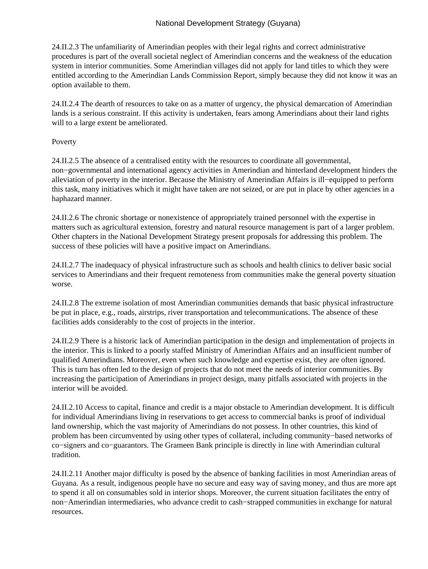24.II.2.3 The unfamiliarity of Amerindian peoples with their legal rights and correct administrative procedures is part of the overall societal neglect of Amerindian concerns and the weakness of the education system in interior communities. Some Amerindian villages did not apply for land titles to which they were entitled according to the Amerindian Lands Commission Report, simply because they did not know it was an option available to them.

24.II.2.4 The dearth of resources to take on as a matter of urgency, the physical demarcation of Amerindian lands is a serious constraint. If this activity is undertaken, fears among Amerindians about their land rights will to a large extent be ameliorated.

## Poverty

24.II.2.5 The absence of a centralised entity with the resources to coordinate all governmental, non−governmental and international agency activities in Amerindian and hinterland development hinders the alleviation of poverty in the interior. Because the Ministry of Amerindian Affairs is ill−equipped to perform this task, many initiatives which it might have taken are not seized, or are put in place by other agencies in a haphazard manner.

24.II.2.6 The chronic shortage or nonexistence of appropriately trained personnel with the expertise in matters such as agricultural extension, forestry and natural resource management is part of a larger problem. Other chapters in the National Development Strategy present proposals for addressing this problem. The success of these policies will have a positive impact on Amerindians.

24.II.2.7 The inadequacy of physical infrastructure such as schools and health clinics to deliver basic social services to Amerindians and their frequent remoteness from communities make the general poverty situation worse.

24.II.2.8 The extreme isolation of most Amerindian communities demands that basic physical infrastructure be put in place, e.g., roads, airstrips, river transportation and telecommunications. The absence of these facilities adds considerably to the cost of projects in the interior.

24.II.2.9 There is a historic lack of Amerindian participation in the design and implementation of projects in the interior. This is linked to a poorly staffed Ministry of Amerindian Affairs and an insufficient number of qualified Amerindians. Moreover, even when such knowledge and expertise exist, they are often ignored. This is turn has often led to the design of projects that do not meet the needs of interior communities. By increasing the participation of Amerindians in project design, many pitfalls associated with projects in the interior will be avoided.

24.II.2.10 Access to capital, finance and credit is a major obstacle to Amerindian development. It is difficult for individual Amerindians living in reservations to get access to commercial banks is proof of individual land ownership, which the vast majority of Amerindians do not possess. In other countries, this kind of problem has been circumvented by using other types of collateral, including community−based networks of co−signers and co−guarantors. The Grameen Bank principle is directly in line with Amerindian cultural tradition.

24.II.2.11 Another major difficulty is posed by the absence of banking facilities in most Amerindian areas of Guyana. As a result, indigenous people have no secure and easy way of saving money, and thus are more apt to spend it all on consumables sold in interior shops. Moreover, the current situation facilitates the entry of non−Amerindian intermediaries, who advance credit to cash−strapped communities in exchange for natural resources.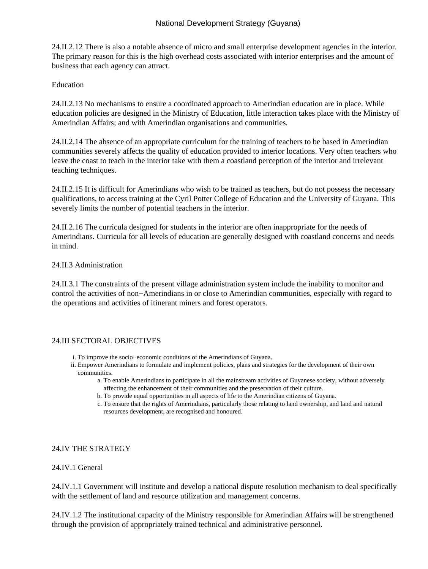24.II.2.12 There is also a notable absence of micro and small enterprise development agencies in the interior. The primary reason for this is the high overhead costs associated with interior enterprises and the amount of business that each agency can attract.

#### **Education**

24.II.2.13 No mechanisms to ensure a coordinated approach to Amerindian education are in place. While education policies are designed in the Ministry of Education, little interaction takes place with the Ministry of Amerindian Affairs; and with Amerindian organisations and communities.

24.II.2.14 The absence of an appropriate curriculum for the training of teachers to be based in Amerindian communities severely affects the quality of education provided to interior locations. Very often teachers who leave the coast to teach in the interior take with them a coastland perception of the interior and irrelevant teaching techniques.

24.II.2.15 It is difficult for Amerindians who wish to be trained as teachers, but do not possess the necessary qualifications, to access training at the Cyril Potter College of Education and the University of Guyana. This severely limits the number of potential teachers in the interior.

24.II.2.16 The curricula designed for students in the interior are often inappropriate for the needs of Amerindians. Curricula for all levels of education are generally designed with coastland concerns and needs in mind.

#### 24.II.3 Administration

24.II.3.1 The constraints of the present village administration system include the inability to monitor and control the activities of non−Amerindians in or close to Amerindian communities, especially with regard to the operations and activities of itinerant miners and forest operators.

## 24.III SECTORAL OBJECTIVES

- i. To improve the socio−economic conditions of the Amerindians of Guyana.
- ii. Empower Amerindians to formulate and implement policies, plans and strategies for the development of their own communities.
	- To enable Amerindians to participate in all the mainstream activities of Guyanese society, without adversely a. affecting the enhancement of their communities and the preservation of their culture.
	- b. To provide equal opportunities in all aspects of life to the Amerindian citizens of Guyana.
	- To ensure that the rights of Amerindians, particularly those relating to land ownership, and land and natural c. resources development, are recognised and honoured.

#### 24.IV THE STRATEGY

#### 24.IV.1 General

24.IV.1.1 Government will institute and develop a national dispute resolution mechanism to deal specifically with the settlement of land and resource utilization and management concerns.

24.IV.1.2 The institutional capacity of the Ministry responsible for Amerindian Affairs will be strengthened through the provision of appropriately trained technical and administrative personnel.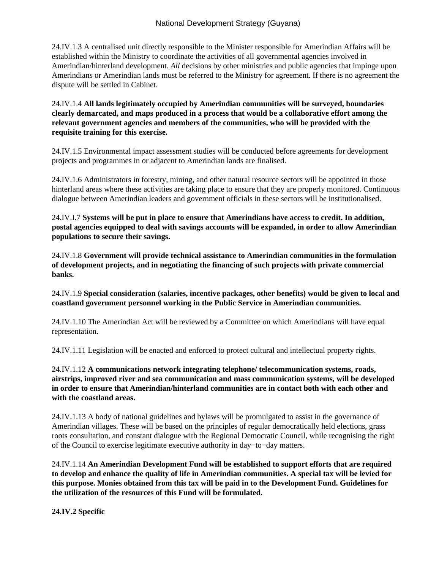24.IV.1.3 A centralised unit directly responsible to the Minister responsible for Amerindian Affairs will be established within the Ministry to coordinate the activities of all governmental agencies involved in Amerindian/hinterland development. *All* decisions by other ministries and public agencies that impinge upon Amerindians or Amerindian lands must be referred to the Ministry for agreement. If there is no agreement the dispute will be settled in Cabinet.

24.IV.1.4 **All lands legitimately occupied by Amerindian communities will be surveyed, boundaries clearly demarcated, and maps produced in a process that would be a collaborative effort among the relevant government agencies and members of the communities, who will be provided with the requisite training for this exercise.**

24.IV.1.5 Environmental impact assessment studies will be conducted before agreements for development projects and programmes in or adjacent to Amerindian lands are finalised.

24.IV.1.6 Administrators in forestry, mining, and other natural resource sectors will be appointed in those hinterland areas where these activities are taking place to ensure that they are properly monitored. Continuous dialogue between Amerindian leaders and government officials in these sectors will be institutionalised.

24.IV.I.7 **Systems will be put in place to ensure that Amerindians have access to credit. In addition, postal agencies equipped to deal with savings accounts will be expanded, in order to allow Amerindian populations to secure their savings.**

24.IV.1.8 **Government will provide technical assistance to Amerindian communities in the formulation of development projects, and in negotiating the financing of such projects with private commercial banks.**

24.IV.1.9 **Special consideration (salaries, incentive packages, other benefits) would be given to local and coastland government personnel working in the Public Service in Amerindian communities.**

24.IV.1.10 The Amerindian Act will be reviewed by a Committee on which Amerindians will have equal representation.

24.IV.1.11 Legislation will be enacted and enforced to protect cultural and intellectual property rights.

24.IV.1.12 **A communications network integrating telephone/ telecommunication systems, roads, airstrips, improved river and sea communication and mass communication systems, will be developed in order to ensure that Amerindian/hinterland communities are in contact both with each other and with the coastland areas.**

24.IV.1.13 A body of national guidelines and bylaws will be promulgated to assist in the governance of Amerindian villages. These will be based on the principles of regular democratically held elections, grass roots consultation, and constant dialogue with the Regional Democratic Council, while recognising the right of the Council to exercise legitimate executive authority in day−to−day matters.

24.IV.1.14 **An Amerindian Development Fund will be established to support efforts that are required to develop and enhance the quality of life in Amerindian communities. A special tax will be levied for this purpose. Monies obtained from this tax will be paid in to the Development Fund. Guidelines for the utilization of the resources of this Fund will be formulated.**

**24.IV.2 Specific**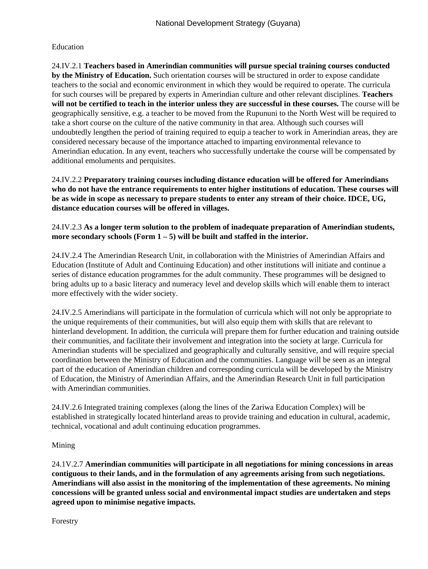## Education

24.IV.2.1 **Teachers based in Amerindian communities will pursue special training courses conducted by the Ministry of Education.** Such orientation courses will be structured in order to expose candidate teachers to the social and economic environment in which they would be required to operate. The curricula for such courses will be prepared by experts in Amerindian culture and other relevant disciplines. **Teachers will not be certified to teach in the interior unless they are successful in these courses.** The course will be geographically sensitive, e.g. a teacher to be moved from the Rupununi to the North West will be required to take a short course on the culture of the native community in that area. Although such courses will undoubtedly lengthen the period of training required to equip a teacher to work in Amerindian areas, they are considered necessary because of the importance attached to imparting environmental relevance to Amerindian education. In any event, teachers who successfully undertake the course will be compensated by additional emoluments and perquisites.

24.IV.2.2 **Preparatory training courses including distance education will be offered for Amerindians who do not have the entrance requirements to enter higher institutions of education. These courses will be as wide in scope as necessary to prepare students to enter any stream of their choice. IDCE, UG, distance education courses will be offered in villages.**

## 24.IV.2.3 **As a longer term solution to the problem of inadequate preparation of Amerindian students, more secondary schools (Form 1 – 5) will be built and staffed in the interior.**

24.IV.2.4 The Amerindian Research Unit, in collaboration with the Ministries of Amerindian Affairs and Education (Institute of Adult and Continuing Education) and other institutions will initiate and continue a series of distance education programmes for the adult community. These programmes will be designed to bring adults up to a basic literacy and numeracy level and develop skills which will enable them to interact more effectively with the wider society.

24.IV.2.5 Amerindians will participate in the formulation of curricula which will not only be appropriate to the unique requirements of their communities, but will also equip them with skills that are relevant to hinterland development. In addition, the curricula will prepare them for further education and training outside their communities, and facilitate their involvement and integration into the society at large. Curricula for Amerindian students will be specialized and geographically and culturally sensitive, and will require special coordination between the Ministry of Education and the communities. Language will be seen as an integral part of the education of Amerindian children and corresponding curricula will be developed by the Ministry of Education, the Ministry of Amerindian Affairs, and the Amerindian Research Unit in full participation with Amerindian communities.

24.IV.2.6 Integrated training complexes (along the lines of the Zariwa Education Complex) will be established in strategically located hinterland areas to provide training and education in cultural, academic, technical, vocational and adult continuing education programmes.

## Mining

24.1V.2.7 **Amerindian communities will participate in all negotiations for mining concessions in areas contiguous to their lands, and in the formulation of any agreements arising from such negotiations. Amerindians will also assist in the monitoring of the implementation of these agreements. No mining concessions will be granted unless social and environmental impact studies are undertaken and steps agreed upon to minimise negative impacts.**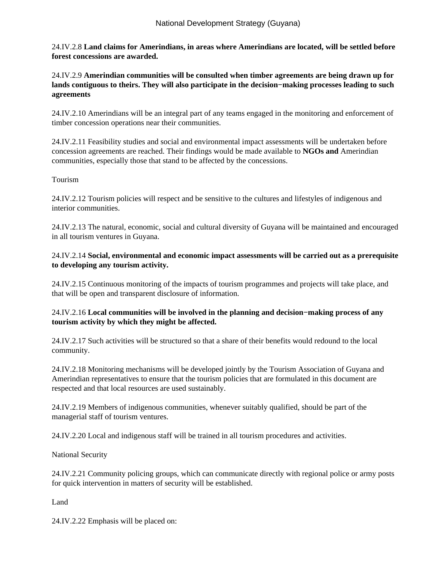24.IV.2.8 **Land claims for Amerindians, in areas where Amerindians are located, will be settled before forest concessions are awarded.**

24.IV.2.9 **Amerindian communities will be consulted when timber agreements are being drawn up for lands contiguous to theirs. They will also participate in the decision−making processes leading to such agreements**

24.IV.2.10 Amerindians will be an integral part of any teams engaged in the monitoring and enforcement of timber concession operations near their communities.

24.IV.2.11 Feasibility studies and social and environmental impact assessments will be undertaken before concession agreements are reached. Their findings would be made available to **NGOs and** Amerindian communities, especially those that stand to be affected by the concessions.

### Tourism

24.IV.2.12 Tourism policies will respect and be sensitive to the cultures and lifestyles of indigenous and interior communities.

24.IV.2.13 The natural, economic, social and cultural diversity of Guyana will be maintained and encouraged in all tourism ventures in Guyana.

## 24.IV.2.14 **Social, environmental and economic impact assessments will be carried out as a prerequisite to developing any tourism activity.**

24.IV.2.15 Continuous monitoring of the impacts of tourism programmes and projects will take place, and that will be open and transparent disclosure of information.

## 24.IV.2.16 **Local communities will be involved in the planning and decision−making process of any tourism activity by which they might be affected.**

24.IV.2.17 Such activities will be structured so that a share of their benefits would redound to the local community.

24.IV.2.18 Monitoring mechanisms will be developed jointly by the Tourism Association of Guyana and Amerindian representatives to ensure that the tourism policies that are formulated in this document are respected and that local resources are used sustainably.

24.IV.2.19 Members of indigenous communities, whenever suitably qualified, should be part of the managerial staff of tourism ventures.

24.IV.2.20 Local and indigenous staff will be trained in all tourism procedures and activities.

National Security

24.IV.2.21 Community policing groups, which can communicate directly with regional police or army posts for quick intervention in matters of security will be established.

Land

24.IV.2.22 Emphasis will be placed on: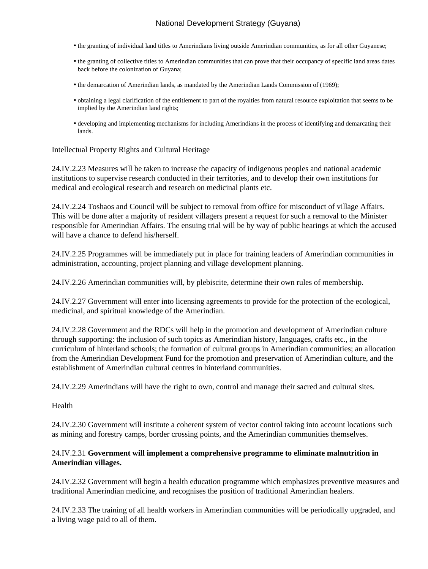- the granting of individual land titles to Amerindians living outside Amerindian communities, as for all other Guyanese;
- the granting of collective titles to Amerindian communities that can prove that their occupancy of specific land areas dates back before the colonization of Guyana;
- the demarcation of Amerindian lands, as mandated by the Amerindian Lands Commission of (1969);
- obtaining a legal clarification of the entitlement to part of the royalties from natural resource exploitation that seems to be implied by the Amerindian land rights;
- developing and implementing mechanisms for including Amerindians in the process of identifying and demarcating their lands.

#### Intellectual Property Rights and Cultural Heritage

24.IV.2.23 Measures will be taken to increase the capacity of indigenous peoples and national academic institutions to supervise research conducted in their territories, and to develop their own institutions for medical and ecological research and research on medicinal plants etc.

24.IV.2.24 Toshaos and Council will be subject to removal from office for misconduct of village Affairs. This will be done after a majority of resident villagers present a request for such a removal to the Minister responsible for Amerindian Affairs. The ensuing trial will be by way of public hearings at which the accused will have a chance to defend his/herself.

24.IV.2.25 Programmes will be immediately put in place for training leaders of Amerindian communities in administration, accounting, project planning and village development planning.

24.IV.2.26 Amerindian communities will, by plebiscite, determine their own rules of membership.

24.IV.2.27 Government will enter into licensing agreements to provide for the protection of the ecological, medicinal, and spiritual knowledge of the Amerindian.

24.IV.2.28 Government and the RDCs will help in the promotion and development of Amerindian culture through supporting: the inclusion of such topics as Amerindian history, languages, crafts etc., in the curriculum of hinterland schools; the formation of cultural groups in Amerindian communities; an allocation from the Amerindian Development Fund for the promotion and preservation of Amerindian culture, and the establishment of Amerindian cultural centres in hinterland communities.

24.IV.2.29 Amerindians will have the right to own, control and manage their sacred and cultural sites.

#### Health

24.IV.2.30 Government will institute a coherent system of vector control taking into account locations such as mining and forestry camps, border crossing points, and the Amerindian communities themselves.

#### 24.IV.2.31 **Government will implement a comprehensive programme to eliminate malnutrition in Amerindian villages.**

24.IV.2.32 Government will begin a health education programme which emphasizes preventive measures and traditional Amerindian medicine, and recognises the position of traditional Amerindian healers.

24.IV.2.33 The training of all health workers in Amerindian communities will be periodically upgraded, and a living wage paid to all of them.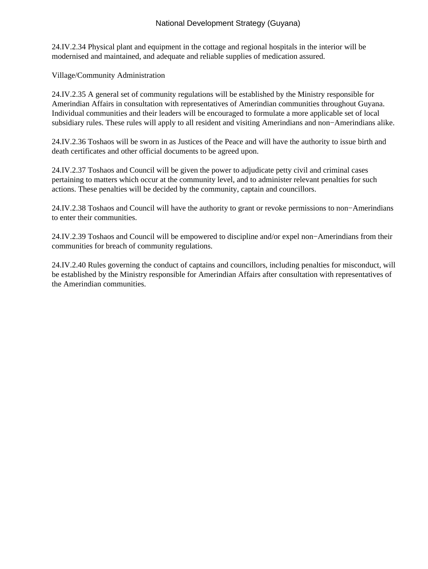24.IV.2.34 Physical plant and equipment in the cottage and regional hospitals in the interior will be modernised and maintained, and adequate and reliable supplies of medication assured.

Village/Community Administration

24.IV.2.35 A general set of community regulations will be established by the Ministry responsible for Amerindian Affairs in consultation with representatives of Amerindian communities throughout Guyana. Individual communities and their leaders will be encouraged to formulate a more applicable set of local subsidiary rules. These rules will apply to all resident and visiting Amerindians and non−Amerindians alike.

24.IV.2.36 Toshaos will be sworn in as Justices of the Peace and will have the authority to issue birth and death certificates and other official documents to be agreed upon.

24.IV.2.37 Toshaos and Council will be given the power to adjudicate petty civil and criminal cases pertaining to matters which occur at the community level, and to administer relevant penalties for such actions. These penalties will be decided by the community, captain and councillors.

24.IV.2.38 Toshaos and Council will have the authority to grant or revoke permissions to non−Amerindians to enter their communities.

24.IV.2.39 Toshaos and Council will be empowered to discipline and/or expel non−Amerindians from their communities for breach of community regulations.

24.IV.2.40 Rules governing the conduct of captains and councillors, including penalties for misconduct, will be established by the Ministry responsible for Amerindian Affairs after consultation with representatives of the Amerindian communities.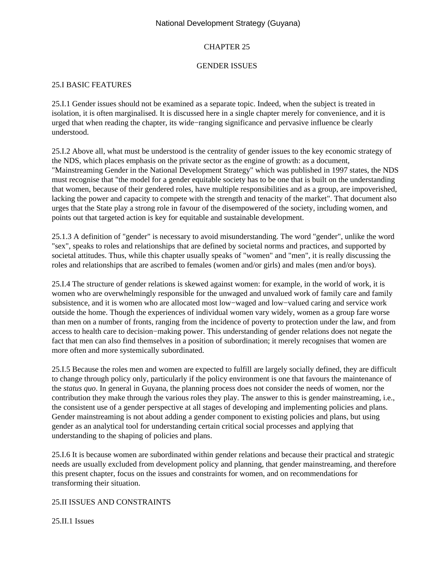### CHAPTER 25

#### GENDER ISSUES

## 25.I BASIC FEATURES

25.I.1 Gender issues should not be examined as a separate topic. Indeed, when the subject is treated in isolation, it is often marginalised. It is discussed here in a single chapter merely for convenience, and it is urged that when reading the chapter, its wide−ranging significance and pervasive influence be clearly understood.

25.I.2 Above all, what must be understood is the centrality of gender issues to the key economic strategy of the NDS, which places emphasis on the private sector as the engine of growth: as a document, "Mainstreaming Gender in the National Development Strategy" which was published in 1997 states, the NDS must recognise that "the model for a gender equitable society has to be one that is built on the understanding that women, because of their gendered roles, have multiple responsibilities and as a group, are impoverished, lacking the power and capacity to compete with the strength and tenacity of the market". That document also urges that the State play a strong role in favour of the disempowered of the society, including women, and points out that targeted action is key for equitable and sustainable development.

25.1.3 A definition of "gender" is necessary to avoid misunderstanding. The word "gender", unlike the word "sex", speaks to roles and relationships that are defined by societal norms and practices, and supported by societal attitudes. Thus, while this chapter usually speaks of "women" and "men", it is really discussing the roles and relationships that are ascribed to females (women and/or girls) and males (men and/or boys).

25.I.4 The structure of gender relations is skewed against women: for example, in the world of work, it is women who are overwhelmingly responsible for the unwaged and unvalued work of family care and family subsistence, and it is women who are allocated most low−waged and low−valued caring and service work outside the home. Though the experiences of individual women vary widely, women as a group fare worse than men on a number of fronts, ranging from the incidence of poverty to protection under the law, and from access to health care to decision−making power. This understanding of gender relations does not negate the fact that men can also find themselves in a position of subordination; it merely recognises that women are more often and more systemically subordinated.

25.I.5 Because the roles men and women are expected to fulfill are largely socially defined, they are difficult to change through policy only, particularly if the policy environment is one that favours the maintenance of the *status quo*. In general in Guyana, the planning process does not consider the needs of women, nor the contribution they make through the various roles they play. The answer to this is gender mainstreaming, i.e., the consistent use of a gender perspective at all stages of developing and implementing policies and plans. Gender mainstreaming is not about adding a gender component to existing policies and plans, but using gender as an analytical tool for understanding certain critical social processes and applying that understanding to the shaping of policies and plans.

25.I.6 It is because women are subordinated within gender relations and because their practical and strategic needs are usually excluded from development policy and planning, that gender mainstreaming, and therefore this present chapter, focus on the issues and constraints for women, and on recommendations for transforming their situation.

#### 25.II ISSUES AND CONSTRAINTS

25.II.1 Issues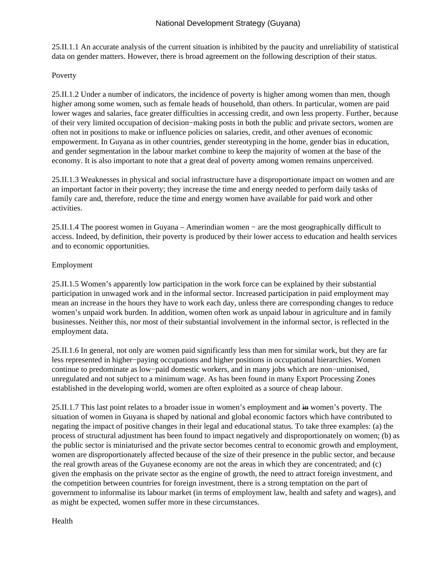25.II.1.1 An accurate analysis of the current situation is inhibited by the paucity and unreliability of statistical data on gender matters. However, there is broad agreement on the following description of their status.

## Poverty

25.II.1.2 Under a number of indicators, the incidence of poverty is higher among women than men, though higher among some women, such as female heads of household, than others. In particular, women are paid lower wages and salaries, face greater difficulties in accessing credit, and own less property. Further, because of their very limited occupation of decision−making posts in both the public and private sectors, women are often not in positions to make or influence policies on salaries, credit, and other avenues of economic empowerment. In Guyana as in other countries, gender stereotyping in the home, gender bias in education, and gender segmentation in the labour market combine to keep the majority of women at the base of the economy. It is also important to note that a great deal of poverty among women remains unperceived.

25.II.1.3 Weaknesses in physical and social infrastructure have a disproportionate impact on women and are an important factor in their poverty; they increase the time and energy needed to perform daily tasks of family care and, therefore, reduce the time and energy women have available for paid work and other activities.

25.II.1.4 The poorest women in Guyana – Amerindian women − are the most geographically difficult to access. Indeed, by definition, their poverty is produced by their lower access to education and health services and to economic opportunities.

### Employment

25.II.1.5 Women's apparently low participation in the work force can be explained by their substantial participation in unwaged work and in the informal sector. Increased participation in paid employment may mean an increase in the hours they have to work each day, unless there are corresponding changes to reduce women's unpaid work burden. In addition, women often work as unpaid labour in agriculture and in family businesses. Neither this, nor most of their substantial involvement in the informal sector, is reflected in the employment data.

25.II.1.6 In general, not only are women paid significantly less than men for similar work, but they are far less represented in higher−paying occupations and higher positions in occupational hierarchies. Women continue to predominate as low−paid domestic workers, and in many jobs which are non−unionised, unregulated and not subject to a minimum wage. As has been found in many Export Processing Zones established in the developing world, women are often exploited as a source of cheap labour.

25.II.1.7 This last point relates to a broader issue in women's employment and  $\overline{m}$  women's poverty. The situation of women in Guyana is shaped by national and global economic factors which have contributed to negating the impact of positive changes in their legal and educational status. To take three examples: (a) the process of structural adjustment has been found to impact negatively and disproportionately on women; (b) as the public sector is miniaturised and the private sector becomes central to economic growth and employment, women are disproportionately affected because of the size of their presence in the public sector, and because the real growth areas of the Guyanese economy are not the areas in which they are concentrated; and (c) given the emphasis on the private sector as the engine of growth, the need to attract foreign investment, and the competition between countries for foreign investment, there is a strong temptation on the part of government to informalise its labour market (in terms of employment law, health and safety and wages), and as might be expected, women suffer more in these circumstances.

Health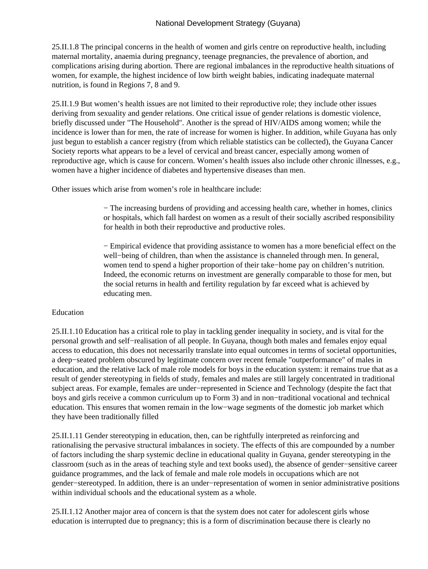25.II.1.8 The principal concerns in the health of women and girls centre on reproductive health, including maternal mortality, anaemia during pregnancy, teenage pregnancies, the prevalence of abortion, and complications arising during abortion. There are regional imbalances in the reproductive health situations of women, for example, the highest incidence of low birth weight babies, indicating inadequate maternal nutrition, is found in Regions 7, 8 and 9.

25.II.1.9 But women's health issues are not limited to their reproductive role; they include other issues deriving from sexuality and gender relations. One critical issue of gender relations is domestic violence, briefly discussed under "The Household". Another is the spread of HIV/AIDS among women; while the incidence is lower than for men, the rate of increase for women is higher. In addition, while Guyana has only just begun to establish a cancer registry (from which reliable statistics can be collected), the Guyana Cancer Society reports what appears to be a level of cervical and breast cancer, especially among women of reproductive age, which is cause for concern. Women's health issues also include other chronic illnesses, e.g., women have a higher incidence of diabetes and hypertensive diseases than men.

Other issues which arise from women's role in healthcare include:

− The increasing burdens of providing and accessing health care, whether in homes, clinics or hospitals, which fall hardest on women as a result of their socially ascribed responsibility for health in both their reproductive and productive roles.

− Empirical evidence that providing assistance to women has a more beneficial effect on the well−being of children, than when the assistance is channeled through men. In general, women tend to spend a higher proportion of their take−home pay on children's nutrition. Indeed, the economic returns on investment are generally comparable to those for men, but the social returns in health and fertility regulation by far exceed what is achieved by educating men.

## Education

25.II.1.10 Education has a critical role to play in tackling gender inequality in society, and is vital for the personal growth and self−realisation of all people. In Guyana, though both males and females enjoy equal access to education, this does not necessarily translate into equal outcomes in terms of societal opportunities, a deep−seated problem obscured by legitimate concern over recent female "outperformance" of males in education, and the relative lack of male role models for boys in the education system: it remains true that as a result of gender stereotyping in fields of study, females and males are still largely concentrated in traditional subject areas. For example, females are under−represented in Science and Technology (despite the fact that boys and girls receive a common curriculum up to Form 3) and in non−traditional vocational and technical education. This ensures that women remain in the low−wage segments of the domestic job market which they have been traditionally filled

25.II.1.11 Gender stereotyping in education, then, can be rightfully interpreted as reinforcing and rationalising the pervasive structural imbalances in society. The effects of this are compounded by a number of factors including the sharp systemic decline in educational quality in Guyana, gender stereotyping in the classroom (such as in the areas of teaching style and text books used), the absence of gender−sensitive career guidance programmes, and the lack of female and male role models in occupations which are not gender−stereotyped. In addition, there is an under−representation of women in senior administrative positions within individual schools and the educational system as a whole.

25.II.1.12 Another major area of concern is that the system does not cater for adolescent girls whose education is interrupted due to pregnancy; this is a form of discrimination because there is clearly no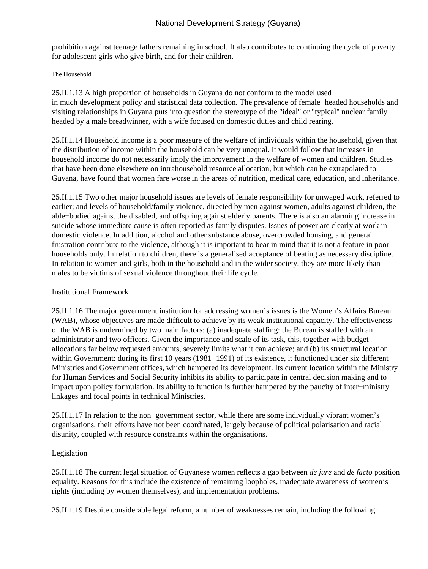prohibition against teenage fathers remaining in school. It also contributes to continuing the cycle of poverty for adolescent girls who give birth, and for their children.

#### The Household

25.II.1.13 A high proportion of households in Guyana do not conform to the model used in much development policy and statistical data collection. The prevalence of female−headed households and visiting relationships in Guyana puts into question the stereotype of the "ideal" or "typical" nuclear family headed by a male breadwinner, with a wife focused on domestic duties and child rearing.

25.II.1.14 Household income is a poor measure of the welfare of individuals within the household, given that the distribution of income within the household can be very unequal. It would follow that increases in household income do not necessarily imply the improvement in the welfare of women and children. Studies that have been done elsewhere on intrahousehold resource allocation, but which can be extrapolated to Guyana, have found that women fare worse in the areas of nutrition, medical care, education, and inheritance.

25.II.1.15 Two other major household issues are levels of female responsibility for unwaged work, referred to earlier; and levels of household/family violence, directed by men against women, adults against children, the able−bodied against the disabled, and offspring against elderly parents. There is also an alarming increase in suicide whose immediate cause is often reported as family disputes. Issues of power are clearly at work in domestic violence. In addition, alcohol and other substance abuse, overcrowded housing, and general frustration contribute to the violence, although it is important to bear in mind that it is not a feature in poor households only. In relation to children, there is a generalised acceptance of beating as necessary discipline. In relation to women and girls, both in the household and in the wider society, they are more likely than males to be victims of sexual violence throughout their life cycle.

#### Institutional Framework

25.II.1.16 The major government institution for addressing women's issues is the Women's Affairs Bureau (WAB), whose objectives are made difficult to achieve by its weak institutional capacity. The effectiveness of the WAB is undermined by two main factors: (a) inadequate staffing: the Bureau is staffed with an administrator and two officers. Given the importance and scale of its task, this, together with budget allocations far below requested amounts, severely limits what it can achieve; and (b) its structural location within Government: during its first 10 years (1981–1991) of its existence, it functioned under six different Ministries and Government offices, which hampered its development. Its current location within the Ministry for Human Services and Social Security inhibits its ability to participate in central decision making and to impact upon policy formulation. Its ability to function is further hampered by the paucity of inter−ministry linkages and focal points in technical Ministries.

25.II.1.17 In relation to the non−government sector, while there are some individually vibrant women's organisations, their efforts have not been coordinated, largely because of political polarisation and racial disunity, coupled with resource constraints within the organisations.

#### Legislation

25.II.1.18 The current legal situation of Guyanese women reflects a gap between *de jure* and *de facto* position equality. Reasons for this include the existence of remaining loopholes, inadequate awareness of women's rights (including by women themselves), and implementation problems.

25.II.1.19 Despite considerable legal reform, a number of weaknesses remain, including the following: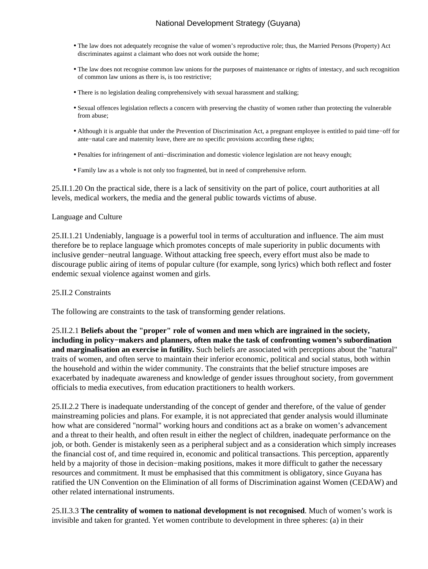- The law does not adequately recognise the value of women's reproductive role; thus, the Married Persons (Property) Act discriminates against a claimant who does not work outside the home;
- The law does not recognise common law unions for the purposes of maintenance or rights of intestacy, and such recognition of common law unions as there is, is too restrictive;
- There is no legislation dealing comprehensively with sexual harassment and stalking;
- Sexual offences legislation reflects a concern with preserving the chastity of women rather than protecting the vulnerable from abuse;
- Although it is arguable that under the Prevention of Discrimination Act, a pregnant employee is entitled to paid time−off for ante−natal care and maternity leave, there are no specific provisions according these rights;
- Penalties for infringement of anti−discrimination and domestic violence legislation are not heavy enough;
- Family law as a whole is not only too fragmented, but in need of comprehensive reform.

25.II.1.20 On the practical side, there is a lack of sensitivity on the part of police, court authorities at all levels, medical workers, the media and the general public towards victims of abuse.

#### Language and Culture

25.II.1.21 Undeniably, language is a powerful tool in terms of acculturation and influence. The aim must therefore be to replace language which promotes concepts of male superiority in public documents with inclusive gender−neutral language. Without attacking free speech, every effort must also be made to discourage public airing of items of popular culture (for example, song lyrics) which both reflect and foster endemic sexual violence against women and girls.

#### 25.II.2 Constraints

The following are constraints to the task of transforming gender relations.

25.II.2.1 **Beliefs about the "proper" role of women and men which are ingrained in the society, including in policy−makers and planners, often make the task of confronting women's subordination and marginalisation an exercise in futility.** Such beliefs are associated with perceptions about the "natural" traits of women, and often serve to maintain their inferior economic, political and social status, both within the household and within the wider community. The constraints that the belief structure imposes are exacerbated by inadequate awareness and knowledge of gender issues throughout society, from government officials to media executives, from education practitioners to health workers.

25.II.2.2 There is inadequate understanding of the concept of gender and therefore, of the value of gender mainstreaming policies and plans. For example, it is not appreciated that gender analysis would illuminate how what are considered "normal" working hours and conditions act as a brake on women's advancement and a threat to their health, and often result in either the neglect of children, inadequate performance on the job, or both. Gender is mistakenly seen as a peripheral subject and as a consideration which simply increases the financial cost of, and time required in, economic and political transactions. This perception, apparently held by a majority of those in decision−making positions, makes it more difficult to gather the necessary resources and commitment. It must be emphasised that this commitment is obligatory, since Guyana has ratified the UN Convention on the Elimination of all forms of Discrimination against Women (CEDAW) and other related international instruments.

25.II.3.3 **The centrality of women to national development is not recognised**. Much of women's work is invisible and taken for granted. Yet women contribute to development in three spheres: (a) in their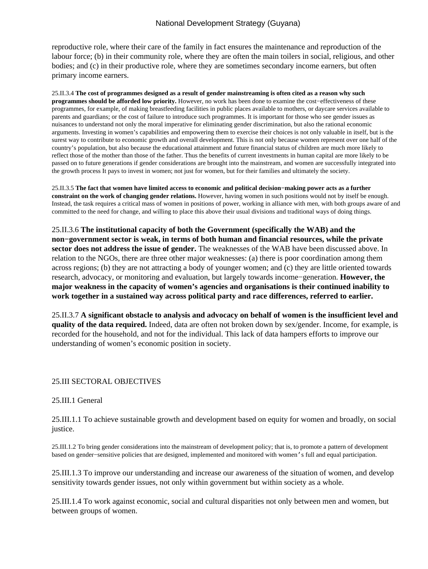reproductive role, where their care of the family in fact ensures the maintenance and reproduction of the labour force; (b) in their community role, where they are often the main toilers in social, religious, and other bodies; and (c) in their productive role, where they are sometimes secondary income earners, but often primary income earners.

25.II.3.4 **The cost of programmes designed as a result of gender mainstreaming is often cited as a reason why such programmes should be afforded low priority.** However, no work has been done to examine the cost−effectiveness of these programmes, for example, of making breastfeeding facilities in public places available to mothers, or daycare services available to parents and guardians; or the cost of failure to introduce such programmes. It is important for those who see gender issues as nuisances to understand not only the moral imperative for eliminating gender discrimination, but also the rational economic arguments. Investing in women's capabilities and empowering them to exercise their choices is not only valuable in itself, but is the surest way to contribute to economic growth and overall development. This is not only because women represent over one half of the country's population, but also because the educational attainment and future financial status of children are much more likely to reflect those of the mother than those of the father. Thus the benefits of current investments in human capital are more likely to be passed on to future generations if gender considerations are brought into the mainstream, and women are successfully integrated into the growth process It pays to invest in women; not just for women, but for their families and ultimately the society.

25.II.3.5 **The fact that women have limited access to economic and political decision−making power acts as a further constraint on the work of changing gender relations.** However, having women in such positions would not by itself be enough. Instead, the task requires a critical mass of women in positions of power, working in alliance with men, with both groups aware of and committed to the need for change, and willing to place this above their usual divisions and traditional ways of doing things.

25.II.3.6 **The institutional capacity of both the Government (specifically the WAB) and the non−government sector is weak, in terms of both human and financial resources, while the private sector does not address the issue of gender.** The weaknesses of the WAB have been discussed above. In relation to the NGOs, there are three other major weaknesses: (a) there is poor coordination among them across regions; (b) they are not attracting a body of younger women; and (c) they are little oriented towards research, advocacy, or monitoring and evaluation, but largely towards income−generation. **However, the major weakness in the capacity of women's agencies and organisations is their continued inability to work together in a sustained way across political party and race differences, referred to earlier.**

25.II.3.7 **A significant obstacle to analysis and advocacy on behalf of women is the insufficient level and quality of the data required.** Indeed, data are often not broken down by sex/gender. Income, for example, is recorded for the household, and not for the individual. This lack of data hampers efforts to improve our understanding of women's economic position in society.

#### 25.III SECTORAL OBJECTIVES

#### 25.III.1 General

25.III.1.1 To achieve sustainable growth and development based on equity for women and broadly, on social justice.

25.III.1.2 To bring gender considerations into the mainstream of development policy; that is, to promote a pattern of development based on gender−sensitive policies that are designed, implemented and monitored with women's full and equal participation.

25.III.1.3 To improve our understanding and increase our awareness of the situation of women, and develop sensitivity towards gender issues, not only within government but within society as a whole.

25.III.1.4 To work against economic, social and cultural disparities not only between men and women, but between groups of women.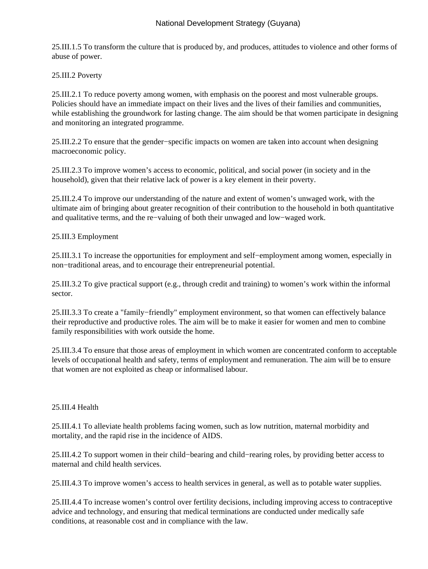25.III.1.5 To transform the culture that is produced by, and produces, attitudes to violence and other forms of abuse of power.

25.III.2 Poverty

25.III.2.1 To reduce poverty among women, with emphasis on the poorest and most vulnerable groups. Policies should have an immediate impact on their lives and the lives of their families and communities, while establishing the groundwork for lasting change. The aim should be that women participate in designing and monitoring an integrated programme.

25.III.2.2 To ensure that the gender−specific impacts on women are taken into account when designing macroeconomic policy.

25.III.2.3 To improve women's access to economic, political, and social power (in society and in the household), given that their relative lack of power is a key element in their poverty.

25.III.2.4 To improve our understanding of the nature and extent of women's unwaged work, with the ultimate aim of bringing about greater recognition of their contribution to the household in both quantitative and qualitative terms, and the re−valuing of both their unwaged and low−waged work.

25.III.3 Employment

25.III.3.1 To increase the opportunities for employment and self−employment among women, especially in non−traditional areas, and to encourage their entrepreneurial potential.

25.III.3.2 To give practical support (e.g., through credit and training) to women's work within the informal sector.

25.III.3.3 To create a "family−friendly" employment environment, so that women can effectively balance their reproductive and productive roles. The aim will be to make it easier for women and men to combine family responsibilities with work outside the home.

25.III.3.4 To ensure that those areas of employment in which women are concentrated conform to acceptable levels of occupational health and safety, terms of employment and remuneration. The aim will be to ensure that women are not exploited as cheap or informalised labour.

## 25.III.4 Health

25.III.4.1 To alleviate health problems facing women, such as low nutrition, maternal morbidity and mortality, and the rapid rise in the incidence of AIDS.

25.III.4.2 To support women in their child−bearing and child−rearing roles, by providing better access to maternal and child health services.

25.III.4.3 To improve women's access to health services in general, as well as to potable water supplies.

25.III.4.4 To increase women's control over fertility decisions, including improving access to contraceptive advice and technology, and ensuring that medical terminations are conducted under medically safe conditions, at reasonable cost and in compliance with the law.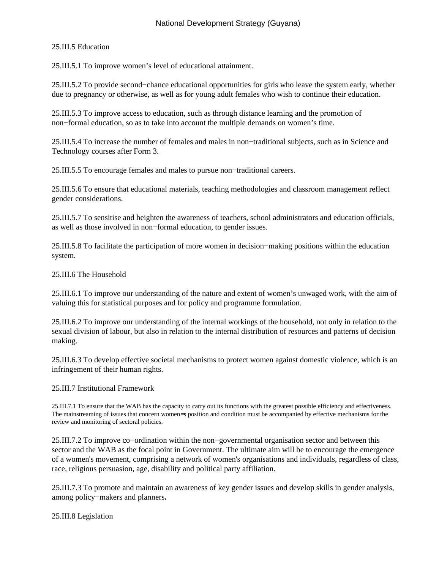## 25.III.5 Education

25.III.5.1 To improve women's level of educational attainment.

25.III.5.2 To provide second−chance educational opportunities for girls who leave the system early, whether due to pregnancy or otherwise, as well as for young adult females who wish to continue their education.

25.III.5.3 To improve access to education, such as through distance learning and the promotion of non−formal education, so as to take into account the multiple demands on women's time.

25.III.5.4 To increase the number of females and males in non−traditional subjects, such as in Science and Technology courses after Form 3.

25.III.5.5 To encourage females and males to pursue non−traditional careers.

25.III.5.6 To ensure that educational materials, teaching methodologies and classroom management reflect gender considerations.

25.III.5.7 To sensitise and heighten the awareness of teachers, school administrators and education officials, as well as those involved in non−formal education, to gender issues.

25.III.5.8 To facilitate the participation of more women in decision−making positions within the education system.

# 25.III.6 The Household

25.III.6.1 To improve our understanding of the nature and extent of women's unwaged work, with the aim of valuing this for statistical purposes and for policy and programme formulation.

25.III.6.2 To improve our understanding of the internal workings of the household, not only in relation to the sexual division of labour, but also in relation to the internal distribution of resources and patterns of decision making.

25.III.6.3 To develop effective societal mechanisms to protect women against domestic violence, which is an infringement of their human rights.

#### 25.III.7 Institutional Framework

25.III.7.1 To ensure that the WAB has the capacity to carry out its functions with the greatest possible efficiency and effectiveness. The mainstreaming of issues that concern women=s position and condition must be accompanied by effective mechanisms for the review and monitoring of sectoral policies.

25.III.7.2 To improve co−ordination within the non−governmental organisation sector and between this sector and the WAB as the focal point in Government. The ultimate aim will be to encourage the emergence of a women's movement, comprising a network of women's organisations and individuals, regardless of class, race, religious persuasion, age, disability and political party affiliation.

25.III.7.3 To promote and maintain an awareness of key gender issues and develop skills in gender analysis, among policy−makers and planners**.**

#### 25.III.8 Legislation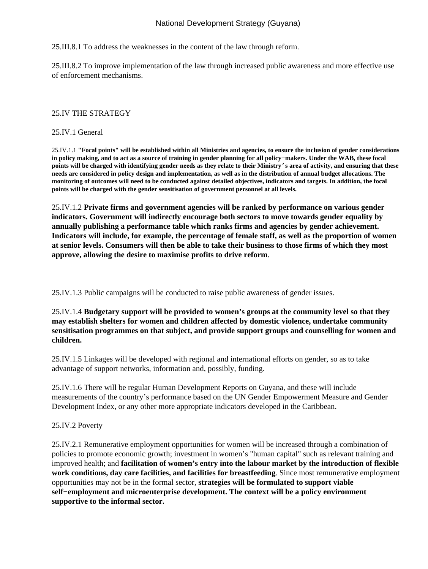25.III.8.1 To address the weaknesses in the content of the law through reform.

25.III.8.2 To improve implementation of the law through increased public awareness and more effective use of enforcement mechanisms.

# 25.IV THE STRATEGY

### 25.IV.1 General

25.IV.1.1 **"Focal points" will be established within all Ministries and agencies, to ensure the inclusion of gender considerations in policy making, and to act as a source of training in gender planning for all policy−makers. Under the WAB, these focal points will be charged with identifying gender needs as they relate to their Ministry's area of activity, and ensuring that these needs are considered in policy design and implementation, as well as in the distribution of annual budget allocations. The monitoring of outcomes will need to be conducted against detailed objectives, indicators and targets. In addition, the focal points will be charged with the gender sensitisation of government personnel at all levels.**

25.IV.1.2 **Private firms and government agencies will be ranked by performance on various gender indicators. Government will indirectly encourage both sectors to move towards gender equality by annually publishing a performance table which ranks firms and agencies by gender achievement. Indicators will include, for example, the percentage of female staff, as well as the proportion of women at senior levels. Consumers will then be able to take their business to those firms of which they most approve, allowing the desire to maximise profits to drive reform**.

25.IV.1.3 Public campaigns will be conducted to raise public awareness of gender issues.

25.IV.1.4 **Budgetary support will be provided to women's groups at the community level so that they may establish shelters for women and children affected by domestic violence, undertake community sensitisation programmes on that subject, and provide support groups and counselling for women and children.**

25.IV.1.5 Linkages will be developed with regional and international efforts on gender, so as to take advantage of support networks, information and, possibly, funding.

25.IV.1.6 There will be regular Human Development Reports on Guyana, and these will include measurements of the country's performance based on the UN Gender Empowerment Measure and Gender Development Index, or any other more appropriate indicators developed in the Caribbean.

## 25.IV.2 Poverty

25.IV.2.1 Remunerative employment opportunities for women will be increased through a combination of policies to promote economic growth; investment in women's "human capital" such as relevant training and improved health; and **facilitation of women's entry into the labour market by the introduction of flexible work conditions, day care facilities, and facilities for breastfeeding**. Since most remunerative employment opportunities may not be in the formal sector, **strategies will be formulated to support viable self−employment and microenterprise development. The context will be a policy environment supportive to the informal sector.**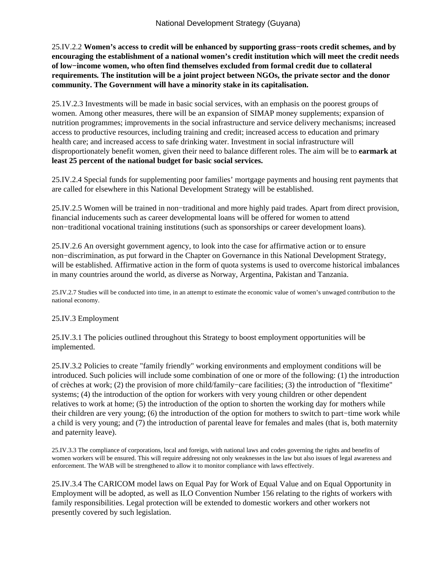25.IV.2.2 **Women's access to credit will be enhanced by supporting grass−roots credit schemes, and by encouraging the establishment of a national women's credit institution which will meet the credit needs of low−income women, who often find themselves excluded from formal credit due to collateral requirements***.* **The institution will be a joint project between NGOs, the private sector and the donor community. The Government will have a minority stake in its capitalisation.**

25.1V.2.3 Investments will be made in basic social services, with an emphasis on the poorest groups of women. Among other measures, there will be an expansion of SIMAP money supplements; expansion of nutrition programmes; improvements in the social infrastructure and service delivery mechanisms; increased access to productive resources, including training and credit; increased access to education and primary health care; and increased access to safe drinking water. Investment in social infrastructure will disproportionately benefit women, given their need to balance different roles. The aim will be to **earmark at least 25 percent of the national budget for basic social services.**

25.IV.2.4 Special funds for supplementing poor families' mortgage payments and housing rent payments that are called for elsewhere in this National Development Strategy will be established.

25.IV.2.5 Women will be trained in non−traditional and more highly paid trades. Apart from direct provision, financial inducements such as career developmental loans will be offered for women to attend non−traditional vocational training institutions (such as sponsorships or career development loans).

25.IV.2.6 An oversight government agency, to look into the case for affirmative action or to ensure non−discrimination, as put forward in the Chapter on Governance in this National Development Strategy, will be established. Affirmative action in the form of quota systems is used to overcome historical imbalances in many countries around the world, as diverse as Norway, Argentina, Pakistan and Tanzania.

25.IV.2.7 Studies will be conducted into time, in an attempt to estimate the economic value of women's unwaged contribution to the national economy.

#### 25.IV.3 Employment

25.IV.3.1 The policies outlined throughout this Strategy to boost employment opportunities will be implemented.

25.IV.3.2 Policies to create "family friendly" working environments and employment conditions will be introduced. Such policies will include some combination of one or more of the following: (1) the introduction of crèches at work; (2) the provision of more child/family−care facilities; (3) the introduction of "flexitime" systems; (4) the introduction of the option for workers with very young children or other dependent relatives to work at home; (5) the introduction of the option to shorten the working day for mothers while their children are very young; (6) the introduction of the option for mothers to switch to part−time work while a child is very young; and (7) the introduction of parental leave for females and males (that is, both maternity and paternity leave).

25.IV.3.3 The compliance of corporations, local and foreign, with national laws and codes governing the rights and benefits of women workers will be ensured. This will require addressing not only weaknesses in the law but also issues of legal awareness and enforcement. The WAB will be strengthened to allow it to monitor compliance with laws effectively.

25.IV.3.4 The CARICOM model laws on Equal Pay for Work of Equal Value and on Equal Opportunity in Employment will be adopted, as well as ILO Convention Number 156 relating to the rights of workers with family responsibilities. Legal protection will be extended to domestic workers and other workers not presently covered by such legislation.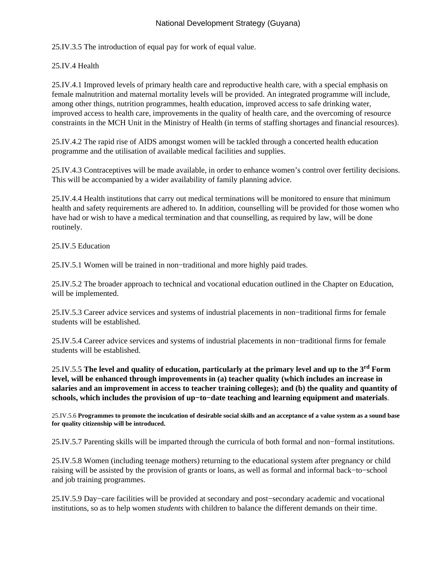25.IV.3.5 The introduction of equal pay for work of equal value.

# 25.IV.4 Health

25.IV.4.1 Improved levels of primary health care and reproductive health care, with a special emphasis on female malnutrition and maternal mortality levels will be provided. An integrated programme will include, among other things, nutrition programmes, health education, improved access to safe drinking water, improved access to health care, improvements in the quality of health care, and the overcoming of resource constraints in the MCH Unit in the Ministry of Health (in terms of staffing shortages and financial resources).

25.IV.4.2 The rapid rise of AIDS amongst women will be tackled through a concerted health education programme and the utilisation of available medical facilities and supplies.

25.IV.4.3 Contraceptives will be made available, in order to enhance women's control over fertility decisions. This will be accompanied by a wider availability of family planning advice.

25.IV.4.4 Health institutions that carry out medical terminations will be monitored to ensure that minimum health and safety requirements are adhered to. In addition, counselling will be provided for those women who have had or wish to have a medical termination and that counselling, as required by law, will be done routinely.

25.IV.5 Education

25.IV.5.1 Women will be trained in non−traditional and more highly paid trades.

25.IV.5.2 The broader approach to technical and vocational education outlined in the Chapter on Education, will be implemented.

25.IV.5.3 Career advice services and systems of industrial placements in non−traditional firms for female students will be established.

25.IV.5.4 Career advice services and systems of industrial placements in non−traditional firms for female students will be established.

25.IV.5.5 **The level and quality of education, particularly at the primary level and up to the 3rd Form level, will be enhanced through improvements in (a) teacher quality (which includes an increase in salaries and an improvement in access to teacher training colleges); and (b) the quality and quantity of schools, which includes the provision of up−to−date teaching and learning equipment and materials**.

25.IV.5.6 **Programmes to promote the inculcation of desirable social skills and an acceptance of a value system as a sound base for quality citizenship will be introduced.**

25.IV.5.7 Parenting skills will be imparted through the curricula of both formal and non−formal institutions.

25.IV.5.8 Women (including teenage mothers) returning to the educational system after pregnancy or child raising will be assisted by the provision of grants or loans, as well as formal and informal back−to−school and job training programmes.

25.IV.5.9 Day−care facilities will be provided at secondary and post−secondary academic and vocational institutions, so as to help women *students* with children to balance the different demands on their time.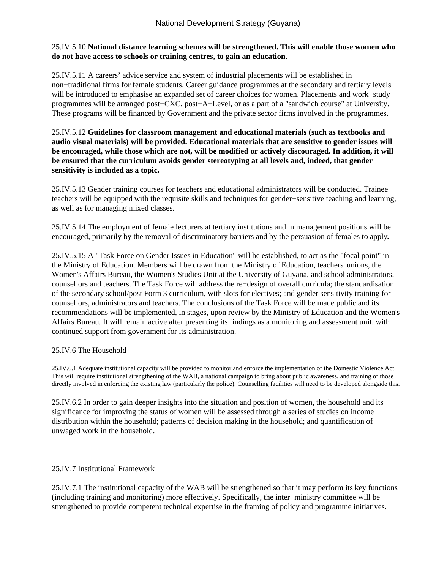## 25.IV.5.10 **National distance learning schemes will be strengthened. This will enable those women who do not have access to schools or training centres, to gain an education**.

25.IV.5.11 A careers' advice service and system of industrial placements will be established in non−traditional firms for female students. Career guidance programmes at the secondary and tertiary levels will be introduced to emphasise an expanded set of career choices for women. Placements and work−study programmes will be arranged post−CXC, post−A−Level, or as a part of a "sandwich course" at University. These programs will be financed by Government and the private sector firms involved in the programmes.

25.IV.5.12 **Guidelines for classroom management and educational materials (such as textbooks and audio visual materials) will be provided. Educational materials that are sensitive to gender issues will be encouraged, while those which are not, will be modified or actively discouraged. In addition, it will be ensured that the curriculum avoids gender stereotyping at all levels and, indeed, that gender sensitivity is included as a topic.**

25.IV.5.13 Gender training courses for teachers and educational administrators will be conducted. Trainee teachers will be equipped with the requisite skills and techniques for gender−sensitive teaching and learning, as well as for managing mixed classes.

25.IV.5.14 The employment of female lecturers at tertiary institutions and in management positions will be encouraged, primarily by the removal of discriminatory barriers and by the persuasion of females to apply*.*

25.IV.5.15 A "Task Force on Gender Issues in Education" will be established, to act as the "focal point" in the Ministry of Education. Members will be drawn from the Ministry of Education, teachers' unions, the Women's Affairs Bureau, the Women's Studies Unit at the University of Guyana, and school administrators, counsellors and teachers. The Task Force will address the re−design of overall curricula; the standardisation of the secondary school/post Form 3 curriculum, with slots for electives; and gender sensitivity training for counsellors, administrators and teachers. The conclusions of the Task Force will be made public and its recommendations will be implemented, in stages, upon review by the Ministry of Education and the Women's Affairs Bureau. It will remain active after presenting its findings as a monitoring and assessment unit, with continued support from government for its administration.

#### 25.IV.6 The Household

25.IV.6.1 Adequate institutional capacity will be provided to monitor and enforce the implementation of the Domestic Violence Act. This will require institutional strengthening of the WAB, a national campaign to bring about public awareness, and training of those directly involved in enforcing the existing law (particularly the police). Counselling facilities will need to be developed alongside this.

25.IV.6.2 In order to gain deeper insights into the situation and position of women, the household and its significance for improving the status of women will be assessed through a series of studies on income distribution within the household; patterns of decision making in the household; and quantification of unwaged work in the household.

#### 25.IV.7 Institutional Framework

25.IV.7.1 The institutional capacity of the WAB will be strengthened so that it may perform its key functions (including training and monitoring) more effectively. Specifically, the inter−ministry committee will be strengthened to provide competent technical expertise in the framing of policy and programme initiatives.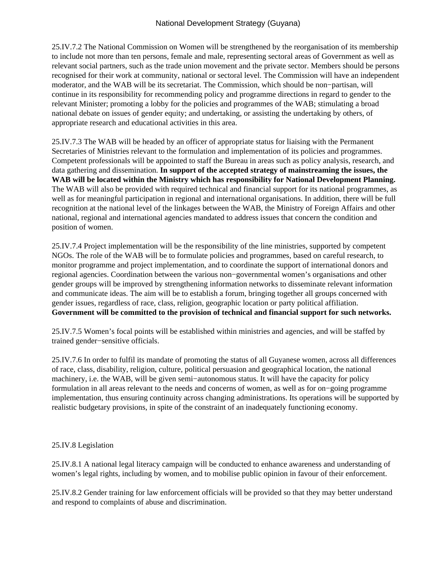25.IV.7.2 The National Commission on Women will be strengthened by the reorganisation of its membership to include not more than ten persons, female and male, representing sectoral areas of Government as well as relevant social partners, such as the trade union movement and the private sector. Members should be persons recognised for their work at community, national or sectoral level. The Commission will have an independent moderator, and the WAB will be its secretariat. The Commission, which should be non−partisan, will continue in its responsibility for recommending policy and programme directions in regard to gender to the relevant Minister; promoting a lobby for the policies and programmes of the WAB; stimulating a broad national debate on issues of gender equity; and undertaking, or assisting the undertaking by others, of appropriate research and educational activities in this area.

25.IV.7.3 The WAB will be headed by an officer of appropriate status for liaising with the Permanent Secretaries of Ministries relevant to the formulation and implementation of its policies and programmes. Competent professionals will be appointed to staff the Bureau in areas such as policy analysis, research, and data gathering and dissemination. **In support of the accepted strategy of mainstreaming the issues, the WAB will be located within the Ministry which has responsibility for National Development Planning.** The WAB will also be provided with required technical and financial support for its national programmes, as well as for meaningful participation in regional and international organisations. In addition, there will be full recognition at the national level of the linkages between the WAB, the Ministry of Foreign Affairs and other national, regional and international agencies mandated to address issues that concern the condition and position of women.

25.IV.7.4 Project implementation will be the responsibility of the line ministries, supported by competent NGOs. The role of the WAB will be to formulate policies and programmes, based on careful research, to monitor programme and project implementation, and to coordinate the support of international donors and regional agencies. Coordination between the various non−governmental women's organisations and other gender groups will be improved by strengthening information networks to disseminate relevant information and communicate ideas. The aim will be to establish a forum, bringing together all groups concerned with gender issues, regardless of race, class, religion, geographic location or party political affiliation. **Government will be committed to the provision of technical and financial support for such networks.**

25.IV.7.5 Women's focal points will be established within ministries and agencies, and will be staffed by trained gender−sensitive officials.

25.IV.7.6 In order to fulfil its mandate of promoting the status of all Guyanese women, across all differences of race, class, disability, religion, culture, political persuasion and geographical location, the national machinery, i.e. the WAB, will be given semi−autonomous status. It will have the capacity for policy formulation in all areas relevant to the needs and concerns of women, as well as for on−going programme implementation, thus ensuring continuity across changing administrations. Its operations will be supported by realistic budgetary provisions, in spite of the constraint of an inadequately functioning economy.

## 25.IV.8 Legislation

25.IV.8.1 A national legal literacy campaign will be conducted to enhance awareness and understanding of women's legal rights, including by women, and to mobilise public opinion in favour of their enforcement.

25.IV.8.2 Gender training for law enforcement officials will be provided so that they may better understand and respond to complaints of abuse and discrimination.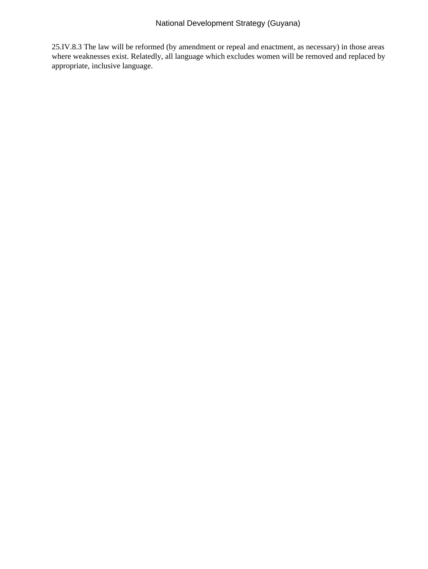25.IV.8.3 The law will be reformed (by amendment or repeal and enactment, as necessary) in those areas where weaknesses exist. Relatedly, all language which excludes women will be removed and replaced by appropriate, inclusive language.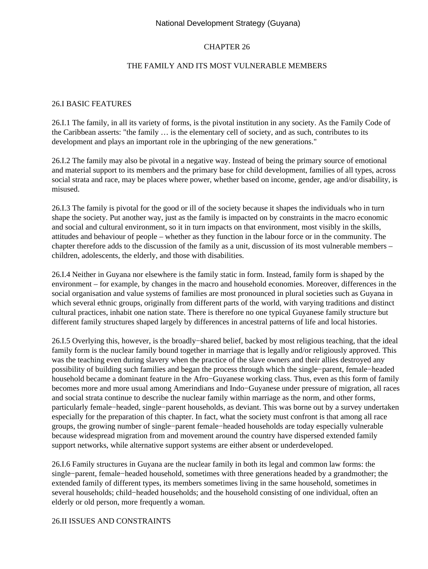## CHAPTER 26

#### THE FAMILY AND ITS MOST VULNERABLE MEMBERS

#### 26.I BASIC FEATURES

26.I.1 The family, in all its variety of forms, is the pivotal institution in any society. As the Family Code of the Caribbean asserts: "the family … is the elementary cell of society, and as such, contributes to its development and plays an important role in the upbringing of the new generations."

26.I.2 The family may also be pivotal in a negative way. Instead of being the primary source of emotional and material support to its members and the primary base for child development, families of all types, across social strata and race, may be places where power, whether based on income, gender, age and/or disability, is misused.

26.I.3 The family is pivotal for the good or ill of the society because it shapes the individuals who in turn shape the society. Put another way, just as the family is impacted on by constraints in the macro economic and social and cultural environment, so it in turn impacts on that environment, most visibly in the skills, attitudes and behaviour of people – whether as they function in the labour force or in the community. The chapter therefore adds to the discussion of the family as a unit, discussion of its most vulnerable members – children, adolescents, the elderly, and those with disabilities.

26.I.4 Neither in Guyana nor elsewhere is the family static in form. Instead, family form is shaped by the environment – for example, by changes in the macro and household economies. Moreover, differences in the social organisation and value systems of families are most pronounced in plural societies such as Guyana in which several ethnic groups, originally from different parts of the world, with varying traditions and distinct cultural practices, inhabit one nation state. There is therefore no one typical Guyanese family structure but different family structures shaped largely by differences in ancestral patterns of life and local histories.

26.I.5 Overlying this, however, is the broadly−shared belief, backed by most religious teaching, that the ideal family form is the nuclear family bound together in marriage that is legally and/or religiously approved. This was the teaching even during slavery when the practice of the slave owners and their allies destroyed any possibility of building such families and began the process through which the single−parent, female−headed household became a dominant feature in the Afro−Guyanese working class. Thus, even as this form of family becomes more and more usual among Amerindians and Indo−Guyanese under pressure of migration, all races and social strata continue to describe the nuclear family within marriage as the norm, and other forms, particularly female−headed, single−parent households, as deviant. This was borne out by a survey undertaken especially for the preparation of this chapter. In fact, what the society must confront is that among all race groups, the growing number of single−parent female−headed households are today especially vulnerable because widespread migration from and movement around the country have dispersed extended family support networks, while alternative support systems are either absent or underdeveloped.

26.I.6 Family structures in Guyana are the nuclear family in both its legal and common law forms: the single−parent, female−headed household, sometimes with three generations headed by a grandmother; the extended family of different types, its members sometimes living in the same household, sometimes in several households; child–headed households; and the household consisting of one individual, often an elderly or old person, more frequently a woman.

#### 26.II ISSUES AND CONSTRAINTS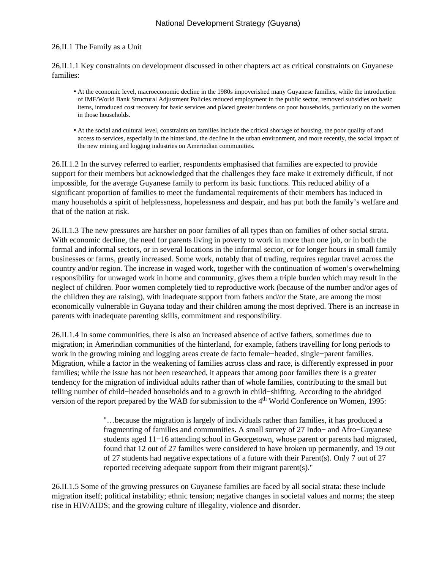## 26.II.1 The Family as a Unit

26.II.1.1 Key constraints on development discussed in other chapters act as critical constraints on Guyanese families:

- At the economic level, macroeconomic decline in the 1980s impoverished many Guyanese families, while the introduction of IMF/World Bank Structural Adjustment Policies reduced employment in the public sector, removed subsidies on basic items, introduced cost recovery for basic services and placed greater burdens on poor households, particularly on the women in those households.
- At the social and cultural level, constraints on families include the critical shortage of housing, the poor quality of and access to services, especially in the hinterland, the decline in the urban environment, and more recently, the social impact of the new mining and logging industries on Amerindian communities.

26.II.1.2 In the survey referred to earlier, respondents emphasised that families are expected to provide support for their members but acknowledged that the challenges they face make it extremely difficult, if not impossible, for the average Guyanese family to perform its basic functions. This reduced ability of a significant proportion of families to meet the fundamental requirements of their members has induced in many households a spirit of helplessness, hopelessness and despair, and has put both the family's welfare and that of the nation at risk.

26.II.1.3 The new pressures are harsher on poor families of all types than on families of other social strata. With economic decline, the need for parents living in poverty to work in more than one job, or in both the formal and informal sectors, or in several locations in the informal sector, or for longer hours in small family businesses or farms, greatly increased. Some work, notably that of trading, requires regular travel across the country and/or region. The increase in waged work, together with the continuation of women's overwhelming responsibility for unwaged work in home and community, gives them a triple burden which may result in the neglect of children. Poor women completely tied to reproductive work (because of the number and/or ages of the children they are raising), with inadequate support from fathers and/or the State, are among the most economically vulnerable in Guyana today and their children among the most deprived. There is an increase in parents with inadequate parenting skills, commitment and responsibility.

26.II.1.4 In some communities, there is also an increased absence of active fathers, sometimes due to migration; in Amerindian communities of the hinterland, for example, fathers travelling for long periods to work in the growing mining and logging areas create de facto female−headed, single−parent families. Migration, while a factor in the weakening of families across class and race, is differently expressed in poor families; while the issue has not been researched, it appears that among poor families there is a greater tendency for the migration of individual adults rather than of whole families, contributing to the small but telling number of child−headed households and to a growth in child−shifting. According to the abridged version of the report prepared by the WAB for submission to the 4<sup>th</sup> World Conference on Women, 1995:

> "…because the migration is largely of individuals rather than families, it has produced a fragmenting of families and communities. A small survey of 27 Indo− and Afro−Guyanese students aged 11−16 attending school in Georgetown, whose parent or parents had migrated, found that 12 out of 27 families were considered to have broken up permanently, and 19 out of 27 students had negative expectations of a future with their Parent(s). Only 7 out of 27 reported receiving adequate support from their migrant parent(s)."

26.II.1.5 Some of the growing pressures on Guyanese families are faced by all social strata: these include migration itself; political instability; ethnic tension; negative changes in societal values and norms; the steep rise in HIV/AIDS; and the growing culture of illegality, violence and disorder.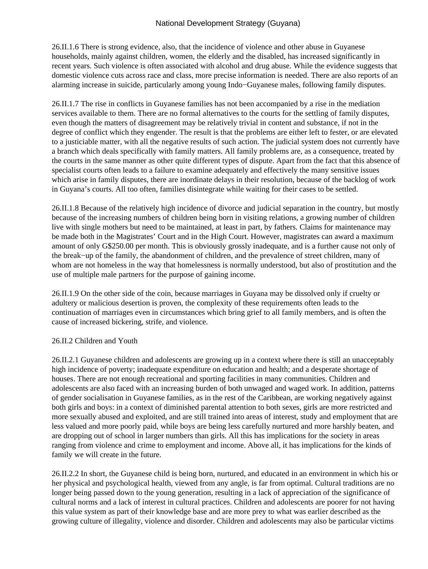26.II.1.6 There is strong evidence, also, that the incidence of violence and other abuse in Guyanese households, mainly against children, women, the elderly and the disabled, has increased significantly in recent years. Such violence is often associated with alcohol and drug abuse. While the evidence suggests that domestic violence cuts across race and class, more precise information is needed. There are also reports of an alarming increase in suicide, particularly among young Indo−Guyanese males, following family disputes.

26.II.1.7 The rise in conflicts in Guyanese families has not been accompanied by a rise in the mediation services available to them. There are no formal alternatives to the courts for the settling of family disputes, even though the matters of disagreement may be relatively trivial in content and substance, if not in the degree of conflict which they engender. The result is that the problems are either left to fester, or are elevated to a justiciable matter, with all the negative results of such action. The judicial system does not currently have a branch which deals specifically with family matters. All family problems are, as a consequence, treated by the courts in the same manner as other quite different types of dispute. Apart from the fact that this absence of specialist courts often leads to a failure to examine adequately and effectively the many sensitive issues which arise in family disputes, there are inordinate delays in their resolution, because of the backlog of work in Guyana's courts. All too often, families disintegrate while waiting for their cases to be settled.

26.II.1.8 Because of the relatively high incidence of divorce and judicial separation in the country, but mostly because of the increasing numbers of children being born in visiting relations, a growing number of children live with single mothers but need to be maintained, at least in part, by fathers. Claims for maintenance may be made both in the Magistrates' Court and in the High Court. However, magistrates can award a maximum amount of only G\$250.00 per month. This is obviously grossly inadequate, and is a further cause not only of the break−up of the family, the abandonment of children, and the prevalence of street children, many of whom are not homeless in the way that homelessness is normally understood, but also of prostitution and the use of multiple male partners for the purpose of gaining income.

26.II.1.9 On the other side of the coin, because marriages in Guyana may be dissolved only if cruelty or adultery or malicious desertion is proven, the complexity of these requirements often leads to the continuation of marriages even in circumstances which bring grief to all family members, and is often the cause of increased bickering, strife, and violence.

#### 26.II.2 Children and Youth

26.II.2.1 Guyanese children and adolescents are growing up in a context where there is still an unacceptably high incidence of poverty; inadequate expenditure on education and health; and a desperate shortage of houses. There are not enough recreational and sporting facilities in many communities. Children and adolescents are also faced with an increasing burden of both unwaged and waged work. In addition, patterns of gender socialisation in Guyanese families, as in the rest of the Caribbean, are working negatively against both girls and boys: in a context of diminished parental attention to both sexes, girls are more restricted and more sexually abused and exploited, and are still trained into areas of interest, study and employment that are less valued and more poorly paid, while boys are being less carefully nurtured and more harshly beaten, and are dropping out of school in larger numbers than girls. All this has implications for the society in areas ranging from violence and crime to employment and income. Above all, it has implications for the kinds of family we will create in the future.

26.II.2.2 In short, the Guyanese child is being born, nurtured, and educated in an environment in which his or her physical and psychological health, viewed from any angle, is far from optimal. Cultural traditions are no longer being passed down to the young generation, resulting in a lack of appreciation of the significance of cultural norms and a lack of interest in cultural practices. Children and adolescents are poorer for not having this value system as part of their knowledge base and are more prey to what was earlier described as the growing culture of illegality, violence and disorder. Children and adolescents may also be particular victims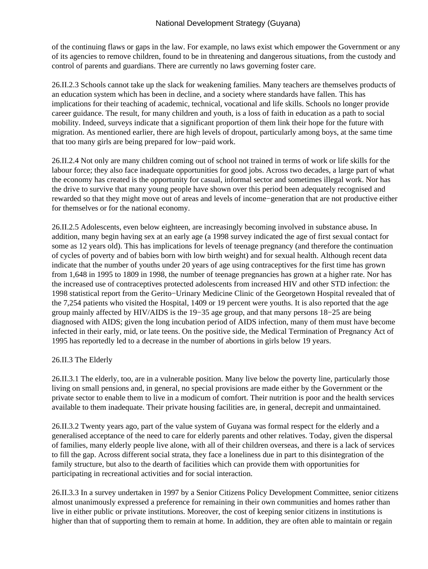of the continuing flaws or gaps in the law. For example, no laws exist which empower the Government or any of its agencies to remove children, found to be in threatening and dangerous situations, from the custody and control of parents and guardians. There are currently no laws governing foster care.

26.II.2.3 Schools cannot take up the slack for weakening families. Many teachers are themselves products of an education system which has been in decline, and a society where standards have fallen. This has implications for their teaching of academic, technical, vocational and life skills. Schools no longer provide career guidance. The result, for many children and youth, is a loss of faith in education as a path to social mobility. Indeed, surveys indicate that a significant proportion of them link their hope for the future with migration. As mentioned earlier, there are high levels of dropout, particularly among boys, at the same time that too many girls are being prepared for low−paid work.

26.II.2.4 Not only are many children coming out of school not trained in terms of work or life skills for the labour force; they also face inadequate opportunities for good jobs. Across two decades, a large part of what the economy has created is the opportunity for casual, informal sector and sometimes illegal work. Nor has the drive to survive that many young people have shown over this period been adequately recognised and rewarded so that they might move out of areas and levels of income−generation that are not productive either for themselves or for the national economy.

26.II.2.5 Adolescents, even below eighteen, are increasingly becoming involved in substance abuse*.* In addition, many begin having sex at an early age (a 1998 survey indicated the age of first sexual contact for some as 12 years old). This has implications for levels of teenage pregnancy (and therefore the continuation of cycles of poverty and of babies born with low birth weight) and for sexual health. Although recent data indicate that the number of youths under 20 years of age using contraceptives for the first time has grown from 1,648 in 1995 to 1809 in 1998, the number of teenage pregnancies has grown at a higher rate. Nor has the increased use of contraceptives protected adolescents from increased HIV and other STD infection: the 1998 statistical report from the Gerito−Urinary Medicine Clinic of the Georgetown Hospital revealed that of the 7,254 patients who visited the Hospital, 1409 or 19 percent were youths. It is also reported that the age group mainly affected by HIV/AIDS is the 19−35 age group, and that many persons 18−25 are being diagnosed with AIDS; given the long incubation period of AIDS infection, many of them must have become infected in their early, mid, or late teens. On the positive side, the Medical Termination of Pregnancy Act of 1995 has reportedly led to a decrease in the number of abortions in girls below 19 years.

## 26.II.3 The Elderly

26.II.3.1 The elderly, too, are in a vulnerable position. Many live below the poverty line, particularly those living on small pensions and, in general, no special provisions are made either by the Government or the private sector to enable them to live in a modicum of comfort. Their nutrition is poor and the health services available to them inadequate. Their private housing facilities are, in general, decrepit and unmaintained.

26.II.3.2 Twenty years ago, part of the value system of Guyana was formal respect for the elderly and a generalised acceptance of the need to care for elderly parents and other relatives. Today, given the dispersal of families, many elderly people live alone, with all of their children overseas, and there is a lack of services to fill the gap. Across different social strata, they face a loneliness due in part to this disintegration of the family structure, but also to the dearth of facilities which can provide them with opportunities for participating in recreational activities and for social interaction.

26.II.3.3 In a survey undertaken in 1997 by a Senior Citizens Policy Development Committee, senior citizens almost unanimously expressed a preference for remaining in their own communities and homes rather than live in either public or private institutions. Moreover, the cost of keeping senior citizens in institutions is higher than that of supporting them to remain at home. In addition, they are often able to maintain or regain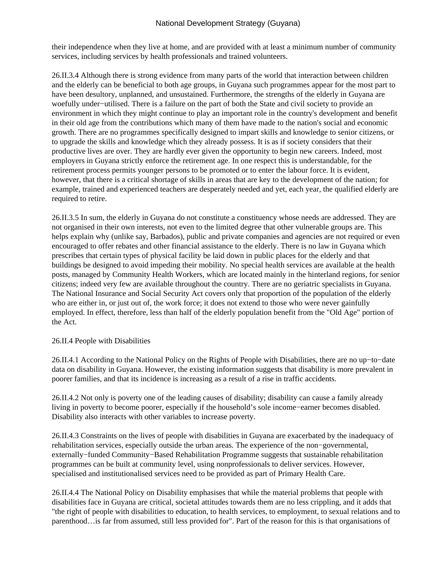their independence when they live at home, and are provided with at least a minimum number of community services, including services by health professionals and trained volunteers.

26.II.3.4 Although there is strong evidence from many parts of the world that interaction between children and the elderly can be beneficial to both age groups, in Guyana such programmes appear for the most part to have been desultory, unplanned, and unsustained. Furthermore, the strengths of the elderly in Guyana are woefully under−utilised. There is a failure on the part of both the State and civil society to provide an environment in which they might continue to play an important role in the country's development and benefit in their old age from the contributions which many of them have made to the nation's social and economic growth. There are no programmes specifically designed to impart skills and knowledge to senior citizens, or to upgrade the skills and knowledge which they already possess. It is as if society considers that their productive lives are over. They are hardly ever given the opportunity to begin new careers. Indeed, most employers in Guyana strictly enforce the retirement age. In one respect this is understandable, for the retirement process permits younger persons to be promoted or to enter the labour force. It is evident, however, that there is a critical shortage of skills in areas that are key to the development of the nation; for example, trained and experienced teachers are desperately needed and yet, each year, the qualified elderly are required to retire.

26.II.3.5 In sum, the elderly in Guyana do not constitute a constituency whose needs are addressed. They are not organised in their own interests, not even to the limited degree that other vulnerable groups are. This helps explain why (unlike say, Barbados), public and private companies and agencies are not required or even encouraged to offer rebates and other financial assistance to the elderly. There is no law in Guyana which prescribes that certain types of physical facility be laid down in public places for the elderly and that buildings be designed to avoid impeding their mobility. No special health services are available at the health posts, managed by Community Health Workers, which are located mainly in the hinterland regions, for senior citizens; indeed very few are available throughout the country. There are no geriatric specialists in Guyana. The National Insurance and Social Security Act covers only that proportion of the population of the elderly who are either in, or just out of, the work force; it does not extend to those who were never gainfully employed. In effect, therefore, less than half of the elderly population benefit from the "Old Age" portion of the Act.

#### 26.II.4 People with Disabilities

26.II.4.1 According to the National Policy on the Rights of People with Disabilities, there are no up−to−date data on disability in Guyana. However, the existing information suggests that disability is more prevalent in poorer families, and that its incidence is increasing as a result of a rise in traffic accidents.

26.II.4.2 Not only is poverty one of the leading causes of disability; disability can cause a family already living in poverty to become poorer, especially if the household's sole income−earner becomes disabled. Disability also interacts with other variables to increase poverty.

26.II.4.3 Constraints on the lives of people with disabilities in Guyana are exacerbated by the inadequacy of rehabilitation services, especially outside the urban areas. The experience of the non−governmental, externally−funded Community−Based Rehabilitation Programme suggests that sustainable rehabilitation programmes can be built at community level, using nonprofessionals to deliver services. However, specialised and institutionalised services need to be provided as part of Primary Health Care.

26.II.4.4 The National Policy on Disability emphasises that while the material problems that people with disabilities face in Guyana are critical, societal attitudes towards them are no less crippling, and it adds that "the right of people with disabilities to education, to health services, to employment, to sexual relations and to parenthood…is far from assumed, still less provided for". Part of the reason for this is that organisations of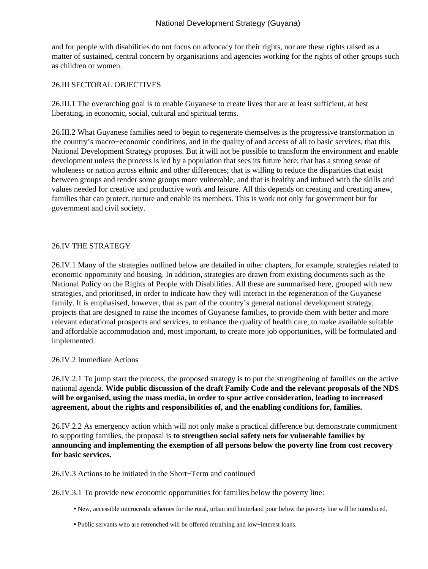and for people with disabilities do not focus on advocacy for their rights, nor are these rights raised as a matter of sustained, central concern by organisations and agencies working for the rights of other groups such as children or women.

#### 26.III SECTORAL OBJECTIVES

26.III.1 The overarching goal is to enable Guyanese to create lives that are at least sufficient, at best liberating, in economic, social, cultural and spiritual terms.

26.III.2 What Guyanese families need to begin to regenerate themselves is the progressive transformation in the country's macro−economic conditions, and in the quality of and access of all to basic services, that this National Development Strategy proposes. But it will not be possible to transform the environment and enable development unless the process is led by a population that sees its future here; that has a strong sense of wholeness or nation across ethnic and other differences; that is willing to reduce the disparities that exist between groups and render some groups more vulnerable; and that is healthy and imbued with the skills and values needed for creative and productive work and leisure. All this depends on creating and creating anew, families that can protect, nurture and enable its members. This is work not only for government but for government and civil society.

#### 26.IV THE STRATEGY

26.IV.1 Many of the strategies outlined below are detailed in other chapters, for example, strategies related to economic opportunity and housing. In addition, strategies are drawn from existing documents such as the National Policy on the Rights of People with Disabilities. All these are summarised here, grouped with new strategies, and prioritised, in order to indicate how they will interact in the regeneration of the Guyanese family. It is emphasised, however, that as part of the country's general national development strategy, projects that are designed to raise the incomes of Guyanese families, to provide them with better and more relevant educational prospects and services, to enhance the quality of health care, to make available suitable and affordable accommodation and, most important, to create more job opportunities, will be formulated and implemented.

#### 26.IV.2 Immediate Actions

26.IV.2.1 To jump start the process, the proposed strategy is to put the strengthening of families on the active national agenda. **Wide public discussion of the draft Family Code and the relevant proposals of the NDS will be organised, using the mass media, in order to spur active consideration, leading to increased agreement, about the rights and responsibilities of, and the enabling conditions for, families.**

26.IV.2.2 As emergency action which will not only make a practical difference but demonstrate commitment to supporting families, the proposal is **to strengthen social safety nets for vulnerable families by announcing and implementing the exemption of all persons below the poverty line from cost recovery for basic services.**

26.IV.3 Actions to be initiated in the Short−Term and continued

26.IV.3.1 To provide new economic opportunities for families below the poverty line:

- New, accessible microcredit schemes for the rural, urban and hinterland poor below the poverty line will be introduced.
- Public servants who are retrenched will be offered retraining and low−interest loans.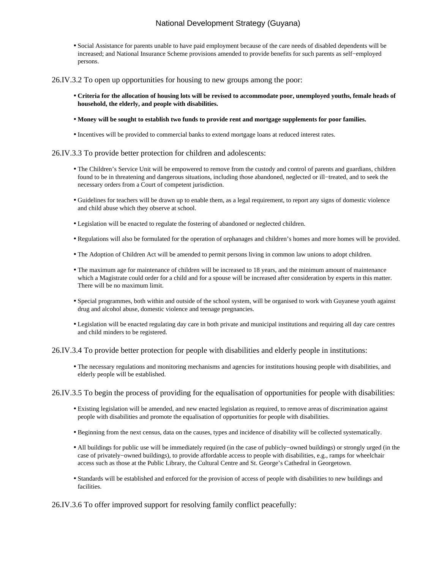• Social Assistance for parents unable to have paid employment because of the care needs of disabled dependents will be increased; and National Insurance Scheme provisions amended to provide benefits for such parents as self−employed persons.

26.IV.3.2 To open up opportunities for housing to new groups among the poor:

- **Criteria for the allocation of housing lots will be revised to accommodate poor, unemployed youths, female heads of household, the elderly, and people with disabilities.**
- **Money will be sought to establish two funds to provide rent and mortgage supplements for poor families.**
- Incentives will be provided to commercial banks to extend mortgage loans at reduced interest rates.

#### 26.IV.3.3 To provide better protection for children and adolescents:

- The Children's Service Unit will be empowered to remove from the custody and control of parents and guardians, children found to be in threatening and dangerous situations, including those abandoned, neglected or ill−treated, and to seek the necessary orders from a Court of competent jurisdiction.
- Guidelines for teachers will be drawn up to enable them, as a legal requirement, to report any signs of domestic violence and child abuse which they observe at school.
- Legislation will be enacted to regulate the fostering of abandoned or neglected children.
- Regulations will also be formulated for the operation of orphanages and children's homes and more homes will be provided.
- The Adoption of Children Act will be amended to permit persons living in common law unions to adopt children.
- The maximum age for maintenance of children will be increased to 18 years, and the minimum amount of maintenance which a Magistrate could order for a child and for a spouse will be increased after consideration by experts in this matter. There will be no maximum limit.
- Special programmes, both within and outside of the school system, will be organised to work with Guyanese youth against drug and alcohol abuse, domestic violence and teenage pregnancies.
- Legislation will be enacted regulating day care in both private and municipal institutions and requiring all day care centres and child minders to be registered.

#### 26.IV.3.4 To provide better protection for people with disabilities and elderly people in institutions:

- The necessary regulations and monitoring mechanisms and agencies for institutions housing people with disabilities, and elderly people will be established.
- 26.IV.3.5 To begin the process of providing for the equalisation of opportunities for people with disabilities:
	- Existing legislation will be amended, and new enacted legislation as required, to remove areas of discrimination against people with disabilities and promote the equalisation of opportunities for people with disabilities.
	- Beginning from the next census, data on the causes, types and incidence of disability will be collected systematically.
	- All buildings for public use will be immediately required (in the case of publicly−owned buildings) or strongly urged (in the case of privately−owned buildings), to provide affordable access to people with disabilities, e.g., ramps for wheelchair access such as those at the Public Library, the Cultural Centre and St. George's Cathedral in Georgetown.
	- Standards will be established and enforced for the provision of access of people with disabilities to new buildings and facilities.

26.IV.3.6 To offer improved support for resolving family conflict peacefully: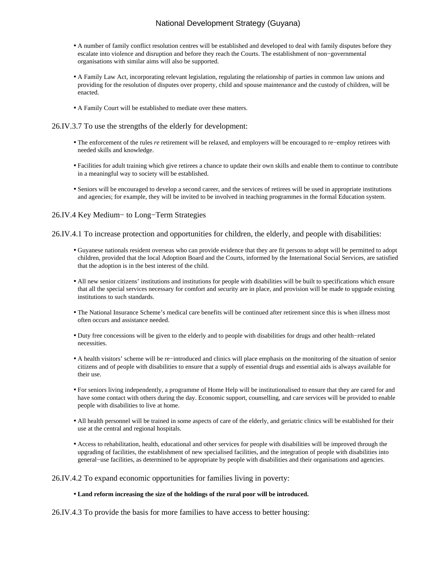- A number of family conflict resolution centres will be established and developed to deal with family disputes before they escalate into violence and disruption and before they reach the Courts. The establishment of non−governmental organisations with similar aims will also be supported.
- A Family Law Act, incorporating relevant legislation, regulating the relationship of parties in common law unions and providing for the resolution of disputes over property, child and spouse maintenance and the custody of children, will be enacted.
- A Family Court will be established to mediate over these matters.

26.IV.3.7 To use the strengths of the elderly for development:

- The enforcement of the rules *re* retirement will be relaxed, and employers will be encouraged to re−employ retirees with needed skills and knowledge.
- Facilities for adult training which give retirees a chance to update their own skills and enable them to continue to contribute in a meaningful way to society will be established.
- Seniors will be encouraged to develop a second career, and the services of retirees will be used in appropriate institutions and agencies; for example, they will be invited to be involved in teaching programmes in the formal Education system.

#### 26.IV.4 Key Medium− to Long−Term Strategies

26.IV.4.1 To increase protection and opportunities for children, the elderly, and people with disabilities:

- Guyanese nationals resident overseas who can provide evidence that they are fit persons to adopt will be permitted to adopt children, provided that the local Adoption Board and the Courts, informed by the International Social Services, are satisfied that the adoption is in the best interest of the child.
- All new senior citizens' institutions and institutions for people with disabilities will be built to specifications which ensure that all the special services necessary for comfort and security are in place, and provision will be made to upgrade existing institutions to such standards.
- The National Insurance Scheme's medical care benefits will be continued after retirement since this is when illness most often occurs and assistance needed.
- Duty free concessions will be given to the elderly and to people with disabilities for drugs and other health−related necessities.
- A health visitors' scheme will be re−introduced and clinics will place emphasis on the monitoring of the situation of senior citizens and of people with disabilities to ensure that a supply of essential drugs and essential aids is always available for their use.
- For seniors living independently, a programme of Home Help will be institutionalised to ensure that they are cared for and have some contact with others during the day. Economic support, counselling, and care services will be provided to enable people with disabilities to live at home.
- All health personnel will be trained in some aspects of care of the elderly, and geriatric clinics will be established for their use at the central and regional hospitals.
- Access to rehabilitation, health, educational and other services for people with disabilities will be improved through the upgrading of facilities, the establishment of new specialised facilities, and the integration of people with disabilities into general−use facilities, as determined to be appropriate by people with disabilities and their organisations and agencies.

#### 26.IV.4.2 To expand economic opportunities for families living in poverty:

#### • **Land reform increasing the size of the holdings of the rural poor will be introduced.**

26.IV.4.3 To provide the basis for more families to have access to better housing: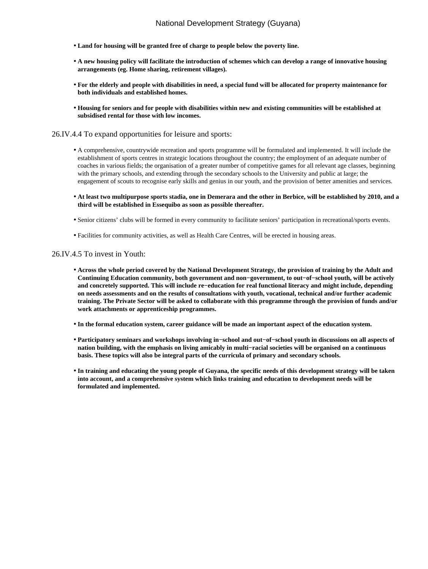- **Land for housing will be granted free of charge to people below the poverty line.**
- **A new housing policy will facilitate the introduction of schemes which can develop a range of innovative housing arrangements (eg. Home sharing, retirement villages).**
- **For the elderly and people with disabilities in need, a special fund will be allocated for property maintenance for both individuals and established homes.**
- **Housing for seniors and for people with disabilities within new and existing communities will be established at subsidised rental for those with low incomes.**

26.IV.4.4 To expand opportunities for leisure and sports:

- A comprehensive, countrywide recreation and sports programme will be formulated and implemented. It will include the establishment of sports centres in strategic locations throughout the country; the employment of an adequate number of coaches in various fields; the organisation of a greater number of competitive games for all relevant age classes, beginning with the primary schools, and extending through the secondary schools to the University and public at large; the engagement of scouts to recognise early skills and genius in our youth, and the provision of better amenities and services.
- **At least two multipurpose sports stadia, one in Demerara and the other in Berbice, will be established by 2010, and a third will be established in Essequibo as soon as possible thereafter.**
- Senior citizens' clubs will be formed in every community to facilitate seniors' participation in recreational/sports events.
- Facilities for community activities, as well as Health Care Centres, will be erected in housing areas.

#### 26.IV.4.5 To invest in Youth:

- **Across the whole period covered by the National Development Strategy, the provision of training by the Adult and Continuing Education community, both government and non−government, to out−of−school youth, will be actively and concretely supported. This will include re−education for real functional literacy and might include, depending on needs assessments and on the results of consultations with youth, vocational, technical and/or further academic training. The Private Sector will be asked to collaborate with this programme through the provision of funds and/or work attachments or apprenticeship programmes.**
- **In the formal education system, career guidance will be made an important aspect of the education system.**
- **Participatory seminars and workshops involving in−school and out−of−school youth in discussions on all aspects of nation building, with the emphasis on living amicably in multi−racial societies will be organised on a continuous basis. These topics will also be integral parts of the curricula of primary and secondary schools.**
- **In training and educating the young people of Guyana, the specific needs of this development strategy will be taken into account, and a comprehensive system which links training and education to development needs will be formulated and implemented.**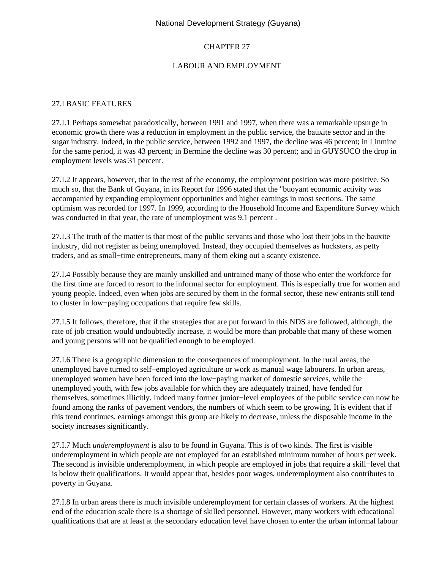# CHAPTER 27

## LABOUR AND EMPLOYMENT

#### 27.I BASIC FEATURES

27.I.1 Perhaps somewhat paradoxically, between 1991 and 1997, when there was a remarkable upsurge in economic growth there was a reduction in employment in the public service, the bauxite sector and in the sugar industry. Indeed, in the public service, between 1992 and 1997, the decline was 46 percent; in Linmine for the same period, it was 43 percent; in Bermine the decline was 30 percent; and in GUYSUCO the drop in employment levels was 31 percent.

27.I.2 It appears, however, that in the rest of the economy, the employment position was more positive. So much so, that the Bank of Guyana, in its Report for 1996 stated that the "buoyant economic activity was accompanied by expanding employment opportunities and higher earnings in most sections. The same optimism was recorded for 1997. In 1999, according to the Household Income and Expenditure Survey which was conducted in that year, the rate of unemployment was 9.1 percent .

27.I.3 The truth of the matter is that most of the public servants and those who lost their jobs in the bauxite industry, did not register as being unemployed. Instead, they occupied themselves as hucksters, as petty traders, and as small−time entrepreneurs, many of them eking out a scanty existence.

27.I.4 Possibly because they are mainly unskilled and untrained many of those who enter the workforce for the first time are forced to resort to the informal sector for employment. This is especially true for women and young people. Indeed, even when jobs are secured by them in the formal sector, these new entrants still tend to cluster in low−paying occupations that require few skills.

27.I.5 It follows, therefore, that if the strategies that are put forward in this NDS are followed, although, the rate of job creation would undoubtedly increase, it would be more than probable that many of these women and young persons will not be qualified enough to be employed.

27.I.6 There is a geographic dimension to the consequences of unemployment. In the rural areas, the unemployed have turned to self−employed agriculture or work as manual wage labourers. In urban areas, unemployed women have been forced into the low−paying market of domestic services, while the unemployed youth, with few jobs available for which they are adequately trained, have fended for themselves, sometimes illicitly. Indeed many former junior−level employees of the public service can now be found among the ranks of pavement vendors, the numbers of which seem to be growing. It is evident that if this trend continues, earnings amongst this group are likely to decrease, unless the disposable income in the society increases significantly.

27.I.7 Much *underemployment* is also to be found in Guyana. This is of two kinds. The first is visible underemployment in which people are not employed for an established minimum number of hours per week. The second is invisible underemployment, in which people are employed in jobs that require a skill–level that is below their qualifications. It would appear that, besides poor wages, underemployment also contributes to poverty in Guyana.

27.I.8 In urban areas there is much invisible underemployment for certain classes of workers. At the highest end of the education scale there is a shortage of skilled personnel. However, many workers with educational qualifications that are at least at the secondary education level have chosen to enter the urban informal labour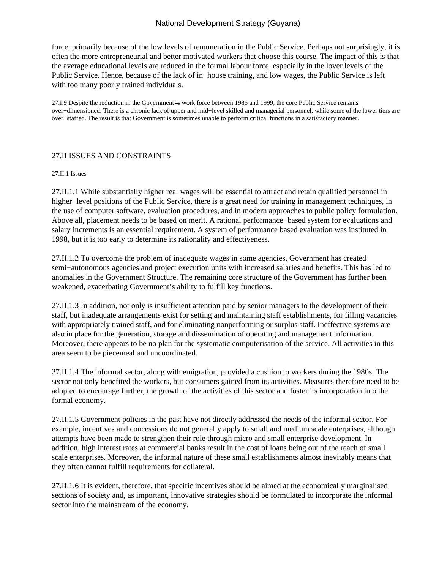force, primarily because of the low levels of remuneration in the Public Service. Perhaps not surprisingly, it is often the more entrepreneurial and better motivated workers that choose this course. The impact of this is that the average educational levels are reduced in the formal labour force, especially in the lover levels of the Public Service. Hence, because of the lack of in−house training, and low wages, the Public Service is left with too many poorly trained individuals.

27.I.9 Despite the reduction in the Government=s work force between 1986 and 1999, the core Public Service remains over−dimensioned. There is a chronic lack of upper and mid−level skilled and managerial personnel, while some of the lower tiers are over−staffed. The result is that Government is sometimes unable to perform critical functions in a satisfactory manner.

### 27.II ISSUES AND CONSTRAINTS

#### 27.II.1 Issues

27.II.1.1 While substantially higher real wages will be essential to attract and retain qualified personnel in higher−level positions of the Public Service, there is a great need for training in management techniques, in the use of computer software, evaluation procedures, and in modern approaches to public policy formulation. Above all, placement needs to be based on merit. A rational performance−based system for evaluations and salary increments is an essential requirement. A system of performance based evaluation was instituted in 1998, but it is too early to determine its rationality and effectiveness.

27.II.1.2 To overcome the problem of inadequate wages in some agencies, Government has created semi−autonomous agencies and project execution units with increased salaries and benefits. This has led to anomalies in the Government Structure. The remaining core structure of the Government has further been weakened, exacerbating Government's ability to fulfill key functions.

27.II.1.3 In addition, not only is insufficient attention paid by senior managers to the development of their staff, but inadequate arrangements exist for setting and maintaining staff establishments, for filling vacancies with appropriately trained staff, and for eliminating nonperforming or surplus staff. Ineffective systems are also in place for the generation, storage and dissemination of operating and management information. Moreover, there appears to be no plan for the systematic computerisation of the service. All activities in this area seem to be piecemeal and uncoordinated.

27.II.1.4 The informal sector, along with emigration, provided a cushion to workers during the 1980s. The sector not only benefited the workers, but consumers gained from its activities. Measures therefore need to be adopted to encourage further, the growth of the activities of this sector and foster its incorporation into the formal economy.

27.II.1.5 Government policies in the past have not directly addressed the needs of the informal sector. For example, incentives and concessions do not generally apply to small and medium scale enterprises, although attempts have been made to strengthen their role through micro and small enterprise development. In addition, high interest rates at commercial banks result in the cost of loans being out of the reach of small scale enterprises. Moreover, the informal nature of these small establishments almost inevitably means that they often cannot fulfill requirements for collateral.

27.II.1.6 It is evident, therefore, that specific incentives should be aimed at the economically marginalised sections of society and, as important, innovative strategies should be formulated to incorporate the informal sector into the mainstream of the economy.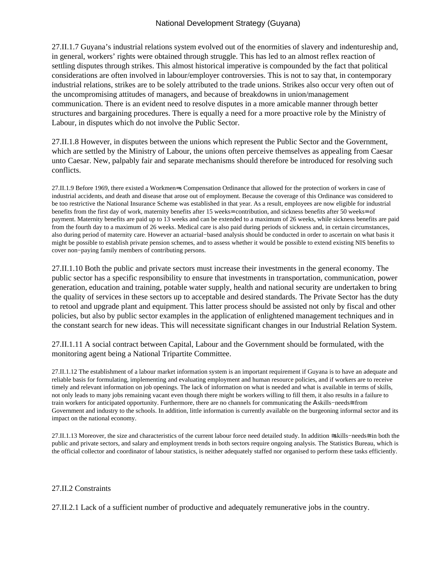27.II.1.7 Guyana's industrial relations system evolved out of the enormities of slavery and indentureship and, in general, workers' rights were obtained through struggle. This has led to an almost reflex reaction of settling disputes through strikes. This almost historical imperative is compounded by the fact that political considerations are often involved in labour/employer controversies. This is not to say that, in contemporary industrial relations, strikes are to be solely attributed to the trade unions. Strikes also occur very often out of the uncompromising attitudes of managers, and because of breakdowns in union/management communication. There is an evident need to resolve disputes in a more amicable manner through better structures and bargaining procedures. There is equally a need for a more proactive role by the Ministry of Labour, in disputes which do not involve the Public Sector.

27.II.1.8 However, in disputes between the unions which represent the Public Sector and the Government, which are settled by the Ministry of Labour, the unions often perceive themselves as appealing from Caesar unto Caesar. New, palpably fair and separate mechanisms should therefore be introduced for resolving such conflicts.

27.II.1.9 Before 1969, there existed a Workmen=s Compensation Ordinance that allowed for the protection of workers in case of industrial accidents, and death and disease that arose out of employment. Because the coverage of this Ordinance was considered to be too restrictive the National Insurance Scheme was established in that year. As a result, employees are now eligible for industrial benefits from the first day of work, maternity benefits after 15 weeks= contribution, and sickness benefits after 50 weeks= of payment. Maternity benefits are paid up to 13 weeks and can be extended to a maximum of 26 weeks, while sickness benefits are paid from the fourth day to a maximum of 26 weeks. Medical care is also paid during periods of sickness and, in certain circumstances, also during period of maternity care. However an actuarial−based analysis should be conducted in order to ascertain on what basis it might be possible to establish private pension schemes, and to assess whether it would be possible to extend existing NIS benefits to cover non−paying family members of contributing persons.

27.II.1.10 Both the public and private sectors must increase their investments in the general economy. The public sector has a specific responsibility to ensure that investments in transportation, communication, power generation, education and training, potable water supply, health and national security are undertaken to bring the quality of services in these sectors up to acceptable and desired standards. The Private Sector has the duty to retool and upgrade plant and equipment. This latter process should be assisted not only by fiscal and other policies, but also by public sector examples in the application of enlightened management techniques and in the constant search for new ideas. This will necessitate significant changes in our Industrial Relation System.

27.II.1.11 A social contract between Capital, Labour and the Government should be formulated, with the monitoring agent being a National Tripartite Committee.

27.II.1.12 The establishment of a labour market information system is an important requirement if Guyana is to have an adequate and reliable basis for formulating, implementing and evaluating employment and human resource policies, and if workers are to receive timely and relevant information on job openings. The lack of information on what is needed and what is available in terms of skills, not only leads to many jobs remaining vacant even though there might be workers willing to fill them, it also results in a failure to train workers for anticipated opportunity. Furthermore, there are no channels for communicating the Αskills−needs≅ from Government and industry to the schools. In addition, little information is currently available on the burgeoning informal sector and its impact on the national economy.

27.II.1.13 Moreover, the size and characteristics of the current labour force need detailed study. In addition ≅skills−needs≅ in both the public and private sectors, and salary and employment trends in both sectors require ongoing analysis. The Statistics Bureau, which is the official collector and coordinator of labour statistics, is neither adequately staffed nor organised to perform these tasks efficiently.

#### 27.II.2 Constraints

27.II.2.1 Lack of a sufficient number of productive and adequately remunerative jobs in the country.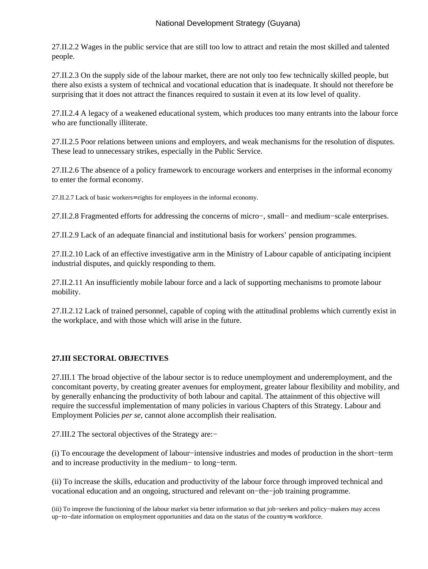27.II.2.2 Wages in the public service that are still too low to attract and retain the most skilled and talented people.

27.II.2.3 On the supply side of the labour market, there are not only too few technically skilled people, but there also exists a system of technical and vocational education that is inadequate. It should not therefore be surprising that it does not attract the finances required to sustain it even at its low level of quality.

27.II.2.4 A legacy of a weakened educational system, which produces too many entrants into the labour force who are functionally illiterate.

27.II.2.5 Poor relations between unions and employers, and weak mechanisms for the resolution of disputes. These lead to unnecessary strikes, especially in the Public Service.

27.II.2.6 The absence of a policy framework to encourage workers and enterprises in the informal economy to enter the formal economy.

27.II.2.7 Lack of basic workers= rights for employees in the informal economy.

27.II.2.8 Fragmented efforts for addressing the concerns of micro−, small− and medium−scale enterprises.

27.II.2.9 Lack of an adequate financial and institutional basis for workers' pension programmes.

27.II.2.10 Lack of an effective investigative arm in the Ministry of Labour capable of anticipating incipient industrial disputes, and quickly responding to them.

27.II.2.11 An insufficiently mobile labour force and a lack of supporting mechanisms to promote labour mobility.

27.II.2.12 Lack of trained personnel, capable of coping with the attitudinal problems which currently exist in the workplace, and with those which will arise in the future.

## **27.III SECTORAL OBJECTIVES**

27.III.1 The broad objective of the labour sector is to reduce unemployment and underemployment, and the concomitant poverty, by creating greater avenues for employment, greater labour flexibility and mobility, and by generally enhancing the productivity of both labour and capital. The attainment of this objective will require the successful implementation of many policies in various Chapters of this Strategy. Labour and Employment Policies *per se*, cannot alone accomplish their realisation.

27.III.2 The sectoral objectives of the Strategy are:−

(i) To encourage the development of labour−intensive industries and modes of production in the short−term and to increase productivity in the medium− to long−term.

(ii) To increase the skills, education and productivity of the labour force through improved technical and vocational education and an ongoing, structured and relevant on−the−job training programme.

(iii) To improve the functioning of the labour market via better information so that job−seekers and policy−makers may access up−to−date information on employment opportunities and data on the status of the country=s workforce.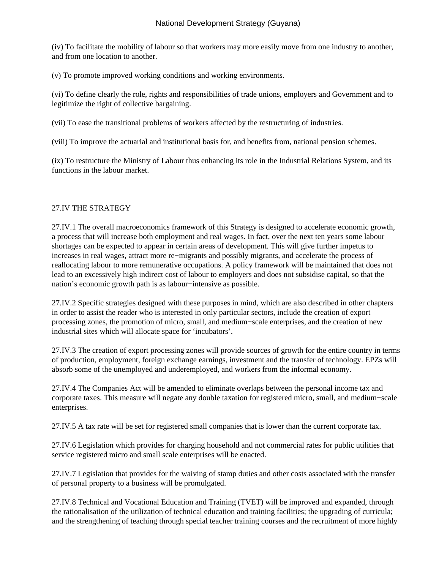(iv) To facilitate the mobility of labour so that workers may more easily move from one industry to another, and from one location to another.

(v) To promote improved working conditions and working environments.

(vi) To define clearly the role, rights and responsibilities of trade unions, employers and Government and to legitimize the right of collective bargaining.

(vii) To ease the transitional problems of workers affected by the restructuring of industries.

(viii) To improve the actuarial and institutional basis for, and benefits from, national pension schemes.

(ix) To restructure the Ministry of Labour thus enhancing its role in the Industrial Relations System, and its functions in the labour market.

## 27.IV THE STRATEGY

27.IV.1 The overall macroeconomics framework of this Strategy is designed to accelerate economic growth, a process that will increase both employment and real wages. In fact, over the next ten years some labour shortages can be expected to appear in certain areas of development. This will give further impetus to increases in real wages, attract more re−migrants and possibly migrants, and accelerate the process of reallocating labour to more remunerative occupations. A policy framework will be maintained that does not lead to an excessively high indirect cost of labour to employers and does not subsidise capital, so that the nation's economic growth path is as labour−intensive as possible.

27.IV.2 Specific strategies designed with these purposes in mind, which are also described in other chapters in order to assist the reader who is interested in only particular sectors, include the creation of export processing zones, the promotion of micro, small, and medium−scale enterprises, and the creation of new industrial sites which will allocate space for 'incubators'.

27.IV.3 The creation of export processing zones will provide sources of growth for the entire country in terms of production, employment, foreign exchange earnings, investment and the transfer of technology. EPZs will absorb some of the unemployed and underemployed, and workers from the informal economy.

27.IV.4 The Companies Act will be amended to eliminate overlaps between the personal income tax and corporate taxes. This measure will negate any double taxation for registered micro, small, and medium−scale enterprises.

27.IV.5 A tax rate will be set for registered small companies that is lower than the current corporate tax.

27.IV.6 Legislation which provides for charging household and not commercial rates for public utilities that service registered micro and small scale enterprises will be enacted.

27.IV.7 Legislation that provides for the waiving of stamp duties and other costs associated with the transfer of personal property to a business will be promulgated.

27.IV.8 Technical and Vocational Education and Training (TVET) will be improved and expanded, through the rationalisation of the utilization of technical education and training facilities; the upgrading of curricula; and the strengthening of teaching through special teacher training courses and the recruitment of more highly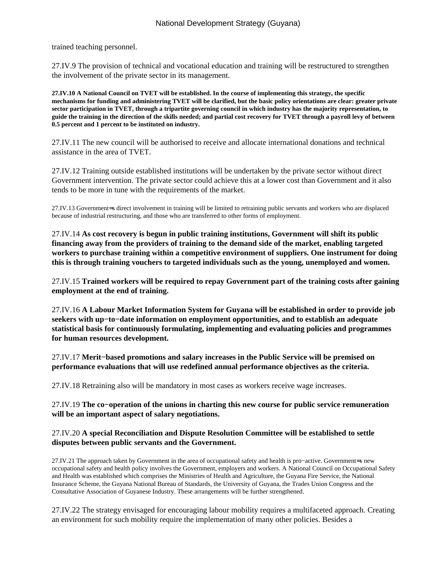trained teaching personnel.

27.IV.9 The provision of technical and vocational education and training will be restructured to strengthen the involvement of the private sector in its management.

**27.IV.10 A National Council on TVET will be established. In the course of implementing this strategy, the specific mechanisms for funding and administering TVET will be clarified, but the basic policy orientations are clear: greater private sector participation in TVET, through a tripartite governing council in which industry has the majority representation, to guide the training in the direction of the skills needed; and partial cost recovery for TVET through a payroll levy of between 0.5 percent and 1 percent to be instituted on industry.**

27.IV.11 The new council will be authorised to receive and allocate international donations and technical assistance in the area of TVET.

27.IV.12 Training outside established institutions will be undertaken by the private sector without direct Government intervention. The private sector could achieve this at a lower cost than Government and it also tends to be more in tune with the requirements of the market.

27.IV.13 Government=s direct involvement in training will be limited to retraining public servants and workers who are displaced because of industrial restructuring, and those who are transferred to other forms of employment.

27.IV.14 **As cost recovery is begun in public training institutions, Government will shift its public financing away from the providers of training to the demand side of the market, enabling targeted workers to purchase training within a competitive environment of suppliers. One instrument for doing this is through training vouchers to targeted individuals such as the young, unemployed and women.**

27.IV.15 **Trained workers will be required to repay Government part of the training costs after gaining employment at the end of training.**

27.IV.16 **A Labour Market Information System for Guyana will be established in order to provide job seekers with up−to−date information on employment opportunities, and to establish an adequate statistical basis for continuously formulating, implementing and evaluating policies and programmes for human resources development.**

27.IV.17 **Merit−based promotions and salary increases in the Public Service will be premised on performance evaluations that will use redefined annual performance objectives as the criteria.**

27.IV.18 Retraining also will be mandatory in most cases as workers receive wage increases.

27.IV.19 **The co−operation of the unions in charting this new course for public service remuneration will be an important aspect of salary negotiations.**

## 27.IV.20 **A special Reconciliation and Dispute Resolution Committee will be established to settle disputes between public servants and the Government.**

27.IV.21 The approach taken by Government in the area of occupational safety and health is pro−active. Government=s new occupational safety and health policy involves the Government, employers and workers. A National Council on Occupational Safety and Health was established which comprises the Ministries of Health and Agriculture, the Guyana Fire Service, the National Insurance Scheme, the Guyana National Bureau of Standards, the University of Guyana, the Trades Union Congress and the Consultative Association of Guyanese Industry. These arrangements will be further strengthened.

27.IV.22 The strategy envisaged for encouraging labour mobility requires a multifaceted approach. Creating an environment for such mobility require the implementation of many other policies. Besides a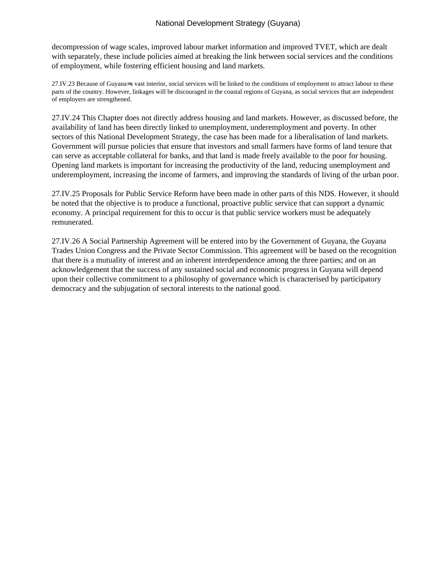decompression of wage scales, improved labour market information and improved TVET, which are dealt with separately, these include policies aimed at breaking the link between social services and the conditions of employment, while fostering efficient housing and land markets.

27.IV.23 Because of Guyana=s vast interior, social services will be linked to the conditions of employment to attract labour to these parts of the country. However, linkages will be discouraged in the coastal regions of Guyana, as social services that are independent of employers are strengthened.

27.IV.24 This Chapter does not directly address housing and land markets. However, as discussed before, the availability of land has been directly linked to unemployment, underemployment and poverty. In other sectors of this National Development Strategy, the case has been made for a liberalisation of land markets. Government will pursue policies that ensure that investors and small farmers have forms of land tenure that can serve as acceptable collateral for banks, and that land is made freely available to the poor for housing. Opening land markets is important for increasing the productivity of the land, reducing unemployment and underemployment, increasing the income of farmers, and improving the standards of living of the urban poor.

27.IV.25 Proposals for Public Service Reform have been made in other parts of this NDS. However, it should be noted that the objective is to produce a functional, proactive public service that can support a dynamic economy. A principal requirement for this to occur is that public service workers must be adequately remunerated.

27.IV.26 A Social Partnership Agreement will be entered into by the Government of Guyana, the Guyana Trades Union Congress and the Private Sector Commission. This agreement will be based on the recognition that there is a mutuality of interest and an inherent interdependence among the three parties; and on an acknowledgement that the success of any sustained social and economic progress in Guyana will depend upon their collective commitment to a philosophy of governance which is characterised by participatory democracy and the subjugation of sectoral interests to the national good.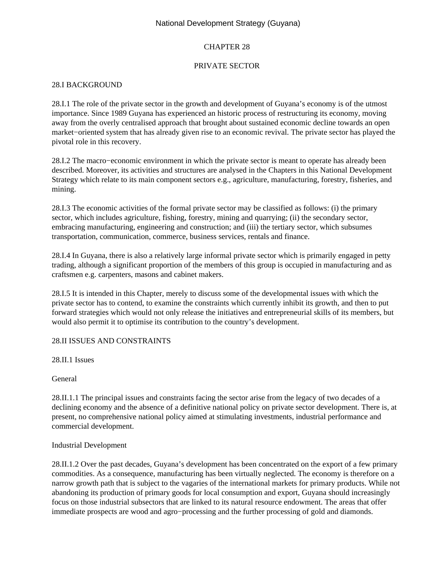### CHAPTER 28

### PRIVATE SECTOR

### 28.I BACKGROUND

28.I.1 The role of the private sector in the growth and development of Guyana's economy is of the utmost importance. Since 1989 Guyana has experienced an historic process of restructuring its economy, moving away from the overly centralised approach that brought about sustained economic decline towards an open market−oriented system that has already given rise to an economic revival. The private sector has played the pivotal role in this recovery.

28.I.2 The macro−economic environment in which the private sector is meant to operate has already been described. Moreover, its activities and structures are analysed in the Chapters in this National Development Strategy which relate to its main component sectors e.g., agriculture, manufacturing, forestry, fisheries, and mining.

28.I.3 The economic activities of the formal private sector may be classified as follows: (i) the primary sector, which includes agriculture, fishing, forestry, mining and quarrying; (ii) the secondary sector, embracing manufacturing, engineering and construction; and (iii) the tertiary sector, which subsumes transportation, communication, commerce, business services, rentals and finance.

28.I.4 In Guyana, there is also a relatively large informal private sector which is primarily engaged in petty trading, although a significant proportion of the members of this group is occupied in manufacturing and as craftsmen e.g. carpenters, masons and cabinet makers.

28.I.5 It is intended in this Chapter, merely to discuss some of the developmental issues with which the private sector has to contend, to examine the constraints which currently inhibit its growth, and then to put forward strategies which would not only release the initiatives and entrepreneurial skills of its members, but would also permit it to optimise its contribution to the country's development.

#### 28.II ISSUES AND CONSTRAINTS

28.II.1 Issues

General

28.II.1.1 The principal issues and constraints facing the sector arise from the legacy of two decades of a declining economy and the absence of a definitive national policy on private sector development. There is, at present, no comprehensive national policy aimed at stimulating investments, industrial performance and commercial development.

#### Industrial Development

28.II.1.2 Over the past decades, Guyana's development has been concentrated on the export of a few primary commodities. As a consequence, manufacturing has been virtually neglected. The economy is therefore on a narrow growth path that is subject to the vagaries of the international markets for primary products. While not abandoning its production of primary goods for local consumption and export, Guyana should increasingly focus on those industrial subsectors that are linked to its natural resource endowment. The areas that offer immediate prospects are wood and agro−processing and the further processing of gold and diamonds.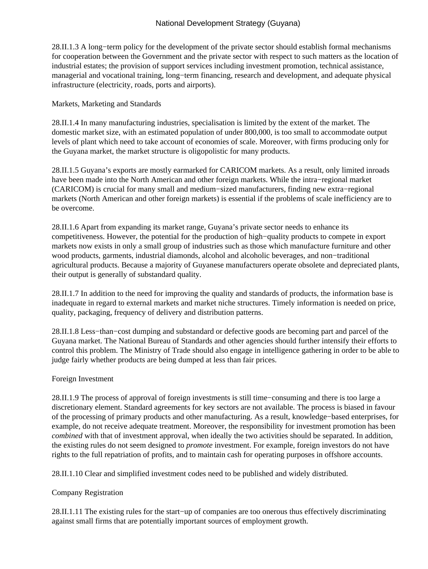28.II.1.3 A long−term policy for the development of the private sector should establish formal mechanisms for cooperation between the Government and the private sector with respect to such matters as the location of industrial estates; the provision of support services including investment promotion, technical assistance, managerial and vocational training, long−term financing, research and development, and adequate physical infrastructure (electricity, roads, ports and airports).

#### Markets, Marketing and Standards

28.II.1.4 In many manufacturing industries, specialisation is limited by the extent of the market. The domestic market size, with an estimated population of under 800,000, is too small to accommodate output levels of plant which need to take account of economies of scale. Moreover, with firms producing only for the Guyana market, the market structure is oligopolistic for many products.

28.II.1.5 Guyana's exports are mostly earmarked for CARICOM markets. As a result, only limited inroads have been made into the North American and other foreign markets. While the intra−regional market (CARICOM) is crucial for many small and medium−sized manufacturers, finding new extra−regional markets (North American and other foreign markets) is essential if the problems of scale inefficiency are to be overcome.

28.II.1.6 Apart from expanding its market range, Guyana's private sector needs to enhance its competitiveness. However, the potential for the production of high−quality products to compete in export markets now exists in only a small group of industries such as those which manufacture furniture and other wood products, garments, industrial diamonds, alcohol and alcoholic beverages, and non−traditional agricultural products. Because a majority of Guyanese manufacturers operate obsolete and depreciated plants, their output is generally of substandard quality.

28.II.1.7 In addition to the need for improving the quality and standards of products, the information base is inadequate in regard to external markets and market niche structures. Timely information is needed on price, quality, packaging, frequency of delivery and distribution patterns.

28.II.1.8 Less−than−cost dumping and substandard or defective goods are becoming part and parcel of the Guyana market. The National Bureau of Standards and other agencies should further intensify their efforts to control this problem. The Ministry of Trade should also engage in intelligence gathering in order to be able to judge fairly whether products are being dumped at less than fair prices.

#### Foreign Investment

28.II.1.9 The process of approval of foreign investments is still time−consuming and there is too large a discretionary element. Standard agreements for key sectors are not available. The process is biased in favour of the processing of primary products and other manufacturing. As a result, knowledge−based enterprises, for example, do not receive adequate treatment. Moreover, the responsibility for investment promotion has been *combined* with that of investment approval, when ideally the two activities should be separated. In addition, the existing rules do not seem designed to *promote* investment. For example, foreign investors do not have rights to the full repatriation of profits, and to maintain cash for operating purposes in offshore accounts.

28.II.1.10 Clear and simplified investment codes need to be published and widely distributed.

#### Company Registration

28.II.1.11 The existing rules for the start−up of companies are too onerous thus effectively discriminating against small firms that are potentially important sources of employment growth.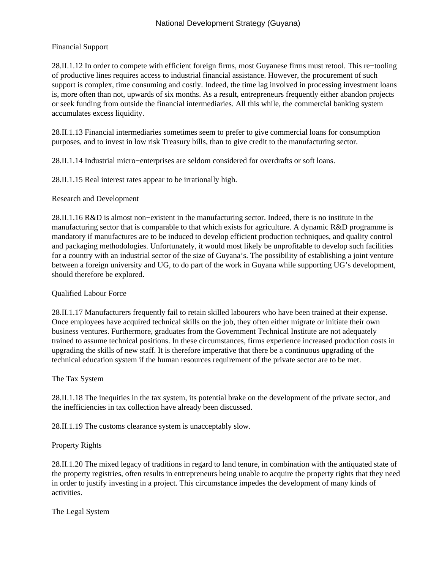## Financial Support

28.II.1.12 In order to compete with efficient foreign firms, most Guyanese firms must retool. This re−tooling of productive lines requires access to industrial financial assistance. However, the procurement of such support is complex, time consuming and costly. Indeed, the time lag involved in processing investment loans is, more often than not, upwards of six months. As a result, entrepreneurs frequently either abandon projects or seek funding from outside the financial intermediaries. All this while, the commercial banking system accumulates excess liquidity.

28.II.1.13 Financial intermediaries sometimes seem to prefer to give commercial loans for consumption purposes, and to invest in low risk Treasury bills, than to give credit to the manufacturing sector.

28.II.1.14 Industrial micro−enterprises are seldom considered for overdrafts or soft loans.

28.II.1.15 Real interest rates appear to be irrationally high.

Research and Development

28.II.1.16 R&D is almost non−existent in the manufacturing sector. Indeed, there is no institute in the manufacturing sector that is comparable to that which exists for agriculture. A dynamic R&D programme is mandatory if manufactures are to be induced to develop efficient production techniques, and quality control and packaging methodologies. Unfortunately, it would most likely be unprofitable to develop such facilities for a country with an industrial sector of the size of Guyana's. The possibility of establishing a joint venture between a foreign university and UG, to do part of the work in Guyana while supporting UG's development, should therefore be explored.

## Qualified Labour Force

28.II.1.17 Manufacturers frequently fail to retain skilled labourers who have been trained at their expense. Once employees have acquired technical skills on the job, they often either migrate or initiate their own business ventures. Furthermore, graduates from the Government Technical Institute are not adequately trained to assume technical positions. In these circumstances, firms experience increased production costs in upgrading the skills of new staff. It is therefore imperative that there be a continuous upgrading of the technical education system if the human resources requirement of the private sector are to be met.

## The Tax System

28.II.1.18 The inequities in the tax system, its potential brake on the development of the private sector, and the inefficiencies in tax collection have already been discussed.

28.II.1.19 The customs clearance system is unacceptably slow.

## Property Rights

28.II.1.20 The mixed legacy of traditions in regard to land tenure, in combination with the antiquated state of the property registries, often results in entrepreneurs being unable to acquire the property rights that they need in order to justify investing in a project. This circumstance impedes the development of many kinds of activities.

The Legal System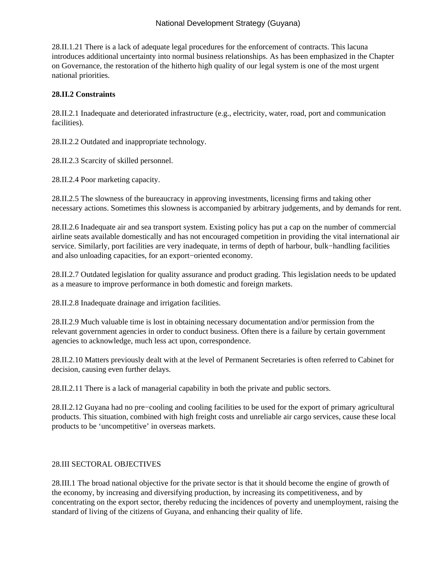28.II.1.21 There is a lack of adequate legal procedures for the enforcement of contracts. This lacuna introduces additional uncertainty into normal business relationships. As has been emphasized in the Chapter on Governance, the restoration of the hitherto high quality of our legal system is one of the most urgent national priorities.

## **28.II.2 Constraints**

28.II.2.1 Inadequate and deteriorated infrastructure (e.g., electricity, water, road, port and communication facilities).

28.II.2.2 Outdated and inappropriate technology.

28.II.2.3 Scarcity of skilled personnel.

28.II.2.4 Poor marketing capacity.

28.II.2.5 The slowness of the bureaucracy in approving investments, licensing firms and taking other necessary actions. Sometimes this slowness is accompanied by arbitrary judgements, and by demands for rent.

28.II.2.6 Inadequate air and sea transport system. Existing policy has put a cap on the number of commercial airline seats available domestically and has not encouraged competition in providing the vital international air service. Similarly, port facilities are very inadequate, in terms of depth of harbour, bulk−handling facilities and also unloading capacities, for an export−oriented economy.

28.II.2.7 Outdated legislation for quality assurance and product grading. This legislation needs to be updated as a measure to improve performance in both domestic and foreign markets.

28.II.2.8 Inadequate drainage and irrigation facilities.

28.II.2.9 Much valuable time is lost in obtaining necessary documentation and/or permission from the relevant government agencies in order to conduct business. Often there is a failure by certain government agencies to acknowledge, much less act upon, correspondence.

28.II.2.10 Matters previously dealt with at the level of Permanent Secretaries is often referred to Cabinet for decision, causing even further delays.

28.II.2.11 There is a lack of managerial capability in both the private and public sectors.

28.II.2.12 Guyana had no pre−cooling and cooling facilities to be used for the export of primary agricultural products. This situation, combined with high freight costs and unreliable air cargo services, cause these local products to be 'uncompetitive' in overseas markets.

## 28.III SECTORAL OBJECTIVES

28.III.1 The broad national objective for the private sector is that it should become the engine of growth of the economy, by increasing and diversifying production, by increasing its competitiveness, and by concentrating on the export sector, thereby reducing the incidences of poverty and unemployment, raising the standard of living of the citizens of Guyana, and enhancing their quality of life.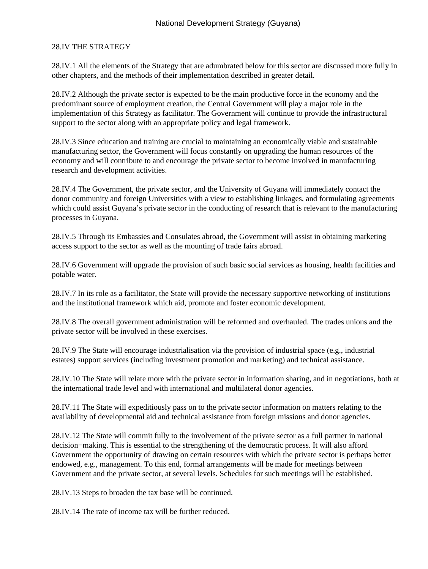### 28.IV THE STRATEGY

28.IV.1 All the elements of the Strategy that are adumbrated below for this sector are discussed more fully in other chapters, and the methods of their implementation described in greater detail.

28.IV.2 Although the private sector is expected to be the main productive force in the economy and the predominant source of employment creation, the Central Government will play a major role in the implementation of this Strategy as facilitator. The Government will continue to provide the infrastructural support to the sector along with an appropriate policy and legal framework.

28.IV.3 Since education and training are crucial to maintaining an economically viable and sustainable manufacturing sector, the Government will focus constantly on upgrading the human resources of the economy and will contribute to and encourage the private sector to become involved in manufacturing research and development activities.

28.IV.4 The Government, the private sector, and the University of Guyana will immediately contact the donor community and foreign Universities with a view to establishing linkages, and formulating agreements which could assist Guyana's private sector in the conducting of research that is relevant to the manufacturing processes in Guyana.

28.IV.5 Through its Embassies and Consulates abroad, the Government will assist in obtaining marketing access support to the sector as well as the mounting of trade fairs abroad.

28.IV.6 Government will upgrade the provision of such basic social services as housing, health facilities and potable water.

28.IV.7 In its role as a facilitator, the State will provide the necessary supportive networking of institutions and the institutional framework which aid, promote and foster economic development.

28.IV.8 The overall government administration will be reformed and overhauled. The trades unions and the private sector will be involved in these exercises.

28.IV.9 The State will encourage industrialisation via the provision of industrial space (e.g., industrial estates) support services (including investment promotion and marketing) and technical assistance.

28.IV.10 The State will relate more with the private sector in information sharing, and in negotiations, both at the international trade level and with international and multilateral donor agencies.

28.IV.11 The State will expeditiously pass on to the private sector information on matters relating to the availability of developmental aid and technical assistance from foreign missions and donor agencies.

28.IV.12 The State will commit fully to the involvement of the private sector as a full partner in national decision−making. This is essential to the strengthening of the democratic process. It will also afford Government the opportunity of drawing on certain resources with which the private sector is perhaps better endowed, e.g., management. To this end, formal arrangements will be made for meetings between Government and the private sector, at several levels. Schedules for such meetings will be established.

28.IV.13 Steps to broaden the tax base will be continued.

28.IV.14 The rate of income tax will be further reduced.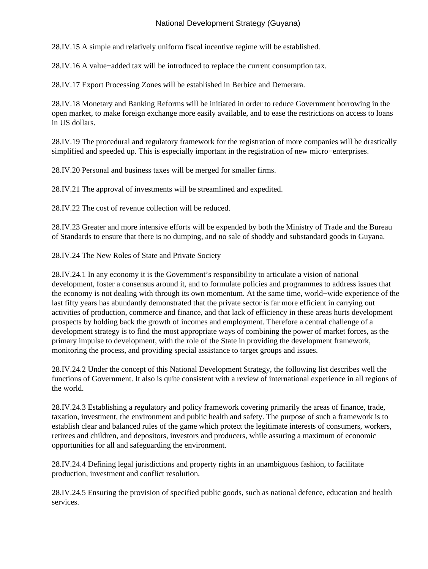28.IV.15 A simple and relatively uniform fiscal incentive regime will be established.

28.IV.16 A value−added tax will be introduced to replace the current consumption tax.

28.IV.17 Export Processing Zones will be established in Berbice and Demerara.

28.IV.18 Monetary and Banking Reforms will be initiated in order to reduce Government borrowing in the open market, to make foreign exchange more easily available, and to ease the restrictions on access to loans in US dollars.

28.IV.19 The procedural and regulatory framework for the registration of more companies will be drastically simplified and speeded up. This is especially important in the registration of new micro−enterprises.

28.IV.20 Personal and business taxes will be merged for smaller firms.

28.IV.21 The approval of investments will be streamlined and expedited.

28.IV.22 The cost of revenue collection will be reduced.

28.IV.23 Greater and more intensive efforts will be expended by both the Ministry of Trade and the Bureau of Standards to ensure that there is no dumping, and no sale of shoddy and substandard goods in Guyana.

28.IV.24 The New Roles of State and Private Society

28.IV.24.1 In any economy it is the Government's responsibility to articulate a vision of national development, foster a consensus around it, and to formulate policies and programmes to address issues that the economy is not dealing with through its own momentum. At the same time, world−wide experience of the last fifty years has abundantly demonstrated that the private sector is far more efficient in carrying out activities of production, commerce and finance, and that lack of efficiency in these areas hurts development prospects by holding back the growth of incomes and employment. Therefore a central challenge of a development strategy is to find the most appropriate ways of combining the power of market forces, as the primary impulse to development, with the role of the State in providing the development framework, monitoring the process, and providing special assistance to target groups and issues.

28.IV.24.2 Under the concept of this National Development Strategy, the following list describes well the functions of Government. It also is quite consistent with a review of international experience in all regions of the world.

28.IV.24.3 Establishing a regulatory and policy framework covering primarily the areas of finance, trade, taxation, investment, the environment and public health and safety. The purpose of such a framework is to establish clear and balanced rules of the game which protect the legitimate interests of consumers, workers, retirees and children, and depositors, investors and producers, while assuring a maximum of economic opportunities for all and safeguarding the environment.

28.IV.24.4 Defining legal jurisdictions and property rights in an unambiguous fashion, to facilitate production, investment and conflict resolution.

28.IV.24.5 Ensuring the provision of specified public goods, such as national defence, education and health services.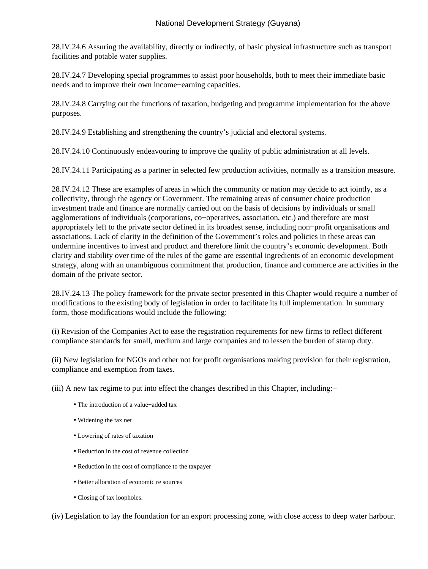28.IV.24.6 Assuring the availability, directly or indirectly, of basic physical infrastructure such as transport facilities and potable water supplies.

28.IV.24.7 Developing special programmes to assist poor households, both to meet their immediate basic needs and to improve their own income−earning capacities.

28.IV.24.8 Carrying out the functions of taxation, budgeting and programme implementation for the above purposes.

28.IV.24.9 Establishing and strengthening the country's judicial and electoral systems.

28.IV.24.10 Continuously endeavouring to improve the quality of public administration at all levels.

28.IV.24.11 Participating as a partner in selected few production activities, normally as a transition measure.

28.IV.24.12 These are examples of areas in which the community or nation may decide to act jointly, as a collectivity, through the agency or Government. The remaining areas of consumer choice production investment trade and finance are normally carried out on the basis of decisions by individuals or small agglomerations of individuals (corporations, co−operatives, association, etc.) and therefore are most appropriately left to the private sector defined in its broadest sense, including non−profit organisations and associations. Lack of clarity in the definition of the Government's roles and policies in these areas can undermine incentives to invest and product and therefore limit the country's economic development. Both clarity and stability over time of the rules of the game are essential ingredients of an economic development strategy, along with an unambiguous commitment that production, finance and commerce are activities in the domain of the private sector.

28.IV.24.13 The policy framework for the private sector presented in this Chapter would require a number of modifications to the existing body of legislation in order to facilitate its full implementation. In summary form, those modifications would include the following:

(i) Revision of the Companies Act to ease the registration requirements for new firms to reflect different compliance standards for small, medium and large companies and to lessen the burden of stamp duty.

(ii) New legislation for NGOs and other not for profit organisations making provision for their registration, compliance and exemption from taxes.

(iii) A new tax regime to put into effect the changes described in this Chapter, including:−

- The introduction of a value−added tax
- Widening the tax net
- Lowering of rates of taxation
- Reduction in the cost of revenue collection
- Reduction in the cost of compliance to the taxpayer
- Better allocation of economic re sources
- Closing of tax loopholes.

(iv) Legislation to lay the foundation for an export processing zone, with close access to deep water harbour.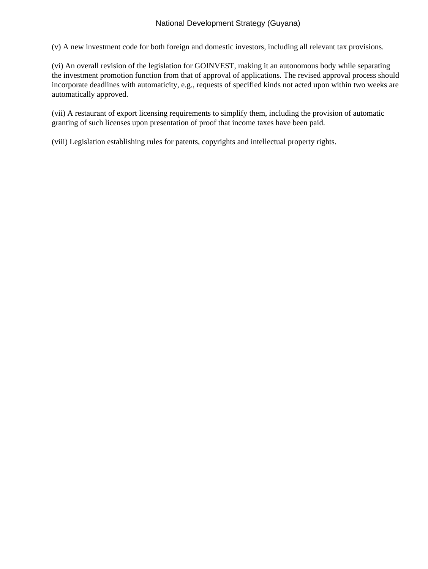(v) A new investment code for both foreign and domestic investors, including all relevant tax provisions.

(vi) An overall revision of the legislation for GOINVEST, making it an autonomous body while separating the investment promotion function from that of approval of applications. The revised approval process should incorporate deadlines with automaticity, e.g., requests of specified kinds not acted upon within two weeks are automatically approved.

(vii) A restaurant of export licensing requirements to simplify them, including the provision of automatic granting of such licenses upon presentation of proof that income taxes have been paid.

(viii) Legislation establishing rules for patents, copyrights and intellectual property rights.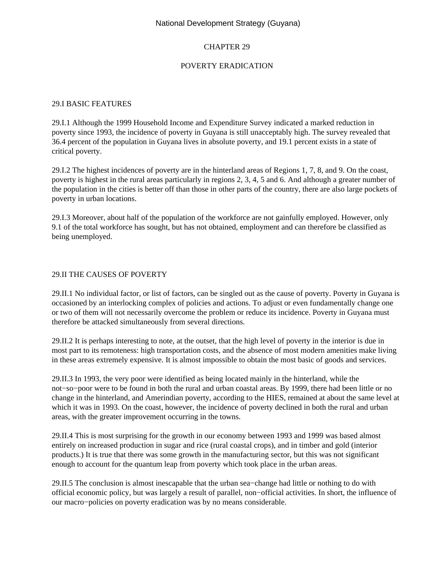## CHAPTER 29

## POVERTY ERADICATION

#### 29.I BASIC FEATURES

29.I.1 Although the 1999 Household Income and Expenditure Survey indicated a marked reduction in poverty since 1993, the incidence of poverty in Guyana is still unacceptably high. The survey revealed that 36.4 percent of the population in Guyana lives in absolute poverty, and 19.1 percent exists in a state of critical poverty.

29.I.2 The highest incidences of poverty are in the hinterland areas of Regions 1, 7, 8, and 9. On the coast, poverty is highest in the rural areas particularly in regions 2, 3, 4, 5 and 6. And although a greater number of the population in the cities is better off than those in other parts of the country, there are also large pockets of poverty in urban locations.

29.I.3 Moreover, about half of the population of the workforce are not gainfully employed. However, only 9.1 of the total workforce has sought, but has not obtained, employment and can therefore be classified as being unemployed.

### 29.II THE CAUSES OF POVERTY

29.II.1 No individual factor, or list of factors, can be singled out as the cause of poverty. Poverty in Guyana is occasioned by an interlocking complex of policies and actions. To adjust or even fundamentally change one or two of them will not necessarily overcome the problem or reduce its incidence. Poverty in Guyana must therefore be attacked simultaneously from several directions.

29.II.2 It is perhaps interesting to note, at the outset, that the high level of poverty in the interior is due in most part to its remoteness: high transportation costs, and the absence of most modern amenities make living in these areas extremely expensive. It is almost impossible to obtain the most basic of goods and services.

29.II.3 In 1993, the very poor were identified as being located mainly in the hinterland, while the not−so−poor were to be found in both the rural and urban coastal areas. By 1999, there had been little or no change in the hinterland, and Amerindian poverty, according to the HIES, remained at about the same level at which it was in 1993. On the coast, however, the incidence of poverty declined in both the rural and urban areas, with the greater improvement occurring in the towns.

29.II.4 This is most surprising for the growth in our economy between 1993 and 1999 was based almost entirely on increased production in sugar and rice (rural coastal crops), and in timber and gold (interior products.) It is true that there was some growth in the manufacturing sector, but this was not significant enough to account for the quantum leap from poverty which took place in the urban areas.

29.II.5 The conclusion is almost inescapable that the urban sea−change had little or nothing to do with official economic policy, but was largely a result of parallel, non−official activities. In short, the influence of our macro−policies on poverty eradication was by no means considerable.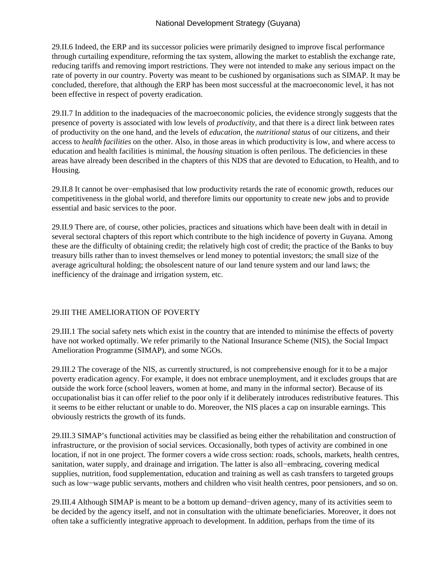29.II.6 Indeed, the ERP and its successor policies were primarily designed to improve fiscal performance through curtailing expenditure, reforming the tax system, allowing the market to establish the exchange rate, reducing tariffs and removing import restrictions. They were not intended to make any serious impact on the rate of poverty in our country. Poverty was meant to be cushioned by organisations such as SIMAP. It may be concluded, therefore, that although the ERP has been most successful at the macroeconomic level, it has not been effective in respect of poverty eradication.

29.II.7 In addition to the inadequacies of the macroeconomic policies, the evidence strongly suggests that the presence of poverty is associated with low levels of *productivity*, and that there is a direct link between rates of productivity on the one hand, and the levels of *education,* the *nutritional status* of our citizens, and their access to *health facilities* on the other. Also, in those areas in which productivity is low, and where access to education and health facilities is minimal, the *housing* situation is often perilous. The deficiencies in these areas have already been described in the chapters of this NDS that are devoted to Education, to Health, and to Housing.

29.II.8 It cannot be over−emphasised that low productivity retards the rate of economic growth, reduces our competitiveness in the global world, and therefore limits our opportunity to create new jobs and to provide essential and basic services to the poor.

29.II.9 There are, of course, other policies, practices and situations which have been dealt with in detail in several sectoral chapters of this report which contribute to the high incidence of poverty in Guyana. Among these are the difficulty of obtaining credit; the relatively high cost of credit; the practice of the Banks to buy treasury bills rather than to invest themselves or lend money to potential investors; the small size of the average agricultural holding; the obsolescent nature of our land tenure system and our land laws; the inefficiency of the drainage and irrigation system, etc.

## 29.III THE AMELIORATION OF POVERTY

29.III.1 The social safety nets which exist in the country that are intended to minimise the effects of poverty have not worked optimally. We refer primarily to the National Insurance Scheme (NIS), the Social Impact Amelioration Programme (SIMAP), and some NGOs.

29.III.2 The coverage of the NIS, as currently structured, is not comprehensive enough for it to be a major poverty eradication agency. For example, it does not embrace unemployment, and it excludes groups that are outside the work force (school leavers, women at home, and many in the informal sector). Because of its occupationalist bias it can offer relief to the poor only if it deliberately introduces redistributive features. This it seems to be either reluctant or unable to do. Moreover, the NIS places a cap on insurable earnings. This obviously restricts the growth of its funds.

29.III.3 SIMAP's functional activities may be classified as being either the rehabilitation and construction of infrastructure, or the provision of social services. Occasionally, both types of activity are combined in one location, if not in one project. The former covers a wide cross section: roads, schools, markets, health centres, sanitation, water supply, and drainage and irrigation. The latter is also all−embracing, covering medical supplies, nutrition, food supplementation, education and training as well as cash transfers to targeted groups such as low−wage public servants, mothers and children who visit health centres, poor pensioners, and so on.

29.III.4 Although SIMAP is meant to be a bottom up demand−driven agency, many of its activities seem to be decided by the agency itself, and not in consultation with the ultimate beneficiaries. Moreover, it does not often take a sufficiently integrative approach to development. In addition, perhaps from the time of its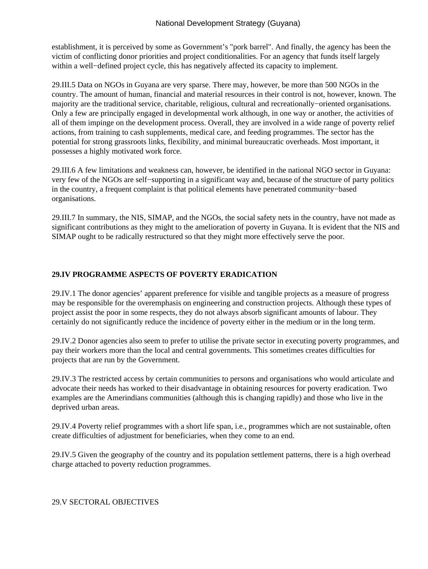establishment, it is perceived by some as Government's "pork barrel". And finally, the agency has been the victim of conflicting donor priorities and project conditionalities. For an agency that funds itself largely within a well−defined project cycle, this has negatively affected its capacity to implement.

29.III.5 Data on NGOs in Guyana are very sparse. There may, however, be more than 500 NGOs in the country. The amount of human, financial and material resources in their control is not, however, known. The majority are the traditional service, charitable, religious, cultural and recreationally−oriented organisations. Only a few are principally engaged in developmental work although, in one way or another, the activities of all of them impinge on the development process. Overall, they are involved in a wide range of poverty relief actions, from training to cash supplements, medical care, and feeding programmes. The sector has the potential for strong grassroots links, flexibility, and minimal bureaucratic overheads. Most important, it possesses a highly motivated work force.

29.III.6 A few limitations and weakness can, however, be identified in the national NGO sector in Guyana: very few of the NGOs are self−supporting in a significant way and, because of the structure of party politics in the country, a frequent complaint is that political elements have penetrated community−based organisations.

29.III.7 In summary, the NIS, SIMAP, and the NGOs, the social safety nets in the country, have not made as significant contributions as they might to the amelioration of poverty in Guyana. It is evident that the NIS and SIMAP ought to be radically restructured so that they might more effectively serve the poor.

# **29.IV PROGRAMME ASPECTS OF POVERTY ERADICATION**

29.IV.1 The donor agencies' apparent preference for visible and tangible projects as a measure of progress may be responsible for the overemphasis on engineering and construction projects. Although these types of project assist the poor in some respects, they do not always absorb significant amounts of labour. They certainly do not significantly reduce the incidence of poverty either in the medium or in the long term.

29.IV.2 Donor agencies also seem to prefer to utilise the private sector in executing poverty programmes, and pay their workers more than the local and central governments. This sometimes creates difficulties for projects that are run by the Government.

29.IV.3 The restricted access by certain communities to persons and organisations who would articulate and advocate their needs has worked to their disadvantage in obtaining resources for poverty eradication. Two examples are the Amerindians communities (although this is changing rapidly) and those who live in the deprived urban areas.

29.IV.4 Poverty relief programmes with a short life span, i.e., programmes which are not sustainable, often create difficulties of adjustment for beneficiaries, when they come to an end.

29.IV.5 Given the geography of the country and its population settlement patterns, there is a high overhead charge attached to poverty reduction programmes.

29.V SECTORAL OBJECTIVES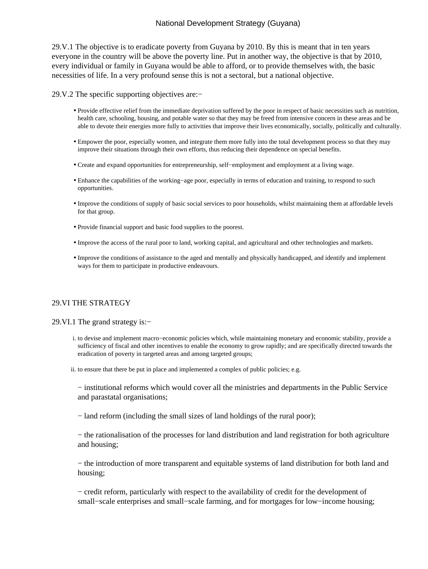29.V.1 The objective is to eradicate poverty from Guyana by 2010. By this is meant that in ten years everyone in the country will be above the poverty line. Put in another way, the objective is that by 2010, every individual or family in Guyana would be able to afford, or to provide themselves with, the basic necessities of life. In a very profound sense this is not a sectoral, but a national objective.

29.V.2 The specific supporting objectives are:−

- Provide effective relief from the immediate deprivation suffered by the poor in respect of basic necessities such as nutrition, health care, schooling, housing, and potable water so that they may be freed from intensive concern in these areas and be able to devote their energies more fully to activities that improve their lives economically, socially, politically and culturally.
- Empower the poor, especially women, and integrate them more fully into the total development process so that they may improve their situations through their own efforts, thus reducing their dependence on special benefits.
- Create and expand opportunities for entrepreneurship, self−employment and employment at a living wage.
- Enhance the capabilities of the working−age poor, especially in terms of education and training, to respond to such opportunities.
- Improve the conditions of supply of basic social services to poor households, whilst maintaining them at affordable levels for that group.
- Provide financial support and basic food supplies to the poorest.
- Improve the access of the rural poor to land, working capital, and agricultural and other technologies and markets.
- Improve the conditions of assistance to the aged and mentally and physically handicapped, and identify and implement ways for them to participate in productive endeavours.

#### 29.VI THE STRATEGY

#### 29.VI.1 The grand strategy is:−

- i. to devise and implement macro–economic policies which, while maintaining monetary and economic stability, provide a sufficiency of fiscal and other incentives to enable the economy to grow rapidly; and are specifically directed towards the eradication of poverty in targeted areas and among targeted groups;
- ii. to ensure that there be put in place and implemented a complex of public policies; e.g.

− institutional reforms which would cover all the ministries and departments in the Public Service and parastatal organisations;

− land reform (including the small sizes of land holdings of the rural poor);

− the rationalisation of the processes for land distribution and land registration for both agriculture and housing;

− the introduction of more transparent and equitable systems of land distribution for both land and housing;

− credit reform, particularly with respect to the availability of credit for the development of small–scale enterprises and small–scale farming, and for mortgages for low–income housing;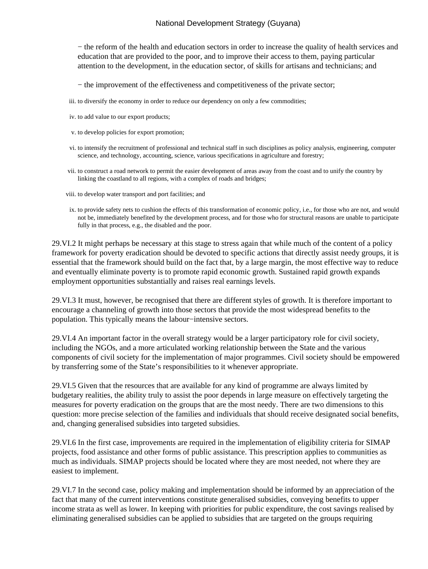− the reform of the health and education sectors in order to increase the quality of health services and education that are provided to the poor, and to improve their access to them, paying particular attention to the development, in the education sector, of skills for artisans and technicians; and

− the improvement of the effectiveness and competitiveness of the private sector;

- iii. to diversify the economy in order to reduce our dependency on only a few commodities;
- iv. to add value to our export products;
- v. to develop policies for export promotion;
- vi. to intensify the recruitment of professional and technical staff in such disciplines as policy analysis, engineering, computer science, and technology, accounting, science, various specifications in agriculture and forestry;
- vii. to construct a road network to permit the easier development of areas away from the coast and to unify the country by linking the coastland to all regions, with a complex of roads and bridges;
- viii. to develop water transport and port facilities; and
- ix. to provide safety nets to cushion the effects of this transformation of economic policy, i.e., for those who are not, and would not be, immediately benefited by the development process, and for those who for structural reasons are unable to participate fully in that process, e.g., the disabled and the poor.

29.VI.2 It might perhaps be necessary at this stage to stress again that while much of the content of a policy framework for poverty eradication should be devoted to specific actions that directly assist needy groups, it is essential that the framework should build on the fact that, by a large margin, the most effective way to reduce and eventually eliminate poverty is to promote rapid economic growth. Sustained rapid growth expands employment opportunities substantially and raises real earnings levels.

29.VI.3 It must, however, be recognised that there are different styles of growth. It is therefore important to encourage a channeling of growth into those sectors that provide the most widespread benefits to the population. This typically means the labour−intensive sectors.

29.VI.4 An important factor in the overall strategy would be a larger participatory role for civil society, including the NGOs, and a more articulated working relationship between the State and the various components of civil society for the implementation of major programmes. Civil society should be empowered by transferring some of the State's responsibilities to it whenever appropriate.

29.VI.5 Given that the resources that are available for any kind of programme are always limited by budgetary realities, the ability truly to assist the poor depends in large measure on effectively targeting the measures for poverty eradication on the groups that are the most needy. There are two dimensions to this question: more precise selection of the families and individuals that should receive designated social benefits, and, changing generalised subsidies into targeted subsidies.

29.VI.6 In the first case, improvements are required in the implementation of eligibility criteria for SIMAP projects, food assistance and other forms of public assistance. This prescription applies to communities as much as individuals. SIMAP projects should be located where they are most needed, not where they are easiest to implement.

29.VI.7 In the second case, policy making and implementation should be informed by an appreciation of the fact that many of the current interventions constitute generalised subsidies, conveying benefits to upper income strata as well as lower. In keeping with priorities for public expenditure, the cost savings realised by eliminating generalised subsidies can be applied to subsidies that are targeted on the groups requiring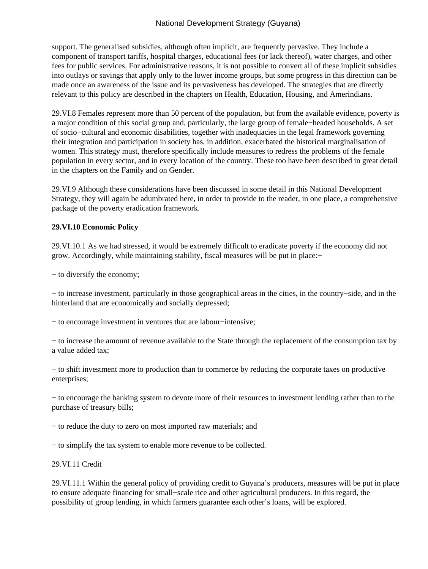support. The generalised subsidies, although often implicit, are frequently pervasive. They include a component of transport tariffs, hospital charges, educational fees (or lack thereof), water charges, and other fees for public services. For administrative reasons, it is not possible to convert all of these implicit subsidies into outlays or savings that apply only to the lower income groups, but some progress in this direction can be made once an awareness of the issue and its pervasiveness has developed. The strategies that are directly relevant to this policy are described in the chapters on Health, Education, Housing, and Amerindians.

29.VI.8 Females represent more than 50 percent of the population, but from the available evidence, poverty is a major condition of this social group and, particularly, the large group of female−headed households. A set of socio−cultural and economic disabilities, together with inadequacies in the legal framework governing their integration and participation in society has, in addition, exacerbated the historical marginalisation of women. This strategy must, therefore specifically include measures to redress the problems of the female population in every sector, and in every location of the country. These too have been described in great detail in the chapters on the Family and on Gender.

29.VI.9 Although these considerations have been discussed in some detail in this National Development Strategy, they will again be adumbrated here, in order to provide to the reader, in one place, a comprehensive package of the poverty eradication framework.

### **29.VI.10 Economic Policy**

29.VI.10.1 As we had stressed, it would be extremely difficult to eradicate poverty if the economy did not grow. Accordingly, while maintaining stability, fiscal measures will be put in place:−

− to diversify the economy;

− to increase investment, particularly in those geographical areas in the cities, in the country−side, and in the hinterland that are economically and socially depressed;

− to encourage investment in ventures that are labour−intensive;

− to increase the amount of revenue available to the State through the replacement of the consumption tax by a value added tax;

− to shift investment more to production than to commerce by reducing the corporate taxes on productive enterprises;

− to encourage the banking system to devote more of their resources to investment lending rather than to the purchase of treasury bills;

− to reduce the duty to zero on most imported raw materials; and

− to simplify the tax system to enable more revenue to be collected.

#### 29.VI.11 Credit

29.VI.11.1 Within the general policy of providing credit to Guyana's producers, measures will be put in place to ensure adequate financing for small−scale rice and other agricultural producers. In this regard, the possibility of group lending, in which farmers guarantee each other's loans, will be explored.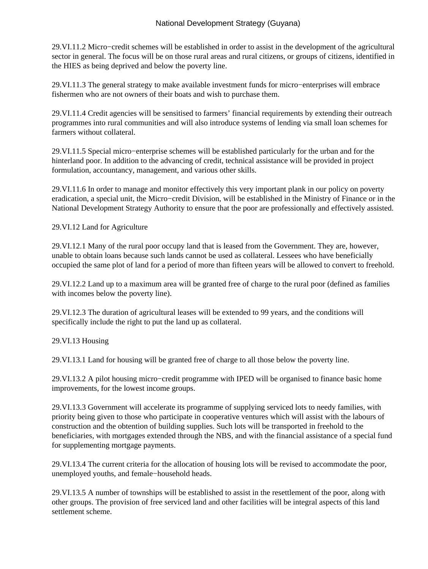29.VI.11.2 Micro−credit schemes will be established in order to assist in the development of the agricultural sector in general. The focus will be on those rural areas and rural citizens, or groups of citizens, identified in the HIES as being deprived and below the poverty line.

29.VI.11.3 The general strategy to make available investment funds for micro−enterprises will embrace fishermen who are not owners of their boats and wish to purchase them.

29.VI.11.4 Credit agencies will be sensitised to farmers' financial requirements by extending their outreach programmes into rural communities and will also introduce systems of lending via small loan schemes for farmers without collateral.

29.VI.11.5 Special micro−enterprise schemes will be established particularly for the urban and for the hinterland poor. In addition to the advancing of credit, technical assistance will be provided in project formulation, accountancy, management, and various other skills.

29.VI.11.6 In order to manage and monitor effectively this very important plank in our policy on poverty eradication, a special unit, the Micro−credit Division, will be established in the Ministry of Finance or in the National Development Strategy Authority to ensure that the poor are professionally and effectively assisted.

29.VI.12 Land for Agriculture

29.VI.12.1 Many of the rural poor occupy land that is leased from the Government. They are, however, unable to obtain loans because such lands cannot be used as collateral. Lessees who have beneficially occupied the same plot of land for a period of more than fifteen years will be allowed to convert to freehold.

29.VI.12.2 Land up to a maximum area will be granted free of charge to the rural poor (defined as families with incomes below the poverty line).

29.VI.12.3 The duration of agricultural leases will be extended to 99 years, and the conditions will specifically include the right to put the land up as collateral.

29.VI.13 Housing

29.VI.13.1 Land for housing will be granted free of charge to all those below the poverty line.

29.VI.13.2 A pilot housing micro−credit programme with IPED will be organised to finance basic home improvements, for the lowest income groups.

29.VI.13.3 Government will accelerate its programme of supplying serviced lots to needy families, with priority being given to those who participate in cooperative ventures which will assist with the labours of construction and the obtention of building supplies. Such lots will be transported in freehold to the beneficiaries, with mortgages extended through the NBS, and with the financial assistance of a special fund for supplementing mortgage payments.

29.VI.13.4 The current criteria for the allocation of housing lots will be revised to accommodate the poor, unemployed youths, and female−household heads.

29.VI.13.5 A number of townships will be established to assist in the resettlement of the poor, along with other groups. The provision of free serviced land and other facilities will be integral aspects of this land settlement scheme.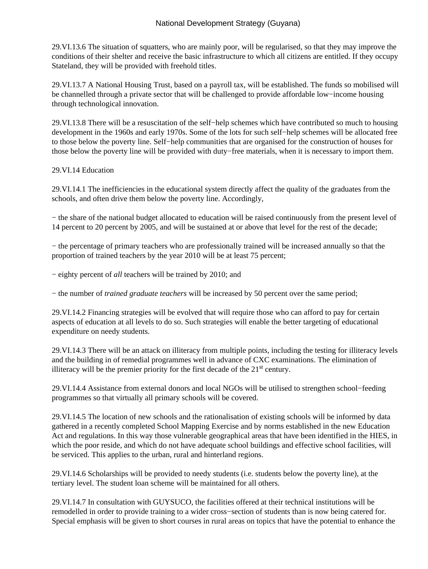29.VI.13.6 The situation of squatters, who are mainly poor, will be regularised, so that they may improve the conditions of their shelter and receive the basic infrastructure to which all citizens are entitled. If they occupy Stateland, they will be provided with freehold titles.

29.VI.13.7 A National Housing Trust, based on a payroll tax, will be established. The funds so mobilised will be channelled through a private sector that will be challenged to provide affordable low−income housing through technological innovation.

29.VI.13.8 There will be a resuscitation of the self−help schemes which have contributed so much to housing development in the 1960s and early 1970s. Some of the lots for such self−help schemes will be allocated free to those below the poverty line. Self−help communities that are organised for the construction of houses for those below the poverty line will be provided with duty−free materials, when it is necessary to import them.

#### 29.VI.14 Education

29.VI.14.1 The inefficiencies in the educational system directly affect the quality of the graduates from the schools, and often drive them below the poverty line. Accordingly,

− the share of the national budget allocated to education will be raised continuously from the present level of 14 percent to 20 percent by 2005, and will be sustained at or above that level for the rest of the decade;

− the percentage of primary teachers who are professionally trained will be increased annually so that the proportion of trained teachers by the year 2010 will be at least 75 percent;

− eighty percent of *all* teachers will be trained by 2010; and

− the number of *trained graduate teachers* will be increased by 50 percent over the same period;

29.VI.14.2 Financing strategies will be evolved that will require those who can afford to pay for certain aspects of education at all levels to do so. Such strategies will enable the better targeting of educational expenditure on needy students.

29.VI.14.3 There will be an attack on illiteracy from multiple points, including the testing for illiteracy levels and the building in of remedial programmes well in advance of CXC examinations. The elimination of illiteracy will be the premier priority for the first decade of the  $21<sup>st</sup>$  century.

29.VI.14.4 Assistance from external donors and local NGOs will be utilised to strengthen school−feeding programmes so that virtually all primary schools will be covered.

29.VI.14.5 The location of new schools and the rationalisation of existing schools will be informed by data gathered in a recently completed School Mapping Exercise and by norms established in the new Education Act and regulations. In this way those vulnerable geographical areas that have been identified in the HIES, in which the poor reside, and which do not have adequate school buildings and effective school facilities, will be serviced. This applies to the urban, rural and hinterland regions.

29.VI.14.6 Scholarships will be provided to needy students (i.e. students below the poverty line), at the tertiary level. The student loan scheme will be maintained for all others.

29.VI.14.7 In consultation with GUYSUCO, the facilities offered at their technical institutions will be remodelled in order to provide training to a wider cross−section of students than is now being catered for. Special emphasis will be given to short courses in rural areas on topics that have the potential to enhance the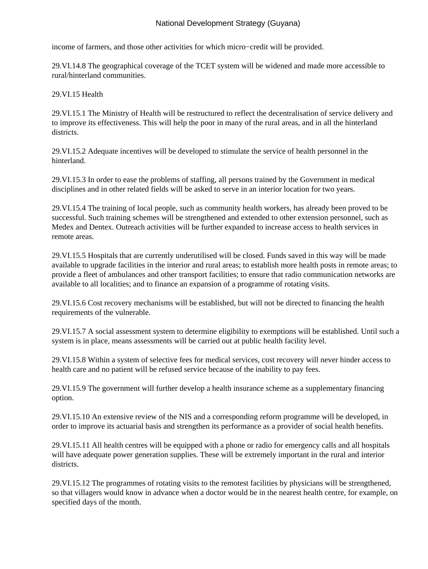income of farmers, and those other activities for which micro−credit will be provided.

29.VI.14.8 The geographical coverage of the TCET system will be widened and made more accessible to rural/hinterland communities.

### 29.VI.15 Health

29.VI.15.1 The Ministry of Health will be restructured to reflect the decentralisation of service delivery and to improve its effectiveness. This will help the poor in many of the rural areas, and in all the hinterland districts.

29.VI.15.2 Adequate incentives will be developed to stimulate the service of health personnel in the hinterland.

29.VI.15.3 In order to ease the problems of staffing, all persons trained by the Government in medical disciplines and in other related fields will be asked to serve in an interior location for two years.

29.VI.15.4 The training of local people, such as community health workers, has already been proved to be successful. Such training schemes will be strengthened and extended to other extension personnel, such as Medex and Dentex. Outreach activities will be further expanded to increase access to health services in remote areas.

29.VI.15.5 Hospitals that are currently underutilised will be closed. Funds saved in this way will be made available to upgrade facilities in the interior and rural areas; to establish more health posts in remote areas; to provide a fleet of ambulances and other transport facilities; to ensure that radio communication networks are available to all localities; and to finance an expansion of a programme of rotating visits.

29.VI.15.6 Cost recovery mechanisms will be established, but will not be directed to financing the health requirements of the vulnerable.

29.VI.15.7 A social assessment system to determine eligibility to exemptions will be established. Until such a system is in place, means assessments will be carried out at public health facility level.

29.VI.15.8 Within a system of selective fees for medical services, cost recovery will never hinder access to health care and no patient will be refused service because of the inability to pay fees.

29.VI.15.9 The government will further develop a health insurance scheme as a supplementary financing option.

29.VI.15.10 An extensive review of the NIS and a corresponding reform programme will be developed, in order to improve its actuarial basis and strengthen its performance as a provider of social health benefits.

29.VI.15.11 All health centres will be equipped with a phone or radio for emergency calls and all hospitals will have adequate power generation supplies. These will be extremely important in the rural and interior districts.

29.VI.15.12 The programmes of rotating visits to the remotest facilities by physicians will be strengthened, so that villagers would know in advance when a doctor would be in the nearest health centre, for example, on specified days of the month.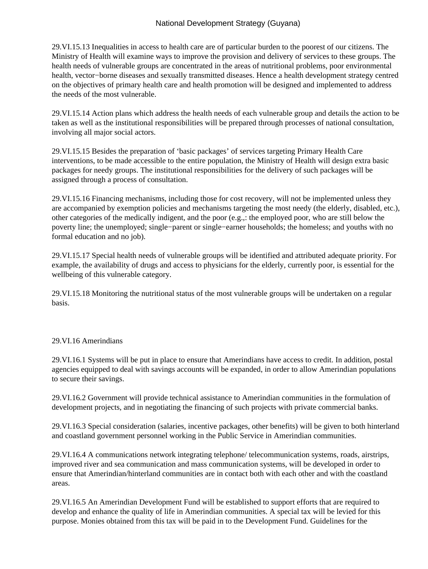29.VI.15.13 Inequalities in access to health care are of particular burden to the poorest of our citizens. The Ministry of Health will examine ways to improve the provision and delivery of services to these groups. The health needs of vulnerable groups are concentrated in the areas of nutritional problems, poor environmental health, vector−borne diseases and sexually transmitted diseases. Hence a health development strategy centred on the objectives of primary health care and health promotion will be designed and implemented to address the needs of the most vulnerable.

29.VI.15.14 Action plans which address the health needs of each vulnerable group and details the action to be taken as well as the institutional responsibilities will be prepared through processes of national consultation, involving all major social actors.

29.VI.15.15 Besides the preparation of 'basic packages' of services targeting Primary Health Care interventions, to be made accessible to the entire population, the Ministry of Health will design extra basic packages for needy groups. The institutional responsibilities for the delivery of such packages will be assigned through a process of consultation.

29.VI.15.16 Financing mechanisms, including those for cost recovery, will not be implemented unless they are accompanied by exemption policies and mechanisms targeting the most needy (the elderly, disabled, etc.), other categories of the medically indigent, and the poor (e.g.,: the employed poor, who are still below the poverty line; the unemployed; single−parent or single−earner households; the homeless; and youths with no formal education and no job).

29.VI.15.17 Special health needs of vulnerable groups will be identified and attributed adequate priority. For example, the availability of drugs and access to physicians for the elderly, currently poor, is essential for the wellbeing of this vulnerable category.

29.VI.15.18 Monitoring the nutritional status of the most vulnerable groups will be undertaken on a regular basis.

#### 29.VI.16 Amerindians

29.VI.16.1 Systems will be put in place to ensure that Amerindians have access to credit. In addition, postal agencies equipped to deal with savings accounts will be expanded, in order to allow Amerindian populations to secure their savings.

29.VI.16.2 Government will provide technical assistance to Amerindian communities in the formulation of development projects, and in negotiating the financing of such projects with private commercial banks.

29.VI.16.3 Special consideration (salaries, incentive packages, other benefits) will be given to both hinterland and coastland government personnel working in the Public Service in Amerindian communities.

29.VI.16.4 A communications network integrating telephone/ telecommunication systems, roads, airstrips, improved river and sea communication and mass communication systems, will be developed in order to ensure that Amerindian/hinterland communities are in contact both with each other and with the coastland areas.

29.VI.16.5 An Amerindian Development Fund will be established to support efforts that are required to develop and enhance the quality of life in Amerindian communities. A special tax will be levied for this purpose. Monies obtained from this tax will be paid in to the Development Fund. Guidelines for the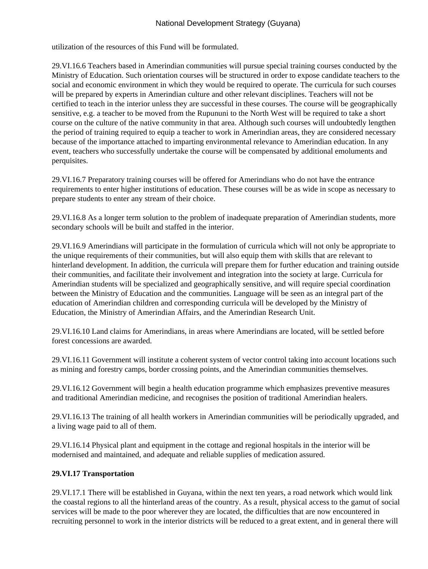utilization of the resources of this Fund will be formulated.

29.VI.16.6 Teachers based in Amerindian communities will pursue special training courses conducted by the Ministry of Education. Such orientation courses will be structured in order to expose candidate teachers to the social and economic environment in which they would be required to operate. The curricula for such courses will be prepared by experts in Amerindian culture and other relevant disciplines. Teachers will not be certified to teach in the interior unless they are successful in these courses. The course will be geographically sensitive, e.g. a teacher to be moved from the Rupununi to the North West will be required to take a short course on the culture of the native community in that area. Although such courses will undoubtedly lengthen the period of training required to equip a teacher to work in Amerindian areas, they are considered necessary because of the importance attached to imparting environmental relevance to Amerindian education. In any event, teachers who successfully undertake the course will be compensated by additional emoluments and perquisites.

29.VI.16.7 Preparatory training courses will be offered for Amerindians who do not have the entrance requirements to enter higher institutions of education. These courses will be as wide in scope as necessary to prepare students to enter any stream of their choice.

29.VI.16.8 As a longer term solution to the problem of inadequate preparation of Amerindian students, more secondary schools will be built and staffed in the interior.

29.VI.16.9 Amerindians will participate in the formulation of curricula which will not only be appropriate to the unique requirements of their communities, but will also equip them with skills that are relevant to hinterland development. In addition, the curricula will prepare them for further education and training outside their communities, and facilitate their involvement and integration into the society at large. Curricula for Amerindian students will be specialized and geographically sensitive, and will require special coordination between the Ministry of Education and the communities. Language will be seen as an integral part of the education of Amerindian children and corresponding curricula will be developed by the Ministry of Education, the Ministry of Amerindian Affairs, and the Amerindian Research Unit.

29.VI.16.10 Land claims for Amerindians, in areas where Amerindians are located, will be settled before forest concessions are awarded.

29.VI.16.11 Government will institute a coherent system of vector control taking into account locations such as mining and forestry camps, border crossing points, and the Amerindian communities themselves.

29.VI.16.12 Government will begin a health education programme which emphasizes preventive measures and traditional Amerindian medicine, and recognises the position of traditional Amerindian healers.

29.VI.16.13 The training of all health workers in Amerindian communities will be periodically upgraded, and a living wage paid to all of them.

29.VI.16.14 Physical plant and equipment in the cottage and regional hospitals in the interior will be modernised and maintained, and adequate and reliable supplies of medication assured.

## **29.VI.17 Transportation**

29.VI.17.1 There will be established in Guyana, within the next ten years, a road network which would link the coastal regions to all the hinterland areas of the country. As a result, physical access to the gamut of social services will be made to the poor wherever they are located, the difficulties that are now encountered in recruiting personnel to work in the interior districts will be reduced to a great extent, and in general there will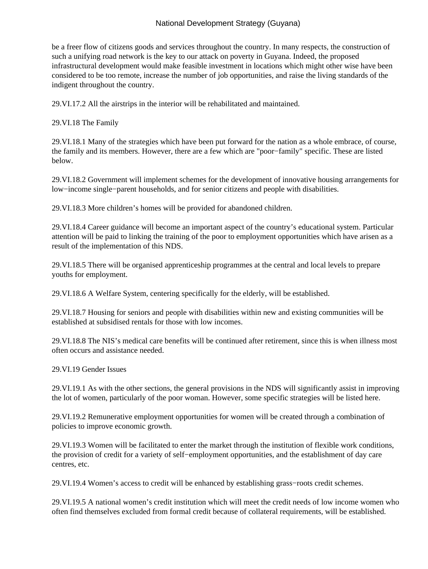be a freer flow of citizens goods and services throughout the country. In many respects, the construction of such a unifying road network is the key to our attack on poverty in Guyana. Indeed, the proposed infrastructural development would make feasible investment in locations which might other wise have been considered to be too remote, increase the number of job opportunities, and raise the living standards of the indigent throughout the country.

29.VI.17.2 All the airstrips in the interior will be rehabilitated and maintained.

29.VI.18 The Family

29.VI.18.1 Many of the strategies which have been put forward for the nation as a whole embrace, of course, the family and its members. However, there are a few which are "poor−family" specific. These are listed below.

29.VI.18.2 Government will implement schemes for the development of innovative housing arrangements for low−income single−parent households, and for senior citizens and people with disabilities.

29.VI.18.3 More children's homes will be provided for abandoned children.

29.VI.18.4 Career guidance will become an important aspect of the country's educational system. Particular attention will be paid to linking the training of the poor to employment opportunities which have arisen as a result of the implementation of this NDS.

29.VI.18.5 There will be organised apprenticeship programmes at the central and local levels to prepare youths for employment.

29.VI.18.6 A Welfare System, centering specifically for the elderly, will be established.

29.VI.18.7 Housing for seniors and people with disabilities within new and existing communities will be established at subsidised rentals for those with low incomes.

29.VI.18.8 The NIS's medical care benefits will be continued after retirement, since this is when illness most often occurs and assistance needed.

29.VI.19 Gender Issues

29.VI.19.1 As with the other sections, the general provisions in the NDS will significantly assist in improving the lot of women, particularly of the poor woman. However, some specific strategies will be listed here.

29.VI.19.2 Remunerative employment opportunities for women will be created through a combination of policies to improve economic growth.

29.VI.19.3 Women will be facilitated to enter the market through the institution of flexible work conditions, the provision of credit for a variety of self−employment opportunities, and the establishment of day care centres, etc.

29.VI.19.4 Women's access to credit will be enhanced by establishing grass−roots credit schemes.

29.VI.19.5 A national women's credit institution which will meet the credit needs of low income women who often find themselves excluded from formal credit because of collateral requirements, will be established.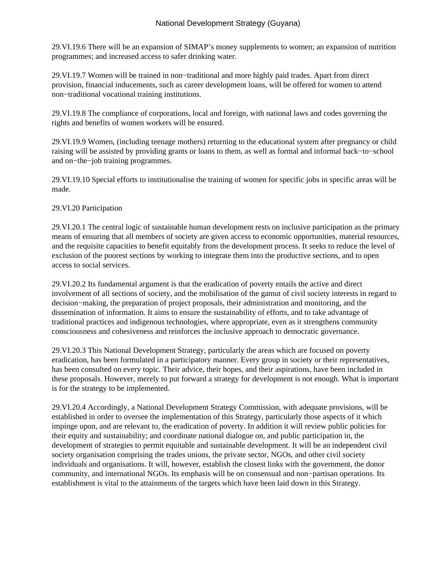29.VI.19.6 There will be an expansion of SIMAP's money supplements to women; an expansion of nutrition programmes; and increased access to safer drinking water.

29.VI.19.7 Women will be trained in non−traditional and more highly paid trades. Apart from direct provision, financial inducements, such as career development loans, will be offered for women to attend non−traditional vocational training institutions.

29.VI.19.8 The compliance of corporations, local and foreign, with national laws and codes governing the rights and benefits of women workers will be ensured.

29.VI.19.9 Women, (including teenage mothers) returning to the educational system after pregnancy or child raising will be assisted by providing grants or loans to them, as well as formal and informal back−to−school and on−the−job training programmes.

29.VI.19.10 Special efforts to institutionalise the training of women for specific jobs in specific areas will be made.

## 29.VI.20 Participation

29.VI.20.1 The central logic of sustainable human development rests on inclusive participation as the primary means of ensuring that all members of society are given access to economic opportunities, material resources, and the requisite capacities to benefit equitably from the development process. It seeks to reduce the level of exclusion of the poorest sections by working to integrate them into the productive sections, and to open access to social services.

29.VI.20.2 Its fundamental argument is that the eradication of poverty entails the active and direct involvement of all sections of society, and the mobilisation of the gamut of civil society interests in regard to decision−making, the preparation of project proposals, their administration and monitoring, and the dissemination of information. It aims to ensure the sustainability of efforts, and to take advantage of traditional practices and indigenous technologies, where appropriate, even as it strengthens community consciousness and cohesiveness and reinforces the inclusive approach to democratic governance.

29.VI.20.3 This National Development Strategy, particularly the areas which are focused on poverty eradication, has been formulated in a participatory manner. Every group in society or their representatives, has been consulted on every topic. Their advice, their hopes, and their aspirations, have been included in these proposals. However, merely to put forward a strategy for development is not enough. What is important is for the strategy to be implemented.

29.VI.20.4 Accordingly, a National Development Strategy Commission, with adequate provisions, will be established in order to oversee the implementation of this Strategy, particularly those aspects of it which impinge upon, and are relevant to, the eradication of poverty. In addition it will review public policies for their equity and sustainability; and coordinate national dialogue on, and public participation in, the development of strategies to permit equitable and sustainable development. It will be an independent civil society organisation comprising the trades unions, the private sector, NGOs, and other civil society individuals and organisations. It will, however, establish the closest links with the government, the donor community, and international NGOs. Its emphasis will be on consensual and non−partisan operations. Its establishment is vital to the attainments of the targets which have been laid down in this Strategy.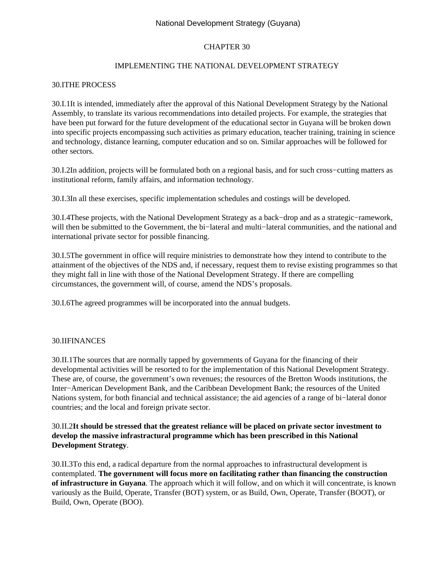## CHAPTER 30

#### IMPLEMENTING THE NATIONAL DEVELOPMENT STRATEGY

#### 30.I THE PROCESS

30.I.1 It is intended, immediately after the approval of this National Development Strategy by the National Assembly, to translate its various recommendations into detailed projects. For example, the strategies that have been put forward for the future development of the educational sector in Guyana will be broken down into specific projects encompassing such activities as primary education, teacher training, training in science and technology, distance learning, computer education and so on. Similar approaches will be followed for other sectors.

30.I.2 In addition, projects will be formulated both on a regional basis, and for such cross−cutting matters as institutional reform, family affairs, and information technology.

30.I.3 In all these exercises, specific implementation schedules and costings will be developed.

30.I.4 These projects, with the National Development Strategy as a back−drop and as a strategic−ramework, will then be submitted to the Government, the bi−lateral and multi−lateral communities, and the national and international private sector for possible financing.

30.I.5 The government in office will require ministries to demonstrate how they intend to contribute to the attainment of the objectives of the NDS and, if necessary, request them to revise existing programmes so that they might fall in line with those of the National Development Strategy. If there are compelling circumstances, the government will, of course, amend the NDS's proposals.

30.I.6 The agreed programmes will be incorporated into the annual budgets.

#### 30.II FINANCES

30.II.1 The sources that are normally tapped by governments of Guyana for the financing of their developmental activities will be resorted to for the implementation of this National Development Strategy. These are, of course, the government's own revenues; the resources of the Bretton Woods institutions, the Inter−American Development Bank, and the Caribbean Development Bank; the resources of the United Nations system, for both financial and technical assistance; the aid agencies of a range of bi−lateral donor countries; and the local and foreign private sector.

### 30.II.2 **It should be stressed that the greatest reliance will be placed on private sector investment to develop the massive infrastractural programme which has been prescribed in this National Development Strategy**.

30.II.3 To this end, a radical departure from the normal approaches to infrastructural development is contemplated. **The government will focus more on facilitating rather than financing the construction of infrastructure in Guyana**. The approach which it will follow, and on which it will concentrate, is known variously as the Build, Operate, Transfer (BOT) system, or as Build, Own, Operate, Transfer (BOOT), or Build, Own, Operate (BOO).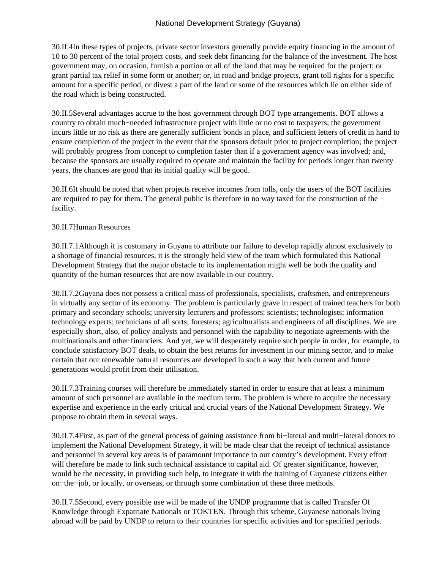## National Development Strategy (Guyana)

30.II.4 In these types of projects, private sector investors generally provide equity financing in the amount of 10 to 30 percent of the total project costs, and seek debt financing for the balance of the investment. The host government may, on occasion, furnish a portion or all of the land that may be required for the project; or grant partial tax relief in some form or another; or, in road and bridge projects, grant toll rights for a specific amount for a specific period, or divest a part of the land or some of the resources which lie on either side of the road which is being constructed.

30.II.5 Several advantages accrue to the host government through BOT type arrangements. BOT allows a country to obtain much−needed infrastructure project with little or no cost to taxpayers; the government incurs little or no risk as there are generally sufficient bonds in place, and sufficient letters of credit in hand to ensure completion of the project in the event that the sponsors default prior to project completion; the project will probably progress from concept to completion faster than if a government agency was involved; and, because the sponsors are usually required to operate and maintain the facility for periods longer than twenty years, the chances are good that its initial quality will be good.

30.II.6 It should be noted that when projects receive incomes from tolls, only the users of the BOT facilities are required to pay for them. The general public is therefore in no way taxed for the construction of the facility.

## 30.II.7 Human Resources

30.II.7.1 Although it is customary in Guyana to attribute our failure to develop rapidly almost exclusively to a shortage of financial resources, it is the strongly held view of the team which formulated this National Development Strategy that the major obstacle to its implementation might well be both the quality and quantity of the human resources that are now available in our country.

30.II.7.2 Guyana does not possess a critical mass of professionals, specialists, craftsmen, and entrepreneurs in virtually any sector of its economy. The problem is particularly grave in respect of trained teachers for both primary and secondary schools; university lecturers and professors; scientists; technologists; information technology experts; technicians of all sorts; foresters; agriculturalists and engineers of all disciplines. We are especially short, also, of policy analysts and personnel with the capability to negotiate agreements with the multinationals and other financiers. And yet, we will desperately require such people in order, for example, to conclude satisfactory BOT deals, to obtain the best returns for investment in our mining sector, and to make certain that our renewable natural resources are developed in such a way that both current and future generations would profit from their utilisation.

30.II.7.3 Training courses will therefore be immediately started in order to ensure that at least a minimum amount of such personnel are available in the medium term. The problem is where to acquire the necessary expertise and experience in the early critical and crucial years of the National Development Strategy. We propose to obtain them in several ways.

30.II.7.4 First, as part of the general process of gaining assistance from bi−lateral and multi−lateral donors to implement the National Development Strategy, it will be made clear that the receipt of technical assistance and personnel in several key areas is of paramount importance to our country's development. Every effort will therefore be made to link such technical assistance to capital aid. Of greater significance, however, would be the necessity, in providing such help, to integrate it with the training of Guyanese citizens either on−the−job, or locally, or overseas, or through some combination of these three methods.

30.II.7.5 Second, every possible use will be made of the UNDP programme that is called Transfer Of Knowledge through Expatriate Nationals or TOKTEN. Through this scheme, Guyanese nationals living abroad will be paid by UNDP to return to their countries for specific activities and for specified periods.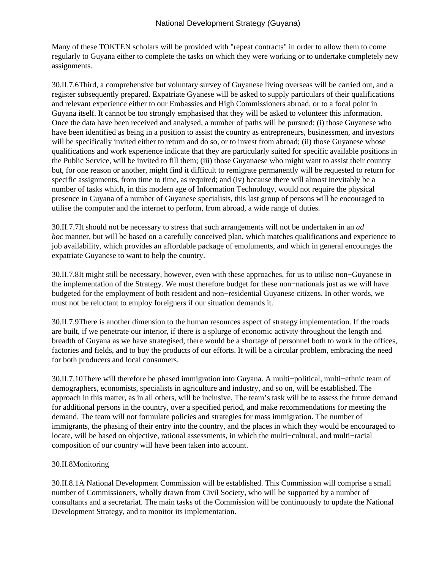Many of these TOKTEN scholars will be provided with "repeat contracts" in order to allow them to come regularly to Guyana either to complete the tasks on which they were working or to undertake completely new assignments.

30.II.7.6 Third, a comprehensive but voluntary survey of Guyanese living overseas will be carried out, and a register subsequently prepared. Expatriate Gyanese will be asked to supply particulars of their qualifications and relevant experience either to our Embassies and High Commissioners abroad, or to a focal point in Guyana itself. It cannot be too strongly emphasised that they will be asked to volunteer this information. Once the data have been received and analysed, a number of paths will be pursued: (i) those Guyanese who have been identified as being in a position to assist the country as entrepreneurs, businessmen, and investors will be specifically invited either to return and do so, or to invest from abroad; (ii) those Guyanese whose qualifications and work experience indicate that they are particularly suited for specific available positions in the Public Service, will be invited to fill them; (iii) those Guyanaese who might want to assist their country but, for one reason or another, might find it difficult to remigrate permanently will be requested to return for specific assignments, from time to time, as required; and (iv) because there will almost inevitably be a number of tasks which, in this modern age of Information Technology, would not require the physical presence in Guyana of a number of Guyanese specialists, this last group of persons will be encouraged to utilise the computer and the internet to perform, from abroad, a wide range of duties.

30.II.7.7 It should not be necessary to stress that such arrangements will not be undertaken in an *ad hoc* manner, but will be based on a carefully conceived plan, which matches qualifications and experience to job availability, which provides an affordable package of emoluments, and which in general encourages the expatriate Guyanese to want to help the country.

30.II.7.8 It might still be necessary, however, even with these approaches, for us to utilise non−Guyanese in the implementation of the Strategy. We must therefore budget for these non−nationals just as we will have budgeted for the employment of both resident and non−residential Guyanese citizens. In other words, we must not be reluctant to employ foreigners if our situation demands it.

30.II.7.9 There is another dimension to the human resources aspect of strategy implementation. If the roads are built, if we penetrate our interior, if there is a splurge of economic activity throughout the length and breadth of Guyana as we have strategised, there would be a shortage of personnel both to work in the offices, factories and fields, and to buy the products of our efforts. It will be a circular problem, embracing the need for both producers and local consumers.

30.II.7.10 There will therefore be phased immigration into Guyana. A multi−political, multi−ethnic team of demographers, economists, specialists in agriculture and industry, and so on, will be established. The approach in this matter, as in all others, will be inclusive. The team's task will be to assess the future demand for additional persons in the country, over a specified period, and make recommendations for meeting the demand. The team will not formulate policies and strategies for mass immigration. The number of immigrants, the phasing of their entry into the country, and the places in which they would be encouraged to locate, will be based on objective, rational assessments, in which the multi−cultural, and multi−racial composition of our country will have been taken into account.

## 30.II.8 Monitoring

30.II.8.1 A National Development Commission will be established. This Commission will comprise a small number of Commissioners, wholly drawn from Civil Society, who will be supported by a number of consultants and a secretariat. The main tasks of the Commission will be continuously to update the National Development Strategy, and to monitor its implementation.